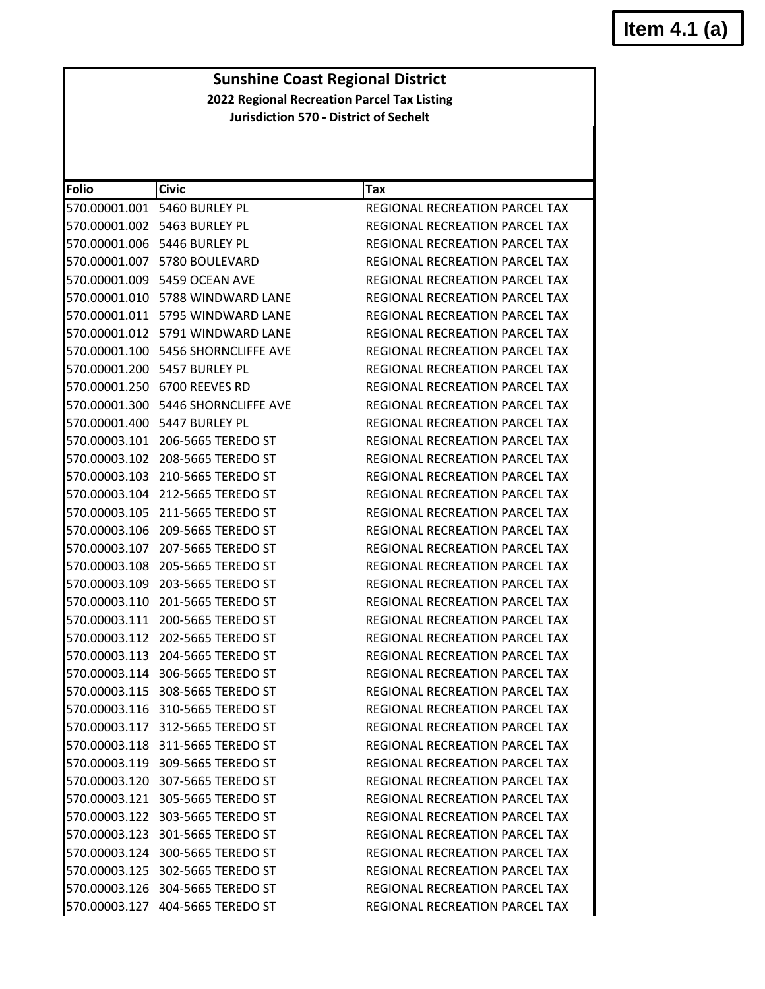# **Item 4.1 (a)**

#### **Sunshine Coast Regional District 2022 Regional Recreation Parcel Tax Listing**

**Jurisdiction 570 ‐ District of Sechelt**

| <b>Folio</b>  | <b>Civic</b>                        | Tax                                   |
|---------------|-------------------------------------|---------------------------------------|
| 570.00001.001 | 5460 BURLEY PL                      | REGIONAL RECREATION PARCEL TAX        |
| 570.00001.002 | 5463 BURLEY PL                      | REGIONAL RECREATION PARCEL TAX        |
| 570.00001.006 | 5446 BURLEY PL                      | <b>REGIONAL RECREATION PARCEL TAX</b> |
| 570.00001.007 | 5780 BOULEVARD                      | REGIONAL RECREATION PARCEL TAX        |
|               | 570.00001.009 5459 OCEAN AVE        | <b>REGIONAL RECREATION PARCEL TAX</b> |
|               | 570.00001.010    5788 WINDWARD LANE | REGIONAL RECREATION PARCEL TAX        |
| 570.00001.011 | 5795 WINDWARD LANE                  | REGIONAL RECREATION PARCEL TAX        |
| 570.00001.012 | 5791 WINDWARD LANE                  | REGIONAL RECREATION PARCEL TAX        |
| 570.00001.100 | 5456 SHORNCLIFFE AVE                | REGIONAL RECREATION PARCEL TAX        |
| 570.00001.200 | 5457 BURLEY PL                      | REGIONAL RECREATION PARCEL TAX        |
|               | 570.00001.250 6700 REEVES RD        | REGIONAL RECREATION PARCEL TAX        |
| 570.00001.300 | 5446 SHORNCLIFFE AVE                | REGIONAL RECREATION PARCEL TAX        |
| 570.00001.400 | 5447 BURLEY PL                      | <b>REGIONAL RECREATION PARCEL TAX</b> |
| 570.00003.101 | 206-5665 TEREDO ST                  | REGIONAL RECREATION PARCEL TAX        |
| 570.00003.102 | 208-5665 TEREDO ST                  | <b>REGIONAL RECREATION PARCEL TAX</b> |
| 570.00003.103 | 210-5665 TEREDO ST                  | <b>REGIONAL RECREATION PARCEL TAX</b> |
| 570.00003.104 | 212-5665 TEREDO ST                  | REGIONAL RECREATION PARCEL TAX        |
| 570.00003.105 | 211-5665 TEREDO ST                  | REGIONAL RECREATION PARCEL TAX        |
| 570.00003.106 | 209-5665 TEREDO ST                  | REGIONAL RECREATION PARCEL TAX        |
| 570.00003.107 | 207-5665 TEREDO ST                  | REGIONAL RECREATION PARCEL TAX        |
| 570.00003.108 | 205-5665 TEREDO ST                  | REGIONAL RECREATION PARCEL TAX        |
| 570.00003.109 | 203-5665 TEREDO ST                  | REGIONAL RECREATION PARCEL TAX        |
| 570.00003.110 | 201-5665 TEREDO ST                  | REGIONAL RECREATION PARCEL TAX        |
| 570.00003.111 | 200-5665 TEREDO ST                  | REGIONAL RECREATION PARCEL TAX        |
| 570.00003.112 | 202-5665 TEREDO ST                  | REGIONAL RECREATION PARCEL TAX        |
| 570.00003.113 | 204-5665 TEREDO ST                  | REGIONAL RECREATION PARCEL TAX        |
| 570.00003.114 | 306-5665 TEREDO ST                  | REGIONAL RECREATION PARCEL TAX        |
| 570.00003.115 | 308-5665 TEREDO ST                  | REGIONAL RECREATION PARCEL TAX        |
|               | 570.00003.116 310-5665 TEREDO ST    | REGIONAL RECREATION PARCEL TAX        |
|               | 570.00003.117 312-5665 TEREDO ST    | REGIONAL RECREATION PARCEL TAX        |
|               | 570.00003.118 311-5665 TEREDO ST    | REGIONAL RECREATION PARCEL TAX        |
|               | 570.00003.119 309-5665 TEREDO ST    | REGIONAL RECREATION PARCEL TAX        |
|               | 570.00003.120 307-5665 TEREDO ST    | REGIONAL RECREATION PARCEL TAX        |
|               | 570.00003.121 305-5665 TEREDO ST    | <b>REGIONAL RECREATION PARCEL TAX</b> |
| 570.00003.122 | 303-5665 TEREDO ST                  | REGIONAL RECREATION PARCEL TAX        |
|               | 570.00003.123 301-5665 TEREDO ST    | REGIONAL RECREATION PARCEL TAX        |
|               | 570.00003.124 300-5665 TEREDO ST    | REGIONAL RECREATION PARCEL TAX        |
|               | 570.00003.125 302-5665 TEREDO ST    | <b>REGIONAL RECREATION PARCEL TAX</b> |
|               | 570.00003.126 304-5665 TEREDO ST    | REGIONAL RECREATION PARCEL TAX        |
|               | 570.00003.127 404-5665 TEREDO ST    | REGIONAL RECREATION PARCEL TAX        |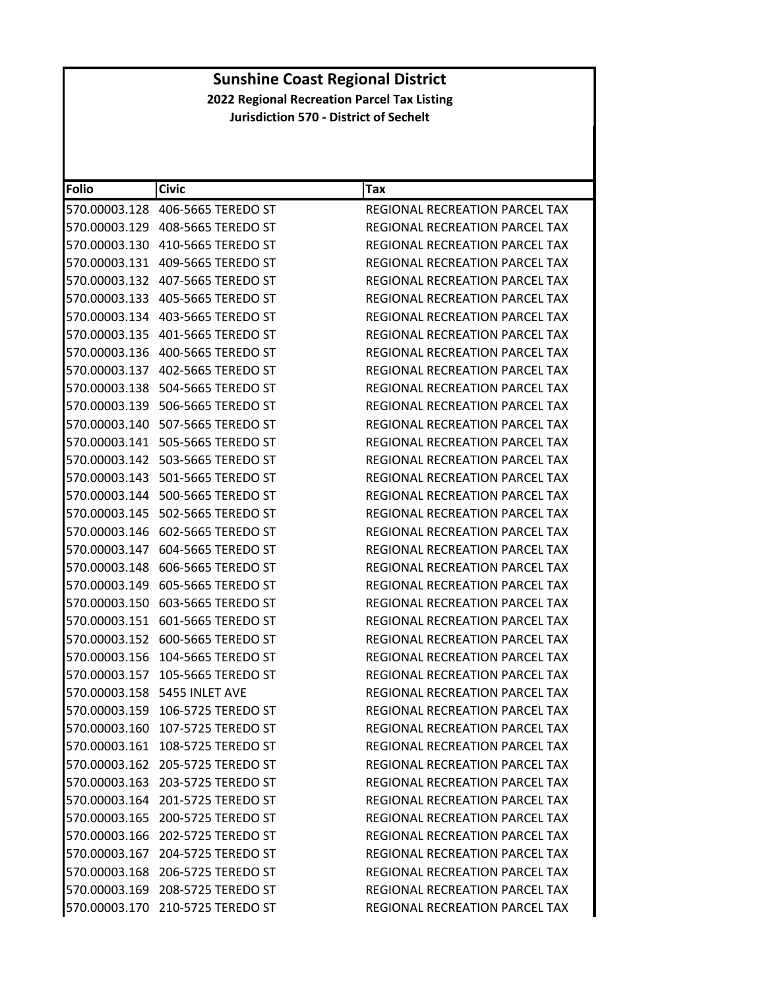| <b>Folio</b>  | <b>Civic</b>                        | Tax                                   |
|---------------|-------------------------------------|---------------------------------------|
| 570.00003.128 | 406-5665 TEREDO ST                  | <b>REGIONAL RECREATION PARCEL TAX</b> |
|               | 570.00003.129 408-5665 TEREDO ST    | REGIONAL RECREATION PARCEL TAX        |
| 570.00003.130 | 410-5665 TEREDO ST                  | <b>REGIONAL RECREATION PARCEL TAX</b> |
|               | 570.00003.131    409-5665 TEREDO ST | REGIONAL RECREATION PARCEL TAX        |
|               | 570.00003.132    407-5665 TEREDO ST | REGIONAL RECREATION PARCEL TAX        |
| 570.00003.133 | 405-5665 TEREDO ST                  | REGIONAL RECREATION PARCEL TAX        |
|               |                                     | REGIONAL RECREATION PARCEL TAX        |
| 570.00003.135 | 401-5665 TEREDO ST                  | REGIONAL RECREATION PARCEL TAX        |
|               | 570.00003.136    400-5665 TEREDO ST | REGIONAL RECREATION PARCEL TAX        |
|               | 570.00003.137    402-5665 TEREDO ST | REGIONAL RECREATION PARCEL TAX        |
|               | 570.00003.138    504-5665 TEREDO ST | REGIONAL RECREATION PARCEL TAX        |
|               | 570.00003.139    506-5665 TEREDO ST | REGIONAL RECREATION PARCEL TAX        |
| 570.00003.140 | 507-5665 TEREDO ST                  | <b>REGIONAL RECREATION PARCEL TAX</b> |
|               | 570.00003.141    505-5665 TEREDO ST | REGIONAL RECREATION PARCEL TAX        |
|               | 570.00003.142    503-5665 TEREDO ST | REGIONAL RECREATION PARCEL TAX        |
|               | 570.00003.143    501-5665 TEREDO ST | REGIONAL RECREATION PARCEL TAX        |
|               | 570.00003.144    500-5665 TEREDO ST | REGIONAL RECREATION PARCEL TAX        |
| 570.00003.145 | 502-5665 TEREDO ST                  | REGIONAL RECREATION PARCEL TAX        |
|               | 570.00003.146    602-5665 TEREDO ST | REGIONAL RECREATION PARCEL TAX        |
|               | 570.00003.147 604-5665 TEREDO ST    | REGIONAL RECREATION PARCEL TAX        |
|               | 570.00003.148    606-5665 TEREDO ST | REGIONAL RECREATION PARCEL TAX        |
|               | 570.00003.149    605-5665 TEREDO ST | REGIONAL RECREATION PARCEL TAX        |
| 570.00003.150 | 603-5665 TEREDO ST                  | REGIONAL RECREATION PARCEL TAX        |
| 570.00003.151 | 601-5665 TEREDO ST                  | REGIONAL RECREATION PARCEL TAX        |
|               | 570.00003.152 600-5665 TEREDO ST    | REGIONAL RECREATION PARCEL TAX        |
| 570.00003.156 | 104-5665 TEREDO ST                  | <b>REGIONAL RECREATION PARCEL TAX</b> |
| 570.00003.157 | 105-5665 TEREDO ST                  | REGIONAL RECREATION PARCEL TAX        |
| 570.00003.158 | 5455 INLET AVE                      | REGIONAL RECREATION PARCEL TAX        |
|               | 570.00003.159 106-5725 TEREDO ST    | REGIONAL RECREATION PARCEL TAX        |
|               | 570.00003.160 107-5725 TEREDO ST    | REGIONAL RECREATION PARCEL TAX        |
|               | 570.00003.161 108-5725 TEREDO ST    | REGIONAL RECREATION PARCEL TAX        |
|               | 570.00003.162 205-5725 TEREDO ST    | REGIONAL RECREATION PARCEL TAX        |
|               | 570.00003.163 203-5725 TEREDO ST    | <b>REGIONAL RECREATION PARCEL TAX</b> |
|               | 570.00003.164 201-5725 TEREDO ST    | REGIONAL RECREATION PARCEL TAX        |
|               | 570.00003.165 200-5725 TEREDO ST    | REGIONAL RECREATION PARCEL TAX        |
|               | 570.00003.166 202-5725 TEREDO ST    | REGIONAL RECREATION PARCEL TAX        |
|               | 570.00003.167 204-5725 TEREDO ST    | REGIONAL RECREATION PARCEL TAX        |
|               | 570.00003.168 206-5725 TEREDO ST    | <b>REGIONAL RECREATION PARCEL TAX</b> |
|               | 570.00003.169 208-5725 TEREDO ST    | <b>REGIONAL RECREATION PARCEL TAX</b> |
|               | 570.00003.170 210-5725 TEREDO ST    | REGIONAL RECREATION PARCEL TAX        |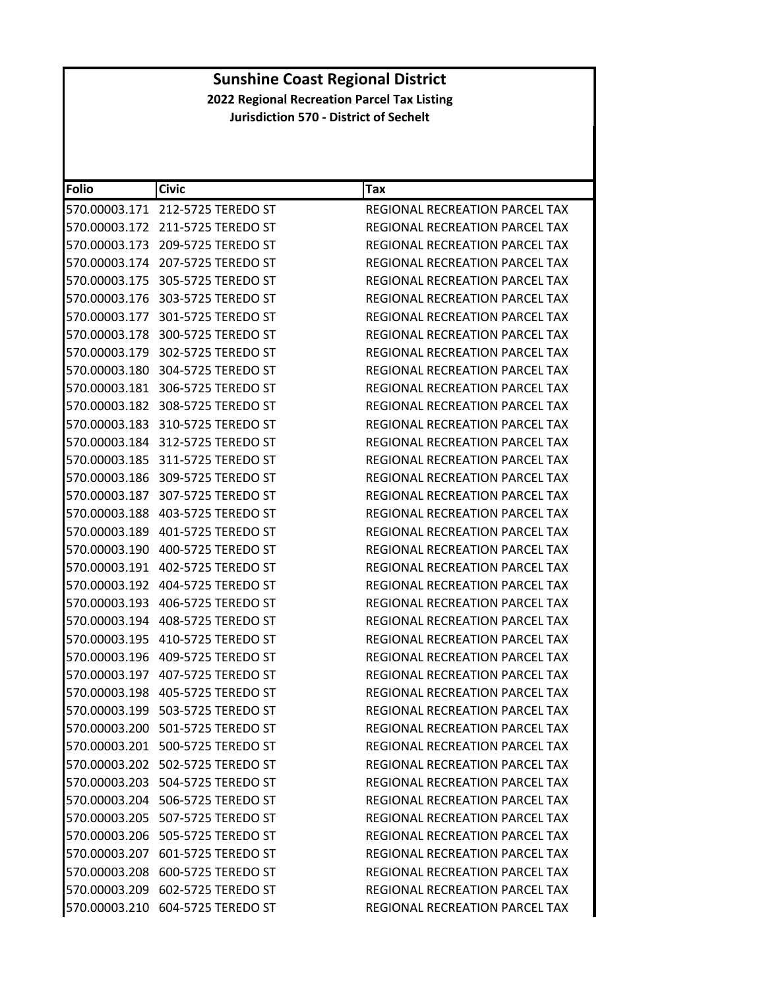| <b>Folio</b>  | <b>Civic</b>                        | Tax                                   |
|---------------|-------------------------------------|---------------------------------------|
|               | 570.00003.171 212-5725 TEREDO ST    | REGIONAL RECREATION PARCEL TAX        |
|               | 570.00003.172 211-5725 TEREDO ST    | REGIONAL RECREATION PARCEL TAX        |
| 570.00003.173 | 209-5725 TEREDO ST                  | <b>REGIONAL RECREATION PARCEL TAX</b> |
|               | 570.00003.174 207-5725 TEREDO ST    | REGIONAL RECREATION PARCEL TAX        |
|               | 570.00003.175 305-5725 TEREDO ST    | REGIONAL RECREATION PARCEL TAX        |
|               | 570.00003.176 303-5725 TEREDO ST    | REGIONAL RECREATION PARCEL TAX        |
|               | 570.00003.177 301-5725 TEREDO ST    | REGIONAL RECREATION PARCEL TAX        |
| 570.00003.178 | 300-5725 TEREDO ST                  | REGIONAL RECREATION PARCEL TAX        |
|               | 570.00003.179 302-5725 TEREDO ST    | REGIONAL RECREATION PARCEL TAX        |
|               | 570.00003.180 304-5725 TEREDO ST    | REGIONAL RECREATION PARCEL TAX        |
|               | 570.00003.181 306-5725 TEREDO ST    | REGIONAL RECREATION PARCEL TAX        |
|               | 570.00003.182 308-5725 TEREDO ST    | REGIONAL RECREATION PARCEL TAX        |
| 570.00003.183 | 310-5725 TEREDO ST                  | REGIONAL RECREATION PARCEL TAX        |
|               | 570.00003.184 312-5725 TEREDO ST    | REGIONAL RECREATION PARCEL TAX        |
|               | 570.00003.185 311-5725 TEREDO ST    | REGIONAL RECREATION PARCEL TAX        |
|               | 570.00003.186 309-5725 TEREDO ST    | REGIONAL RECREATION PARCEL TAX        |
|               | 570.00003.187 307-5725 TEREDO ST    | REGIONAL RECREATION PARCEL TAX        |
|               | 570.00003.188    403-5725 TEREDO ST | <b>REGIONAL RECREATION PARCEL TAX</b> |
| 570.00003.189 | 401-5725 TEREDO ST                  | REGIONAL RECREATION PARCEL TAX        |
|               | 570.00003.190    400-5725 TEREDO ST | REGIONAL RECREATION PARCEL TAX        |
| 570.00003.191 | 402-5725 TEREDO ST                  | REGIONAL RECREATION PARCEL TAX        |
|               | 570.00003.192    404-5725 TEREDO ST | REGIONAL RECREATION PARCEL TAX        |
| 570.00003.193 | 406-5725 TEREDO ST                  | REGIONAL RECREATION PARCEL TAX        |
| 570.00003.194 | 408-5725 TEREDO ST                  | REGIONAL RECREATION PARCEL TAX        |
|               | 570.00003.195    410-5725 TEREDO ST | REGIONAL RECREATION PARCEL TAX        |
|               | 570.00003.196    409-5725 TEREDO ST | REGIONAL RECREATION PARCEL TAX        |
|               | 570.00003.197 407-5725 TEREDO ST    | REGIONAL RECREATION PARCEL TAX        |
|               | 570.00003.198 405-5725 TEREDO ST    | <b>REGIONAL RECREATION PARCEL TAX</b> |
|               | 570.00003.199    503-5725 TEREDO ST | REGIONAL RECREATION PARCEL TAX        |
|               | 570.00003.200 501-5725 TEREDO ST    | REGIONAL RECREATION PARCEL TAX        |
|               | 570.00003.201 500-5725 TEREDO ST    | REGIONAL RECREATION PARCEL TAX        |
|               | 570.00003.202 502-5725 TEREDO ST    | REGIONAL RECREATION PARCEL TAX        |
|               | 570.00003.203 504-5725 TEREDO ST    | REGIONAL RECREATION PARCEL TAX        |
|               | 570.00003.204 506-5725 TEREDO ST    | REGIONAL RECREATION PARCEL TAX        |
|               | 570.00003.205 507-5725 TEREDO ST    | REGIONAL RECREATION PARCEL TAX        |
|               | 570.00003.206 505-5725 TEREDO ST    | REGIONAL RECREATION PARCEL TAX        |
|               | 570.00003.207 601-5725 TEREDO ST    | REGIONAL RECREATION PARCEL TAX        |
|               | 570.00003.208 600-5725 TEREDO ST    | REGIONAL RECREATION PARCEL TAX        |
|               | 570.00003.209 602-5725 TEREDO ST    | REGIONAL RECREATION PARCEL TAX        |
|               | 570.00003.210 604-5725 TEREDO ST    | REGIONAL RECREATION PARCEL TAX        |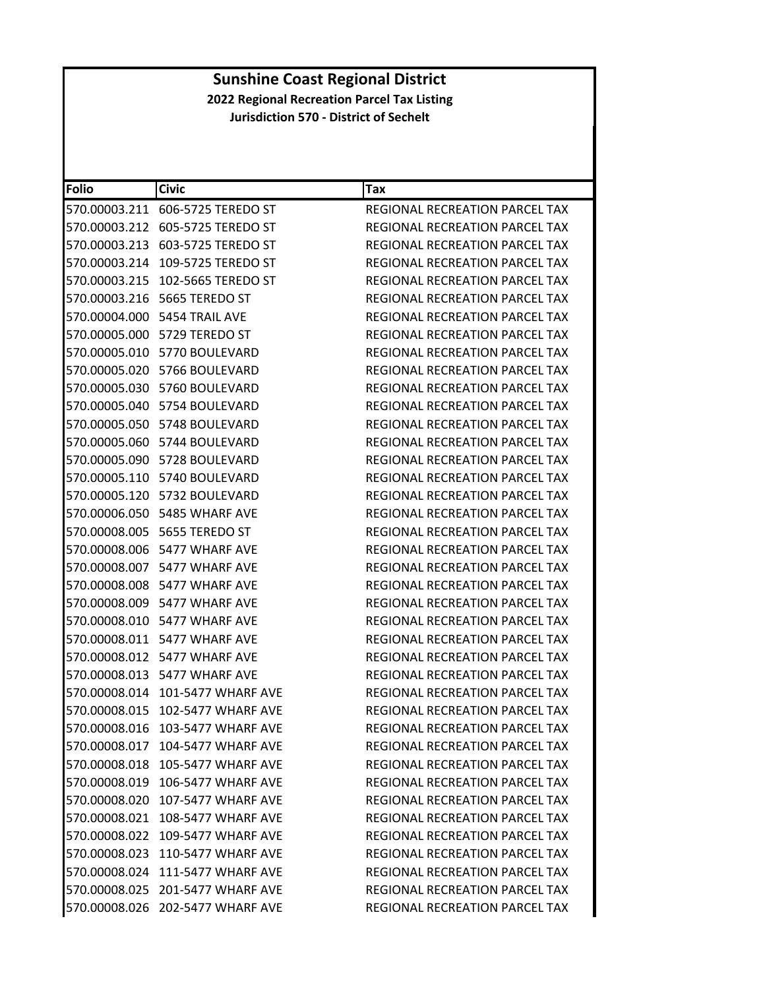| <b>Folio</b> | <b>Civic</b>                       | Tax                                   |
|--------------|------------------------------------|---------------------------------------|
|              | 570.00003.211 606-5725 TEREDO ST   | REGIONAL RECREATION PARCEL TAX        |
|              | 570.00003.212 605-5725 TEREDO ST   | REGIONAL RECREATION PARCEL TAX        |
|              | 570.00003.213 603-5725 TEREDO ST   | <b>REGIONAL RECREATION PARCEL TAX</b> |
|              | 570.00003.214 109-5725 TEREDO ST   | REGIONAL RECREATION PARCEL TAX        |
|              | 570.00003.215 102-5665 TEREDO ST   | REGIONAL RECREATION PARCEL TAX        |
|              | 570.00003.216 5665 TEREDO ST       | <b>REGIONAL RECREATION PARCEL TAX</b> |
|              | 570.00004.000 5454 TRAIL AVE       | REGIONAL RECREATION PARCEL TAX        |
|              | 570.00005.000 5729 TEREDO ST       | <b>REGIONAL RECREATION PARCEL TAX</b> |
|              | 570.00005.010 5770 BOULEVARD       | REGIONAL RECREATION PARCEL TAX        |
|              | 570.00005.020 5766 BOULEVARD       | REGIONAL RECREATION PARCEL TAX        |
|              | 570.00005.030 5760 BOULEVARD       | REGIONAL RECREATION PARCEL TAX        |
|              | 570.00005.040 5754 BOULEVARD       | REGIONAL RECREATION PARCEL TAX        |
|              | 570.00005.050 5748 BOULEVARD       | <b>REGIONAL RECREATION PARCEL TAX</b> |
|              | 570.00005.060 5744 BOULEVARD       | REGIONAL RECREATION PARCEL TAX        |
|              | 570.00005.090    5728    BOULEVARD | <b>REGIONAL RECREATION PARCEL TAX</b> |
|              | 570.00005.110 5740 BOULEVARD       | REGIONAL RECREATION PARCEL TAX        |
|              | 570.00005.120 5732 BOULEVARD       | REGIONAL RECREATION PARCEL TAX        |
|              | 570.00006.050 5485 WHARF AVE       | REGIONAL RECREATION PARCEL TAX        |
|              | 570.00008.005 5655 TEREDO ST       | REGIONAL RECREATION PARCEL TAX        |
|              | 570.00008.006 5477 WHARF AVE       | REGIONAL RECREATION PARCEL TAX        |
|              | 570.00008.007 5477 WHARF AVE       | REGIONAL RECREATION PARCEL TAX        |
|              | 570.00008.008 5477 WHARF AVE       | REGIONAL RECREATION PARCEL TAX        |
|              | 570.00008.009 5477 WHARF AVE       | REGIONAL RECREATION PARCEL TAX        |
|              | 570.00008.010 5477 WHARF AVE       | REGIONAL RECREATION PARCEL TAX        |
|              | 570.00008.011 5477 WHARF AVE       | REGIONAL RECREATION PARCEL TAX        |
|              | 570.00008.012 5477 WHARF AVE       | REGIONAL RECREATION PARCEL TAX        |
|              | 570.00008.013 5477 WHARF AVE       | REGIONAL RECREATION PARCEL TAX        |
|              | 570.00008.014 101-5477 WHARF AVE   | REGIONAL RECREATION PARCEL TAX        |
|              | 570.00008.015 102-5477 WHARF AVE   | REGIONAL RECREATION PARCEL TAX        |
|              | 570.00008.016 103-5477 WHARF AVE   | REGIONAL RECREATION PARCEL TAX        |
|              | 570.00008.017 104-5477 WHARF AVE   | <b>REGIONAL RECREATION PARCEL TAX</b> |
|              | 570.00008.018 105-5477 WHARF AVE   | <b>REGIONAL RECREATION PARCEL TAX</b> |
|              | 570.00008.019 106-5477 WHARF AVE   | REGIONAL RECREATION PARCEL TAX        |
|              | 570.00008.020 107-5477 WHARF AVE   | <b>REGIONAL RECREATION PARCEL TAX</b> |
|              | 570.00008.021 108-5477 WHARF AVE   | REGIONAL RECREATION PARCEL TAX        |
|              | 570.00008.022 109-5477 WHARF AVE   | REGIONAL RECREATION PARCEL TAX        |
|              | 570.00008.023 110-5477 WHARF AVE   | REGIONAL RECREATION PARCEL TAX        |
|              | 570.00008.024 111-5477 WHARF AVE   | REGIONAL RECREATION PARCEL TAX        |
|              | 570.00008.025 201-5477 WHARF AVE   | REGIONAL RECREATION PARCEL TAX        |
|              | 570.00008.026 202-5477 WHARF AVE   | REGIONAL RECREATION PARCEL TAX        |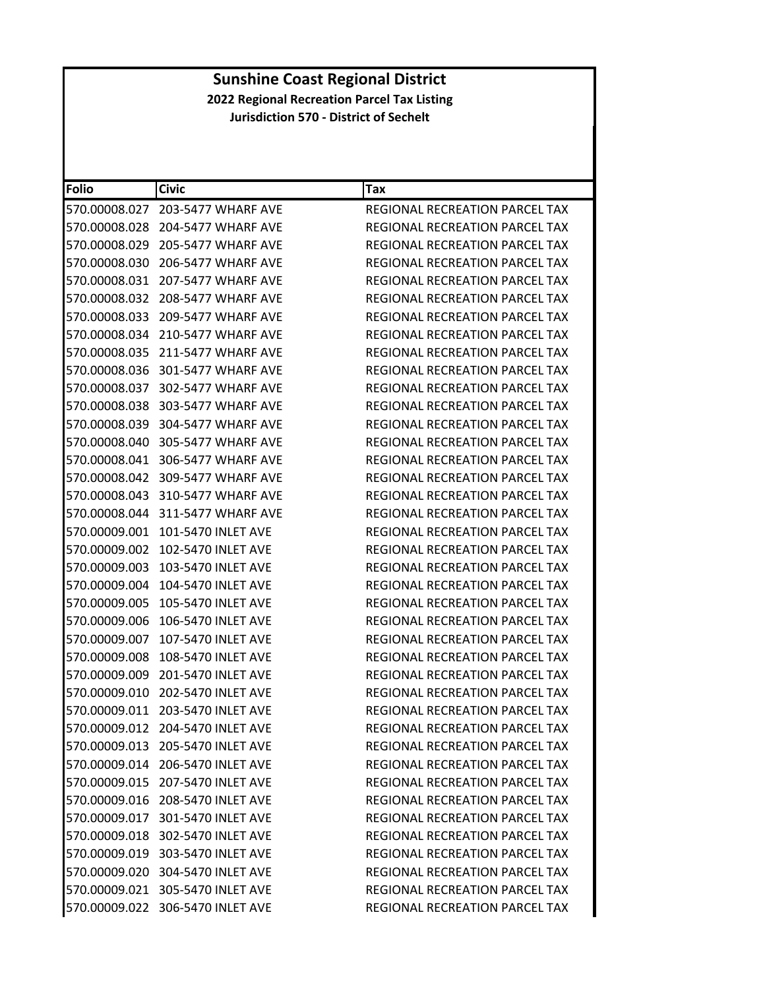| <b>Folio</b>  | <b>Civic</b>                     | Tax                                   |
|---------------|----------------------------------|---------------------------------------|
| 570.00008.027 | 203-5477 WHARF AVE               | REGIONAL RECREATION PARCEL TAX        |
| 570.00008.028 | 204-5477 WHARF AVE               | REGIONAL RECREATION PARCEL TAX        |
| 570.00008.029 | 205-5477 WHARF AVE               | REGIONAL RECREATION PARCEL TAX        |
| 570.00008.030 | 206-5477 WHARF AVE               | REGIONAL RECREATION PARCEL TAX        |
| 570.00008.031 | 207-5477 WHARF AVE               | REGIONAL RECREATION PARCEL TAX        |
| 570.00008.032 | 208-5477 WHARF AVE               | REGIONAL RECREATION PARCEL TAX        |
| 570.00008.033 | 209-5477 WHARF AVE               | REGIONAL RECREATION PARCEL TAX        |
| 570.00008.034 | 210-5477 WHARF AVE               | <b>REGIONAL RECREATION PARCEL TAX</b> |
| 570.00008.035 | 211-5477 WHARF AVE               | <b>REGIONAL RECREATION PARCEL TAX</b> |
| 570.00008.036 | 301-5477 WHARF AVE               | REGIONAL RECREATION PARCEL TAX        |
| 570.00008.037 | 302-5477 WHARF AVE               | REGIONAL RECREATION PARCEL TAX        |
| 570.00008.038 | 303-5477 WHARF AVE               | REGIONAL RECREATION PARCEL TAX        |
| 570.00008.039 | 304-5477 WHARF AVE               | <b>REGIONAL RECREATION PARCEL TAX</b> |
| 570.00008.040 | 305-5477 WHARF AVE               | REGIONAL RECREATION PARCEL TAX        |
| 570.00008.041 | 306-5477 WHARF AVE               | <b>REGIONAL RECREATION PARCEL TAX</b> |
| 570.00008.042 | 309-5477 WHARF AVE               | REGIONAL RECREATION PARCEL TAX        |
| 570.00008.043 | 310-5477 WHARF AVE               | <b>REGIONAL RECREATION PARCEL TAX</b> |
| 570.00008.044 | 311-5477 WHARF AVE               | <b>REGIONAL RECREATION PARCEL TAX</b> |
| 570.00009.001 | 101-5470 INLET AVE               | REGIONAL RECREATION PARCEL TAX        |
| 570.00009.002 | 102-5470 INLET AVE               | REGIONAL RECREATION PARCEL TAX        |
| 570.00009.003 | 103-5470 INLET AVE               | REGIONAL RECREATION PARCEL TAX        |
| 570.00009.004 | 104-5470 INLET AVE               | REGIONAL RECREATION PARCEL TAX        |
| 570.00009.005 | 105-5470 INLET AVE               | REGIONAL RECREATION PARCEL TAX        |
| 570.00009.006 | 106-5470 INLET AVE               | REGIONAL RECREATION PARCEL TAX        |
| 570.00009.007 | 107-5470 INLET AVE               | REGIONAL RECREATION PARCEL TAX        |
| 570.00009.008 | 108-5470 INLET AVE               | REGIONAL RECREATION PARCEL TAX        |
| 570.00009.009 | 201-5470 INLET AVE               | REGIONAL RECREATION PARCEL TAX        |
| 570.00009.010 | 202-5470 INLET AVE               | REGIONAL RECREATION PARCEL TAX        |
| 570.00009.011 | 203-5470 INLET AVE               | REGIONAL RECREATION PARCEL TAX        |
|               | 570.00009.012 204-5470 INLET AVE | REGIONAL RECREATION PARCEL TAX        |
|               | 570.00009.013 205-5470 INLET AVE | <b>REGIONAL RECREATION PARCEL TAX</b> |
|               | 570.00009.014 206-5470 INLET AVE | REGIONAL RECREATION PARCEL TAX        |
|               | 570.00009.015 207-5470 INLET AVE | REGIONAL RECREATION PARCEL TAX        |
|               | 570.00009.016 208-5470 INLET AVE | <b>REGIONAL RECREATION PARCEL TAX</b> |
|               | 570.00009.017 301-5470 INLET AVE | REGIONAL RECREATION PARCEL TAX        |
|               | 570.00009.018 302-5470 INLET AVE | REGIONAL RECREATION PARCEL TAX        |
|               | 570.00009.019 303-5470 INLET AVE | REGIONAL RECREATION PARCEL TAX        |
|               | 570.00009.020 304-5470 INLET AVE | <b>REGIONAL RECREATION PARCEL TAX</b> |
|               | 570.00009.021 305-5470 INLET AVE | <b>REGIONAL RECREATION PARCEL TAX</b> |
|               | 570.00009.022 306-5470 INLET AVE | REGIONAL RECREATION PARCEL TAX        |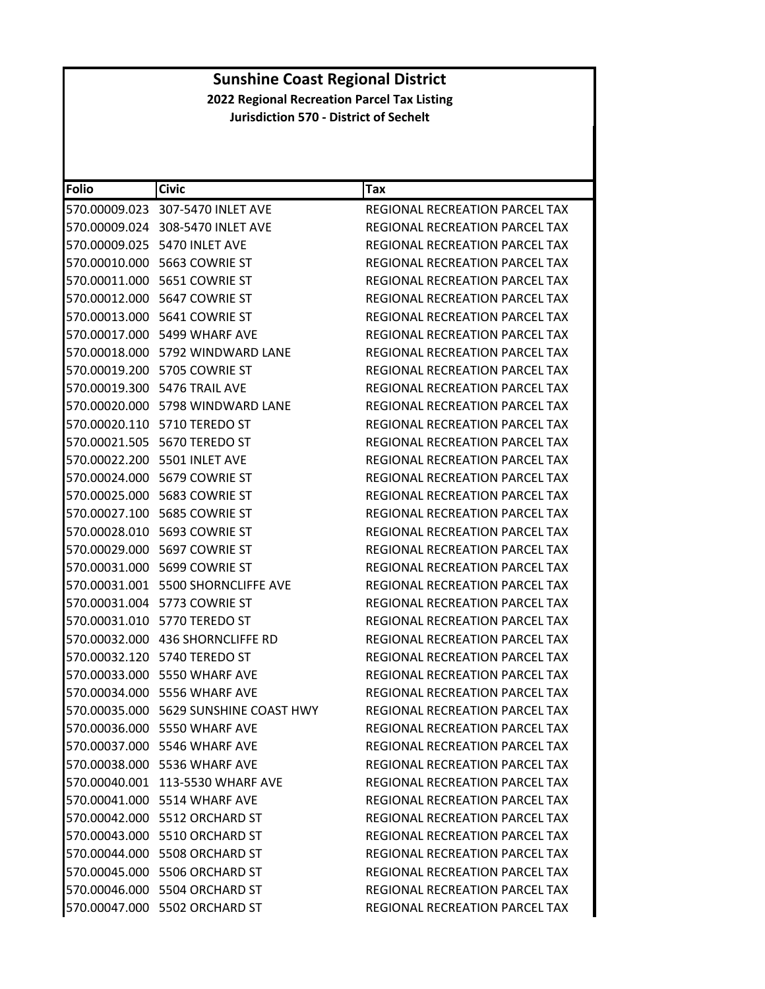| Folio | <b>Civic</b>                          | <b>Tax</b>                            |
|-------|---------------------------------------|---------------------------------------|
|       | 570.00009.023 307-5470 INLET AVE      | REGIONAL RECREATION PARCEL TAX        |
|       | 570.00009.024 308-5470 INLET AVE      | REGIONAL RECREATION PARCEL TAX        |
|       | 570.00009.025 5470 INLET AVE          | REGIONAL RECREATION PARCEL TAX        |
|       |                                       | <b>REGIONAL RECREATION PARCEL TAX</b> |
|       | 570.00011.000    5651    COWRIE ST    | REGIONAL RECREATION PARCEL TAX        |
|       | 570.00012.000 5647 COWRIE ST          | <b>REGIONAL RECREATION PARCEL TAX</b> |
|       | 570.00013.000    5641    COWRIE ST    | REGIONAL RECREATION PARCEL TAX        |
|       | 570.00017.000 5499 WHARF AVE          | <b>REGIONAL RECREATION PARCEL TAX</b> |
|       | 570.00018.000 5792 WINDWARD LANE      | <b>REGIONAL RECREATION PARCEL TAX</b> |
|       | 570.00019.200 5705 COWRIE ST          | REGIONAL RECREATION PARCEL TAX        |
|       | 570.00019.300 5476 TRAIL AVE          | REGIONAL RECREATION PARCEL TAX        |
|       | 570.00020.000 5798 WINDWARD LANE      | REGIONAL RECREATION PARCEL TAX        |
|       | 570.00020.110 5710 TEREDO ST          | REGIONAL RECREATION PARCEL TAX        |
|       | 570.00021.505 5670 TEREDO ST          | REGIONAL RECREATION PARCEL TAX        |
|       | 570.00022.200 5501 INLET AVE          | REGIONAL RECREATION PARCEL TAX        |
|       | 570.00024.000 5679 COWRIE ST          | REGIONAL RECREATION PARCEL TAX        |
|       | 570.00025.000    5683    COWRIE ST    | REGIONAL RECREATION PARCEL TAX        |
|       | 570.00027.100 5685 COWRIE ST          | REGIONAL RECREATION PARCEL TAX        |
|       | 570.00028.010    5693    COWRIE ST    | REGIONAL RECREATION PARCEL TAX        |
|       |                                       | REGIONAL RECREATION PARCEL TAX        |
|       |                                       | REGIONAL RECREATION PARCEL TAX        |
|       | 570.00031.001 5500 SHORNCLIFFE AVE    | REGIONAL RECREATION PARCEL TAX        |
|       | 570.00031.004    5773    COWRIE ST    | REGIONAL RECREATION PARCEL TAX        |
|       | 570.00031.010 5770 TEREDO ST          | REGIONAL RECREATION PARCEL TAX        |
|       | 570.00032.000 436 SHORNCLIFFE RD      | REGIONAL RECREATION PARCEL TAX        |
|       | 570.00032.120 5740 TEREDO ST          | REGIONAL RECREATION PARCEL TAX        |
|       | 570.00033.000 5550 WHARF AVE          | REGIONAL RECREATION PARCEL TAX        |
|       | 570.00034.000 5556 WHARF AVE          | REGIONAL RECREATION PARCEL TAX        |
|       | 570.00035.000 5629 SUNSHINE COAST HWY | <b>REGIONAL RECREATION PARCEL TAX</b> |
|       | 570.00036.000 5550 WHARF AVE          | REGIONAL RECREATION PARCEL TAX        |
|       | 570.00037.000 5546 WHARF AVE          | <b>REGIONAL RECREATION PARCEL TAX</b> |
|       | 570.00038.000 5536 WHARF AVE          | REGIONAL RECREATION PARCEL TAX        |
|       | 570.00040.001 113-5530 WHARF AVE      | REGIONAL RECREATION PARCEL TAX        |
|       | 570.00041.000 5514 WHARF AVE          | REGIONAL RECREATION PARCEL TAX        |
|       | 570.00042.000 5512 ORCHARD ST         | REGIONAL RECREATION PARCEL TAX        |
|       | 570.00043.000 5510 ORCHARD ST         | REGIONAL RECREATION PARCEL TAX        |
|       | 570.00044.000 5508 ORCHARD ST         | REGIONAL RECREATION PARCEL TAX        |
|       | 570.00045.000 5506 ORCHARD ST         | REGIONAL RECREATION PARCEL TAX        |
|       | 570.00046.000 5504 ORCHARD ST         | REGIONAL RECREATION PARCEL TAX        |
|       | 570.00047.000 5502 ORCHARD ST         | REGIONAL RECREATION PARCEL TAX        |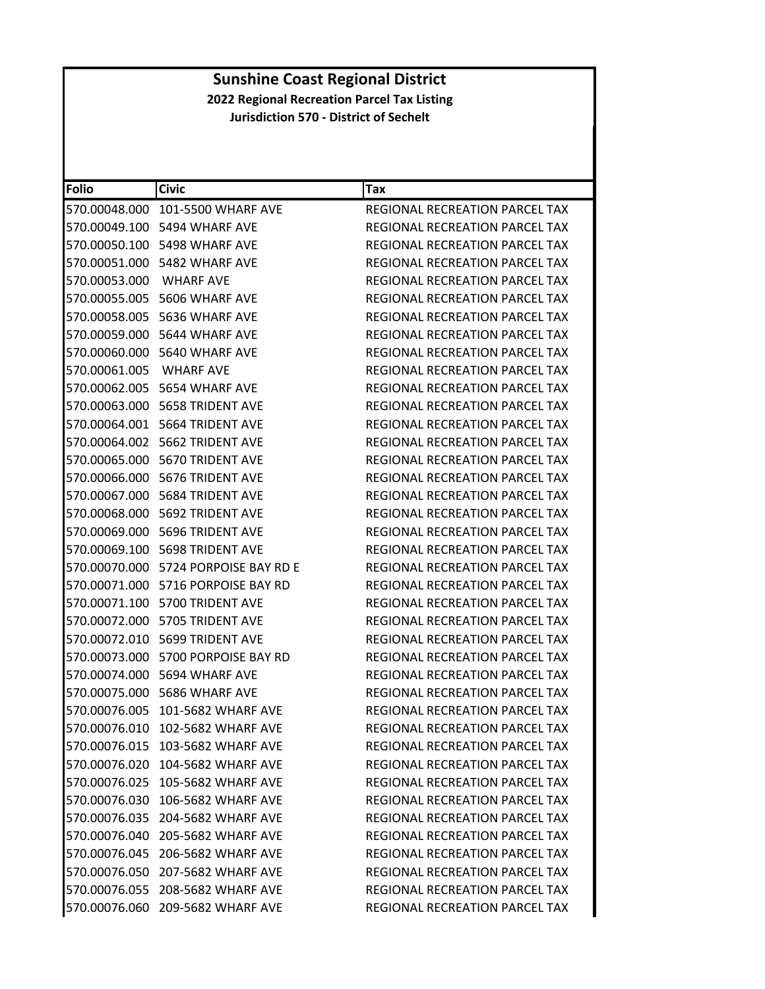| <b>Folio</b>            | <b>Civic</b>                            | Tax                                   |
|-------------------------|-----------------------------------------|---------------------------------------|
|                         | 570.00048.000 101-5500 WHARF AVE        | REGIONAL RECREATION PARCEL TAX        |
|                         | 570.00049.100 5494 WHARF AVE            | REGIONAL RECREATION PARCEL TAX        |
|                         | 570.00050.100 5498 WHARF AVE            | REGIONAL RECREATION PARCEL TAX        |
|                         | 570.00051.000 5482 WHARF AVE            | <b>REGIONAL RECREATION PARCEL TAX</b> |
| 570.00053.000 WHARF AVE |                                         | REGIONAL RECREATION PARCEL TAX        |
|                         | 570.00055.005 5606 WHARF AVE            | REGIONAL RECREATION PARCEL TAX        |
|                         | 570.00058.005 5636 WHARF AVE            | <b>REGIONAL RECREATION PARCEL TAX</b> |
|                         | 570.00059.000 5644 WHARF AVE            | REGIONAL RECREATION PARCEL TAX        |
|                         | 570.00060.000 5640 WHARF AVE            | REGIONAL RECREATION PARCEL TAX        |
| 570.00061.005 WHARF AVE |                                         | REGIONAL RECREATION PARCEL TAX        |
|                         | 570.00062.005    5654 WHARF AVE         | REGIONAL RECREATION PARCEL TAX        |
|                         | 570.00063.000    5658 TRIDENT AVE       | REGIONAL RECREATION PARCEL TAX        |
|                         | 570.00064.001 5664 TRIDENT AVE          | <b>REGIONAL RECREATION PARCEL TAX</b> |
|                         | 570.00064.002 5662 TRIDENT AVE          | REGIONAL RECREATION PARCEL TAX        |
|                         | 570.00065.000 5670 TRIDENT AVE          | REGIONAL RECREATION PARCEL TAX        |
|                         | 570.00066.000    5676 TRIDENT AVE       | REGIONAL RECREATION PARCEL TAX        |
|                         | 570.00067.000    5684 TRIDENT AVE       | REGIONAL RECREATION PARCEL TAX        |
|                         | 570.00068.000 5692 TRIDENT AVE          | REGIONAL RECREATION PARCEL TAX        |
|                         | 570.00069.000    5696 TRIDENT AVE       | REGIONAL RECREATION PARCEL TAX        |
|                         | 570.00069.100 5698 TRIDENT AVE          | REGIONAL RECREATION PARCEL TAX        |
|                         | 570.00070.000    5724 PORPOISE BAY RD E | REGIONAL RECREATION PARCEL TAX        |
|                         | 570.00071.000 5716 PORPOISE BAY RD      | REGIONAL RECREATION PARCEL TAX        |
|                         | 570.00071.100 5700 TRIDENT AVE          | REGIONAL RECREATION PARCEL TAX        |
|                         | 570.00072.000 5705 TRIDENT AVE          | REGIONAL RECREATION PARCEL TAX        |
|                         | 570.00072.010    5699 TRIDENT AVE       | REGIONAL RECREATION PARCEL TAX        |
|                         | 570.00073.000 5700 PORPOISE BAY RD      | <b>REGIONAL RECREATION PARCEL TAX</b> |
|                         | 570.00074.000 5694 WHARF AVE            | REGIONAL RECREATION PARCEL TAX        |
|                         | 570.00075.000 5686 WHARF AVE            | <b>REGIONAL RECREATION PARCEL TAX</b> |
|                         | 570.00076.005 101-5682 WHARF AVE        | REGIONAL RECREATION PARCEL TAX        |
|                         | 570.00076.010 102-5682 WHARF AVE        | REGIONAL RECREATION PARCEL TAX        |
|                         | 570.00076.015 103-5682 WHARF AVE        | REGIONAL RECREATION PARCEL TAX        |
|                         | 570.00076.020 104-5682 WHARF AVE        | REGIONAL RECREATION PARCEL TAX        |
|                         | 570.00076.025 105-5682 WHARF AVE        | REGIONAL RECREATION PARCEL TAX        |
|                         | 570.00076.030 106-5682 WHARF AVE        | <b>REGIONAL RECREATION PARCEL TAX</b> |
|                         | 570.00076.035 204-5682 WHARF AVE        | REGIONAL RECREATION PARCEL TAX        |
|                         | 570.00076.040 205-5682 WHARF AVE        | REGIONAL RECREATION PARCEL TAX        |
|                         | 570.00076.045 206-5682 WHARF AVE        | REGIONAL RECREATION PARCEL TAX        |
|                         | 570.00076.050 207-5682 WHARF AVE        | REGIONAL RECREATION PARCEL TAX        |
|                         | 570.00076.055 208-5682 WHARF AVE        | REGIONAL RECREATION PARCEL TAX        |
|                         | 570.00076.060 209-5682 WHARF AVE        | REGIONAL RECREATION PARCEL TAX        |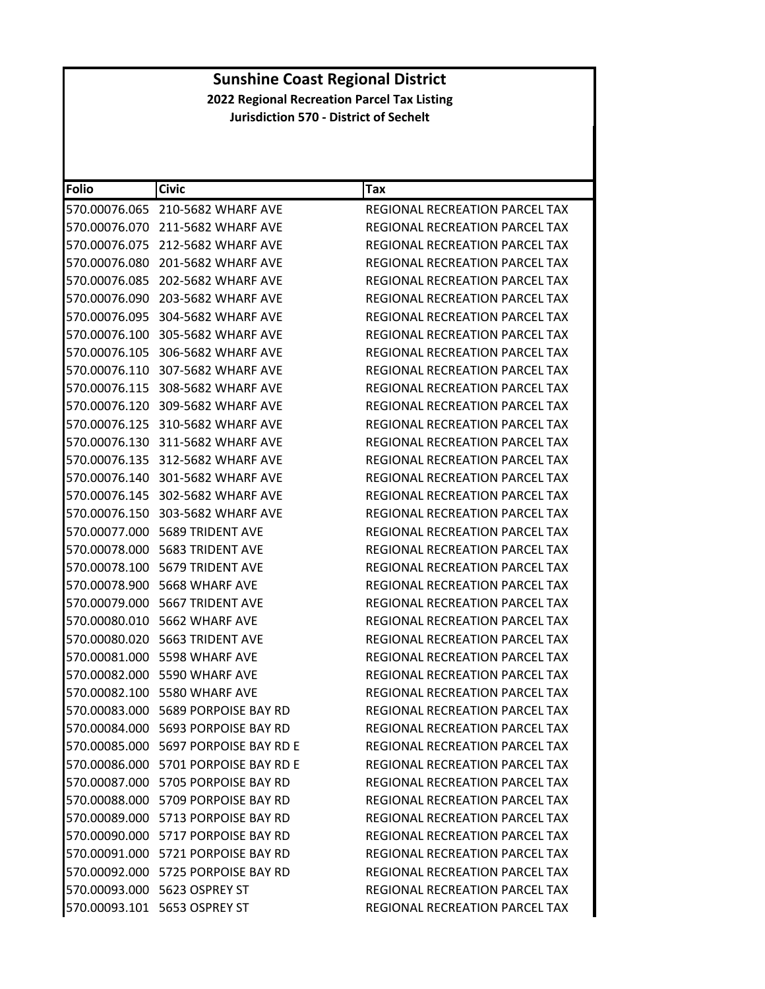| Folio         | <b>Civic</b>                         | Tax                                   |
|---------------|--------------------------------------|---------------------------------------|
|               | 570.00076.065 210-5682 WHARF AVE     | REGIONAL RECREATION PARCEL TAX        |
| 570.00076.070 | 211-5682 WHARF AVE                   | REGIONAL RECREATION PARCEL TAX        |
| 570.00076.075 | 212-5682 WHARF AVE                   | REGIONAL RECREATION PARCEL TAX        |
| 570.00076.080 | 201-5682 WHARF AVE                   | REGIONAL RECREATION PARCEL TAX        |
|               | 570.00076.085 202-5682 WHARF AVE     | REGIONAL RECREATION PARCEL TAX        |
| 570.00076.090 | 203-5682 WHARF AVE                   | REGIONAL RECREATION PARCEL TAX        |
| 570.00076.095 | 304-5682 WHARF AVE                   | REGIONAL RECREATION PARCEL TAX        |
| 570.00076.100 | 305-5682 WHARF AVE                   | REGIONAL RECREATION PARCEL TAX        |
| 570.00076.105 | 306-5682 WHARF AVE                   | REGIONAL RECREATION PARCEL TAX        |
|               | 570.00076.110 307-5682 WHARF AVE     | REGIONAL RECREATION PARCEL TAX        |
|               | 570.00076.115 308-5682 WHARF AVE     | REGIONAL RECREATION PARCEL TAX        |
|               | 570.00076.120 309-5682 WHARF AVE     | REGIONAL RECREATION PARCEL TAX        |
| 570.00076.125 | 310-5682 WHARF AVE                   | REGIONAL RECREATION PARCEL TAX        |
|               | 570.00076.130 311-5682 WHARF AVE     | REGIONAL RECREATION PARCEL TAX        |
|               | 570.00076.135 312-5682 WHARF AVE     | REGIONAL RECREATION PARCEL TAX        |
|               | 570.00076.140 301-5682 WHARF AVE     | REGIONAL RECREATION PARCEL TAX        |
|               | 570.00076.145 302-5682 WHARF AVE     | REGIONAL RECREATION PARCEL TAX        |
| 570.00076.150 | 303-5682 WHARF AVE                   | REGIONAL RECREATION PARCEL TAX        |
|               | 570.00077.000    5689 TRIDENT AVE    | REGIONAL RECREATION PARCEL TAX        |
|               | 570.00078.000    5683 TRIDENT AVE    | REGIONAL RECREATION PARCEL TAX        |
|               | 570.00078.100    5679 TRIDENT AVE    | REGIONAL RECREATION PARCEL TAX        |
|               | 570.00078.900 5668 WHARF AVE         | REGIONAL RECREATION PARCEL TAX        |
|               | 570.00079.000    5667 TRIDENT AVE    | REGIONAL RECREATION PARCEL TAX        |
| 570.00080.010 | 5662 WHARF AVE                       | REGIONAL RECREATION PARCEL TAX        |
|               | 570.00080.020 5663 TRIDENT AVE       | REGIONAL RECREATION PARCEL TAX        |
|               | 570.00081.000 5598 WHARF AVE         | REGIONAL RECREATION PARCEL TAX        |
|               | 570.00082.000 5590 WHARF AVE         | REGIONAL RECREATION PARCEL TAX        |
|               | 570.00082.100 5580 WHARF AVE         | REGIONAL RECREATION PARCEL TAX        |
|               | 570.00083.000 5689 PORPOISE BAY RD   | REGIONAL RECREATION PARCEL TAX        |
|               | 570.00084.000 5693 PORPOISE BAY RD   | REGIONAL RECREATION PARCEL TAX        |
|               | 570.00085.000 5697 PORPOISE BAY RD E | REGIONAL RECREATION PARCEL TAX        |
|               | 570.00086.000 5701 PORPOISE BAY RD E | REGIONAL RECREATION PARCEL TAX        |
|               | 570.00087.000 5705 PORPOISE BAY RD   | REGIONAL RECREATION PARCEL TAX        |
|               | 570.00088.000 5709 PORPOISE BAY RD   | REGIONAL RECREATION PARCEL TAX        |
|               | 570.00089.000 5713 PORPOISE BAY RD   | REGIONAL RECREATION PARCEL TAX        |
|               | 570.00090.000 5717 PORPOISE BAY RD   | REGIONAL RECREATION PARCEL TAX        |
|               | 570.00091.000 5721 PORPOISE BAY RD   | REGIONAL RECREATION PARCEL TAX        |
|               | 570.00092.000 5725 PORPOISE BAY RD   | <b>REGIONAL RECREATION PARCEL TAX</b> |
|               | 570.00093.000 5623 OSPREY ST         | <b>REGIONAL RECREATION PARCEL TAX</b> |
|               | 570.00093.101 5653 OSPREY ST         | REGIONAL RECREATION PARCEL TAX        |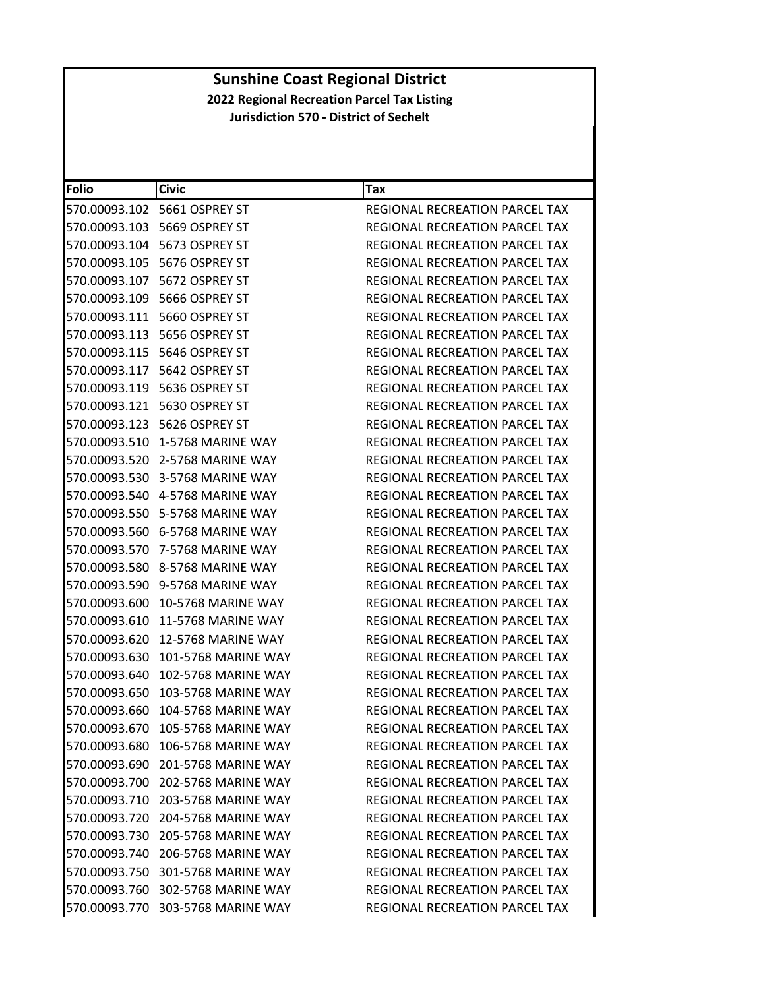| <b>Folio</b>  | <b>Civic</b>                       | <b>Tax</b>                            |
|---------------|------------------------------------|---------------------------------------|
|               |                                    | REGIONAL RECREATION PARCEL TAX        |
|               | 570.00093.103 5669 OSPREY ST       | REGIONAL RECREATION PARCEL TAX        |
|               | 570.00093.104 5673 OSPREY ST       | REGIONAL RECREATION PARCEL TAX        |
|               | 570.00093.105 5676 OSPREY ST       | REGIONAL RECREATION PARCEL TAX        |
|               | 570.00093.107 5672 OSPREY ST       | REGIONAL RECREATION PARCEL TAX        |
|               | 570.00093.109 5666 OSPREY ST       | REGIONAL RECREATION PARCEL TAX        |
|               | 570.00093.111 5660 OSPREY ST       | REGIONAL RECREATION PARCEL TAX        |
|               |                                    | REGIONAL RECREATION PARCEL TAX        |
|               |                                    | <b>REGIONAL RECREATION PARCEL TAX</b> |
|               |                                    | REGIONAL RECREATION PARCEL TAX        |
|               | 570.00093.119 5636 OSPREY ST       | REGIONAL RECREATION PARCEL TAX        |
|               | 570.00093.121 5630 OSPREY ST       | REGIONAL RECREATION PARCEL TAX        |
|               |                                    | REGIONAL RECREATION PARCEL TAX        |
| 570.00093.510 | 1-5768 MARINE WAY                  | <b>REGIONAL RECREATION PARCEL TAX</b> |
| 570.00093.520 | 2-5768 MARINE WAY                  | REGIONAL RECREATION PARCEL TAX        |
|               | 570.00093.530 3-5768 MARINE WAY    | REGIONAL RECREATION PARCEL TAX        |
|               | 570.00093.540  4-5768 MARINE WAY   | REGIONAL RECREATION PARCEL TAX        |
|               | 570.00093.550 5-5768 MARINE WAY    | REGIONAL RECREATION PARCEL TAX        |
|               | 570.00093.560    6-5768 MARINE WAY | REGIONAL RECREATION PARCEL TAX        |
| 570.00093.570 | 7-5768 MARINE WAY                  | REGIONAL RECREATION PARCEL TAX        |
|               | 570.00093.580 8-5768 MARINE WAY    | REGIONAL RECREATION PARCEL TAX        |
|               | 570.00093.590 9-5768 MARINE WAY    | REGIONAL RECREATION PARCEL TAX        |
|               | 570.00093.600 10-5768 MARINE WAY   | REGIONAL RECREATION PARCEL TAX        |
| 570.00093.610 | 11-5768 MARINE WAY                 | REGIONAL RECREATION PARCEL TAX        |
| 570.00093.620 | 12-5768 MARINE WAY                 | REGIONAL RECREATION PARCEL TAX        |
| 570.00093.630 | 101-5768 MARINE WAY                | <b>REGIONAL RECREATION PARCEL TAX</b> |
| 570.00093.640 | 102-5768 MARINE WAY                | <b>REGIONAL RECREATION PARCEL TAX</b> |
| 570.00093.650 | 103-5768 MARINE WAY                | REGIONAL RECREATION PARCEL TAX        |
| 570.00093.660 | 104-5768 MARINE WAY                | REGIONAL RECREATION PARCEL TAX        |
|               | 570.00093.670 105-5768 MARINE WAY  | REGIONAL RECREATION PARCEL TAX        |
|               | 570.00093.680 106-5768 MARINE WAY  | REGIONAL RECREATION PARCEL TAX        |
|               | 570.00093.690 201-5768 MARINE WAY  | REGIONAL RECREATION PARCEL TAX        |
|               | 570.00093.700 202-5768 MARINE WAY  | REGIONAL RECREATION PARCEL TAX        |
|               | 570.00093.710 203-5768 MARINE WAY  | REGIONAL RECREATION PARCEL TAX        |
|               | 570.00093.720 204-5768 MARINE WAY  | REGIONAL RECREATION PARCEL TAX        |
|               | 570.00093.730 205-5768 MARINE WAY  | <b>REGIONAL RECREATION PARCEL TAX</b> |
|               | 570.00093.740 206-5768 MARINE WAY  | REGIONAL RECREATION PARCEL TAX        |
|               | 570.00093.750 301-5768 MARINE WAY  | <b>REGIONAL RECREATION PARCEL TAX</b> |
|               | 570.00093.760 302-5768 MARINE WAY  | REGIONAL RECREATION PARCEL TAX        |
|               | 570.00093.770 303-5768 MARINE WAY  | REGIONAL RECREATION PARCEL TAX        |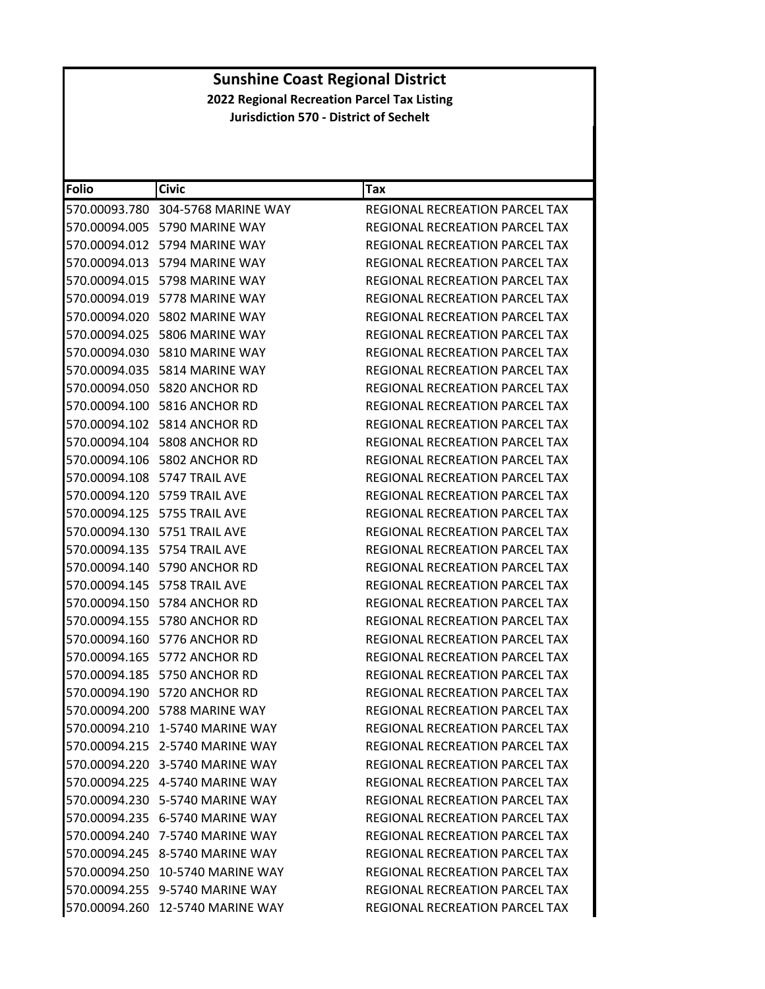| <b>Folio</b> | <b>Civic</b>                      | Tax                                   |
|--------------|-----------------------------------|---------------------------------------|
|              | 570.00093.780 304-5768 MARINE WAY | REGIONAL RECREATION PARCEL TAX        |
|              | 570.00094.005 5790 MARINE WAY     | REGIONAL RECREATION PARCEL TAX        |
|              | 570.00094.012 5794 MARINE WAY     | REGIONAL RECREATION PARCEL TAX        |
|              | 570.00094.013 5794 MARINE WAY     | REGIONAL RECREATION PARCEL TAX        |
|              | 570.00094.015 5798 MARINE WAY     | REGIONAL RECREATION PARCEL TAX        |
|              | 570.00094.019    5778 MARINE WAY  | REGIONAL RECREATION PARCEL TAX        |
|              | 570.00094.020 5802 MARINE WAY     | REGIONAL RECREATION PARCEL TAX        |
|              | 570.00094.025 5806 MARINE WAY     | REGIONAL RECREATION PARCEL TAX        |
|              | 570.00094.030 5810 MARINE WAY     | REGIONAL RECREATION PARCEL TAX        |
|              | 570.00094.035    5814 MARINE WAY  | REGIONAL RECREATION PARCEL TAX        |
|              | 570.00094.050 5820 ANCHOR RD      | REGIONAL RECREATION PARCEL TAX        |
|              | 570.00094.100 5816 ANCHOR RD      | REGIONAL RECREATION PARCEL TAX        |
|              | 570.00094.102 5814 ANCHOR RD      | <b>REGIONAL RECREATION PARCEL TAX</b> |
|              | 570.00094.104 5808 ANCHOR RD      | REGIONAL RECREATION PARCEL TAX        |
|              | 570.00094.106 5802 ANCHOR RD      | REGIONAL RECREATION PARCEL TAX        |
|              | 570.00094.108 5747 TRAIL AVE      | REGIONAL RECREATION PARCEL TAX        |
|              | 570.00094.120 5759 TRAIL AVE      | REGIONAL RECREATION PARCEL TAX        |
|              | 570.00094.125    5755 TRAIL AVE   | REGIONAL RECREATION PARCEL TAX        |
|              | 570.00094.130    5751 TRAIL AVE   | REGIONAL RECREATION PARCEL TAX        |
|              | 570.00094.135 5754 TRAIL AVE      | REGIONAL RECREATION PARCEL TAX        |
|              | 570.00094.140 5790 ANCHOR RD      | REGIONAL RECREATION PARCEL TAX        |
|              | 570.00094.145    5758 TRAIL AVE   | REGIONAL RECREATION PARCEL TAX        |
|              | 570.00094.150 5784 ANCHOR RD      | REGIONAL RECREATION PARCEL TAX        |
|              | 570.00094.155 5780 ANCHOR RD      | REGIONAL RECREATION PARCEL TAX        |
|              | 570.00094.160 5776 ANCHOR RD      | REGIONAL RECREATION PARCEL TAX        |
|              | 570.00094.165 5772 ANCHOR RD      | REGIONAL RECREATION PARCEL TAX        |
|              | 570.00094.185 5750 ANCHOR RD      | <b>REGIONAL RECREATION PARCEL TAX</b> |
|              | 570.00094.190 5720 ANCHOR RD      | REGIONAL RECREATION PARCEL TAX        |
|              | 570.00094.200 5788 MARINE WAY     | REGIONAL RECREATION PARCEL TAX        |
|              | 570.00094.210 1-5740 MARINE WAY   | REGIONAL RECREATION PARCEL TAX        |
|              | 570.00094.215 2-5740 MARINE WAY   | REGIONAL RECREATION PARCEL TAX        |
|              | 570.00094.220 3-5740 MARINE WAY   | REGIONAL RECREATION PARCEL TAX        |
|              | 570.00094.225 4-5740 MARINE WAY   | <b>REGIONAL RECREATION PARCEL TAX</b> |
|              | 570.00094.230 5-5740 MARINE WAY   | REGIONAL RECREATION PARCEL TAX        |
|              | 570.00094.235 6-5740 MARINE WAY   | REGIONAL RECREATION PARCEL TAX        |
|              | 570.00094.240 7-5740 MARINE WAY   | REGIONAL RECREATION PARCEL TAX        |
|              | 570.00094.245 8-5740 MARINE WAY   | REGIONAL RECREATION PARCEL TAX        |
|              | 570.00094.250 10-5740 MARINE WAY  | REGIONAL RECREATION PARCEL TAX        |
|              | 570.00094.255 9-5740 MARINE WAY   | <b>REGIONAL RECREATION PARCEL TAX</b> |
|              | 570.00094.260 12-5740 MARINE WAY  | REGIONAL RECREATION PARCEL TAX        |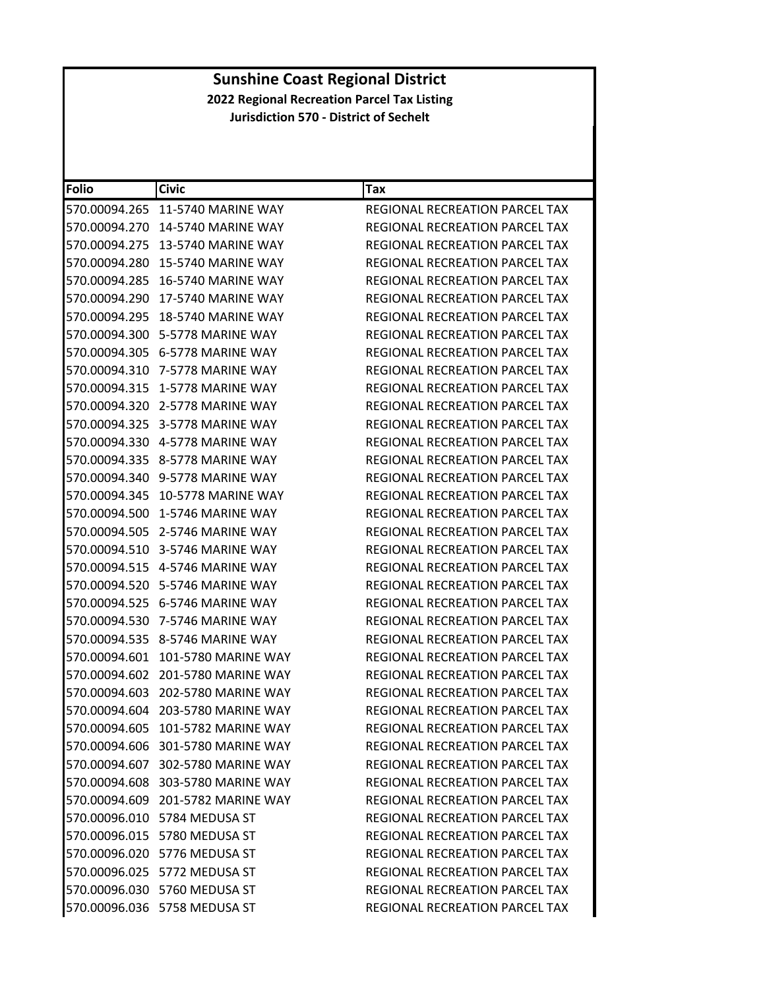| <b>Folio</b>  | <b>Civic</b>                      | Tax                                   |
|---------------|-----------------------------------|---------------------------------------|
| 570.00094.265 | <b>11-5740 MARINE WAY</b>         | REGIONAL RECREATION PARCEL TAX        |
| 570.00094.270 | 14-5740 MARINE WAY                | REGIONAL RECREATION PARCEL TAX        |
| 570.00094.275 | <b>13-5740 MARINE WAY</b>         | REGIONAL RECREATION PARCEL TAX        |
| 570.00094.280 | <b>15-5740 MARINE WAY</b>         | REGIONAL RECREATION PARCEL TAX        |
| 570.00094.285 | 16-5740 MARINE WAY                | REGIONAL RECREATION PARCEL TAX        |
| 570.00094.290 | <b>17-5740 MARINE WAY</b>         | REGIONAL RECREATION PARCEL TAX        |
| 570.00094.295 | 18-5740 MARINE WAY                | <b>REGIONAL RECREATION PARCEL TAX</b> |
| 570.00094.300 | 5-5778 MARINE WAY                 | REGIONAL RECREATION PARCEL TAX        |
| 570.00094.305 | 6-5778 MARINE WAY                 | REGIONAL RECREATION PARCEL TAX        |
| 570.00094.310 | 7-5778 MARINE WAY                 | REGIONAL RECREATION PARCEL TAX        |
| 570.00094.315 | 1-5778 MARINE WAY                 | REGIONAL RECREATION PARCEL TAX        |
| 570.00094.320 | 2-5778 MARINE WAY                 | REGIONAL RECREATION PARCEL TAX        |
| 570.00094.325 | 3-5778 MARINE WAY                 | <b>REGIONAL RECREATION PARCEL TAX</b> |
| 570.00094.330 | 4-5778 MARINE WAY                 | REGIONAL RECREATION PARCEL TAX        |
|               | 570.00094.335 8-5778 MARINE WAY   | REGIONAL RECREATION PARCEL TAX        |
| 570.00094.340 | 9-5778 MARINE WAY                 | REGIONAL RECREATION PARCEL TAX        |
| 570.00094.345 | 10-5778 MARINE WAY                | REGIONAL RECREATION PARCEL TAX        |
| 570.00094.500 | 1-5746 MARINE WAY                 | <b>REGIONAL RECREATION PARCEL TAX</b> |
| 570.00094.505 | 2-5746 MARINE WAY                 | <b>REGIONAL RECREATION PARCEL TAX</b> |
| 570.00094.510 | 3-5746 MARINE WAY                 | REGIONAL RECREATION PARCEL TAX        |
| 570.00094.515 | 4-5746 MARINE WAY                 | REGIONAL RECREATION PARCEL TAX        |
| 570.00094.520 | 5-5746 MARINE WAY                 | REGIONAL RECREATION PARCEL TAX        |
| 570.00094.525 | 6-5746 MARINE WAY                 | REGIONAL RECREATION PARCEL TAX        |
| 570.00094.530 | 7-5746 MARINE WAY                 | REGIONAL RECREATION PARCEL TAX        |
|               | 570.00094.535 8-5746 MARINE WAY   | REGIONAL RECREATION PARCEL TAX        |
| 570.00094.601 | 101-5780 MARINE WAY               | REGIONAL RECREATION PARCEL TAX        |
| 570.00094.602 | 201-5780 MARINE WAY               | REGIONAL RECREATION PARCEL TAX        |
| 570.00094.603 | 202-5780 MARINE WAY               | REGIONAL RECREATION PARCEL TAX        |
| 570.00094.604 | 203-5780 MARINE WAY               | REGIONAL RECREATION PARCEL TAX        |
|               | 570.00094.605 101-5782 MARINE WAY | REGIONAL RECREATION PARCEL TAX        |
|               | 570.00094.606 301-5780 MARINE WAY | REGIONAL RECREATION PARCEL TAX        |
|               | 570.00094.607 302-5780 MARINE WAY | REGIONAL RECREATION PARCEL TAX        |
|               | 570.00094.608 303-5780 MARINE WAY | REGIONAL RECREATION PARCEL TAX        |
|               | 570.00094.609 201-5782 MARINE WAY | REGIONAL RECREATION PARCEL TAX        |
|               | 570.00096.010 5784 MEDUSA ST      | REGIONAL RECREATION PARCEL TAX        |
|               | 570.00096.015 5780 MEDUSA ST      | REGIONAL RECREATION PARCEL TAX        |
|               | 570.00096.020 5776 MEDUSA ST      | REGIONAL RECREATION PARCEL TAX        |
|               | 570.00096.025 5772 MEDUSA ST      | REGIONAL RECREATION PARCEL TAX        |
|               | 570.00096.030 5760 MEDUSA ST      | <b>REGIONAL RECREATION PARCEL TAX</b> |
|               | 570.00096.036 5758 MEDUSA ST      | REGIONAL RECREATION PARCEL TAX        |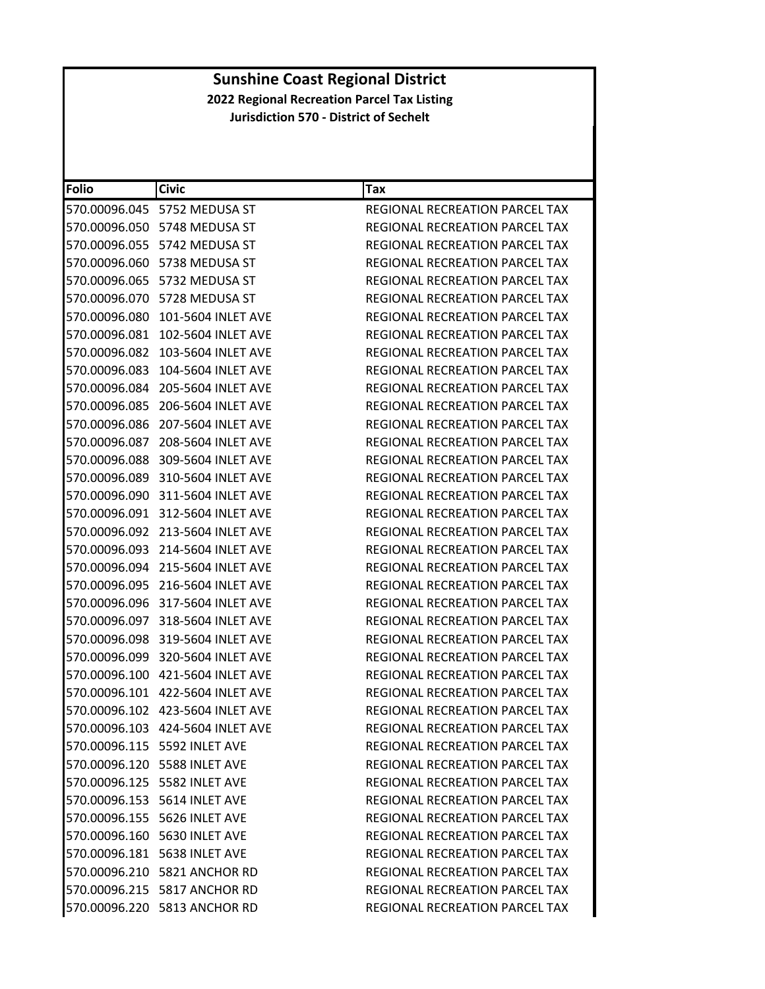| <b>Folio</b>  | <b>Civic</b>                       | Tax                                   |
|---------------|------------------------------------|---------------------------------------|
|               | 570.00096.045 5752 MEDUSA ST       | REGIONAL RECREATION PARCEL TAX        |
|               | 570.00096.050 5748 MEDUSA ST       | REGIONAL RECREATION PARCEL TAX        |
|               | 570.00096.055    5742 MEDUSA ST    | <b>REGIONAL RECREATION PARCEL TAX</b> |
|               | 570.00096.060 5738 MEDUSA ST       | REGIONAL RECREATION PARCEL TAX        |
|               | 570.00096.065 5732 MEDUSA ST       | REGIONAL RECREATION PARCEL TAX        |
|               | 570.00096.070 5728 MEDUSA ST       | REGIONAL RECREATION PARCEL TAX        |
|               | 570.00096.080 101-5604 INLET AVE   | REGIONAL RECREATION PARCEL TAX        |
| 570.00096.081 | 102-5604 INLET AVE                 | REGIONAL RECREATION PARCEL TAX        |
| 570.00096.082 | 103-5604 INLET AVE                 | <b>REGIONAL RECREATION PARCEL TAX</b> |
|               | 570.00096.083 104-5604 INLET AVE   | REGIONAL RECREATION PARCEL TAX        |
| 570.00096.084 | 205-5604 INLET AVE                 | REGIONAL RECREATION PARCEL TAX        |
| 570.00096.085 | 206-5604 INLET AVE                 | REGIONAL RECREATION PARCEL TAX        |
| 570.00096.086 | 207-5604 INLET AVE                 | REGIONAL RECREATION PARCEL TAX        |
| 570.00096.087 | 208-5604 INLET AVE                 | REGIONAL RECREATION PARCEL TAX        |
|               | 570.00096.088 309-5604 INLET AVE   | REGIONAL RECREATION PARCEL TAX        |
|               | 570.00096.089 310-5604 INLET AVE   | REGIONAL RECREATION PARCEL TAX        |
|               | 570.00096.090 311-5604 INLET AVE   | REGIONAL RECREATION PARCEL TAX        |
|               | 570.00096.091 312-5604 INLET AVE   | REGIONAL RECREATION PARCEL TAX        |
| 570.00096.092 | 213-5604 INLET AVE                 | REGIONAL RECREATION PARCEL TAX        |
|               | 570.00096.093 214-5604 INLET AVE   | REGIONAL RECREATION PARCEL TAX        |
|               | 570.00096.094 215-5604 INLET AVE   | REGIONAL RECREATION PARCEL TAX        |
|               | 570.00096.095 216-5604 INLET AVE   | REGIONAL RECREATION PARCEL TAX        |
|               | 570.00096.096 317-5604 INLET AVE   | REGIONAL RECREATION PARCEL TAX        |
| 570.00096.097 | 318-5604 INLET AVE                 | REGIONAL RECREATION PARCEL TAX        |
|               | 570.00096.098 319-5604 INLET AVE   | REGIONAL RECREATION PARCEL TAX        |
|               | 570.00096.099 320-5604 INLET AVE   | REGIONAL RECREATION PARCEL TAX        |
|               | 570.00096.100 421-5604 INLET AVE   | REGIONAL RECREATION PARCEL TAX        |
|               | 570.00096.101 422-5604 INLET AVE   | REGIONAL RECREATION PARCEL TAX        |
|               | 570.00096.102 423-5604 INLET AVE   | REGIONAL RECREATION PARCEL TAX        |
|               | 570.00096.103 424-5604 INLET AVE   | REGIONAL RECREATION PARCEL TAX        |
|               | 570.00096.115    5592    INLET AVE | REGIONAL RECREATION PARCEL TAX        |
|               | 570.00096.120 5588 INLET AVE       | REGIONAL RECREATION PARCEL TAX        |
|               | 570.00096.125 5582 INLET AVE       | REGIONAL RECREATION PARCEL TAX        |
|               |                                    | <b>REGIONAL RECREATION PARCEL TAX</b> |
|               | 570.00096.155    5626 INLET AVE    | REGIONAL RECREATION PARCEL TAX        |
|               | 570.00096.160 5630 INLET AVE       | <b>REGIONAL RECREATION PARCEL TAX</b> |
|               | 570.00096.181    5638 INLET AVE    | REGIONAL RECREATION PARCEL TAX        |
|               | 570.00096.210 5821 ANCHOR RD       | REGIONAL RECREATION PARCEL TAX        |
|               | 570.00096.215 5817 ANCHOR RD       | REGIONAL RECREATION PARCEL TAX        |
|               | 570.00096.220 5813 ANCHOR RD       | REGIONAL RECREATION PARCEL TAX        |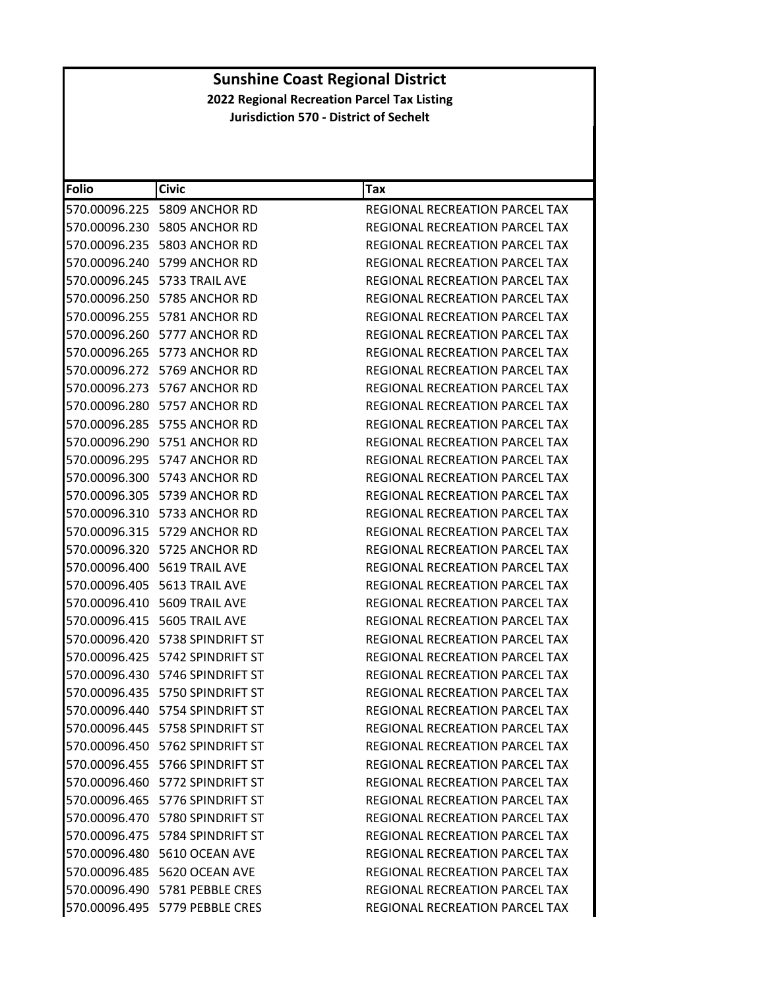| <b>Folio</b> | <b>Civic</b>                       | Tax                                   |
|--------------|------------------------------------|---------------------------------------|
|              |                                    |                                       |
|              | 570.00096.225 5809 ANCHOR RD       | REGIONAL RECREATION PARCEL TAX        |
|              | 570.00096.230 5805 ANCHOR RD       | REGIONAL RECREATION PARCEL TAX        |
|              | 570.00096.235 5803 ANCHOR RD       | REGIONAL RECREATION PARCEL TAX        |
|              | 570.00096.240 5799 ANCHOR RD       | <b>REGIONAL RECREATION PARCEL TAX</b> |
|              | 570.00096.245    5733 TRAIL AVE    | REGIONAL RECREATION PARCEL TAX        |
|              | 570.00096.250 5785 ANCHOR RD       | REGIONAL RECREATION PARCEL TAX        |
|              | 570.00096.255 5781 ANCHOR RD       | REGIONAL RECREATION PARCEL TAX        |
|              | 570.00096.260 5777 ANCHOR RD       | REGIONAL RECREATION PARCEL TAX        |
|              | 570.00096.265 5773 ANCHOR RD       | REGIONAL RECREATION PARCEL TAX        |
|              | 570.00096.272 5769 ANCHOR RD       | REGIONAL RECREATION PARCEL TAX        |
|              | 570.00096.273 5767 ANCHOR RD       | REGIONAL RECREATION PARCEL TAX        |
|              | 570.00096.280 5757 ANCHOR RD       | REGIONAL RECREATION PARCEL TAX        |
|              | 570.00096.285 5755 ANCHOR RD       | REGIONAL RECREATION PARCEL TAX        |
|              | 570.00096.290 5751 ANCHOR RD       | REGIONAL RECREATION PARCEL TAX        |
|              | 570.00096.295 5747 ANCHOR RD       | REGIONAL RECREATION PARCEL TAX        |
|              | 570.00096.300 5743 ANCHOR RD       | REGIONAL RECREATION PARCEL TAX        |
|              | 570.00096.305 5739 ANCHOR RD       | REGIONAL RECREATION PARCEL TAX        |
|              | 570.00096.310 5733 ANCHOR RD       | REGIONAL RECREATION PARCEL TAX        |
|              | 570.00096.315 5729 ANCHOR RD       | REGIONAL RECREATION PARCEL TAX        |
|              | 570.00096.320 5725 ANCHOR RD       | REGIONAL RECREATION PARCEL TAX        |
|              | 570.00096.400    5619 TRAIL AVE    | REGIONAL RECREATION PARCEL TAX        |
|              | 570.00096.405    5613 TRAIL AVE    | REGIONAL RECREATION PARCEL TAX        |
|              | 570.00096.410    5609 TRAIL AVE    | REGIONAL RECREATION PARCEL TAX        |
|              | 570.00096.415    5605 TRAIL AVE    | REGIONAL RECREATION PARCEL TAX        |
|              | 570.00096.420 5738 SPINDRIFT ST    | REGIONAL RECREATION PARCEL TAX        |
|              | 570.00096.425    5742 SPINDRIFT ST | REGIONAL RECREATION PARCEL TAX        |
|              |                                    | REGIONAL RECREATION PARCEL TAX        |
|              | 570.00096.435    5750 SPINDRIFT ST | <b>REGIONAL RECREATION PARCEL TAX</b> |
|              | 570.00096.440 5754 SPINDRIFT ST    | REGIONAL RECREATION PARCEL TAX        |
|              | 570.00096.445    5758 SPINDRIFT ST | REGIONAL RECREATION PARCEL TAX        |
|              | 570.00096.450    5762 SPINDRIFT ST | REGIONAL RECREATION PARCEL TAX        |
|              | 570.00096.455 5766 SPINDRIFT ST    | REGIONAL RECREATION PARCEL TAX        |
|              | 570.00096.460 5772 SPINDRIFT ST    | REGIONAL RECREATION PARCEL TAX        |
|              | 570.00096.465    5776 SPINDRIFT ST | REGIONAL RECREATION PARCEL TAX        |
|              | 570.00096.470 5780 SPINDRIFT ST    | <b>REGIONAL RECREATION PARCEL TAX</b> |
|              | 570.00096.475    5784 SPINDRIFT ST | <b>REGIONAL RECREATION PARCEL TAX</b> |
|              | 570.00096.480 5610 OCEAN AVE       | <b>REGIONAL RECREATION PARCEL TAX</b> |
|              | 570.00096.485 5620 OCEAN AVE       | <b>REGIONAL RECREATION PARCEL TAX</b> |
|              | 570.00096.490 5781 PEBBLE CRES     | REGIONAL RECREATION PARCEL TAX        |
|              | 570.00096.495 5779 PEBBLE CRES     | REGIONAL RECREATION PARCEL TAX        |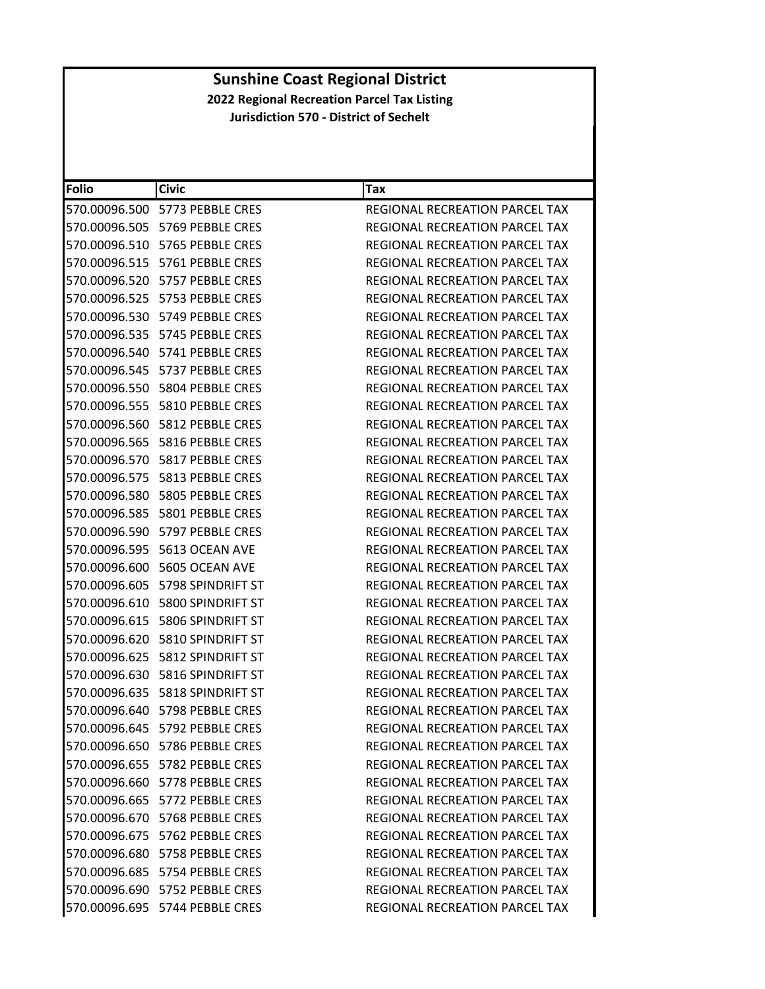| <b>Folio</b>  | <b>Civic</b>                         | Tax                                   |
|---------------|--------------------------------------|---------------------------------------|
|               | 570.00096.500 5773 PEBBLE CRES       | REGIONAL RECREATION PARCEL TAX        |
|               | 570.00096.505 5769 PEBBLE CRES       | REGIONAL RECREATION PARCEL TAX        |
|               | 570.00096.510    5765 PEBBLE CRES    | REGIONAL RECREATION PARCEL TAX        |
|               | 570.00096.515 5761 PEBBLE CRES       | REGIONAL RECREATION PARCEL TAX        |
|               | 570.00096.520    5757    PEBBLE CRES | REGIONAL RECREATION PARCEL TAX        |
|               | 570.00096.525    5753    PEBBLE CRES | <b>REGIONAL RECREATION PARCEL TAX</b> |
|               | 570.00096.530    5749    PEBBLE CRES | REGIONAL RECREATION PARCEL TAX        |
|               | 570.00096.535    5745    PEBBLE CRES | REGIONAL RECREATION PARCEL TAX        |
|               | 570.00096.540    5741    PEBBLE CRES | REGIONAL RECREATION PARCEL TAX        |
|               | 570.00096.545    5737    PEBBLE CRES | REGIONAL RECREATION PARCEL TAX        |
|               | 570.00096.550    5804 PEBBLE CRES    | REGIONAL RECREATION PARCEL TAX        |
|               | 570.00096.555    5810    PEBBLE CRES | REGIONAL RECREATION PARCEL TAX        |
|               | 570.00096.560 5812 PEBBLE CRES       | <b>REGIONAL RECREATION PARCEL TAX</b> |
|               | 570.00096.565    5816 PEBBLE CRES    | REGIONAL RECREATION PARCEL TAX        |
|               | 570.00096.570    5817    PEBBLE CRES | REGIONAL RECREATION PARCEL TAX        |
|               | 570.00096.575    5813    PEBBLE CRES | REGIONAL RECREATION PARCEL TAX        |
|               | 570.00096.580    5805    PEBBLE CRES | <b>REGIONAL RECREATION PARCEL TAX</b> |
|               | 570.00096.585    5801 PEBBLE CRES    | <b>REGIONAL RECREATION PARCEL TAX</b> |
| 570.00096.590 | 5797 PEBBLE CRES                     | REGIONAL RECREATION PARCEL TAX        |
|               |                                      | REGIONAL RECREATION PARCEL TAX        |
|               |                                      | REGIONAL RECREATION PARCEL TAX        |
|               | 570.00096.605    5798 SPINDRIFT ST   | REGIONAL RECREATION PARCEL TAX        |
|               | 570.00096.610    5800 SPINDRIFT ST   | REGIONAL RECREATION PARCEL TAX        |
| 570.00096.615 | 5806 SPINDRIFT ST                    | REGIONAL RECREATION PARCEL TAX        |
|               | 570.00096.620    5810 SPINDRIFT ST   | REGIONAL RECREATION PARCEL TAX        |
|               | 570.00096.625    5812 SPINDRIFT ST   | REGIONAL RECREATION PARCEL TAX        |
|               | 570.00096.630 5816 SPINDRIFT ST      | REGIONAL RECREATION PARCEL TAX        |
|               | 570.00096.635    5818 SPINDRIFT ST   | REGIONAL RECREATION PARCEL TAX        |
|               | 570.00096.640 5798 PEBBLE CRES       | REGIONAL RECREATION PARCEL TAX        |
|               | 570.00096.645 5792 PEBBLE CRES       | REGIONAL RECREATION PARCEL TAX        |
|               | 570.00096.650 5786 PEBBLE CRES       | REGIONAL RECREATION PARCEL TAX        |
|               | 570.00096.655    5782    PEBBLE CRES | REGIONAL RECREATION PARCEL TAX        |
|               | 570.00096.660 5778 PEBBLE CRES       | REGIONAL RECREATION PARCEL TAX        |
|               | 570.00096.665 5772 PEBBLE CRES       | <b>REGIONAL RECREATION PARCEL TAX</b> |
|               | 570.00096.670    5768 PEBBLE CRES    | REGIONAL RECREATION PARCEL TAX        |
|               | 570.00096.675 5762 PEBBLE CRES       | REGIONAL RECREATION PARCEL TAX        |
|               | 570.00096.680 5758 PEBBLE CRES       | REGIONAL RECREATION PARCEL TAX        |
|               | 570.00096.685 5754 PEBBLE CRES       | REGIONAL RECREATION PARCEL TAX        |
|               | 570.00096.690 5752 PEBBLE CRES       | REGIONAL RECREATION PARCEL TAX        |
|               | 570.00096.695 5744 PEBBLE CRES       | REGIONAL RECREATION PARCEL TAX        |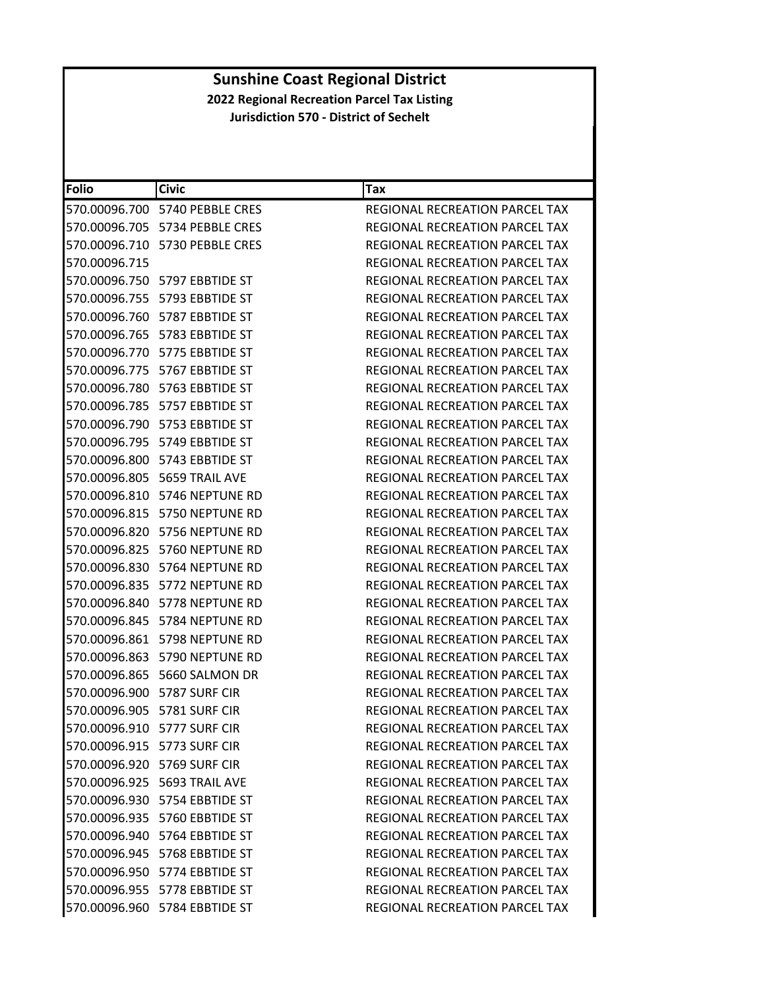| <b>Folio</b>                | <b>Civic</b>                           | Tax                                   |
|-----------------------------|----------------------------------------|---------------------------------------|
|                             | 570.00096.700    5740    PEBBLE CRES   | <b>REGIONAL RECREATION PARCEL TAX</b> |
|                             | 570.00096.705 5734 PEBBLE CRES         | REGIONAL RECREATION PARCEL TAX        |
|                             | 570.00096.710 5730 PEBBLE CRES         | <b>REGIONAL RECREATION PARCEL TAX</b> |
| 570.00096.715               |                                        | <b>REGIONAL RECREATION PARCEL TAX</b> |
|                             | 570.00096.750    5797    EBBTIDE    ST | REGIONAL RECREATION PARCEL TAX        |
|                             | 570.00096.755    5793    EBBTIDE    ST | REGIONAL RECREATION PARCEL TAX        |
|                             | 570.00096.760    5787    EBBTIDE    ST | REGIONAL RECREATION PARCEL TAX        |
|                             | 570.00096.765    5783    EBBTIDE    ST | <b>REGIONAL RECREATION PARCEL TAX</b> |
|                             | 570.00096.770    5775 EBBTIDE ST       | REGIONAL RECREATION PARCEL TAX        |
|                             | 570.00096.775    5767 EBBTIDE ST       | REGIONAL RECREATION PARCEL TAX        |
|                             | 570.00096.780    5763    EBBTIDE    ST | REGIONAL RECREATION PARCEL TAX        |
|                             | 570.00096.785    5757    EBBTIDE    ST | REGIONAL RECREATION PARCEL TAX        |
|                             | 570.00096.790    5753    EBBTIDE    ST | REGIONAL RECREATION PARCEL TAX        |
|                             | 570.00096.795    5749    EBBTIDE    ST | <b>REGIONAL RECREATION PARCEL TAX</b> |
|                             | 570.00096.800    5743    EBBTIDE    ST | REGIONAL RECREATION PARCEL TAX        |
|                             | 570.00096.805    5659 TRAIL AVE        | <b>REGIONAL RECREATION PARCEL TAX</b> |
|                             | 570.00096.810 5746 NEPTUNE RD          | REGIONAL RECREATION PARCEL TAX        |
|                             | 570.00096.815 5750 NEPTUNE RD          | REGIONAL RECREATION PARCEL TAX        |
|                             | 570.00096.820 5756 NEPTUNE RD          | REGIONAL RECREATION PARCEL TAX        |
|                             | 570.00096.825 5760 NEPTUNE RD          | REGIONAL RECREATION PARCEL TAX        |
|                             |                                        | REGIONAL RECREATION PARCEL TAX        |
|                             | 570.00096.835    5772 NEPTUNE RD       | REGIONAL RECREATION PARCEL TAX        |
|                             | 570.00096.840 5778 NEPTUNE RD          | REGIONAL RECREATION PARCEL TAX        |
|                             | 570.00096.845 5784 NEPTUNE RD          | REGIONAL RECREATION PARCEL TAX        |
|                             | 570.00096.861    5798 NEPTUNE RD       | REGIONAL RECREATION PARCEL TAX        |
|                             | 570.00096.863 5790 NEPTUNE RD          | REGIONAL RECREATION PARCEL TAX        |
|                             | 570.00096.865 5660 SALMON DR           | <b>REGIONAL RECREATION PARCEL TAX</b> |
|                             | 570.00096.900    5787 SURF CIR         | <b>REGIONAL RECREATION PARCEL TAX</b> |
|                             | 570.00096.905    5781 SURF CIR         | REGIONAL RECREATION PARCEL TAX        |
| 570.00096.910 5777 SURF CIR |                                        | REGIONAL RECREATION PARCEL TAX        |
|                             | 570.00096.915 5773 SURF CIR            | REGIONAL RECREATION PARCEL TAX        |
|                             | 570.00096.920 5769 SURF CIR            | REGIONAL RECREATION PARCEL TAX        |
|                             | 570.00096.925    5693 TRAIL AVE        | REGIONAL RECREATION PARCEL TAX        |
|                             | 570.00096.930    5754    EBBTIDE    ST | <b>REGIONAL RECREATION PARCEL TAX</b> |
|                             | 570.00096.935    5760    EBBTIDE    ST | <b>REGIONAL RECREATION PARCEL TAX</b> |
|                             | 570.00096.940    5764    EBBTIDE    ST | REGIONAL RECREATION PARCEL TAX        |
|                             | 570.00096.945    5768    EBBTIDE    ST | REGIONAL RECREATION PARCEL TAX        |
|                             | 570.00096.950    5774    EBBTIDE    ST | REGIONAL RECREATION PARCEL TAX        |
|                             | 570.00096.955    5778    EBBTIDE    ST | REGIONAL RECREATION PARCEL TAX        |
|                             | 570.00096.960 5784 EBBTIDE ST          | REGIONAL RECREATION PARCEL TAX        |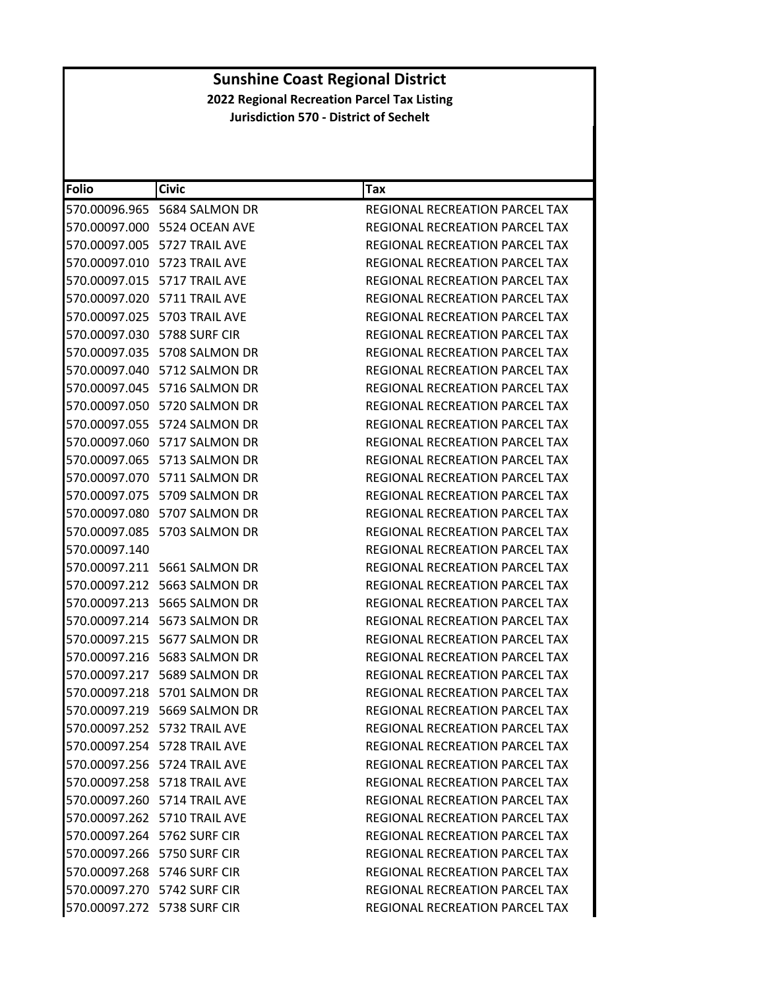| Folio                       | <b>Civic</b>                 | Tax                                   |
|-----------------------------|------------------------------|---------------------------------------|
|                             | 570.00096.965 5684 SALMON DR | REGIONAL RECREATION PARCEL TAX        |
|                             | 570.00097.000 5524 OCEAN AVE | REGIONAL RECREATION PARCEL TAX        |
|                             | 570.00097.005 5727 TRAIL AVE | REGIONAL RECREATION PARCEL TAX        |
|                             | 570.00097.010 5723 TRAIL AVE | <b>REGIONAL RECREATION PARCEL TAX</b> |
|                             | 570.00097.015 5717 TRAIL AVE | REGIONAL RECREATION PARCEL TAX        |
|                             | 570.00097.020 5711 TRAIL AVE | REGIONAL RECREATION PARCEL TAX        |
|                             | 570.00097.025 5703 TRAIL AVE | REGIONAL RECREATION PARCEL TAX        |
|                             | 570.00097.030 5788 SURF CIR  | REGIONAL RECREATION PARCEL TAX        |
|                             | 570.00097.035 5708 SALMON DR | REGIONAL RECREATION PARCEL TAX        |
|                             | 570.00097.040 5712 SALMON DR | REGIONAL RECREATION PARCEL TAX        |
|                             | 570.00097.045 5716 SALMON DR | REGIONAL RECREATION PARCEL TAX        |
|                             | 570.00097.050 5720 SALMON DR | REGIONAL RECREATION PARCEL TAX        |
|                             | 570.00097.055 5724 SALMON DR | REGIONAL RECREATION PARCEL TAX        |
|                             | 570.00097.060 5717 SALMON DR | REGIONAL RECREATION PARCEL TAX        |
|                             | 570.00097.065 5713 SALMON DR | REGIONAL RECREATION PARCEL TAX        |
|                             | 570.00097.070 5711 SALMON DR | REGIONAL RECREATION PARCEL TAX        |
|                             | 570.00097.075 5709 SALMON DR | REGIONAL RECREATION PARCEL TAX        |
|                             | 570.00097.080 5707 SALMON DR | REGIONAL RECREATION PARCEL TAX        |
|                             | 570.00097.085 5703 SALMON DR | REGIONAL RECREATION PARCEL TAX        |
| 570.00097.140               |                              | REGIONAL RECREATION PARCEL TAX        |
|                             | 570.00097.211 5661 SALMON DR | REGIONAL RECREATION PARCEL TAX        |
|                             | 570.00097.212 5663 SALMON DR | REGIONAL RECREATION PARCEL TAX        |
|                             | 570.00097.213 5665 SALMON DR | REGIONAL RECREATION PARCEL TAX        |
|                             | 570.00097.214 5673 SALMON DR | REGIONAL RECREATION PARCEL TAX        |
|                             | 570.00097.215 5677 SALMON DR | REGIONAL RECREATION PARCEL TAX        |
|                             | 570.00097.216 5683 SALMON DR | <b>REGIONAL RECREATION PARCEL TAX</b> |
|                             | 570.00097.217 5689 SALMON DR | REGIONAL RECREATION PARCEL TAX        |
|                             | 570.00097.218 5701 SALMON DR | <b>REGIONAL RECREATION PARCEL TAX</b> |
|                             | 570.00097.219 5669 SALMON DR | REGIONAL RECREATION PARCEL TAX        |
|                             | 570.00097.252 5732 TRAIL AVE | REGIONAL RECREATION PARCEL TAX        |
|                             | 570.00097.254 5728 TRAIL AVE | REGIONAL RECREATION PARCEL TAX        |
|                             | 570.00097.256 5724 TRAIL AVE | REGIONAL RECREATION PARCEL TAX        |
|                             | 570.00097.258 5718 TRAIL AVE | REGIONAL RECREATION PARCEL TAX        |
|                             | 570.00097.260 5714 TRAIL AVE | REGIONAL RECREATION PARCEL TAX        |
|                             | 570.00097.262 5710 TRAIL AVE | REGIONAL RECREATION PARCEL TAX        |
|                             | 570.00097.264 5762 SURF CIR  | <b>REGIONAL RECREATION PARCEL TAX</b> |
|                             | 570.00097.266 5750 SURF CIR  | REGIONAL RECREATION PARCEL TAX        |
| 570.00097.268 5746 SURF CIR |                              | REGIONAL RECREATION PARCEL TAX        |
|                             | 570.00097.270 5742 SURF CIR  | REGIONAL RECREATION PARCEL TAX        |
| 570.00097.272 5738 SURF CIR |                              | REGIONAL RECREATION PARCEL TAX        |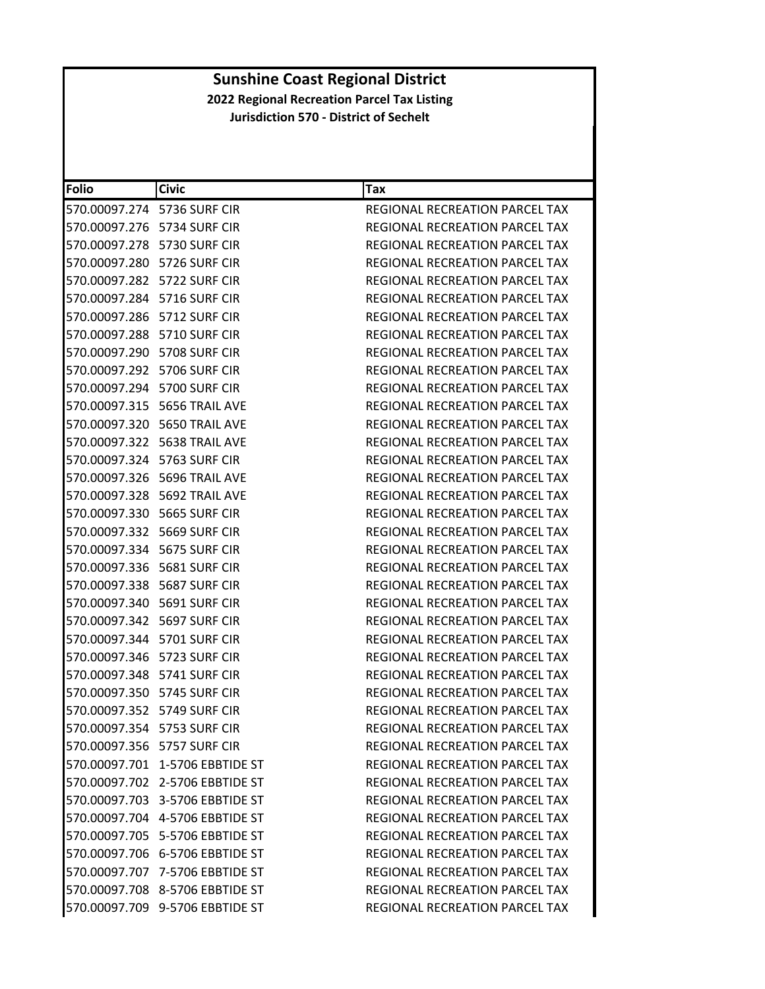| <b>Folio</b>                | <b>Civic</b>                       | Tax                                   |
|-----------------------------|------------------------------------|---------------------------------------|
|                             | 570.00097.274 5736 SURF CIR        | REGIONAL RECREATION PARCEL TAX        |
|                             | 570.00097.276 5734 SURF CIR        | REGIONAL RECREATION PARCEL TAX        |
|                             | 570.00097.278 5730 SURF CIR        | REGIONAL RECREATION PARCEL TAX        |
|                             | 570.00097.280 5726 SURF CIR        | REGIONAL RECREATION PARCEL TAX        |
|                             | 570.00097.282    5722 SURF CIR     | REGIONAL RECREATION PARCEL TAX        |
|                             | 570.00097.284 5716 SURF CIR        | REGIONAL RECREATION PARCEL TAX        |
|                             | 570.00097.286    5712 SURF CIR     | REGIONAL RECREATION PARCEL TAX        |
|                             | 570.00097.288 5710 SURF CIR        | REGIONAL RECREATION PARCEL TAX        |
|                             | 570.00097.290    5708 SURF CIR     | REGIONAL RECREATION PARCEL TAX        |
|                             | 570.00097.292 5706 SURF CIR        | REGIONAL RECREATION PARCEL TAX        |
|                             | 570.00097.294 5700 SURF CIR        | REGIONAL RECREATION PARCEL TAX        |
|                             | 570.00097.315    5656 TRAIL AVE    | REGIONAL RECREATION PARCEL TAX        |
|                             | 570.00097.320 5650 TRAIL AVE       | REGIONAL RECREATION PARCEL TAX        |
|                             | 570.00097.322    5638 TRAIL AVE    | REGIONAL RECREATION PARCEL TAX        |
|                             | 570.00097.324    5763 SURF CIR     | REGIONAL RECREATION PARCEL TAX        |
|                             | 570.00097.326    5696 TRAIL AVE    | REGIONAL RECREATION PARCEL TAX        |
|                             | 570.00097.328    5692 TRAIL AVE    | REGIONAL RECREATION PARCEL TAX        |
|                             | 570.00097.330 5665 SURF CIR        | REGIONAL RECREATION PARCEL TAX        |
|                             | 570.00097.332    5669 SURF CIR     | REGIONAL RECREATION PARCEL TAX        |
|                             | 570.00097.334    5675 SURF CIR     | REGIONAL RECREATION PARCEL TAX        |
|                             | 570.00097.336    5681 SURF CIR     | REGIONAL RECREATION PARCEL TAX        |
|                             | 570.00097.338    5687 SURF CIR     | REGIONAL RECREATION PARCEL TAX        |
|                             | 570.00097.340    5691 SURF CIR     | REGIONAL RECREATION PARCEL TAX        |
|                             | 570.00097.342    5697 SURF CIR     | REGIONAL RECREATION PARCEL TAX        |
|                             | 570.00097.344    5701 SURF CIR     | REGIONAL RECREATION PARCEL TAX        |
|                             | 570.00097.346    5723 SURF CIR     | REGIONAL RECREATION PARCEL TAX        |
|                             | 570.00097.348    5741 SURF CIR     | REGIONAL RECREATION PARCEL TAX        |
|                             | 570.00097.350 5745 SURF CIR        | REGIONAL RECREATION PARCEL TAX        |
|                             | 570.00097.352 5749 SURF CIR        | REGIONAL RECREATION PARCEL TAX        |
| 570.00097.354 5753 SURF CIR |                                    | REGIONAL RECREATION PARCEL TAX        |
|                             | 570.00097.356 5757 SURF CIR        | <b>REGIONAL RECREATION PARCEL TAX</b> |
|                             | 570.00097.701 1-5706 EBBTIDE ST    | REGIONAL RECREATION PARCEL TAX        |
|                             | 570.00097.702 2-5706 EBBTIDE ST    | REGIONAL RECREATION PARCEL TAX        |
|                             | 570.00097.703 3-5706 EBBTIDE ST    | REGIONAL RECREATION PARCEL TAX        |
|                             | 570.00097.704    4-5706 EBBTIDE ST | REGIONAL RECREATION PARCEL TAX        |
|                             | 570.00097.705 5-5706 EBBTIDE ST    | REGIONAL RECREATION PARCEL TAX        |
|                             | 570.00097.706 6-5706 EBBTIDE ST    | REGIONAL RECREATION PARCEL TAX        |
|                             | 570.00097.707 7-5706 EBBTIDE ST    | REGIONAL RECREATION PARCEL TAX        |
|                             | 570.00097.708 8-5706 EBBTIDE ST    | <b>REGIONAL RECREATION PARCEL TAX</b> |
|                             | 570.00097.709 9-5706 EBBTIDE ST    | REGIONAL RECREATION PARCEL TAX        |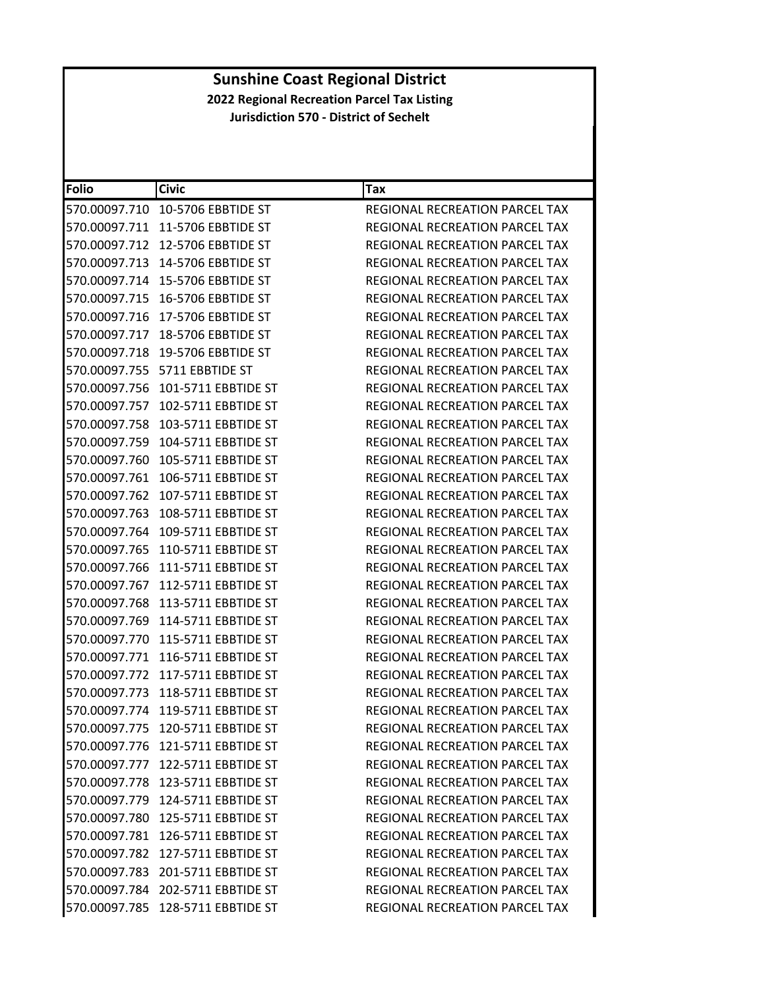| Folio         | <b>Civic</b>                           | Tax                                   |
|---------------|----------------------------------------|---------------------------------------|
| 570.00097.710 | 10-5706 EBBTIDE ST                     | REGIONAL RECREATION PARCEL TAX        |
| 570.00097.711 | 11-5706 EBBTIDE ST                     | REGIONAL RECREATION PARCEL TAX        |
| 570.00097.712 | 12-5706 EBBTIDE ST                     | REGIONAL RECREATION PARCEL TAX        |
| 570.00097.713 | 14-5706 EBBTIDE ST                     | REGIONAL RECREATION PARCEL TAX        |
|               | 570.00097.714 15-5706 EBBTIDE ST       | REGIONAL RECREATION PARCEL TAX        |
| 570.00097.715 | 16-5706 EBBTIDE ST                     | REGIONAL RECREATION PARCEL TAX        |
| 570.00097.716 | 17-5706 EBBTIDE ST                     | REGIONAL RECREATION PARCEL TAX        |
| 570.00097.717 | 18-5706 EBBTIDE ST                     | REGIONAL RECREATION PARCEL TAX        |
| 570.00097.718 | 19-5706 EBBTIDE ST                     | REGIONAL RECREATION PARCEL TAX        |
|               | 570.00097.755    5711    EBBTIDE    ST | REGIONAL RECREATION PARCEL TAX        |
| 570.00097.756 | 101-5711 EBBTIDE ST                    | REGIONAL RECREATION PARCEL TAX        |
| 570.00097.757 | 102-5711 EBBTIDE ST                    | REGIONAL RECREATION PARCEL TAX        |
| 570.00097.758 | 103-5711 EBBTIDE ST                    | REGIONAL RECREATION PARCEL TAX        |
| 570.00097.759 | 104-5711 EBBTIDE ST                    | REGIONAL RECREATION PARCEL TAX        |
| 570.00097.760 | 105-5711 EBBTIDE ST                    | REGIONAL RECREATION PARCEL TAX        |
| 570.00097.761 | 106-5711 EBBTIDE ST                    | <b>REGIONAL RECREATION PARCEL TAX</b> |
| 570.00097.762 | 107-5711 EBBTIDE ST                    | <b>REGIONAL RECREATION PARCEL TAX</b> |
| 570.00097.763 | 108-5711 EBBTIDE ST                    | REGIONAL RECREATION PARCEL TAX        |
| 570.00097.764 | 109-5711 EBBTIDE ST                    | REGIONAL RECREATION PARCEL TAX        |
| 570.00097.765 | 110-5711 EBBTIDE ST                    | REGIONAL RECREATION PARCEL TAX        |
| 570.00097.766 | 111-5711 EBBTIDE ST                    | REGIONAL RECREATION PARCEL TAX        |
| 570.00097.767 | 112-5711 EBBTIDE ST                    | REGIONAL RECREATION PARCEL TAX        |
| 570.00097.768 | 113-5711 EBBTIDE ST                    | REGIONAL RECREATION PARCEL TAX        |
| 570.00097.769 | 114-5711 EBBTIDE ST                    | REGIONAL RECREATION PARCEL TAX        |
| 570.00097.770 | 115-5711 EBBTIDE ST                    | REGIONAL RECREATION PARCEL TAX        |
| 570.00097.771 | 116-5711 EBBTIDE ST                    | <b>REGIONAL RECREATION PARCEL TAX</b> |
| 570.00097.772 | 117-5711 EBBTIDE ST                    | REGIONAL RECREATION PARCEL TAX        |
| 570.00097.773 | 118-5711 EBBTIDE ST                    | REGIONAL RECREATION PARCEL TAX        |
| 570.00097.774 | 119-5711 EBBTIDE ST                    | REGIONAL RECREATION PARCEL TAX        |
|               | 570.00097.775 120-5711 EBBTIDE ST      | REGIONAL RECREATION PARCEL TAX        |
|               | 570.00097.776 121-5711 EBBTIDE ST      | REGIONAL RECREATION PARCEL TAX        |
|               | 570.00097.777 122-5711 EBBTIDE ST      | REGIONAL RECREATION PARCEL TAX        |
|               | 570.00097.778 123-5711 EBBTIDE ST      | REGIONAL RECREATION PARCEL TAX        |
|               | 570.00097.779 124-5711 EBBTIDE ST      | REGIONAL RECREATION PARCEL TAX        |
|               | 570.00097.780 125-5711 EBBTIDE ST      | REGIONAL RECREATION PARCEL TAX        |
|               | 570.00097.781 126-5711 EBBTIDE ST      | REGIONAL RECREATION PARCEL TAX        |
|               | 570.00097.782 127-5711 EBBTIDE ST      | REGIONAL RECREATION PARCEL TAX        |
|               | 570.00097.783 201-5711 EBBTIDE ST      | REGIONAL RECREATION PARCEL TAX        |
|               | 570.00097.784 202-5711 EBBTIDE ST      | REGIONAL RECREATION PARCEL TAX        |
|               | 570.00097.785 128-5711 EBBTIDE ST      | REGIONAL RECREATION PARCEL TAX        |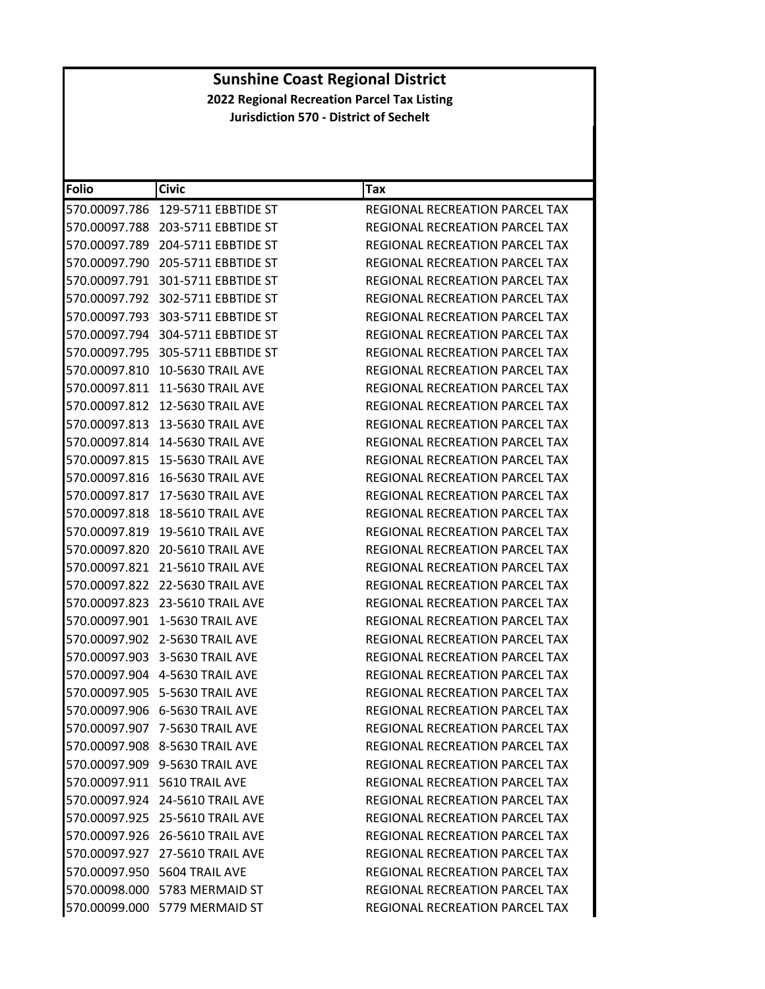| <b>Folio</b>  | <b>Civic</b>                       | Tax                                   |
|---------------|------------------------------------|---------------------------------------|
| 570.00097.786 | 129-5711 EBBTIDE ST                | REGIONAL RECREATION PARCEL TAX        |
| 570.00097.788 | 203-5711 EBBTIDE ST                | REGIONAL RECREATION PARCEL TAX        |
| 570.00097.789 | 204-5711 EBBTIDE ST                | REGIONAL RECREATION PARCEL TAX        |
| 570.00097.790 | 205-5711 EBBTIDE ST                | REGIONAL RECREATION PARCEL TAX        |
|               | 570.00097.791 301-5711 EBBTIDE ST  | REGIONAL RECREATION PARCEL TAX        |
|               | 570.00097.792 302-5711 EBBTIDE ST  | REGIONAL RECREATION PARCEL TAX        |
|               | 570.00097.793 303-5711 EBBTIDE ST  | REGIONAL RECREATION PARCEL TAX        |
|               | 570.00097.794 304-5711 EBBTIDE ST  | REGIONAL RECREATION PARCEL TAX        |
| 570.00097.795 | 305-5711 EBBTIDE ST                | REGIONAL RECREATION PARCEL TAX        |
|               | 570.00097.810    10-5630 TRAIL AVE | REGIONAL RECREATION PARCEL TAX        |
| 570.00097.811 | <b>11-5630 TRAIL AVE</b>           | REGIONAL RECREATION PARCEL TAX        |
|               | 570.00097.812 12-5630 TRAIL AVE    | REGIONAL RECREATION PARCEL TAX        |
|               |                                    | <b>REGIONAL RECREATION PARCEL TAX</b> |
| 570.00097.814 | 14-5630 TRAIL AVE                  | REGIONAL RECREATION PARCEL TAX        |
|               |                                    | <b>REGIONAL RECREATION PARCEL TAX</b> |
| 570.00097.816 | <b>16-5630 TRAIL AVE</b>           | REGIONAL RECREATION PARCEL TAX        |
| 570.00097.817 | 17-5630 TRAIL AVE                  | REGIONAL RECREATION PARCEL TAX        |
|               | 570.00097.818 18-5610 TRAIL AVE    | REGIONAL RECREATION PARCEL TAX        |
| 570.00097.819 | <b>19-5610 TRAIL AVE</b>           | REGIONAL RECREATION PARCEL TAX        |
|               | 570.00097.820 20-5610 TRAIL AVE    | REGIONAL RECREATION PARCEL TAX        |
| 570.00097.821 | <b>21-5610 TRAIL AVE</b>           | REGIONAL RECREATION PARCEL TAX        |
|               | 570.00097.822 22-5630 TRAIL AVE    | REGIONAL RECREATION PARCEL TAX        |
|               | 570.00097.823 23-5610 TRAIL AVE    | REGIONAL RECREATION PARCEL TAX        |
| 570.00097.901 | 1-5630 TRAIL AVE                   | REGIONAL RECREATION PARCEL TAX        |
|               | 570.00097.902 2-5630 TRAIL AVE     | REGIONAL RECREATION PARCEL TAX        |
|               | 570.00097.903 3-5630 TRAIL AVE     | REGIONAL RECREATION PARCEL TAX        |
|               | 570.00097.904    4-5630 TRAIL AVE  | REGIONAL RECREATION PARCEL TAX        |
|               | 570.00097.905 5-5630 TRAIL AVE     | REGIONAL RECREATION PARCEL TAX        |
|               | 570.00097.906 6-5630 TRAIL AVE     | REGIONAL RECREATION PARCEL TAX        |
|               | 570.00097.907 7-5630 TRAIL AVE     | REGIONAL RECREATION PARCEL TAX        |
|               | 570.00097.908 8-5630 TRAIL AVE     | <b>REGIONAL RECREATION PARCEL TAX</b> |
|               | 570.00097.909 9-5630 TRAIL AVE     | REGIONAL RECREATION PARCEL TAX        |
|               | 570.00097.911 5610 TRAIL AVE       | REGIONAL RECREATION PARCEL TAX        |
|               | 570.00097.924 24-5610 TRAIL AVE    | REGIONAL RECREATION PARCEL TAX        |
|               | 570.00097.925 25-5610 TRAIL AVE    | REGIONAL RECREATION PARCEL TAX        |
|               | 570.00097.926 26-5610 TRAIL AVE    | REGIONAL RECREATION PARCEL TAX        |
|               | 570.00097.927 27-5610 TRAIL AVE    | <b>REGIONAL RECREATION PARCEL TAX</b> |
|               | 570.00097.950 5604 TRAIL AVE       | REGIONAL RECREATION PARCEL TAX        |
|               | 570.00098.000 5783 MERMAID ST      | REGIONAL RECREATION PARCEL TAX        |
|               | 570.00099.000 5779 MERMAID ST      | REGIONAL RECREATION PARCEL TAX        |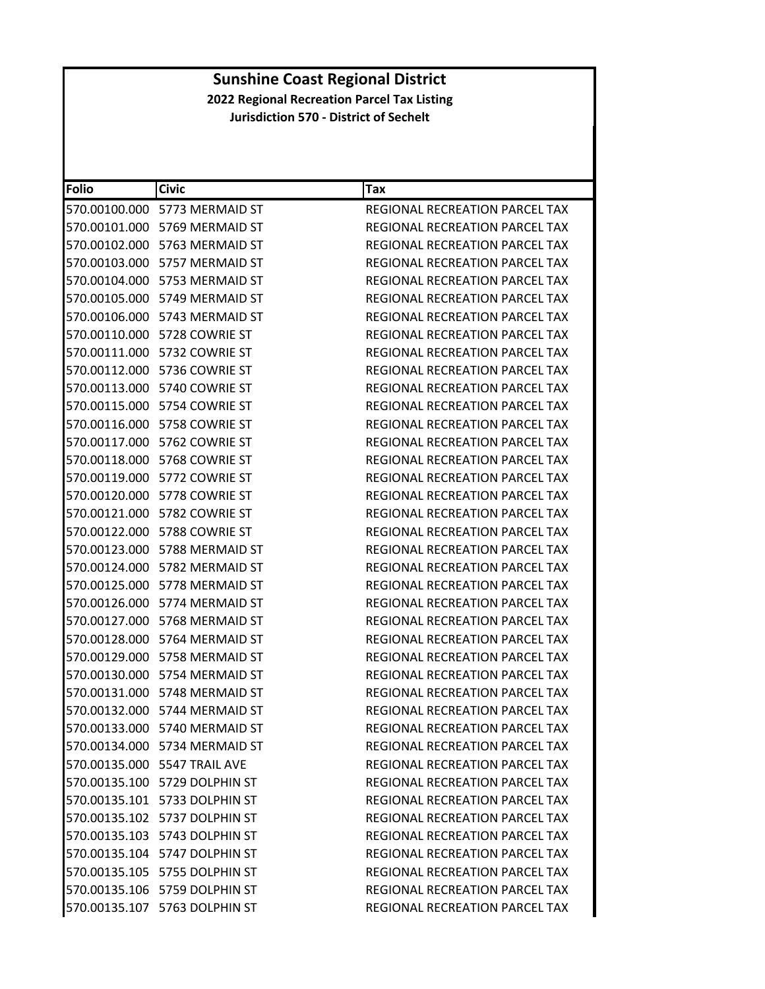| <b>Folio</b> | <b>Civic</b>                           | Tax                                   |
|--------------|----------------------------------------|---------------------------------------|
|              | 570.00100.000 5773 MERMAID ST          | REGIONAL RECREATION PARCEL TAX        |
|              | 570.00101.000 5769 MERMAID ST          | REGIONAL RECREATION PARCEL TAX        |
|              | 570.00102.000 5763 MERMAID ST          | REGIONAL RECREATION PARCEL TAX        |
|              | 570.00103.000 5757 MERMAID ST          | REGIONAL RECREATION PARCEL TAX        |
|              | 570.00104.000    5753 MERMAID ST       | REGIONAL RECREATION PARCEL TAX        |
|              | 570.00105.000 5749 MERMAID ST          | REGIONAL RECREATION PARCEL TAX        |
|              | 570.00106.000 5743 MERMAID ST          | REGIONAL RECREATION PARCEL TAX        |
|              |                                        | REGIONAL RECREATION PARCEL TAX        |
|              |                                        | REGIONAL RECREATION PARCEL TAX        |
|              |                                        | REGIONAL RECREATION PARCEL TAX        |
|              | 570.00113.000 5740 COWRIE ST           | REGIONAL RECREATION PARCEL TAX        |
|              |                                        | REGIONAL RECREATION PARCEL TAX        |
|              | 570.00116.000    5758 COWRIE ST        | REGIONAL RECREATION PARCEL TAX        |
|              | 570.00117.000    5762        COWRIE ST | REGIONAL RECREATION PARCEL TAX        |
|              | 570.00118.000 5768 COWRIE ST           | REGIONAL RECREATION PARCEL TAX        |
|              | 570.00119.000 5772 COWRIE ST           | REGIONAL RECREATION PARCEL TAX        |
|              |                                        | <b>REGIONAL RECREATION PARCEL TAX</b> |
|              |                                        | REGIONAL RECREATION PARCEL TAX        |
|              | 570.00122.000    5788 COWRIE ST        | REGIONAL RECREATION PARCEL TAX        |
|              | 570.00123.000 5788 MERMAID ST          | REGIONAL RECREATION PARCEL TAX        |
|              | 570.00124.000 5782 MERMAID ST          | REGIONAL RECREATION PARCEL TAX        |
|              | 570.00125.000 5778 MERMAID ST          | REGIONAL RECREATION PARCEL TAX        |
|              | 570.00126.000 5774 MERMAID ST          | REGIONAL RECREATION PARCEL TAX        |
|              | 570.00127.000 5768 MERMAID ST          | REGIONAL RECREATION PARCEL TAX        |
|              | 570.00128.000 5764 MERMAID ST          | REGIONAL RECREATION PARCEL TAX        |
|              | 570.00129.000    5758 MERMAID ST       | REGIONAL RECREATION PARCEL TAX        |
|              | 570.00130.000 5754 MERMAID ST          | REGIONAL RECREATION PARCEL TAX        |
|              | 570.00131.000    5748 MERMAID ST       | REGIONAL RECREATION PARCEL TAX        |
|              | 570.00132.000 5744 MERMAID ST          | <b>REGIONAL RECREATION PARCEL TAX</b> |
|              | 570.00133.000 5740 MERMAID ST          | REGIONAL RECREATION PARCEL TAX        |
|              | 570.00134.000 5734 MERMAID ST          | REGIONAL RECREATION PARCEL TAX        |
|              | 570.00135.000 5547 TRAIL AVE           | <b>REGIONAL RECREATION PARCEL TAX</b> |
|              | 570.00135.100 5729 DOLPHIN ST          | REGIONAL RECREATION PARCEL TAX        |
|              | 570.00135.101 5733 DOLPHIN ST          | <b>REGIONAL RECREATION PARCEL TAX</b> |
|              | 570.00135.102 5737 DOLPHIN ST          | REGIONAL RECREATION PARCEL TAX        |
|              | 570.00135.103 5743 DOLPHIN ST          | REGIONAL RECREATION PARCEL TAX        |
|              | 570.00135.104 5747 DOLPHIN ST          | REGIONAL RECREATION PARCEL TAX        |
|              | 570.00135.105 5755 DOLPHIN ST          | REGIONAL RECREATION PARCEL TAX        |
|              | 570.00135.106 5759 DOLPHIN ST          | REGIONAL RECREATION PARCEL TAX        |
|              | 570.00135.107 5763 DOLPHIN ST          | REGIONAL RECREATION PARCEL TAX        |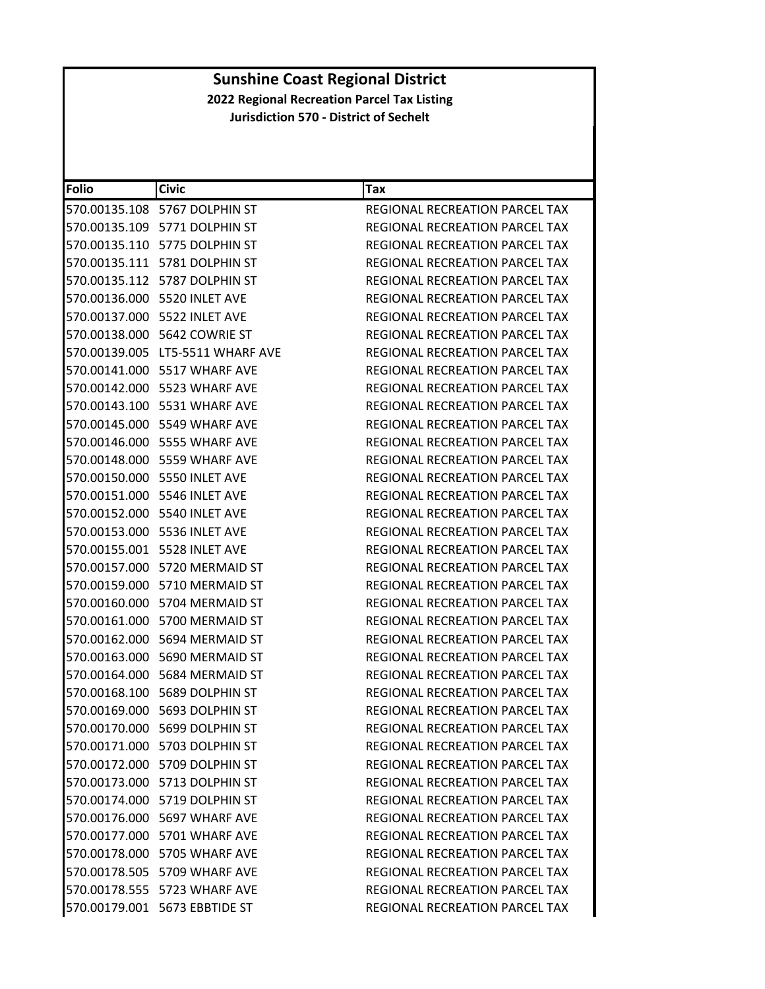| Folio | <b>Civic</b>                           | Tax                                   |
|-------|----------------------------------------|---------------------------------------|
|       | 570.00135.108 5767 DOLPHIN ST          | REGIONAL RECREATION PARCEL TAX        |
|       | 570.00135.109 5771 DOLPHIN ST          | REGIONAL RECREATION PARCEL TAX        |
|       | 570.00135.110 5775 DOLPHIN ST          | REGIONAL RECREATION PARCEL TAX        |
|       | 570.00135.111    5781    DOLPHIN    ST | <b>REGIONAL RECREATION PARCEL TAX</b> |
|       | 570.00135.112 5787 DOLPHIN ST          | REGIONAL RECREATION PARCEL TAX        |
|       | 570.00136.000 5520 INLET AVE           | REGIONAL RECREATION PARCEL TAX        |
|       | 570.00137.000 5522 INLET AVE           | <b>REGIONAL RECREATION PARCEL TAX</b> |
|       | 570.00138.000 5642 COWRIE ST           | REGIONAL RECREATION PARCEL TAX        |
|       | 570.00139.005 LT5-5511 WHARF AVE       | REGIONAL RECREATION PARCEL TAX        |
|       | 570.00141.000 5517 WHARF AVE           | REGIONAL RECREATION PARCEL TAX        |
|       | 570.00142.000 5523 WHARF AVE           | REGIONAL RECREATION PARCEL TAX        |
|       | 570.00143.100 5531 WHARF AVE           | REGIONAL RECREATION PARCEL TAX        |
|       | 570.00145.000 5549 WHARF AVE           | REGIONAL RECREATION PARCEL TAX        |
|       | 570.00146.000 5555 WHARF AVE           | REGIONAL RECREATION PARCEL TAX        |
|       | 570.00148.000 5559 WHARF AVE           | REGIONAL RECREATION PARCEL TAX        |
|       | 570.00150.000 5550 INLET AVE           | REGIONAL RECREATION PARCEL TAX        |
|       | 570.00151.000 5546 INLET AVE           | <b>REGIONAL RECREATION PARCEL TAX</b> |
|       | 570.00152.000 5540 INLET AVE           | REGIONAL RECREATION PARCEL TAX        |
|       | 570.00153.000 5536 INLET AVE           | REGIONAL RECREATION PARCEL TAX        |
|       | 570.00155.001 5528 INLET AVE           | REGIONAL RECREATION PARCEL TAX        |
|       | 570.00157.000 5720 MERMAID ST          | REGIONAL RECREATION PARCEL TAX        |
|       | 570.00159.000 5710 MERMAID ST          | REGIONAL RECREATION PARCEL TAX        |
|       | 570.00160.000 5704 MERMAID ST          | REGIONAL RECREATION PARCEL TAX        |
|       | 570.00161.000 5700 MERMAID ST          | REGIONAL RECREATION PARCEL TAX        |
|       | 570.00162.000 5694 MERMAID ST          | REGIONAL RECREATION PARCEL TAX        |
|       | 570.00163.000 5690 MERMAID ST          | REGIONAL RECREATION PARCEL TAX        |
|       | 570.00164.000 5684 MERMAID ST          | REGIONAL RECREATION PARCEL TAX        |
|       | 570.00168.100 5689 DOLPHIN ST          | REGIONAL RECREATION PARCEL TAX        |
|       | 570.00169.000 5693 DOLPHIN ST          | REGIONAL RECREATION PARCEL TAX        |
|       | 570.00170.000 5699 DOLPHIN ST          | REGIONAL RECREATION PARCEL TAX        |
|       | 570.00171.000 5703 DOLPHIN ST          | REGIONAL RECREATION PARCEL TAX        |
|       | 570.00172.000 5709 DOLPHIN ST          | REGIONAL RECREATION PARCEL TAX        |
|       | 570.00173.000 5713 DOLPHIN ST          | REGIONAL RECREATION PARCEL TAX        |
|       | 570.00174.000 5719 DOLPHIN ST          | REGIONAL RECREATION PARCEL TAX        |
|       | 570.00176.000 5697 WHARF AVE           | REGIONAL RECREATION PARCEL TAX        |
|       | 570.00177.000 5701 WHARF AVE           | REGIONAL RECREATION PARCEL TAX        |
|       | 570.00178.000 5705 WHARF AVE           | REGIONAL RECREATION PARCEL TAX        |
|       | 570.00178.505 5709 WHARF AVE           | REGIONAL RECREATION PARCEL TAX        |
|       | 570.00178.555 5723 WHARF AVE           | REGIONAL RECREATION PARCEL TAX        |
|       | 570.00179.001 5673 EBBTIDE ST          | REGIONAL RECREATION PARCEL TAX        |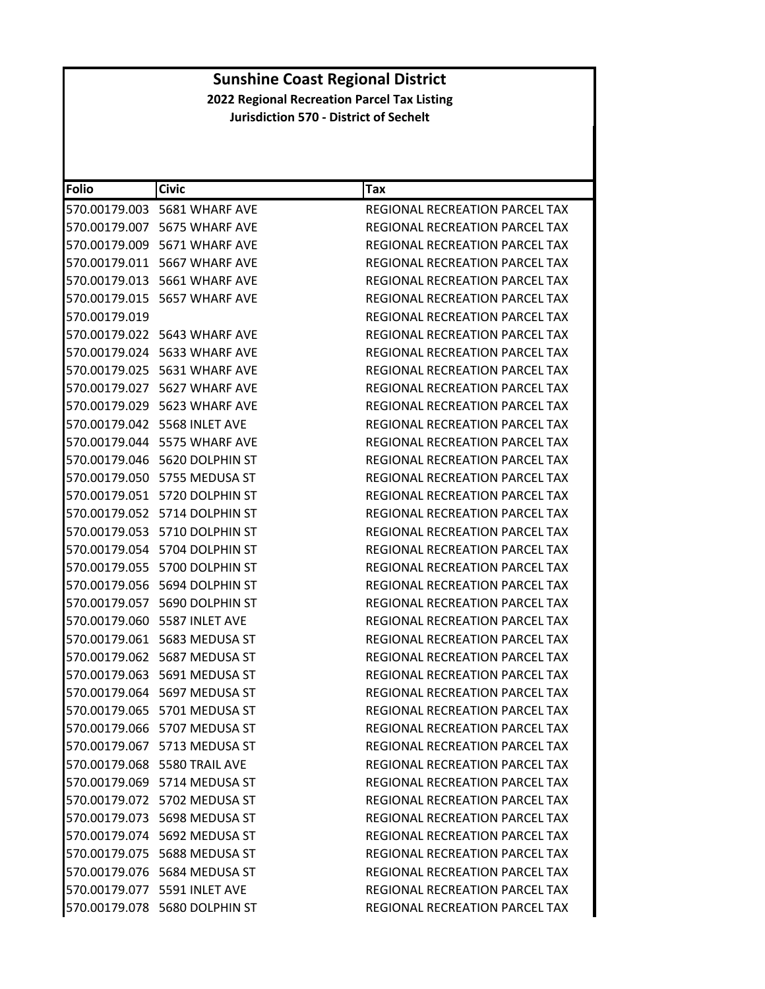| <b>Folio</b>  | <b>Civic</b>                    | Tax                                   |
|---------------|---------------------------------|---------------------------------------|
|               | 570.00179.003    5681 WHARF AVE | REGIONAL RECREATION PARCEL TAX        |
|               | 570.00179.007 5675 WHARF AVE    | REGIONAL RECREATION PARCEL TAX        |
|               | 570.00179.009 5671 WHARF AVE    | REGIONAL RECREATION PARCEL TAX        |
|               | 570.00179.011 5667 WHARF AVE    | REGIONAL RECREATION PARCEL TAX        |
|               | 570.00179.013 5661 WHARF AVE    | REGIONAL RECREATION PARCEL TAX        |
|               | 570.00179.015 5657 WHARF AVE    | REGIONAL RECREATION PARCEL TAX        |
| 570.00179.019 |                                 | REGIONAL RECREATION PARCEL TAX        |
|               | 570.00179.022 5643 WHARF AVE    | REGIONAL RECREATION PARCEL TAX        |
|               | 570.00179.024    5633 WHARF AVE | REGIONAL RECREATION PARCEL TAX        |
|               | 570.00179.025 5631 WHARF AVE    | REGIONAL RECREATION PARCEL TAX        |
|               | 570.00179.027 5627 WHARF AVE    | REGIONAL RECREATION PARCEL TAX        |
|               | 570.00179.029 5623 WHARF AVE    | REGIONAL RECREATION PARCEL TAX        |
|               | 570.00179.042 5568 INLET AVE    | <b>REGIONAL RECREATION PARCEL TAX</b> |
|               | 570.00179.044 5575 WHARF AVE    | REGIONAL RECREATION PARCEL TAX        |
|               | 570.00179.046 5620 DOLPHIN ST   | REGIONAL RECREATION PARCEL TAX        |
|               | 570.00179.050 5755 MEDUSA ST    | REGIONAL RECREATION PARCEL TAX        |
|               | 570.00179.051 5720 DOLPHIN ST   | <b>REGIONAL RECREATION PARCEL TAX</b> |
|               | 570.00179.052 5714 DOLPHIN ST   | REGIONAL RECREATION PARCEL TAX        |
|               | 570.00179.053 5710 DOLPHIN ST   | REGIONAL RECREATION PARCEL TAX        |
|               | 570.00179.054 5704 DOLPHIN ST   | REGIONAL RECREATION PARCEL TAX        |
|               | 570.00179.055 5700 DOLPHIN ST   | REGIONAL RECREATION PARCEL TAX        |
|               | 570.00179.056 5694 DOLPHIN ST   | REGIONAL RECREATION PARCEL TAX        |
|               | 570.00179.057 5690 DOLPHIN ST   | REGIONAL RECREATION PARCEL TAX        |
|               | 570.00179.060    5587 INLET AVE | REGIONAL RECREATION PARCEL TAX        |
|               | 570.00179.061    5683 MEDUSA ST | REGIONAL RECREATION PARCEL TAX        |
|               | 570.00179.062 5687 MEDUSA ST    | REGIONAL RECREATION PARCEL TAX        |
|               | 570.00179.063 5691 MEDUSA ST    | REGIONAL RECREATION PARCEL TAX        |
|               | 570.00179.064 5697 MEDUSA ST    | <b>REGIONAL RECREATION PARCEL TAX</b> |
|               | 570.00179.065 5701 MEDUSA ST    | REGIONAL RECREATION PARCEL TAX        |
|               | 570.00179.066 5707 MEDUSA ST    | REGIONAL RECREATION PARCEL TAX        |
|               | 570.00179.067 5713 MEDUSA ST    | REGIONAL RECREATION PARCEL TAX        |
|               | 570.00179.068 5580 TRAIL AVE    | REGIONAL RECREATION PARCEL TAX        |
|               | 570.00179.069 5714 MEDUSA ST    | REGIONAL RECREATION PARCEL TAX        |
|               | 570.00179.072 5702 MEDUSA ST    | REGIONAL RECREATION PARCEL TAX        |
|               | 570.00179.073 5698 MEDUSA ST    | <b>REGIONAL RECREATION PARCEL TAX</b> |
|               | 570.00179.074 5692 MEDUSA ST    | <b>REGIONAL RECREATION PARCEL TAX</b> |
|               | 570.00179.075    5688 MEDUSA ST | REGIONAL RECREATION PARCEL TAX        |
|               | 570.00179.076    5684 MEDUSA ST | REGIONAL RECREATION PARCEL TAX        |
|               | 570.00179.077 5591 INLET AVE    | REGIONAL RECREATION PARCEL TAX        |
|               | 570.00179.078 5680 DOLPHIN ST   | REGIONAL RECREATION PARCEL TAX        |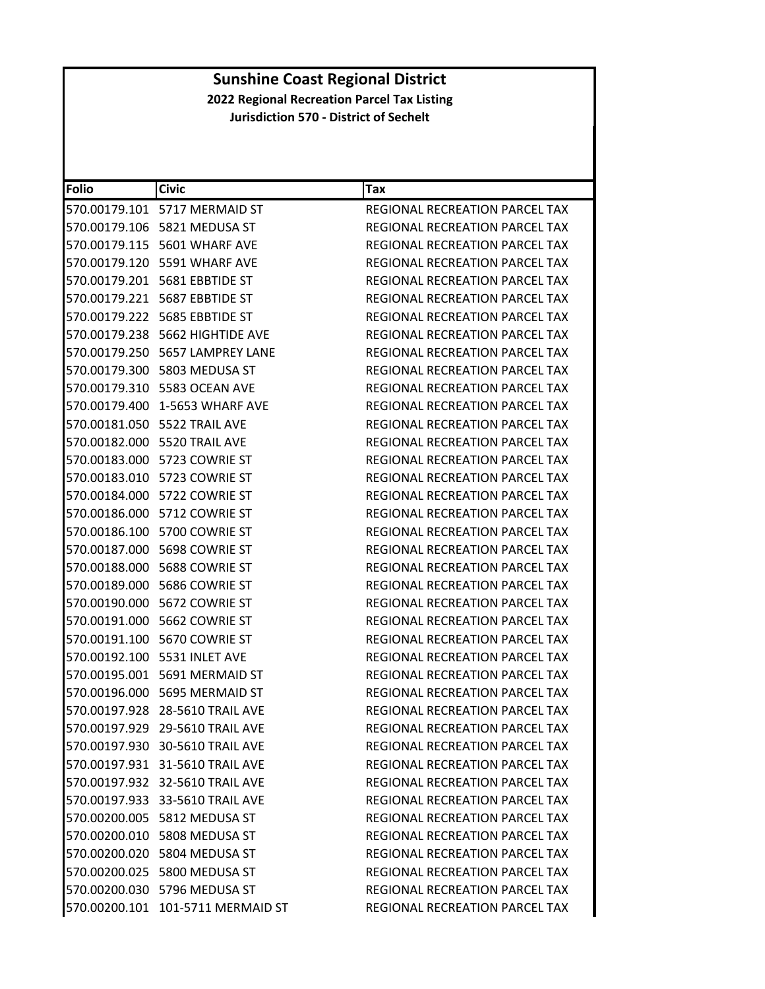| <b>Folio</b> | <b>Civic</b>                           | Tax                                   |
|--------------|----------------------------------------|---------------------------------------|
|              | 570.00179.101 5717 MERMAID ST          | <b>REGIONAL RECREATION PARCEL TAX</b> |
|              | 570.00179.106 5821 MEDUSA ST           | REGIONAL RECREATION PARCEL TAX        |
|              | 570.00179.115 5601 WHARF AVE           | REGIONAL RECREATION PARCEL TAX        |
|              | 570.00179.120 5591 WHARF AVE           | REGIONAL RECREATION PARCEL TAX        |
|              | 570.00179.201    5681    EBBTIDE ST    | REGIONAL RECREATION PARCEL TAX        |
|              | 570.00179.221    5687    EBBTIDE    ST | REGIONAL RECREATION PARCEL TAX        |
|              | 570.00179.222    5685    EBBTIDE ST    | <b>REGIONAL RECREATION PARCEL TAX</b> |
|              | 570.00179.238 5662 HIGHTIDE AVE        | <b>REGIONAL RECREATION PARCEL TAX</b> |
|              | 570.00179.250    5657 LAMPREY LANE     | REGIONAL RECREATION PARCEL TAX        |
|              | 570.00179.300 5803 MEDUSA ST           | REGIONAL RECREATION PARCEL TAX        |
|              | 570.00179.310 5583 OCEAN AVE           | REGIONAL RECREATION PARCEL TAX        |
|              | 570.00179.400 1-5653 WHARF AVE         | REGIONAL RECREATION PARCEL TAX        |
|              | 570.00181.050 5522 TRAIL AVE           | <b>REGIONAL RECREATION PARCEL TAX</b> |
|              | 570.00182.000 5520 TRAIL AVE           | REGIONAL RECREATION PARCEL TAX        |
|              | 570.00183.000 5723 COWRIE ST           | REGIONAL RECREATION PARCEL TAX        |
|              | 570.00183.010 5723 COWRIE ST           | REGIONAL RECREATION PARCEL TAX        |
|              | 570.00184.000 5722 COWRIE ST           | REGIONAL RECREATION PARCEL TAX        |
|              | 570.00186.000 5712 COWRIE ST           | REGIONAL RECREATION PARCEL TAX        |
|              | 570.00186.100 5700 COWRIE ST           | REGIONAL RECREATION PARCEL TAX        |
|              | 570.00187.000 5698 COWRIE ST           | REGIONAL RECREATION PARCEL TAX        |
|              | 570.00188.000    5688 COWRIE ST        | REGIONAL RECREATION PARCEL TAX        |
|              | 570.00189.000    5686 COWRIE ST        | REGIONAL RECREATION PARCEL TAX        |
|              |                                        | REGIONAL RECREATION PARCEL TAX        |
|              | 570.00191.000 5662 COWRIE ST           | REGIONAL RECREATION PARCEL TAX        |
|              | 570.00191.100    5670    COWRIE ST     | REGIONAL RECREATION PARCEL TAX        |
|              | 570.00192.100 5531 INLET AVE           | REGIONAL RECREATION PARCEL TAX        |
|              | 570.00195.001 5691 MERMAID ST          | REGIONAL RECREATION PARCEL TAX        |
|              | 570.00196.000 5695 MERMAID ST          | REGIONAL RECREATION PARCEL TAX        |
|              | 570.00197.928 28-5610 TRAIL AVE        | REGIONAL RECREATION PARCEL TAX        |
|              | 570.00197.929 29-5610 TRAIL AVE        | <b>REGIONAL RECREATION PARCEL TAX</b> |
|              | 570.00197.930 30-5610 TRAIL AVE        | REGIONAL RECREATION PARCEL TAX        |
|              | 570.00197.931 31-5610 TRAIL AVE        | REGIONAL RECREATION PARCEL TAX        |
|              | 570.00197.932 32-5610 TRAIL AVE        | REGIONAL RECREATION PARCEL TAX        |
|              | 570.00197.933 33-5610 TRAIL AVE        | <b>REGIONAL RECREATION PARCEL TAX</b> |
|              | 570.00200.005 5812 MEDUSA ST           | REGIONAL RECREATION PARCEL TAX        |
|              | 570.00200.010 5808 MEDUSA ST           | <b>REGIONAL RECREATION PARCEL TAX</b> |
|              | 570.00200.020 5804 MEDUSA ST           | REGIONAL RECREATION PARCEL TAX        |
|              | 570.00200.025 5800 MEDUSA ST           | REGIONAL RECREATION PARCEL TAX        |
|              | 570.00200.030 5796 MEDUSA ST           | <b>REGIONAL RECREATION PARCEL TAX</b> |
|              | 570.00200.101 101-5711 MERMAID ST      | REGIONAL RECREATION PARCEL TAX        |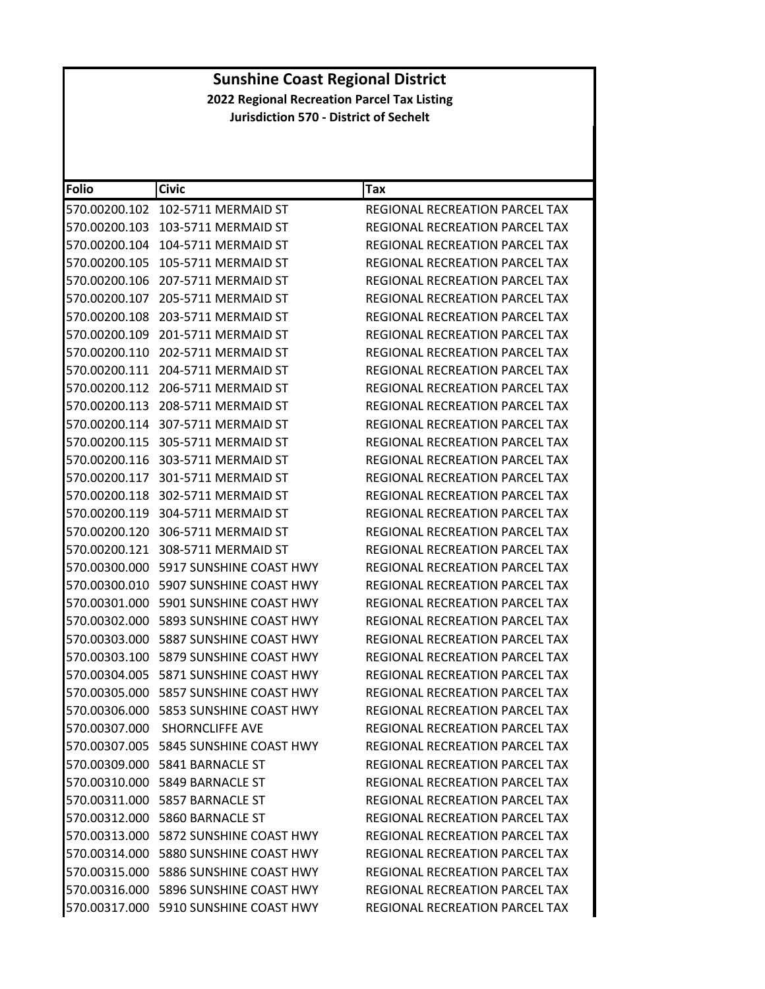| <b>Folio</b>  | <b>Civic</b>                             | Tax                                   |
|---------------|------------------------------------------|---------------------------------------|
| 570.00200.102 | 102-5711 MERMAID ST                      | REGIONAL RECREATION PARCEL TAX        |
| 570.00200.103 | 103-5711 MERMAID ST                      | REGIONAL RECREATION PARCEL TAX        |
| 570.00200.104 | 104-5711 MERMAID ST                      | REGIONAL RECREATION PARCEL TAX        |
| 570.00200.105 | 105-5711 MERMAID ST                      | REGIONAL RECREATION PARCEL TAX        |
| 570.00200.106 | 207-5711 MERMAID ST                      | REGIONAL RECREATION PARCEL TAX        |
| 570.00200.107 | 205-5711 MERMAID ST                      | REGIONAL RECREATION PARCEL TAX        |
| 570.00200.108 | 203-5711 MERMAID ST                      | REGIONAL RECREATION PARCEL TAX        |
| 570.00200.109 | 201-5711 MERMAID ST                      | REGIONAL RECREATION PARCEL TAX        |
| 570.00200.110 | 202-5711 MERMAID ST                      | REGIONAL RECREATION PARCEL TAX        |
| 570.00200.111 | 204-5711 MERMAID ST                      | REGIONAL RECREATION PARCEL TAX        |
| 570.00200.112 | 206-5711 MERMAID ST                      | REGIONAL RECREATION PARCEL TAX        |
| 570.00200.113 | 208-5711 MERMAID ST                      | REGIONAL RECREATION PARCEL TAX        |
| 570.00200.114 | 307-5711 MERMAID ST                      | REGIONAL RECREATION PARCEL TAX        |
| 570.00200.115 | 305-5711 MERMAID ST                      | REGIONAL RECREATION PARCEL TAX        |
|               | 570.00200.116 303-5711 MERMAID ST        | REGIONAL RECREATION PARCEL TAX        |
| 570.00200.117 | 301-5711 MERMAID ST                      | REGIONAL RECREATION PARCEL TAX        |
| 570.00200.118 | 302-5711 MERMAID ST                      | REGIONAL RECREATION PARCEL TAX        |
| 570.00200.119 | 304-5711 MERMAID ST                      | REGIONAL RECREATION PARCEL TAX        |
| 570.00200.120 | 306-5711 MERMAID ST                      | REGIONAL RECREATION PARCEL TAX        |
| 570.00200.121 | 308-5711 MERMAID ST                      | REGIONAL RECREATION PARCEL TAX        |
| 570.00300.000 | 5917 SUNSHINE COAST HWY                  | REGIONAL RECREATION PARCEL TAX        |
|               | 570.00300.010    5907 SUNSHINE COAST HWY | REGIONAL RECREATION PARCEL TAX        |
| 570.00301.000 | 5901 SUNSHINE COAST HWY                  | REGIONAL RECREATION PARCEL TAX        |
| 570.00302.000 | 5893 SUNSHINE COAST HWY                  | REGIONAL RECREATION PARCEL TAX        |
| 570.00303.000 | 5887 SUNSHINE COAST HWY                  | REGIONAL RECREATION PARCEL TAX        |
| 570.00303.100 | 5879 SUNSHINE COAST HWY                  | <b>REGIONAL RECREATION PARCEL TAX</b> |
|               | 570.00304.005    5871 SUNSHINE COAST HWY | REGIONAL RECREATION PARCEL TAX        |
| 570.00305.000 | 5857 SUNSHINE COAST HWY                  | REGIONAL RECREATION PARCEL TAX        |
|               | 570.00306.000    5853 SUNSHINE COAST HWY | REGIONAL RECREATION PARCEL TAX        |
|               | 570.00307.000 SHORNCLIFFE AVE            | REGIONAL RECREATION PARCEL TAX        |
|               | 570.00307.005    5845 SUNSHINE COAST HWY | REGIONAL RECREATION PARCEL TAX        |
|               | 570.00309.000    5841 BARNACLE ST        | REGIONAL RECREATION PARCEL TAX        |
|               | 570.00310.000 5849 BARNACLE ST           | <b>REGIONAL RECREATION PARCEL TAX</b> |
|               | 570.00311.000    5857 BARNACLE ST        | REGIONAL RECREATION PARCEL TAX        |
|               | 570.00312.000 5860 BARNACLE ST           | REGIONAL RECREATION PARCEL TAX        |
|               | 570.00313.000 5872 SUNSHINE COAST HWY    | REGIONAL RECREATION PARCEL TAX        |
|               | 570.00314.000    5880 SUNSHINE COAST HWY | REGIONAL RECREATION PARCEL TAX        |
|               | 570.00315.000 5886 SUNSHINE COAST HWY    | REGIONAL RECREATION PARCEL TAX        |
|               | 570.00316.000 5896 SUNSHINE COAST HWY    | REGIONAL RECREATION PARCEL TAX        |
|               | 570.00317.000 5910 SUNSHINE COAST HWY    | REGIONAL RECREATION PARCEL TAX        |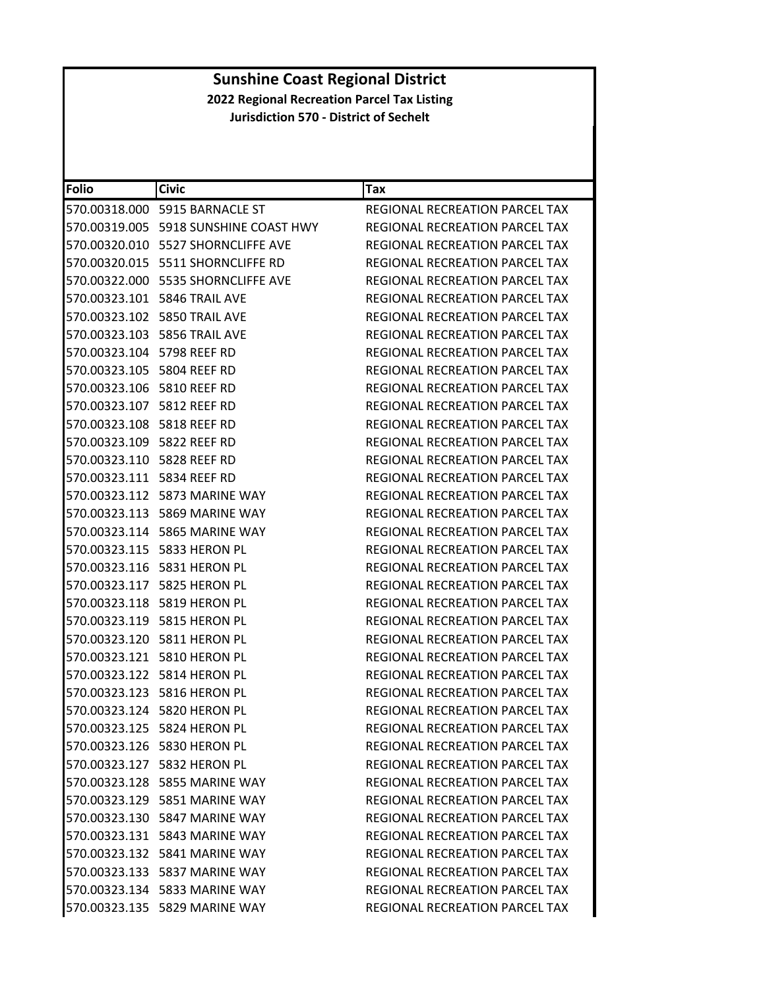| <b>Folio</b>                  | <b>Civic</b>                          | Tax                                   |
|-------------------------------|---------------------------------------|---------------------------------------|
|                               | 570.00318.000    5915 BARNACLE ST     | REGIONAL RECREATION PARCEL TAX        |
|                               | 570.00319.005 5918 SUNSHINE COAST HWY | REGIONAL RECREATION PARCEL TAX        |
|                               | 570.00320.010 5527 SHORNCLIFFE AVE    | REGIONAL RECREATION PARCEL TAX        |
|                               | 570.00320.015    5511 SHORNCLIFFE RD  | REGIONAL RECREATION PARCEL TAX        |
|                               | 570.00322.000 5535 SHORNCLIFFE AVE    | REGIONAL RECREATION PARCEL TAX        |
|                               | 570.00323.101    5846 TRAIL AVE       | REGIONAL RECREATION PARCEL TAX        |
|                               | 570.00323.102    5850 TRAIL AVE       | <b>REGIONAL RECREATION PARCEL TAX</b> |
|                               | 570.00323.103    5856 TRAIL AVE       | <b>REGIONAL RECREATION PARCEL TAX</b> |
| 570.00323.104 5798 REEF RD    |                                       | REGIONAL RECREATION PARCEL TAX        |
| 570.00323.105 5804 REEF RD    |                                       | REGIONAL RECREATION PARCEL TAX        |
| 570.00323.106 5810 REEF RD    |                                       | REGIONAL RECREATION PARCEL TAX        |
| 570.00323.107 5812 REEF RD    |                                       | REGIONAL RECREATION PARCEL TAX        |
| 570.00323.108 5818 REEF RD    |                                       | REGIONAL RECREATION PARCEL TAX        |
| 570.00323.109 5822 REEF RD    |                                       | REGIONAL RECREATION PARCEL TAX        |
| 570.00323.110    5828 REEF RD |                                       | REGIONAL RECREATION PARCEL TAX        |
| 570.00323.111    5834 REEF RD |                                       | REGIONAL RECREATION PARCEL TAX        |
|                               | 570.00323.112    5873 MARINE WAY      | REGIONAL RECREATION PARCEL TAX        |
|                               | 570.00323.113 5869 MARINE WAY         | REGIONAL RECREATION PARCEL TAX        |
|                               | 570.00323.114 5865 MARINE WAY         | REGIONAL RECREATION PARCEL TAX        |
|                               | 570.00323.115    5833 HERON PL        | REGIONAL RECREATION PARCEL TAX        |
|                               | 570.00323.116    5831 HERON PL        | REGIONAL RECREATION PARCEL TAX        |
|                               |                                       | REGIONAL RECREATION PARCEL TAX        |
|                               | 570.00323.118 5819 HERON PL           | REGIONAL RECREATION PARCEL TAX        |
|                               |                                       | REGIONAL RECREATION PARCEL TAX        |
|                               | 570.00323.120    5811 HERON PL        | REGIONAL RECREATION PARCEL TAX        |
|                               | 570.00323.121 5810 HERON PL           | REGIONAL RECREATION PARCEL TAX        |
|                               | 570.00323.122    5814 HERON PL        | REGIONAL RECREATION PARCEL TAX        |
|                               | 570.00323.123 5816 HERON PL           | <b>REGIONAL RECREATION PARCEL TAX</b> |
|                               | 570.00323.124 5820 HERON PL           | REGIONAL RECREATION PARCEL TAX        |
|                               | 570.00323.125 5824 HERON PL           | REGIONAL RECREATION PARCEL TAX        |
|                               | 570.00323.126 5830 HERON PL           | REGIONAL RECREATION PARCEL TAX        |
|                               | 570.00323.127 5832 HERON PL           | REGIONAL RECREATION PARCEL TAX        |
|                               | 570.00323.128 5855 MARINE WAY         | REGIONAL RECREATION PARCEL TAX        |
|                               | 570.00323.129 5851 MARINE WAY         | <b>REGIONAL RECREATION PARCEL TAX</b> |
|                               | 570.00323.130 5847 MARINE WAY         | REGIONAL RECREATION PARCEL TAX        |
|                               | 570.00323.131    5843 MARINE WAY      | REGIONAL RECREATION PARCEL TAX        |
|                               | 570.00323.132 5841 MARINE WAY         | REGIONAL RECREATION PARCEL TAX        |
|                               | 570.00323.133    5837 MARINE WAY      | REGIONAL RECREATION PARCEL TAX        |
|                               | 570.00323.134 5833 MARINE WAY         | <b>REGIONAL RECREATION PARCEL TAX</b> |
|                               | 570.00323.135 5829 MARINE WAY         | REGIONAL RECREATION PARCEL TAX        |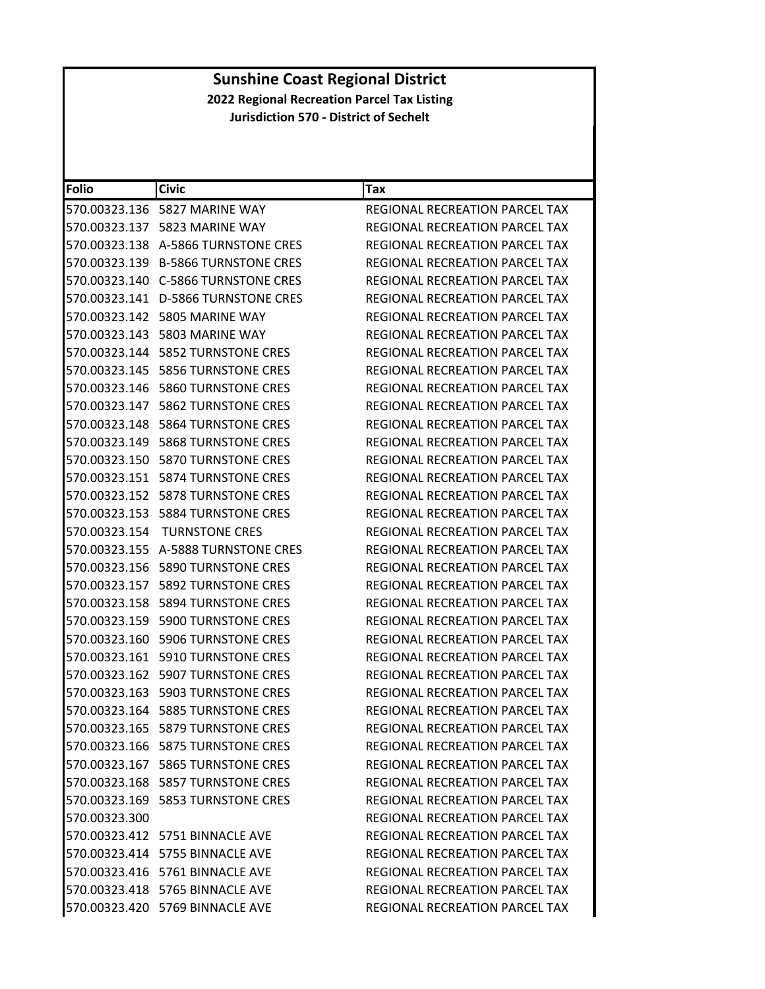| <b>Folio</b>  | <b>Civic</b>                          | Tax                                   |
|---------------|---------------------------------------|---------------------------------------|
|               | 570.00323.136    5827 MARINE WAY      | REGIONAL RECREATION PARCEL TAX        |
|               |                                       | REGIONAL RECREATION PARCEL TAX        |
| 570.00323.138 | A-5866 TURNSTONE CRES                 | REGIONAL RECREATION PARCEL TAX        |
|               | 570.00323.139 B-5866 TURNSTONE CRES   | REGIONAL RECREATION PARCEL TAX        |
|               |                                       | REGIONAL RECREATION PARCEL TAX        |
|               | 570.00323.141 D-5866 TURNSTONE CRES   | REGIONAL RECREATION PARCEL TAX        |
|               | 570.00323.142    5805 MARINE WAY      | REGIONAL RECREATION PARCEL TAX        |
| 570.00323.143 | 5803 MARINE WAY                       | REGIONAL RECREATION PARCEL TAX        |
|               |                                       | REGIONAL RECREATION PARCEL TAX        |
|               |                                       | REGIONAL RECREATION PARCEL TAX        |
| 570.00323.146 | 5860 TURNSTONE CRES                   | REGIONAL RECREATION PARCEL TAX        |
|               |                                       | REGIONAL RECREATION PARCEL TAX        |
| 570.00323.148 | <b>5864 TURNSTONE CRES</b>            | <b>REGIONAL RECREATION PARCEL TAX</b> |
| 570.00323.149 | <b>5868 TURNSTONE CRES</b>            | REGIONAL RECREATION PARCEL TAX        |
|               | 570.00323.150    5870 TURNSTONE CRES  | REGIONAL RECREATION PARCEL TAX        |
|               | 570.00323.151    5874 TURNSTONE CRES  | REGIONAL RECREATION PARCEL TAX        |
|               | 570.00323.152    5878 TURNSTONE CRES  | <b>REGIONAL RECREATION PARCEL TAX</b> |
| 570.00323.153 | <b>5884 TURNSTONE CRES</b>            | REGIONAL RECREATION PARCEL TAX        |
| 570.00323.154 | <b>TURNSTONE CRES</b>                 | <b>REGIONAL RECREATION PARCEL TAX</b> |
| 570.00323.155 | A-5888 TURNSTONE CRES                 | REGIONAL RECREATION PARCEL TAX        |
|               |                                       | REGIONAL RECREATION PARCEL TAX        |
| 570.00323.157 | <b>5892 TURNSTONE CRES</b>            | REGIONAL RECREATION PARCEL TAX        |
| 570.00323.158 | 5894 TURNSTONE CRES                   | REGIONAL RECREATION PARCEL TAX        |
| 570.00323.159 | <b>5900 TURNSTONE CRES</b>            | REGIONAL RECREATION PARCEL TAX        |
|               | 570.00323.160    5906 TURNSTONE CRES  | REGIONAL RECREATION PARCEL TAX        |
| 570.00323.161 | 5910 TURNSTONE CRES                   | REGIONAL RECREATION PARCEL TAX        |
|               | 570.00323.162    5907 TURNSTONE CRES  | <b>REGIONAL RECREATION PARCEL TAX</b> |
|               | 570.00323.163    5903 TURNSTONE CRES  | REGIONAL RECREATION PARCEL TAX        |
|               | 570.00323.164    5885 TURNSTONE CRES  | REGIONAL RECREATION PARCEL TAX        |
|               | 570.00323.165 5879 TURNSTONE CRES     | REGIONAL RECREATION PARCEL TAX        |
|               | 570.00323.166    5875 TURNSTONE CRES  | <b>REGIONAL RECREATION PARCEL TAX</b> |
|               | 570.00323.167    5865 TURNSTONE CRES  | REGIONAL RECREATION PARCEL TAX        |
|               | 570.00323.168    5857 TURNSTONE CRES  | REGIONAL RECREATION PARCEL TAX        |
|               | 570.00323.169    5853 TURNSTONE CRES  | <b>REGIONAL RECREATION PARCEL TAX</b> |
| 570.00323.300 |                                       | REGIONAL RECREATION PARCEL TAX        |
|               | 570.00323.412    5751    BINNACLE AVE | REGIONAL RECREATION PARCEL TAX        |
|               | 570.00323.414 5755 BINNACLE AVE       | REGIONAL RECREATION PARCEL TAX        |
|               | 570.00323.416    5761 BINNACLE AVE    | REGIONAL RECREATION PARCEL TAX        |
|               | 570.00323.418 5765 BINNACLE AVE       | REGIONAL RECREATION PARCEL TAX        |
|               | 570.00323.420 5769 BINNACLE AVE       | REGIONAL RECREATION PARCEL TAX        |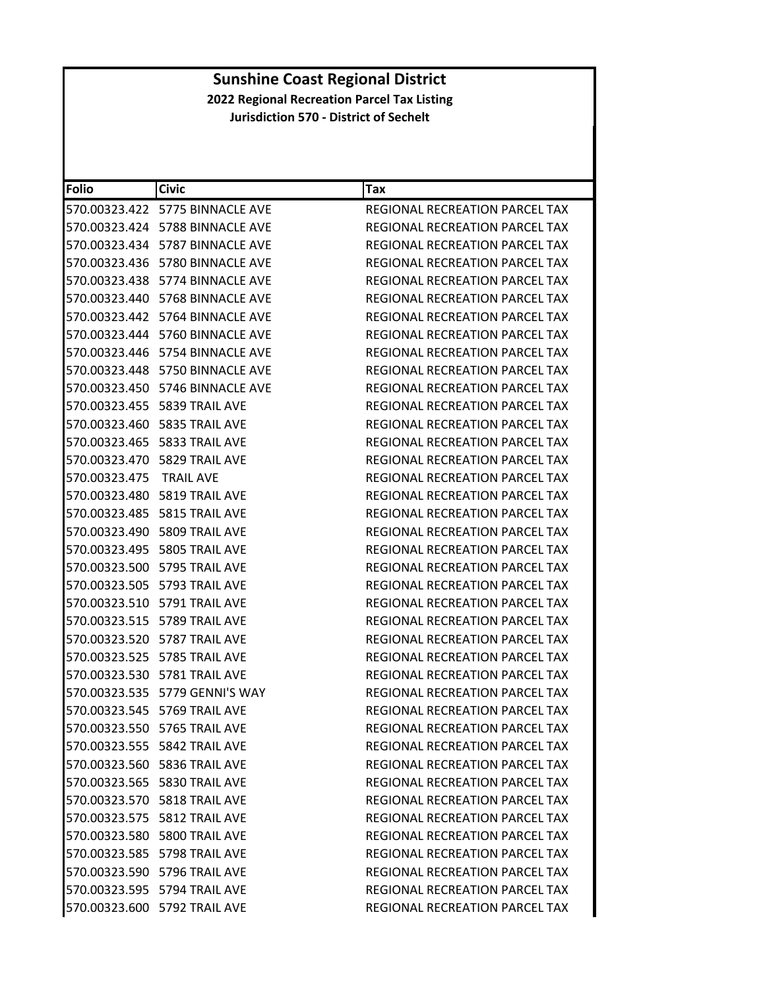| Folio         | <b>Civic</b>                          | Tax                                   |
|---------------|---------------------------------------|---------------------------------------|
|               | 570.00323.422 5775 BINNACLE AVE       | REGIONAL RECREATION PARCEL TAX        |
|               | 570.00323.424    5788    BINNACLE AVE | REGIONAL RECREATION PARCEL TAX        |
|               | 570.00323.434 5787 BINNACLE AVE       | <b>REGIONAL RECREATION PARCEL TAX</b> |
|               | 570.00323.436    5780    BINNACLE AVE | REGIONAL RECREATION PARCEL TAX        |
|               | 570.00323.438 5774 BINNACLE AVE       | REGIONAL RECREATION PARCEL TAX        |
|               | 570.00323.440    5768    BINNACLE AVE | REGIONAL RECREATION PARCEL TAX        |
|               |                                       | REGIONAL RECREATION PARCEL TAX        |
|               | 570.00323.444 5760 BINNACLE AVE       | <b>REGIONAL RECREATION PARCEL TAX</b> |
|               | 570.00323.446    5754    BINNACLE AVE | REGIONAL RECREATION PARCEL TAX        |
|               | 570.00323.448    5750 BINNACLE AVE    | REGIONAL RECREATION PARCEL TAX        |
|               |                                       | REGIONAL RECREATION PARCEL TAX        |
|               | 570.00323.455    5839 TRAIL AVE       | REGIONAL RECREATION PARCEL TAX        |
|               | 570.00323.460    5835 TRAIL AVE       | REGIONAL RECREATION PARCEL TAX        |
|               | 570.00323.465    5833 TRAIL AVE       | REGIONAL RECREATION PARCEL TAX        |
|               | 570.00323.470    5829 TRAIL AVE       | REGIONAL RECREATION PARCEL TAX        |
| 570.00323.475 | <b>TRAIL AVE</b>                      | REGIONAL RECREATION PARCEL TAX        |
|               | 570.00323.480    5819 TRAIL AVE       | <b>REGIONAL RECREATION PARCEL TAX</b> |
|               | 570.00323.485    5815 TRAIL AVE       | <b>REGIONAL RECREATION PARCEL TAX</b> |
|               | 570.00323.490    5809 TRAIL AVE       | REGIONAL RECREATION PARCEL TAX        |
|               | 570.00323.495    5805 TRAIL AVE       | REGIONAL RECREATION PARCEL TAX        |
|               | 570.00323.500 5795 TRAIL AVE          | REGIONAL RECREATION PARCEL TAX        |
|               | 570.00323.505    5793 TRAIL AVE       | REGIONAL RECREATION PARCEL TAX        |
|               | 570.00323.510 5791 TRAIL AVE          | REGIONAL RECREATION PARCEL TAX        |
|               | 570.00323.515    5789 TRAIL AVE       | REGIONAL RECREATION PARCEL TAX        |
|               | 570.00323.520    5787 TRAIL AVE       | REGIONAL RECREATION PARCEL TAX        |
|               | 570.00323.525    5785 TRAIL AVE       | REGIONAL RECREATION PARCEL TAX        |
|               | 570.00323.530    5781 TRAIL AVE       | <b>REGIONAL RECREATION PARCEL TAX</b> |
|               | 570.00323.535 5779 GENNI'S WAY        | <b>REGIONAL RECREATION PARCEL TAX</b> |
|               | 570.00323.545    5769 TRAIL AVE       | REGIONAL RECREATION PARCEL TAX        |
|               | 570.00323.550 5765 TRAIL AVE          | REGIONAL RECREATION PARCEL TAX        |
|               | 570.00323.555    5842 TRAIL AVE       | REGIONAL RECREATION PARCEL TAX        |
|               | 570.00323.560    5836 TRAIL AVE       | REGIONAL RECREATION PARCEL TAX        |
|               | 570.00323.565    5830 TRAIL AVE       | REGIONAL RECREATION PARCEL TAX        |
|               | 570.00323.570    5818 TRAIL AVE       | REGIONAL RECREATION PARCEL TAX        |
|               | 570.00323.575    5812 TRAIL AVE       | REGIONAL RECREATION PARCEL TAX        |
|               | 570.00323.580 5800 TRAIL AVE          | REGIONAL RECREATION PARCEL TAX        |
|               | 570.00323.585    5798 TRAIL AVE       | REGIONAL RECREATION PARCEL TAX        |
|               | 570.00323.590    5796 TRAIL AVE       | REGIONAL RECREATION PARCEL TAX        |
|               | 570.00323.595    5794 TRAIL AVE       | REGIONAL RECREATION PARCEL TAX        |
|               | 570.00323.600 5792 TRAIL AVE          | REGIONAL RECREATION PARCEL TAX        |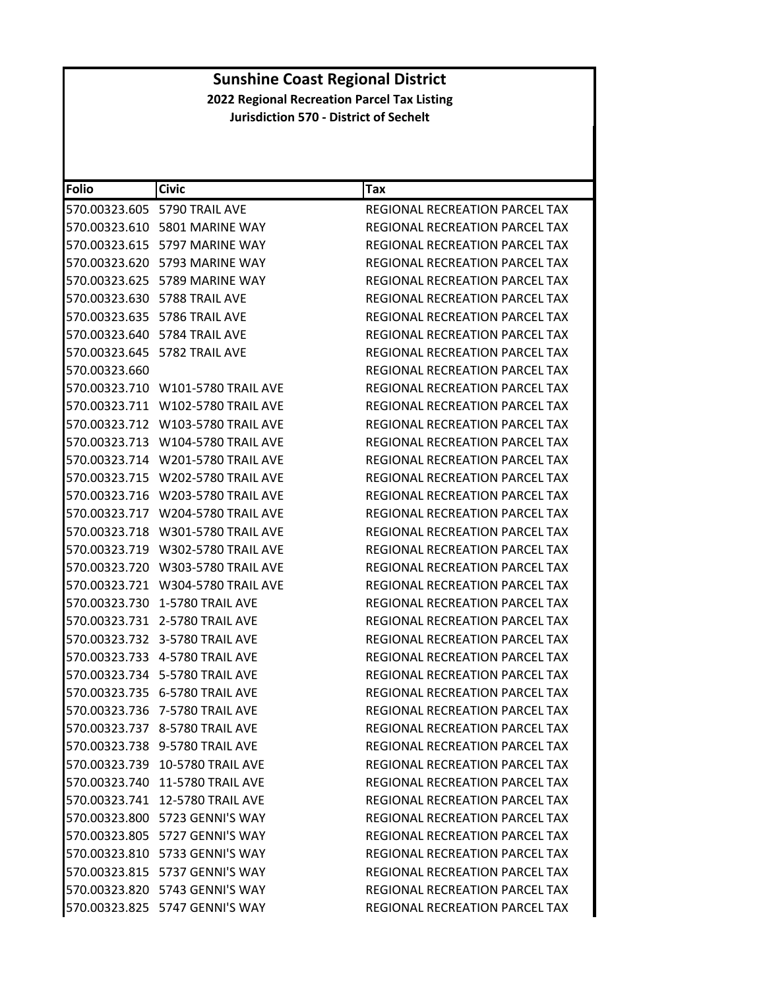| Folio         | <b>Civic</b>                      | Tax                                   |
|---------------|-----------------------------------|---------------------------------------|
|               | 570.00323.605 5790 TRAIL AVE      | <b>REGIONAL RECREATION PARCEL TAX</b> |
|               | 570.00323.610    5801 MARINE WAY  | REGIONAL RECREATION PARCEL TAX        |
|               | 570.00323.615 5797 MARINE WAY     | REGIONAL RECREATION PARCEL TAX        |
|               | 570.00323.620 5793 MARINE WAY     | REGIONAL RECREATION PARCEL TAX        |
|               | 570.00323.625    5789 MARINE WAY  | REGIONAL RECREATION PARCEL TAX        |
|               | 570.00323.630    5788 TRAIL AVE   | REGIONAL RECREATION PARCEL TAX        |
|               | 570.00323.635    5786 TRAIL AVE   | REGIONAL RECREATION PARCEL TAX        |
|               | 570.00323.640 5784 TRAIL AVE      | <b>REGIONAL RECREATION PARCEL TAX</b> |
|               | 570.00323.645    5782 TRAIL AVE   | REGIONAL RECREATION PARCEL TAX        |
| 570.00323.660 |                                   | REGIONAL RECREATION PARCEL TAX        |
|               | 570.00323.710 W101-5780 TRAIL AVE | REGIONAL RECREATION PARCEL TAX        |
|               | 570.00323.711 W102-5780 TRAIL AVE | REGIONAL RECREATION PARCEL TAX        |
|               | 570.00323.712 W103-5780 TRAIL AVE | <b>REGIONAL RECREATION PARCEL TAX</b> |
|               | 570.00323.713 W104-5780 TRAIL AVE | REGIONAL RECREATION PARCEL TAX        |
|               | 570.00323.714 W201-5780 TRAIL AVE | REGIONAL RECREATION PARCEL TAX        |
|               | 570.00323.715 W202-5780 TRAIL AVE | REGIONAL RECREATION PARCEL TAX        |
|               | 570.00323.716 W203-5780 TRAIL AVE | <b>REGIONAL RECREATION PARCEL TAX</b> |
|               | 570.00323.717 W204-5780 TRAIL AVE | REGIONAL RECREATION PARCEL TAX        |
|               |                                   | <b>REGIONAL RECREATION PARCEL TAX</b> |
|               |                                   | REGIONAL RECREATION PARCEL TAX        |
|               | 570.00323.720 W303-5780 TRAIL AVE | REGIONAL RECREATION PARCEL TAX        |
|               | 570.00323.721 W304-5780 TRAIL AVE | REGIONAL RECREATION PARCEL TAX        |
|               | 570.00323.730 1-5780 TRAIL AVE    | REGIONAL RECREATION PARCEL TAX        |
|               | 570.00323.731 2-5780 TRAIL AVE    | REGIONAL RECREATION PARCEL TAX        |
|               | 570.00323.732 3-5780 TRAIL AVE    | REGIONAL RECREATION PARCEL TAX        |
|               | 570.00323.733   4-5780 TRAIL AVE  | REGIONAL RECREATION PARCEL TAX        |
|               | 570.00323.734    5-5780 TRAIL AVE | REGIONAL RECREATION PARCEL TAX        |
|               | 570.00323.735 6-5780 TRAIL AVE    | REGIONAL RECREATION PARCEL TAX        |
|               | 570.00323.736 7-5780 TRAIL AVE    | REGIONAL RECREATION PARCEL TAX        |
|               | 570.00323.737 8-5780 TRAIL AVE    | <b>REGIONAL RECREATION PARCEL TAX</b> |
|               | 570.00323.738 9-5780 TRAIL AVE    | REGIONAL RECREATION PARCEL TAX        |
|               | 570.00323.739 10-5780 TRAIL AVE   | <b>REGIONAL RECREATION PARCEL TAX</b> |
|               | 570.00323.740 11-5780 TRAIL AVE   | <b>REGIONAL RECREATION PARCEL TAX</b> |
|               | 570.00323.741 12-5780 TRAIL AVE   | <b>REGIONAL RECREATION PARCEL TAX</b> |
|               | 570.00323.800 5723 GENNI'S WAY    | REGIONAL RECREATION PARCEL TAX        |
|               | 570.00323.805 5727 GENNI'S WAY    | REGIONAL RECREATION PARCEL TAX        |
|               | 570.00323.810 5733 GENNI'S WAY    | <b>REGIONAL RECREATION PARCEL TAX</b> |
|               | 570.00323.815 5737 GENNI'S WAY    | REGIONAL RECREATION PARCEL TAX        |
|               | 570.00323.820 5743 GENNI'S WAY    | REGIONAL RECREATION PARCEL TAX        |
|               | 570.00323.825 5747 GENNI'S WAY    | REGIONAL RECREATION PARCEL TAX        |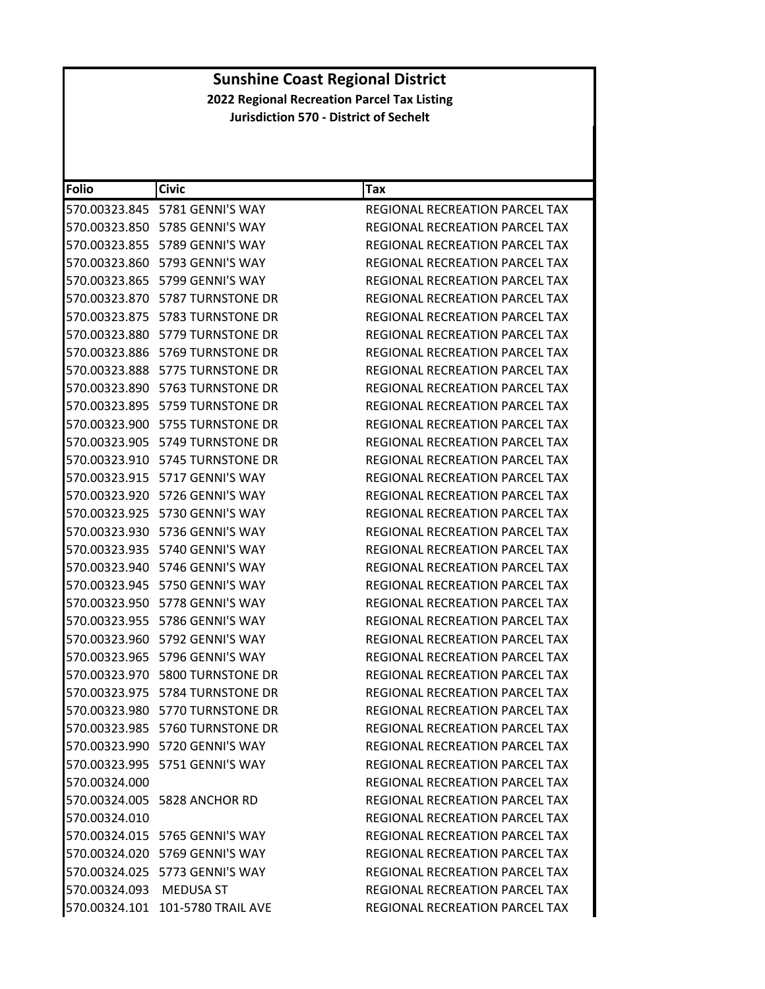| <b>Folio</b>            | <b>Civic</b>                         | Tax                                   |
|-------------------------|--------------------------------------|---------------------------------------|
|                         | 570.00323.845 5781 GENNI'S WAY       | <b>REGIONAL RECREATION PARCEL TAX</b> |
|                         | 570.00323.850 5785 GENNI'S WAY       | REGIONAL RECREATION PARCEL TAX        |
| 570.00323.855           | 5789 GENNI'S WAY                     | REGIONAL RECREATION PARCEL TAX        |
| 570.00323.860           | 5793 GENNI'S WAY                     | REGIONAL RECREATION PARCEL TAX        |
|                         | 570.00323.865 5799 GENNI'S WAY       | REGIONAL RECREATION PARCEL TAX        |
| 570.00323.870           | 5787 TURNSTONE DR                    | REGIONAL RECREATION PARCEL TAX        |
|                         | 570.00323.875    5783 TURNSTONE DR   | REGIONAL RECREATION PARCEL TAX        |
| 570.00323.880           | 5779 TURNSTONE DR                    | REGIONAL RECREATION PARCEL TAX        |
| 570.00323.886           | 5769 TURNSTONE DR                    | REGIONAL RECREATION PARCEL TAX        |
|                         | 570.00323.888    5775 TURNSTONE DR   | REGIONAL RECREATION PARCEL TAX        |
| 570.00323.890           | 5763 TURNSTONE DR                    | REGIONAL RECREATION PARCEL TAX        |
|                         | 570.00323.895    5759 TURNSTONE DR   | REGIONAL RECREATION PARCEL TAX        |
| 570.00323.900           | 5755 TURNSTONE DR                    | REGIONAL RECREATION PARCEL TAX        |
| 570.00323.905           | 5749 TURNSTONE DR                    | REGIONAL RECREATION PARCEL TAX        |
|                         | 570.00323.910    5745 TURNSTONE DR   | <b>REGIONAL RECREATION PARCEL TAX</b> |
| 570.00323.915           | 5717 GENNI'S WAY                     | REGIONAL RECREATION PARCEL TAX        |
|                         | 570.00323.920 5726 GENNI'S WAY       | REGIONAL RECREATION PARCEL TAX        |
| 570.00323.925           | 5730 GENNI'S WAY                     | <b>REGIONAL RECREATION PARCEL TAX</b> |
| 570.00323.930           | 5736 GENNI'S WAY                     | <b>REGIONAL RECREATION PARCEL TAX</b> |
|                         | 570.00323.935 5740 GENNI'S WAY       | REGIONAL RECREATION PARCEL TAX        |
| 570.00323.940           | 5746 GENNI'S WAY                     | REGIONAL RECREATION PARCEL TAX        |
|                         | 570.00323.945 5750 GENNI'S WAY       | REGIONAL RECREATION PARCEL TAX        |
| 570.00323.950           | 5778 GENNI'S WAY                     | REGIONAL RECREATION PARCEL TAX        |
| 570.00323.955           | 5786 GENNI'S WAY                     | REGIONAL RECREATION PARCEL TAX        |
|                         | 570.00323.960 5792 GENNI'S WAY       | REGIONAL RECREATION PARCEL TAX        |
| 570.00323.965           | 5796 GENNI'S WAY                     | <b>REGIONAL RECREATION PARCEL TAX</b> |
| 570.00323.970           | <b>5800 TURNSTONE DR</b>             | REGIONAL RECREATION PARCEL TAX        |
| 570.00323.975           | 5784 TURNSTONE DR                    | <b>REGIONAL RECREATION PARCEL TAX</b> |
| 570.00323.980           | 5770 TURNSTONE DR                    | REGIONAL RECREATION PARCEL TAX        |
|                         | 570.00323.985 5760 TURNSTONE DR      | REGIONAL RECREATION PARCEL TAX        |
|                         | 570.00323.990 5720 GENNI'S WAY       | REGIONAL RECREATION PARCEL TAX        |
|                         | 570.00323.995    5751    GENNI'S WAY | REGIONAL RECREATION PARCEL TAX        |
| 570.00324.000           |                                      | REGIONAL RECREATION PARCEL TAX        |
|                         | 570.00324.005 5828 ANCHOR RD         | REGIONAL RECREATION PARCEL TAX        |
| 570.00324.010           |                                      | REGIONAL RECREATION PARCEL TAX        |
|                         | 570.00324.015 5765 GENNI'S WAY       | REGIONAL RECREATION PARCEL TAX        |
|                         | 570.00324.020 5769 GENNI'S WAY       | REGIONAL RECREATION PARCEL TAX        |
|                         | 570.00324.025 5773 GENNI'S WAY       | <b>REGIONAL RECREATION PARCEL TAX</b> |
| 570.00324.093 MEDUSA ST |                                      | REGIONAL RECREATION PARCEL TAX        |
|                         | 570.00324.101 101-5780 TRAIL AVE     | REGIONAL RECREATION PARCEL TAX        |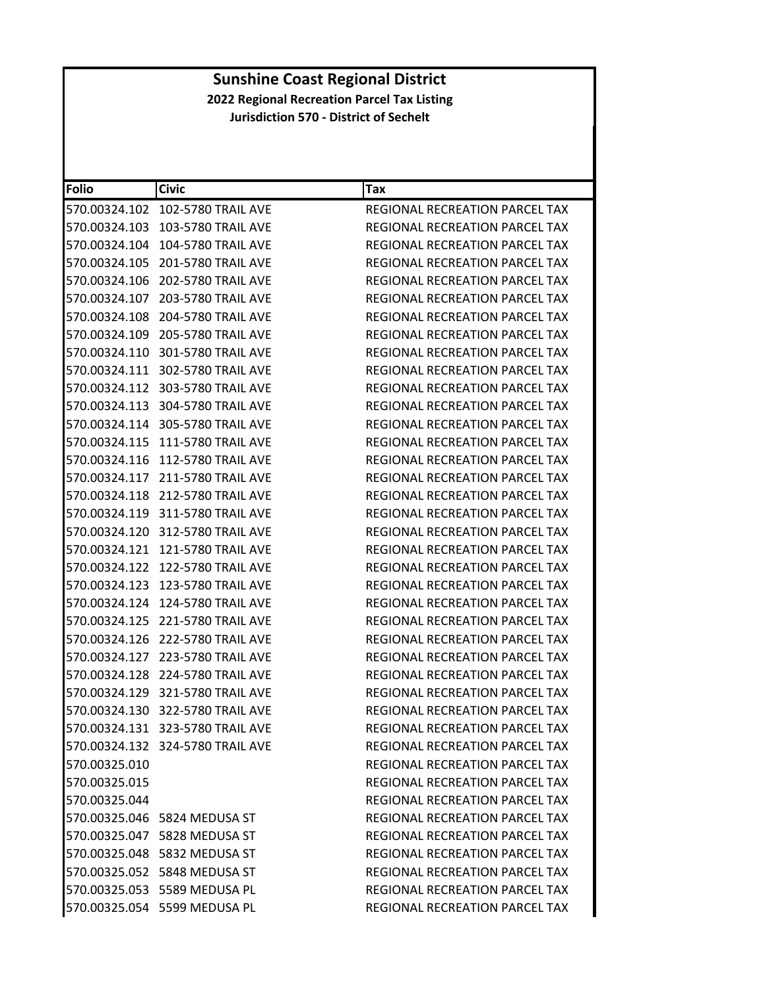| Folio         | <b>Civic</b>                     | Tax                                   |
|---------------|----------------------------------|---------------------------------------|
| 570.00324.102 | 102-5780 TRAIL AVE               | REGIONAL RECREATION PARCEL TAX        |
| 570.00324.103 | 103-5780 TRAIL AVE               | REGIONAL RECREATION PARCEL TAX        |
| 570.00324.104 | 104-5780 TRAIL AVE               | REGIONAL RECREATION PARCEL TAX        |
| 570.00324.105 | 201-5780 TRAIL AVE               | REGIONAL RECREATION PARCEL TAX        |
|               | 570.00324.106 202-5780 TRAIL AVE | REGIONAL RECREATION PARCEL TAX        |
| 570.00324.107 | 203-5780 TRAIL AVE               | REGIONAL RECREATION PARCEL TAX        |
|               | 570.00324.108 204-5780 TRAIL AVE | REGIONAL RECREATION PARCEL TAX        |
|               | 570.00324.109 205-5780 TRAIL AVE | <b>REGIONAL RECREATION PARCEL TAX</b> |
|               | 570.00324.110 301-5780 TRAIL AVE | REGIONAL RECREATION PARCEL TAX        |
|               | 570.00324.111 302-5780 TRAIL AVE | REGIONAL RECREATION PARCEL TAX        |
|               | 570.00324.112 303-5780 TRAIL AVE | REGIONAL RECREATION PARCEL TAX        |
|               | 570.00324.113 304-5780 TRAIL AVE | REGIONAL RECREATION PARCEL TAX        |
|               | 570.00324.114 305-5780 TRAIL AVE | REGIONAL RECREATION PARCEL TAX        |
| 570.00324.115 | <b>111-5780 TRAIL AVE</b>        | REGIONAL RECREATION PARCEL TAX        |
|               | 570.00324.116 112-5780 TRAIL AVE | REGIONAL RECREATION PARCEL TAX        |
|               | 570.00324.117 211-5780 TRAIL AVE | REGIONAL RECREATION PARCEL TAX        |
|               | 570.00324.118 212-5780 TRAIL AVE | REGIONAL RECREATION PARCEL TAX        |
|               | 570.00324.119 311-5780 TRAIL AVE | <b>REGIONAL RECREATION PARCEL TAX</b> |
|               | 570.00324.120 312-5780 TRAIL AVE | REGIONAL RECREATION PARCEL TAX        |
|               |                                  | REGIONAL RECREATION PARCEL TAX        |
| 570.00324.122 | <b>122-5780 TRAIL AVE</b>        | REGIONAL RECREATION PARCEL TAX        |
| 570.00324.123 | 123-5780 TRAIL AVE               | REGIONAL RECREATION PARCEL TAX        |
|               |                                  | REGIONAL RECREATION PARCEL TAX        |
| 570.00324.125 | <b>221-5780 TRAIL AVE</b>        | REGIONAL RECREATION PARCEL TAX        |
| 570.00324.126 | 222-5780 TRAIL AVE               | REGIONAL RECREATION PARCEL TAX        |
| 570.00324.127 | 223-5780 TRAIL AVE               | REGIONAL RECREATION PARCEL TAX        |
| 570.00324.128 | 224-5780 TRAIL AVE               | REGIONAL RECREATION PARCEL TAX        |
|               | 570.00324.129 321-5780 TRAIL AVE | REGIONAL RECREATION PARCEL TAX        |
| 570.00324.130 | 322-5780 TRAIL AVE               | REGIONAL RECREATION PARCEL TAX        |
|               | 570.00324.131 323-5780 TRAIL AVE | REGIONAL RECREATION PARCEL TAX        |
|               | 570.00324.132 324-5780 TRAIL AVE | REGIONAL RECREATION PARCEL TAX        |
| 570.00325.010 |                                  | REGIONAL RECREATION PARCEL TAX        |
| 570.00325.015 |                                  | REGIONAL RECREATION PARCEL TAX        |
| 570.00325.044 |                                  | <b>REGIONAL RECREATION PARCEL TAX</b> |
|               | 570.00325.046 5824 MEDUSA ST     | REGIONAL RECREATION PARCEL TAX        |
|               | 570.00325.047 5828 MEDUSA ST     | <b>REGIONAL RECREATION PARCEL TAX</b> |
|               | 570.00325.048 5832 MEDUSA ST     | REGIONAL RECREATION PARCEL TAX        |
|               | 570.00325.052 5848 MEDUSA ST     | REGIONAL RECREATION PARCEL TAX        |
|               | 570.00325.053 5589 MEDUSA PL     | REGIONAL RECREATION PARCEL TAX        |
|               | 570.00325.054 5599 MEDUSA PL     | REGIONAL RECREATION PARCEL TAX        |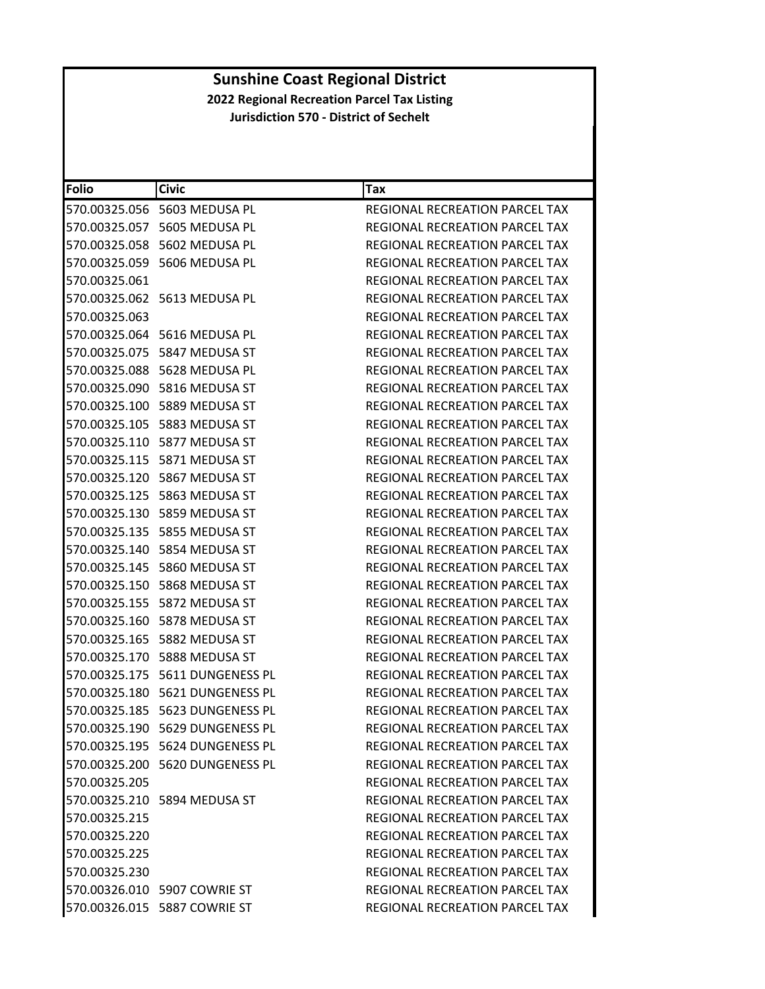| Folio         | <b>Civic</b>                          | Tax                                   |
|---------------|---------------------------------------|---------------------------------------|
|               | 570.00325.056 5603 MEDUSA PL          | <b>REGIONAL RECREATION PARCEL TAX</b> |
|               | 570.00325.057 5605 MEDUSA PL          | REGIONAL RECREATION PARCEL TAX        |
|               | 570.00325.058 5602 MEDUSA PL          | <b>REGIONAL RECREATION PARCEL TAX</b> |
|               | 570.00325.059 5606 MEDUSA PL          | REGIONAL RECREATION PARCEL TAX        |
| 570.00325.061 |                                       | REGIONAL RECREATION PARCEL TAX        |
|               | 570.00325.062 5613 MEDUSA PL          | REGIONAL RECREATION PARCEL TAX        |
| 570.00325.063 |                                       | REGIONAL RECREATION PARCEL TAX        |
|               | 570.00325.064 5616 MEDUSA PL          | REGIONAL RECREATION PARCEL TAX        |
|               | 570.00325.075 5847 MEDUSA ST          | REGIONAL RECREATION PARCEL TAX        |
|               | 570.00325.088 5628 MEDUSA PL          | REGIONAL RECREATION PARCEL TAX        |
|               | 570.00325.090 5816 MEDUSA ST          | REGIONAL RECREATION PARCEL TAX        |
|               | 570.00325.100    5889 MEDUSA ST       | REGIONAL RECREATION PARCEL TAX        |
|               | 570.00325.105    5883 MEDUSA ST       | REGIONAL RECREATION PARCEL TAX        |
|               | 570.00325.110 5877 MEDUSA ST          | REGIONAL RECREATION PARCEL TAX        |
|               |                                       | REGIONAL RECREATION PARCEL TAX        |
|               | 570.00325.120    5867 MEDUSA ST       | <b>REGIONAL RECREATION PARCEL TAX</b> |
|               | 570.00325.125    5863 MEDUSA ST       | <b>REGIONAL RECREATION PARCEL TAX</b> |
|               | 570.00325.130 5859 MEDUSA ST          | <b>REGIONAL RECREATION PARCEL TAX</b> |
|               |                                       | REGIONAL RECREATION PARCEL TAX        |
|               |                                       | REGIONAL RECREATION PARCEL TAX        |
|               |                                       | REGIONAL RECREATION PARCEL TAX        |
|               |                                       | REGIONAL RECREATION PARCEL TAX        |
|               | 570.00325.155 5872 MEDUSA ST          | REGIONAL RECREATION PARCEL TAX        |
|               | 570.00325.160    5878 MEDUSA ST       | REGIONAL RECREATION PARCEL TAX        |
|               |                                       | REGIONAL RECREATION PARCEL TAX        |
|               | 570.00325.170 5888 MEDUSA ST          | REGIONAL RECREATION PARCEL TAX        |
|               | 570.00325.175    5611    DUNGENESS PL | REGIONAL RECREATION PARCEL TAX        |
|               | 570.00325.180    5621    DUNGENESS PL | <b>REGIONAL RECREATION PARCEL TAX</b> |
|               | 570.00325.185    5623    DUNGENESS PL | REGIONAL RECREATION PARCEL TAX        |
|               | 570.00325.190 5629 DUNGENESS PL       | REGIONAL RECREATION PARCEL TAX        |
|               | 570.00325.195 5624 DUNGENESS PL       | REGIONAL RECREATION PARCEL TAX        |
|               | 570.00325.200 5620 DUNGENESS PL       | REGIONAL RECREATION PARCEL TAX        |
| 570.00325.205 |                                       | REGIONAL RECREATION PARCEL TAX        |
|               | 570.00325.210 5894 MEDUSA ST          | <b>REGIONAL RECREATION PARCEL TAX</b> |
| 570.00325.215 |                                       | REGIONAL RECREATION PARCEL TAX        |
| 570.00325.220 |                                       | <b>REGIONAL RECREATION PARCEL TAX</b> |
| 570.00325.225 |                                       | REGIONAL RECREATION PARCEL TAX        |
| 570.00325.230 |                                       | REGIONAL RECREATION PARCEL TAX        |
|               | 570.00326.010 5907 COWRIE ST          | REGIONAL RECREATION PARCEL TAX        |
|               |                                       | REGIONAL RECREATION PARCEL TAX        |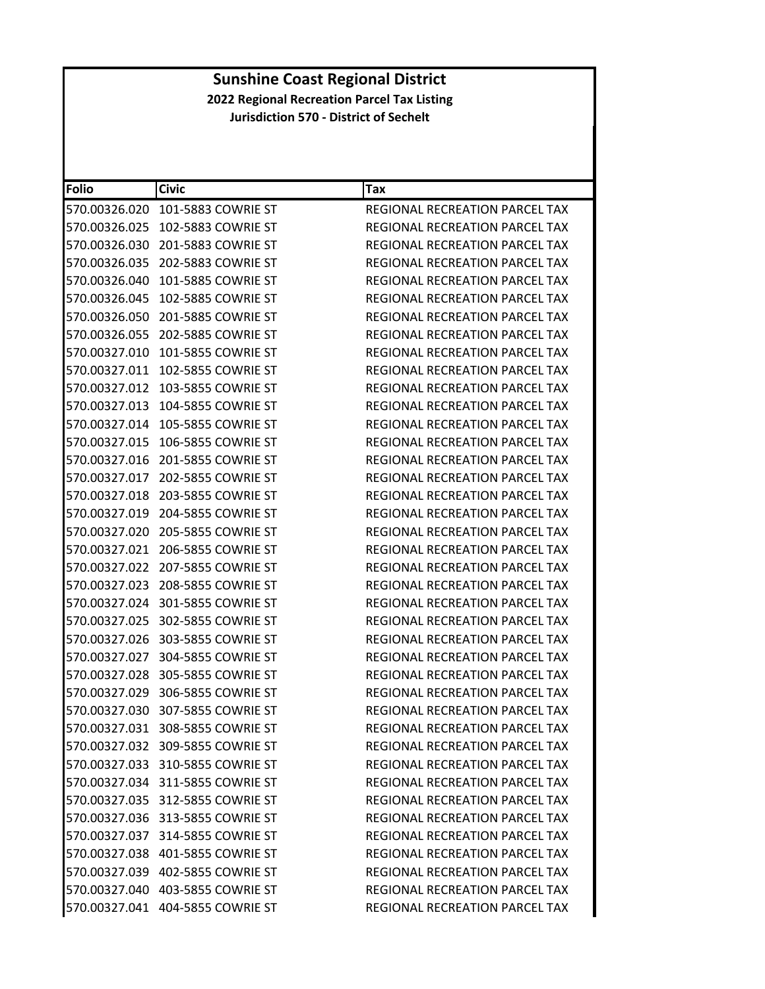| Folio         | <b>Civic</b>                     | Tax                                   |
|---------------|----------------------------------|---------------------------------------|
| 570.00326.020 | 101-5883 COWRIE ST               | REGIONAL RECREATION PARCEL TAX        |
| 570.00326.025 | 102-5883 COWRIE ST               | REGIONAL RECREATION PARCEL TAX        |
| 570.00326.030 | 201-5883 COWRIE ST               | REGIONAL RECREATION PARCEL TAX        |
| 570.00326.035 | 202-5883 COWRIE ST               | REGIONAL RECREATION PARCEL TAX        |
| 570.00326.040 | 101-5885 COWRIE ST               | REGIONAL RECREATION PARCEL TAX        |
| 570.00326.045 | 102-5885 COWRIE ST               | REGIONAL RECREATION PARCEL TAX        |
|               | 570.00326.050 201-5885 COWRIE ST | REGIONAL RECREATION PARCEL TAX        |
| 570.00326.055 | 202-5885 COWRIE ST               | <b>REGIONAL RECREATION PARCEL TAX</b> |
| 570.00327.010 | 101-5855 COWRIE ST               | REGIONAL RECREATION PARCEL TAX        |
|               | 570.00327.011 102-5855 COWRIE ST | REGIONAL RECREATION PARCEL TAX        |
| 570.00327.012 | 103-5855 COWRIE ST               | REGIONAL RECREATION PARCEL TAX        |
| 570.00327.013 | 104-5855 COWRIE ST               | REGIONAL RECREATION PARCEL TAX        |
|               |                                  | REGIONAL RECREATION PARCEL TAX        |
| 570.00327.015 | 106-5855 COWRIE ST               | REGIONAL RECREATION PARCEL TAX        |
|               | 570.00327.016 201-5855 COWRIE ST | REGIONAL RECREATION PARCEL TAX        |
| 570.00327.017 | 202-5855 COWRIE ST               | REGIONAL RECREATION PARCEL TAX        |
| 570.00327.018 | 203-5855 COWRIE ST               | REGIONAL RECREATION PARCEL TAX        |
| 570.00327.019 | 204-5855 COWRIE ST               | REGIONAL RECREATION PARCEL TAX        |
| 570.00327.020 | 205-5855 COWRIE ST               | REGIONAL RECREATION PARCEL TAX        |
| 570.00327.021 | 206-5855 COWRIE ST               | REGIONAL RECREATION PARCEL TAX        |
| 570.00327.022 | 207-5855 COWRIE ST               | REGIONAL RECREATION PARCEL TAX        |
| 570.00327.023 | 208-5855 COWRIE ST               | REGIONAL RECREATION PARCEL TAX        |
|               | 570.00327.024 301-5855 COWRIE ST | REGIONAL RECREATION PARCEL TAX        |
| 570.00327.025 | 302-5855 COWRIE ST               | REGIONAL RECREATION PARCEL TAX        |
|               | 570.00327.026 303-5855 COWRIE ST | REGIONAL RECREATION PARCEL TAX        |
| 570.00327.027 | 304-5855 COWRIE ST               | REGIONAL RECREATION PARCEL TAX        |
| 570.00327.028 | 305-5855 COWRIE ST               | REGIONAL RECREATION PARCEL TAX        |
|               | 570.00327.029 306-5855 COWRIE ST | REGIONAL RECREATION PARCEL TAX        |
| 570.00327.030 | 307-5855 COWRIE ST               | REGIONAL RECREATION PARCEL TAX        |
|               | 570.00327.031 308-5855 COWRIE ST | REGIONAL RECREATION PARCEL TAX        |
|               | 570.00327.032 309-5855 COWRIE ST | <b>REGIONAL RECREATION PARCEL TAX</b> |
|               | 570.00327.033 310-5855 COWRIE ST | REGIONAL RECREATION PARCEL TAX        |
|               | 570.00327.034 311-5855 COWRIE ST | <b>REGIONAL RECREATION PARCEL TAX</b> |
|               | 570.00327.035 312-5855 COWRIE ST | <b>REGIONAL RECREATION PARCEL TAX</b> |
|               | 570.00327.036 313-5855 COWRIE ST | REGIONAL RECREATION PARCEL TAX        |
|               | 570.00327.037 314-5855 COWRIE ST | REGIONAL RECREATION PARCEL TAX        |
|               | 570.00327.038 401-5855 COWRIE ST | <b>REGIONAL RECREATION PARCEL TAX</b> |
|               | 570.00327.039 402-5855 COWRIE ST | REGIONAL RECREATION PARCEL TAX        |
|               | 570.00327.040 403-5855 COWRIE ST | REGIONAL RECREATION PARCEL TAX        |
|               | 570.00327.041 404-5855 COWRIE ST | REGIONAL RECREATION PARCEL TAX        |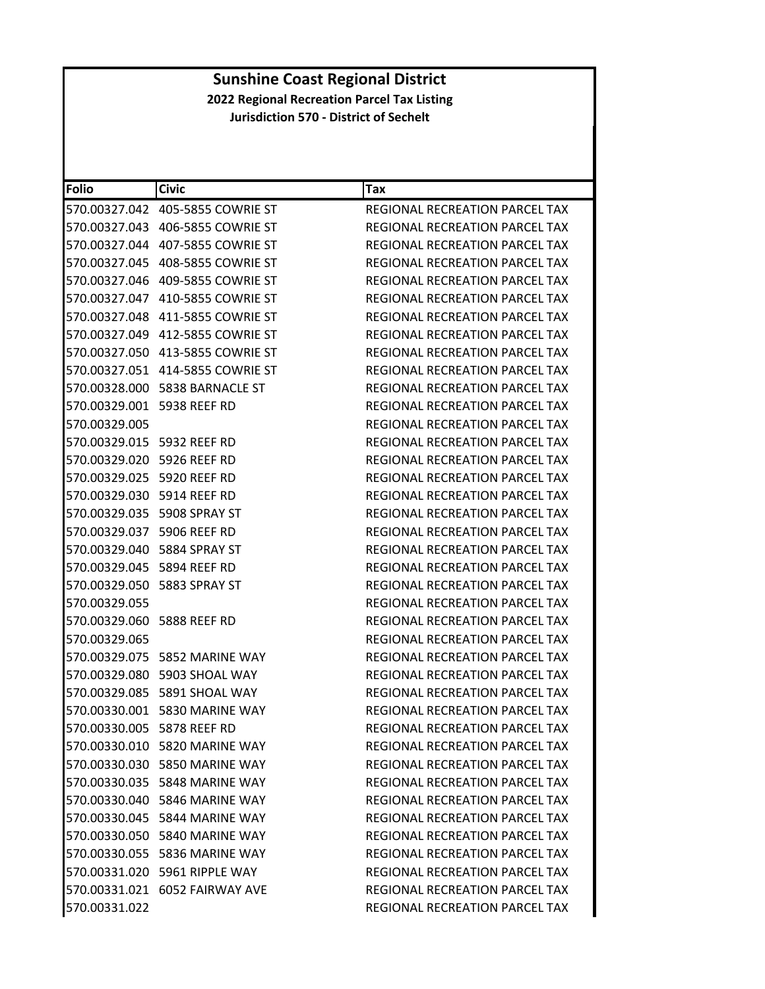| <b>Folio</b>               | <b>Civic</b>                           | <b>Tax</b>                            |
|----------------------------|----------------------------------------|---------------------------------------|
|                            |                                        | REGIONAL RECREATION PARCEL TAX        |
|                            | 570.00327.043    406-5855    COWRIE ST | REGIONAL RECREATION PARCEL TAX        |
|                            | 570.00327.044    407-5855    COWRIE ST | REGIONAL RECREATION PARCEL TAX        |
|                            |                                        | REGIONAL RECREATION PARCEL TAX        |
|                            |                                        | REGIONAL RECREATION PARCEL TAX        |
|                            | 570.00327.047    410-5855    COWRIE ST | REGIONAL RECREATION PARCEL TAX        |
|                            | 570.00327.048    411-5855    COWRIE ST | REGIONAL RECREATION PARCEL TAX        |
|                            | 570.00327.049 412-5855 COWRIE ST       | REGIONAL RECREATION PARCEL TAX        |
|                            |                                        | REGIONAL RECREATION PARCEL TAX        |
|                            | 570.00327.051 414-5855 COWRIE ST       | REGIONAL RECREATION PARCEL TAX        |
|                            | 570.00328.000    5838 BARNACLE ST      | REGIONAL RECREATION PARCEL TAX        |
| 570.00329.001 5938 REEF RD |                                        | REGIONAL RECREATION PARCEL TAX        |
| 570.00329.005              |                                        | REGIONAL RECREATION PARCEL TAX        |
| 570.00329.015 5932 REEF RD |                                        | REGIONAL RECREATION PARCEL TAX        |
| 570.00329.020 5926 REEF RD |                                        | REGIONAL RECREATION PARCEL TAX        |
| 570.00329.025 5920 REEF RD |                                        | REGIONAL RECREATION PARCEL TAX        |
| 570.00329.030 5914 REEF RD |                                        | <b>REGIONAL RECREATION PARCEL TAX</b> |
|                            | 570.00329.035 5908 SPRAY ST            | <b>REGIONAL RECREATION PARCEL TAX</b> |
| 570.00329.037 5906 REEF RD |                                        | REGIONAL RECREATION PARCEL TAX        |
|                            | 570.00329.040    5884 SPRAY ST         | REGIONAL RECREATION PARCEL TAX        |
| 570.00329.045 5894 REEF RD |                                        | REGIONAL RECREATION PARCEL TAX        |
|                            |                                        | REGIONAL RECREATION PARCEL TAX        |
| 570.00329.055              |                                        | REGIONAL RECREATION PARCEL TAX        |
| 570.00329.060 5888 REEF RD |                                        | REGIONAL RECREATION PARCEL TAX        |
| 570.00329.065              |                                        | REGIONAL RECREATION PARCEL TAX        |
|                            | 570.00329.075 5852 MARINE WAY          | REGIONAL RECREATION PARCEL TAX        |
|                            | 570.00329.080 5903 SHOAL WAY           | REGIONAL RECREATION PARCEL TAX        |
|                            | 570.00329.085 5891 SHOAL WAY           | <b>REGIONAL RECREATION PARCEL TAX</b> |
|                            | 570.00330.001 5830 MARINE WAY          | REGIONAL RECREATION PARCEL TAX        |
| 570.00330.005 5878 REEF RD |                                        | <b>REGIONAL RECREATION PARCEL TAX</b> |
|                            | 570.00330.010 5820 MARINE WAY          | REGIONAL RECREATION PARCEL TAX        |
|                            | 570.00330.030 5850 MARINE WAY          | <b>REGIONAL RECREATION PARCEL TAX</b> |
|                            | 570.00330.035    5848 MARINE WAY       | REGIONAL RECREATION PARCEL TAX        |
|                            | 570.00330.040 5846 MARINE WAY          | REGIONAL RECREATION PARCEL TAX        |
|                            | 570.00330.045 5844 MARINE WAY          | REGIONAL RECREATION PARCEL TAX        |
|                            | 570.00330.050 5840 MARINE WAY          | <b>REGIONAL RECREATION PARCEL TAX</b> |
|                            | 570.00330.055 5836 MARINE WAY          | <b>REGIONAL RECREATION PARCEL TAX</b> |
|                            | 570.00331.020 5961 RIPPLE WAY          | REGIONAL RECREATION PARCEL TAX        |
|                            | 570.00331.021 6052 FAIRWAY AVE         | <b>REGIONAL RECREATION PARCEL TAX</b> |
| 570.00331.022              |                                        | REGIONAL RECREATION PARCEL TAX        |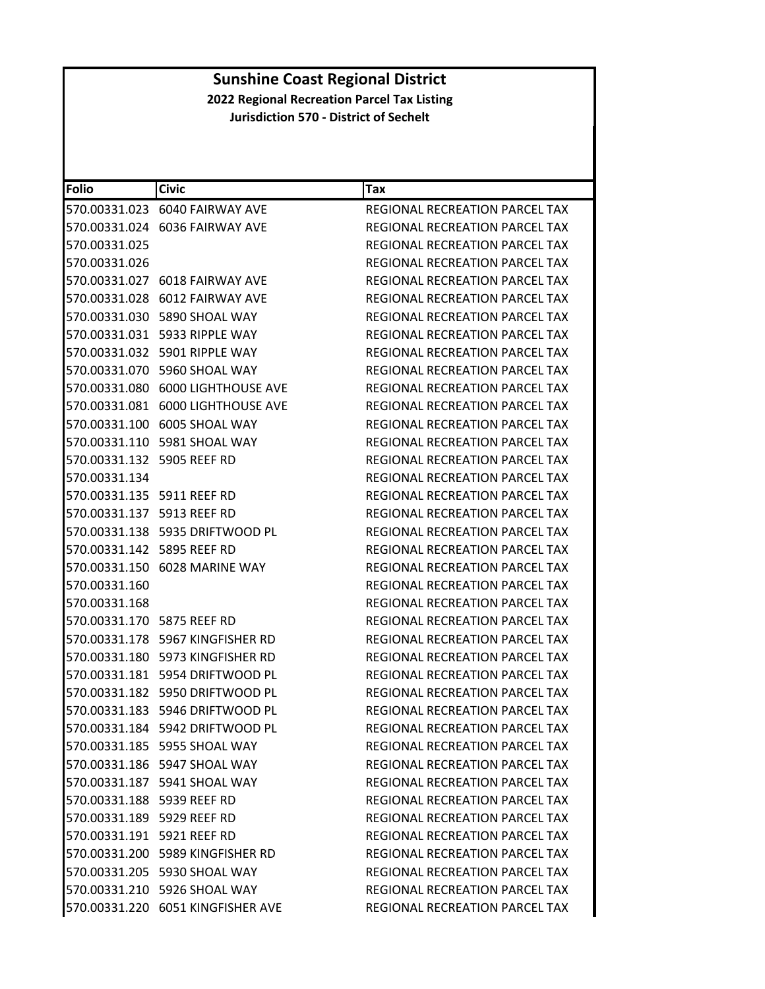| <b>Folio</b>                  | <b>Civic</b>                        | Tax                                   |
|-------------------------------|-------------------------------------|---------------------------------------|
|                               | 570.00331.023 6040 FAIRWAY AVE      | <b>REGIONAL RECREATION PARCEL TAX</b> |
|                               | 570.00331.024 6036 FAIRWAY AVE      | REGIONAL RECREATION PARCEL TAX        |
| 570.00331.025                 |                                     | REGIONAL RECREATION PARCEL TAX        |
| 570.00331.026                 |                                     | REGIONAL RECREATION PARCEL TAX        |
|                               | 570.00331.027 6018 FAIRWAY AVE      | REGIONAL RECREATION PARCEL TAX        |
|                               | 570.00331.028 6012 FAIRWAY AVE      | REGIONAL RECREATION PARCEL TAX        |
|                               | 570.00331.030 5890 SHOAL WAY        | REGIONAL RECREATION PARCEL TAX        |
|                               | 570.00331.031 5933 RIPPLE WAY       | REGIONAL RECREATION PARCEL TAX        |
| 570.00331.032                 | 5901 RIPPLE WAY                     | REGIONAL RECREATION PARCEL TAX        |
|                               | 570.00331.070 5960 SHOAL WAY        | REGIONAL RECREATION PARCEL TAX        |
| 570.00331.080                 | <b>6000 LIGHTHOUSE AVE</b>          | REGIONAL RECREATION PARCEL TAX        |
|                               | 570.00331.081 6000 LIGHTHOUSE AVE   | REGIONAL RECREATION PARCEL TAX        |
|                               | 570.00331.100 6005 SHOAL WAY        | <b>REGIONAL RECREATION PARCEL TAX</b> |
| 570.00331.110                 | 5981 SHOAL WAY                      | REGIONAL RECREATION PARCEL TAX        |
| 570.00331.132 5905 REEF RD    |                                     | <b>REGIONAL RECREATION PARCEL TAX</b> |
| 570.00331.134                 |                                     | REGIONAL RECREATION PARCEL TAX        |
| 570.00331.135    5911 REEF RD |                                     | REGIONAL RECREATION PARCEL TAX        |
| 570.00331.137 5913 REEF RD    |                                     | REGIONAL RECREATION PARCEL TAX        |
|                               | 570.00331.138    5935 DRIFTWOOD PL  | REGIONAL RECREATION PARCEL TAX        |
| 570.00331.142 5895 REEF RD    |                                     | REGIONAL RECREATION PARCEL TAX        |
|                               | 570.00331.150 6028 MARINE WAY       | REGIONAL RECREATION PARCEL TAX        |
| 570.00331.160                 |                                     | REGIONAL RECREATION PARCEL TAX        |
| 570.00331.168                 |                                     | REGIONAL RECREATION PARCEL TAX        |
| 570.00331.170 5875 REEF RD    |                                     | REGIONAL RECREATION PARCEL TAX        |
|                               | 570.00331.178    5967 KINGFISHER RD | REGIONAL RECREATION PARCEL TAX        |
|                               | 570.00331.180 5973 KINGFISHER RD    | <b>REGIONAL RECREATION PARCEL TAX</b> |
|                               |                                     | REGIONAL RECREATION PARCEL TAX        |
|                               | 570.00331.182 5950 DRIFTWOOD PL     | <b>REGIONAL RECREATION PARCEL TAX</b> |
|                               | 570.00331.183    5946 DRIFTWOOD PL  | REGIONAL RECREATION PARCEL TAX        |
|                               | 570.00331.184 5942 DRIFTWOOD PL     | REGIONAL RECREATION PARCEL TAX        |
|                               | 570.00331.185 5955 SHOAL WAY        | REGIONAL RECREATION PARCEL TAX        |
|                               | 570.00331.186    5947 SHOAL WAY     | REGIONAL RECREATION PARCEL TAX        |
|                               | 570.00331.187 5941 SHOAL WAY        | REGIONAL RECREATION PARCEL TAX        |
| 570.00331.188 5939 REEF RD    |                                     | <b>REGIONAL RECREATION PARCEL TAX</b> |
| 570.00331.189 5929 REEF RD    |                                     | REGIONAL RECREATION PARCEL TAX        |
| 570.00331.191 5921 REEF RD    |                                     | REGIONAL RECREATION PARCEL TAX        |
|                               | 570.00331.200 5989 KINGFISHER RD    | <b>REGIONAL RECREATION PARCEL TAX</b> |
|                               | 570.00331.205 5930 SHOAL WAY        | REGIONAL RECREATION PARCEL TAX        |
|                               | 570.00331.210 5926 SHOAL WAY        | REGIONAL RECREATION PARCEL TAX        |
|                               | 570.00331.220 6051 KINGFISHER AVE   | REGIONAL RECREATION PARCEL TAX        |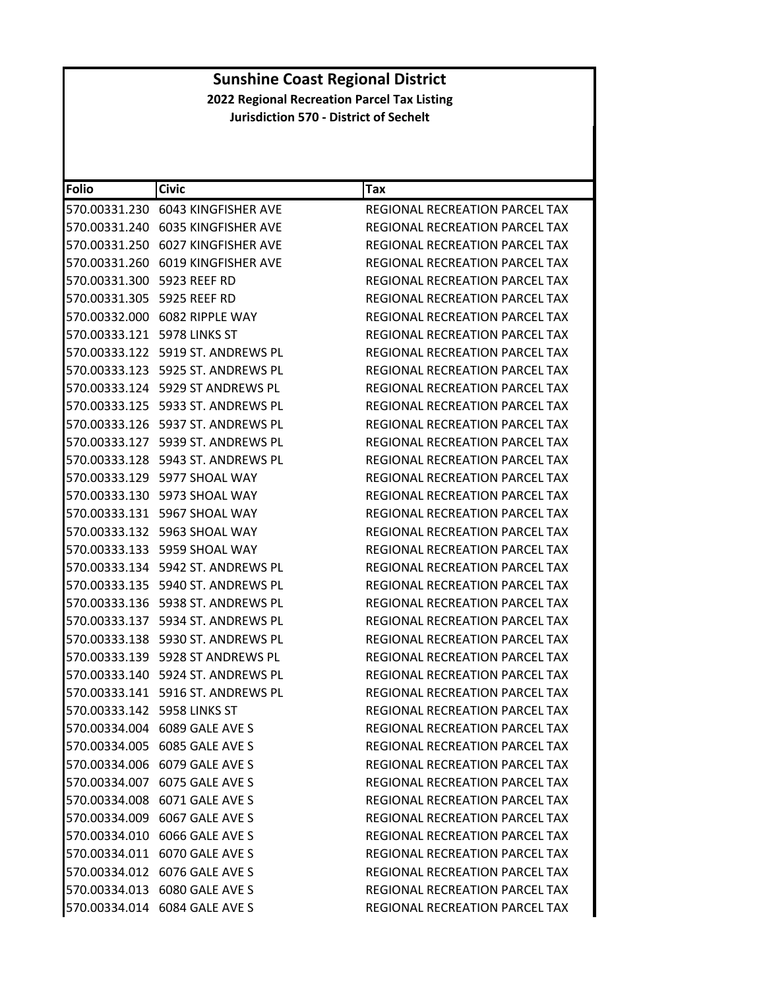| <b>Folio</b>                   | <b>Civic</b>                         | Tax                                   |
|--------------------------------|--------------------------------------|---------------------------------------|
|                                | 570.00331.230 6043 KINGFISHER AVE    | REGIONAL RECREATION PARCEL TAX        |
|                                | 570.00331.240 6035 KINGFISHER AVE    | REGIONAL RECREATION PARCEL TAX        |
| 570.00331.250                  | 6027 KINGFISHER AVE                  | <b>REGIONAL RECREATION PARCEL TAX</b> |
|                                | 570.00331.260 6019 KINGFISHER AVE    | <b>REGIONAL RECREATION PARCEL TAX</b> |
| 570.00331.300 5923 REEF RD     |                                      | REGIONAL RECREATION PARCEL TAX        |
| 570.00331.305 5925 REEF RD     |                                      | REGIONAL RECREATION PARCEL TAX        |
|                                | 570.00332.000 6082 RIPPLE WAY        | <b>REGIONAL RECREATION PARCEL TAX</b> |
| 570.00333.121    5978 LINKS ST |                                      | <b>REGIONAL RECREATION PARCEL TAX</b> |
|                                | 570.00333.122    5919 ST. ANDREWS PL | REGIONAL RECREATION PARCEL TAX        |
|                                | 570.00333.123    5925 ST. ANDREWS PL | REGIONAL RECREATION PARCEL TAX        |
|                                | 570.00333.124    5929 ST ANDREWS PL  | REGIONAL RECREATION PARCEL TAX        |
|                                | 570.00333.125    5933 ST. ANDREWS PL | REGIONAL RECREATION PARCEL TAX        |
|                                | 570.00333.126    5937 ST. ANDREWS PL | REGIONAL RECREATION PARCEL TAX        |
|                                | 570.00333.127 5939 ST. ANDREWS PL    | REGIONAL RECREATION PARCEL TAX        |
|                                | 570.00333.128    5943 ST. ANDREWS PL | REGIONAL RECREATION PARCEL TAX        |
|                                | 570.00333.129 5977 SHOAL WAY         | REGIONAL RECREATION PARCEL TAX        |
|                                | 570.00333.130 5973 SHOAL WAY         | REGIONAL RECREATION PARCEL TAX        |
|                                | 570.00333.131 5967 SHOAL WAY         | REGIONAL RECREATION PARCEL TAX        |
|                                | 570.00333.132 5963 SHOAL WAY         | REGIONAL RECREATION PARCEL TAX        |
|                                | 570.00333.133 5959 SHOAL WAY         | REGIONAL RECREATION PARCEL TAX        |
|                                |                                      | REGIONAL RECREATION PARCEL TAX        |
|                                | 570.00333.135    5940 ST. ANDREWS PL | REGIONAL RECREATION PARCEL TAX        |
|                                | 570.00333.136    5938 ST. ANDREWS PL | REGIONAL RECREATION PARCEL TAX        |
|                                |                                      | REGIONAL RECREATION PARCEL TAX        |
|                                | 570.00333.138    5930 ST. ANDREWS PL | REGIONAL RECREATION PARCEL TAX        |
|                                | 570.00333.139    5928 ST ANDREWS PL  | REGIONAL RECREATION PARCEL TAX        |
|                                | 570.00333.140    5924 ST. ANDREWS PL | REGIONAL RECREATION PARCEL TAX        |
|                                | 570.00333.141 5916 ST. ANDREWS PL    | <b>REGIONAL RECREATION PARCEL TAX</b> |
| 570.00333.142 5958 LINKS ST    |                                      | REGIONAL RECREATION PARCEL TAX        |
|                                | 570.00334.004 6089 GALE AVE S        | REGIONAL RECREATION PARCEL TAX        |
|                                | 570.00334.005 6085 GALE AVE S        | REGIONAL RECREATION PARCEL TAX        |
|                                | 570.00334.006 6079 GALE AVE S        | REGIONAL RECREATION PARCEL TAX        |
|                                | 570.00334.007 6075 GALE AVE S        | REGIONAL RECREATION PARCEL TAX        |
|                                | 570.00334.008 6071 GALE AVE S        | REGIONAL RECREATION PARCEL TAX        |
|                                | 570.00334.009 6067 GALE AVE S        | <b>REGIONAL RECREATION PARCEL TAX</b> |
|                                | 570.00334.010 6066 GALE AVE S        | REGIONAL RECREATION PARCEL TAX        |
|                                | 570.00334.011 6070 GALE AVE S        | <b>REGIONAL RECREATION PARCEL TAX</b> |
|                                | 570.00334.012 6076 GALE AVE S        | REGIONAL RECREATION PARCEL TAX        |
|                                | 570.00334.013 6080 GALE AVE S        | REGIONAL RECREATION PARCEL TAX        |
|                                | 570.00334.014 6084 GALE AVE S        | REGIONAL RECREATION PARCEL TAX        |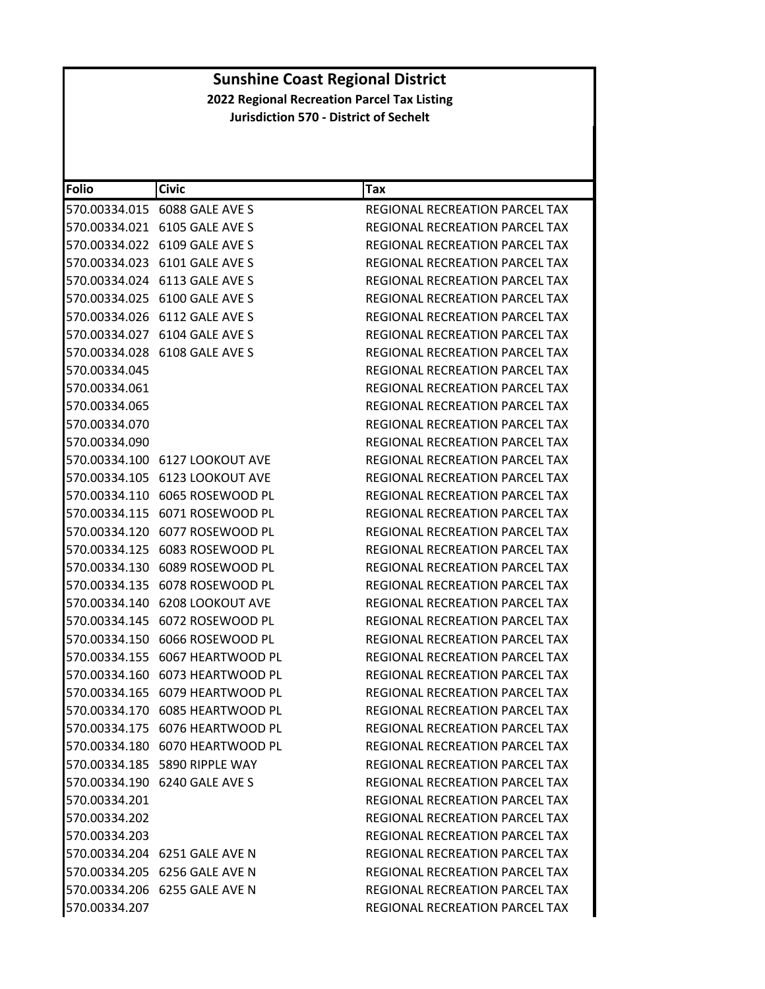| Folio         | <b>Civic</b>                        | Tax                                   |
|---------------|-------------------------------------|---------------------------------------|
|               | 570.00334.015    6088    GALE AVE S | REGIONAL RECREATION PARCEL TAX        |
|               | 570.00334.021 6105 GALE AVE S       | REGIONAL RECREATION PARCEL TAX        |
|               | 570.00334.022 6109 GALE AVE S       | REGIONAL RECREATION PARCEL TAX        |
|               | 570.00334.023 6101 GALE AVE S       | REGIONAL RECREATION PARCEL TAX        |
|               | 570.00334.024 6113 GALE AVE S       | REGIONAL RECREATION PARCEL TAX        |
|               | 570.00334.025 6100 GALE AVE S       | REGIONAL RECREATION PARCEL TAX        |
|               | 570.00334.026 6112 GALE AVE S       | REGIONAL RECREATION PARCEL TAX        |
|               | 570.00334.027 6104 GALE AVE S       | <b>REGIONAL RECREATION PARCEL TAX</b> |
|               | 570.00334.028 6108 GALE AVE S       | REGIONAL RECREATION PARCEL TAX        |
| 570.00334.045 |                                     | REGIONAL RECREATION PARCEL TAX        |
| 570.00334.061 |                                     | REGIONAL RECREATION PARCEL TAX        |
| 570.00334.065 |                                     | REGIONAL RECREATION PARCEL TAX        |
| 570.00334.070 |                                     | <b>REGIONAL RECREATION PARCEL TAX</b> |
| 570.00334.090 |                                     | REGIONAL RECREATION PARCEL TAX        |
|               | 570.00334.100 6127 LOOKOUT AVE      | REGIONAL RECREATION PARCEL TAX        |
|               | 570.00334.105 6123 LOOKOUT AVE      | REGIONAL RECREATION PARCEL TAX        |
|               |                                     | REGIONAL RECREATION PARCEL TAX        |
|               |                                     | <b>REGIONAL RECREATION PARCEL TAX</b> |
|               | 570.00334.120 6077 ROSEWOOD PL      | REGIONAL RECREATION PARCEL TAX        |
|               |                                     | REGIONAL RECREATION PARCEL TAX        |
|               |                                     | REGIONAL RECREATION PARCEL TAX        |
|               |                                     | REGIONAL RECREATION PARCEL TAX        |
|               | 570.00334.140 6208 LOOKOUT AVE      | REGIONAL RECREATION PARCEL TAX        |
| 570.00334.145 | 6072 ROSEWOOD PL                    | REGIONAL RECREATION PARCEL TAX        |
|               | 570.00334.150 6066 ROSEWOOD PL      | REGIONAL RECREATION PARCEL TAX        |
|               |                                     | REGIONAL RECREATION PARCEL TAX        |
|               | 570.00334.160 6073 HEARTWOOD PL     | REGIONAL RECREATION PARCEL TAX        |
|               | 570.00334.165 6079 HEARTWOOD PL     | <b>REGIONAL RECREATION PARCEL TAX</b> |
|               | 570.00334.170 6085 HEARTWOOD PL     | REGIONAL RECREATION PARCEL TAX        |
|               | 570.00334.175 6076 HEARTWOOD PL     | REGIONAL RECREATION PARCEL TAX        |
|               | 570.00334.180 6070 HEARTWOOD PL     | <b>REGIONAL RECREATION PARCEL TAX</b> |
|               | 570.00334.185 5890 RIPPLE WAY       | REGIONAL RECREATION PARCEL TAX        |
|               | 570.00334.190 6240 GALE AVE S       | REGIONAL RECREATION PARCEL TAX        |
| 570.00334.201 |                                     | REGIONAL RECREATION PARCEL TAX        |
| 570.00334.202 |                                     | REGIONAL RECREATION PARCEL TAX        |
| 570.00334.203 |                                     | REGIONAL RECREATION PARCEL TAX        |
|               | 570.00334.204 6251 GALE AVE N       | REGIONAL RECREATION PARCEL TAX        |
|               | 570.00334.205 6256 GALE AVE N       | REGIONAL RECREATION PARCEL TAX        |
|               | 570.00334.206 6255 GALE AVE N       | <b>REGIONAL RECREATION PARCEL TAX</b> |
| 570.00334.207 |                                     | REGIONAL RECREATION PARCEL TAX        |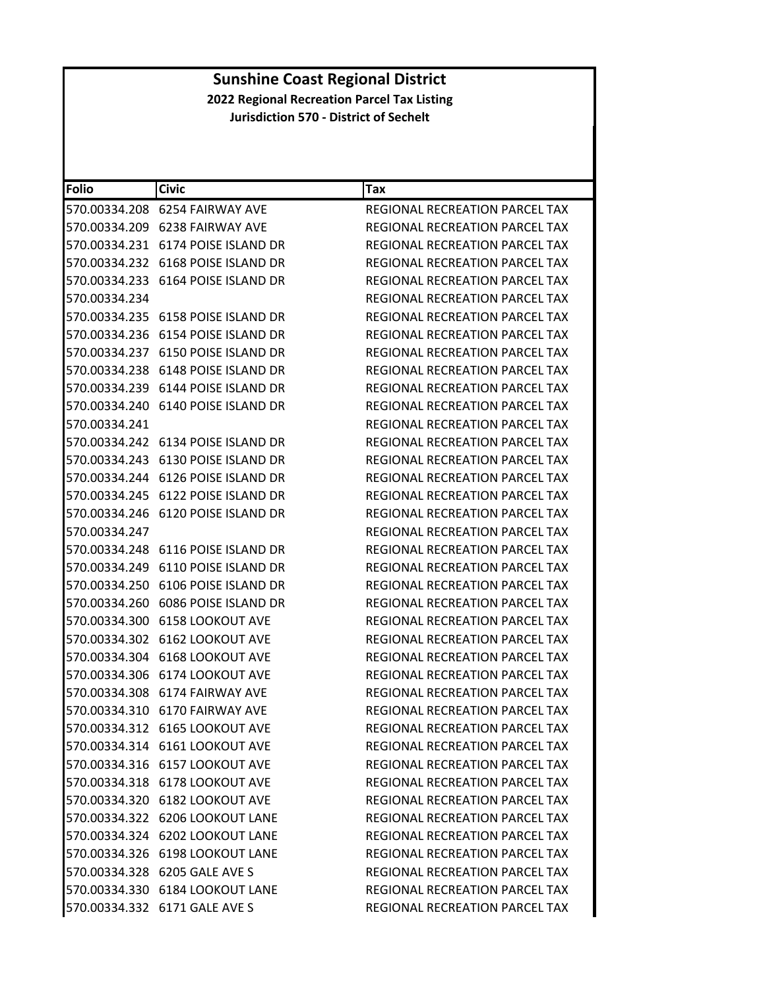| <b>Folio</b>  | <b>Civic</b>                             | Tax                                   |
|---------------|------------------------------------------|---------------------------------------|
|               | 570.00334.208 6254 FAIRWAY AVE           | REGIONAL RECREATION PARCEL TAX        |
|               | 570.00334.209 6238 FAIRWAY AVE           | REGIONAL RECREATION PARCEL TAX        |
|               |                                          | REGIONAL RECREATION PARCEL TAX        |
|               | 570.00334.232 6168 POISE ISLAND DR       | REGIONAL RECREATION PARCEL TAX        |
|               |                                          | REGIONAL RECREATION PARCEL TAX        |
| 570.00334.234 |                                          | REGIONAL RECREATION PARCEL TAX        |
|               |                                          | <b>REGIONAL RECREATION PARCEL TAX</b> |
|               | 570.00334.236    6154    POISE ISLAND DR | <b>REGIONAL RECREATION PARCEL TAX</b> |
| 570.00334.237 | 6150 POISE ISLAND DR                     | <b>REGIONAL RECREATION PARCEL TAX</b> |
|               | 570.00334.238 6148 POISE ISLAND DR       | REGIONAL RECREATION PARCEL TAX        |
|               |                                          | REGIONAL RECREATION PARCEL TAX        |
|               | 570.00334.240    6140    POISE ISLAND DR | REGIONAL RECREATION PARCEL TAX        |
| 570.00334.241 |                                          | REGIONAL RECREATION PARCEL TAX        |
|               | 570.00334.242 6134 POISE ISLAND DR       | REGIONAL RECREATION PARCEL TAX        |
|               | 570.00334.243 6130 POISE ISLAND DR       | REGIONAL RECREATION PARCEL TAX        |
|               |                                          | <b>REGIONAL RECREATION PARCEL TAX</b> |
|               |                                          | <b>REGIONAL RECREATION PARCEL TAX</b> |
|               | 570.00334.246 6120 POISE ISLAND DR       | <b>REGIONAL RECREATION PARCEL TAX</b> |
| 570.00334.247 |                                          | REGIONAL RECREATION PARCEL TAX        |
|               |                                          | REGIONAL RECREATION PARCEL TAX        |
|               |                                          | REGIONAL RECREATION PARCEL TAX        |
| 570.00334.250 | 6106 POISE ISLAND DR                     | REGIONAL RECREATION PARCEL TAX        |
|               | 570.00334.260 6086 POISE ISLAND DR       | REGIONAL RECREATION PARCEL TAX        |
| 570.00334.300 | <b>6158 LOOKOUT AVE</b>                  | REGIONAL RECREATION PARCEL TAX        |
| 570.00334.302 | 6162 LOOKOUT AVE                         | REGIONAL RECREATION PARCEL TAX        |
|               | 570.00334.304 6168 LOOKOUT AVE           | REGIONAL RECREATION PARCEL TAX        |
| 570.00334.306 | 6174 LOOKOUT AVE                         | REGIONAL RECREATION PARCEL TAX        |
|               | 570.00334.308    6174    FAIRWAY AVE     | <b>REGIONAL RECREATION PARCEL TAX</b> |
| 570.00334.310 | 6170 FAIRWAY AVE                         | REGIONAL RECREATION PARCEL TAX        |
|               | 570.00334.312 6165 LOOKOUT AVE           | REGIONAL RECREATION PARCEL TAX        |
|               | 570.00334.314 6161 LOOKOUT AVE           | <b>REGIONAL RECREATION PARCEL TAX</b> |
|               | 570.00334.316 6157 LOOKOUT AVE           | REGIONAL RECREATION PARCEL TAX        |
|               | 570.00334.318 6178 LOOKOUT AVE           | REGIONAL RECREATION PARCEL TAX        |
|               | 570.00334.320 6182 LOOKOUT AVE           | <b>REGIONAL RECREATION PARCEL TAX</b> |
|               | 570.00334.322 6206 LOOKOUT LANE          | REGIONAL RECREATION PARCEL TAX        |
|               | 570.00334.324 6202 LOOKOUT LANE          | REGIONAL RECREATION PARCEL TAX        |
|               | 570.00334.326 6198 LOOKOUT LANE          | <b>REGIONAL RECREATION PARCEL TAX</b> |
|               | 570.00334.328 6205 GALE AVE S            | REGIONAL RECREATION PARCEL TAX        |
|               | 570.00334.330 6184 LOOKOUT LANE          | <b>REGIONAL RECREATION PARCEL TAX</b> |
|               | 570.00334.332 6171 GALE AVE S            | REGIONAL RECREATION PARCEL TAX        |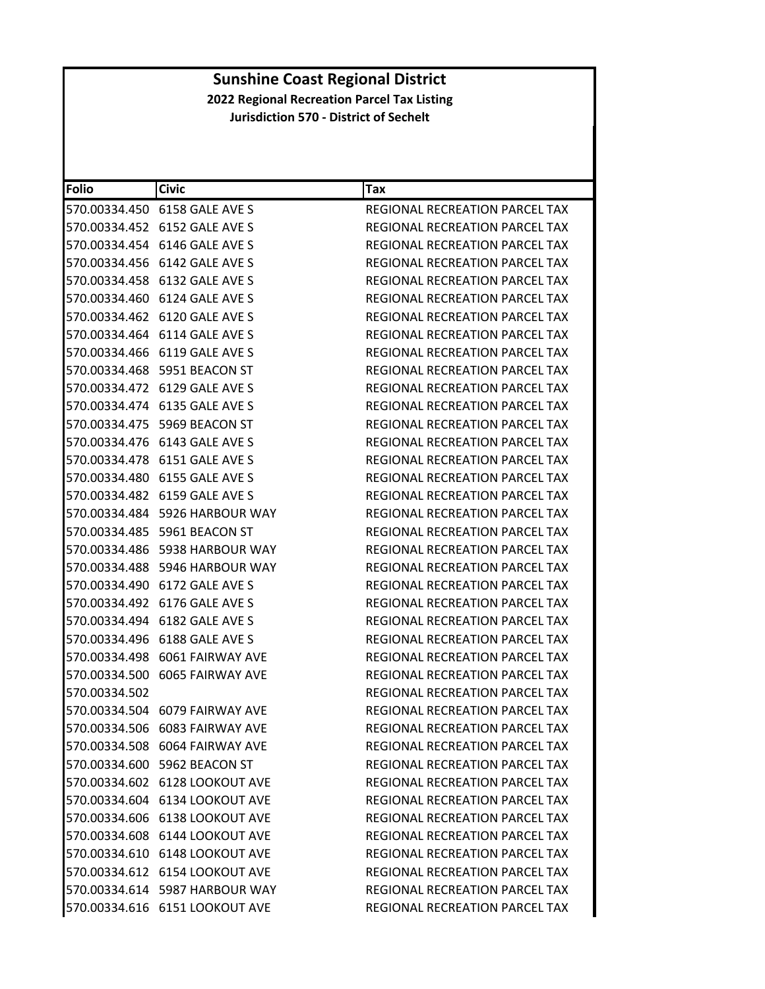| <b>Folio</b>  | <b>Civic</b>                           | <b>Tax</b>                            |
|---------------|----------------------------------------|---------------------------------------|
|               | 570.00334.450 6158 GALE AVE S          | REGIONAL RECREATION PARCEL TAX        |
|               | 570.00334.452 6152 GALE AVE S          | REGIONAL RECREATION PARCEL TAX        |
|               | 570.00334.454 6146 GALE AVE S          | REGIONAL RECREATION PARCEL TAX        |
|               | 570.00334.456    6142    GALE AVE    S | REGIONAL RECREATION PARCEL TAX        |
|               | 570.00334.458 6132 GALE AVE S          | REGIONAL RECREATION PARCEL TAX        |
|               | 570.00334.460    6124    GALE AVE S    | REGIONAL RECREATION PARCEL TAX        |
|               | 570.00334.462 6120 GALE AVE S          | <b>REGIONAL RECREATION PARCEL TAX</b> |
|               | 570.00334.464 6114 GALE AVE S          | <b>REGIONAL RECREATION PARCEL TAX</b> |
|               | 570.00334.466 6119 GALE AVE S          | REGIONAL RECREATION PARCEL TAX        |
|               | 570.00334.468    5951    BEACON ST     | REGIONAL RECREATION PARCEL TAX        |
|               | 570.00334.472    6129    GALE AVE    S | REGIONAL RECREATION PARCEL TAX        |
|               | 570.00334.474 6135 GALE AVE S          | REGIONAL RECREATION PARCEL TAX        |
|               | 570.00334.475    5969 BEACON ST        | <b>REGIONAL RECREATION PARCEL TAX</b> |
|               | 570.00334.476    6143    GALE AVE S    | REGIONAL RECREATION PARCEL TAX        |
|               | 570.00334.478 6151 GALE AVE S          | REGIONAL RECREATION PARCEL TAX        |
|               | 570.00334.480 6155 GALE AVE S          | REGIONAL RECREATION PARCEL TAX        |
|               | 570.00334.482 6159 GALE AVE S          | <b>REGIONAL RECREATION PARCEL TAX</b> |
|               | 570.00334.484 5926 HARBOUR WAY         | REGIONAL RECREATION PARCEL TAX        |
|               | 570.00334.485    5961 BEACON ST        | <b>REGIONAL RECREATION PARCEL TAX</b> |
|               | 570.00334.486    5938 HARBOUR WAY      | REGIONAL RECREATION PARCEL TAX        |
|               |                                        | REGIONAL RECREATION PARCEL TAX        |
|               | 570.00334.490    6172    GALE AVE S    | REGIONAL RECREATION PARCEL TAX        |
|               | 570.00334.492 6176 GALE AVE S          | REGIONAL RECREATION PARCEL TAX        |
|               | 570.00334.494 6182 GALE AVE S          | REGIONAL RECREATION PARCEL TAX        |
|               | 570.00334.496    6188    GALE AVE S    | REGIONAL RECREATION PARCEL TAX        |
|               | 570.00334.498 6061 FAIRWAY AVE         | <b>REGIONAL RECREATION PARCEL TAX</b> |
|               | 570.00334.500    6065    FAIRWAY AVE   | REGIONAL RECREATION PARCEL TAX        |
| 570.00334.502 |                                        | <b>REGIONAL RECREATION PARCEL TAX</b> |
|               |                                        | REGIONAL RECREATION PARCEL TAX        |
|               | 570.00334.506 6083 FAIRWAY AVE         | REGIONAL RECREATION PARCEL TAX        |
|               | 570.00334.508 6064 FAIRWAY AVE         | REGIONAL RECREATION PARCEL TAX        |
|               | 570.00334.600 5962 BEACON ST           | REGIONAL RECREATION PARCEL TAX        |
|               | 570.00334.602 6128 LOOKOUT AVE         | <b>REGIONAL RECREATION PARCEL TAX</b> |
|               | 570.00334.604 6134 LOOKOUT AVE         | <b>REGIONAL RECREATION PARCEL TAX</b> |
|               | 570.00334.606 6138 LOOKOUT AVE         | REGIONAL RECREATION PARCEL TAX        |
|               | 570.00334.608 6144 LOOKOUT AVE         | REGIONAL RECREATION PARCEL TAX        |
|               | 570.00334.610 6148 LOOKOUT AVE         | REGIONAL RECREATION PARCEL TAX        |
|               | 570.00334.612 6154 LOOKOUT AVE         | <b>REGIONAL RECREATION PARCEL TAX</b> |
|               | 570.00334.614 5987 HARBOUR WAY         | REGIONAL RECREATION PARCEL TAX        |
|               | 570.00334.616 6151 LOOKOUT AVE         | REGIONAL RECREATION PARCEL TAX        |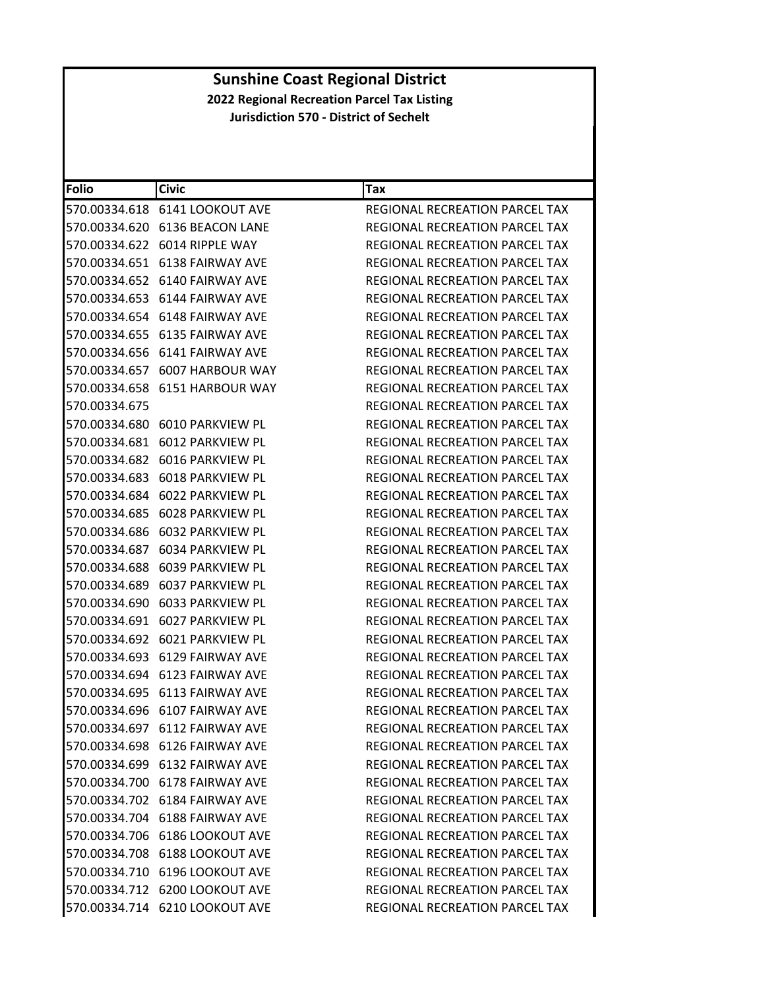| <b>Folio</b>  | <b>Civic</b>                         | Tax                                   |
|---------------|--------------------------------------|---------------------------------------|
|               | 570.00334.618 6141 LOOKOUT AVE       | <b>REGIONAL RECREATION PARCEL TAX</b> |
|               | 570.00334.620 6136 BEACON LANE       | REGIONAL RECREATION PARCEL TAX        |
|               | 570.00334.622 6014 RIPPLE WAY        | <b>REGIONAL RECREATION PARCEL TAX</b> |
| 570.00334.651 | 6138 FAIRWAY AVE                     | REGIONAL RECREATION PARCEL TAX        |
|               |                                      | REGIONAL RECREATION PARCEL TAX        |
|               |                                      | REGIONAL RECREATION PARCEL TAX        |
|               | 570.00334.654 6148 FAIRWAY AVE       | REGIONAL RECREATION PARCEL TAX        |
|               | 570.00334.655 6135 FAIRWAY AVE       | REGIONAL RECREATION PARCEL TAX        |
|               | 570.00334.656    6141    FAIRWAY AVE | REGIONAL RECREATION PARCEL TAX        |
|               | 570.00334.657 6007 HARBOUR WAY       | REGIONAL RECREATION PARCEL TAX        |
|               | 570.00334.658 6151 HARBOUR WAY       | REGIONAL RECREATION PARCEL TAX        |
| 570.00334.675 |                                      | REGIONAL RECREATION PARCEL TAX        |
|               | 570.00334.680    6010 PARKVIEW PL    | REGIONAL RECREATION PARCEL TAX        |
| 570.00334.681 | 6012 PARKVIEW PL                     | REGIONAL RECREATION PARCEL TAX        |
|               | 570.00334.682 6016 PARKVIEW PL       | REGIONAL RECREATION PARCEL TAX        |
|               | 570.00334.683    6018    PARKVIEW PL | REGIONAL RECREATION PARCEL TAX        |
|               |                                      | <b>REGIONAL RECREATION PARCEL TAX</b> |
|               | 570.00334.685 6028 PARKVIEW PL       | <b>REGIONAL RECREATION PARCEL TAX</b> |
| 570.00334.686 | 6032 PARKVIEW PL                     | REGIONAL RECREATION PARCEL TAX        |
|               | 570.00334.687 6034 PARKVIEW PL       | REGIONAL RECREATION PARCEL TAX        |
|               |                                      | REGIONAL RECREATION PARCEL TAX        |
|               |                                      | REGIONAL RECREATION PARCEL TAX        |
|               | 570.00334.690    6033    PARKVIEW PL | REGIONAL RECREATION PARCEL TAX        |
| 570.00334.691 | 6027 PARKVIEW PL                     | REGIONAL RECREATION PARCEL TAX        |
|               | 570.00334.692 6021 PARKVIEW PL       | REGIONAL RECREATION PARCEL TAX        |
|               | 570.00334.693    6129    FAIRWAY AVE | REGIONAL RECREATION PARCEL TAX        |
|               | 570.00334.694 6123 FAIRWAY AVE       | <b>REGIONAL RECREATION PARCEL TAX</b> |
|               | 570.00334.695 6113 FAIRWAY AVE       | REGIONAL RECREATION PARCEL TAX        |
|               | 570.00334.696 6107 FAIRWAY AVE       | REGIONAL RECREATION PARCEL TAX        |
|               | 570.00334.697 6112 FAIRWAY AVE       | REGIONAL RECREATION PARCEL TAX        |
|               | 570.00334.698 6126 FAIRWAY AVE       | REGIONAL RECREATION PARCEL TAX        |
|               | 570.00334.699    6132    FAIRWAY AVE | REGIONAL RECREATION PARCEL TAX        |
|               | 570.00334.700 6178 FAIRWAY AVE       | REGIONAL RECREATION PARCEL TAX        |
|               | 570.00334.702 6184 FAIRWAY AVE       | REGIONAL RECREATION PARCEL TAX        |
|               | 570.00334.704 6188 FAIRWAY AVE       | REGIONAL RECREATION PARCEL TAX        |
|               | 570.00334.706 6186 LOOKOUT AVE       | <b>REGIONAL RECREATION PARCEL TAX</b> |
|               | 570.00334.708 6188 LOOKOUT AVE       | REGIONAL RECREATION PARCEL TAX        |
|               | 570.00334.710 6196 LOOKOUT AVE       | REGIONAL RECREATION PARCEL TAX        |
|               | 570.00334.712 6200 LOOKOUT AVE       | REGIONAL RECREATION PARCEL TAX        |
|               | 570.00334.714 6210 LOOKOUT AVE       | REGIONAL RECREATION PARCEL TAX        |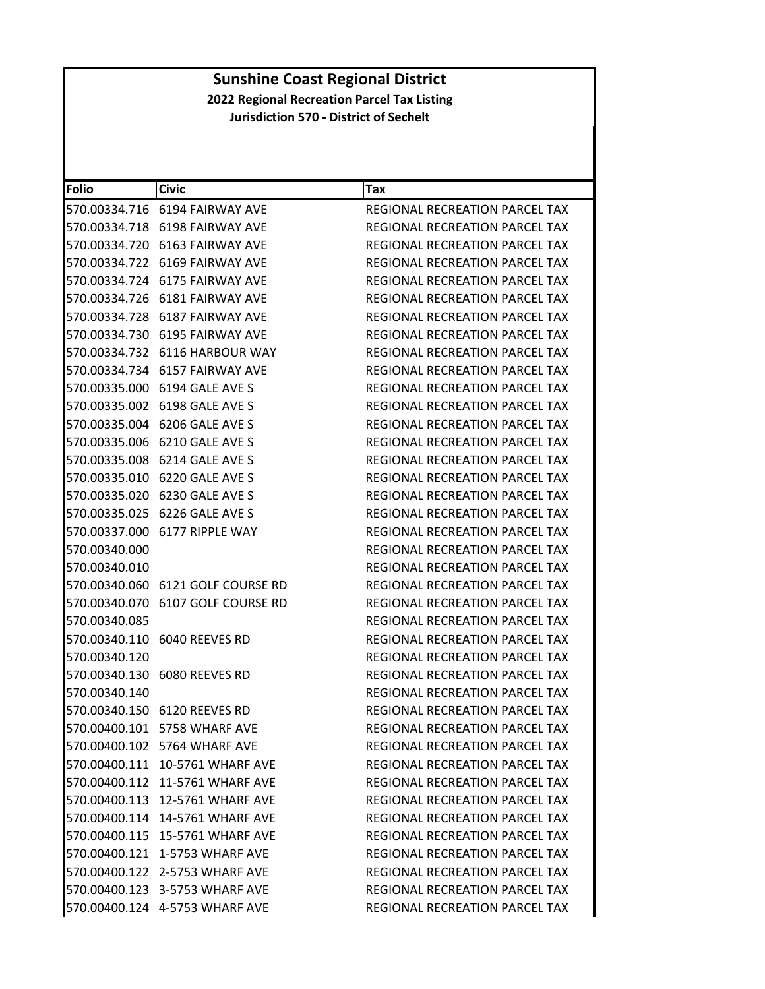| Folio         | <b>Civic</b>                         | Tax                                   |
|---------------|--------------------------------------|---------------------------------------|
|               | 570.00334.716 6194 FAIRWAY AVE       | REGIONAL RECREATION PARCEL TAX        |
|               | 570.00334.718 6198 FAIRWAY AVE       | REGIONAL RECREATION PARCEL TAX        |
|               | 570.00334.720 6163 FAIRWAY AVE       | <b>REGIONAL RECREATION PARCEL TAX</b> |
|               | 570.00334.722 6169 FAIRWAY AVE       | REGIONAL RECREATION PARCEL TAX        |
|               | 570.00334.724    6175    FAIRWAY AVE | REGIONAL RECREATION PARCEL TAX        |
|               |                                      | REGIONAL RECREATION PARCEL TAX        |
|               | 570.00334.728 6187 FAIRWAY AVE       | REGIONAL RECREATION PARCEL TAX        |
|               | 570.00334.730 6195 FAIRWAY AVE       | <b>REGIONAL RECREATION PARCEL TAX</b> |
|               | 570.00334.732 6116 HARBOUR WAY       | REGIONAL RECREATION PARCEL TAX        |
|               | 570.00334.734    6157    FAIRWAY AVE | REGIONAL RECREATION PARCEL TAX        |
|               | 570.00335.000 6194 GALE AVE S        | REGIONAL RECREATION PARCEL TAX        |
|               | 570.00335.002 6198 GALE AVE S        | REGIONAL RECREATION PARCEL TAX        |
|               | 570.00335.004 6206 GALE AVE S        | <b>REGIONAL RECREATION PARCEL TAX</b> |
| 570.00335.006 | 6210 GALE AVE S                      | REGIONAL RECREATION PARCEL TAX        |
|               | 570.00335.008 6214 GALE AVE S        | REGIONAL RECREATION PARCEL TAX        |
|               | 570.00335.010 6220 GALE AVE S        | <b>REGIONAL RECREATION PARCEL TAX</b> |
|               | 570.00335.020 6230 GALE AVE S        | REGIONAL RECREATION PARCEL TAX        |
|               | 570.00335.025 6226 GALE AVE S        | REGIONAL RECREATION PARCEL TAX        |
|               | 570.00337.000 6177 RIPPLE WAY        | <b>REGIONAL RECREATION PARCEL TAX</b> |
| 570.00340.000 |                                      | REGIONAL RECREATION PARCEL TAX        |
| 570.00340.010 |                                      | REGIONAL RECREATION PARCEL TAX        |
|               | 570.00340.060 6121 GOLF COURSE RD    | REGIONAL RECREATION PARCEL TAX        |
|               | 570.00340.070 6107 GOLF COURSE RD    | REGIONAL RECREATION PARCEL TAX        |
| 570.00340.085 |                                      | REGIONAL RECREATION PARCEL TAX        |
|               | 570.00340.110 6040 REEVES RD         | REGIONAL RECREATION PARCEL TAX        |
| 570.00340.120 |                                      | <b>REGIONAL RECREATION PARCEL TAX</b> |
|               | 570.00340.130 6080 REEVES RD         | REGIONAL RECREATION PARCEL TAX        |
| 570.00340.140 |                                      | <b>REGIONAL RECREATION PARCEL TAX</b> |
|               | 570.00340.150 6120 REEVES RD         | REGIONAL RECREATION PARCEL TAX        |
|               | 570.00400.101 5758 WHARF AVE         | REGIONAL RECREATION PARCEL TAX        |
|               | 570.00400.102 5764 WHARF AVE         | REGIONAL RECREATION PARCEL TAX        |
|               | 570.00400.111 10-5761 WHARF AVE      | REGIONAL RECREATION PARCEL TAX        |
|               | 570.00400.112 11-5761 WHARF AVE      | REGIONAL RECREATION PARCEL TAX        |
|               | 570.00400.113 12-5761 WHARF AVE      | <b>REGIONAL RECREATION PARCEL TAX</b> |
|               | 570.00400.114 14-5761 WHARF AVE      | REGIONAL RECREATION PARCEL TAX        |
|               | 570.00400.115 15-5761 WHARF AVE      | REGIONAL RECREATION PARCEL TAX        |
|               | 570.00400.121 1-5753 WHARF AVE       | REGIONAL RECREATION PARCEL TAX        |
|               | 570.00400.122 2-5753 WHARF AVE       | REGIONAL RECREATION PARCEL TAX        |
|               | 570.00400.123 3-5753 WHARF AVE       | REGIONAL RECREATION PARCEL TAX        |
|               | 570.00400.124 4-5753 WHARF AVE       | REGIONAL RECREATION PARCEL TAX        |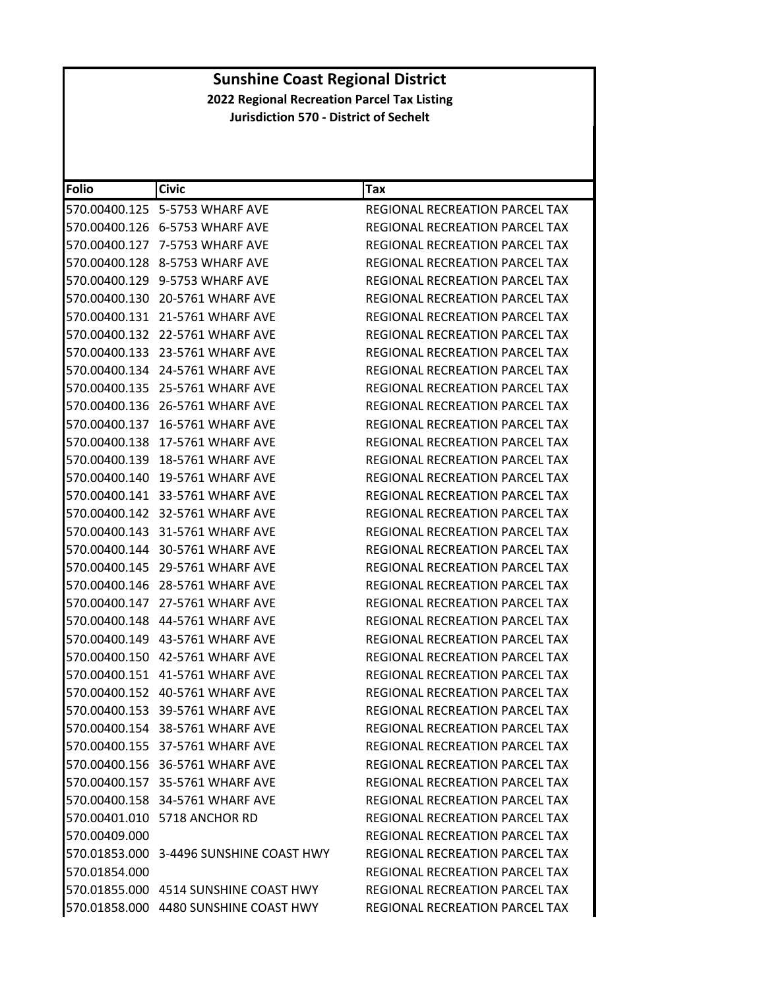| <b>Folio</b>  | <b>Civic</b>                            | Tax                                   |
|---------------|-----------------------------------------|---------------------------------------|
| 570.00400.125 | 5-5753 WHARF AVE                        | REGIONAL RECREATION PARCEL TAX        |
| 570.00400.126 | 6-5753 WHARF AVE                        | REGIONAL RECREATION PARCEL TAX        |
| 570.00400.127 | 7-5753 WHARF AVE                        | REGIONAL RECREATION PARCEL TAX        |
|               | 570.00400.128 8-5753 WHARF AVE          | REGIONAL RECREATION PARCEL TAX        |
|               | 570.00400.129 9-5753 WHARF AVE          | REGIONAL RECREATION PARCEL TAX        |
| 570.00400.130 | 20-5761 WHARF AVE                       | REGIONAL RECREATION PARCEL TAX        |
| 570.00400.131 | 21-5761 WHARF AVE                       | REGIONAL RECREATION PARCEL TAX        |
| 570.00400.132 | <b>22-5761 WHARF AVE</b>                | REGIONAL RECREATION PARCEL TAX        |
| 570.00400.133 | 23-5761 WHARF AVE                       | REGIONAL RECREATION PARCEL TAX        |
| 570.00400.134 | 24-5761 WHARF AVE                       | REGIONAL RECREATION PARCEL TAX        |
| 570.00400.135 | 25-5761 WHARF AVE                       | REGIONAL RECREATION PARCEL TAX        |
| 570.00400.136 | 26-5761 WHARF AVE                       | REGIONAL RECREATION PARCEL TAX        |
| 570.00400.137 | 16-5761 WHARF AVE                       | REGIONAL RECREATION PARCEL TAX        |
| 570.00400.138 | 17-5761 WHARF AVE                       | REGIONAL RECREATION PARCEL TAX        |
| 570.00400.139 | 18-5761 WHARF AVE                       | <b>REGIONAL RECREATION PARCEL TAX</b> |
| 570.00400.140 | 19-5761 WHARF AVE                       | <b>REGIONAL RECREATION PARCEL TAX</b> |
| 570.00400.141 | 33-5761 WHARF AVE                       | REGIONAL RECREATION PARCEL TAX        |
| 570.00400.142 | 32-5761 WHARF AVE                       | REGIONAL RECREATION PARCEL TAX        |
|               | 570.00400.143 31-5761 WHARF AVE         | REGIONAL RECREATION PARCEL TAX        |
|               | 570.00400.144 30-5761 WHARF AVE         | REGIONAL RECREATION PARCEL TAX        |
| 570.00400.145 | 29-5761 WHARF AVE                       | REGIONAL RECREATION PARCEL TAX        |
| 570.00400.146 | 28-5761 WHARF AVE                       | REGIONAL RECREATION PARCEL TAX        |
| 570.00400.147 | 27-5761 WHARF AVE                       | REGIONAL RECREATION PARCEL TAX        |
|               | 570.00400.148    44-5761 WHARF AVE      | REGIONAL RECREATION PARCEL TAX        |
|               |                                         | REGIONAL RECREATION PARCEL TAX        |
| 570.00400.150 | 42-5761 WHARF AVE                       | REGIONAL RECREATION PARCEL TAX        |
|               | 570.00400.151 41-5761 WHARF AVE         | REGIONAL RECREATION PARCEL TAX        |
| 570.00400.152 | 40-5761 WHARF AVE                       | REGIONAL RECREATION PARCEL TAX        |
|               | 570.00400.153 39-5761 WHARF AVE         | REGIONAL RECREATION PARCEL TAX        |
|               | 570.00400.154 38-5761 WHARF AVE         | REGIONAL RECREATION PARCEL TAX        |
|               | 570.00400.155 37-5761 WHARF AVE         | <b>REGIONAL RECREATION PARCEL TAX</b> |
|               | 570.00400.156 36-5761 WHARF AVE         | REGIONAL RECREATION PARCEL TAX        |
|               | 570.00400.157 35-5761 WHARF AVE         | REGIONAL RECREATION PARCEL TAX        |
|               | 570.00400.158 34-5761 WHARF AVE         | REGIONAL RECREATION PARCEL TAX        |
|               | 570.00401.010 5718 ANCHOR RD            | <b>REGIONAL RECREATION PARCEL TAX</b> |
| 570.00409.000 |                                         | REGIONAL RECREATION PARCEL TAX        |
|               | 570.01853.000 3-4496 SUNSHINE COAST HWY | REGIONAL RECREATION PARCEL TAX        |
| 570.01854.000 |                                         | REGIONAL RECREATION PARCEL TAX        |
|               | 570.01855.000 4514 SUNSHINE COAST HWY   | REGIONAL RECREATION PARCEL TAX        |
|               | 570.01858.000 4480 SUNSHINE COAST HWY   | REGIONAL RECREATION PARCEL TAX        |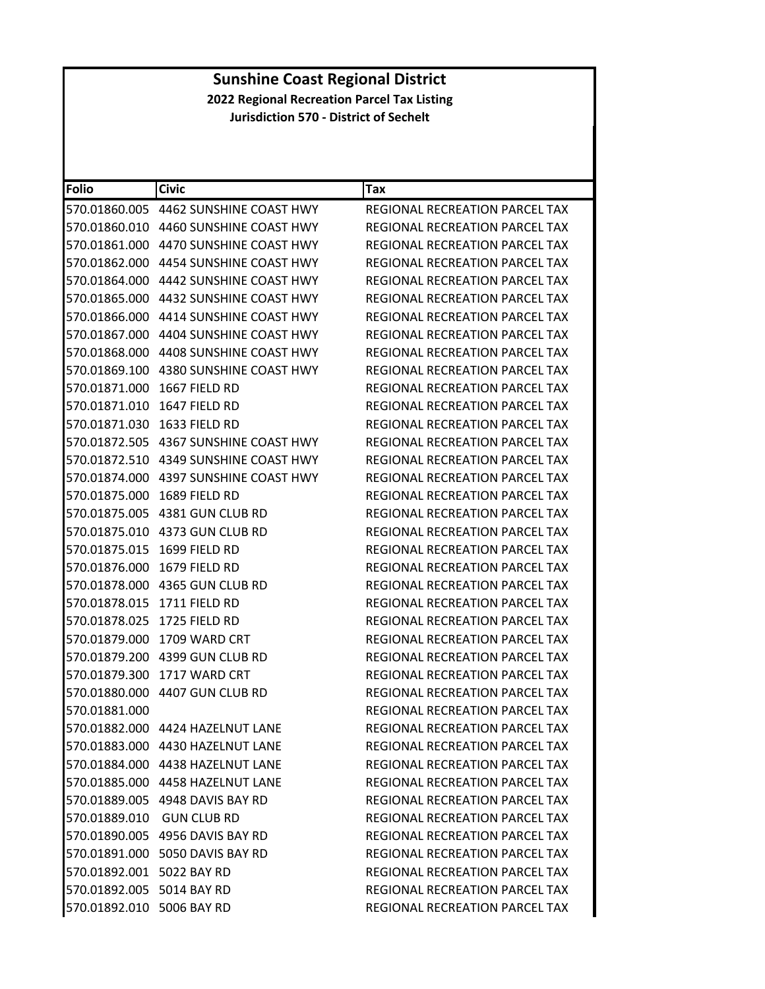| <b>Folio</b>              | <b>Civic</b>                          | Tax                                   |
|---------------------------|---------------------------------------|---------------------------------------|
|                           | 570.01860.005 4462 SUNSHINE COAST HWY | REGIONAL RECREATION PARCEL TAX        |
|                           |                                       | REGIONAL RECREATION PARCEL TAX        |
| 570.01861.000             | 4470 SUNSHINE COAST HWY               | REGIONAL RECREATION PARCEL TAX        |
|                           |                                       | REGIONAL RECREATION PARCEL TAX        |
| 570.01864.000             | 4442 SUNSHINE COAST HWY               | REGIONAL RECREATION PARCEL TAX        |
|                           | 570.01865.000 4432 SUNSHINE COAST HWY | REGIONAL RECREATION PARCEL TAX        |
|                           | 570.01866.000 4414 SUNSHINE COAST HWY | REGIONAL RECREATION PARCEL TAX        |
|                           | 570.01867.000 4404 SUNSHINE COAST HWY | REGIONAL RECREATION PARCEL TAX        |
|                           |                                       | REGIONAL RECREATION PARCEL TAX        |
| 570.01869.100             | 4380 SUNSHINE COAST HWY               | REGIONAL RECREATION PARCEL TAX        |
| 570.01871.000             | 1667 FIELD RD                         | REGIONAL RECREATION PARCEL TAX        |
| 570.01871.010             | 1647 FIELD RD                         | REGIONAL RECREATION PARCEL TAX        |
| 570.01871.030             | 1633 FIELD RD                         | <b>REGIONAL RECREATION PARCEL TAX</b> |
|                           | 570.01872.505 4367 SUNSHINE COAST HWY | REGIONAL RECREATION PARCEL TAX        |
|                           |                                       | REGIONAL RECREATION PARCEL TAX        |
|                           | 570.01874.000 4397 SUNSHINE COAST HWY | REGIONAL RECREATION PARCEL TAX        |
| 570.01875.000             | 1689 FIELD RD                         | <b>REGIONAL RECREATION PARCEL TAX</b> |
| 570.01875.005             | 4381 GUN CLUB RD                      | REGIONAL RECREATION PARCEL TAX        |
|                           | 570.01875.010 4373 GUN CLUB RD        | REGIONAL RECREATION PARCEL TAX        |
| 570.01875.015             | 1699 FIELD RD                         | REGIONAL RECREATION PARCEL TAX        |
| 570.01876.000             | 1679 FIELD RD                         | REGIONAL RECREATION PARCEL TAX        |
|                           | 570.01878.000 4365 GUN CLUB RD        | REGIONAL RECREATION PARCEL TAX        |
| 570.01878.015             | 1711 FIELD RD                         | REGIONAL RECREATION PARCEL TAX        |
| 570.01878.025             | 1725 FIELD RD                         | REGIONAL RECREATION PARCEL TAX        |
| 570.01879.000             | 1709 WARD CRT                         | REGIONAL RECREATION PARCEL TAX        |
|                           |                                       | <b>REGIONAL RECREATION PARCEL TAX</b> |
| 570.01879.300             | 1717 WARD CRT                         | REGIONAL RECREATION PARCEL TAX        |
| 570.01880.000             | 4407 GUN CLUB RD                      | REGIONAL RECREATION PARCEL TAX        |
| 570.01881.000             |                                       | REGIONAL RECREATION PARCEL TAX        |
|                           | 570.01882.000 4424 HAZELNUT LANE      | REGIONAL RECREATION PARCEL TAX        |
|                           |                                       | REGIONAL RECREATION PARCEL TAX        |
|                           | 570.01884.000 4438 HAZELNUT LANE      | REGIONAL RECREATION PARCEL TAX        |
|                           | 570.01885.000 4458 HAZELNUT LANE      | REGIONAL RECREATION PARCEL TAX        |
|                           | 570.01889.005 4948 DAVIS BAY RD       | REGIONAL RECREATION PARCEL TAX        |
|                           | 570.01889.010 GUN CLUB RD             | <b>REGIONAL RECREATION PARCEL TAX</b> |
|                           | 570.01890.005 4956 DAVIS BAY RD       | REGIONAL RECREATION PARCEL TAX        |
|                           | 570.01891.000 5050 DAVIS BAY RD       | REGIONAL RECREATION PARCEL TAX        |
| 570.01892.001 5022 BAY RD |                                       | <b>REGIONAL RECREATION PARCEL TAX</b> |
| 570.01892.005 5014 BAY RD |                                       | REGIONAL RECREATION PARCEL TAX        |
| 570.01892.010 5006 BAY RD |                                       | REGIONAL RECREATION PARCEL TAX        |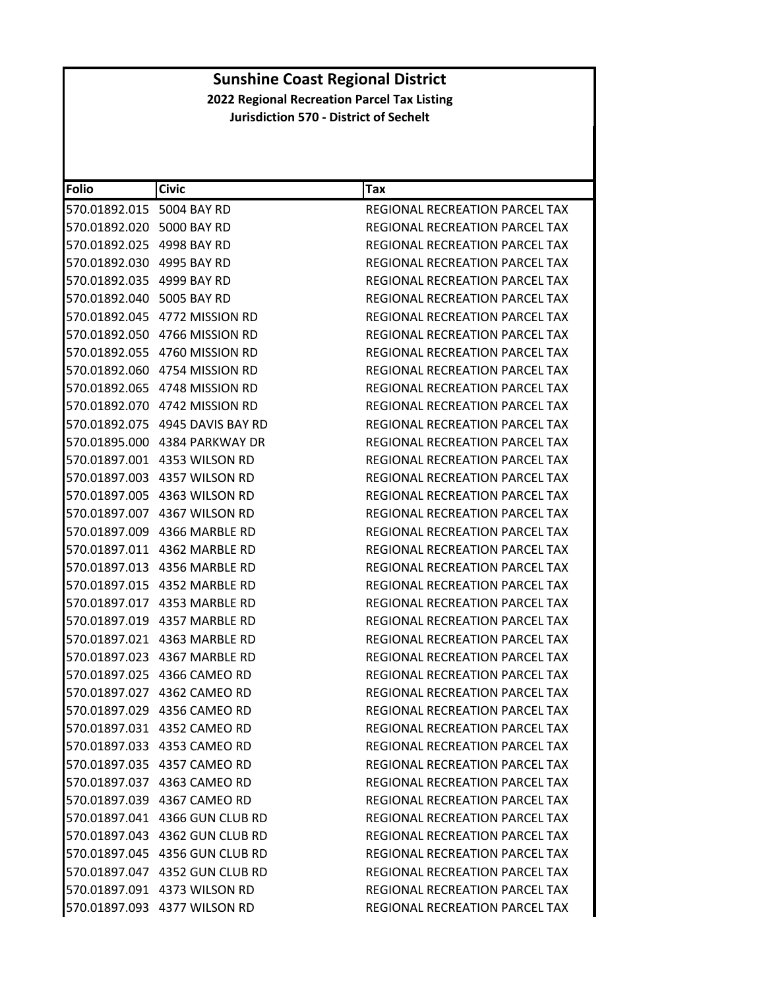| <b>Folio</b>              | <b>Civic</b>                    | Tax                                   |
|---------------------------|---------------------------------|---------------------------------------|
| 570.01892.015 5004 BAY RD |                                 | <b>REGIONAL RECREATION PARCEL TAX</b> |
| 570.01892.020 5000 BAY RD |                                 | REGIONAL RECREATION PARCEL TAX        |
| 570.01892.025 4998 BAY RD |                                 | REGIONAL RECREATION PARCEL TAX        |
| 570.01892.030 4995 BAY RD |                                 | REGIONAL RECREATION PARCEL TAX        |
| 570.01892.035 4999 BAY RD |                                 | REGIONAL RECREATION PARCEL TAX        |
| 570.01892.040 5005 BAY RD |                                 | REGIONAL RECREATION PARCEL TAX        |
|                           | 570.01892.045 4772 MISSION RD   | REGIONAL RECREATION PARCEL TAX        |
|                           | 570.01892.050 4766 MISSION RD   | REGIONAL RECREATION PARCEL TAX        |
|                           | 570.01892.055 4760 MISSION RD   | REGIONAL RECREATION PARCEL TAX        |
|                           | 570.01892.060 4754 MISSION RD   | REGIONAL RECREATION PARCEL TAX        |
|                           | 570.01892.065 4748 MISSION RD   | REGIONAL RECREATION PARCEL TAX        |
|                           | 570.01892.070 4742 MISSION RD   | REGIONAL RECREATION PARCEL TAX        |
|                           | 570.01892.075 4945 DAVIS BAY RD | <b>REGIONAL RECREATION PARCEL TAX</b> |
|                           | 570.01895.000 4384 PARKWAY DR   | REGIONAL RECREATION PARCEL TAX        |
|                           | 570.01897.001 4353 WILSON RD    | REGIONAL RECREATION PARCEL TAX        |
|                           | 570.01897.003 4357 WILSON RD    | REGIONAL RECREATION PARCEL TAX        |
|                           | 570.01897.005 4363 WILSON RD    | <b>REGIONAL RECREATION PARCEL TAX</b> |
|                           | 570.01897.007 4367 WILSON RD    | REGIONAL RECREATION PARCEL TAX        |
|                           | 570.01897.009 4366 MARBLE RD    | REGIONAL RECREATION PARCEL TAX        |
|                           |                                 | REGIONAL RECREATION PARCEL TAX        |
|                           | 570.01897.013 4356 MARBLE RD    | REGIONAL RECREATION PARCEL TAX        |
|                           |                                 | REGIONAL RECREATION PARCEL TAX        |
|                           |                                 | REGIONAL RECREATION PARCEL TAX        |
|                           | 570.01897.019 4357 MARBLE RD    | REGIONAL RECREATION PARCEL TAX        |
|                           | 570.01897.021 4363 MARBLE RD    | REGIONAL RECREATION PARCEL TAX        |
|                           | 570.01897.023 4367 MARBLE RD    | REGIONAL RECREATION PARCEL TAX        |
|                           |                                 | REGIONAL RECREATION PARCEL TAX        |
|                           | 570.01897.027 4362 CAMEO RD     | REGIONAL RECREATION PARCEL TAX        |
|                           | 570.01897.029 4356 CAMEO RD     | REGIONAL RECREATION PARCEL TAX        |
|                           | 570.01897.031 4352 CAMEO RD     | <b>REGIONAL RECREATION PARCEL TAX</b> |
|                           | 570.01897.033 4353 CAMEO RD     | REGIONAL RECREATION PARCEL TAX        |
|                           | 570.01897.035 4357 CAMEO RD     | REGIONAL RECREATION PARCEL TAX        |
|                           | 570.01897.037 4363 CAMEO RD     | REGIONAL RECREATION PARCEL TAX        |
|                           | 570.01897.039 4367 CAMEO RD     | <b>REGIONAL RECREATION PARCEL TAX</b> |
|                           | 570.01897.041 4366 GUN CLUB RD  | <b>REGIONAL RECREATION PARCEL TAX</b> |
|                           | 570.01897.043 4362 GUN CLUB RD  | REGIONAL RECREATION PARCEL TAX        |
|                           |                                 | REGIONAL RECREATION PARCEL TAX        |
|                           | 570.01897.047 4352 GUN CLUB RD  | REGIONAL RECREATION PARCEL TAX        |
|                           | 570.01897.091 4373 WILSON RD    | <b>REGIONAL RECREATION PARCEL TAX</b> |
|                           | 570.01897.093 4377 WILSON RD    | REGIONAL RECREATION PARCEL TAX        |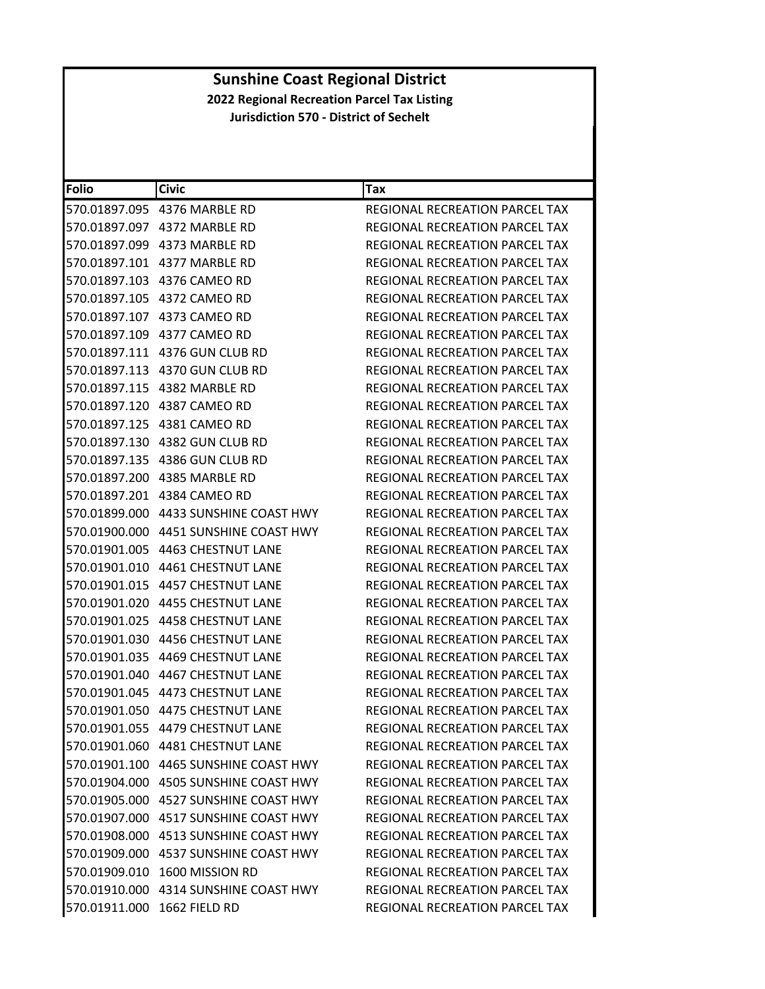| <b>Folio</b>                | <b>Civic</b>                          | Tax                                   |
|-----------------------------|---------------------------------------|---------------------------------------|
|                             |                                       | REGIONAL RECREATION PARCEL TAX        |
|                             | 570.01897.097 4372 MARBLE RD          | REGIONAL RECREATION PARCEL TAX        |
|                             | 570.01897.099 4373 MARBLE RD          | REGIONAL RECREATION PARCEL TAX        |
|                             | 570.01897.101 4377 MARBLE RD          | REGIONAL RECREATION PARCEL TAX        |
|                             |                                       | REGIONAL RECREATION PARCEL TAX        |
|                             | 570.01897.105 4372 CAMEO RD           | REGIONAL RECREATION PARCEL TAX        |
|                             | 570.01897.107 4373 CAMEO RD           | REGIONAL RECREATION PARCEL TAX        |
|                             | 570.01897.109 4377 CAMEO RD           | REGIONAL RECREATION PARCEL TAX        |
|                             |                                       | REGIONAL RECREATION PARCEL TAX        |
|                             | 570.01897.113 4370 GUN CLUB RD        | REGIONAL RECREATION PARCEL TAX        |
|                             | 570.01897.115 4382 MARBLE RD          | REGIONAL RECREATION PARCEL TAX        |
|                             |                                       | REGIONAL RECREATION PARCEL TAX        |
|                             | 570.01897.125 4381 CAMEO RD           | REGIONAL RECREATION PARCEL TAX        |
|                             | 570.01897.130 4382 GUN CLUB RD        | REGIONAL RECREATION PARCEL TAX        |
|                             | 570.01897.135 4386 GUN CLUB RD        | REGIONAL RECREATION PARCEL TAX        |
|                             | 570.01897.200 4385 MARBLE RD          | REGIONAL RECREATION PARCEL TAX        |
|                             |                                       | REGIONAL RECREATION PARCEL TAX        |
|                             | 570.01899.000 4433 SUNSHINE COAST HWY | REGIONAL RECREATION PARCEL TAX        |
|                             | 570.01900.000 4451 SUNSHINE COAST HWY | <b>REGIONAL RECREATION PARCEL TAX</b> |
|                             |                                       | REGIONAL RECREATION PARCEL TAX        |
|                             |                                       | REGIONAL RECREATION PARCEL TAX        |
|                             |                                       | REGIONAL RECREATION PARCEL TAX        |
|                             | 570.01901.020 4455 CHESTNUT LANE      | REGIONAL RECREATION PARCEL TAX        |
|                             |                                       | REGIONAL RECREATION PARCEL TAX        |
|                             | 570.01901.030 4456 CHESTNUT LANE      | REGIONAL RECREATION PARCEL TAX        |
|                             | 570.01901.035 4469 CHESTNUT LANE      | REGIONAL RECREATION PARCEL TAX        |
|                             | 570.01901.040    4467 CHESTNUT LANE   | REGIONAL RECREATION PARCEL TAX        |
|                             | 570.01901.045 4473 CHESTNUT LANE      | REGIONAL RECREATION PARCEL TAX        |
|                             | 570.01901.050 4475 CHESTNUT LANE      | REGIONAL RECREATION PARCEL TAX        |
|                             | 570.01901.055 4479 CHESTNUT LANE      | REGIONAL RECREATION PARCEL TAX        |
|                             | 570.01901.060 4481 CHESTNUT LANE      | REGIONAL RECREATION PARCEL TAX        |
|                             |                                       | REGIONAL RECREATION PARCEL TAX        |
|                             |                                       | REGIONAL RECREATION PARCEL TAX        |
|                             | 570.01905.000 4527 SUNSHINE COAST HWY | REGIONAL RECREATION PARCEL TAX        |
|                             | 570.01907.000 4517 SUNSHINE COAST HWY | REGIONAL RECREATION PARCEL TAX        |
|                             | 570.01908.000 4513 SUNSHINE COAST HWY | <b>REGIONAL RECREATION PARCEL TAX</b> |
|                             | 570.01909.000 4537 SUNSHINE COAST HWY | <b>REGIONAL RECREATION PARCEL TAX</b> |
|                             | 570.01909.010 1600 MISSION RD         | REGIONAL RECREATION PARCEL TAX        |
|                             | 570.01910.000 4314 SUNSHINE COAST HWY | REGIONAL RECREATION PARCEL TAX        |
| 570.01911.000 1662 FIELD RD |                                       | REGIONAL RECREATION PARCEL TAX        |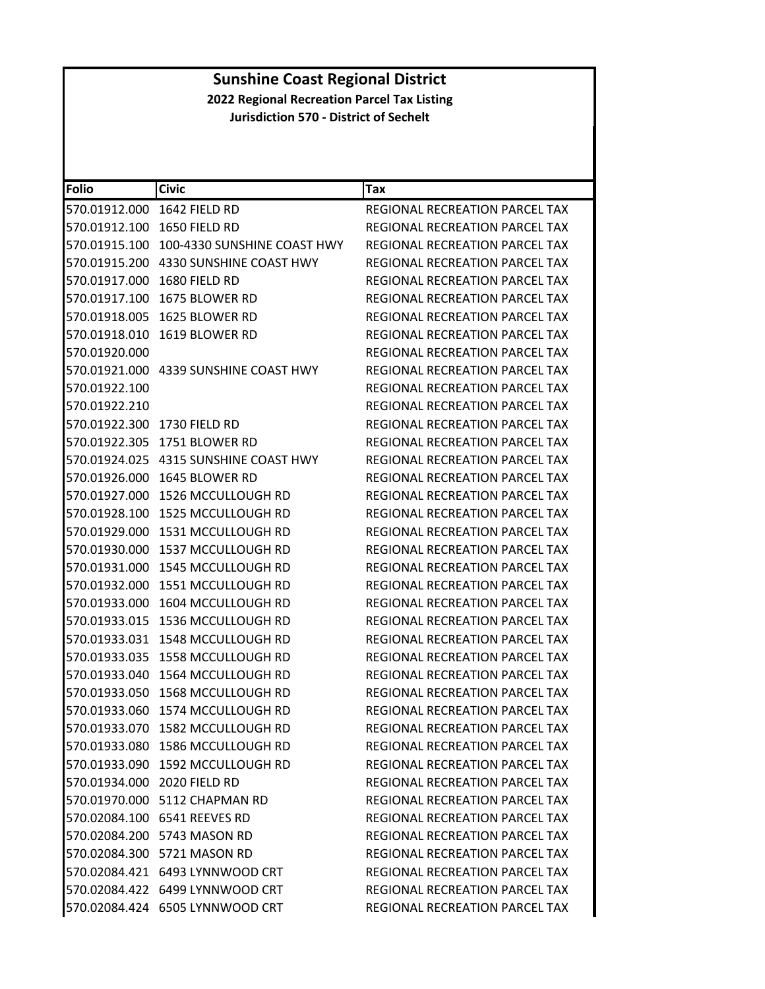| Folio                       | <b>Civic</b>                     | Tax                                   |
|-----------------------------|----------------------------------|---------------------------------------|
| 570.01912.000               | 1642 FIELD RD                    | REGIONAL RECREATION PARCEL TAX        |
| 570.01912.100               | 1650 FIELD RD                    | REGIONAL RECREATION PARCEL TAX        |
| 570.01915.100               | 100-4330 SUNSHINE COAST HWY      | REGIONAL RECREATION PARCEL TAX        |
| 570.01915.200               | 4330 SUNSHINE COAST HWY          | REGIONAL RECREATION PARCEL TAX        |
| 570.01917.000               | 1680 FIELD RD                    | REGIONAL RECREATION PARCEL TAX        |
| 570.01917.100               | 1675 BLOWER RD                   | <b>REGIONAL RECREATION PARCEL TAX</b> |
| 570.01918.005               | 1625 BLOWER RD                   | REGIONAL RECREATION PARCEL TAX        |
| 570.01918.010               | 1619 BLOWER RD                   | REGIONAL RECREATION PARCEL TAX        |
| 570.01920.000               |                                  | REGIONAL RECREATION PARCEL TAX        |
| 570.01921.000               | 4339 SUNSHINE COAST HWY          | REGIONAL RECREATION PARCEL TAX        |
| 570.01922.100               |                                  | <b>REGIONAL RECREATION PARCEL TAX</b> |
| 570.01922.210               |                                  | REGIONAL RECREATION PARCEL TAX        |
| 570.01922.300               | 1730 FIELD RD                    | REGIONAL RECREATION PARCEL TAX        |
| 570.01922.305               | 1751 BLOWER RD                   | REGIONAL RECREATION PARCEL TAX        |
| 570.01924.025               | 4315 SUNSHINE COAST HWY          | <b>REGIONAL RECREATION PARCEL TAX</b> |
| 570.01926.000               | 1645 BLOWER RD                   | <b>REGIONAL RECREATION PARCEL TAX</b> |
| 570.01927.000               | 1526 MCCULLOUGH RD               | REGIONAL RECREATION PARCEL TAX        |
| 570.01928.100               | 1525 MCCULLOUGH RD               | REGIONAL RECREATION PARCEL TAX        |
| 570.01929.000               | 1531 MCCULLOUGH RD               | REGIONAL RECREATION PARCEL TAX        |
| 570.01930.000               | 1537 MCCULLOUGH RD               | REGIONAL RECREATION PARCEL TAX        |
| 570.01931.000               | <b>1545 MCCULLOUGH RD</b>        | REGIONAL RECREATION PARCEL TAX        |
| 570.01932.000               | 1551 MCCULLOUGH RD               | REGIONAL RECREATION PARCEL TAX        |
| 570.01933.000               | 1604 MCCULLOUGH RD               | REGIONAL RECREATION PARCEL TAX        |
| 570.01933.015               | 1536 MCCULLOUGH RD               | REGIONAL RECREATION PARCEL TAX        |
| 570.01933.031               | 1548 MCCULLOUGH RD               | REGIONAL RECREATION PARCEL TAX        |
| 570.01933.035               | <b>1558 MCCULLOUGH RD</b>        | <b>REGIONAL RECREATION PARCEL TAX</b> |
| 570.01933.040               | 1564 MCCULLOUGH RD               | REGIONAL RECREATION PARCEL TAX        |
| 570.01933.050               | 1568 MCCULLOUGH RD               | REGIONAL RECREATION PARCEL TAX        |
| 570.01933.060               | 1574 MCCULLOUGH RD               | REGIONAL RECREATION PARCEL TAX        |
|                             | 570.01933.070 1582 MCCULLOUGH RD | REGIONAL RECREATION PARCEL TAX        |
|                             | 570.01933.080 1586 MCCULLOUGH RD | REGIONAL RECREATION PARCEL TAX        |
|                             | 570.01933.090 1592 MCCULLOUGH RD | REGIONAL RECREATION PARCEL TAX        |
| 570.01934.000 2020 FIELD RD |                                  | REGIONAL RECREATION PARCEL TAX        |
|                             | 570.01970.000 5112 CHAPMAN RD    | <b>REGIONAL RECREATION PARCEL TAX</b> |
|                             | 570.02084.100 6541 REEVES RD     | REGIONAL RECREATION PARCEL TAX        |
|                             | 570.02084.200 5743 MASON RD      | REGIONAL RECREATION PARCEL TAX        |
|                             | 570.02084.300 5721 MASON RD      | REGIONAL RECREATION PARCEL TAX        |
|                             | 570.02084.421 6493 LYNNWOOD CRT  | <b>REGIONAL RECREATION PARCEL TAX</b> |
|                             | 570.02084.422 6499 LYNNWOOD CRT  | REGIONAL RECREATION PARCEL TAX        |
|                             | 570.02084.424 6505 LYNNWOOD CRT  | REGIONAL RECREATION PARCEL TAX        |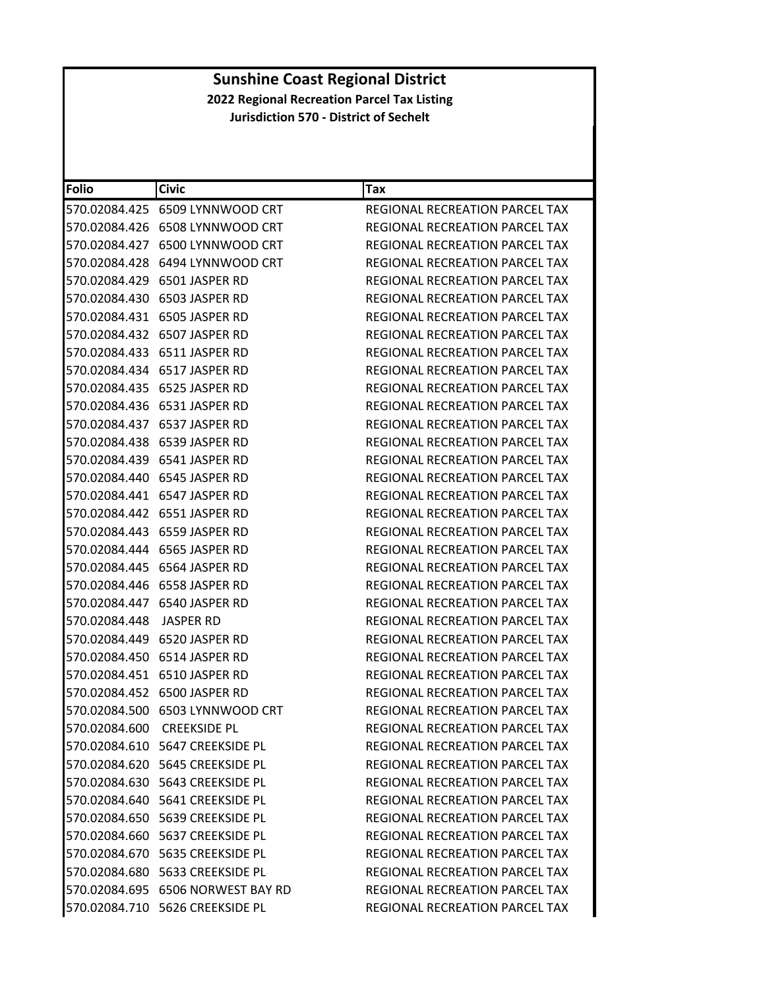| <b>Folio</b>               | <b>Civic</b>                       | Tax                                   |
|----------------------------|------------------------------------|---------------------------------------|
|                            |                                    | REGIONAL RECREATION PARCEL TAX        |
|                            |                                    | REGIONAL RECREATION PARCEL TAX        |
|                            | 570.02084.427 6500 LYNNWOOD CRT    | REGIONAL RECREATION PARCEL TAX        |
|                            |                                    | <b>REGIONAL RECREATION PARCEL TAX</b> |
|                            | 570.02084.429 6501 JASPER RD       | REGIONAL RECREATION PARCEL TAX        |
|                            |                                    | REGIONAL RECREATION PARCEL TAX        |
|                            |                                    | <b>REGIONAL RECREATION PARCEL TAX</b> |
|                            | 570.02084.432 6507 JASPER RD       | REGIONAL RECREATION PARCEL TAX        |
| 570.02084.433              | 6511 JASPER RD                     | REGIONAL RECREATION PARCEL TAX        |
|                            |                                    | REGIONAL RECREATION PARCEL TAX        |
|                            | 570.02084.435 6525 JASPER RD       | REGIONAL RECREATION PARCEL TAX        |
|                            |                                    | REGIONAL RECREATION PARCEL TAX        |
|                            |                                    | REGIONAL RECREATION PARCEL TAX        |
| 570.02084.438              | 6539 JASPER RD                     | REGIONAL RECREATION PARCEL TAX        |
|                            |                                    | REGIONAL RECREATION PARCEL TAX        |
|                            |                                    | REGIONAL RECREATION PARCEL TAX        |
|                            |                                    | REGIONAL RECREATION PARCEL TAX        |
|                            |                                    | REGIONAL RECREATION PARCEL TAX        |
|                            |                                    | REGIONAL RECREATION PARCEL TAX        |
|                            |                                    | REGIONAL RECREATION PARCEL TAX        |
|                            |                                    | REGIONAL RECREATION PARCEL TAX        |
|                            |                                    | REGIONAL RECREATION PARCEL TAX        |
|                            |                                    | REGIONAL RECREATION PARCEL TAX        |
| 570.02084.448              | JASPER RD                          | REGIONAL RECREATION PARCEL TAX        |
| 570.02084.449              | 6520 JASPER RD                     | REGIONAL RECREATION PARCEL TAX        |
|                            | 570.02084.450 6514 JASPER RD       | REGIONAL RECREATION PARCEL TAX        |
|                            |                                    | REGIONAL RECREATION PARCEL TAX        |
|                            | 570.02084.452 6500 JASPER RD       | REGIONAL RECREATION PARCEL TAX        |
|                            | 570.02084.500 6503 LYNNWOOD CRT    | REGIONAL RECREATION PARCEL TAX        |
| 570.02084.600 CREEKSIDE PL |                                    | REGIONAL RECREATION PARCEL TAX        |
|                            | 570.02084.610    5647 CREEKSIDE PL | REGIONAL RECREATION PARCEL TAX        |
|                            | 570.02084.620 5645 CREEKSIDE PL    | <b>REGIONAL RECREATION PARCEL TAX</b> |
|                            | 570.02084.630    5643 CREEKSIDE PL | <b>REGIONAL RECREATION PARCEL TAX</b> |
|                            | 570.02084.640    5641 CREEKSIDE PL | <b>REGIONAL RECREATION PARCEL TAX</b> |
|                            | 570.02084.650    5639 CREEKSIDE PL | REGIONAL RECREATION PARCEL TAX        |
|                            | 570.02084.660    5637 CREEKSIDE PL | <b>REGIONAL RECREATION PARCEL TAX</b> |
|                            | 570.02084.670    5635 CREEKSIDE PL | REGIONAL RECREATION PARCEL TAX        |
|                            |                                    | REGIONAL RECREATION PARCEL TAX        |
|                            | 570.02084.695 6506 NORWEST BAY RD  | REGIONAL RECREATION PARCEL TAX        |
|                            | 570.02084.710 5626 CREEKSIDE PL    | REGIONAL RECREATION PARCEL TAX        |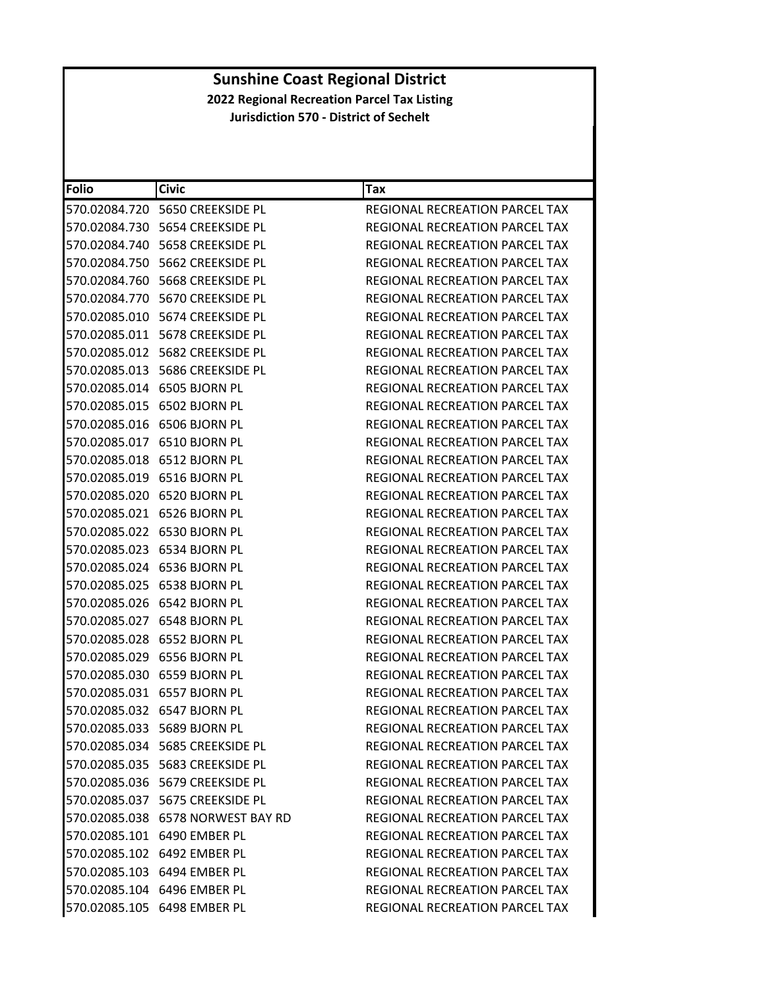| Folio                       | <b>Civic</b>                       | Tax                                   |
|-----------------------------|------------------------------------|---------------------------------------|
|                             |                                    | REGIONAL RECREATION PARCEL TAX        |
|                             |                                    | REGIONAL RECREATION PARCEL TAX        |
|                             | 570.02084.740    5658 CREEKSIDE PL | REGIONAL RECREATION PARCEL TAX        |
|                             | 570.02084.750    5662 CREEKSIDE PL | REGIONAL RECREATION PARCEL TAX        |
|                             | 570.02084.760    5668 CREEKSIDE PL | REGIONAL RECREATION PARCEL TAX        |
|                             | 570.02084.770 5670 CREEKSIDE PL    | REGIONAL RECREATION PARCEL TAX        |
|                             | 570.02085.010 5674 CREEKSIDE PL    | REGIONAL RECREATION PARCEL TAX        |
|                             | 570.02085.011    5678 CREEKSIDE PL | REGIONAL RECREATION PARCEL TAX        |
|                             | 570.02085.012    5682 CREEKSIDE PL | <b>REGIONAL RECREATION PARCEL TAX</b> |
|                             | 570.02085.013 5686 CREEKSIDE PL    | REGIONAL RECREATION PARCEL TAX        |
|                             | 570.02085.014 6505 BJORN PL        | REGIONAL RECREATION PARCEL TAX        |
|                             | 570.02085.015 6502 BJORN PL        | REGIONAL RECREATION PARCEL TAX        |
|                             | 570.02085.016 6506 BJORN PL        | <b>REGIONAL RECREATION PARCEL TAX</b> |
|                             | 570.02085.017 6510 BJORN PL        | REGIONAL RECREATION PARCEL TAX        |
|                             | 570.02085.018 6512 BJORN PL        | REGIONAL RECREATION PARCEL TAX        |
|                             | 570.02085.019 6516 BJORN PL        | REGIONAL RECREATION PARCEL TAX        |
|                             | 570.02085.020 6520 BJORN PL        | REGIONAL RECREATION PARCEL TAX        |
|                             | 570.02085.021 6526 BJORN PL        | REGIONAL RECREATION PARCEL TAX        |
|                             | 570.02085.022 6530 BJORN PL        | REGIONAL RECREATION PARCEL TAX        |
|                             | 570.02085.023 6534 BJORN PL        | REGIONAL RECREATION PARCEL TAX        |
|                             | 570.02085.024 6536 BJORN PL        | REGIONAL RECREATION PARCEL TAX        |
|                             | 570.02085.025 6538 BJORN PL        | REGIONAL RECREATION PARCEL TAX        |
|                             | 570.02085.026 6542 BJORN PL        | REGIONAL RECREATION PARCEL TAX        |
|                             | 570.02085.027 6548 BJORN PL        | REGIONAL RECREATION PARCEL TAX        |
|                             | 570.02085.028 6552 BJORN PL        | REGIONAL RECREATION PARCEL TAX        |
|                             | 570.02085.029 6556 BJORN PL        | REGIONAL RECREATION PARCEL TAX        |
|                             | 570.02085.030 6559 BJORN PL        | REGIONAL RECREATION PARCEL TAX        |
|                             | 570.02085.031 6557 BJORN PL        | REGIONAL RECREATION PARCEL TAX        |
|                             | 570.02085.032 6547 BJORN PL        | REGIONAL RECREATION PARCEL TAX        |
| 570.02085.033 5689 BJORN PL |                                    | REGIONAL RECREATION PARCEL TAX        |
|                             | 570.02085.034 5685 CREEKSIDE PL    | REGIONAL RECREATION PARCEL TAX        |
|                             | 570.02085.035    5683 CREEKSIDE PL | REGIONAL RECREATION PARCEL TAX        |
|                             | 570.02085.036    5679 CREEKSIDE PL | REGIONAL RECREATION PARCEL TAX        |
|                             | 570.02085.037 5675 CREEKSIDE PL    | <b>REGIONAL RECREATION PARCEL TAX</b> |
|                             | 570.02085.038 6578 NORWEST BAY RD  | REGIONAL RECREATION PARCEL TAX        |
|                             | 570.02085.101 6490 EMBER PL        | REGIONAL RECREATION PARCEL TAX        |
|                             | 570.02085.102 6492 EMBER PL        | <b>REGIONAL RECREATION PARCEL TAX</b> |
|                             | 570.02085.103 6494 EMBER PL        | REGIONAL RECREATION PARCEL TAX        |
|                             | 570.02085.104 6496 EMBER PL        | <b>REGIONAL RECREATION PARCEL TAX</b> |
|                             | 570.02085.105 6498 EMBER PL        | REGIONAL RECREATION PARCEL TAX        |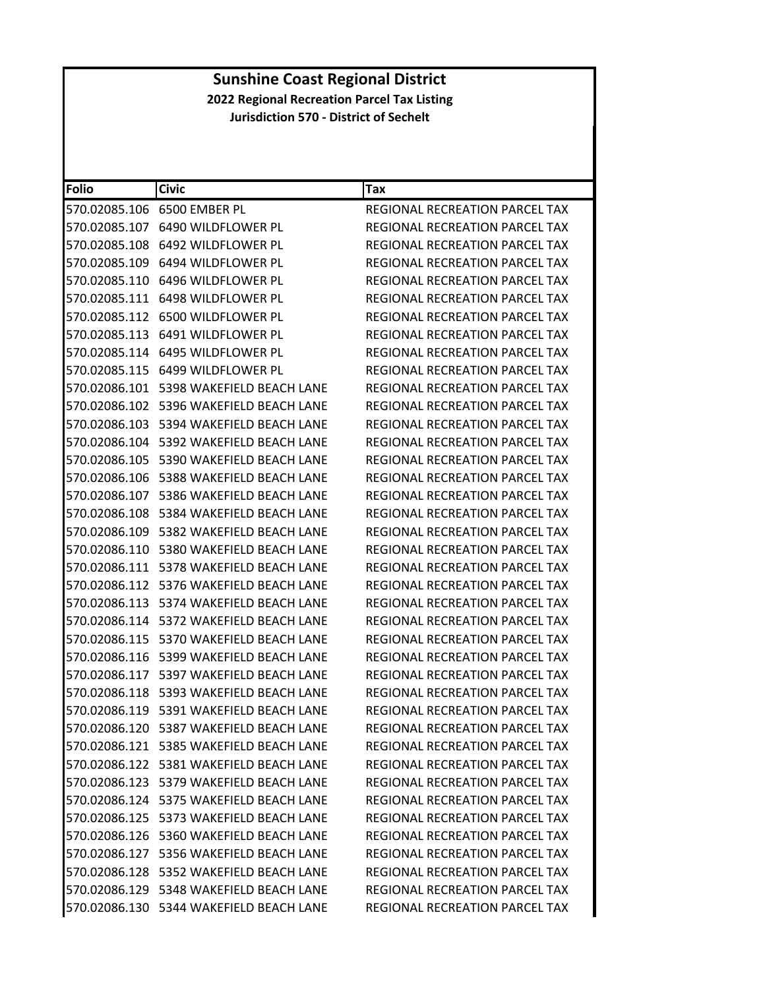| <b>Folio</b>  | <b>Civic</b>                               | Tax                                   |
|---------------|--------------------------------------------|---------------------------------------|
| 570.02085.106 | 6500 EMBER PL                              | REGIONAL RECREATION PARCEL TAX        |
| 570.02085.107 | 6490 WILDFLOWER PL                         | REGIONAL RECREATION PARCEL TAX        |
| 570.02085.108 | 6492 WILDFLOWER PL                         | REGIONAL RECREATION PARCEL TAX        |
| 570.02085.109 | 6494 WILDFLOWER PL                         | REGIONAL RECREATION PARCEL TAX        |
|               | 570.02085.110 6496 WILDFLOWER PL           | REGIONAL RECREATION PARCEL TAX        |
| 570.02085.111 | 6498 WILDFLOWER PL                         | <b>REGIONAL RECREATION PARCEL TAX</b> |
| 570.02085.112 | 6500 WILDFLOWER PL                         | <b>REGIONAL RECREATION PARCEL TAX</b> |
| 570.02085.113 | 6491 WILDFLOWER PL                         | REGIONAL RECREATION PARCEL TAX        |
| 570.02085.114 | 6495 WILDFLOWER PL                         | REGIONAL RECREATION PARCEL TAX        |
|               | 570.02085.115 6499 WILDFLOWER PL           | REGIONAL RECREATION PARCEL TAX        |
| 570.02086.101 | 5398 WAKEFIELD BEACH LANE                  | REGIONAL RECREATION PARCEL TAX        |
| 570.02086.102 | 5396 WAKEFIELD BEACH LANE                  | REGIONAL RECREATION PARCEL TAX        |
| 570.02086.103 | 5394 WAKEFIELD BEACH LANE                  | <b>REGIONAL RECREATION PARCEL TAX</b> |
| 570.02086.104 | 5392 WAKEFIELD BEACH LANE                  | REGIONAL RECREATION PARCEL TAX        |
|               | 570.02086.105    5390 WAKEFIELD BEACH LANE | <b>REGIONAL RECREATION PARCEL TAX</b> |
| 570.02086.106 | 5388 WAKEFIELD BEACH LANE                  | REGIONAL RECREATION PARCEL TAX        |
| 570.02086.107 | 5386 WAKEFIELD BEACH LANE                  | REGIONAL RECREATION PARCEL TAX        |
| 570.02086.108 | 5384 WAKEFIELD BEACH LANE                  | REGIONAL RECREATION PARCEL TAX        |
| 570.02086.109 | 5382 WAKEFIELD BEACH LANE                  | REGIONAL RECREATION PARCEL TAX        |
|               | 570.02086.110    5380 WAKEFIELD BEACH LANE | REGIONAL RECREATION PARCEL TAX        |
| 570.02086.111 | 5378 WAKEFIELD BEACH LANE                  | REGIONAL RECREATION PARCEL TAX        |
|               | 570.02086.112    5376 WAKEFIELD BEACH LANE | REGIONAL RECREATION PARCEL TAX        |
|               | 570.02086.113    5374 WAKEFIELD BEACH LANE | REGIONAL RECREATION PARCEL TAX        |
| 570.02086.114 | 5372 WAKEFIELD BEACH LANE                  | REGIONAL RECREATION PARCEL TAX        |
|               | 570.02086.115    5370 WAKEFIELD BEACH LANE | REGIONAL RECREATION PARCEL TAX        |
| 570.02086.116 | 5399 WAKEFIELD BEACH LANE                  | REGIONAL RECREATION PARCEL TAX        |
| 570.02086.117 | 5397 WAKEFIELD BEACH LANE                  | REGIONAL RECREATION PARCEL TAX        |
| 570.02086.118 | 5393 WAKEFIELD BEACH LANE                  | REGIONAL RECREATION PARCEL TAX        |
|               |                                            | REGIONAL RECREATION PARCEL TAX        |
|               | 570.02086.120 5387 WAKEFIELD BEACH LANE    | REGIONAL RECREATION PARCEL TAX        |
|               | 570.02086.121 5385 WAKEFIELD BEACH LANE    | REGIONAL RECREATION PARCEL TAX        |
|               | 570.02086.122 5381 WAKEFIELD BEACH LANE    | REGIONAL RECREATION PARCEL TAX        |
|               | 570.02086.123    5379 WAKEFIELD BEACH LANE | REGIONAL RECREATION PARCEL TAX        |
|               |                                            | REGIONAL RECREATION PARCEL TAX        |
|               | 570.02086.125    5373 WAKEFIELD BEACH LANE | REGIONAL RECREATION PARCEL TAX        |
|               | 570.02086.126 5360 WAKEFIELD BEACH LANE    | REGIONAL RECREATION PARCEL TAX        |
|               | 570.02086.127 5356 WAKEFIELD BEACH LANE    | REGIONAL RECREATION PARCEL TAX        |
|               | 570.02086.128    5352 WAKEFIELD BEACH LANE | REGIONAL RECREATION PARCEL TAX        |
|               | 570.02086.129 5348 WAKEFIELD BEACH LANE    | REGIONAL RECREATION PARCEL TAX        |
|               | 570.02086.130 5344 WAKEFIELD BEACH LANE    | REGIONAL RECREATION PARCEL TAX        |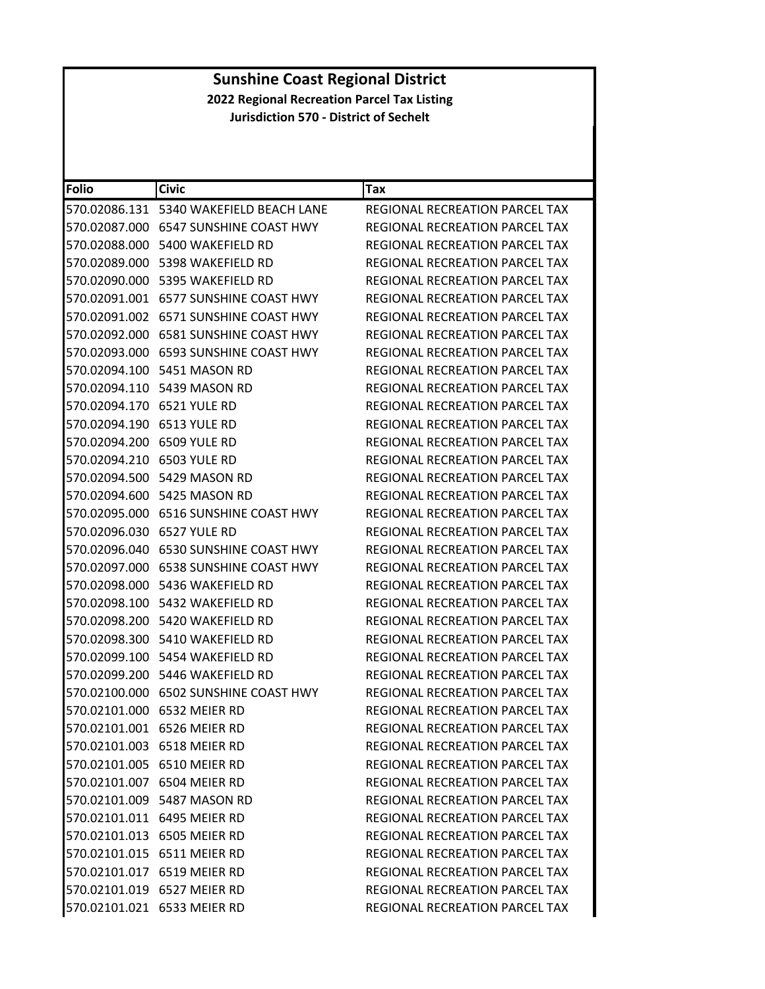| <b>Folio</b>               | Civic                                      | Tax                                   |
|----------------------------|--------------------------------------------|---------------------------------------|
|                            | 570.02086.131    5340 WAKEFIELD BEACH LANE | REGIONAL RECREATION PARCEL TAX        |
| 570.02087.000              | <b>6547 SUNSHINE COAST HWY</b>             | REGIONAL RECREATION PARCEL TAX        |
| 570.02088.000              | 5400 WAKEFIELD RD                          | REGIONAL RECREATION PARCEL TAX        |
| 570.02089.000              | 5398 WAKEFIELD RD                          | REGIONAL RECREATION PARCEL TAX        |
| 570.02090.000              | 5395 WAKEFIELD RD                          | REGIONAL RECREATION PARCEL TAX        |
|                            | 570.02091.001    6577 SUNSHINE COAST HWY   | <b>REGIONAL RECREATION PARCEL TAX</b> |
|                            | 570.02091.002 6571 SUNSHINE COAST HWY      | REGIONAL RECREATION PARCEL TAX        |
| 570.02092.000              | <b>6581 SUNSHINE COAST HWY</b>             | <b>REGIONAL RECREATION PARCEL TAX</b> |
|                            | 570.02093.000 6593 SUNSHINE COAST HWY      | REGIONAL RECREATION PARCEL TAX        |
| 570.02094.100              | 5451 MASON RD                              | REGIONAL RECREATION PARCEL TAX        |
|                            | 570.02094.110    5439 MASON RD             | REGIONAL RECREATION PARCEL TAX        |
| 570.02094.170 6521 YULE RD |                                            | REGIONAL RECREATION PARCEL TAX        |
| 570.02094.190              | 6513 YULE RD                               | REGIONAL RECREATION PARCEL TAX        |
| 570.02094.200 6509 YULE RD |                                            | REGIONAL RECREATION PARCEL TAX        |
| 570.02094.210              | 6503 YULE RD                               | REGIONAL RECREATION PARCEL TAX        |
| 570.02094.500              | 5429 MASON RD                              | <b>REGIONAL RECREATION PARCEL TAX</b> |
| 570.02094.600              | 5425 MASON RD                              | <b>REGIONAL RECREATION PARCEL TAX</b> |
| 570.02095.000              | <b>6516 SUNSHINE COAST HWY</b>             | REGIONAL RECREATION PARCEL TAX        |
| 570.02096.030 6527 YULE RD |                                            | REGIONAL RECREATION PARCEL TAX        |
| 570.02096.040              | <b>6530 SUNSHINE COAST HWY</b>             | REGIONAL RECREATION PARCEL TAX        |
| 570.02097.000              | <b>6538 SUNSHINE COAST HWY</b>             | REGIONAL RECREATION PARCEL TAX        |
| 570.02098.000              | 5436 WAKEFIELD RD                          | REGIONAL RECREATION PARCEL TAX        |
| 570.02098.100              | 5432 WAKEFIELD RD                          | REGIONAL RECREATION PARCEL TAX        |
|                            | 570.02098.200 5420 WAKEFIELD RD            | REGIONAL RECREATION PARCEL TAX        |
| 570.02098.300              | 5410 WAKEFIELD RD                          | REGIONAL RECREATION PARCEL TAX        |
| 570.02099.100              | 5454 WAKEFIELD RD                          | <b>REGIONAL RECREATION PARCEL TAX</b> |
|                            | 570.02099.200 5446 WAKEFIELD RD            | REGIONAL RECREATION PARCEL TAX        |
| 570.02100.000              | <b>6502 SUNSHINE COAST HWY</b>             | REGIONAL RECREATION PARCEL TAX        |
|                            | 570.02101.000 6532 MEIER RD                | REGIONAL RECREATION PARCEL TAX        |
|                            | 570.02101.001 6526 MEIER RD                | REGIONAL RECREATION PARCEL TAX        |
|                            | 570.02101.003 6518 MEIER RD                | REGIONAL RECREATION PARCEL TAX        |
|                            | 570.02101.005 6510 MEIER RD                | REGIONAL RECREATION PARCEL TAX        |
|                            | 570.02101.007 6504 MEIER RD                | <b>REGIONAL RECREATION PARCEL TAX</b> |
|                            | 570.02101.009 5487 MASON RD                | REGIONAL RECREATION PARCEL TAX        |
|                            | 570.02101.011 6495 MEIER RD                | REGIONAL RECREATION PARCEL TAX        |
|                            | 570.02101.013 6505 MEIER RD                | REGIONAL RECREATION PARCEL TAX        |
|                            | 570.02101.015 6511 MEIER RD                | REGIONAL RECREATION PARCEL TAX        |
|                            | 570.02101.017 6519 MEIER RD                | <b>REGIONAL RECREATION PARCEL TAX</b> |
|                            | 570.02101.019 6527 MEIER RD                | REGIONAL RECREATION PARCEL TAX        |
|                            | 570.02101.021 6533 MEIER RD                | REGIONAL RECREATION PARCEL TAX        |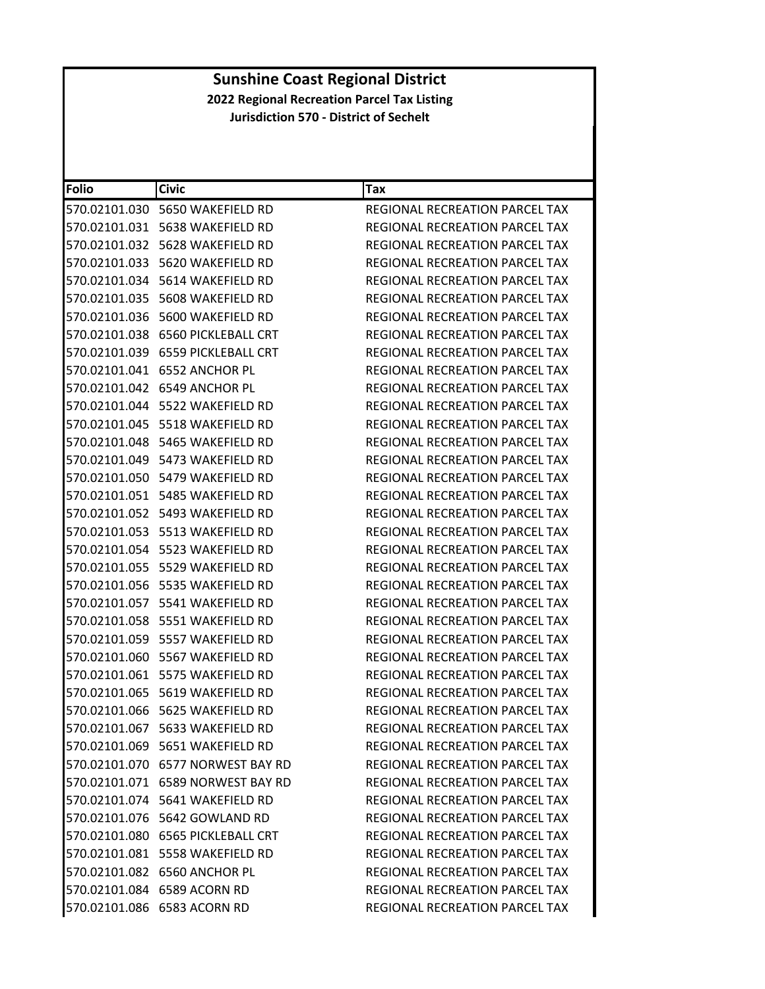| <b>Folio</b> | <b>Civic</b>                         | Tax                                   |
|--------------|--------------------------------------|---------------------------------------|
|              | 570.02101.030    5650 WAKEFIELD RD   | REGIONAL RECREATION PARCEL TAX        |
|              | 570.02101.031 5638 WAKEFIELD RD      | REGIONAL RECREATION PARCEL TAX        |
|              | 570.02101.032    5628 WAKEFIELD RD   | REGIONAL RECREATION PARCEL TAX        |
|              | 570.02101.033 5620 WAKEFIELD RD      | REGIONAL RECREATION PARCEL TAX        |
|              | 570.02101.034    5614 WAKEFIELD RD   | REGIONAL RECREATION PARCEL TAX        |
|              | 570.02101.035 5608 WAKEFIELD RD      | REGIONAL RECREATION PARCEL TAX        |
|              | 570.02101.036    5600 WAKEFIELD RD   | REGIONAL RECREATION PARCEL TAX        |
|              | 570.02101.038 6560 PICKLEBALL CRT    | REGIONAL RECREATION PARCEL TAX        |
|              | 570.02101.039 6559 PICKLEBALL CRT    | <b>REGIONAL RECREATION PARCEL TAX</b> |
|              | 570.02101.041 6552 ANCHOR PL         | REGIONAL RECREATION PARCEL TAX        |
|              | 570.02101.042 6549 ANCHOR PL         | REGIONAL RECREATION PARCEL TAX        |
|              |                                      | REGIONAL RECREATION PARCEL TAX        |
|              | 570.02101.045    5518 WAKEFIELD RD   | REGIONAL RECREATION PARCEL TAX        |
|              | 570.02101.048 5465 WAKEFIELD RD      | REGIONAL RECREATION PARCEL TAX        |
|              | 570.02101.049    5473 WAKEFIELD RD   | REGIONAL RECREATION PARCEL TAX        |
|              | 570.02101.050 5479 WAKEFIELD RD      | REGIONAL RECREATION PARCEL TAX        |
|              | 570.02101.051    5485 WAKEFIELD RD   | REGIONAL RECREATION PARCEL TAX        |
|              | 570.02101.052 5493 WAKEFIELD RD      | REGIONAL RECREATION PARCEL TAX        |
|              | 570.02101.053    5513 WAKEFIELD RD   | REGIONAL RECREATION PARCEL TAX        |
|              | 570.02101.054 5523 WAKEFIELD RD      | REGIONAL RECREATION PARCEL TAX        |
|              | 570.02101.055    5529 WAKEFIELD RD   | REGIONAL RECREATION PARCEL TAX        |
|              | 570.02101.056    5535 WAKEFIELD RD   | REGIONAL RECREATION PARCEL TAX        |
|              | 570.02101.057    5541 WAKEFIELD RD   | REGIONAL RECREATION PARCEL TAX        |
|              | 570.02101.058    5551 WAKEFIELD RD   | REGIONAL RECREATION PARCEL TAX        |
|              | 570.02101.059    5557 WAKEFIELD RD   | REGIONAL RECREATION PARCEL TAX        |
|              | 570.02101.060    5567 WAKEFIELD RD   | REGIONAL RECREATION PARCEL TAX        |
|              | 570.02101.061 5575 WAKEFIELD RD      | <b>REGIONAL RECREATION PARCEL TAX</b> |
|              | 570.02101.065    5619 WAKEFIELD RD   | REGIONAL RECREATION PARCEL TAX        |
|              | 570.02101.066    5625 WAKEFIELD RD   | REGIONAL RECREATION PARCEL TAX        |
|              | 570.02101.067 5633 WAKEFIELD RD      | REGIONAL RECREATION PARCEL TAX        |
|              | 570.02101.069    5651 WAKEFIELD RD   | <b>REGIONAL RECREATION PARCEL TAX</b> |
|              | 570.02101.070 6577 NORWEST BAY RD    | REGIONAL RECREATION PARCEL TAX        |
|              | 570.02101.071    6589 NORWEST BAY RD | REGIONAL RECREATION PARCEL TAX        |
|              | 570.02101.074 5641 WAKEFIELD RD      | <b>REGIONAL RECREATION PARCEL TAX</b> |
|              | 570.02101.076    5642    GOWLAND RD  | <b>REGIONAL RECREATION PARCEL TAX</b> |
|              | 570.02101.080 6565 PICKLEBALL CRT    | REGIONAL RECREATION PARCEL TAX        |
|              | 570.02101.081    5558 WAKEFIELD RD   | REGIONAL RECREATION PARCEL TAX        |
|              | 570.02101.082 6560 ANCHOR PL         | REGIONAL RECREATION PARCEL TAX        |
|              | 570.02101.084 6589 ACORN RD          | <b>REGIONAL RECREATION PARCEL TAX</b> |
|              | 570.02101.086 6583 ACORN RD          | REGIONAL RECREATION PARCEL TAX        |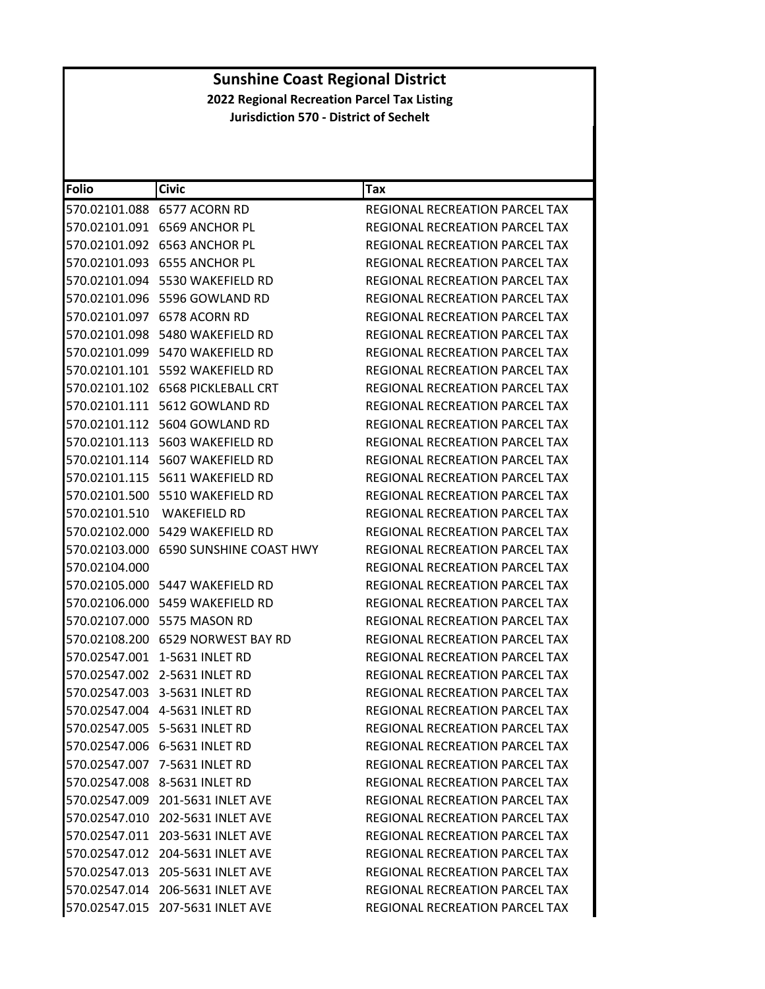| <b>Folio</b>  | <b>Civic</b>                            | Tax                                   |
|---------------|-----------------------------------------|---------------------------------------|
|               | 570.02101.088 6577 ACORN RD             | REGIONAL RECREATION PARCEL TAX        |
|               | 570.02101.091 6569 ANCHOR PL            | REGIONAL RECREATION PARCEL TAX        |
|               | 570.02101.092 6563 ANCHOR PL            | <b>REGIONAL RECREATION PARCEL TAX</b> |
| 570.02101.093 | 6555 ANCHOR PL                          | REGIONAL RECREATION PARCEL TAX        |
|               | 570.02101.094 5530 WAKEFIELD RD         | REGIONAL RECREATION PARCEL TAX        |
|               | 570.02101.096    5596    GOWLAND RD     | REGIONAL RECREATION PARCEL TAX        |
|               | 570.02101.097 6578 ACORN RD             | REGIONAL RECREATION PARCEL TAX        |
|               | 570.02101.098    5480 WAKEFIELD RD      | REGIONAL RECREATION PARCEL TAX        |
|               | 570.02101.099    5470 WAKEFIELD RD      | REGIONAL RECREATION PARCEL TAX        |
|               |                                         | REGIONAL RECREATION PARCEL TAX        |
|               | 570.02101.102    6568    PICKLEBALL CRT | REGIONAL RECREATION PARCEL TAX        |
|               | 570.02101.111    5612    GOWLAND RD     | REGIONAL RECREATION PARCEL TAX        |
|               | 570.02101.112 5604 GOWLAND RD           | REGIONAL RECREATION PARCEL TAX        |
| 570.02101.113 | 5603 WAKEFIELD RD                       | REGIONAL RECREATION PARCEL TAX        |
|               | 570.02101.114    5607 WAKEFIELD RD      | <b>REGIONAL RECREATION PARCEL TAX</b> |
|               | 570.02101.115    5611 WAKEFIELD RD      | REGIONAL RECREATION PARCEL TAX        |
|               | 570.02101.500 5510 WAKEFIELD RD         | REGIONAL RECREATION PARCEL TAX        |
|               | 570.02101.510 WAKEFIELD RD              | REGIONAL RECREATION PARCEL TAX        |
|               | 570.02102.000 5429 WAKEFIELD RD         | <b>REGIONAL RECREATION PARCEL TAX</b> |
|               | 570.02103.000 6590 SUNSHINE COAST HWY   | REGIONAL RECREATION PARCEL TAX        |
| 570.02104.000 |                                         | REGIONAL RECREATION PARCEL TAX        |
|               | 570.02105.000 5447 WAKEFIELD RD         | REGIONAL RECREATION PARCEL TAX        |
|               | 570.02106.000 5459 WAKEFIELD RD         | REGIONAL RECREATION PARCEL TAX        |
|               | 570.02107.000 5575 MASON RD             | REGIONAL RECREATION PARCEL TAX        |
|               | 570.02108.200 6529 NORWEST BAY RD       | REGIONAL RECREATION PARCEL TAX        |
|               | 570.02547.001 1-5631 INLET RD           | REGIONAL RECREATION PARCEL TAX        |
|               | 570.02547.002 2-5631 INLET RD           | <b>REGIONAL RECREATION PARCEL TAX</b> |
|               | 570.02547.003 3-5631 INLET RD           | <b>REGIONAL RECREATION PARCEL TAX</b> |
|               | 570.02547.004 4-5631 INLET RD           | REGIONAL RECREATION PARCEL TAX        |
|               | 570.02547.005 5-5631 INLET RD           | REGIONAL RECREATION PARCEL TAX        |
|               | 570.02547.006 6-5631 INLET RD           | REGIONAL RECREATION PARCEL TAX        |
|               | 570.02547.007 7-5631 INLET RD           | REGIONAL RECREATION PARCEL TAX        |
|               | 570.02547.008 8-5631 INLET RD           | REGIONAL RECREATION PARCEL TAX        |
|               | 570.02547.009 201-5631 INLET AVE        | REGIONAL RECREATION PARCEL TAX        |
|               | 570.02547.010 202-5631 INLET AVE        | REGIONAL RECREATION PARCEL TAX        |
|               | 570.02547.011 203-5631 INLET AVE        | REGIONAL RECREATION PARCEL TAX        |
|               | 570.02547.012 204-5631 INLET AVE        | REGIONAL RECREATION PARCEL TAX        |
|               | 570.02547.013 205-5631 INLET AVE        | REGIONAL RECREATION PARCEL TAX        |
|               | 570.02547.014 206-5631 INLET AVE        | <b>REGIONAL RECREATION PARCEL TAX</b> |
|               | 570.02547.015 207-5631 INLET AVE        | REGIONAL RECREATION PARCEL TAX        |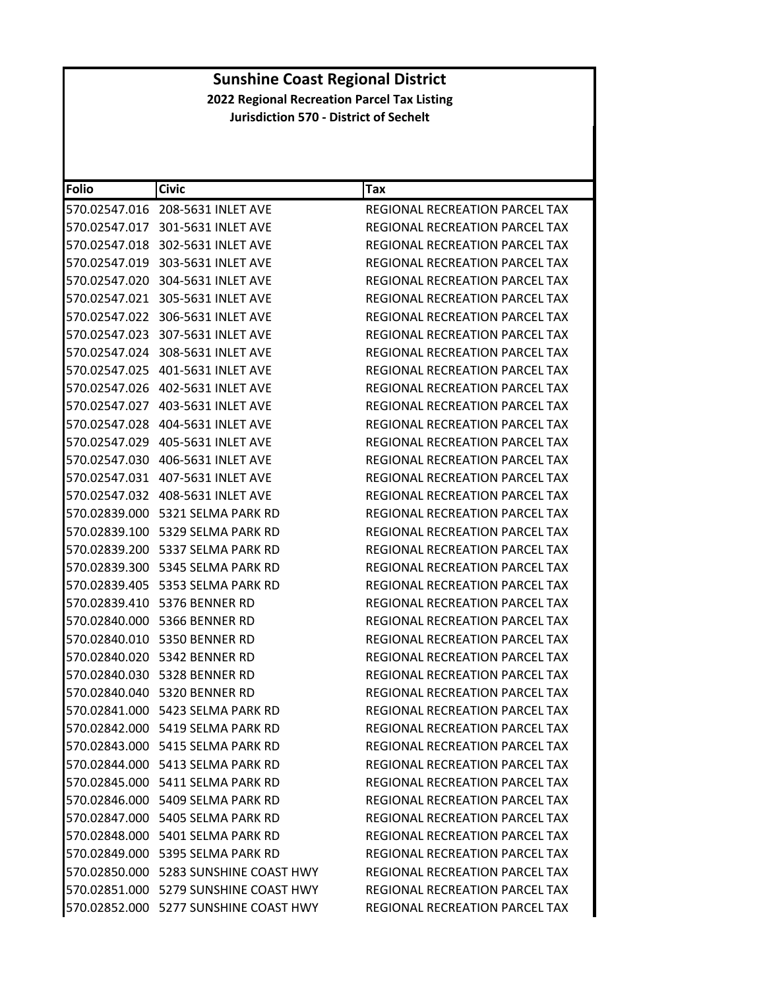| <b>Folio</b> | <b>Civic</b>                             | Tax                                   |
|--------------|------------------------------------------|---------------------------------------|
|              | 570.02547.016 208-5631 INLET AVE         | REGIONAL RECREATION PARCEL TAX        |
|              | 570.02547.017 301-5631 INLET AVE         | REGIONAL RECREATION PARCEL TAX        |
|              | 570.02547.018 302-5631 INLET AVE         | REGIONAL RECREATION PARCEL TAX        |
|              | 570.02547.019 303-5631 INLET AVE         | REGIONAL RECREATION PARCEL TAX        |
|              | 570.02547.020 304-5631 INLET AVE         | REGIONAL RECREATION PARCEL TAX        |
|              | 570.02547.021 305-5631 INLET AVE         | REGIONAL RECREATION PARCEL TAX        |
|              | 570.02547.022 306-5631 INLET AVE         | REGIONAL RECREATION PARCEL TAX        |
|              | 570.02547.023 307-5631 INLET AVE         | REGIONAL RECREATION PARCEL TAX        |
|              | 570.02547.024 308-5631 INLET AVE         | REGIONAL RECREATION PARCEL TAX        |
|              | 570.02547.025    401-5631    INLET AVE   | REGIONAL RECREATION PARCEL TAX        |
|              |                                          | REGIONAL RECREATION PARCEL TAX        |
|              | 570.02547.027    403-5631    INLET AVE   | REGIONAL RECREATION PARCEL TAX        |
|              | 570.02547.028    404-5631    INLET AVE   | REGIONAL RECREATION PARCEL TAX        |
|              | 570.02547.029    405-5631    INLET AVE   | REGIONAL RECREATION PARCEL TAX        |
|              |                                          | REGIONAL RECREATION PARCEL TAX        |
|              |                                          | <b>REGIONAL RECREATION PARCEL TAX</b> |
|              |                                          | REGIONAL RECREATION PARCEL TAX        |
|              | 570.02839.000    5321 SELMA PARK RD      | <b>REGIONAL RECREATION PARCEL TAX</b> |
|              | 570.02839.100   5329 SELMA PARK RD       | REGIONAL RECREATION PARCEL TAX        |
|              | 570.02839.200    5337 SELMA PARK RD      | REGIONAL RECREATION PARCEL TAX        |
|              | 570.02839.300    5345 SELMA PARK RD      | REGIONAL RECREATION PARCEL TAX        |
|              | 570.02839.405    5353 SELMA PARK RD      | REGIONAL RECREATION PARCEL TAX        |
|              | 570.02839.410 5376 BENNER RD             | REGIONAL RECREATION PARCEL TAX        |
|              | 570.02840.000 5366 BENNER RD             | REGIONAL RECREATION PARCEL TAX        |
|              | 570.02840.010 5350 BENNER RD             | REGIONAL RECREATION PARCEL TAX        |
|              | 570.02840.020 5342 BENNER RD             | REGIONAL RECREATION PARCEL TAX        |
|              | 570.02840.030    5328 BENNER RD          | REGIONAL RECREATION PARCEL TAX        |
|              | 570.02840.040 5320 BENNER RD             | REGIONAL RECREATION PARCEL TAX        |
|              | 570.02841.000 5423 SELMA PARK RD         | REGIONAL RECREATION PARCEL TAX        |
|              | 570.02842.000 5419 SELMA PARK RD         | REGIONAL RECREATION PARCEL TAX        |
|              | 570.02843.000 5415 SELMA PARK RD         | <b>REGIONAL RECREATION PARCEL TAX</b> |
|              |                                          | REGIONAL RECREATION PARCEL TAX        |
|              | 570.02845.000 5411 SELMA PARK RD         | <b>REGIONAL RECREATION PARCEL TAX</b> |
|              | 570.02846.000 5409 SELMA PARK RD         | REGIONAL RECREATION PARCEL TAX        |
|              | 570.02847.000 5405 SELMA PARK RD         | <b>REGIONAL RECREATION PARCEL TAX</b> |
|              | 570.02848.000 5401 SELMA PARK RD         | REGIONAL RECREATION PARCEL TAX        |
|              | 570.02849.000    5395 SELMA PARK RD      | <b>REGIONAL RECREATION PARCEL TAX</b> |
|              | 570.02850.000    5283 SUNSHINE COAST HWY | REGIONAL RECREATION PARCEL TAX        |
|              | 570.02851.000 5279 SUNSHINE COAST HWY    | <b>REGIONAL RECREATION PARCEL TAX</b> |
|              | 570.02852.000 5277 SUNSHINE COAST HWY    | REGIONAL RECREATION PARCEL TAX        |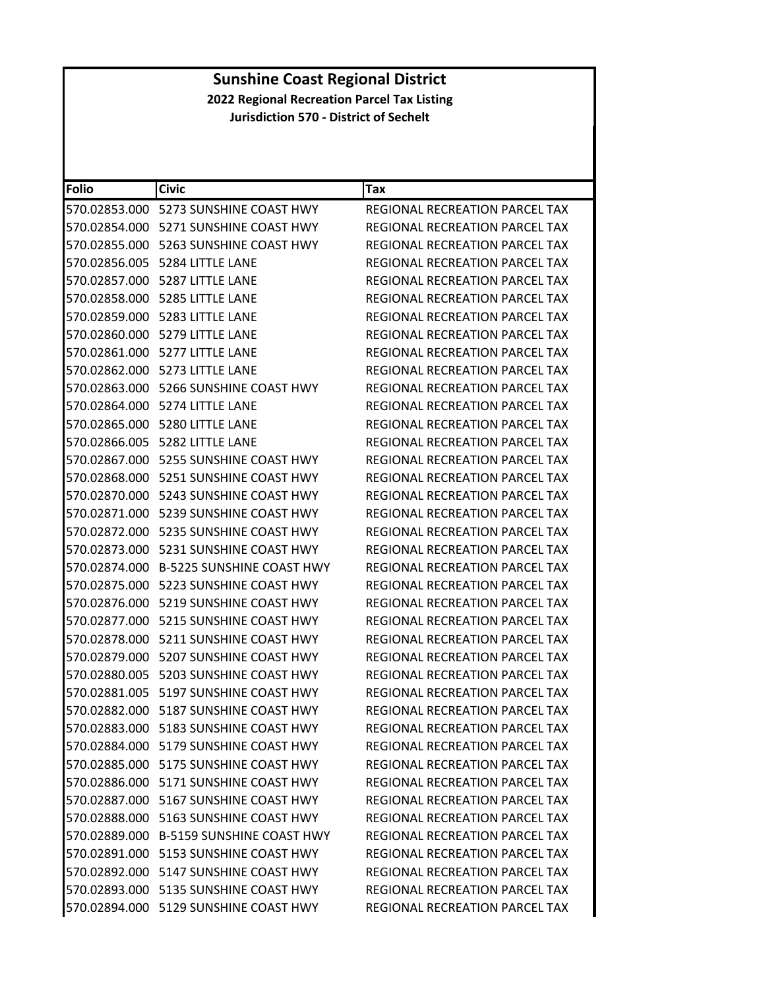| <b>Folio</b>  | <b>Civic</b>                             | Tax                                   |
|---------------|------------------------------------------|---------------------------------------|
| 570.02853.000 | 5273 SUNSHINE COAST HWY                  | REGIONAL RECREATION PARCEL TAX        |
|               | 570.02854.000    5271 SUNSHINE COAST HWY | REGIONAL RECREATION PARCEL TAX        |
| 570.02855.000 | 5263 SUNSHINE COAST HWY                  | REGIONAL RECREATION PARCEL TAX        |
|               | 570.02856.005    5284 LITTLE LANE        | REGIONAL RECREATION PARCEL TAX        |
|               | 570.02857.000    5287 LITTLE LANE        | REGIONAL RECREATION PARCEL TAX        |
|               | 570.02858.000 5285 LITTLE LANE           | <b>REGIONAL RECREATION PARCEL TAX</b> |
|               | 570.02859.000 5283 LITTLE LANE           | REGIONAL RECREATION PARCEL TAX        |
| 570.02860.000 | 5279 LITTLE LANE                         | <b>REGIONAL RECREATION PARCEL TAX</b> |
| 570.02861.000 | 5277 LITTLE LANE                         | REGIONAL RECREATION PARCEL TAX        |
|               | 570.02862.000    5273 LITTLE LANE        | REGIONAL RECREATION PARCEL TAX        |
|               | 570.02863.000    5266 SUNSHINE COAST HWY | REGIONAL RECREATION PARCEL TAX        |
|               | 570.02864.000 5274 LITTLE LANE           | REGIONAL RECREATION PARCEL TAX        |
| 570.02865.000 | 5280 LITTLE LANE                         | REGIONAL RECREATION PARCEL TAX        |
| 570.02866.005 | 5282 LITTLE LANE                         | REGIONAL RECREATION PARCEL TAX        |
|               | 570.02867.000    5255 SUNSHINE COAST HWY | <b>REGIONAL RECREATION PARCEL TAX</b> |
|               |                                          | REGIONAL RECREATION PARCEL TAX        |
|               | 570.02870.000    5243 SUNSHINE COAST HWY | REGIONAL RECREATION PARCEL TAX        |
| 570.02871.000 | 5239 SUNSHINE COAST HWY                  | REGIONAL RECREATION PARCEL TAX        |
| 570.02872.000 | 5235 SUNSHINE COAST HWY                  | REGIONAL RECREATION PARCEL TAX        |
|               | 570.02873.000 5231 SUNSHINE COAST HWY    | REGIONAL RECREATION PARCEL TAX        |
|               | 570.02874.000 B-5225 SUNSHINE COAST HWY  | REGIONAL RECREATION PARCEL TAX        |
|               | 570.02875.000    5223 SUNSHINE COAST HWY | REGIONAL RECREATION PARCEL TAX        |
| 570.02876.000 | 5219 SUNSHINE COAST HWY                  | REGIONAL RECREATION PARCEL TAX        |
| 570.02877.000 | 5215 SUNSHINE COAST HWY                  | REGIONAL RECREATION PARCEL TAX        |
|               | 570.02878.000 5211 SUNSHINE COAST HWY    | REGIONAL RECREATION PARCEL TAX        |
| 570.02879.000 | 5207 SUNSHINE COAST HWY                  | REGIONAL RECREATION PARCEL TAX        |
|               | 570.02880.005    5203 SUNSHINE COAST HWY | REGIONAL RECREATION PARCEL TAX        |
| 570.02881.005 | 5197 SUNSHINE COAST HWY                  | <b>REGIONAL RECREATION PARCEL TAX</b> |
|               | 570.02882.000    5187 SUNSHINE COAST HWY | REGIONAL RECREATION PARCEL TAX        |
|               | 570.02883.000 5183 SUNSHINE COAST HWY    | REGIONAL RECREATION PARCEL TAX        |
|               | 570.02884.000    5179 SUNSHINE COAST HWY | REGIONAL RECREATION PARCEL TAX        |
|               | 570.02885.000    5175 SUNSHINE COAST HWY | REGIONAL RECREATION PARCEL TAX        |
|               | 570.02886.000    5171 SUNSHINE COAST HWY | REGIONAL RECREATION PARCEL TAX        |
|               | 570.02887.000 5167 SUNSHINE COAST HWY    | <b>REGIONAL RECREATION PARCEL TAX</b> |
|               | 570.02888.000 5163 SUNSHINE COAST HWY    | REGIONAL RECREATION PARCEL TAX        |
|               | 570.02889.000 B-5159 SUNSHINE COAST HWY  | REGIONAL RECREATION PARCEL TAX        |
|               | 570.02891.000    5153 SUNSHINE COAST HWY | REGIONAL RECREATION PARCEL TAX        |
|               | 570.02892.000 5147 SUNSHINE COAST HWY    | REGIONAL RECREATION PARCEL TAX        |
|               | 570.02893.000 5135 SUNSHINE COAST HWY    | REGIONAL RECREATION PARCEL TAX        |
|               | 570.02894.000 5129 SUNSHINE COAST HWY    | REGIONAL RECREATION PARCEL TAX        |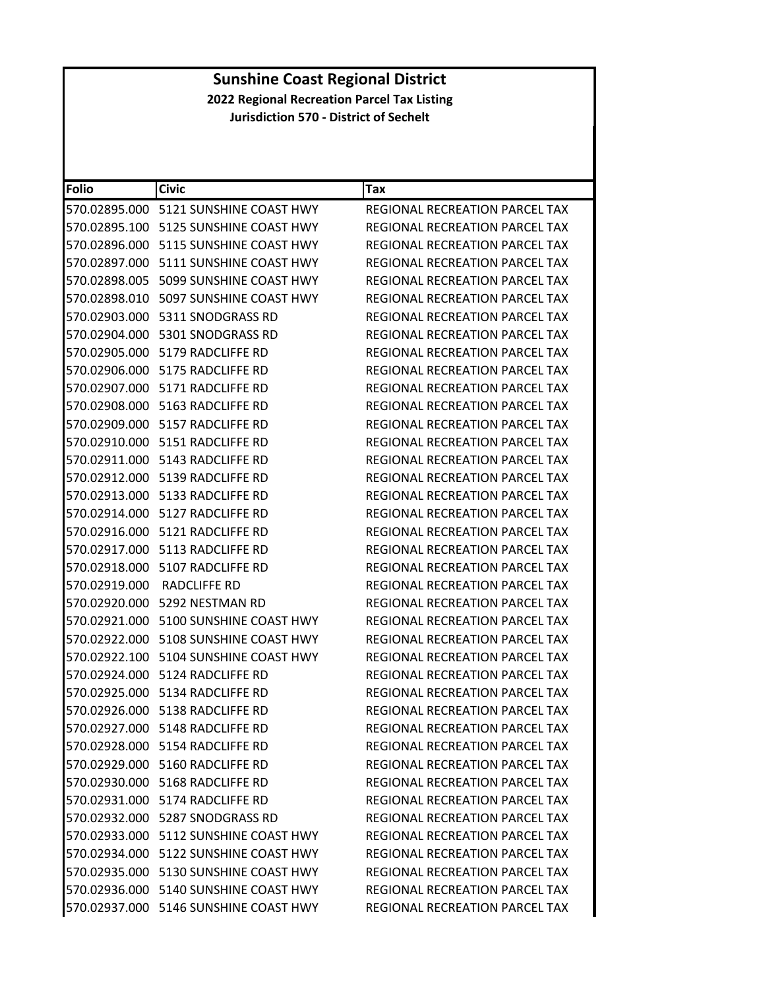| <b>Folio</b>  | <b>Civic</b>                             | <b>Tax</b>                            |
|---------------|------------------------------------------|---------------------------------------|
| 570.02895.000 | 5121 SUNSHINE COAST HWY                  | REGIONAL RECREATION PARCEL TAX        |
|               |                                          | REGIONAL RECREATION PARCEL TAX        |
| 570.02896.000 | 5115 SUNSHINE COAST HWY                  | REGIONAL RECREATION PARCEL TAX        |
|               | 570.02897.000    5111 SUNSHINE COAST HWY | REGIONAL RECREATION PARCEL TAX        |
| 570.02898.005 | 5099 SUNSHINE COAST HWY                  | REGIONAL RECREATION PARCEL TAX        |
|               | 570.02898.010    5097 SUNSHINE COAST HWY | <b>REGIONAL RECREATION PARCEL TAX</b> |
|               | 570.02903.000    5311 SNODGRASS RD       | REGIONAL RECREATION PARCEL TAX        |
| 570.02904.000 | 5301 SNODGRASS RD                        | REGIONAL RECREATION PARCEL TAX        |
|               | 570.02905.000    5179 RADCLIFFE RD       | REGIONAL RECREATION PARCEL TAX        |
|               | 570.02906.000    5175 RADCLIFFE RD       | REGIONAL RECREATION PARCEL TAX        |
|               | 570.02907.000 5171 RADCLIFFE RD          | REGIONAL RECREATION PARCEL TAX        |
|               | 570.02908.000 5163 RADCLIFFE RD          | REGIONAL RECREATION PARCEL TAX        |
| 570.02909.000 | 5157 RADCLIFFE RD                        | REGIONAL RECREATION PARCEL TAX        |
|               | 570.02910.000    5151 RADCLIFFE RD       | REGIONAL RECREATION PARCEL TAX        |
|               | 570.02911.000    5143 RADCLIFFE RD       | REGIONAL RECREATION PARCEL TAX        |
|               | 570.02912.000 5139 RADCLIFFE RD          | REGIONAL RECREATION PARCEL TAX        |
|               | 570.02913.000    5133 RADCLIFFE RD       | <b>REGIONAL RECREATION PARCEL TAX</b> |
| 570.02914.000 | 5127 RADCLIFFE RD                        | <b>REGIONAL RECREATION PARCEL TAX</b> |
|               | 570.02916.000    5121 RADCLIFFE RD       | REGIONAL RECREATION PARCEL TAX        |
|               |                                          | REGIONAL RECREATION PARCEL TAX        |
|               | 570.02918.000    5107 RADCLIFFE RD       | REGIONAL RECREATION PARCEL TAX        |
| 570.02919.000 | RADCLIFFE RD                             | REGIONAL RECREATION PARCEL TAX        |
| 570.02920.000 | 5292 NESTMAN RD                          | REGIONAL RECREATION PARCEL TAX        |
|               | 570.02921.000 5100 SUNSHINE COAST HWY    | REGIONAL RECREATION PARCEL TAX        |
|               | 570.02922.000    5108 SUNSHINE COAST HWY | REGIONAL RECREATION PARCEL TAX        |
|               | 570.02922.100    5104 SUNSHINE COAST HWY | REGIONAL RECREATION PARCEL TAX        |
|               | 570.02924.000    5124 RADCLIFFE RD       | REGIONAL RECREATION PARCEL TAX        |
| 570.02925.000 | 5134 RADCLIFFE RD                        | <b>REGIONAL RECREATION PARCEL TAX</b> |
|               | 570.02926.000 5138 RADCLIFFE RD          | REGIONAL RECREATION PARCEL TAX        |
|               | 570.02927.000 5148 RADCLIFFE RD          | REGIONAL RECREATION PARCEL TAX        |
|               | 570.02928.000    5154 RADCLIFFE RD       | REGIONAL RECREATION PARCEL TAX        |
|               | 570.02929.000 5160 RADCLIFFE RD          | REGIONAL RECREATION PARCEL TAX        |
|               | 570.02930.000    5168 RADCLIFFE RD       | REGIONAL RECREATION PARCEL TAX        |
|               | 570.02931.000 5174 RADCLIFFE RD          | <b>REGIONAL RECREATION PARCEL TAX</b> |
|               | 570.02932.000 5287 SNODGRASS RD          | <b>REGIONAL RECREATION PARCEL TAX</b> |
|               | 570.02933.000 5112 SUNSHINE COAST HWY    | REGIONAL RECREATION PARCEL TAX        |
|               | 570.02934.000    5122 SUNSHINE COAST HWY | REGIONAL RECREATION PARCEL TAX        |
|               | 570.02935.000 5130 SUNSHINE COAST HWY    | <b>REGIONAL RECREATION PARCEL TAX</b> |
|               | 570.02936.000 5140 SUNSHINE COAST HWY    | REGIONAL RECREATION PARCEL TAX        |
|               | 570.02937.000 5146 SUNSHINE COAST HWY    | REGIONAL RECREATION PARCEL TAX        |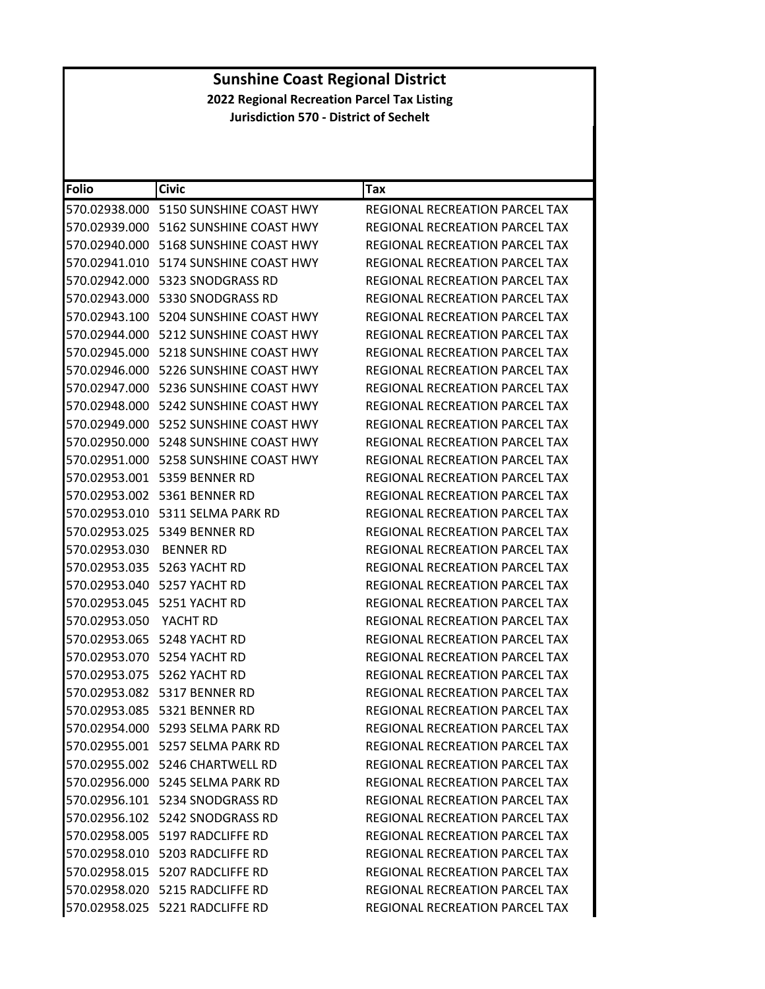| Folio         | <b>Civic</b>                             | Tax                                   |
|---------------|------------------------------------------|---------------------------------------|
|               | 570.02938.000    5150 SUNSHINE COAST HWY | REGIONAL RECREATION PARCEL TAX        |
|               |                                          | REGIONAL RECREATION PARCEL TAX        |
|               | 570.02940.000    5168 SUNSHINE COAST HWY | <b>REGIONAL RECREATION PARCEL TAX</b> |
|               | 570.02941.010    5174 SUNSHINE COAST HWY | REGIONAL RECREATION PARCEL TAX        |
|               |                                          | REGIONAL RECREATION PARCEL TAX        |
|               | 570.02943.000    5330 SNODGRASS RD       | REGIONAL RECREATION PARCEL TAX        |
|               | 570.02943.100    5204 SUNSHINE COAST HWY | REGIONAL RECREATION PARCEL TAX        |
|               | 570.02944.000    5212 SUNSHINE COAST HWY | <b>REGIONAL RECREATION PARCEL TAX</b> |
|               |                                          | REGIONAL RECREATION PARCEL TAX        |
|               |                                          | REGIONAL RECREATION PARCEL TAX        |
|               | 570.02947.000    5236 SUNSHINE COAST HWY | REGIONAL RECREATION PARCEL TAX        |
|               | 570.02948.000    5242 SUNSHINE COAST HWY | REGIONAL RECREATION PARCEL TAX        |
| 570.02949.000 | 5252 SUNSHINE COAST HWY                  | <b>REGIONAL RECREATION PARCEL TAX</b> |
|               |                                          | <b>REGIONAL RECREATION PARCEL TAX</b> |
| 570.02951.000 | 5258 SUNSHINE COAST HWY                  | REGIONAL RECREATION PARCEL TAX        |
|               | 570.02953.001 5359 BENNER RD             | REGIONAL RECREATION PARCEL TAX        |
|               | 570.02953.002 5361 BENNER RD             | REGIONAL RECREATION PARCEL TAX        |
| 570.02953.010 | 5311 SELMA PARK RD                       | REGIONAL RECREATION PARCEL TAX        |
|               | 570.02953.025 5349 BENNER RD             | REGIONAL RECREATION PARCEL TAX        |
| 570.02953.030 | <b>BENNER RD</b>                         | REGIONAL RECREATION PARCEL TAX        |
|               | 570.02953.035    5263 YACHT RD           | REGIONAL RECREATION PARCEL TAX        |
|               | 570.02953.040 5257 YACHT RD              | REGIONAL RECREATION PARCEL TAX        |
| 570.02953.045 | 5251 YACHT RD                            | REGIONAL RECREATION PARCEL TAX        |
| 570.02953.050 | YACHT RD                                 | REGIONAL RECREATION PARCEL TAX        |
| 570.02953.065 | 5248 YACHT RD                            | REGIONAL RECREATION PARCEL TAX        |
| 570.02953.070 | 5254 YACHT RD                            | REGIONAL RECREATION PARCEL TAX        |
|               | 570.02953.075 5262 YACHT RD              | <b>REGIONAL RECREATION PARCEL TAX</b> |
| 570.02953.082 | 5317 BENNER RD                           | REGIONAL RECREATION PARCEL TAX        |
|               | 570.02953.085 5321 BENNER RD             | REGIONAL RECREATION PARCEL TAX        |
|               | 570.02954.000 5293 SELMA PARK RD         | REGIONAL RECREATION PARCEL TAX        |
|               | 570.02955.001 5257 SELMA PARK RD         | REGIONAL RECREATION PARCEL TAX        |
|               | 570.02955.002    5246 CHARTWELL RD       | REGIONAL RECREATION PARCEL TAX        |
|               | 570.02956.000 5245 SELMA PARK RD         | REGIONAL RECREATION PARCEL TAX        |
|               | 570.02956.101    5234 SNODGRASS RD       | REGIONAL RECREATION PARCEL TAX        |
|               | 570.02956.102 5242 SNODGRASS RD          | REGIONAL RECREATION PARCEL TAX        |
|               | 570.02958.005    5197 RADCLIFFE RD       | REGIONAL RECREATION PARCEL TAX        |
|               | 570.02958.010    5203 RADCLIFFE RD       | REGIONAL RECREATION PARCEL TAX        |
|               | 570.02958.015    5207 RADCLIFFE RD       | REGIONAL RECREATION PARCEL TAX        |
|               | 570.02958.020 5215 RADCLIFFE RD          | <b>REGIONAL RECREATION PARCEL TAX</b> |
|               | 570.02958.025 5221 RADCLIFFE RD          | REGIONAL RECREATION PARCEL TAX        |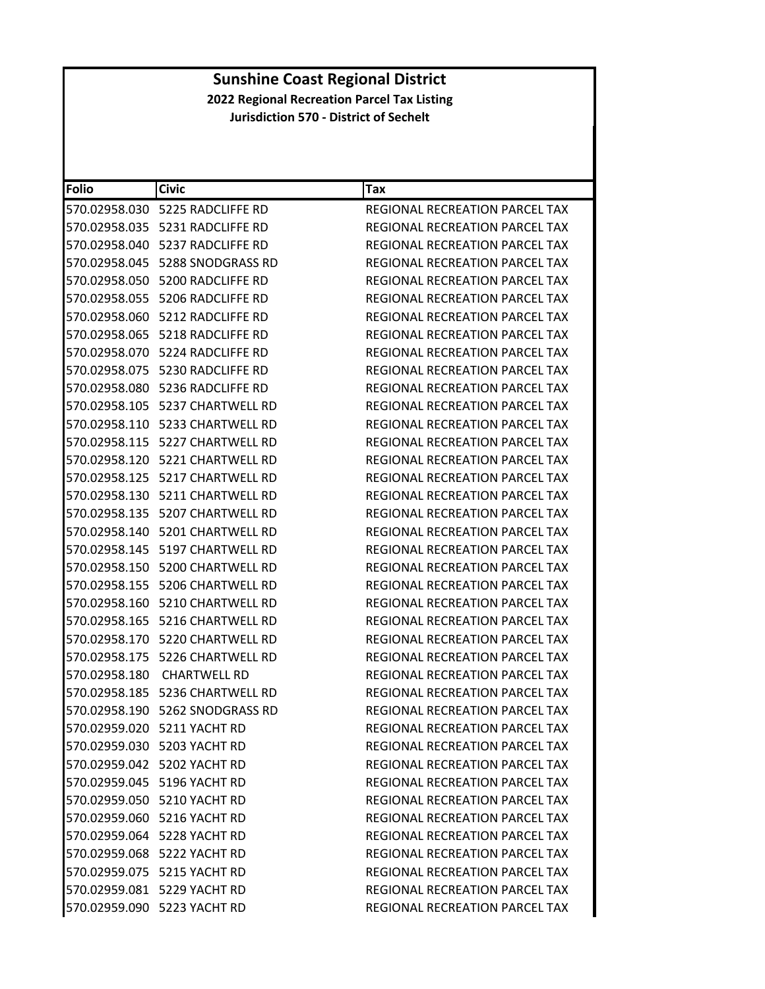| <b>Folio</b>  | <b>Civic</b>                       | Tax                                   |
|---------------|------------------------------------|---------------------------------------|
|               |                                    | REGIONAL RECREATION PARCEL TAX        |
|               | 570.02958.035    5231 RADCLIFFE RD | REGIONAL RECREATION PARCEL TAX        |
|               | 570.02958.040 5237 RADCLIFFE RD    | REGIONAL RECREATION PARCEL TAX        |
| 570.02958.045 | 5288 SNODGRASS RD                  | <b>REGIONAL RECREATION PARCEL TAX</b> |
|               | 570.02958.050    5200 RADCLIFFE RD | REGIONAL RECREATION PARCEL TAX        |
|               | 570.02958.055    5206 RADCLIFFE RD | <b>REGIONAL RECREATION PARCEL TAX</b> |
|               | 570.02958.060    5212 RADCLIFFE RD | REGIONAL RECREATION PARCEL TAX        |
|               | 570.02958.065    5218 RADCLIFFE RD | REGIONAL RECREATION PARCEL TAX        |
|               |                                    | <b>REGIONAL RECREATION PARCEL TAX</b> |
|               | 570.02958.075    5230 RADCLIFFE RD | REGIONAL RECREATION PARCEL TAX        |
|               | 570.02958.080    5236 RADCLIFFE RD | REGIONAL RECREATION PARCEL TAX        |
|               | 570.02958.105    5237 CHARTWELL RD | REGIONAL RECREATION PARCEL TAX        |
|               |                                    | REGIONAL RECREATION PARCEL TAX        |
|               |                                    | REGIONAL RECREATION PARCEL TAX        |
|               | 570.02958.120    5221 CHARTWELL RD | REGIONAL RECREATION PARCEL TAX        |
|               | 570.02958.125    5217 CHARTWELL RD | REGIONAL RECREATION PARCEL TAX        |
|               |                                    | REGIONAL RECREATION PARCEL TAX        |
|               | 570.02958.135    5207 CHARTWELL RD | <b>REGIONAL RECREATION PARCEL TAX</b> |
|               | 570.02958.140    5201 CHARTWELL RD | REGIONAL RECREATION PARCEL TAX        |
|               |                                    | REGIONAL RECREATION PARCEL TAX        |
|               | 570.02958.150    5200 CHARTWELL RD | REGIONAL RECREATION PARCEL TAX        |
|               |                                    | REGIONAL RECREATION PARCEL TAX        |
|               | 570.02958.160    5210 CHARTWELL RD | REGIONAL RECREATION PARCEL TAX        |
| 570.02958.165 | 5216 CHARTWELL RD                  | REGIONAL RECREATION PARCEL TAX        |
| 570.02958.170 | 5220 CHARTWELL RD                  | REGIONAL RECREATION PARCEL TAX        |
|               | 570.02958.175    5226 CHARTWELL RD | <b>REGIONAL RECREATION PARCEL TAX</b> |
| 570.02958.180 | <b>CHARTWELL RD</b>                | <b>REGIONAL RECREATION PARCEL TAX</b> |
|               |                                    | REGIONAL RECREATION PARCEL TAX        |
|               | 570.02958.190 5262 SNODGRASS RD    | <b>REGIONAL RECREATION PARCEL TAX</b> |
|               | 570.02959.020 5211 YACHT RD        | REGIONAL RECREATION PARCEL TAX        |
|               | 570.02959.030 5203 YACHT RD        | REGIONAL RECREATION PARCEL TAX        |
|               | 570.02959.042 5202 YACHT RD        | REGIONAL RECREATION PARCEL TAX        |
|               | 570.02959.045 5196 YACHT RD        | REGIONAL RECREATION PARCEL TAX        |
|               | 570.02959.050 5210 YACHT RD        | <b>REGIONAL RECREATION PARCEL TAX</b> |
|               | 570.02959.060 5216 YACHT RD        | REGIONAL RECREATION PARCEL TAX        |
|               | 570.02959.064 5228 YACHT RD        | REGIONAL RECREATION PARCEL TAX        |
|               | 570.02959.068 5222 YACHT RD        | <b>REGIONAL RECREATION PARCEL TAX</b> |
|               | 570.02959.075 5215 YACHT RD        | REGIONAL RECREATION PARCEL TAX        |
|               | 570.02959.081 5229 YACHT RD        | REGIONAL RECREATION PARCEL TAX        |
|               | 570.02959.090 5223 YACHT RD        | REGIONAL RECREATION PARCEL TAX        |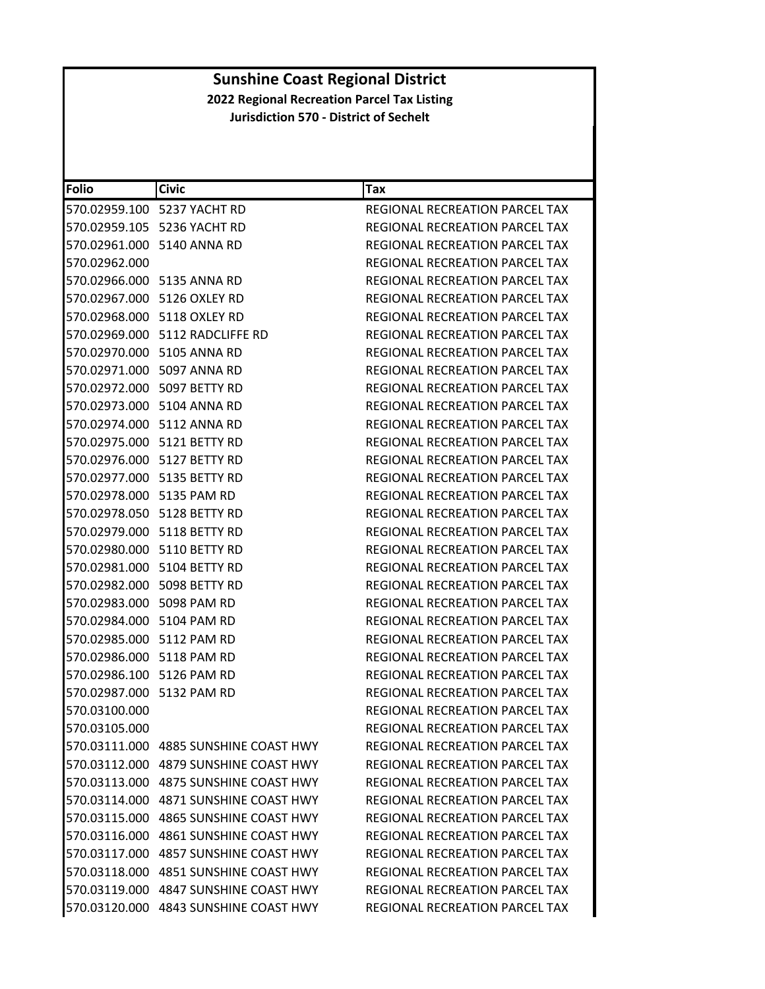| Folio                     | <b>Civic</b>                          | <b>Tax</b>                            |
|---------------------------|---------------------------------------|---------------------------------------|
|                           | 570.02959.100 5237 YACHT RD           | REGIONAL RECREATION PARCEL TAX        |
|                           | 570.02959.105 5236 YACHT RD           | REGIONAL RECREATION PARCEL TAX        |
|                           | 570.02961.000 5140 ANNA RD            | <b>REGIONAL RECREATION PARCEL TAX</b> |
| 570.02962.000             |                                       | <b>REGIONAL RECREATION PARCEL TAX</b> |
|                           | 570.02966.000 5135 ANNA RD            | REGIONAL RECREATION PARCEL TAX        |
|                           | 570.02967.000 5126 OXLEY RD           | REGIONAL RECREATION PARCEL TAX        |
|                           | 570.02968.000 5118 OXLEY RD           | <b>REGIONAL RECREATION PARCEL TAX</b> |
|                           | 570.02969.000 5112 RADCLIFFE RD       | REGIONAL RECREATION PARCEL TAX        |
|                           | 570.02970.000 5105 ANNA RD            | REGIONAL RECREATION PARCEL TAX        |
|                           | 570.02971.000 5097 ANNA RD            | REGIONAL RECREATION PARCEL TAX        |
|                           | 570.02972.000 5097 BETTY RD           | REGIONAL RECREATION PARCEL TAX        |
|                           | 570.02973.000 5104 ANNA RD            | REGIONAL RECREATION PARCEL TAX        |
|                           | 570.02974.000 5112 ANNA RD            | REGIONAL RECREATION PARCEL TAX        |
|                           | 570.02975.000 5121 BETTY RD           | REGIONAL RECREATION PARCEL TAX        |
|                           | 570.02976.000 5127 BETTY RD           | <b>REGIONAL RECREATION PARCEL TAX</b> |
|                           | 570.02977.000 5135 BETTY RD           | <b>REGIONAL RECREATION PARCEL TAX</b> |
| 570.02978.000 5135 PAM RD |                                       | REGIONAL RECREATION PARCEL TAX        |
|                           | 570.02978.050 5128 BETTY RD           | REGIONAL RECREATION PARCEL TAX        |
|                           | 570.02979.000 5118 BETTY RD           | REGIONAL RECREATION PARCEL TAX        |
|                           | 570.02980.000 5110 BETTY RD           | REGIONAL RECREATION PARCEL TAX        |
|                           | 570.02981.000 5104 BETTY RD           | REGIONAL RECREATION PARCEL TAX        |
|                           | 570.02982.000 5098 BETTY RD           | REGIONAL RECREATION PARCEL TAX        |
| 570.02983.000 5098 PAM RD |                                       | REGIONAL RECREATION PARCEL TAX        |
| 570.02984.000 5104 PAM RD |                                       | REGIONAL RECREATION PARCEL TAX        |
| 570.02985.000 5112 PAM RD |                                       | REGIONAL RECREATION PARCEL TAX        |
| 570.02986.000 5118 PAM RD |                                       | REGIONAL RECREATION PARCEL TAX        |
| 570.02986.100 5126 PAM RD |                                       | REGIONAL RECREATION PARCEL TAX        |
| 570.02987.000 5132 PAM RD |                                       | <b>REGIONAL RECREATION PARCEL TAX</b> |
| 570.03100.000             |                                       | REGIONAL RECREATION PARCEL TAX        |
| 570.03105.000             |                                       | <b>REGIONAL RECREATION PARCEL TAX</b> |
|                           | 570.03111.000 4885 SUNSHINE COAST HWY | REGIONAL RECREATION PARCEL TAX        |
|                           |                                       | <b>REGIONAL RECREATION PARCEL TAX</b> |
|                           | 570.03113.000 4875 SUNSHINE COAST HWY | REGIONAL RECREATION PARCEL TAX        |
|                           | 570.03114.000 4871 SUNSHINE COAST HWY | REGIONAL RECREATION PARCEL TAX        |
|                           | 570.03115.000 4865 SUNSHINE COAST HWY | REGIONAL RECREATION PARCEL TAX        |
|                           | 570.03116.000 4861 SUNSHINE COAST HWY | REGIONAL RECREATION PARCEL TAX        |
| 570.03117.000             | 4857 SUNSHINE COAST HWY               | REGIONAL RECREATION PARCEL TAX        |
| 570.03118.000             | 4851 SUNSHINE COAST HWY               | REGIONAL RECREATION PARCEL TAX        |
|                           | 570.03119.000 4847 SUNSHINE COAST HWY | REGIONAL RECREATION PARCEL TAX        |
|                           | 570.03120.000 4843 SUNSHINE COAST HWY | REGIONAL RECREATION PARCEL TAX        |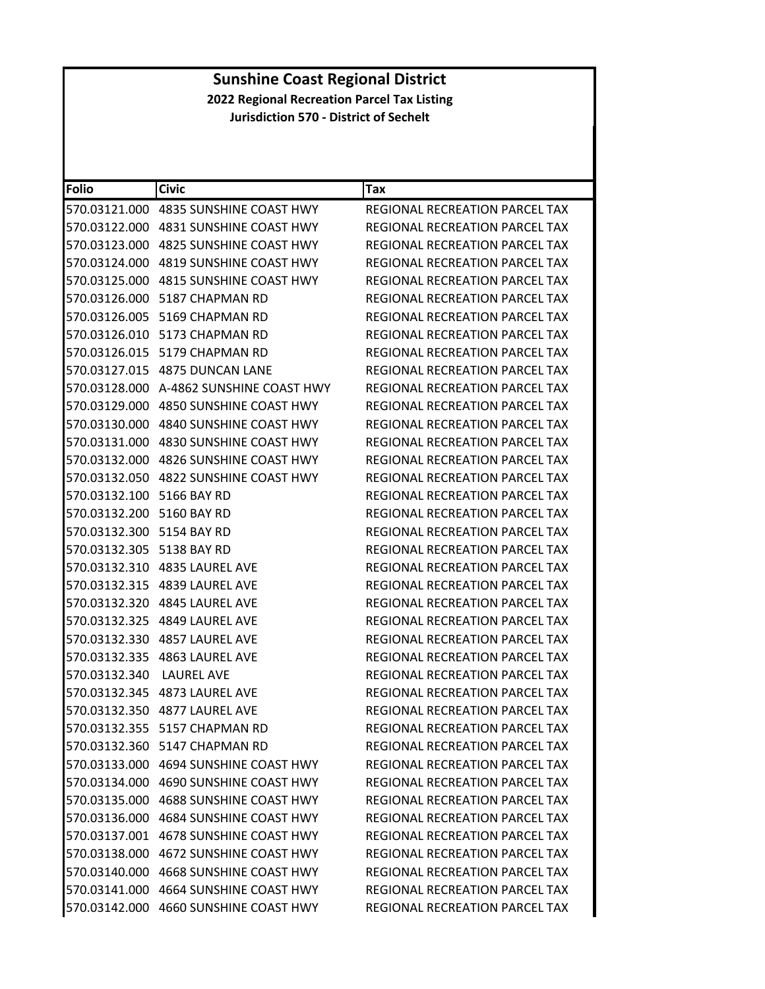| <b>Folio</b>              | <b>Civic</b>                             | Tax                                   |
|---------------------------|------------------------------------------|---------------------------------------|
|                           | 570.03121.000 4835 SUNSHINE COAST HWY    | <b>REGIONAL RECREATION PARCEL TAX</b> |
|                           |                                          | REGIONAL RECREATION PARCEL TAX        |
|                           | 570.03123.000 4825 SUNSHINE COAST HWY    | REGIONAL RECREATION PARCEL TAX        |
|                           | 570.03124.000 4819 SUNSHINE COAST HWY    | REGIONAL RECREATION PARCEL TAX        |
|                           |                                          | REGIONAL RECREATION PARCEL TAX        |
|                           | 570.03126.000 5187 CHAPMAN RD            | REGIONAL RECREATION PARCEL TAX        |
|                           | 570.03126.005 5169 CHAPMAN RD            | REGIONAL RECREATION PARCEL TAX        |
| 570.03126.010             | 5173 CHAPMAN RD                          | REGIONAL RECREATION PARCEL TAX        |
|                           | 570.03126.015    5179 CHAPMAN RD         | REGIONAL RECREATION PARCEL TAX        |
|                           | 570.03127.015 4875 DUNCAN LANE           | REGIONAL RECREATION PARCEL TAX        |
|                           | 570.03128.000 A-4862 SUNSHINE COAST HWY  | REGIONAL RECREATION PARCEL TAX        |
|                           | 570.03129.000 4850 SUNSHINE COAST HWY    | REGIONAL RECREATION PARCEL TAX        |
| 570.03130.000             | 4840 SUNSHINE COAST HWY                  | REGIONAL RECREATION PARCEL TAX        |
|                           | 570.03131.000 4830 SUNSHINE COAST HWY    | <b>REGIONAL RECREATION PARCEL TAX</b> |
|                           |                                          | REGIONAL RECREATION PARCEL TAX        |
|                           | 570.03132.050 4822 SUNSHINE COAST HWY    | REGIONAL RECREATION PARCEL TAX        |
| 570.03132.100 5166 BAY RD |                                          | REGIONAL RECREATION PARCEL TAX        |
| 570.03132.200             | 5160 BAY RD                              | REGIONAL RECREATION PARCEL TAX        |
| 570.03132.300 5154 BAY RD |                                          | REGIONAL RECREATION PARCEL TAX        |
| 570.03132.305 5138 BAY RD |                                          | REGIONAL RECREATION PARCEL TAX        |
|                           |                                          | REGIONAL RECREATION PARCEL TAX        |
|                           | 570.03132.315 4839 LAUREL AVE            | REGIONAL RECREATION PARCEL TAX        |
| 570.03132.320             | 4845 LAUREL AVE                          | REGIONAL RECREATION PARCEL TAX        |
| 570.03132.325             | 4849 LAUREL AVE                          | REGIONAL RECREATION PARCEL TAX        |
|                           | 570.03132.330 4857 LAUREL AVE            | REGIONAL RECREATION PARCEL TAX        |
|                           |                                          | REGIONAL RECREATION PARCEL TAX        |
| 570.03132.340             | <b>LAUREL AVE</b>                        | REGIONAL RECREATION PARCEL TAX        |
| 570.03132.345             | 4873 LAUREL AVE                          | <b>REGIONAL RECREATION PARCEL TAX</b> |
|                           | 570.03132.350 4877 LAUREL AVE            | REGIONAL RECREATION PARCEL TAX        |
|                           | 570.03132.355 5157 CHAPMAN RD            | REGIONAL RECREATION PARCEL TAX        |
|                           | 570.03132.360 5147 CHAPMAN RD            | REGIONAL RECREATION PARCEL TAX        |
|                           |                                          | REGIONAL RECREATION PARCEL TAX        |
|                           | 570.03134.000 4690 SUNSHINE COAST HWY    | REGIONAL RECREATION PARCEL TAX        |
|                           | 570.03135.000 4688 SUNSHINE COAST HWY    | <b>REGIONAL RECREATION PARCEL TAX</b> |
|                           | 570.03136.000 4684 SUNSHINE COAST HWY    | REGIONAL RECREATION PARCEL TAX        |
|                           | 570.03137.001    4678 SUNSHINE COAST HWY | REGIONAL RECREATION PARCEL TAX        |
|                           |                                          | REGIONAL RECREATION PARCEL TAX        |
|                           | 570.03140.000 4668 SUNSHINE COAST HWY    | REGIONAL RECREATION PARCEL TAX        |
|                           | 570.03141.000 4664 SUNSHINE COAST HWY    | <b>REGIONAL RECREATION PARCEL TAX</b> |
|                           | 570.03142.000 4660 SUNSHINE COAST HWY    | REGIONAL RECREATION PARCEL TAX        |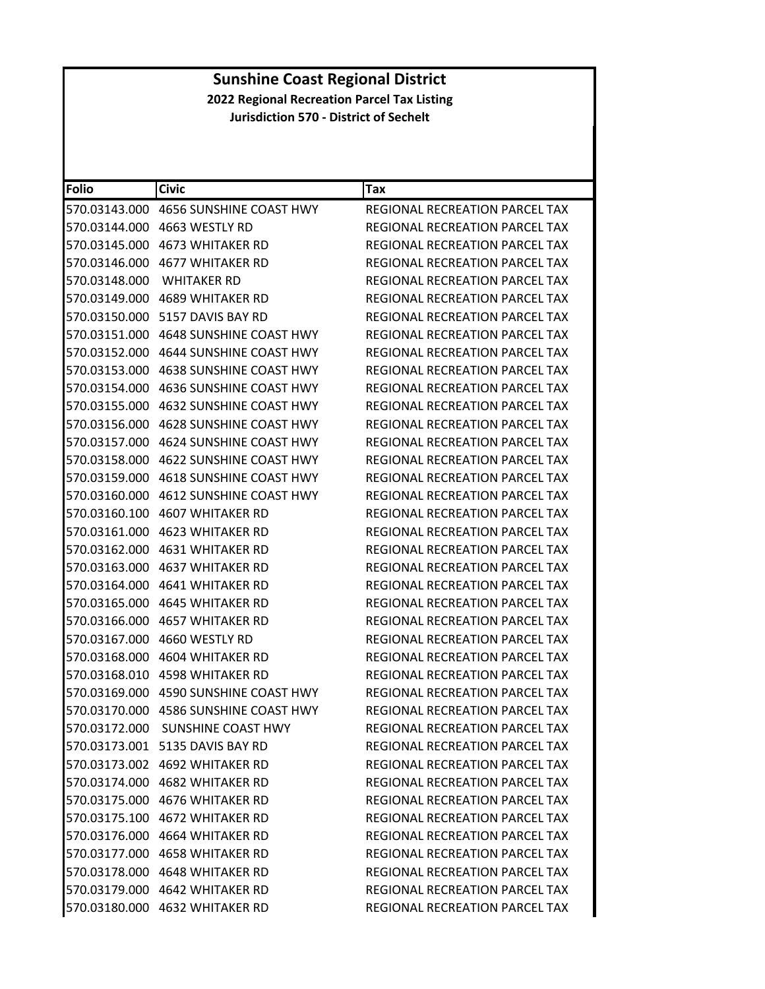| <b>Folio</b>  | <b>Civic</b>                     | Tax                                   |
|---------------|----------------------------------|---------------------------------------|
| 570.03143.000 | 4656 SUNSHINE COAST HWY          | REGIONAL RECREATION PARCEL TAX        |
| 570.03144.000 | 4663 WESTLY RD                   | REGIONAL RECREATION PARCEL TAX        |
| 570.03145.000 | <b>4673 WHITAKER RD</b>          | REGIONAL RECREATION PARCEL TAX        |
| 570.03146.000 | <b>4677 WHITAKER RD</b>          | REGIONAL RECREATION PARCEL TAX        |
| 570.03148.000 | <b>WHITAKER RD</b>               | REGIONAL RECREATION PARCEL TAX        |
| 570.03149.000 | <b>4689 WHITAKER RD</b>          | REGIONAL RECREATION PARCEL TAX        |
| 570.03150.000 | 5157 DAVIS BAY RD                | <b>REGIONAL RECREATION PARCEL TAX</b> |
| 570.03151.000 | 4648 SUNSHINE COAST HWY          | REGIONAL RECREATION PARCEL TAX        |
| 570.03152.000 | 4644 SUNSHINE COAST HWY          | REGIONAL RECREATION PARCEL TAX        |
| 570.03153.000 | 4638 SUNSHINE COAST HWY          | REGIONAL RECREATION PARCEL TAX        |
| 570.03154.000 | 4636 SUNSHINE COAST HWY          | REGIONAL RECREATION PARCEL TAX        |
| 570.03155.000 | 4632 SUNSHINE COAST HWY          | REGIONAL RECREATION PARCEL TAX        |
| 570.03156.000 | 4628 SUNSHINE COAST HWY          | REGIONAL RECREATION PARCEL TAX        |
| 570.03157.000 | 4624 SUNSHINE COAST HWY          | REGIONAL RECREATION PARCEL TAX        |
| 570.03158.000 | 4622 SUNSHINE COAST HWY          | REGIONAL RECREATION PARCEL TAX        |
| 570.03159.000 | 4618 SUNSHINE COAST HWY          | <b>REGIONAL RECREATION PARCEL TAX</b> |
| 570.03160.000 | <b>4612 SUNSHINE COAST HWY</b>   | REGIONAL RECREATION PARCEL TAX        |
| 570.03160.100 | <b>4607 WHITAKER RD</b>          | REGIONAL RECREATION PARCEL TAX        |
| 570.03161.000 | <b>4623 WHITAKER RD</b>          | <b>REGIONAL RECREATION PARCEL TAX</b> |
| 570.03162.000 | 4631 WHITAKER RD                 | REGIONAL RECREATION PARCEL TAX        |
| 570.03163.000 | 4637 WHITAKER RD                 | <b>REGIONAL RECREATION PARCEL TAX</b> |
| 570.03164.000 | <b>4641 WHITAKER RD</b>          | REGIONAL RECREATION PARCEL TAX        |
| 570.03165.000 | <b>4645 WHITAKER RD</b>          | REGIONAL RECREATION PARCEL TAX        |
| 570.03166.000 | <b>4657 WHITAKER RD</b>          | REGIONAL RECREATION PARCEL TAX        |
| 570.03167.000 | 4660 WESTLY RD                   | REGIONAL RECREATION PARCEL TAX        |
| 570.03168.000 | <b>4604 WHITAKER RD</b>          | REGIONAL RECREATION PARCEL TAX        |
| 570.03168.010 | 4598 WHITAKER RD                 | REGIONAL RECREATION PARCEL TAX        |
| 570.03169.000 | 4590 SUNSHINE COAST HWY          | REGIONAL RECREATION PARCEL TAX        |
| 570.03170.000 | 4586 SUNSHINE COAST HWY          | REGIONAL RECREATION PARCEL TAX        |
|               | 570.03172.000 SUNSHINE COAST HWY | REGIONAL RECREATION PARCEL TAX        |
|               | 570.03173.001 5135 DAVIS BAY RD  | REGIONAL RECREATION PARCEL TAX        |
|               | 570.03173.002 4692 WHITAKER RD   | REGIONAL RECREATION PARCEL TAX        |
|               | 570.03174.000 4682 WHITAKER RD   | REGIONAL RECREATION PARCEL TAX        |
|               | 570.03175.000 4676 WHITAKER RD   | REGIONAL RECREATION PARCEL TAX        |
|               | 570.03175.100 4672 WHITAKER RD   | REGIONAL RECREATION PARCEL TAX        |
|               | 570.03176.000 4664 WHITAKER RD   | <b>REGIONAL RECREATION PARCEL TAX</b> |
|               | 570.03177.000 4658 WHITAKER RD   | REGIONAL RECREATION PARCEL TAX        |
|               | 570.03178.000 4648 WHITAKER RD   | <b>REGIONAL RECREATION PARCEL TAX</b> |
|               | 570.03179.000 4642 WHITAKER RD   | <b>REGIONAL RECREATION PARCEL TAX</b> |
|               | 570.03180.000 4632 WHITAKER RD   | REGIONAL RECREATION PARCEL TAX        |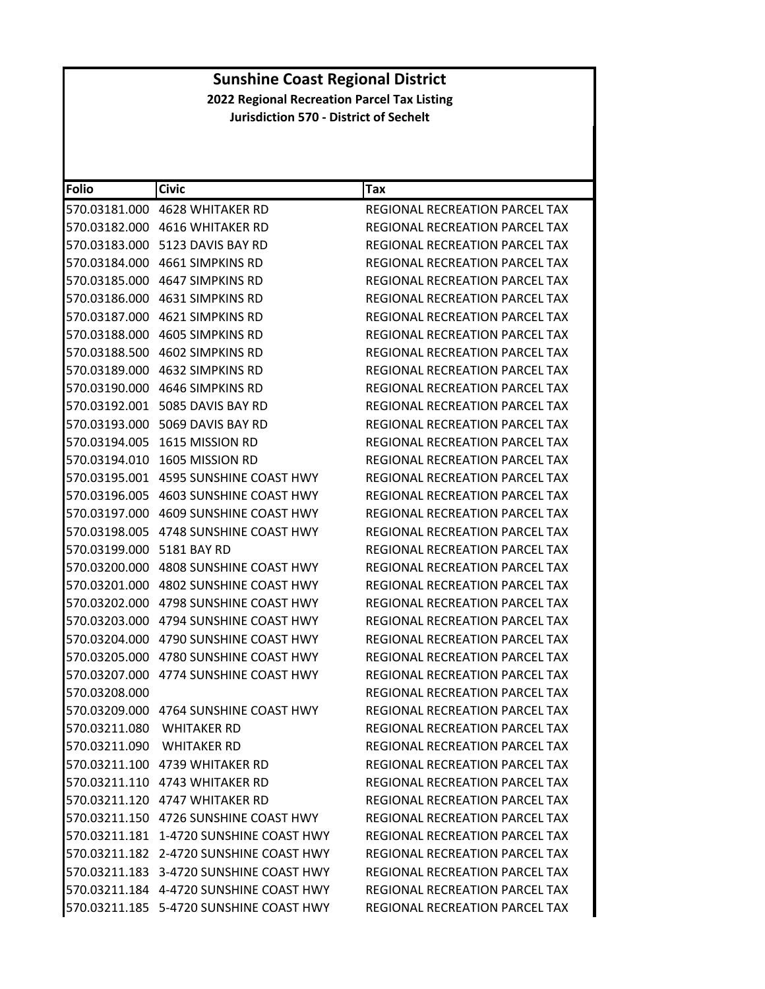| Folio         | <b>Civic</b>                            | Tax                                   |
|---------------|-----------------------------------------|---------------------------------------|
| 570.03181.000 | <b>4628 WHITAKER RD</b>                 | REGIONAL RECREATION PARCEL TAX        |
| 570.03182.000 | 4616 WHITAKER RD                        | REGIONAL RECREATION PARCEL TAX        |
| 570.03183.000 | 5123 DAVIS BAY RD                       | REGIONAL RECREATION PARCEL TAX        |
| 570.03184.000 | 4661 SIMPKINS RD                        | REGIONAL RECREATION PARCEL TAX        |
|               |                                         | REGIONAL RECREATION PARCEL TAX        |
| 570.03186.000 | 4631 SIMPKINS RD                        | REGIONAL RECREATION PARCEL TAX        |
| 570.03187.000 | 4621 SIMPKINS RD                        | <b>REGIONAL RECREATION PARCEL TAX</b> |
| 570.03188.000 | 4605 SIMPKINS RD                        | REGIONAL RECREATION PARCEL TAX        |
| 570.03188.500 | 4602 SIMPKINS RD                        | <b>REGIONAL RECREATION PARCEL TAX</b> |
|               | 570.03189.000 4632 SIMPKINS RD          | REGIONAL RECREATION PARCEL TAX        |
| 570.03190.000 | 4646 SIMPKINS RD                        | REGIONAL RECREATION PARCEL TAX        |
| 570.03192.001 | 5085 DAVIS BAY RD                       | REGIONAL RECREATION PARCEL TAX        |
| 570.03193.000 | 5069 DAVIS BAY RD                       | REGIONAL RECREATION PARCEL TAX        |
| 570.03194.005 | 1615 MISSION RD                         | REGIONAL RECREATION PARCEL TAX        |
| 570.03194.010 | 1605 MISSION RD                         | REGIONAL RECREATION PARCEL TAX        |
| 570.03195.001 | 4595 SUNSHINE COAST HWY                 | REGIONAL RECREATION PARCEL TAX        |
| 570.03196.005 | 4603 SUNSHINE COAST HWY                 | REGIONAL RECREATION PARCEL TAX        |
| 570.03197.000 | 4609 SUNSHINE COAST HWY                 | <b>REGIONAL RECREATION PARCEL TAX</b> |
| 570.03198.005 | 4748 SUNSHINE COAST HWY                 | REGIONAL RECREATION PARCEL TAX        |
| 570.03199.000 | 5181 BAY RD                             | REGIONAL RECREATION PARCEL TAX        |
| 570.03200.000 | 4808 SUNSHINE COAST HWY                 | REGIONAL RECREATION PARCEL TAX        |
| 570.03201.000 | 4802 SUNSHINE COAST HWY                 | REGIONAL RECREATION PARCEL TAX        |
| 570.03202.000 | 4798 SUNSHINE COAST HWY                 | REGIONAL RECREATION PARCEL TAX        |
| 570.03203.000 | 4794 SUNSHINE COAST HWY                 | REGIONAL RECREATION PARCEL TAX        |
| 570.03204.000 | 4790 SUNSHINE COAST HWY                 | REGIONAL RECREATION PARCEL TAX        |
| 570.03205.000 | 4780 SUNSHINE COAST HWY                 | REGIONAL RECREATION PARCEL TAX        |
| 570.03207.000 | 4774 SUNSHINE COAST HWY                 | REGIONAL RECREATION PARCEL TAX        |
| 570.03208.000 |                                         | REGIONAL RECREATION PARCEL TAX        |
|               |                                         | REGIONAL RECREATION PARCEL TAX        |
|               | 570.03211.080 WHITAKER RD               | REGIONAL RECREATION PARCEL TAX        |
|               | 570.03211.090 WHITAKER RD               | <b>REGIONAL RECREATION PARCEL TAX</b> |
|               | 570.03211.100 4739 WHITAKER RD          | REGIONAL RECREATION PARCEL TAX        |
|               | 570.03211.110 4743 WHITAKER RD          | REGIONAL RECREATION PARCEL TAX        |
|               |                                         | REGIONAL RECREATION PARCEL TAX        |
|               | 570.03211.150 4726 SUNSHINE COAST HWY   | REGIONAL RECREATION PARCEL TAX        |
|               | 570.03211.181 1-4720 SUNSHINE COAST HWY | <b>REGIONAL RECREATION PARCEL TAX</b> |
|               | 570.03211.182 2-4720 SUNSHINE COAST HWY | REGIONAL RECREATION PARCEL TAX        |
|               | 570.03211.183 3-4720 SUNSHINE COAST HWY | REGIONAL RECREATION PARCEL TAX        |
|               | 570.03211.184 4-4720 SUNSHINE COAST HWY | <b>REGIONAL RECREATION PARCEL TAX</b> |
|               | 570.03211.185 5-4720 SUNSHINE COAST HWY | REGIONAL RECREATION PARCEL TAX        |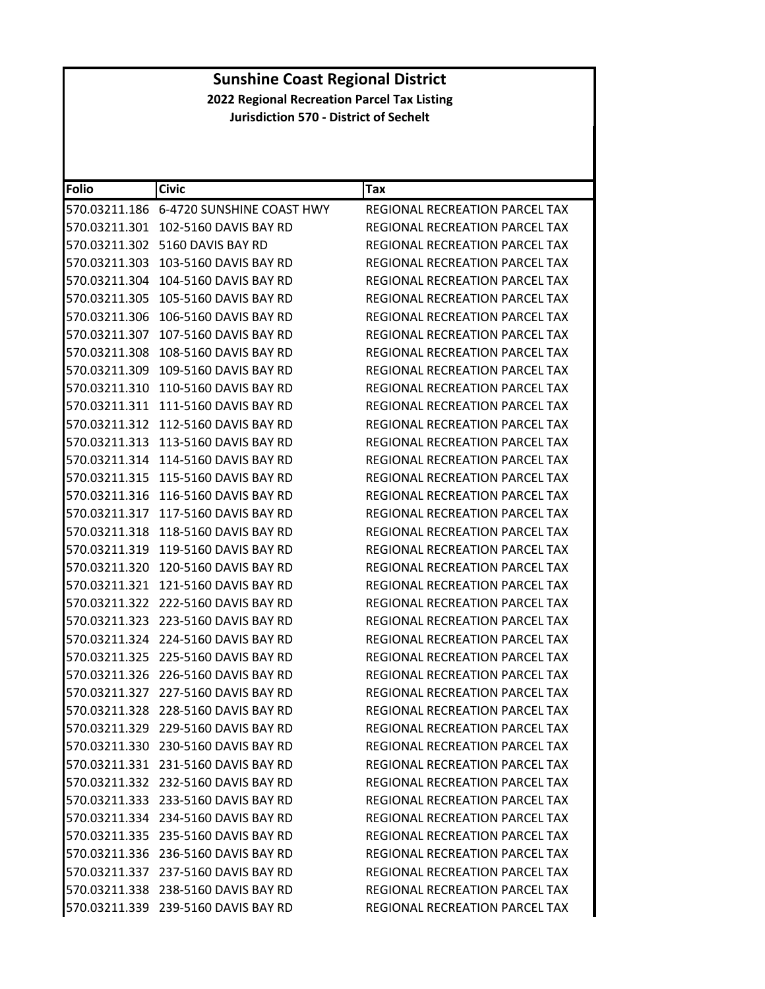| <b>Folio</b>  | <b>Civic</b>                            | Tax                                   |
|---------------|-----------------------------------------|---------------------------------------|
|               | 570.03211.186 6-4720 SUNSHINE COAST HWY | REGIONAL RECREATION PARCEL TAX        |
| 570.03211.301 | 102-5160 DAVIS BAY RD                   | REGIONAL RECREATION PARCEL TAX        |
| 570.03211.302 | 5160 DAVIS BAY RD                       | REGIONAL RECREATION PARCEL TAX        |
| 570.03211.303 | 103-5160 DAVIS BAY RD                   | REGIONAL RECREATION PARCEL TAX        |
| 570.03211.304 | 104-5160 DAVIS BAY RD                   | REGIONAL RECREATION PARCEL TAX        |
| 570.03211.305 | 105-5160 DAVIS BAY RD                   | REGIONAL RECREATION PARCEL TAX        |
| 570.03211.306 | 106-5160 DAVIS BAY RD                   | REGIONAL RECREATION PARCEL TAX        |
| 570.03211.307 | 107-5160 DAVIS BAY RD                   | <b>REGIONAL RECREATION PARCEL TAX</b> |
| 570.03211.308 | 108-5160 DAVIS BAY RD                   | REGIONAL RECREATION PARCEL TAX        |
| 570.03211.309 | 109-5160 DAVIS BAY RD                   | REGIONAL RECREATION PARCEL TAX        |
| 570.03211.310 | 110-5160 DAVIS BAY RD                   | REGIONAL RECREATION PARCEL TAX        |
| 570.03211.311 | 111-5160 DAVIS BAY RD                   | REGIONAL RECREATION PARCEL TAX        |
| 570.03211.312 | 112-5160 DAVIS BAY RD                   | REGIONAL RECREATION PARCEL TAX        |
| 570.03211.313 | 113-5160 DAVIS BAY RD                   | REGIONAL RECREATION PARCEL TAX        |
| 570.03211.314 | 114-5160 DAVIS BAY RD                   | REGIONAL RECREATION PARCEL TAX        |
| 570.03211.315 | 115-5160 DAVIS BAY RD                   | REGIONAL RECREATION PARCEL TAX        |
| 570.03211.316 | 116-5160 DAVIS BAY RD                   | REGIONAL RECREATION PARCEL TAX        |
| 570.03211.317 | 117-5160 DAVIS BAY RD                   | REGIONAL RECREATION PARCEL TAX        |
| 570.03211.318 | 118-5160 DAVIS BAY RD                   | REGIONAL RECREATION PARCEL TAX        |
| 570.03211.319 | 119-5160 DAVIS BAY RD                   | REGIONAL RECREATION PARCEL TAX        |
| 570.03211.320 | 120-5160 DAVIS BAY RD                   | REGIONAL RECREATION PARCEL TAX        |
| 570.03211.321 | 121-5160 DAVIS BAY RD                   | REGIONAL RECREATION PARCEL TAX        |
| 570.03211.322 | 222-5160 DAVIS BAY RD                   | REGIONAL RECREATION PARCEL TAX        |
| 570.03211.323 | 223-5160 DAVIS BAY RD                   | REGIONAL RECREATION PARCEL TAX        |
| 570.03211.324 | 224-5160 DAVIS BAY RD                   | REGIONAL RECREATION PARCEL TAX        |
| 570.03211.325 | 225-5160 DAVIS BAY RD                   | REGIONAL RECREATION PARCEL TAX        |
| 570.03211.326 | 226-5160 DAVIS BAY RD                   | REGIONAL RECREATION PARCEL TAX        |
| 570.03211.327 | 227-5160 DAVIS BAY RD                   | REGIONAL RECREATION PARCEL TAX        |
|               | 570.03211.328 228-5160 DAVIS BAY RD     | REGIONAL RECREATION PARCEL TAX        |
|               | 570.03211.329 229-5160 DAVIS BAY RD     | REGIONAL RECREATION PARCEL TAX        |
|               | 570.03211.330 230-5160 DAVIS BAY RD     | REGIONAL RECREATION PARCEL TAX        |
|               | 570.03211.331 231-5160 DAVIS BAY RD     | REGIONAL RECREATION PARCEL TAX        |
|               | 570.03211.332 232-5160 DAVIS BAY RD     | REGIONAL RECREATION PARCEL TAX        |
|               | 570.03211.333 233-5160 DAVIS BAY RD     | REGIONAL RECREATION PARCEL TAX        |
|               | 570.03211.334 234-5160 DAVIS BAY RD     | REGIONAL RECREATION PARCEL TAX        |
|               | 570.03211.335 235-5160 DAVIS BAY RD     | REGIONAL RECREATION PARCEL TAX        |
|               | 570.03211.336 236-5160 DAVIS BAY RD     | REGIONAL RECREATION PARCEL TAX        |
|               | 570.03211.337 237-5160 DAVIS BAY RD     | <b>REGIONAL RECREATION PARCEL TAX</b> |
|               | 570.03211.338 238-5160 DAVIS BAY RD     | REGIONAL RECREATION PARCEL TAX        |
|               | 570.03211.339 239-5160 DAVIS BAY RD     | REGIONAL RECREATION PARCEL TAX        |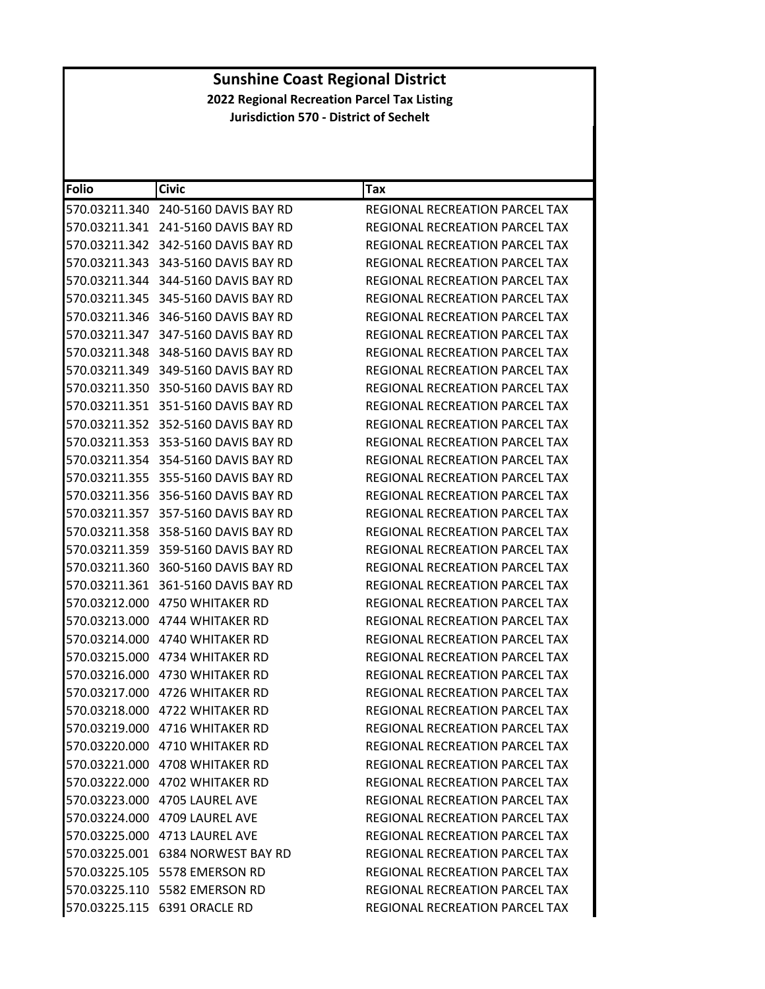| <b>Folio</b>  | <b>Civic</b>                        | Tax                                   |
|---------------|-------------------------------------|---------------------------------------|
| 570.03211.340 | 240-5160 DAVIS BAY RD               | REGIONAL RECREATION PARCEL TAX        |
|               | 570.03211.341 241-5160 DAVIS BAY RD | REGIONAL RECREATION PARCEL TAX        |
| 570.03211.342 | 342-5160 DAVIS BAY RD               | REGIONAL RECREATION PARCEL TAX        |
| 570.03211.343 | 343-5160 DAVIS BAY RD               | REGIONAL RECREATION PARCEL TAX        |
|               | 570.03211.344 344-5160 DAVIS BAY RD | REGIONAL RECREATION PARCEL TAX        |
| 570.03211.345 | 345-5160 DAVIS BAY RD               | <b>REGIONAL RECREATION PARCEL TAX</b> |
| 570.03211.346 | 346-5160 DAVIS BAY RD               | <b>REGIONAL RECREATION PARCEL TAX</b> |
| 570.03211.347 | 347-5160 DAVIS BAY RD               | REGIONAL RECREATION PARCEL TAX        |
| 570.03211.348 | 348-5160 DAVIS BAY RD               | REGIONAL RECREATION PARCEL TAX        |
|               | 570.03211.349 349-5160 DAVIS BAY RD | REGIONAL RECREATION PARCEL TAX        |
|               | 570.03211.350 350-5160 DAVIS BAY RD | REGIONAL RECREATION PARCEL TAX        |
|               | 570.03211.351 351-5160 DAVIS BAY RD | REGIONAL RECREATION PARCEL TAX        |
| 570.03211.352 | 352-5160 DAVIS BAY RD               | REGIONAL RECREATION PARCEL TAX        |
| 570.03211.353 | 353-5160 DAVIS BAY RD               | REGIONAL RECREATION PARCEL TAX        |
|               | 570.03211.354 354-5160 DAVIS BAY RD | REGIONAL RECREATION PARCEL TAX        |
| 570.03211.355 | 355-5160 DAVIS BAY RD               | REGIONAL RECREATION PARCEL TAX        |
|               | 570.03211.356 356-5160 DAVIS BAY RD | REGIONAL RECREATION PARCEL TAX        |
| 570.03211.357 | 357-5160 DAVIS BAY RD               | REGIONAL RECREATION PARCEL TAX        |
| 570.03211.358 | 358-5160 DAVIS BAY RD               | REGIONAL RECREATION PARCEL TAX        |
|               | 570.03211.359 359-5160 DAVIS BAY RD | REGIONAL RECREATION PARCEL TAX        |
|               | 570.03211.360 360-5160 DAVIS BAY RD | REGIONAL RECREATION PARCEL TAX        |
| 570.03211.361 | 361-5160 DAVIS BAY RD               | REGIONAL RECREATION PARCEL TAX        |
|               | 570.03212.000    4750 WHITAKER RD   | REGIONAL RECREATION PARCEL TAX        |
|               |                                     | REGIONAL RECREATION PARCEL TAX        |
|               | 570.03214.000    4740 WHITAKER RD   | REGIONAL RECREATION PARCEL TAX        |
|               | 570.03215.000 4734 WHITAKER RD      | REGIONAL RECREATION PARCEL TAX        |
|               |                                     | REGIONAL RECREATION PARCEL TAX        |
|               | 570.03217.000 4726 WHITAKER RD      | REGIONAL RECREATION PARCEL TAX        |
|               | 570.03218.000 4722 WHITAKER RD      | REGIONAL RECREATION PARCEL TAX        |
|               | 570.03219.000 4716 WHITAKER RD      | REGIONAL RECREATION PARCEL TAX        |
|               | 570.03220.000    4710 WHITAKER RD   | REGIONAL RECREATION PARCEL TAX        |
|               | 570.03221.000 4708 WHITAKER RD      | REGIONAL RECREATION PARCEL TAX        |
|               | 570.03222.000 4702 WHITAKER RD      | REGIONAL RECREATION PARCEL TAX        |
|               | 570.03223.000 4705 LAUREL AVE       | REGIONAL RECREATION PARCEL TAX        |
|               | 570.03224.000 4709 LAUREL AVE       | REGIONAL RECREATION PARCEL TAX        |
|               | 570.03225.000 4713 LAUREL AVE       | <b>REGIONAL RECREATION PARCEL TAX</b> |
|               | 570.03225.001 6384 NORWEST BAY RD   | REGIONAL RECREATION PARCEL TAX        |
|               | 570.03225.105 5578 EMERSON RD       | REGIONAL RECREATION PARCEL TAX        |
|               | 570.03225.110 5582 EMERSON RD       | REGIONAL RECREATION PARCEL TAX        |
|               | 570.03225.115 6391 ORACLE RD        | REGIONAL RECREATION PARCEL TAX        |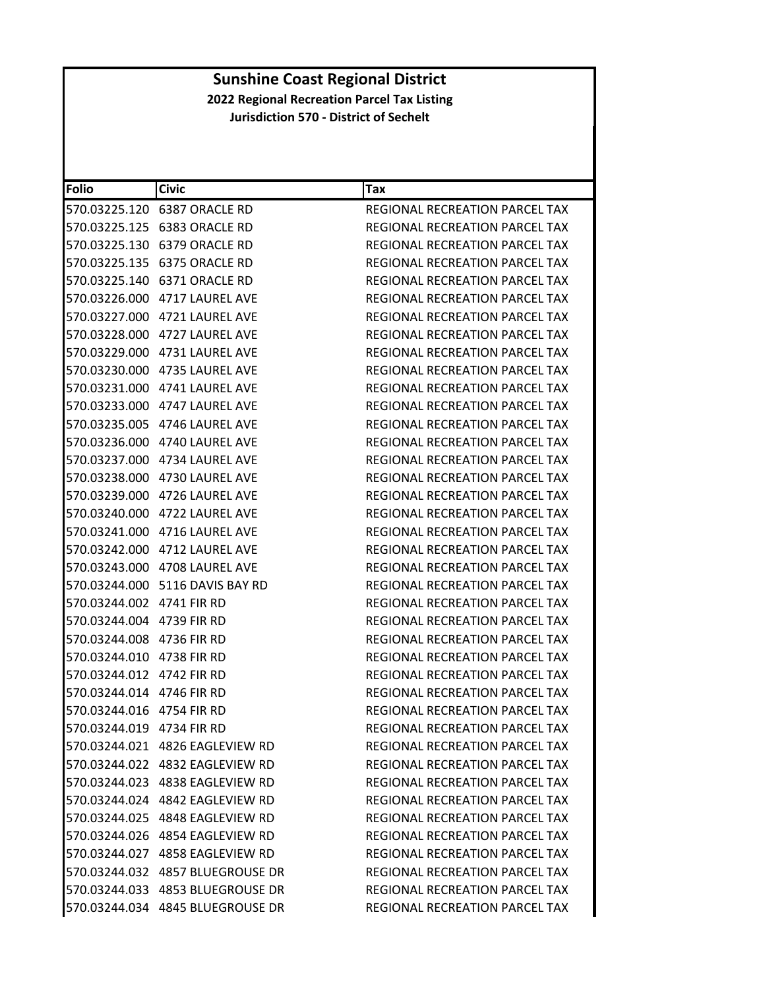| <b>Folio</b>              | <b>Civic</b>                       | Tax                                   |
|---------------------------|------------------------------------|---------------------------------------|
|                           |                                    | REGIONAL RECREATION PARCEL TAX        |
|                           |                                    | REGIONAL RECREATION PARCEL TAX        |
|                           | 570.03225.130 6379 ORACLE RD       | <b>REGIONAL RECREATION PARCEL TAX</b> |
|                           |                                    | <b>REGIONAL RECREATION PARCEL TAX</b> |
|                           | 570.03225.140 6371 ORACLE RD       | REGIONAL RECREATION PARCEL TAX        |
|                           | 570.03226.000 4717 LAUREL AVE      | <b>REGIONAL RECREATION PARCEL TAX</b> |
|                           | 570.03227.000 4721 LAUREL AVE      | REGIONAL RECREATION PARCEL TAX        |
|                           | 570.03228.000 4727 LAUREL AVE      | REGIONAL RECREATION PARCEL TAX        |
|                           | 570.03229.000 4731 LAUREL AVE      | REGIONAL RECREATION PARCEL TAX        |
|                           | 570.03230.000 4735 LAUREL AVE      | REGIONAL RECREATION PARCEL TAX        |
|                           | 570.03231.000 4741 LAUREL AVE      | REGIONAL RECREATION PARCEL TAX        |
|                           |                                    | REGIONAL RECREATION PARCEL TAX        |
|                           | 570.03235.005 4746 LAUREL AVE      | REGIONAL RECREATION PARCEL TAX        |
|                           | 570.03236.000 4740 LAUREL AVE      | REGIONAL RECREATION PARCEL TAX        |
|                           | 570.03237.000 4734 LAUREL AVE      | REGIONAL RECREATION PARCEL TAX        |
|                           |                                    | REGIONAL RECREATION PARCEL TAX        |
|                           | 570.03239.000 4726 LAUREL AVE      | REGIONAL RECREATION PARCEL TAX        |
|                           | 570.03240.000 4722 LAUREL AVE      | <b>REGIONAL RECREATION PARCEL TAX</b> |
|                           |                                    | REGIONAL RECREATION PARCEL TAX        |
|                           | 570.03242.000 4712 LAUREL AVE      | REGIONAL RECREATION PARCEL TAX        |
|                           | 570.03243.000 4708 LAUREL AVE      | REGIONAL RECREATION PARCEL TAX        |
|                           | 570.03244.000    5116 DAVIS BAY RD | REGIONAL RECREATION PARCEL TAX        |
| 570.03244.002 4741 FIR RD |                                    | REGIONAL RECREATION PARCEL TAX        |
| 570.03244.004 4739 FIR RD |                                    | REGIONAL RECREATION PARCEL TAX        |
| 570.03244.008 4736 FIR RD |                                    | REGIONAL RECREATION PARCEL TAX        |
| 570.03244.010 4738 FIR RD |                                    | REGIONAL RECREATION PARCEL TAX        |
| 570.03244.012 4742 FIR RD |                                    | REGIONAL RECREATION PARCEL TAX        |
| 570.03244.014 4746 FIR RD |                                    | <b>REGIONAL RECREATION PARCEL TAX</b> |
| 570.03244.016 4754 FIR RD |                                    | REGIONAL RECREATION PARCEL TAX        |
| 570.03244.019 4734 FIR RD |                                    | REGIONAL RECREATION PARCEL TAX        |
|                           | 570.03244.021 4826 EAGLEVIEW RD    | REGIONAL RECREATION PARCEL TAX        |
|                           | 570.03244.022 4832 EAGLEVIEW RD    | REGIONAL RECREATION PARCEL TAX        |
|                           | 570.03244.023 4838 EAGLEVIEW RD    | REGIONAL RECREATION PARCEL TAX        |
|                           | 570.03244.024 4842 EAGLEVIEW RD    | REGIONAL RECREATION PARCEL TAX        |
|                           | 570.03244.025 4848 EAGLEVIEW RD    | REGIONAL RECREATION PARCEL TAX        |
|                           | 570.03244.026 4854 EAGLEVIEW RD    | REGIONAL RECREATION PARCEL TAX        |
|                           |                                    | REGIONAL RECREATION PARCEL TAX        |
|                           |                                    | REGIONAL RECREATION PARCEL TAX        |
|                           |                                    | <b>REGIONAL RECREATION PARCEL TAX</b> |
|                           | 570.03244.034 4845 BLUEGROUSE DR   | REGIONAL RECREATION PARCEL TAX        |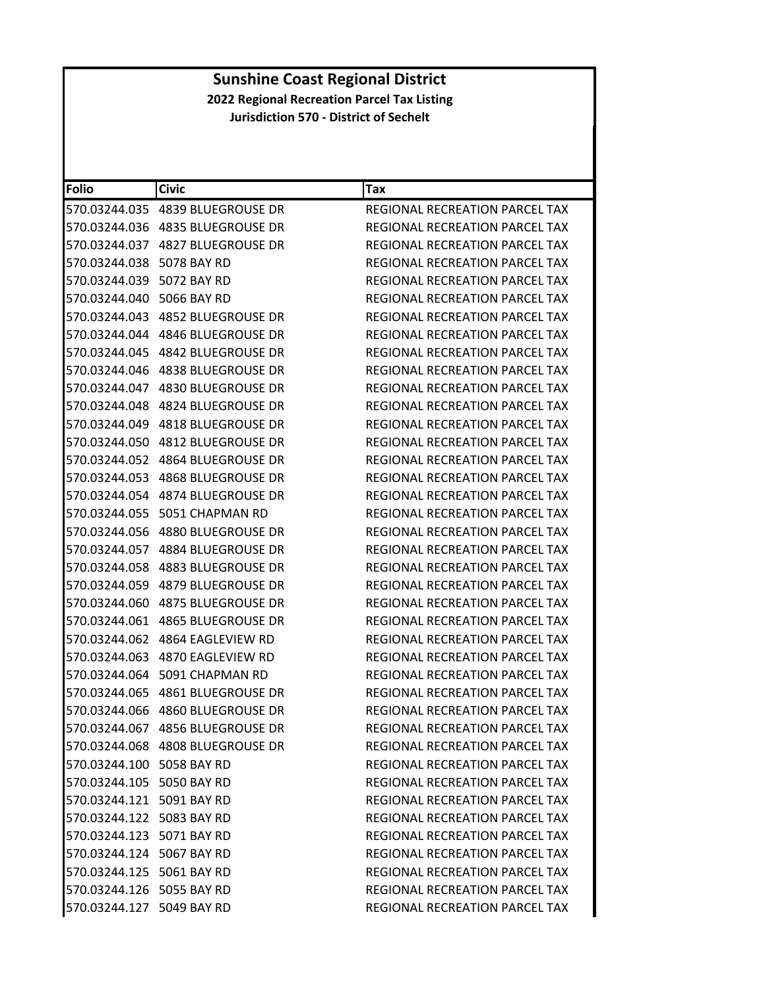| <b>Folio</b>              | <b>Civic</b>                     | Tax                                   |
|---------------------------|----------------------------------|---------------------------------------|
|                           |                                  | REGIONAL RECREATION PARCEL TAX        |
|                           |                                  | REGIONAL RECREATION PARCEL TAX        |
|                           | 570.03244.037 4827 BLUEGROUSE DR | REGIONAL RECREATION PARCEL TAX        |
| 570.03244.038             | 5078 BAY RD                      | REGIONAL RECREATION PARCEL TAX        |
| 570.03244.039 5072 BAY RD |                                  | REGIONAL RECREATION PARCEL TAX        |
| 570.03244.040             | 5066 BAY RD                      | <b>REGIONAL RECREATION PARCEL TAX</b> |
|                           |                                  | REGIONAL RECREATION PARCEL TAX        |
|                           | 570.03244.044 4846 BLUEGROUSE DR | <b>REGIONAL RECREATION PARCEL TAX</b> |
| 570.03244.045             | 4842 BLUEGROUSE DR               | REGIONAL RECREATION PARCEL TAX        |
|                           |                                  | REGIONAL RECREATION PARCEL TAX        |
|                           | 570.03244.047 4830 BLUEGROUSE DR | REGIONAL RECREATION PARCEL TAX        |
|                           | 570.03244.048 4824 BLUEGROUSE DR | REGIONAL RECREATION PARCEL TAX        |
|                           |                                  | REGIONAL RECREATION PARCEL TAX        |
| 570.03244.050             | 4812 BLUEGROUSE DR               | REGIONAL RECREATION PARCEL TAX        |
|                           |                                  | REGIONAL RECREATION PARCEL TAX        |
|                           |                                  | <b>REGIONAL RECREATION PARCEL TAX</b> |
|                           | 570.03244.054 4874 BLUEGROUSE DR | REGIONAL RECREATION PARCEL TAX        |
|                           | 570.03244.055    5051 CHAPMAN RD | REGIONAL RECREATION PARCEL TAX        |
| 570.03244.056             | 4880 BLUEGROUSE DR               | REGIONAL RECREATION PARCEL TAX        |
|                           |                                  | REGIONAL RECREATION PARCEL TAX        |
|                           | 570.03244.058 4883 BLUEGROUSE DR | REGIONAL RECREATION PARCEL TAX        |
|                           | 570.03244.059 4879 BLUEGROUSE DR | REGIONAL RECREATION PARCEL TAX        |
|                           | 570.03244.060 4875 BLUEGROUSE DR | REGIONAL RECREATION PARCEL TAX        |
| 570.03244.061             | 4865 BLUEGROUSE DR               | REGIONAL RECREATION PARCEL TAX        |
| 570.03244.062             | 4864 EAGLEVIEW RD                | REGIONAL RECREATION PARCEL TAX        |
|                           |                                  | <b>REGIONAL RECREATION PARCEL TAX</b> |
| 570.03244.064             | 5091 CHAPMAN RD                  | REGIONAL RECREATION PARCEL TAX        |
|                           |                                  | REGIONAL RECREATION PARCEL TAX        |
|                           |                                  | REGIONAL RECREATION PARCEL TAX        |
|                           | 570.03244.067 4856 BLUEGROUSE DR | REGIONAL RECREATION PARCEL TAX        |
|                           | 570.03244.068 4808 BLUEGROUSE DR | REGIONAL RECREATION PARCEL TAX        |
| 570.03244.100 5058 BAY RD |                                  | REGIONAL RECREATION PARCEL TAX        |
| 570.03244.105 5050 BAY RD |                                  | REGIONAL RECREATION PARCEL TAX        |
| 570.03244.121 5091 BAY RD |                                  | <b>REGIONAL RECREATION PARCEL TAX</b> |
| 570.03244.122 5083 BAY RD |                                  | REGIONAL RECREATION PARCEL TAX        |
| 570.03244.123 5071 BAY RD |                                  | REGIONAL RECREATION PARCEL TAX        |
| 570.03244.124 5067 BAY RD |                                  | <b>REGIONAL RECREATION PARCEL TAX</b> |
| 570.03244.125 5061 BAY RD |                                  | REGIONAL RECREATION PARCEL TAX        |
| 570.03244.126 5055 BAY RD |                                  | <b>REGIONAL RECREATION PARCEL TAX</b> |
| 570.03244.127 5049 BAY RD |                                  | REGIONAL RECREATION PARCEL TAX        |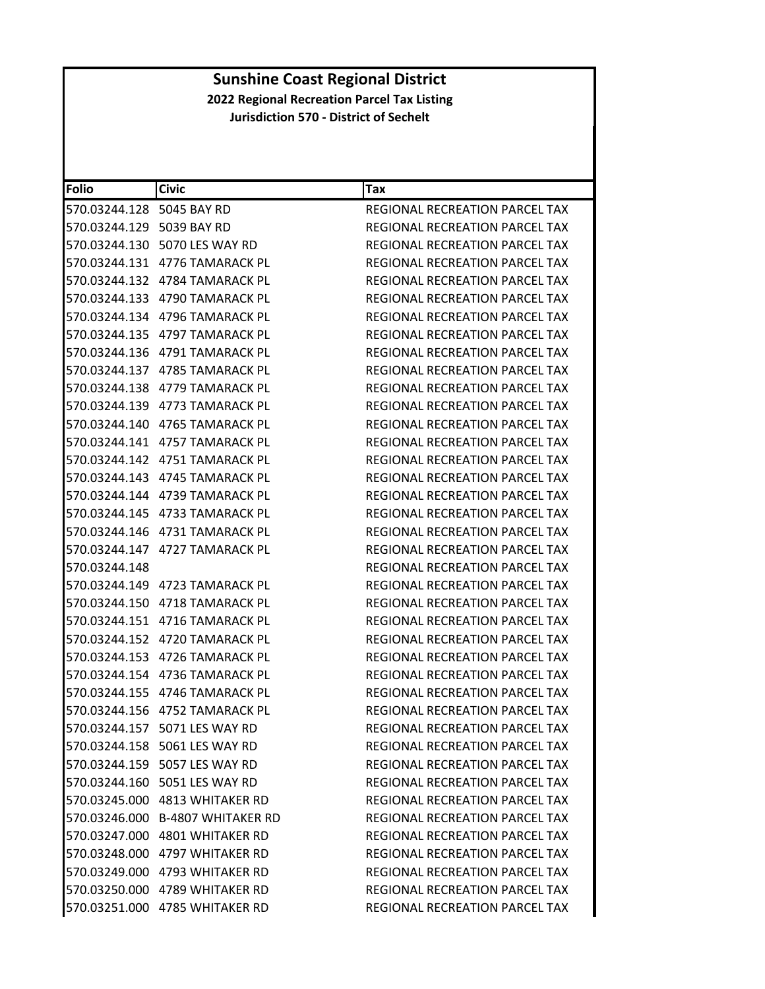| <b>Folio</b>              | <b>Civic</b>                      | Tax                                   |
|---------------------------|-----------------------------------|---------------------------------------|
| 570.03244.128 5045 BAY RD |                                   | REGIONAL RECREATION PARCEL TAX        |
| 570.03244.129 5039 BAY RD |                                   | REGIONAL RECREATION PARCEL TAX        |
|                           | 570.03244.130 5070 LES WAY RD     | REGIONAL RECREATION PARCEL TAX        |
|                           | 570.03244.131    4776 TAMARACK PL | REGIONAL RECREATION PARCEL TAX        |
|                           | 570.03244.132 4784 TAMARACK PL    | REGIONAL RECREATION PARCEL TAX        |
|                           | 570.03244.133    4790 TAMARACK PL | REGIONAL RECREATION PARCEL TAX        |
|                           | 570.03244.134    4796 TAMARACK PL | REGIONAL RECREATION PARCEL TAX        |
|                           | 570.03244.135    4797 TAMARACK PL | REGIONAL RECREATION PARCEL TAX        |
| 570.03244.136             | 4791 TAMARACK PL                  | <b>REGIONAL RECREATION PARCEL TAX</b> |
|                           |                                   | REGIONAL RECREATION PARCEL TAX        |
|                           | 570.03244.138    4779 TAMARACK PL | REGIONAL RECREATION PARCEL TAX        |
|                           |                                   | REGIONAL RECREATION PARCEL TAX        |
|                           | 570.03244.140    4765 TAMARACK PL | <b>REGIONAL RECREATION PARCEL TAX</b> |
|                           | 570.03244.141    4757 TAMARACK PL | REGIONAL RECREATION PARCEL TAX        |
|                           | 570.03244.142    4751 TAMARACK PL | REGIONAL RECREATION PARCEL TAX        |
|                           | 570.03244.143    4745 TAMARACK PL | <b>REGIONAL RECREATION PARCEL TAX</b> |
|                           |                                   | REGIONAL RECREATION PARCEL TAX        |
|                           | 570.03244.145    4733 TAMARACK PL | REGIONAL RECREATION PARCEL TAX        |
|                           | 570.03244.146    4731 TAMARACK PL | REGIONAL RECREATION PARCEL TAX        |
|                           | 570.03244.147    4727 TAMARACK PL | REGIONAL RECREATION PARCEL TAX        |
| 570.03244.148             |                                   | REGIONAL RECREATION PARCEL TAX        |
|                           | 570.03244.149 4723 TAMARACK PL    | REGIONAL RECREATION PARCEL TAX        |
|                           | 570.03244.150    4718 TAMARACK PL | REGIONAL RECREATION PARCEL TAX        |
|                           |                                   | REGIONAL RECREATION PARCEL TAX        |
|                           | 570.03244.152    4720 TAMARACK PL | REGIONAL RECREATION PARCEL TAX        |
|                           | 570.03244.153    4726 TAMARACK PL | REGIONAL RECREATION PARCEL TAX        |
|                           |                                   | REGIONAL RECREATION PARCEL TAX        |
|                           | 570.03244.155    4746 TAMARACK PL | REGIONAL RECREATION PARCEL TAX        |
|                           | 570.03244.156    4752 TAMARACK PL | REGIONAL RECREATION PARCEL TAX        |
|                           | 570.03244.157 5071 LES WAY RD     | REGIONAL RECREATION PARCEL TAX        |
|                           | 570.03244.158 5061 LES WAY RD     | <b>REGIONAL RECREATION PARCEL TAX</b> |
|                           | 570.03244.159 5057 LES WAY RD     | REGIONAL RECREATION PARCEL TAX        |
|                           | 570.03244.160 5051 LES WAY RD     | <b>REGIONAL RECREATION PARCEL TAX</b> |
|                           | 570.03245.000 4813 WHITAKER RD    | <b>REGIONAL RECREATION PARCEL TAX</b> |
|                           | 570.03246.000 B-4807 WHITAKER RD  | REGIONAL RECREATION PARCEL TAX        |
|                           | 570.03247.000 4801 WHITAKER RD    | REGIONAL RECREATION PARCEL TAX        |
|                           | 570.03248.000 4797 WHITAKER RD    | <b>REGIONAL RECREATION PARCEL TAX</b> |
|                           | 570.03249.000 4793 WHITAKER RD    | REGIONAL RECREATION PARCEL TAX        |
|                           |                                   | REGIONAL RECREATION PARCEL TAX        |
|                           | 570.03251.000 4785 WHITAKER RD    | REGIONAL RECREATION PARCEL TAX        |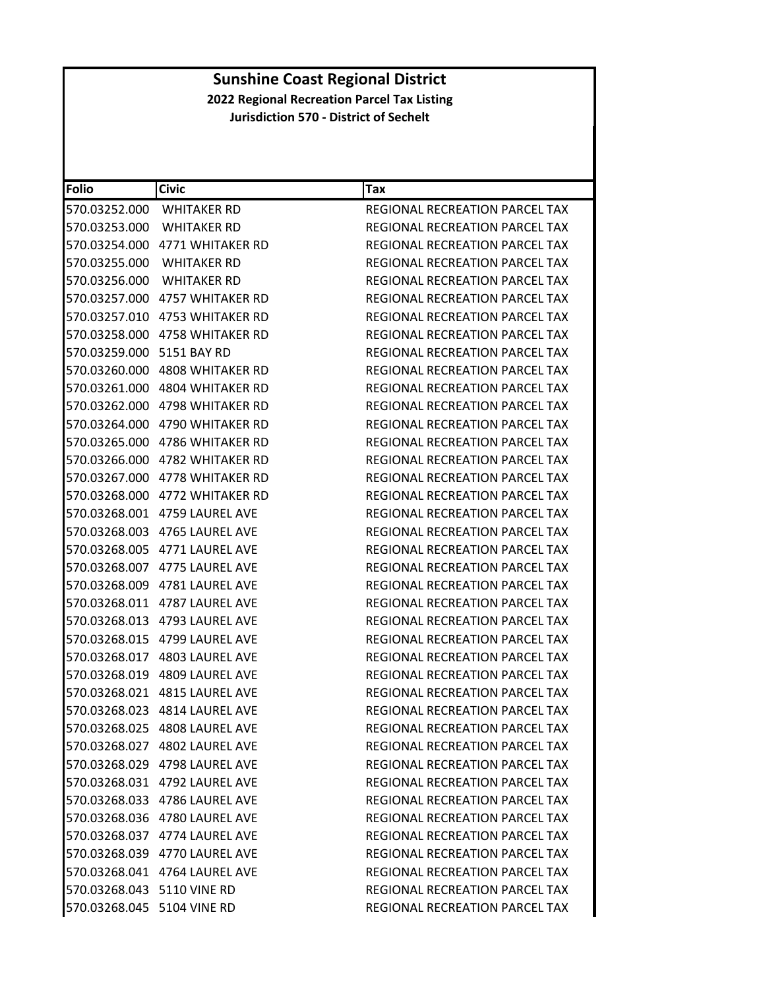| Folio                      | <b>Civic</b>                   | Tax                                   |
|----------------------------|--------------------------------|---------------------------------------|
| 570.03252.000              | WHITAKER RD                    | REGIONAL RECREATION PARCEL TAX        |
| 570.03253.000              | <b>WHITAKER RD</b>             | REGIONAL RECREATION PARCEL TAX        |
|                            | 570.03254.000 4771 WHITAKER RD | <b>REGIONAL RECREATION PARCEL TAX</b> |
| 570.03255.000              | <b>WHITAKER RD</b>             | <b>REGIONAL RECREATION PARCEL TAX</b> |
| 570.03256.000              | <b>WHITAKER RD</b>             | REGIONAL RECREATION PARCEL TAX        |
|                            | 570.03257.000 4757 WHITAKER RD | REGIONAL RECREATION PARCEL TAX        |
| 570.03257.010              | 4753 WHITAKER RD               | <b>REGIONAL RECREATION PARCEL TAX</b> |
|                            | 570.03258.000 4758 WHITAKER RD | REGIONAL RECREATION PARCEL TAX        |
| 570.03259.000              | 5151 BAY RD                    | REGIONAL RECREATION PARCEL TAX        |
|                            | 570.03260.000 4808 WHITAKER RD | REGIONAL RECREATION PARCEL TAX        |
|                            | 570.03261.000 4804 WHITAKER RD | REGIONAL RECREATION PARCEL TAX        |
| 570.03262.000              | 4798 WHITAKER RD               | REGIONAL RECREATION PARCEL TAX        |
|                            | 570.03264.000 4790 WHITAKER RD | REGIONAL RECREATION PARCEL TAX        |
| 570.03265.000              | 4786 WHITAKER RD               | REGIONAL RECREATION PARCEL TAX        |
|                            | 570.03266.000 4782 WHITAKER RD | REGIONAL RECREATION PARCEL TAX        |
|                            | 570.03267.000 4778 WHITAKER RD | REGIONAL RECREATION PARCEL TAX        |
|                            | 570.03268.000 4772 WHITAKER RD | REGIONAL RECREATION PARCEL TAX        |
|                            | 570.03268.001 4759 LAUREL AVE  | REGIONAL RECREATION PARCEL TAX        |
| 570.03268.003              | 4765 LAUREL AVE                | REGIONAL RECREATION PARCEL TAX        |
|                            | 570.03268.005 4771 LAUREL AVE  | REGIONAL RECREATION PARCEL TAX        |
|                            | 570.03268.007 4775 LAUREL AVE  | REGIONAL RECREATION PARCEL TAX        |
|                            |                                | REGIONAL RECREATION PARCEL TAX        |
|                            | 570.03268.011 4787 LAUREL AVE  | REGIONAL RECREATION PARCEL TAX        |
|                            | 570.03268.013 4793 LAUREL AVE  | REGIONAL RECREATION PARCEL TAX        |
| 570.03268.015              | 4799 LAUREL AVE                | REGIONAL RECREATION PARCEL TAX        |
|                            | 570.03268.017 4803 LAUREL AVE  | REGIONAL RECREATION PARCEL TAX        |
|                            | 570.03268.019 4809 LAUREL AVE  | REGIONAL RECREATION PARCEL TAX        |
|                            | 570.03268.021 4815 LAUREL AVE  | REGIONAL RECREATION PARCEL TAX        |
|                            | 570.03268.023 4814 LAUREL AVE  | REGIONAL RECREATION PARCEL TAX        |
|                            | 570.03268.025 4808 LAUREL AVE  | REGIONAL RECREATION PARCEL TAX        |
|                            | 570.03268.027 4802 LAUREL AVE  | REGIONAL RECREATION PARCEL TAX        |
|                            | 570.03268.029 4798 LAUREL AVE  | REGIONAL RECREATION PARCEL TAX        |
|                            | 570.03268.031 4792 LAUREL AVE  | REGIONAL RECREATION PARCEL TAX        |
|                            | 570.03268.033 4786 LAUREL AVE  | REGIONAL RECREATION PARCEL TAX        |
|                            | 570.03268.036 4780 LAUREL AVE  | REGIONAL RECREATION PARCEL TAX        |
|                            | 570.03268.037 4774 LAUREL AVE  | REGIONAL RECREATION PARCEL TAX        |
|                            | 570.03268.039 4770 LAUREL AVE  | REGIONAL RECREATION PARCEL TAX        |
|                            | 570.03268.041 4764 LAUREL AVE  | REGIONAL RECREATION PARCEL TAX        |
| 570.03268.043 5110 VINE RD |                                | REGIONAL RECREATION PARCEL TAX        |
| 570.03268.045 5104 VINE RD |                                | REGIONAL RECREATION PARCEL TAX        |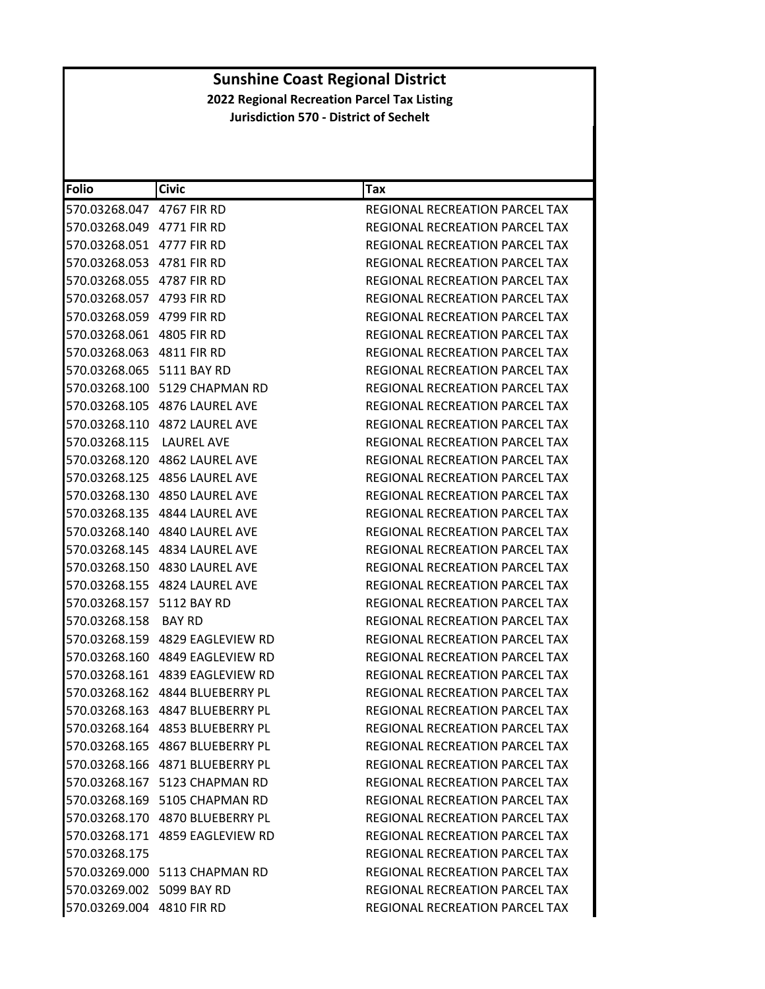| <b>Folio</b>              | <b>Civic</b>                    | Tax                                   |
|---------------------------|---------------------------------|---------------------------------------|
| 570.03268.047 4767 FIR RD |                                 | <b>REGIONAL RECREATION PARCEL TAX</b> |
| 570.03268.049 4771 FIR RD |                                 | REGIONAL RECREATION PARCEL TAX        |
| 570.03268.051 4777 FIR RD |                                 | REGIONAL RECREATION PARCEL TAX        |
| 570.03268.053 4781 FIR RD |                                 | REGIONAL RECREATION PARCEL TAX        |
| 570.03268.055 4787 FIR RD |                                 | REGIONAL RECREATION PARCEL TAX        |
| 570.03268.057 4793 FIR RD |                                 | REGIONAL RECREATION PARCEL TAX        |
| 570.03268.059 4799 FIR RD |                                 | REGIONAL RECREATION PARCEL TAX        |
| 570.03268.061 4805 FIR RD |                                 | REGIONAL RECREATION PARCEL TAX        |
| 570.03268.063 4811 FIR RD |                                 | REGIONAL RECREATION PARCEL TAX        |
| 570.03268.065 5111 BAY RD |                                 | REGIONAL RECREATION PARCEL TAX        |
|                           | 570.03268.100 5129 CHAPMAN RD   | REGIONAL RECREATION PARCEL TAX        |
|                           | 570.03268.105 4876 LAUREL AVE   | REGIONAL RECREATION PARCEL TAX        |
|                           | 570.03268.110 4872 LAUREL AVE   | REGIONAL RECREATION PARCEL TAX        |
| 570.03268.115             | LAUREL AVE                      | REGIONAL RECREATION PARCEL TAX        |
|                           | 570.03268.120 4862 LAUREL AVE   | REGIONAL RECREATION PARCEL TAX        |
|                           | 570.03268.125 4856 LAUREL AVE   | REGIONAL RECREATION PARCEL TAX        |
|                           | 570.03268.130 4850 LAUREL AVE   | REGIONAL RECREATION PARCEL TAX        |
|                           | 570.03268.135 4844 LAUREL AVE   | REGIONAL RECREATION PARCEL TAX        |
|                           | 570.03268.140 4840 LAUREL AVE   | REGIONAL RECREATION PARCEL TAX        |
|                           | 570.03268.145 4834 LAUREL AVE   | REGIONAL RECREATION PARCEL TAX        |
|                           | 570.03268.150 4830 LAUREL AVE   | REGIONAL RECREATION PARCEL TAX        |
|                           | 570.03268.155 4824 LAUREL AVE   | REGIONAL RECREATION PARCEL TAX        |
| 570.03268.157 5112 BAY RD |                                 | REGIONAL RECREATION PARCEL TAX        |
| 570.03268.158             | BAY RD                          | REGIONAL RECREATION PARCEL TAX        |
|                           | 570.03268.159 4829 EAGLEVIEW RD | REGIONAL RECREATION PARCEL TAX        |
|                           | 570.03268.160 4849 EAGLEVIEW RD | <b>REGIONAL RECREATION PARCEL TAX</b> |
|                           |                                 | <b>REGIONAL RECREATION PARCEL TAX</b> |
|                           |                                 | <b>REGIONAL RECREATION PARCEL TAX</b> |
|                           | 570.03268.163 4847 BLUEBERRY PL | REGIONAL RECREATION PARCEL TAX        |
|                           | 570.03268.164 4853 BLUEBERRY PL | REGIONAL RECREATION PARCEL TAX        |
|                           | 570.03268.165 4867 BLUEBERRY PL | REGIONAL RECREATION PARCEL TAX        |
|                           | 570.03268.166 4871 BLUEBERRY PL | REGIONAL RECREATION PARCEL TAX        |
|                           | 570.03268.167 5123 CHAPMAN RD   | REGIONAL RECREATION PARCEL TAX        |
|                           | 570.03268.169 5105 CHAPMAN RD   | <b>REGIONAL RECREATION PARCEL TAX</b> |
|                           |                                 | REGIONAL RECREATION PARCEL TAX        |
|                           | 570.03268.171 4859 EAGLEVIEW RD | <b>REGIONAL RECREATION PARCEL TAX</b> |
| 570.03268.175             |                                 | REGIONAL RECREATION PARCEL TAX        |
|                           | 570.03269.000 5113 CHAPMAN RD   | REGIONAL RECREATION PARCEL TAX        |
| 570.03269.002 5099 BAY RD |                                 | REGIONAL RECREATION PARCEL TAX        |
| 570.03269.004 4810 FIR RD |                                 | REGIONAL RECREATION PARCEL TAX        |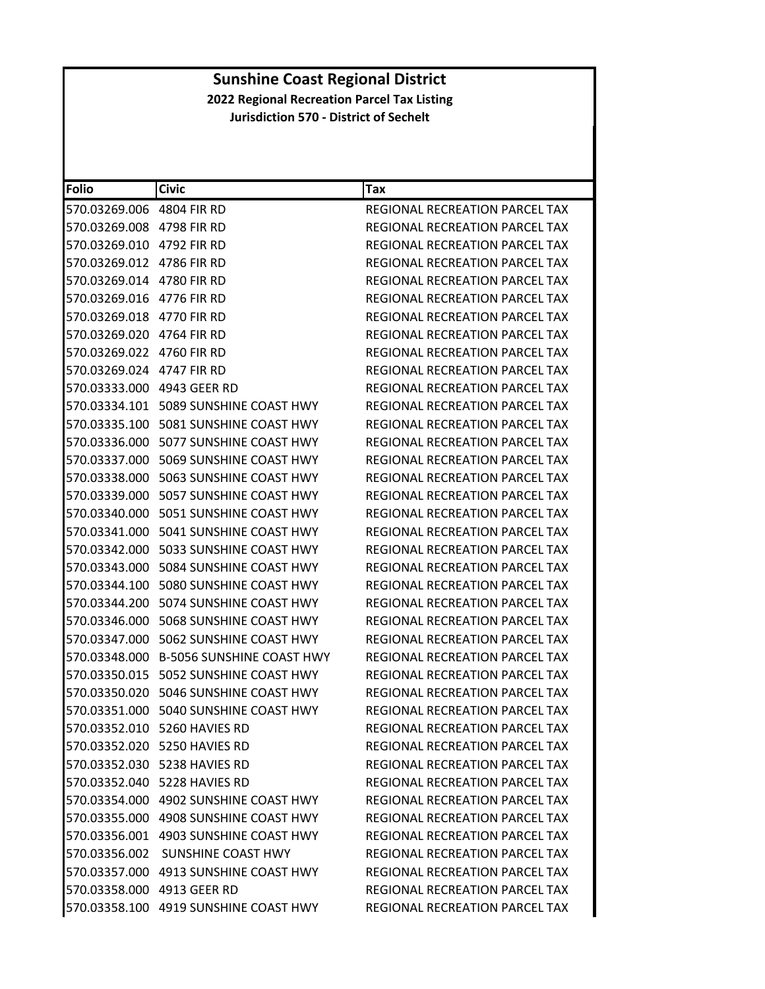| Folio                      | <b>Civic</b>                             | Tax                                   |
|----------------------------|------------------------------------------|---------------------------------------|
| 570.03269.006 4804 FIR RD  |                                          | REGIONAL RECREATION PARCEL TAX        |
| 570.03269.008 4798 FIR RD  |                                          | REGIONAL RECREATION PARCEL TAX        |
| 570.03269.010              | 4792 FIR RD                              | REGIONAL RECREATION PARCEL TAX        |
| 570.03269.012 4786 FIR RD  |                                          | REGIONAL RECREATION PARCEL TAX        |
| 570.03269.014 4780 FIR RD  |                                          | REGIONAL RECREATION PARCEL TAX        |
| 570.03269.016              | 4776 FIR RD                              | REGIONAL RECREATION PARCEL TAX        |
| 570.03269.018 4770 FIR RD  |                                          | REGIONAL RECREATION PARCEL TAX        |
| 570.03269.020              | 4764 FIR RD                              | REGIONAL RECREATION PARCEL TAX        |
| 570.03269.022              | 4760 FIR RD                              | REGIONAL RECREATION PARCEL TAX        |
| 570.03269.024 4747 FIR RD  |                                          | REGIONAL RECREATION PARCEL TAX        |
| 570.03333.000 4943 GEER RD |                                          | REGIONAL RECREATION PARCEL TAX        |
|                            | 570.03334.101    5089 SUNSHINE COAST HWY | REGIONAL RECREATION PARCEL TAX        |
|                            | 570.03335.100    5081 SUNSHINE COAST HWY | REGIONAL RECREATION PARCEL TAX        |
| 570.03336.000              | 5077 SUNSHINE COAST HWY                  | REGIONAL RECREATION PARCEL TAX        |
|                            | 570.03337.000 5069 SUNSHINE COAST HWY    | REGIONAL RECREATION PARCEL TAX        |
| 570.03338.000              | 5063 SUNSHINE COAST HWY                  | <b>REGIONAL RECREATION PARCEL TAX</b> |
|                            | 570.03339.000    5057 SUNSHINE COAST HWY | REGIONAL RECREATION PARCEL TAX        |
|                            | 570.03340.000    5051 SUNSHINE COAST HWY | <b>REGIONAL RECREATION PARCEL TAX</b> |
| 570.03341.000              | 5041 SUNSHINE COAST HWY                  | REGIONAL RECREATION PARCEL TAX        |
|                            | 570.03342.000    5033 SUNSHINE COAST HWY | REGIONAL RECREATION PARCEL TAX        |
| 570.03343.000              | 5084 SUNSHINE COAST HWY                  | REGIONAL RECREATION PARCEL TAX        |
|                            | 570.03344.100 5080 SUNSHINE COAST HWY    | REGIONAL RECREATION PARCEL TAX        |
|                            | 570.03344.200 5074 SUNSHINE COAST HWY    | REGIONAL RECREATION PARCEL TAX        |
| 570.03346.000              | 5068 SUNSHINE COAST HWY                  | REGIONAL RECREATION PARCEL TAX        |
|                            | 570.03347.000    5062 SUNSHINE COAST HWY | REGIONAL RECREATION PARCEL TAX        |
| 570.03348.000              | <b>B-5056 SUNSHINE COAST HWY</b>         | REGIONAL RECREATION PARCEL TAX        |
|                            | 570.03350.015    5052 SUNSHINE COAST HWY | REGIONAL RECREATION PARCEL TAX        |
|                            | 570.03350.020 5046 SUNSHINE COAST HWY    | <b>REGIONAL RECREATION PARCEL TAX</b> |
| 570.03351.000              | 5040 SUNSHINE COAST HWY                  | <b>REGIONAL RECREATION PARCEL TAX</b> |
|                            | 570.03352.010 5260 HAVIES RD             | REGIONAL RECREATION PARCEL TAX        |
|                            | 570.03352.020 5250 HAVIES RD             | <b>REGIONAL RECREATION PARCEL TAX</b> |
|                            | 570.03352.030 5238 HAVIES RD             | REGIONAL RECREATION PARCEL TAX        |
|                            | 570.03352.040 5228 HAVIES RD             | REGIONAL RECREATION PARCEL TAX        |
|                            |                                          | REGIONAL RECREATION PARCEL TAX        |
|                            | 570.03355.000 4908 SUNSHINE COAST HWY    | REGIONAL RECREATION PARCEL TAX        |
|                            | 570.03356.001 4903 SUNSHINE COAST HWY    | <b>REGIONAL RECREATION PARCEL TAX</b> |
|                            | 570.03356.002 SUNSHINE COAST HWY         | <b>REGIONAL RECREATION PARCEL TAX</b> |
|                            | 570.03357.000 4913 SUNSHINE COAST HWY    | REGIONAL RECREATION PARCEL TAX        |
| 570.03358.000 4913 GEER RD |                                          | REGIONAL RECREATION PARCEL TAX        |
|                            | 570.03358.100 4919 SUNSHINE COAST HWY    | REGIONAL RECREATION PARCEL TAX        |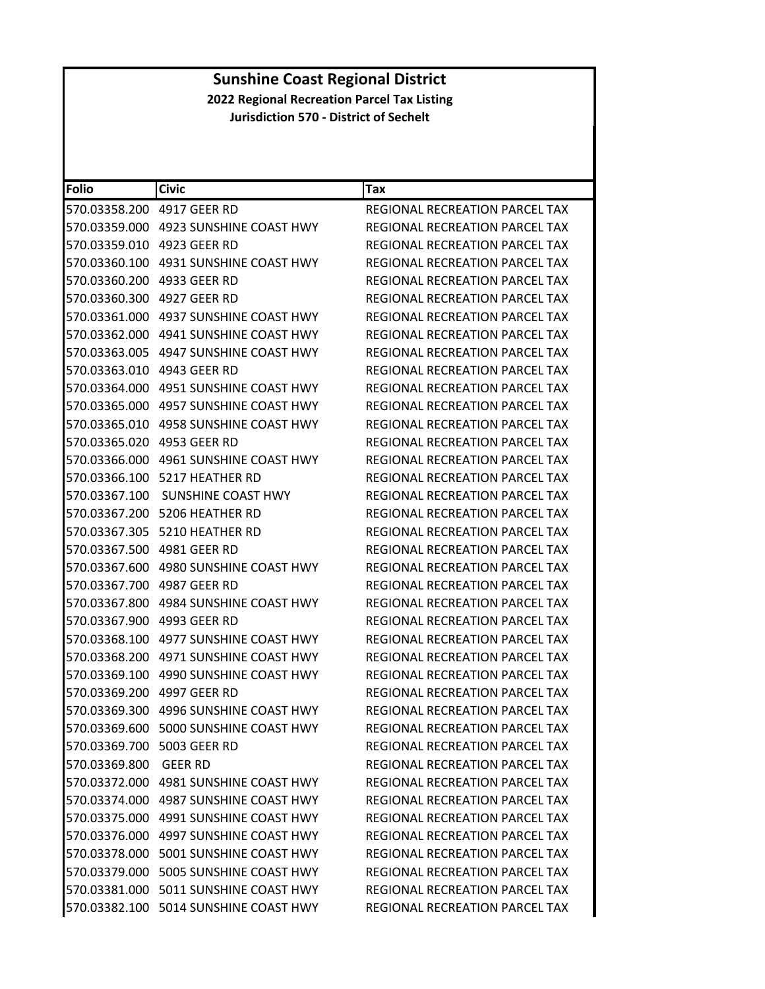| Folio                      | <b>Civic</b>                             | Tax                                   |
|----------------------------|------------------------------------------|---------------------------------------|
| 570.03358.200              | 4917 GEER RD                             | REGIONAL RECREATION PARCEL TAX        |
|                            | 570.03359.000 4923 SUNSHINE COAST HWY    | REGIONAL RECREATION PARCEL TAX        |
| 570.03359.010              | 4923 GEER RD                             | REGIONAL RECREATION PARCEL TAX        |
| 570.03360.100              | 4931 SUNSHINE COAST HWY                  | REGIONAL RECREATION PARCEL TAX        |
|                            |                                          | REGIONAL RECREATION PARCEL TAX        |
| 570.03360.300              | 4927 GEER RD                             | REGIONAL RECREATION PARCEL TAX        |
| 570.03361.000              | 4937 SUNSHINE COAST HWY                  | REGIONAL RECREATION PARCEL TAX        |
| 570.03362.000              | 4941 SUNSHINE COAST HWY                  | REGIONAL RECREATION PARCEL TAX        |
| 570.03363.005              | 4947 SUNSHINE COAST HWY                  | REGIONAL RECREATION PARCEL TAX        |
| 570.03363.010              | 4943 GEER RD                             | REGIONAL RECREATION PARCEL TAX        |
| 570.03364.000              | 4951 SUNSHINE COAST HWY                  | REGIONAL RECREATION PARCEL TAX        |
| 570.03365.000              | 4957 SUNSHINE COAST HWY                  | REGIONAL RECREATION PARCEL TAX        |
| 570.03365.010              | 4958 SUNSHINE COAST HWY                  | <b>REGIONAL RECREATION PARCEL TAX</b> |
| 570.03365.020              | 4953 GEER RD                             | REGIONAL RECREATION PARCEL TAX        |
|                            |                                          | <b>REGIONAL RECREATION PARCEL TAX</b> |
| 570.03366.100              | 5217 HEATHER RD                          | REGIONAL RECREATION PARCEL TAX        |
| 570.03367.100              | SUNSHINE COAST HWY                       | REGIONAL RECREATION PARCEL TAX        |
| 570.03367.200              | 5206 HEATHER RD                          | <b>REGIONAL RECREATION PARCEL TAX</b> |
| 570.03367.305              | 5210 HEATHER RD                          | REGIONAL RECREATION PARCEL TAX        |
| 570.03367.500 4981 GEER RD |                                          | REGIONAL RECREATION PARCEL TAX        |
| 570.03367.600              | 4980 SUNSHINE COAST HWY                  | REGIONAL RECREATION PARCEL TAX        |
| 570.03367.700              | 4987 GEER RD                             | REGIONAL RECREATION PARCEL TAX        |
| 570.03367.800              | 4984 SUNSHINE COAST HWY                  | REGIONAL RECREATION PARCEL TAX        |
| 570.03367.900              | 4993 GEER RD                             | REGIONAL RECREATION PARCEL TAX        |
| 570.03368.100              | 4977 SUNSHINE COAST HWY                  | REGIONAL RECREATION PARCEL TAX        |
| 570.03368.200              | 4971 SUNSHINE COAST HWY                  | <b>REGIONAL RECREATION PARCEL TAX</b> |
| 570.03369.100              | 4990 SUNSHINE COAST HWY                  | REGIONAL RECREATION PARCEL TAX        |
| 570.03369.200              | 4997 GEER RD                             | <b>REGIONAL RECREATION PARCEL TAX</b> |
| 570.03369.300              | 4996 SUNSHINE COAST HWY                  | REGIONAL RECREATION PARCEL TAX        |
|                            | 570.03369.600 5000 SUNSHINE COAST HWY    | REGIONAL RECREATION PARCEL TAX        |
| 570.03369.700 5003 GEER RD |                                          | REGIONAL RECREATION PARCEL TAX        |
| 570.03369.800              | <b>GEER RD</b>                           | REGIONAL RECREATION PARCEL TAX        |
|                            | 570.03372.000 4981 SUNSHINE COAST HWY    | REGIONAL RECREATION PARCEL TAX        |
|                            |                                          | <b>REGIONAL RECREATION PARCEL TAX</b> |
|                            |                                          | REGIONAL RECREATION PARCEL TAX        |
|                            | 570.03376.000 4997 SUNSHINE COAST HWY    | REGIONAL RECREATION PARCEL TAX        |
|                            | 570.03378.000 5001 SUNSHINE COAST HWY    | REGIONAL RECREATION PARCEL TAX        |
|                            | 570.03379.000    5005 SUNSHINE COAST HWY | REGIONAL RECREATION PARCEL TAX        |
|                            | 570.03381.000    5011 SUNSHINE COAST HWY | <b>REGIONAL RECREATION PARCEL TAX</b> |
|                            | 570.03382.100 5014 SUNSHINE COAST HWY    | REGIONAL RECREATION PARCEL TAX        |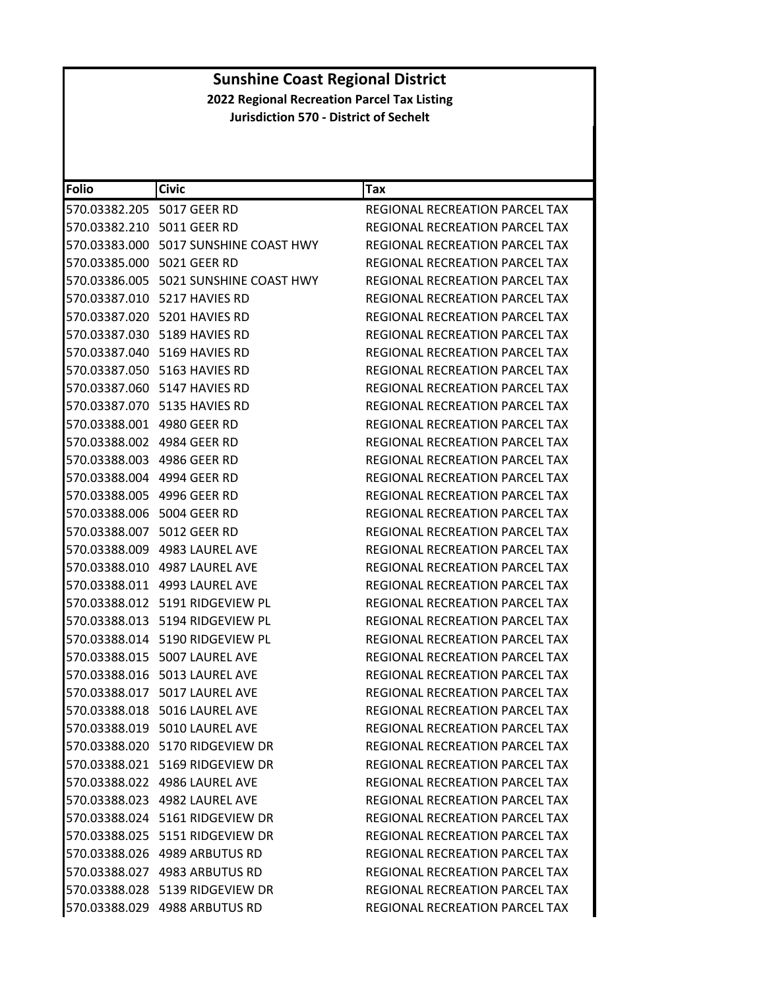| Folio                            | <b>Civic</b>                             | Tax                                   |
|----------------------------------|------------------------------------------|---------------------------------------|
| 570.03382.205    5017    GEER RD |                                          | REGIONAL RECREATION PARCEL TAX        |
| 570.03382.210 5011 GEER RD       |                                          | REGIONAL RECREATION PARCEL TAX        |
|                                  | 570.03383.000 5017 SUNSHINE COAST HWY    | <b>REGIONAL RECREATION PARCEL TAX</b> |
| 570.03385.000 5021 GEER RD       |                                          | REGIONAL RECREATION PARCEL TAX        |
|                                  | 570.03386.005    5021 SUNSHINE COAST HWY | REGIONAL RECREATION PARCEL TAX        |
|                                  | 570.03387.010 5217 HAVIES RD             | REGIONAL RECREATION PARCEL TAX        |
|                                  | 570.03387.020 5201 HAVIES RD             | REGIONAL RECREATION PARCEL TAX        |
|                                  | 570.03387.030 5189 HAVIES RD             | REGIONAL RECREATION PARCEL TAX        |
|                                  | 570.03387.040 5169 HAVIES RD             | REGIONAL RECREATION PARCEL TAX        |
|                                  | 570.03387.050 5163 HAVIES RD             | REGIONAL RECREATION PARCEL TAX        |
|                                  | 570.03387.060 5147 HAVIES RD             | REGIONAL RECREATION PARCEL TAX        |
|                                  | 570.03387.070 5135 HAVIES RD             | REGIONAL RECREATION PARCEL TAX        |
| 570.03388.001 4980 GEER RD       |                                          | REGIONAL RECREATION PARCEL TAX        |
| 570.03388.002 4984 GEER RD       |                                          | REGIONAL RECREATION PARCEL TAX        |
| 570.03388.003 4986 GEER RD       |                                          | REGIONAL RECREATION PARCEL TAX        |
| 570.03388.004 4994 GEER RD       |                                          | REGIONAL RECREATION PARCEL TAX        |
| 570.03388.005 4996 GEER RD       |                                          | REGIONAL RECREATION PARCEL TAX        |
| 570.03388.006 5004 GEER RD       |                                          | REGIONAL RECREATION PARCEL TAX        |
| 570.03388.007 5012 GEER RD       |                                          | REGIONAL RECREATION PARCEL TAX        |
|                                  | 570.03388.009 4983 LAUREL AVE            | REGIONAL RECREATION PARCEL TAX        |
|                                  | 570.03388.010 4987 LAUREL AVE            | REGIONAL RECREATION PARCEL TAX        |
|                                  | 570.03388.011 4993 LAUREL AVE            | REGIONAL RECREATION PARCEL TAX        |
|                                  | 570.03388.012    5191    RIDGEVIEW PL    | REGIONAL RECREATION PARCEL TAX        |
|                                  | 570.03388.013    5194    RIDGEVIEW PL    | REGIONAL RECREATION PARCEL TAX        |
|                                  | 570.03388.014 5190 RIDGEVIEW PL          | REGIONAL RECREATION PARCEL TAX        |
|                                  | 570.03388.015 5007 LAUREL AVE            | REGIONAL RECREATION PARCEL TAX        |
|                                  | 570.03388.016 5013 LAUREL AVE            | REGIONAL RECREATION PARCEL TAX        |
|                                  | 570.03388.017 5017 LAUREL AVE            | REGIONAL RECREATION PARCEL TAX        |
|                                  | 570.03388.018 5016 LAUREL AVE            | <b>REGIONAL RECREATION PARCEL TAX</b> |
|                                  | 570.03388.019 5010 LAUREL AVE            | REGIONAL RECREATION PARCEL TAX        |
|                                  | 570.03388.020 5170 RIDGEVIEW DR          | <b>REGIONAL RECREATION PARCEL TAX</b> |
|                                  | 570.03388.021 5169 RIDGEVIEW DR          | REGIONAL RECREATION PARCEL TAX        |
|                                  | 570.03388.022 4986 LAUREL AVE            | REGIONAL RECREATION PARCEL TAX        |
|                                  | 570.03388.023 4982 LAUREL AVE            | REGIONAL RECREATION PARCEL TAX        |
|                                  | 570.03388.024 5161 RIDGEVIEW DR          | REGIONAL RECREATION PARCEL TAX        |
|                                  | 570.03388.025    5151    RIDGEVIEW DR    | REGIONAL RECREATION PARCEL TAX        |
|                                  | 570.03388.026 4989 ARBUTUS RD            | <b>REGIONAL RECREATION PARCEL TAX</b> |
|                                  | 570.03388.027 4983 ARBUTUS RD            | <b>REGIONAL RECREATION PARCEL TAX</b> |
|                                  | 570.03388.028 5139 RIDGEVIEW DR          | REGIONAL RECREATION PARCEL TAX        |
|                                  | 570.03388.029 4988 ARBUTUS RD            | REGIONAL RECREATION PARCEL TAX        |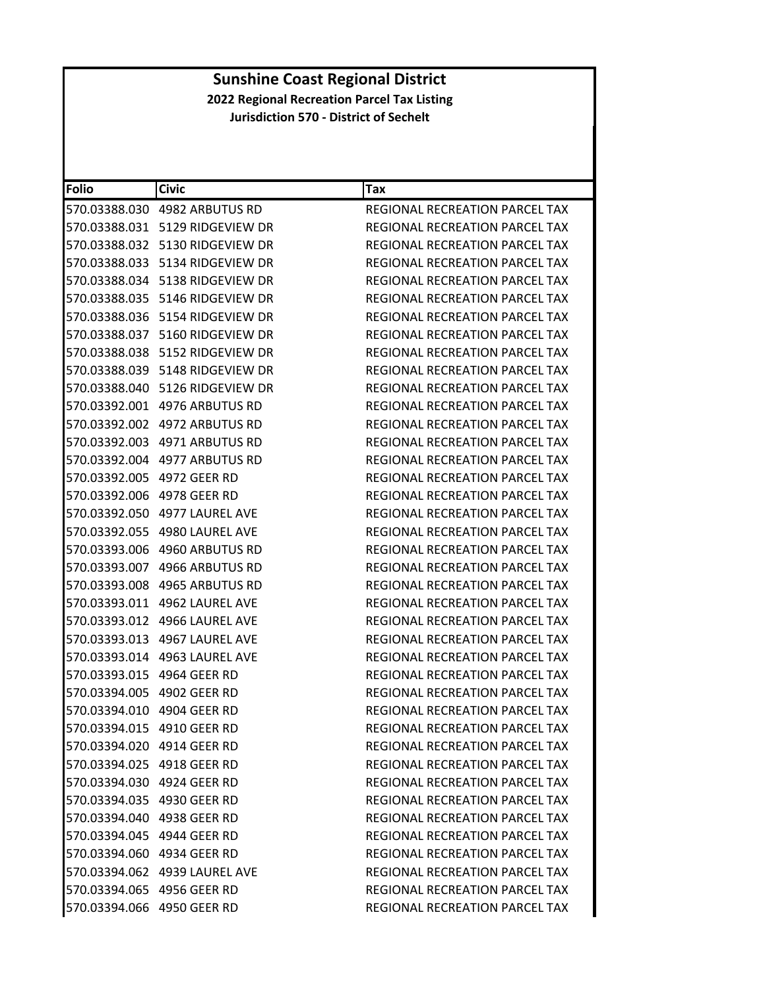| <b>Folio</b>               | <b>Civic</b>                          | Tax                                   |
|----------------------------|---------------------------------------|---------------------------------------|
|                            |                                       | REGIONAL RECREATION PARCEL TAX        |
|                            | 570.03388.031    5129    RIDGEVIEW DR | REGIONAL RECREATION PARCEL TAX        |
|                            | 570.03388.032 5130 RIDGEVIEW DR       | REGIONAL RECREATION PARCEL TAX        |
|                            | 570.03388.033    5134    RIDGEVIEW DR | REGIONAL RECREATION PARCEL TAX        |
|                            | 570.03388.034    5138    RIDGEVIEW DR | REGIONAL RECREATION PARCEL TAX        |
|                            | 570.03388.035    5146    RIDGEVIEW DR | REGIONAL RECREATION PARCEL TAX        |
|                            | 570.03388.036    5154    RIDGEVIEW DR | REGIONAL RECREATION PARCEL TAX        |
|                            | 570.03388.037 5160 RIDGEVIEW DR       | <b>REGIONAL RECREATION PARCEL TAX</b> |
|                            | 570.03388.038    5152    RIDGEVIEW DR | REGIONAL RECREATION PARCEL TAX        |
|                            | 570.03388.039 5148 RIDGEVIEW DR       | REGIONAL RECREATION PARCEL TAX        |
|                            | 570.03388.040    5126    RIDGEVIEW DR | REGIONAL RECREATION PARCEL TAX        |
|                            |                                       | REGIONAL RECREATION PARCEL TAX        |
|                            | 570.03392.002 4972 ARBUTUS RD         | REGIONAL RECREATION PARCEL TAX        |
|                            | 570.03392.003 4971 ARBUTUS RD         | REGIONAL RECREATION PARCEL TAX        |
|                            | 570.03392.004 4977 ARBUTUS RD         | REGIONAL RECREATION PARCEL TAX        |
| 570.03392.005 4972 GEER RD |                                       | REGIONAL RECREATION PARCEL TAX        |
| 570.03392.006 4978 GEER RD |                                       | REGIONAL RECREATION PARCEL TAX        |
|                            | 570.03392.050 4977 LAUREL AVE         | REGIONAL RECREATION PARCEL TAX        |
|                            | 570.03392.055 4980 LAUREL AVE         | <b>REGIONAL RECREATION PARCEL TAX</b> |
|                            |                                       | REGIONAL RECREATION PARCEL TAX        |
|                            | 570.03393.007 4966 ARBUTUS RD         | REGIONAL RECREATION PARCEL TAX        |
|                            | 570.03393.008 4965 ARBUTUS RD         | REGIONAL RECREATION PARCEL TAX        |
|                            | 570.03393.011 4962 LAUREL AVE         | REGIONAL RECREATION PARCEL TAX        |
|                            | 570.03393.012 4966 LAUREL AVE         | REGIONAL RECREATION PARCEL TAX        |
| 570.03393.013              | 4967 LAUREL AVE                       | REGIONAL RECREATION PARCEL TAX        |
|                            |                                       | <b>REGIONAL RECREATION PARCEL TAX</b> |
| 570.03393.015 4964 GEER RD |                                       | REGIONAL RECREATION PARCEL TAX        |
| 570.03394.005 4902 GEER RD |                                       | REGIONAL RECREATION PARCEL TAX        |
| 570.03394.010 4904 GEER RD |                                       | REGIONAL RECREATION PARCEL TAX        |
| 570.03394.015 4910 GEER RD |                                       | REGIONAL RECREATION PARCEL TAX        |
| 570.03394.020 4914 GEER RD |                                       | <b>REGIONAL RECREATION PARCEL TAX</b> |
| 570.03394.025 4918 GEER RD |                                       | <b>REGIONAL RECREATION PARCEL TAX</b> |
| 570.03394.030 4924 GEER RD |                                       | REGIONAL RECREATION PARCEL TAX        |
| 570.03394.035 4930 GEER RD |                                       | REGIONAL RECREATION PARCEL TAX        |
| 570.03394.040 4938 GEER RD |                                       | REGIONAL RECREATION PARCEL TAX        |
| 570.03394.045 4944 GEER RD |                                       | <b>REGIONAL RECREATION PARCEL TAX</b> |
| 570.03394.060 4934 GEER RD |                                       | <b>REGIONAL RECREATION PARCEL TAX</b> |
|                            | 570.03394.062 4939 LAUREL AVE         | REGIONAL RECREATION PARCEL TAX        |
| 570.03394.065 4956 GEER RD |                                       | REGIONAL RECREATION PARCEL TAX        |
| 570.03394.066 4950 GEER RD |                                       | REGIONAL RECREATION PARCEL TAX        |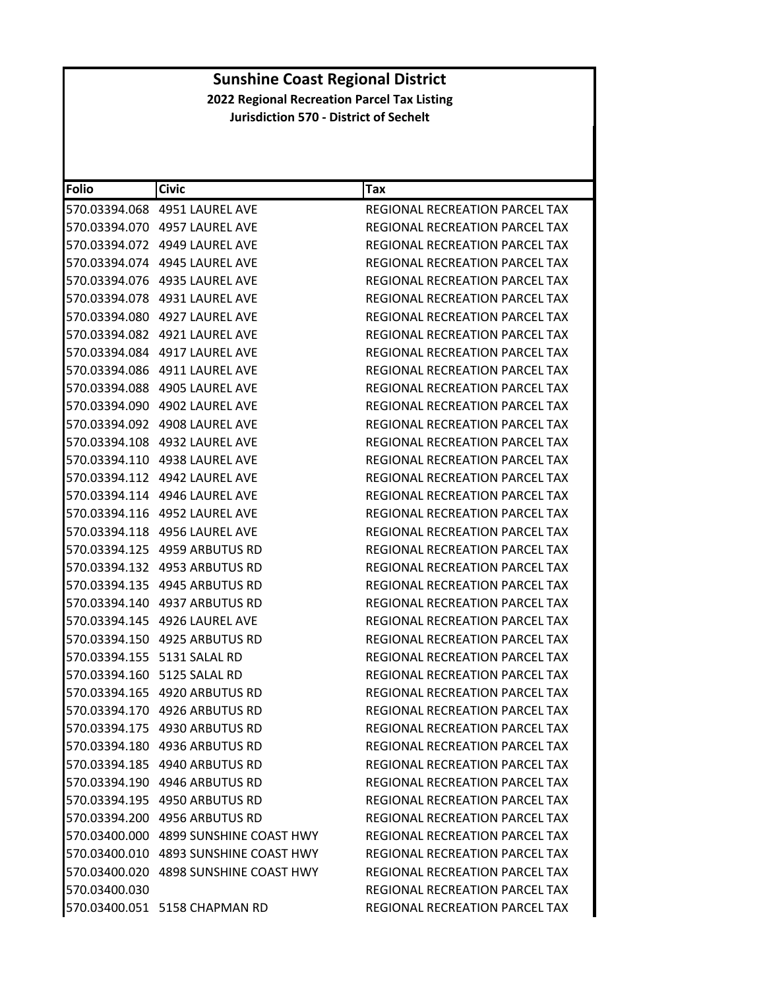| Folio         | <b>Civic</b>                          | Tax                                   |
|---------------|---------------------------------------|---------------------------------------|
|               | 570.03394.068 4951 LAUREL AVE         | REGIONAL RECREATION PARCEL TAX        |
|               | 570.03394.070 4957 LAUREL AVE         | REGIONAL RECREATION PARCEL TAX        |
|               |                                       | REGIONAL RECREATION PARCEL TAX        |
|               | 570.03394.074 4945 LAUREL AVE         | REGIONAL RECREATION PARCEL TAX        |
|               |                                       | REGIONAL RECREATION PARCEL TAX        |
|               | 570.03394.078 4931 LAUREL AVE         | REGIONAL RECREATION PARCEL TAX        |
|               | 570.03394.080 4927 LAUREL AVE         | REGIONAL RECREATION PARCEL TAX        |
|               |                                       | REGIONAL RECREATION PARCEL TAX        |
|               | 570.03394.084 4917 LAUREL AVE         | REGIONAL RECREATION PARCEL TAX        |
|               | 570.03394.086 4911 LAUREL AVE         | REGIONAL RECREATION PARCEL TAX        |
|               | 570.03394.088 4905 LAUREL AVE         | REGIONAL RECREATION PARCEL TAX        |
|               | 570.03394.090 4902 LAUREL AVE         | REGIONAL RECREATION PARCEL TAX        |
|               | 570.03394.092 4908 LAUREL AVE         | <b>REGIONAL RECREATION PARCEL TAX</b> |
|               | 570.03394.108 4932 LAUREL AVE         | REGIONAL RECREATION PARCEL TAX        |
|               |                                       | <b>REGIONAL RECREATION PARCEL TAX</b> |
|               |                                       | <b>REGIONAL RECREATION PARCEL TAX</b> |
|               |                                       | REGIONAL RECREATION PARCEL TAX        |
| 570.03394.116 | 4952 LAUREL AVE                       | REGIONAL RECREATION PARCEL TAX        |
|               | 570.03394.118 4956 LAUREL AVE         | REGIONAL RECREATION PARCEL TAX        |
|               | 570.03394.125 4959 ARBUTUS RD         | REGIONAL RECREATION PARCEL TAX        |
|               | 570.03394.132 4953 ARBUTUS RD         | REGIONAL RECREATION PARCEL TAX        |
|               | 570.03394.135    4945    ARBUTUS RD   | REGIONAL RECREATION PARCEL TAX        |
|               |                                       | REGIONAL RECREATION PARCEL TAX        |
|               | 570.03394.145 4926 LAUREL AVE         | REGIONAL RECREATION PARCEL TAX        |
|               | 570.03394.150 4925 ARBUTUS RD         | REGIONAL RECREATION PARCEL TAX        |
|               |                                       | REGIONAL RECREATION PARCEL TAX        |
|               | 570.03394.160 5125 SALAL RD           | REGIONAL RECREATION PARCEL TAX        |
|               | 570.03394.165 4920 ARBUTUS RD         | REGIONAL RECREATION PARCEL TAX        |
|               | 570.03394.170 4926 ARBUTUS RD         | REGIONAL RECREATION PARCEL TAX        |
|               | 570.03394.175 4930 ARBUTUS RD         | REGIONAL RECREATION PARCEL TAX        |
|               | 570.03394.180 4936 ARBUTUS RD         | REGIONAL RECREATION PARCEL TAX        |
|               | 570.03394.185 4940 ARBUTUS RD         | <b>REGIONAL RECREATION PARCEL TAX</b> |
|               | 570.03394.190 4946 ARBUTUS RD         | <b>REGIONAL RECREATION PARCEL TAX</b> |
|               | 570.03394.195 4950 ARBUTUS RD         | REGIONAL RECREATION PARCEL TAX        |
|               | 570.03394.200 4956 ARBUTUS RD         | <b>REGIONAL RECREATION PARCEL TAX</b> |
|               | 570.03400.000 4899 SUNSHINE COAST HWY | REGIONAL RECREATION PARCEL TAX        |
|               | 570.03400.010 4893 SUNSHINE COAST HWY | REGIONAL RECREATION PARCEL TAX        |
|               | 570.03400.020 4898 SUNSHINE COAST HWY | <b>REGIONAL RECREATION PARCEL TAX</b> |
| 570.03400.030 |                                       | REGIONAL RECREATION PARCEL TAX        |
|               | 570.03400.051 5158 CHAPMAN RD         | REGIONAL RECREATION PARCEL TAX        |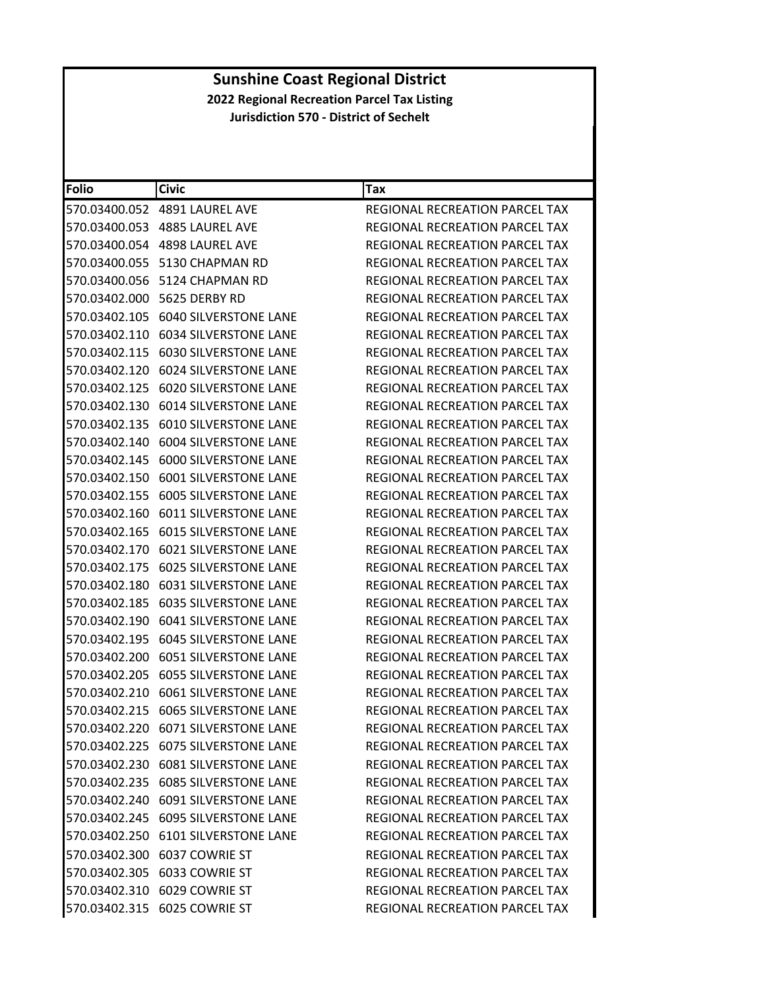| <b>Folio</b>  | <b>Civic</b>                           | Tax                                   |
|---------------|----------------------------------------|---------------------------------------|
| 570.03400.052 | 4891 LAUREL AVE                        | REGIONAL RECREATION PARCEL TAX        |
|               | 570.03400.053 4885 LAUREL AVE          | REGIONAL RECREATION PARCEL TAX        |
|               | 570.03400.054 4898 LAUREL AVE          | REGIONAL RECREATION PARCEL TAX        |
| 570.03400.055 | 5130 CHAPMAN RD                        | REGIONAL RECREATION PARCEL TAX        |
|               | 570.03400.056 5124 CHAPMAN RD          | REGIONAL RECREATION PARCEL TAX        |
| 570.03402.000 | 5625 DERBY RD                          | REGIONAL RECREATION PARCEL TAX        |
|               | 570.03402.105 6040 SILVERSTONE LANE    | REGIONAL RECREATION PARCEL TAX        |
|               | 570.03402.110 6034 SILVERSTONE LANE    | REGIONAL RECREATION PARCEL TAX        |
| 570.03402.115 | <b>6030 SILVERSTONE LANE</b>           | <b>REGIONAL RECREATION PARCEL TAX</b> |
|               | 570.03402.120 6024 SILVERSTONE LANE    | REGIONAL RECREATION PARCEL TAX        |
| 570.03402.125 | <b>6020 SILVERSTONE LANE</b>           | REGIONAL RECREATION PARCEL TAX        |
| 570.03402.130 | <b>6014 SILVERSTONE LANE</b>           | REGIONAL RECREATION PARCEL TAX        |
| 570.03402.135 | <b>6010 SILVERSTONE LANE</b>           | <b>REGIONAL RECREATION PARCEL TAX</b> |
| 570.03402.140 | <b>6004 SILVERSTONE LANE</b>           | REGIONAL RECREATION PARCEL TAX        |
|               | 570.03402.145 6000 SILVERSTONE LANE    | REGIONAL RECREATION PARCEL TAX        |
| 570.03402.150 | <b>6001 SILVERSTONE LANE</b>           | REGIONAL RECREATION PARCEL TAX        |
| 570.03402.155 | <b>6005 SILVERSTONE LANE</b>           | REGIONAL RECREATION PARCEL TAX        |
| 570.03402.160 | <b>6011 SILVERSTONE LANE</b>           | REGIONAL RECREATION PARCEL TAX        |
| 570.03402.165 | <b>6015 SILVERSTONE LANE</b>           | REGIONAL RECREATION PARCEL TAX        |
|               | 570.03402.170 6021 SILVERSTONE LANE    | REGIONAL RECREATION PARCEL TAX        |
|               | 570.03402.175 6025 SILVERSTONE LANE    | REGIONAL RECREATION PARCEL TAX        |
| 570.03402.180 | <b>6031 SILVERSTONE LANE</b>           | REGIONAL RECREATION PARCEL TAX        |
|               | 570.03402.185 6035 SILVERSTONE LANE    | REGIONAL RECREATION PARCEL TAX        |
| 570.03402.190 | <b>6041 SILVERSTONE LANE</b>           | REGIONAL RECREATION PARCEL TAX        |
|               | 570.03402.195 6045 SILVERSTONE LANE    | REGIONAL RECREATION PARCEL TAX        |
|               | 570.03402.200    6051 SILVERSTONE LANE | <b>REGIONAL RECREATION PARCEL TAX</b> |
| 570.03402.205 | <b>6055 SILVERSTONE LANE</b>           | REGIONAL RECREATION PARCEL TAX        |
|               | 570.03402.210 6061 SILVERSTONE LANE    | <b>REGIONAL RECREATION PARCEL TAX</b> |
|               | 570.03402.215 6065 SILVERSTONE LANE    | REGIONAL RECREATION PARCEL TAX        |
|               | 570.03402.220 6071 SILVERSTONE LANE    | REGIONAL RECREATION PARCEL TAX        |
|               | 570.03402.225 6075 SILVERSTONE LANE    | <b>REGIONAL RECREATION PARCEL TAX</b> |
|               | 570.03402.230 6081 SILVERSTONE LANE    | REGIONAL RECREATION PARCEL TAX        |
|               | 570.03402.235 6085 SILVERSTONE LANE    | REGIONAL RECREATION PARCEL TAX        |
|               | 570.03402.240 6091 SILVERSTONE LANE    | REGIONAL RECREATION PARCEL TAX        |
|               | 570.03402.245 6095 SILVERSTONE LANE    | REGIONAL RECREATION PARCEL TAX        |
|               | 570.03402.250 6101 SILVERSTONE LANE    | <b>REGIONAL RECREATION PARCEL TAX</b> |
|               | 570.03402.300 6037 COWRIE ST           | REGIONAL RECREATION PARCEL TAX        |
|               | 570.03402.305 6033 COWRIE ST           | REGIONAL RECREATION PARCEL TAX        |
|               | 570.03402.310 6029 COWRIE ST           | REGIONAL RECREATION PARCEL TAX        |
|               | 570.03402.315 6025 COWRIE ST           | REGIONAL RECREATION PARCEL TAX        |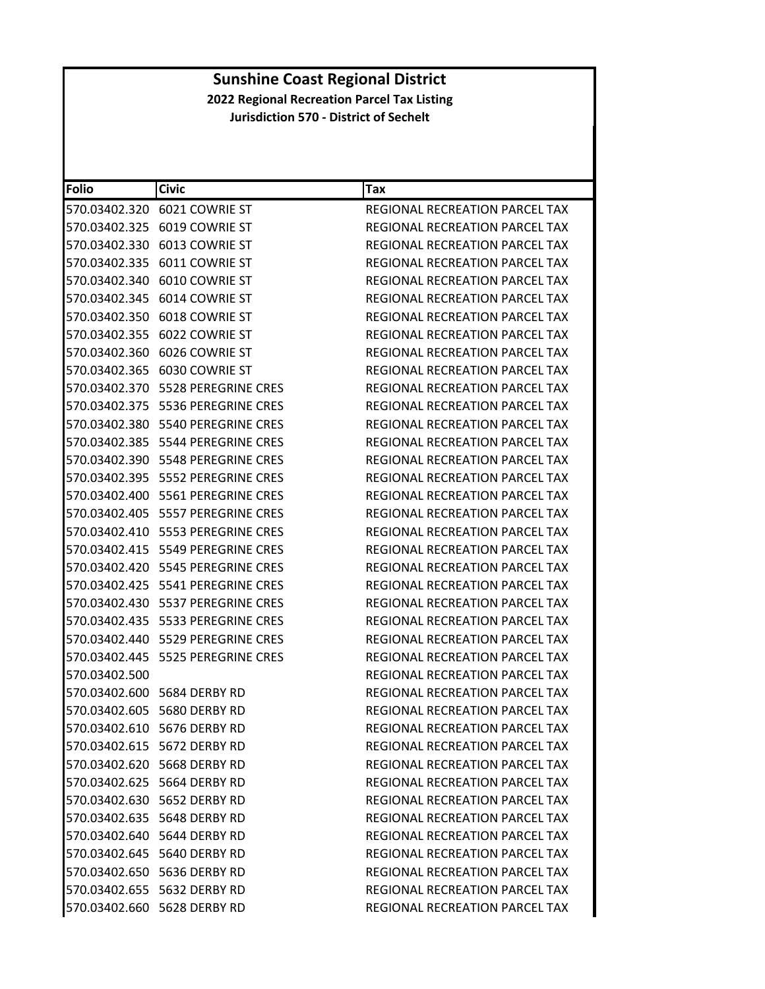| <b>Folio</b>  | <b>Civic</b>                            | Tax                                   |
|---------------|-----------------------------------------|---------------------------------------|
|               | 570.03402.320 6021 COWRIE ST            | REGIONAL RECREATION PARCEL TAX        |
|               | 570.03402.325 6019 COWRIE ST            | REGIONAL RECREATION PARCEL TAX        |
|               | 570.03402.330 6013 COWRIE ST            | REGIONAL RECREATION PARCEL TAX        |
| 570.03402.335 | 6011 COWRIE ST                          | REGIONAL RECREATION PARCEL TAX        |
|               | 570.03402.340 6010 COWRIE ST            | REGIONAL RECREATION PARCEL TAX        |
|               | 570.03402.345 6014 COWRIE ST            | <b>REGIONAL RECREATION PARCEL TAX</b> |
|               | 570.03402.350 6018 COWRIE ST            | REGIONAL RECREATION PARCEL TAX        |
|               | 570.03402.355 6022 COWRIE ST            | REGIONAL RECREATION PARCEL TAX        |
| 570.03402.360 | 6026 COWRIE ST                          | REGIONAL RECREATION PARCEL TAX        |
|               | 570.03402.365 6030 COWRIE ST            | REGIONAL RECREATION PARCEL TAX        |
|               | 570.03402.370    5528    PEREGRINE CRES | REGIONAL RECREATION PARCEL TAX        |
|               |                                         | REGIONAL RECREATION PARCEL TAX        |
|               | 570.03402.380 5540 PEREGRINE CRES       | REGIONAL RECREATION PARCEL TAX        |
| 570.03402.385 | 5544 PEREGRINE CRES                     | REGIONAL RECREATION PARCEL TAX        |
|               | 570.03402.390    5548    PEREGRINE CRES | REGIONAL RECREATION PARCEL TAX        |
|               | 570.03402.395    5552    PEREGRINE CRES | REGIONAL RECREATION PARCEL TAX        |
|               |                                         | REGIONAL RECREATION PARCEL TAX        |
|               | 570.03402.405    5557    PEREGRINE CRES | REGIONAL RECREATION PARCEL TAX        |
|               | 570.03402.410    5553    PEREGRINE CRES | <b>REGIONAL RECREATION PARCEL TAX</b> |
|               | 570.03402.415    5549    PEREGRINE CRES | REGIONAL RECREATION PARCEL TAX        |
|               | 570.03402.420    5545    PEREGRINE CRES | REGIONAL RECREATION PARCEL TAX        |
|               |                                         | REGIONAL RECREATION PARCEL TAX        |
|               | 570.03402.430    5537    PEREGRINE CRES | REGIONAL RECREATION PARCEL TAX        |
|               |                                         | REGIONAL RECREATION PARCEL TAX        |
|               | 570.03402.440    5529    PEREGRINE CRES | REGIONAL RECREATION PARCEL TAX        |
|               | 570.03402.445    5525    PEREGRINE CRES | <b>REGIONAL RECREATION PARCEL TAX</b> |
| 570.03402.500 |                                         | REGIONAL RECREATION PARCEL TAX        |
|               | 570.03402.600 5684 DERBY RD             | REGIONAL RECREATION PARCEL TAX        |
|               | 570.03402.605 5680 DERBY RD             | REGIONAL RECREATION PARCEL TAX        |
|               | 570.03402.610 5676 DERBY RD             | <b>REGIONAL RECREATION PARCEL TAX</b> |
|               | 570.03402.615 5672 DERBY RD             | <b>REGIONAL RECREATION PARCEL TAX</b> |
|               | 570.03402.620 5668 DERBY RD             | REGIONAL RECREATION PARCEL TAX        |
|               | 570.03402.625 5664 DERBY RD             | <b>REGIONAL RECREATION PARCEL TAX</b> |
|               | 570.03402.630 5652 DERBY RD             | <b>REGIONAL RECREATION PARCEL TAX</b> |
|               | 570.03402.635 5648 DERBY RD             | REGIONAL RECREATION PARCEL TAX        |
|               | 570.03402.640 5644 DERBY RD             | REGIONAL RECREATION PARCEL TAX        |
|               | 570.03402.645 5640 DERBY RD             | REGIONAL RECREATION PARCEL TAX        |
|               | 570.03402.650    5636 DERBY RD          | REGIONAL RECREATION PARCEL TAX        |
|               | 570.03402.655 5632 DERBY RD             | REGIONAL RECREATION PARCEL TAX        |
|               | 570.03402.660 5628 DERBY RD             | REGIONAL RECREATION PARCEL TAX        |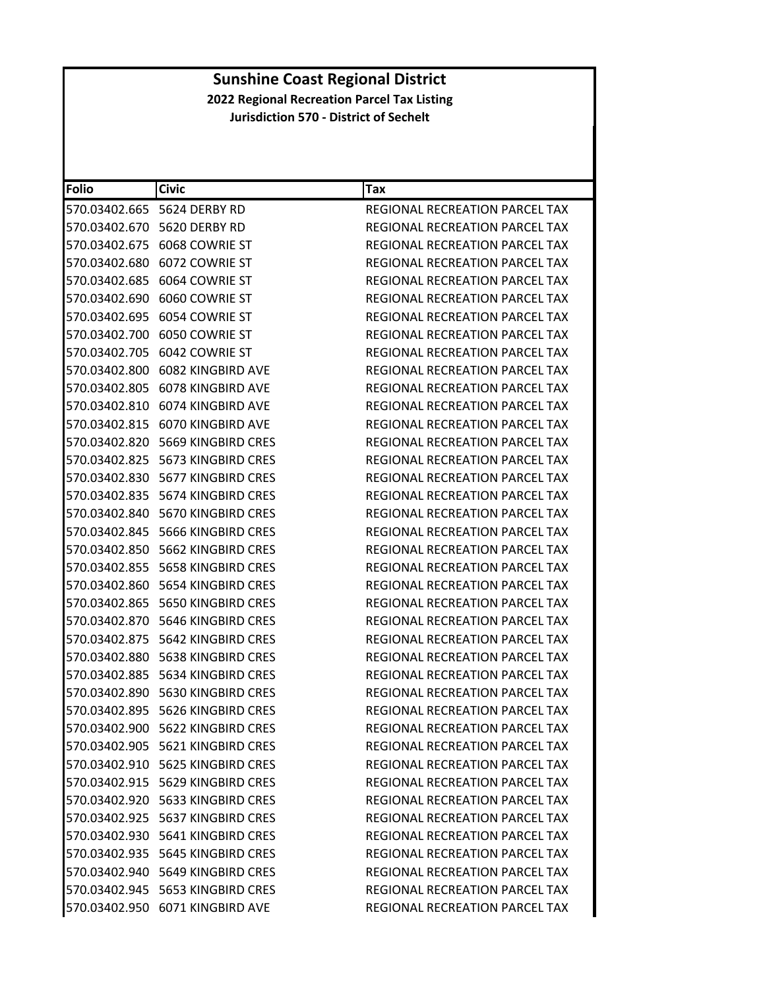| <b>Folio</b>  | Civic                               | Tax                                   |
|---------------|-------------------------------------|---------------------------------------|
|               | 570.03402.665 5624 DERBY RD         | REGIONAL RECREATION PARCEL TAX        |
|               | 570.03402.670 5620 DERBY RD         | REGIONAL RECREATION PARCEL TAX        |
|               | 570.03402.675 6068 COWRIE ST        | REGIONAL RECREATION PARCEL TAX        |
| 570.03402.680 | 6072 COWRIE ST                      | <b>REGIONAL RECREATION PARCEL TAX</b> |
|               | 570.03402.685 6064 COWRIE ST        | REGIONAL RECREATION PARCEL TAX        |
|               | 570.03402.690 6060 COWRIE ST        | <b>REGIONAL RECREATION PARCEL TAX</b> |
|               | 570.03402.695 6054 COWRIE ST        | REGIONAL RECREATION PARCEL TAX        |
|               | 570.03402.700 6050 COWRIE ST        | REGIONAL RECREATION PARCEL TAX        |
|               | 570.03402.705 6042 COWRIE ST        | REGIONAL RECREATION PARCEL TAX        |
|               | 570.03402.800 6082 KINGBIRD AVE     | REGIONAL RECREATION PARCEL TAX        |
|               | 570.03402.805 6078 KINGBIRD AVE     | REGIONAL RECREATION PARCEL TAX        |
|               | 570.03402.810 6074 KINGBIRD AVE     | REGIONAL RECREATION PARCEL TAX        |
|               | 570.03402.815 6070 KINGBIRD AVE     | REGIONAL RECREATION PARCEL TAX        |
| 570.03402.820 | 5669 KINGBIRD CRES                  | REGIONAL RECREATION PARCEL TAX        |
|               | 570.03402.825    5673 KINGBIRD CRES | REGIONAL RECREATION PARCEL TAX        |
|               | 570.03402.830    5677 KINGBIRD CRES | <b>REGIONAL RECREATION PARCEL TAX</b> |
|               |                                     | <b>REGIONAL RECREATION PARCEL TAX</b> |
|               | 570.03402.840    5670 KINGBIRD CRES | REGIONAL RECREATION PARCEL TAX        |
|               | 570.03402.845    5666 KINGBIRD CRES | <b>REGIONAL RECREATION PARCEL TAX</b> |
|               | 570.03402.850    5662 KINGBIRD CRES | REGIONAL RECREATION PARCEL TAX        |
|               |                                     | REGIONAL RECREATION PARCEL TAX        |
|               |                                     | REGIONAL RECREATION PARCEL TAX        |
|               |                                     | REGIONAL RECREATION PARCEL TAX        |
|               | 570.03402.870    5646 KINGBIRD CRES | REGIONAL RECREATION PARCEL TAX        |
|               | 570.03402.875    5642 KINGBIRD CRES | REGIONAL RECREATION PARCEL TAX        |
|               | 570.03402.880    5638 KINGBIRD CRES | REGIONAL RECREATION PARCEL TAX        |
|               |                                     | REGIONAL RECREATION PARCEL TAX        |
|               | 570.03402.890    5630 KINGBIRD CRES | REGIONAL RECREATION PARCEL TAX        |
|               | 570.03402.895    5626 KINGBIRD CRES | REGIONAL RECREATION PARCEL TAX        |
|               | 570.03402.900 5622 KINGBIRD CRES    | REGIONAL RECREATION PARCEL TAX        |
|               | 570.03402.905    5621 KINGBIRD CRES | REGIONAL RECREATION PARCEL TAX        |
|               | 570.03402.910 5625 KINGBIRD CRES    | REGIONAL RECREATION PARCEL TAX        |
|               | 570.03402.915    5629 KINGBIRD CRES | REGIONAL RECREATION PARCEL TAX        |
|               | 570.03402.920 5633 KINGBIRD CRES    | REGIONAL RECREATION PARCEL TAX        |
|               | 570.03402.925 5637 KINGBIRD CRES    | <b>REGIONAL RECREATION PARCEL TAX</b> |
|               | 570.03402.930    5641 KINGBIRD CRES | REGIONAL RECREATION PARCEL TAX        |
|               | 570.03402.935    5645 KINGBIRD CRES | REGIONAL RECREATION PARCEL TAX        |
|               | 570.03402.940    5649 KINGBIRD CRES | REGIONAL RECREATION PARCEL TAX        |
|               | 570.03402.945    5653 KINGBIRD CRES | <b>REGIONAL RECREATION PARCEL TAX</b> |
|               | 570.03402.950 6071 KINGBIRD AVE     | REGIONAL RECREATION PARCEL TAX        |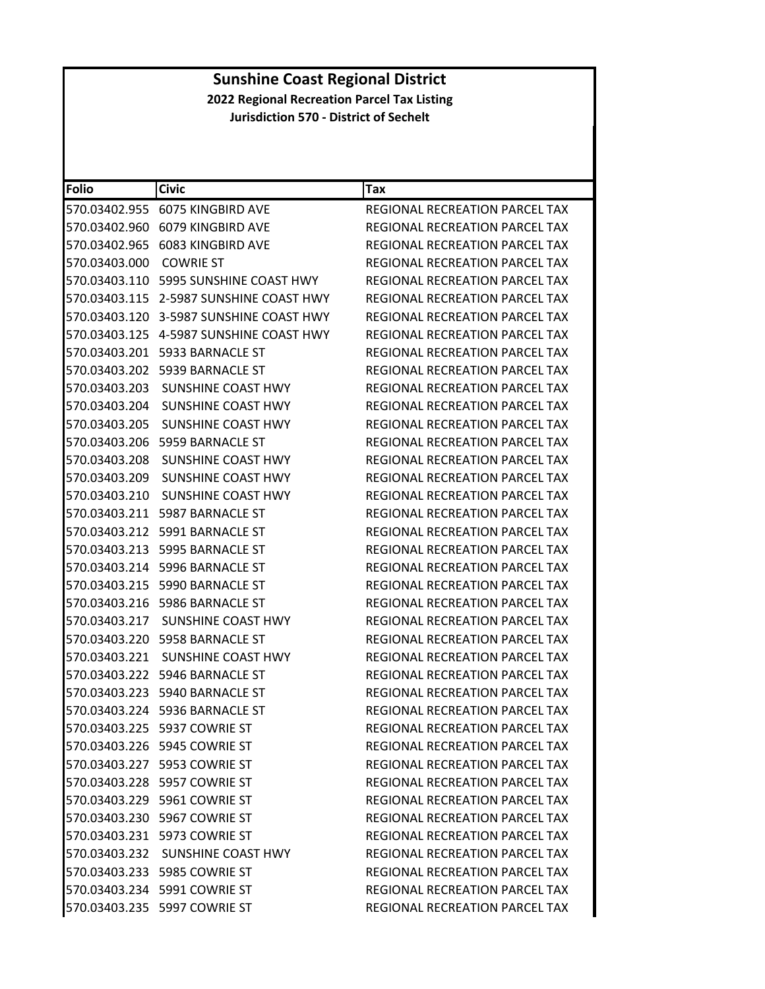| <b>Folio</b>  | <b>Civic</b>                             | Tax                                   |
|---------------|------------------------------------------|---------------------------------------|
|               | 570.03402.955 6075 KINGBIRD AVE          | REGIONAL RECREATION PARCEL TAX        |
| 570.03402.960 | 6079 KINGBIRD AVE                        | REGIONAL RECREATION PARCEL TAX        |
|               | 570.03402.965 6083 KINGBIRD AVE          | REGIONAL RECREATION PARCEL TAX        |
| 570.03403.000 | <b>COWRIE ST</b>                         | REGIONAL RECREATION PARCEL TAX        |
|               | 570.03403.110    5995 SUNSHINE COAST HWY | REGIONAL RECREATION PARCEL TAX        |
|               | 570.03403.115 2-5987 SUNSHINE COAST HWY  | REGIONAL RECREATION PARCEL TAX        |
|               | 570.03403.120 3-5987 SUNSHINE COAST HWY  | REGIONAL RECREATION PARCEL TAX        |
|               | 570.03403.125 4-5987 SUNSHINE COAST HWY  | REGIONAL RECREATION PARCEL TAX        |
| 570.03403.201 | 5933 BARNACLE ST                         | REGIONAL RECREATION PARCEL TAX        |
|               | 570.03403.202 5939 BARNACLE ST           | REGIONAL RECREATION PARCEL TAX        |
| 570.03403.203 | SUNSHINE COAST HWY                       | REGIONAL RECREATION PARCEL TAX        |
| 570.03403.204 | SUNSHINE COAST HWY                       | REGIONAL RECREATION PARCEL TAX        |
| 570.03403.205 | SUNSHINE COAST HWY                       | <b>REGIONAL RECREATION PARCEL TAX</b> |
| 570.03403.206 | 5959 BARNACLE ST                         | REGIONAL RECREATION PARCEL TAX        |
| 570.03403.208 | SUNSHINE COAST HWY                       | <b>REGIONAL RECREATION PARCEL TAX</b> |
| 570.03403.209 | SUNSHINE COAST HWY                       | REGIONAL RECREATION PARCEL TAX        |
| 570.03403.210 | SUNSHINE COAST HWY                       | REGIONAL RECREATION PARCEL TAX        |
|               | 570.03403.211    5987    BARNACLE ST     | REGIONAL RECREATION PARCEL TAX        |
| 570.03403.212 | 5991 BARNACLE ST                         | <b>REGIONAL RECREATION PARCEL TAX</b> |
| 570.03403.213 | 5995 BARNACLE ST                         | REGIONAL RECREATION PARCEL TAX        |
|               | 570.03403.214 5996 BARNACLE ST           | REGIONAL RECREATION PARCEL TAX        |
|               | 570.03403.215    5990 BARNACLE ST        | <b>REGIONAL RECREATION PARCEL TAX</b> |
|               | 570.03403.216    5986 BARNACLE ST        | REGIONAL RECREATION PARCEL TAX        |
| 570.03403.217 | SUNSHINE COAST HWY                       | REGIONAL RECREATION PARCEL TAX        |
|               | 570.03403.220 5958 BARNACLE ST           | REGIONAL RECREATION PARCEL TAX        |
| 570.03403.221 | SUNSHINE COAST HWY                       | REGIONAL RECREATION PARCEL TAX        |
|               | 570.03403.222    5946 BARNACLE ST        | REGIONAL RECREATION PARCEL TAX        |
|               | 570.03403.223 5940 BARNACLE ST           | REGIONAL RECREATION PARCEL TAX        |
|               | 570.03403.224 5936 BARNACLE ST           | REGIONAL RECREATION PARCEL TAX        |
|               | 570.03403.225 5937 COWRIE ST             | <b>REGIONAL RECREATION PARCEL TAX</b> |
|               | 570.03403.226 5945 COWRIE ST             | REGIONAL RECREATION PARCEL TAX        |
|               | 570.03403.227 5953 COWRIE ST             | REGIONAL RECREATION PARCEL TAX        |
|               | 570.03403.228 5957 COWRIE ST             | REGIONAL RECREATION PARCEL TAX        |
|               | 570.03403.229 5961 COWRIE ST             | <b>REGIONAL RECREATION PARCEL TAX</b> |
|               | 570.03403.230 5967 COWRIE ST             | REGIONAL RECREATION PARCEL TAX        |
|               | 570.03403.231 5973 COWRIE ST             | <b>REGIONAL RECREATION PARCEL TAX</b> |
|               | 570.03403.232 SUNSHINE COAST HWY         | <b>REGIONAL RECREATION PARCEL TAX</b> |
|               | 570.03403.233    5985    COWRIE ST       | REGIONAL RECREATION PARCEL TAX        |
|               | 570.03403.234 5991 COWRIE ST             | REGIONAL RECREATION PARCEL TAX        |
|               | 570.03403.235 5997 COWRIE ST             | REGIONAL RECREATION PARCEL TAX        |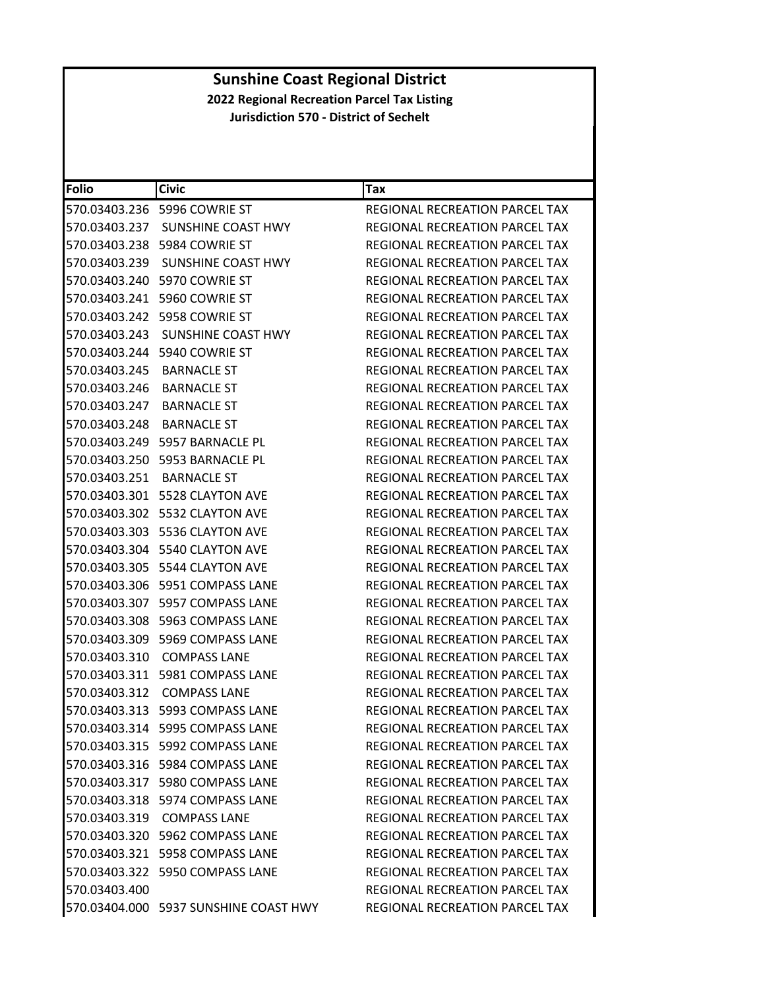| <b>Folio</b>              | <b>Civic</b>                          | Tax                                   |
|---------------------------|---------------------------------------|---------------------------------------|
|                           | 570.03403.236    5996    COWRIE ST    | <b>REGIONAL RECREATION PARCEL TAX</b> |
| 570.03403.237             | <b>SUNSHINE COAST HWY</b>             | REGIONAL RECREATION PARCEL TAX        |
|                           | 570.03403.238 5984 COWRIE ST          | <b>REGIONAL RECREATION PARCEL TAX</b> |
| 570.03403.239             | SUNSHINE COAST HWY                    | <b>REGIONAL RECREATION PARCEL TAX</b> |
|                           | 570.03403.240 5970 COWRIE ST          | REGIONAL RECREATION PARCEL TAX        |
|                           | 570.03403.241 5960 COWRIE ST          | <b>REGIONAL RECREATION PARCEL TAX</b> |
|                           | 570.03403.242 5958 COWRIE ST          | REGIONAL RECREATION PARCEL TAX        |
|                           | 570.03403.243 SUNSHINE COAST HWY      | <b>REGIONAL RECREATION PARCEL TAX</b> |
|                           | 570.03403.244 5940 COWRIE ST          | REGIONAL RECREATION PARCEL TAX        |
| 570.03403.245             | <b>BARNACLE ST</b>                    | REGIONAL RECREATION PARCEL TAX        |
| 570.03403.246 BARNACLE ST |                                       | REGIONAL RECREATION PARCEL TAX        |
| 570.03403.247 BARNACLE ST |                                       | REGIONAL RECREATION PARCEL TAX        |
| 570.03403.248 BARNACLE ST |                                       | REGIONAL RECREATION PARCEL TAX        |
|                           | 570.03403.249 5957 BARNACLE PL        | REGIONAL RECREATION PARCEL TAX        |
|                           | 570.03403.250 5953 BARNACLE PL        | <b>REGIONAL RECREATION PARCEL TAX</b> |
| 570.03403.251 BARNACLE ST |                                       | REGIONAL RECREATION PARCEL TAX        |
|                           | 570.03403.301 5528 CLAYTON AVE        | REGIONAL RECREATION PARCEL TAX        |
|                           | 570.03403.302 5532 CLAYTON AVE        | REGIONAL RECREATION PARCEL TAX        |
| 570.03403.303             | 5536 CLAYTON AVE                      | <b>REGIONAL RECREATION PARCEL TAX</b> |
|                           | 570.03403.304 5540 CLAYTON AVE        | REGIONAL RECREATION PARCEL TAX        |
|                           | 570.03403.305    5544 CLAYTON AVE     | REGIONAL RECREATION PARCEL TAX        |
|                           | 570.03403.306    5951    COMPASS LANE | REGIONAL RECREATION PARCEL TAX        |
|                           | 570.03403.307 5957 COMPASS LANE       | REGIONAL RECREATION PARCEL TAX        |
| 570.03403.308             | 5963 COMPASS LANE                     | REGIONAL RECREATION PARCEL TAX        |
|                           | 570.03403.309 5969 COMPASS LANE       | REGIONAL RECREATION PARCEL TAX        |
|                           | 570.03403.310 COMPASS LANE            | REGIONAL RECREATION PARCEL TAX        |
|                           | 570.03403.311    5981    COMPASS LANE | REGIONAL RECREATION PARCEL TAX        |
| 570.03403.312             | <b>COMPASS LANE</b>                   | <b>REGIONAL RECREATION PARCEL TAX</b> |
|                           | 570.03403.313    5993    COMPASS LANE | REGIONAL RECREATION PARCEL TAX        |
|                           | 570.03403.314 5995 COMPASS LANE       | REGIONAL RECREATION PARCEL TAX        |
|                           | 570.03403.315    5992    COMPASS LANE | REGIONAL RECREATION PARCEL TAX        |
|                           | 570.03403.316    5984 COMPASS LANE    | <b>REGIONAL RECREATION PARCEL TAX</b> |
|                           | 570.03403.317 5980 COMPASS LANE       | <b>REGIONAL RECREATION PARCEL TAX</b> |
|                           | 570.03403.318 5974 COMPASS LANE       | <b>REGIONAL RECREATION PARCEL TAX</b> |
|                           | 570.03403.319 COMPASS LANE            | REGIONAL RECREATION PARCEL TAX        |
|                           | 570.03403.320 5962 COMPASS LANE       | REGIONAL RECREATION PARCEL TAX        |
|                           | 570.03403.321 5958 COMPASS LANE       | <b>REGIONAL RECREATION PARCEL TAX</b> |
|                           | 570.03403.322 5950 COMPASS LANE       | REGIONAL RECREATION PARCEL TAX        |
| 570.03403.400             |                                       | REGIONAL RECREATION PARCEL TAX        |
|                           | 570.03404.000 5937 SUNSHINE COAST HWY | REGIONAL RECREATION PARCEL TAX        |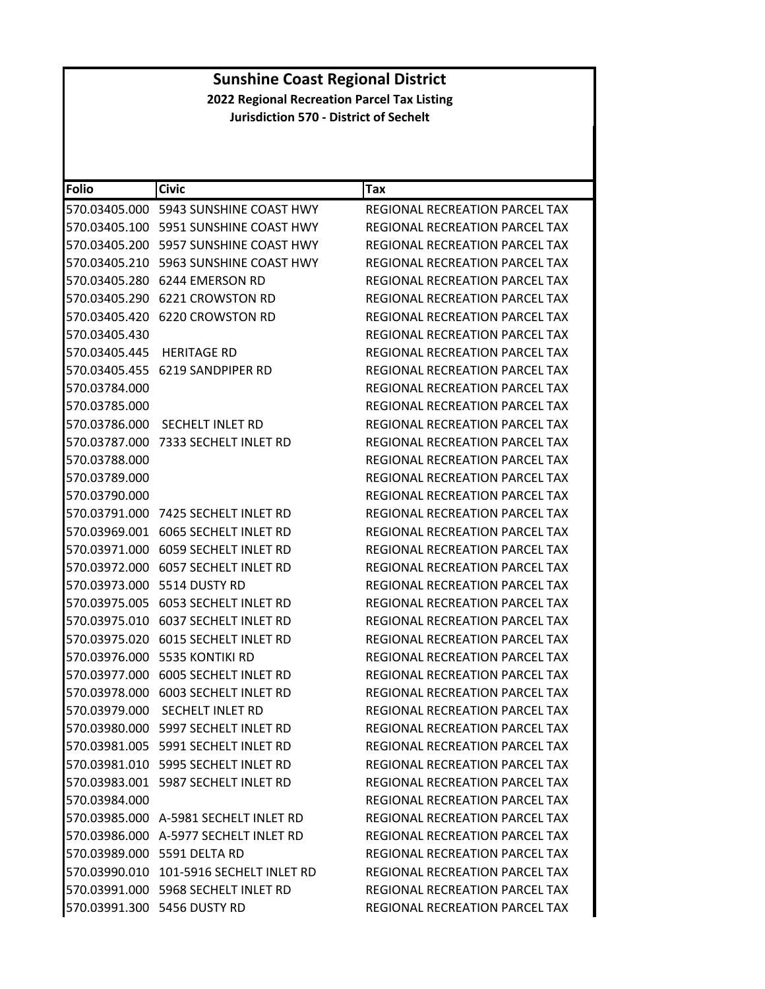| <b>Folio</b>  | <b>Civic</b>                            | Tax                                   |
|---------------|-----------------------------------------|---------------------------------------|
| 570.03405.000 | 5943 SUNSHINE COAST HWY                 | REGIONAL RECREATION PARCEL TAX        |
| 570.03405.100 | 5951 SUNSHINE COAST HWY                 | REGIONAL RECREATION PARCEL TAX        |
| 570.03405.200 | 5957 SUNSHINE COAST HWY                 | REGIONAL RECREATION PARCEL TAX        |
| 570.03405.210 | 5963 SUNSHINE COAST HWY                 | REGIONAL RECREATION PARCEL TAX        |
|               | 570.03405.280 6244 EMERSON RD           | REGIONAL RECREATION PARCEL TAX        |
| 570.03405.290 | <b>6221 CROWSTON RD</b>                 | REGIONAL RECREATION PARCEL TAX        |
|               | 570.03405.420 6220 CROWSTON RD          | REGIONAL RECREATION PARCEL TAX        |
| 570.03405.430 |                                         | REGIONAL RECREATION PARCEL TAX        |
| 570.03405.445 | <b>HERITAGE RD</b>                      | REGIONAL RECREATION PARCEL TAX        |
| 570.03405.455 | 6219 SANDPIPER RD                       | REGIONAL RECREATION PARCEL TAX        |
| 570.03784.000 |                                         | REGIONAL RECREATION PARCEL TAX        |
| 570.03785.000 |                                         | REGIONAL RECREATION PARCEL TAX        |
| 570.03786.000 | SECHELT INLET RD                        | REGIONAL RECREATION PARCEL TAX        |
| 570.03787.000 | 7333 SECHELT INLET RD                   | REGIONAL RECREATION PARCEL TAX        |
| 570.03788.000 |                                         | <b>REGIONAL RECREATION PARCEL TAX</b> |
| 570.03789.000 |                                         | REGIONAL RECREATION PARCEL TAX        |
| 570.03790.000 |                                         | <b>REGIONAL RECREATION PARCEL TAX</b> |
| 570.03791.000 | 7425 SECHELT INLET RD                   | REGIONAL RECREATION PARCEL TAX        |
| 570.03969.001 | 6065 SECHELT INLET RD                   | REGIONAL RECREATION PARCEL TAX        |
|               | 570.03971.000    6059 SECHELT INLET RD  | REGIONAL RECREATION PARCEL TAX        |
| 570.03972.000 | 6057 SECHELT INLET RD                   | REGIONAL RECREATION PARCEL TAX        |
| 570.03973.000 | 5514 DUSTY RD                           | REGIONAL RECREATION PARCEL TAX        |
| 570.03975.005 | 6053 SECHELT INLET RD                   | REGIONAL RECREATION PARCEL TAX        |
| 570.03975.010 | 6037 SECHELT INLET RD                   | REGIONAL RECREATION PARCEL TAX        |
| 570.03975.020 | 6015 SECHELT INLET RD                   | REGIONAL RECREATION PARCEL TAX        |
| 570.03976.000 | 5535 KONTIKI RD                         | <b>REGIONAL RECREATION PARCEL TAX</b> |
| 570.03977.000 | <b>6005 SECHELT INLET RD</b>            | REGIONAL RECREATION PARCEL TAX        |
| 570.03978.000 | 6003 SECHELT INLET RD                   | REGIONAL RECREATION PARCEL TAX        |
| 570.03979.000 | <b>SECHELT INLET RD</b>                 | REGIONAL RECREATION PARCEL TAX        |
|               | 570.03980.000 5997 SECHELT INLET RD     | REGIONAL RECREATION PARCEL TAX        |
|               | 570.03981.005 5991 SECHELT INLET RD     | REGIONAL RECREATION PARCEL TAX        |
|               | 570.03981.010 5995 SECHELT INLET RD     | REGIONAL RECREATION PARCEL TAX        |
|               | 570.03983.001    5987 SECHELT INLET RD  | REGIONAL RECREATION PARCEL TAX        |
| 570.03984.000 |                                         | <b>REGIONAL RECREATION PARCEL TAX</b> |
|               | 570.03985.000 A-5981 SECHELT INLET RD   | REGIONAL RECREATION PARCEL TAX        |
|               | 570.03986.000 A-5977 SECHELT INLET RD   | REGIONAL RECREATION PARCEL TAX        |
|               | 570.03989.000 5591 DELTA RD             | REGIONAL RECREATION PARCEL TAX        |
|               | 570.03990.010 101-5916 SECHELT INLET RD | REGIONAL RECREATION PARCEL TAX        |
|               | 570.03991.000 5968 SECHELT INLET RD     | REGIONAL RECREATION PARCEL TAX        |
|               | 570.03991.300 5456 DUSTY RD             | REGIONAL RECREATION PARCEL TAX        |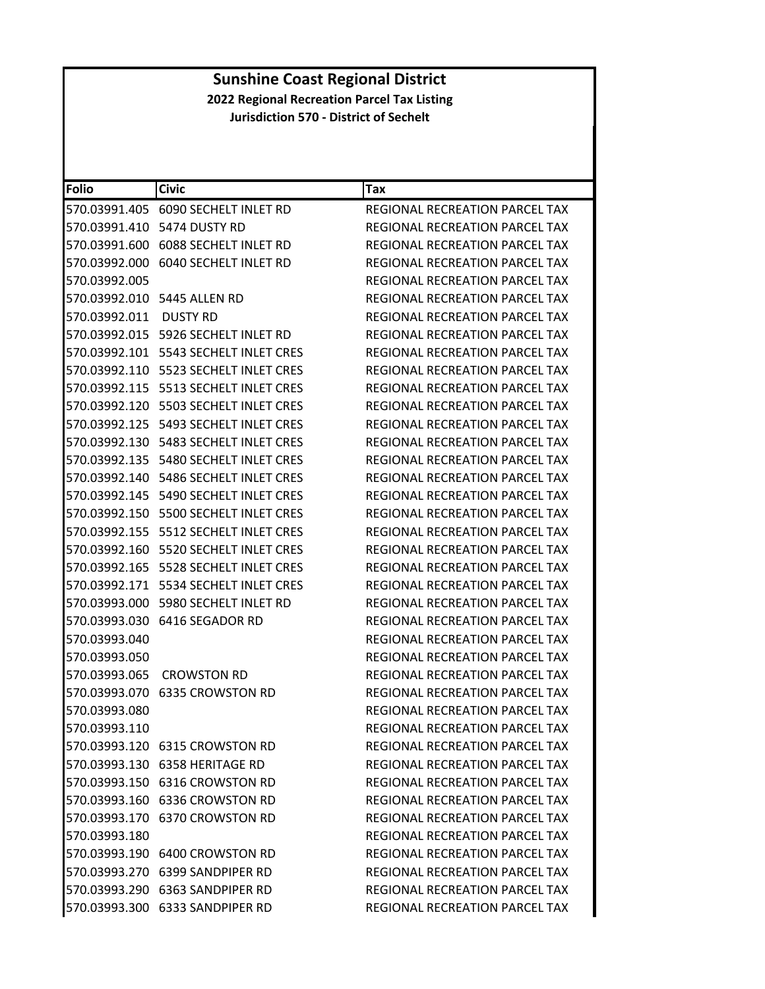| <b>Folio</b>  | <b>Civic</b>                             | <b>Tax</b>                            |
|---------------|------------------------------------------|---------------------------------------|
| 570.03991.405 | 6090 SECHELT INLET RD                    | REGIONAL RECREATION PARCEL TAX        |
| 570.03991.410 | 5474 DUSTY RD                            | REGIONAL RECREATION PARCEL TAX        |
| 570.03991.600 | <b>6088 SECHELT INLET RD</b>             | REGIONAL RECREATION PARCEL TAX        |
|               | 570.03992.000 6040 SECHELT INLET RD      | REGIONAL RECREATION PARCEL TAX        |
| 570.03992.005 |                                          | REGIONAL RECREATION PARCEL TAX        |
|               | 570.03992.010    5445 ALLEN RD           | <b>REGIONAL RECREATION PARCEL TAX</b> |
| 570.03992.011 | DUSTY RD                                 | REGIONAL RECREATION PARCEL TAX        |
| 570.03992.015 | 5926 SECHELT INLET RD                    | <b>REGIONAL RECREATION PARCEL TAX</b> |
|               | 570.03992.101    5543 SECHELT INLET CRES | REGIONAL RECREATION PARCEL TAX        |
| 570.03992.110 | 5523 SECHELT INLET CRES                  | REGIONAL RECREATION PARCEL TAX        |
| 570.03992.115 | 5513 SECHELT INLET CRES                  | REGIONAL RECREATION PARCEL TAX        |
| 570.03992.120 | 5503 SECHELT INLET CRES                  | REGIONAL RECREATION PARCEL TAX        |
| 570.03992.125 | 5493 SECHELT INLET CRES                  | REGIONAL RECREATION PARCEL TAX        |
|               | 570.03992.130    5483 SECHELT INLET CRES | REGIONAL RECREATION PARCEL TAX        |
| 570.03992.135 | 5480 SECHELT INLET CRES                  | REGIONAL RECREATION PARCEL TAX        |
| 570.03992.140 | 5486 SECHELT INLET CRES                  | REGIONAL RECREATION PARCEL TAX        |
| 570.03992.145 | 5490 SECHELT INLET CRES                  | REGIONAL RECREATION PARCEL TAX        |
| 570.03992.150 | 5500 SECHELT INLET CRES                  | REGIONAL RECREATION PARCEL TAX        |
|               | 570.03992.155 5512 SECHELT INLET CRES    | REGIONAL RECREATION PARCEL TAX        |
| 570.03992.160 | 5520 SECHELT INLET CRES                  | REGIONAL RECREATION PARCEL TAX        |
| 570.03992.165 | 5528 SECHELT INLET CRES                  | REGIONAL RECREATION PARCEL TAX        |
|               |                                          | REGIONAL RECREATION PARCEL TAX        |
| 570.03993.000 | 5980 SECHELT INLET RD                    | REGIONAL RECREATION PARCEL TAX        |
|               | 570.03993.030 6416 SEGADOR RD            | REGIONAL RECREATION PARCEL TAX        |
| 570.03993.040 |                                          | REGIONAL RECREATION PARCEL TAX        |
| 570.03993.050 |                                          | REGIONAL RECREATION PARCEL TAX        |
| 570.03993.065 | <b>CROWSTON RD</b>                       | <b>REGIONAL RECREATION PARCEL TAX</b> |
| 570.03993.070 | <b>6335 CROWSTON RD</b>                  | <b>REGIONAL RECREATION PARCEL TAX</b> |
| 570.03993.080 |                                          | REGIONAL RECREATION PARCEL TAX        |
| 570.03993.110 |                                          | REGIONAL RECREATION PARCEL TAX        |
|               |                                          | REGIONAL RECREATION PARCEL TAX        |
|               |                                          | REGIONAL RECREATION PARCEL TAX        |
|               |                                          | REGIONAL RECREATION PARCEL TAX        |
|               |                                          | REGIONAL RECREATION PARCEL TAX        |
|               |                                          | <b>REGIONAL RECREATION PARCEL TAX</b> |
| 570.03993.180 |                                          | REGIONAL RECREATION PARCEL TAX        |
|               | 570.03993.190 6400 CROWSTON RD           | REGIONAL RECREATION PARCEL TAX        |
|               | 570.03993.270 6399 SANDPIPER RD          | REGIONAL RECREATION PARCEL TAX        |
|               | 570.03993.290 6363 SANDPIPER RD          | REGIONAL RECREATION PARCEL TAX        |
|               | 570.03993.300 6333 SANDPIPER RD          | REGIONAL RECREATION PARCEL TAX        |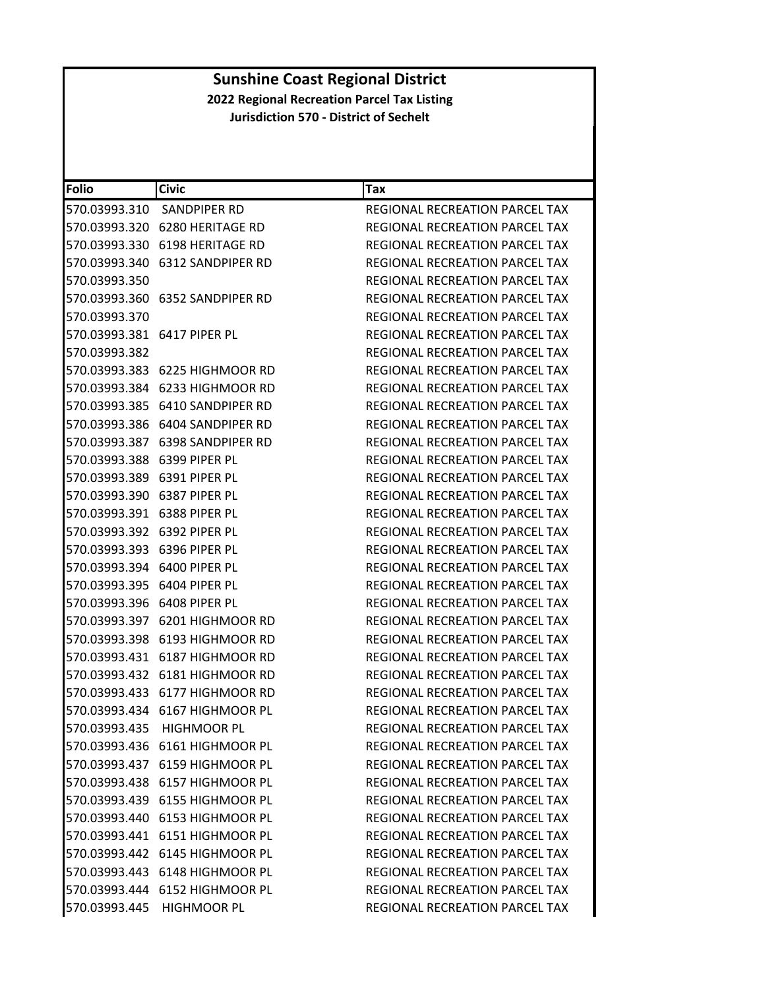| <b>Folio</b>                   | <b>Civic</b>                    | <b>Tax</b>                            |
|--------------------------------|---------------------------------|---------------------------------------|
| 570.03993.310                  | SANDPIPER RD                    | REGIONAL RECREATION PARCEL TAX        |
|                                | 570.03993.320 6280 HERITAGE RD  | REGIONAL RECREATION PARCEL TAX        |
|                                | 570.03993.330 6198 HERITAGE RD  | REGIONAL RECREATION PARCEL TAX        |
| 570.03993.340                  | 6312 SANDPIPER RD               | REGIONAL RECREATION PARCEL TAX        |
| 570.03993.350                  |                                 | REGIONAL RECREATION PARCEL TAX        |
|                                | 570.03993.360 6352 SANDPIPER RD | <b>REGIONAL RECREATION PARCEL TAX</b> |
| 570.03993.370                  |                                 | <b>REGIONAL RECREATION PARCEL TAX</b> |
| 570.03993.381    6417 PIPER PL |                                 | REGIONAL RECREATION PARCEL TAX        |
| 570.03993.382                  |                                 | <b>REGIONAL RECREATION PARCEL TAX</b> |
|                                | 570.03993.383 6225 HIGHMOOR RD  | REGIONAL RECREATION PARCEL TAX        |
|                                | 570.03993.384 6233 HIGHMOOR RD  | REGIONAL RECREATION PARCEL TAX        |
|                                |                                 | REGIONAL RECREATION PARCEL TAX        |
|                                |                                 | REGIONAL RECREATION PARCEL TAX        |
| 570.03993.387                  | 6398 SANDPIPER RD               | REGIONAL RECREATION PARCEL TAX        |
| 570.03993.388 6399 PIPER PL    |                                 | REGIONAL RECREATION PARCEL TAX        |
| 570.03993.389 6391 PIPER PL    |                                 | REGIONAL RECREATION PARCEL TAX        |
| 570.03993.390    6387 PIPER PL |                                 | REGIONAL RECREATION PARCEL TAX        |
| 570.03993.391 6388 PIPER PL    |                                 | REGIONAL RECREATION PARCEL TAX        |
| 570.03993.392 6392 PIPER PL    |                                 | REGIONAL RECREATION PARCEL TAX        |
| 570.03993.393 6396 PIPER PL    |                                 | REGIONAL RECREATION PARCEL TAX        |
| 570.03993.394 6400 PIPER PL    |                                 | REGIONAL RECREATION PARCEL TAX        |
| 570.03993.395 6404 PIPER PL    |                                 | REGIONAL RECREATION PARCEL TAX        |
| 570.03993.396    6408 PIPER PL |                                 | REGIONAL RECREATION PARCEL TAX        |
|                                | 570.03993.397 6201 HIGHMOOR RD  | REGIONAL RECREATION PARCEL TAX        |
|                                | 570.03993.398 6193 HIGHMOOR RD  | REGIONAL RECREATION PARCEL TAX        |
|                                | 570.03993.431 6187 HIGHMOOR RD  | REGIONAL RECREATION PARCEL TAX        |
|                                |                                 | <b>REGIONAL RECREATION PARCEL TAX</b> |
|                                | 570.03993.433 6177 HIGHMOOR RD  | REGIONAL RECREATION PARCEL TAX        |
|                                | 570.03993.434 6167 HIGHMOOR PL  | REGIONAL RECREATION PARCEL TAX        |
|                                | 570.03993.435 HIGHMOOR PL       | REGIONAL RECREATION PARCEL TAX        |
|                                | 570.03993.436 6161 HIGHMOOR PL  | REGIONAL RECREATION PARCEL TAX        |
|                                | 570.03993.437 6159 HIGHMOOR PL  | REGIONAL RECREATION PARCEL TAX        |
|                                | 570.03993.438 6157 HIGHMOOR PL  | REGIONAL RECREATION PARCEL TAX        |
|                                | 570.03993.439 6155 HIGHMOOR PL  | REGIONAL RECREATION PARCEL TAX        |
|                                | 570.03993.440 6153 HIGHMOOR PL  | REGIONAL RECREATION PARCEL TAX        |
|                                | 570.03993.441 6151 HIGHMOOR PL  | REGIONAL RECREATION PARCEL TAX        |
|                                | 570.03993.442 6145 HIGHMOOR PL  | REGIONAL RECREATION PARCEL TAX        |
|                                | 570.03993.443 6148 HIGHMOOR PL  | <b>REGIONAL RECREATION PARCEL TAX</b> |
|                                | 570.03993.444 6152 HIGHMOOR PL  | REGIONAL RECREATION PARCEL TAX        |
|                                | 570.03993.445 HIGHMOOR PL       | REGIONAL RECREATION PARCEL TAX        |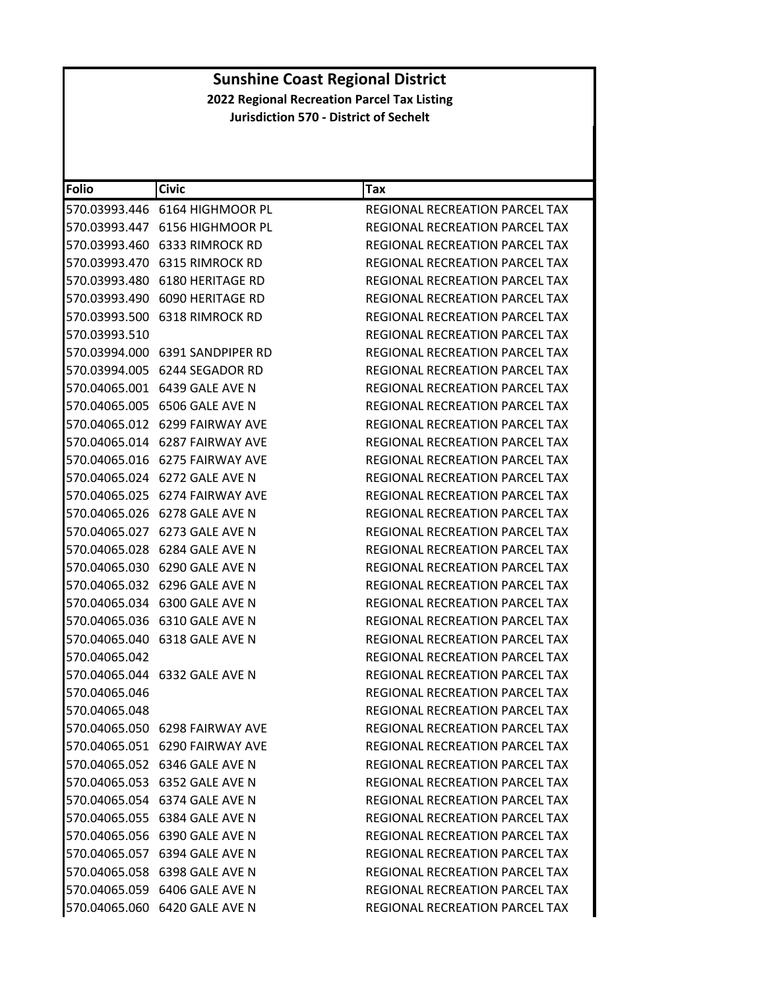| Folio         | <b>Civic</b>                        | Tax                                   |
|---------------|-------------------------------------|---------------------------------------|
|               |                                     | <b>REGIONAL RECREATION PARCEL TAX</b> |
|               |                                     | REGIONAL RECREATION PARCEL TAX        |
|               | 570.03993.460 6333 RIMROCK RD       | REGIONAL RECREATION PARCEL TAX        |
|               | 570.03993.470 6315 RIMROCK RD       | <b>REGIONAL RECREATION PARCEL TAX</b> |
|               | 570.03993.480 6180 HERITAGE RD      | REGIONAL RECREATION PARCEL TAX        |
|               | 570.03993.490 6090 HERITAGE RD      | REGIONAL RECREATION PARCEL TAX        |
|               | 570.03993.500 6318 RIMROCK RD       | <b>REGIONAL RECREATION PARCEL TAX</b> |
| 570.03993.510 |                                     | <b>REGIONAL RECREATION PARCEL TAX</b> |
|               | 570.03994.000    6391 SANDPIPER RD  | <b>REGIONAL RECREATION PARCEL TAX</b> |
|               |                                     | REGIONAL RECREATION PARCEL TAX        |
|               |                                     | REGIONAL RECREATION PARCEL TAX        |
|               | 570.04065.005 6506 GALE AVE N       | REGIONAL RECREATION PARCEL TAX        |
|               | 570.04065.012 6299 FAIRWAY AVE      | <b>REGIONAL RECREATION PARCEL TAX</b> |
| 570.04065.014 | 6287 FAIRWAY AVE                    | REGIONAL RECREATION PARCEL TAX        |
|               | 570.04065.016 6275 FAIRWAY AVE      | REGIONAL RECREATION PARCEL TAX        |
|               | 570.04065.024 6272 GALE AVE N       | REGIONAL RECREATION PARCEL TAX        |
|               | 570.04065.025 6274 FAIRWAY AVE      | REGIONAL RECREATION PARCEL TAX        |
|               | 570.04065.026    6278    GALE AVE N | REGIONAL RECREATION PARCEL TAX        |
| 570.04065.027 | 6273 GALE AVE N                     | REGIONAL RECREATION PARCEL TAX        |
|               | 570.04065.028 6284 GALE AVE N       | REGIONAL RECREATION PARCEL TAX        |
|               | 570.04065.030 6290 GALE AVE N       | REGIONAL RECREATION PARCEL TAX        |
|               | 570.04065.032 6296 GALE AVE N       | REGIONAL RECREATION PARCEL TAX        |
|               | 570.04065.034 6300 GALE AVE N       | REGIONAL RECREATION PARCEL TAX        |
|               | 570.04065.036    6310    GALE AVE N | REGIONAL RECREATION PARCEL TAX        |
|               | 570.04065.040    6318    GALE AVE N | REGIONAL RECREATION PARCEL TAX        |
| 570.04065.042 |                                     | REGIONAL RECREATION PARCEL TAX        |
|               | 570.04065.044 6332 GALE AVE N       | REGIONAL RECREATION PARCEL TAX        |
| 570.04065.046 |                                     | <b>REGIONAL RECREATION PARCEL TAX</b> |
| 570.04065.048 |                                     | <b>REGIONAL RECREATION PARCEL TAX</b> |
|               | 570.04065.050 6298 FAIRWAY AVE      | <b>REGIONAL RECREATION PARCEL TAX</b> |
|               | 570.04065.051 6290 FAIRWAY AVE      | REGIONAL RECREATION PARCEL TAX        |
|               | 570.04065.052 6346 GALE AVE N       | REGIONAL RECREATION PARCEL TAX        |
|               | 570.04065.053 6352 GALE AVE N       | <b>REGIONAL RECREATION PARCEL TAX</b> |
|               | 570.04065.054 6374 GALE AVE N       | <b>REGIONAL RECREATION PARCEL TAX</b> |
|               | 570.04065.055 6384 GALE AVE N       | REGIONAL RECREATION PARCEL TAX        |
|               | 570.04065.056 6390 GALE AVE N       | REGIONAL RECREATION PARCEL TAX        |
|               | 570.04065.057 6394 GALE AVE N       | REGIONAL RECREATION PARCEL TAX        |
|               | 570.04065.058    6398    GALE AVE N | REGIONAL RECREATION PARCEL TAX        |
|               | 570.04065.059 6406 GALE AVE N       | <b>REGIONAL RECREATION PARCEL TAX</b> |
|               | 570.04065.060 6420 GALE AVE N       | REGIONAL RECREATION PARCEL TAX        |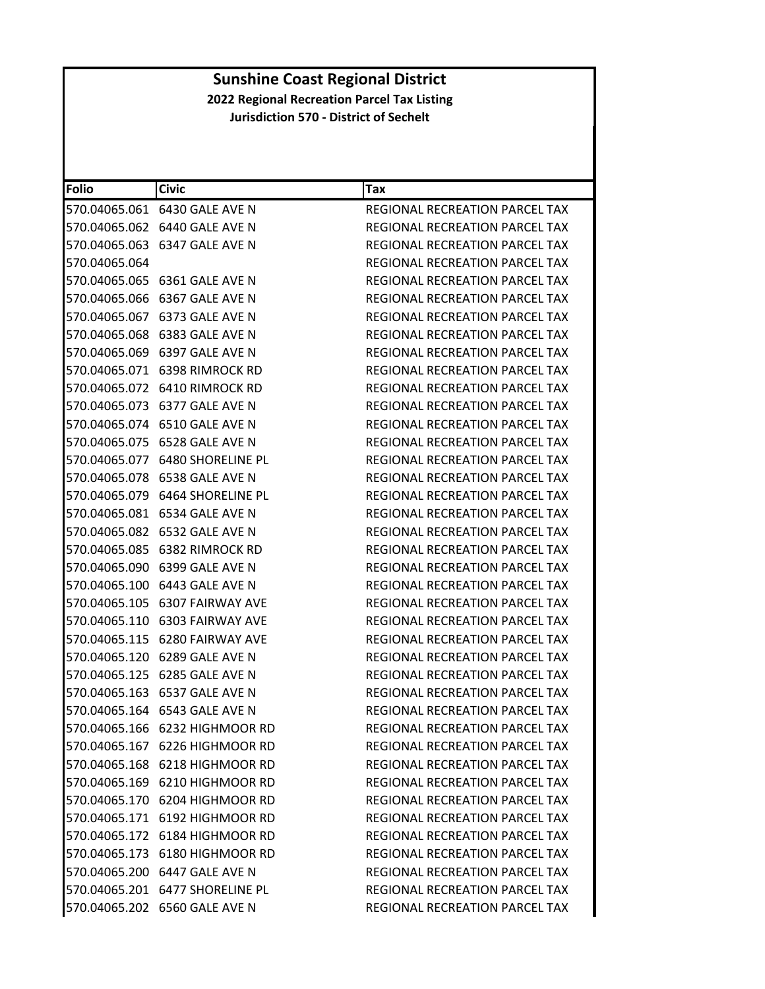| <b>Folio</b>  | <b>Civic</b>                        | Tax                                   |
|---------------|-------------------------------------|---------------------------------------|
|               | 570.04065.061    6430    GALE AVE N | REGIONAL RECREATION PARCEL TAX        |
|               | 570.04065.062 6440 GALE AVE N       | REGIONAL RECREATION PARCEL TAX        |
|               | 570.04065.063    6347    GALE AVE N | REGIONAL RECREATION PARCEL TAX        |
| 570.04065.064 |                                     | REGIONAL RECREATION PARCEL TAX        |
|               | 570.04065.065 6361 GALE AVE N       | REGIONAL RECREATION PARCEL TAX        |
|               | 570.04065.066    6367    GALE AVE N | <b>REGIONAL RECREATION PARCEL TAX</b> |
|               | 570.04065.067 6373 GALE AVE N       | REGIONAL RECREATION PARCEL TAX        |
|               | 570.04065.068 6383 GALE AVE N       | REGIONAL RECREATION PARCEL TAX        |
|               | 570.04065.069 6397 GALE AVE N       | <b>REGIONAL RECREATION PARCEL TAX</b> |
|               | 570.04065.071 6398 RIMROCK RD       | REGIONAL RECREATION PARCEL TAX        |
|               |                                     | REGIONAL RECREATION PARCEL TAX        |
|               | 570.04065.073 6377 GALE AVE N       | REGIONAL RECREATION PARCEL TAX        |
|               | 570.04065.074 6510 GALE AVE N       | <b>REGIONAL RECREATION PARCEL TAX</b> |
| 570.04065.075 | 6528 GALE AVE N                     | REGIONAL RECREATION PARCEL TAX        |
|               | 570.04065.077    6480 SHORELINE PL  | <b>REGIONAL RECREATION PARCEL TAX</b> |
|               | 570.04065.078    6538    GALE AVE N | REGIONAL RECREATION PARCEL TAX        |
|               | 570.04065.079    6464 SHORELINE PL  | REGIONAL RECREATION PARCEL TAX        |
|               | 570.04065.081    6534    GALE AVE N | REGIONAL RECREATION PARCEL TAX        |
|               | 570.04065.082 6532 GALE AVE N       | <b>REGIONAL RECREATION PARCEL TAX</b> |
|               | 570.04065.085 6382 RIMROCK RD       | REGIONAL RECREATION PARCEL TAX        |
|               | 570.04065.090 6399 GALE AVE N       | REGIONAL RECREATION PARCEL TAX        |
|               | 570.04065.100 6443 GALE AVE N       | REGIONAL RECREATION PARCEL TAX        |
|               | 570.04065.105 6307 FAIRWAY AVE      | REGIONAL RECREATION PARCEL TAX        |
|               | 570.04065.110 6303 FAIRWAY AVE      | REGIONAL RECREATION PARCEL TAX        |
|               | 570.04065.115 6280 FAIRWAY AVE      | REGIONAL RECREATION PARCEL TAX        |
|               | 570.04065.120 6289 GALE AVE N       | REGIONAL RECREATION PARCEL TAX        |
|               | 570.04065.125 6285 GALE AVE N       | REGIONAL RECREATION PARCEL TAX        |
|               | 570.04065.163 6537 GALE AVE N       | <b>REGIONAL RECREATION PARCEL TAX</b> |
|               | 570.04065.164 6543 GALE AVE N       | REGIONAL RECREATION PARCEL TAX        |
|               | 570.04065.166 6232 HIGHMOOR RD      | REGIONAL RECREATION PARCEL TAX        |
|               | 570.04065.167 6226 HIGHMOOR RD      | <b>REGIONAL RECREATION PARCEL TAX</b> |
|               | 570.04065.168 6218 HIGHMOOR RD      | REGIONAL RECREATION PARCEL TAX        |
|               | 570.04065.169 6210 HIGHMOOR RD      | <b>REGIONAL RECREATION PARCEL TAX</b> |
|               | 570.04065.170 6204 HIGHMOOR RD      | <b>REGIONAL RECREATION PARCEL TAX</b> |
|               | 570.04065.171 6192 HIGHMOOR RD      | REGIONAL RECREATION PARCEL TAX        |
|               | 570.04065.172 6184 HIGHMOOR RD      | REGIONAL RECREATION PARCEL TAX        |
|               | 570.04065.173 6180 HIGHMOOR RD      | <b>REGIONAL RECREATION PARCEL TAX</b> |
|               | 570.04065.200 6447 GALE AVE N       | REGIONAL RECREATION PARCEL TAX        |
|               | 570.04065.201    6477 SHORELINE PL  | REGIONAL RECREATION PARCEL TAX        |
|               | 570.04065.202 6560 GALE AVE N       | REGIONAL RECREATION PARCEL TAX        |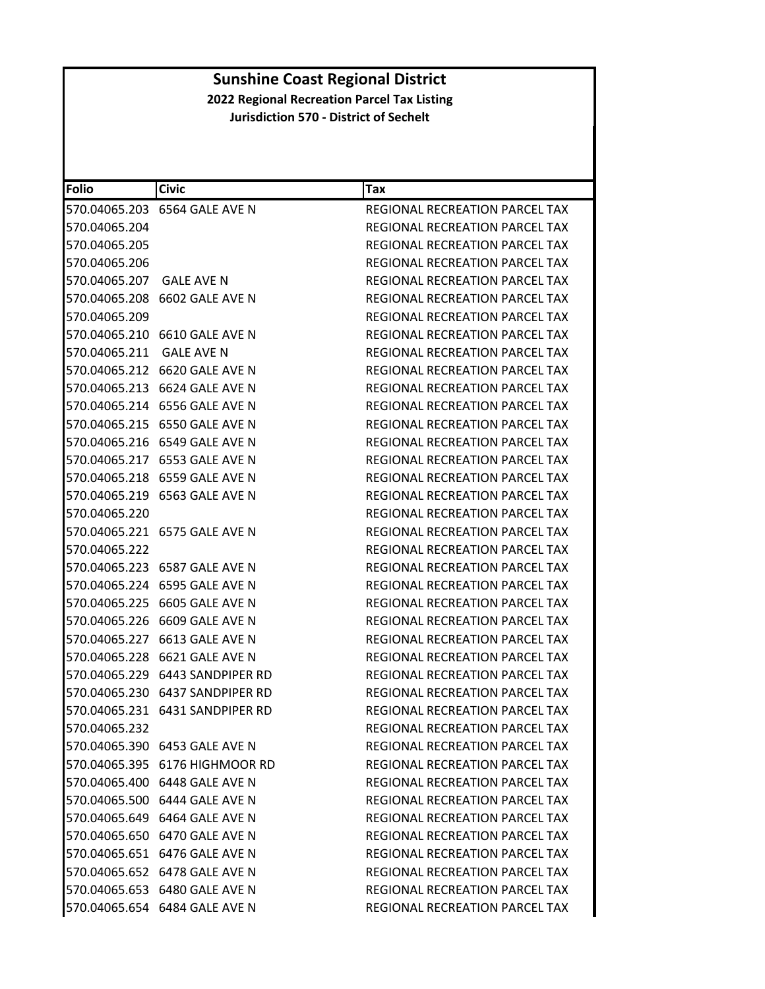| <b>Folio</b>             | <b>Civic</b>                        | Tax                                   |
|--------------------------|-------------------------------------|---------------------------------------|
|                          | 570.04065.203 6564 GALE AVE N       | REGIONAL RECREATION PARCEL TAX        |
| 570.04065.204            |                                     | REGIONAL RECREATION PARCEL TAX        |
| 570.04065.205            |                                     | REGIONAL RECREATION PARCEL TAX        |
| 570.04065.206            |                                     | REGIONAL RECREATION PARCEL TAX        |
| 570.04065.207 GALE AVE N |                                     | REGIONAL RECREATION PARCEL TAX        |
|                          | 570.04065.208 6602 GALE AVE N       | REGIONAL RECREATION PARCEL TAX        |
| 570.04065.209            |                                     | <b>REGIONAL RECREATION PARCEL TAX</b> |
|                          | 570.04065.210 6610 GALE AVE N       | REGIONAL RECREATION PARCEL TAX        |
| 570.04065.211            | <b>GALE AVE N</b>                   | REGIONAL RECREATION PARCEL TAX        |
|                          |                                     | REGIONAL RECREATION PARCEL TAX        |
|                          |                                     | REGIONAL RECREATION PARCEL TAX        |
|                          | 570.04065.214 6556 GALE AVE N       | REGIONAL RECREATION PARCEL TAX        |
|                          | 570.04065.215 6550 GALE AVE N       | REGIONAL RECREATION PARCEL TAX        |
| 570.04065.216            | 6549 GALE AVE N                     | REGIONAL RECREATION PARCEL TAX        |
|                          | 570.04065.217 6553 GALE AVE N       | <b>REGIONAL RECREATION PARCEL TAX</b> |
|                          | 570.04065.218    6559    GALE AVE N | <b>REGIONAL RECREATION PARCEL TAX</b> |
|                          | 570.04065.219 6563 GALE AVE N       | <b>REGIONAL RECREATION PARCEL TAX</b> |
| 570.04065.220            |                                     | REGIONAL RECREATION PARCEL TAX        |
|                          | 570.04065.221 6575 GALE AVE N       | REGIONAL RECREATION PARCEL TAX        |
| 570.04065.222            |                                     | REGIONAL RECREATION PARCEL TAX        |
|                          | 570.04065.223    6587    GALE AVE N | REGIONAL RECREATION PARCEL TAX        |
|                          | 570.04065.224 6595 GALE AVE N       | REGIONAL RECREATION PARCEL TAX        |
|                          | 570.04065.225 6605 GALE AVE N       | REGIONAL RECREATION PARCEL TAX        |
|                          | 570.04065.226 6609 GALE AVE N       | REGIONAL RECREATION PARCEL TAX        |
|                          | 570.04065.227 6613 GALE AVE N       | REGIONAL RECREATION PARCEL TAX        |
|                          | 570.04065.228 6621 GALE AVE N       | REGIONAL RECREATION PARCEL TAX        |
|                          | 570.04065.229 6443 SANDPIPER RD     | REGIONAL RECREATION PARCEL TAX        |
|                          | 570.04065.230 6437 SANDPIPER RD     | REGIONAL RECREATION PARCEL TAX        |
|                          | 570.04065.231 6431 SANDPIPER RD     | REGIONAL RECREATION PARCEL TAX        |
| 570.04065.232            |                                     | <b>REGIONAL RECREATION PARCEL TAX</b> |
|                          | 570.04065.390 6453 GALE AVE N       | REGIONAL RECREATION PARCEL TAX        |
|                          | 570.04065.395 6176 HIGHMOOR RD      | <b>REGIONAL RECREATION PARCEL TAX</b> |
|                          | 570.04065.400 6448 GALE AVE N       | <b>REGIONAL RECREATION PARCEL TAX</b> |
|                          | 570.04065.500 6444 GALE AVE N       | REGIONAL RECREATION PARCEL TAX        |
|                          | 570.04065.649 6464 GALE AVE N       | REGIONAL RECREATION PARCEL TAX        |
|                          | 570.04065.650 6470 GALE AVE N       | <b>REGIONAL RECREATION PARCEL TAX</b> |
|                          | 570.04065.651 6476 GALE AVE N       | REGIONAL RECREATION PARCEL TAX        |
|                          | 570.04065.652 6478 GALE AVE N       | REGIONAL RECREATION PARCEL TAX        |
|                          | 570.04065.653 6480 GALE AVE N       | REGIONAL RECREATION PARCEL TAX        |
|                          | 570.04065.654 6484 GALE AVE N       | REGIONAL RECREATION PARCEL TAX        |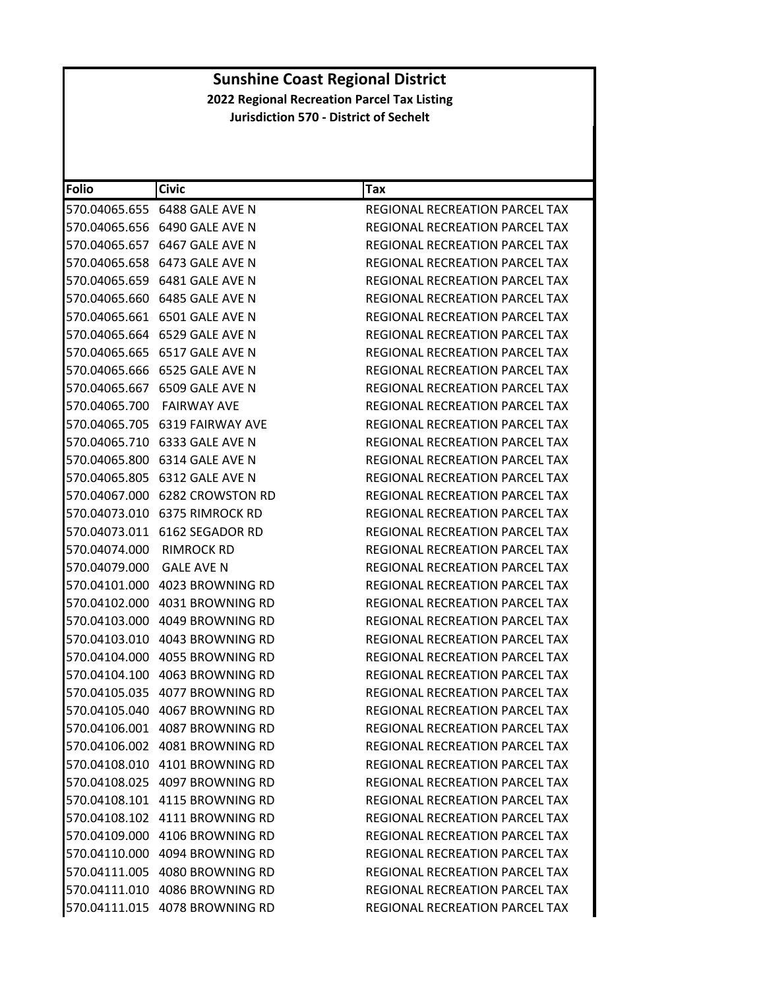| <b>Folio</b>  | <b>Civic</b>                   | Tax                                   |
|---------------|--------------------------------|---------------------------------------|
|               | 570.04065.655 6488 GALE AVE N  | REGIONAL RECREATION PARCEL TAX        |
|               | 570.04065.656 6490 GALE AVE N  | REGIONAL RECREATION PARCEL TAX        |
|               | 570.04065.657 6467 GALE AVE N  | REGIONAL RECREATION PARCEL TAX        |
|               | 570.04065.658 6473 GALE AVE N  | REGIONAL RECREATION PARCEL TAX        |
|               | 570.04065.659 6481 GALE AVE N  | REGIONAL RECREATION PARCEL TAX        |
|               | 570.04065.660 6485 GALE AVE N  | REGIONAL RECREATION PARCEL TAX        |
|               | 570.04065.661 6501 GALE AVE N  | REGIONAL RECREATION PARCEL TAX        |
|               | 570.04065.664 6529 GALE AVE N  | <b>REGIONAL RECREATION PARCEL TAX</b> |
|               | 570.04065.665 6517 GALE AVE N  | REGIONAL RECREATION PARCEL TAX        |
|               | 570.04065.666 6525 GALE AVE N  | REGIONAL RECREATION PARCEL TAX        |
|               | 570.04065.667 6509 GALE AVE N  | REGIONAL RECREATION PARCEL TAX        |
| 570.04065.700 | FAIRWAY AVE                    | REGIONAL RECREATION PARCEL TAX        |
|               | 570.04065.705 6319 FAIRWAY AVE | REGIONAL RECREATION PARCEL TAX        |
|               | 570.04065.710 6333 GALE AVE N  | REGIONAL RECREATION PARCEL TAX        |
|               | 570.04065.800 6314 GALE AVE N  | REGIONAL RECREATION PARCEL TAX        |
|               | 570.04065.805 6312 GALE AVE N  | REGIONAL RECREATION PARCEL TAX        |
|               | 570.04067.000 6282 CROWSTON RD | REGIONAL RECREATION PARCEL TAX        |
|               | 570.04073.010 6375 RIMROCK RD  | REGIONAL RECREATION PARCEL TAX        |
|               | 570.04073.011 6162 SEGADOR RD  | REGIONAL RECREATION PARCEL TAX        |
| 570.04074.000 | <b>RIMROCK RD</b>              | REGIONAL RECREATION PARCEL TAX        |
| 570.04079.000 | <b>GALE AVE N</b>              | REGIONAL RECREATION PARCEL TAX        |
|               | 570.04101.000 4023 BROWNING RD | REGIONAL RECREATION PARCEL TAX        |
|               | 570.04102.000 4031 BROWNING RD | REGIONAL RECREATION PARCEL TAX        |
|               | 570.04103.000 4049 BROWNING RD | REGIONAL RECREATION PARCEL TAX        |
|               |                                | REGIONAL RECREATION PARCEL TAX        |
|               | 570.04104.000 4055 BROWNING RD | <b>REGIONAL RECREATION PARCEL TAX</b> |
|               | 570.04104.100 4063 BROWNING RD | REGIONAL RECREATION PARCEL TAX        |
|               | 570.04105.035 4077 BROWNING RD | <b>REGIONAL RECREATION PARCEL TAX</b> |
|               | 570.04105.040 4067 BROWNING RD | REGIONAL RECREATION PARCEL TAX        |
|               | 570.04106.001 4087 BROWNING RD | REGIONAL RECREATION PARCEL TAX        |
|               | 570.04106.002 4081 BROWNING RD | <b>REGIONAL RECREATION PARCEL TAX</b> |
|               | 570.04108.010 4101 BROWNING RD | <b>REGIONAL RECREATION PARCEL TAX</b> |
|               | 570.04108.025 4097 BROWNING RD | <b>REGIONAL RECREATION PARCEL TAX</b> |
|               | 570.04108.101 4115 BROWNING RD | REGIONAL RECREATION PARCEL TAX        |
|               | 570.04108.102 4111 BROWNING RD | REGIONAL RECREATION PARCEL TAX        |
|               | 570.04109.000 4106 BROWNING RD | REGIONAL RECREATION PARCEL TAX        |
|               | 570.04110.000 4094 BROWNING RD | <b>REGIONAL RECREATION PARCEL TAX</b> |
|               | 570.04111.005 4080 BROWNING RD | REGIONAL RECREATION PARCEL TAX        |
|               | 570.04111.010 4086 BROWNING RD | <b>REGIONAL RECREATION PARCEL TAX</b> |
|               | 570.04111.015 4078 BROWNING RD | REGIONAL RECREATION PARCEL TAX        |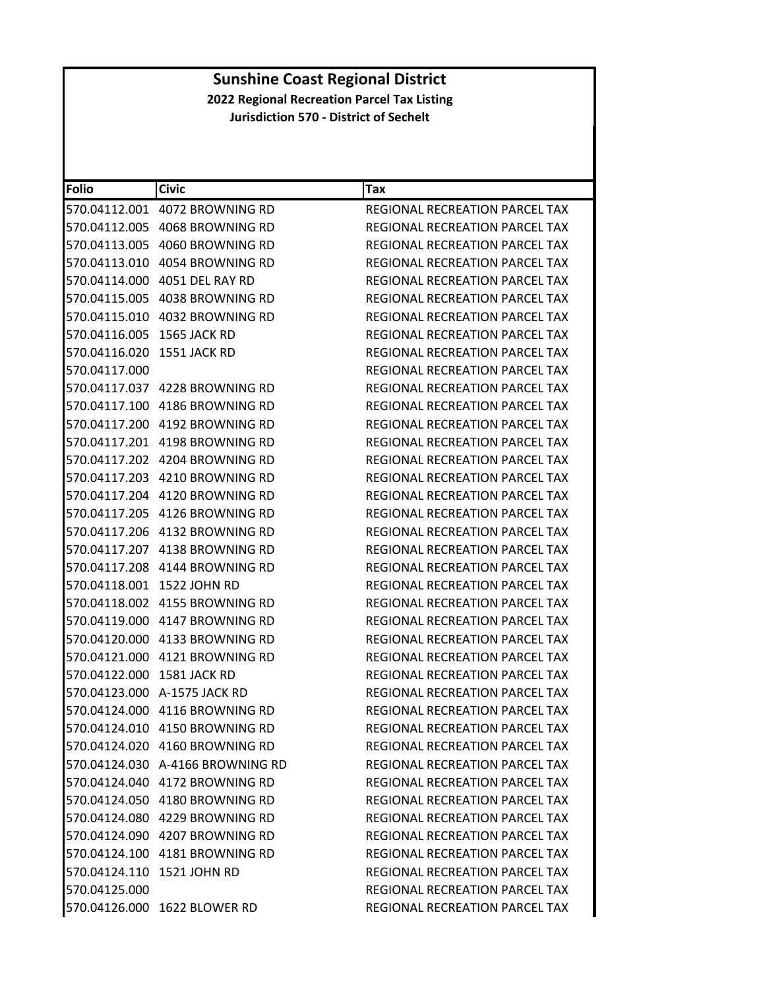| Folio                      | <b>Civic</b>                     | Tax                                   |
|----------------------------|----------------------------------|---------------------------------------|
|                            | 570.04112.001 4072 BROWNING RD   | REGIONAL RECREATION PARCEL TAX        |
|                            | 570.04112.005 4068 BROWNING RD   | REGIONAL RECREATION PARCEL TAX        |
|                            |                                  | <b>REGIONAL RECREATION PARCEL TAX</b> |
|                            |                                  | REGIONAL RECREATION PARCEL TAX        |
|                            | 570.04114.000 4051 DEL RAY RD    | REGIONAL RECREATION PARCEL TAX        |
|                            |                                  | REGIONAL RECREATION PARCEL TAX        |
|                            |                                  | <b>REGIONAL RECREATION PARCEL TAX</b> |
| 570.04116.005 1565 JACK RD |                                  | <b>REGIONAL RECREATION PARCEL TAX</b> |
| 570.04116.020 1551 JACK RD |                                  | REGIONAL RECREATION PARCEL TAX        |
| 570.04117.000              |                                  | REGIONAL RECREATION PARCEL TAX        |
|                            | 570.04117.037 4228 BROWNING RD   | REGIONAL RECREATION PARCEL TAX        |
|                            |                                  | REGIONAL RECREATION PARCEL TAX        |
|                            |                                  | <b>REGIONAL RECREATION PARCEL TAX</b> |
|                            | 570.04117.201 4198 BROWNING RD   | <b>REGIONAL RECREATION PARCEL TAX</b> |
|                            | 570.04117.202 4204 BROWNING RD   | REGIONAL RECREATION PARCEL TAX        |
|                            | 570.04117.203 4210 BROWNING RD   | <b>REGIONAL RECREATION PARCEL TAX</b> |
|                            | 570.04117.204 4120 BROWNING RD   | <b>REGIONAL RECREATION PARCEL TAX</b> |
|                            | 570.04117.205 4126 BROWNING RD   | REGIONAL RECREATION PARCEL TAX        |
|                            |                                  | REGIONAL RECREATION PARCEL TAX        |
|                            | 570.04117.207 4138 BROWNING RD   | REGIONAL RECREATION PARCEL TAX        |
|                            | 570.04117.208 4144 BROWNING RD   | REGIONAL RECREATION PARCEL TAX        |
|                            | 570.04118.001 1522 JOHN RD       | REGIONAL RECREATION PARCEL TAX        |
|                            | 570.04118.002 4155 BROWNING RD   | REGIONAL RECREATION PARCEL TAX        |
|                            | 570.04119.000 4147 BROWNING RD   | REGIONAL RECREATION PARCEL TAX        |
|                            | 570.04120.000 4133 BROWNING RD   | REGIONAL RECREATION PARCEL TAX        |
|                            | 570.04121.000 4121 BROWNING RD   | REGIONAL RECREATION PARCEL TAX        |
| 570.04122.000 1581 JACK RD |                                  | REGIONAL RECREATION PARCEL TAX        |
|                            | 570.04123.000 A-1575 JACK RD     | REGIONAL RECREATION PARCEL TAX        |
|                            | 570.04124.000 4116 BROWNING RD   | REGIONAL RECREATION PARCEL TAX        |
|                            | 570.04124.010 4150 BROWNING RD   | REGIONAL RECREATION PARCEL TAX        |
|                            | 570.04124.020 4160 BROWNING RD   | <b>REGIONAL RECREATION PARCEL TAX</b> |
|                            | 570.04124.030 A-4166 BROWNING RD | <b>REGIONAL RECREATION PARCEL TAX</b> |
|                            | 570.04124.040 4172 BROWNING RD   | REGIONAL RECREATION PARCEL TAX        |
|                            | 570.04124.050 4180 BROWNING RD   | REGIONAL RECREATION PARCEL TAX        |
|                            | 570.04124.080 4229 BROWNING RD   | REGIONAL RECREATION PARCEL TAX        |
|                            | 570.04124.090 4207 BROWNING RD   | <b>REGIONAL RECREATION PARCEL TAX</b> |
|                            | 570.04124.100 4181 BROWNING RD   | REGIONAL RECREATION PARCEL TAX        |
|                            | 570.04124.110 1521 JOHN RD       | REGIONAL RECREATION PARCEL TAX        |
| 570.04125.000              |                                  | REGIONAL RECREATION PARCEL TAX        |
|                            | 570.04126.000 1622 BLOWER RD     | REGIONAL RECREATION PARCEL TAX        |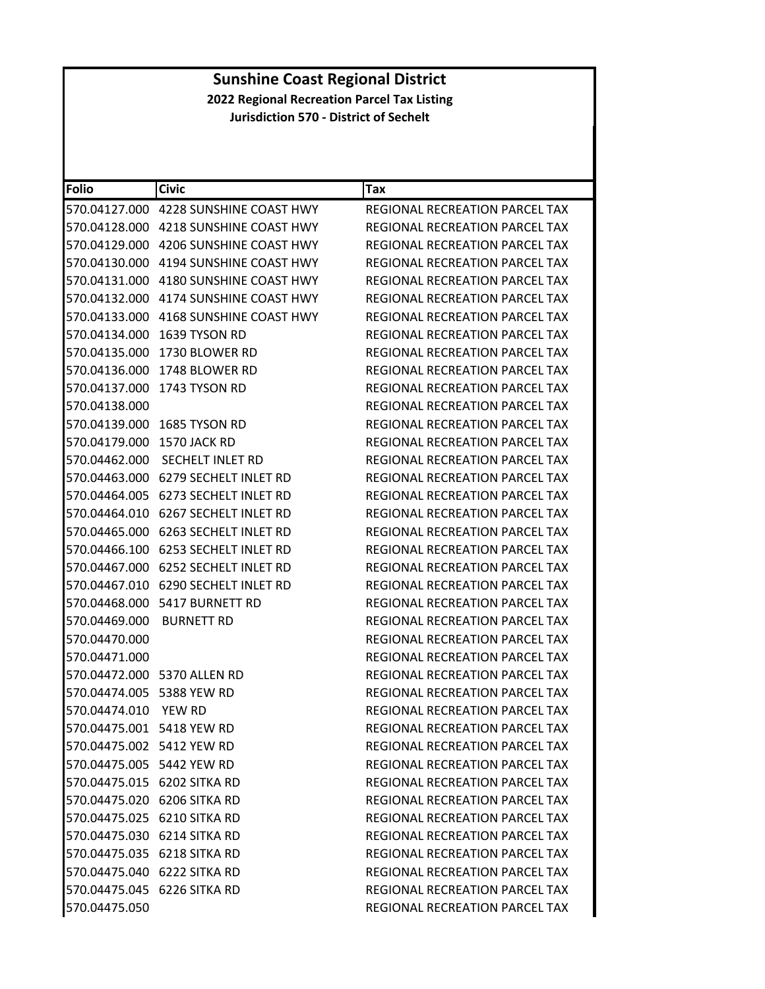| <b>Folio</b>              | <b>Civic</b>                          | Tax                                   |
|---------------------------|---------------------------------------|---------------------------------------|
|                           | 570.04127.000 4228 SUNSHINE COAST HWY | REGIONAL RECREATION PARCEL TAX        |
|                           |                                       | REGIONAL RECREATION PARCEL TAX        |
| 570.04129.000             | 4206 SUNSHINE COAST HWY               | REGIONAL RECREATION PARCEL TAX        |
| 570.04130.000             | 4194 SUNSHINE COAST HWY               | REGIONAL RECREATION PARCEL TAX        |
|                           |                                       | REGIONAL RECREATION PARCEL TAX        |
| 570.04132.000             | 4174 SUNSHINE COAST HWY               | REGIONAL RECREATION PARCEL TAX        |
|                           | 570.04133.000 4168 SUNSHINE COAST HWY | REGIONAL RECREATION PARCEL TAX        |
| 570.04134.000             | 1639 TYSON RD                         | REGIONAL RECREATION PARCEL TAX        |
| 570.04135.000             | 1730 BLOWER RD                        | REGIONAL RECREATION PARCEL TAX        |
|                           | 570.04136.000 1748 BLOWER RD          | REGIONAL RECREATION PARCEL TAX        |
| 570.04137.000             | 1743 TYSON RD                         | REGIONAL RECREATION PARCEL TAX        |
| 570.04138.000             |                                       | REGIONAL RECREATION PARCEL TAX        |
| 570.04139.000             | 1685 TYSON RD                         | <b>REGIONAL RECREATION PARCEL TAX</b> |
| 570.04179.000             | 1570 JACK RD                          | REGIONAL RECREATION PARCEL TAX        |
| 570.04462.000             | SECHELT INLET RD                      | REGIONAL RECREATION PARCEL TAX        |
|                           |                                       | REGIONAL RECREATION PARCEL TAX        |
|                           | 570.04464.005 6273 SECHELT INLET RD   | <b>REGIONAL RECREATION PARCEL TAX</b> |
| 570.04464.010             | 6267 SECHELT INLET RD                 | <b>REGIONAL RECREATION PARCEL TAX</b> |
| 570.04465.000             | 6263 SECHELT INLET RD                 | REGIONAL RECREATION PARCEL TAX        |
|                           | 570.04466.100 6253 SECHELT INLET RD   | REGIONAL RECREATION PARCEL TAX        |
| 570.04467.000             | 6252 SECHELT INLET RD                 | REGIONAL RECREATION PARCEL TAX        |
|                           | 570.04467.010 6290 SECHELT INLET RD   | REGIONAL RECREATION PARCEL TAX        |
|                           | 570.04468.000 5417 BURNETT RD         | REGIONAL RECREATION PARCEL TAX        |
| 570.04469.000             | <b>BURNETT RD</b>                     | REGIONAL RECREATION PARCEL TAX        |
| 570.04470.000             |                                       | REGIONAL RECREATION PARCEL TAX        |
| 570.04471.000             |                                       | REGIONAL RECREATION PARCEL TAX        |
|                           | 570.04472.000 5370 ALLEN RD           | REGIONAL RECREATION PARCEL TAX        |
| 570.04474.005 5388 YEW RD |                                       | REGIONAL RECREATION PARCEL TAX        |
| 570.04474.010             | <b>YEW RD</b>                         | REGIONAL RECREATION PARCEL TAX        |
| 570.04475.001 5418 YEW RD |                                       | REGIONAL RECREATION PARCEL TAX        |
| 570.04475.002 5412 YEW RD |                                       | REGIONAL RECREATION PARCEL TAX        |
| 570.04475.005 5442 YEW RD |                                       | REGIONAL RECREATION PARCEL TAX        |
|                           | 570.04475.015 6202 SITKA RD           | REGIONAL RECREATION PARCEL TAX        |
|                           | 570.04475.020 6206 SITKA RD           | <b>REGIONAL RECREATION PARCEL TAX</b> |
|                           | 570.04475.025 6210 SITKA RD           | REGIONAL RECREATION PARCEL TAX        |
|                           | 570.04475.030 6214 SITKA RD           | REGIONAL RECREATION PARCEL TAX        |
|                           | 570.04475.035 6218 SITKA RD           | REGIONAL RECREATION PARCEL TAX        |
|                           | 570.04475.040 6222 SITKA RD           | <b>REGIONAL RECREATION PARCEL TAX</b> |
|                           | 570.04475.045 6226 SITKA RD           | REGIONAL RECREATION PARCEL TAX        |
| 570.04475.050             |                                       | REGIONAL RECREATION PARCEL TAX        |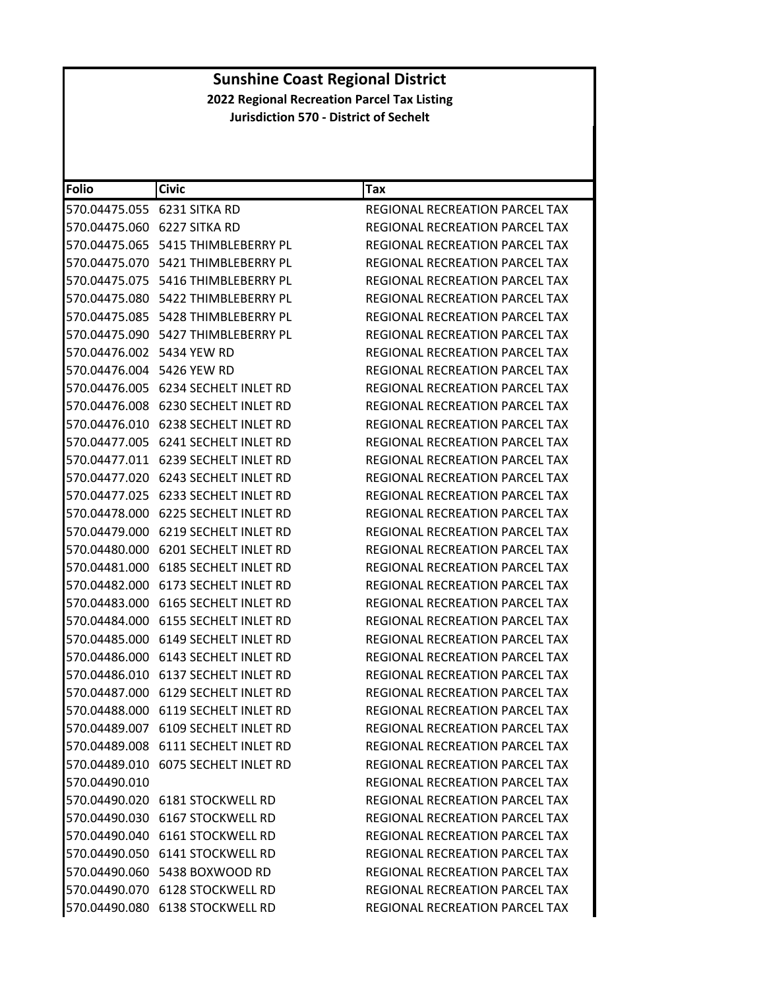| <b>Folio</b>                | <b>Civic</b>                           | <b>Tax</b>                            |
|-----------------------------|----------------------------------------|---------------------------------------|
|                             | 570.04475.055 6231 SITKA RD            | REGIONAL RECREATION PARCEL TAX        |
| 570.04475.060 6227 SITKA RD |                                        | REGIONAL RECREATION PARCEL TAX        |
| 570.04475.065               | 5415 THIMBLEBERRY PL                   | <b>REGIONAL RECREATION PARCEL TAX</b> |
| 570.04475.070               | 5421 THIMBLEBERRY PL                   | <b>REGIONAL RECREATION PARCEL TAX</b> |
|                             | 570.04475.075    5416 THIMBLEBERRY PL  | REGIONAL RECREATION PARCEL TAX        |
| 570.04475.080               | 5422 THIMBLEBERRY PL                   | REGIONAL RECREATION PARCEL TAX        |
|                             | 570.04475.085    5428 THIMBLEBERRY PL  | REGIONAL RECREATION PARCEL TAX        |
|                             | 570.04475.090 5427 THIMBLEBERRY PL     | <b>REGIONAL RECREATION PARCEL TAX</b> |
| 570.04476.002 5434 YEW RD   |                                        | REGIONAL RECREATION PARCEL TAX        |
| 570.04476.004 5426 YEW RD   |                                        | REGIONAL RECREATION PARCEL TAX        |
|                             | 570.04476.005    6234 SECHELT INLET RD | REGIONAL RECREATION PARCEL TAX        |
|                             | 570.04476.008 6230 SECHELT INLET RD    | REGIONAL RECREATION PARCEL TAX        |
|                             | 570.04476.010 6238 SECHELT INLET RD    | REGIONAL RECREATION PARCEL TAX        |
| 570.04477.005               | 6241 SECHELT INLET RD                  | REGIONAL RECREATION PARCEL TAX        |
|                             | 570.04477.011 6239 SECHELT INLET RD    | REGIONAL RECREATION PARCEL TAX        |
| 570.04477.020               | 6243 SECHELT INLET RD                  | REGIONAL RECREATION PARCEL TAX        |
| 570.04477.025               | 6233 SECHELT INLET RD                  | REGIONAL RECREATION PARCEL TAX        |
|                             | 570.04478.000    6225 SECHELT INLET RD | REGIONAL RECREATION PARCEL TAX        |
| 570.04479.000               | 6219 SECHELT INLET RD                  | REGIONAL RECREATION PARCEL TAX        |
|                             | 570.04480.000 6201 SECHELT INLET RD    | REGIONAL RECREATION PARCEL TAX        |
|                             |                                        | REGIONAL RECREATION PARCEL TAX        |
|                             | 570.04482.000 6173 SECHELT INLET RD    | REGIONAL RECREATION PARCEL TAX        |
|                             |                                        | REGIONAL RECREATION PARCEL TAX        |
| 570.04484.000               | 6155 SECHELT INLET RD                  | REGIONAL RECREATION PARCEL TAX        |
|                             | 570.04485.000 6149 SECHELT INLET RD    | REGIONAL RECREATION PARCEL TAX        |
|                             |                                        | REGIONAL RECREATION PARCEL TAX        |
|                             | 570.04486.010 6137 SECHELT INLET RD    | REGIONAL RECREATION PARCEL TAX        |
|                             |                                        | <b>REGIONAL RECREATION PARCEL TAX</b> |
|                             | 570.04488.000 6119 SECHELT INLET RD    | REGIONAL RECREATION PARCEL TAX        |
|                             | 570.04489.007 6109 SECHELT INLET RD    | REGIONAL RECREATION PARCEL TAX        |
|                             | 570.04489.008 6111 SECHELT INLET RD    | REGIONAL RECREATION PARCEL TAX        |
|                             | 570.04489.010 6075 SECHELT INLET RD    | REGIONAL RECREATION PARCEL TAX        |
| 570.04490.010               |                                        | REGIONAL RECREATION PARCEL TAX        |
|                             | 570.04490.020 6181 STOCKWELL RD        | REGIONAL RECREATION PARCEL TAX        |
|                             | 570.04490.030 6167 STOCKWELL RD        | REGIONAL RECREATION PARCEL TAX        |
|                             | 570.04490.040 6161 STOCKWELL RD        | <b>REGIONAL RECREATION PARCEL TAX</b> |
|                             | 570.04490.050 6141 STOCKWELL RD        | REGIONAL RECREATION PARCEL TAX        |
|                             | 570.04490.060    5438    BOXWOOD RD    | REGIONAL RECREATION PARCEL TAX        |
|                             | 570.04490.070 6128 STOCKWELL RD        | REGIONAL RECREATION PARCEL TAX        |
|                             | 570.04490.080 6138 STOCKWELL RD        | REGIONAL RECREATION PARCEL TAX        |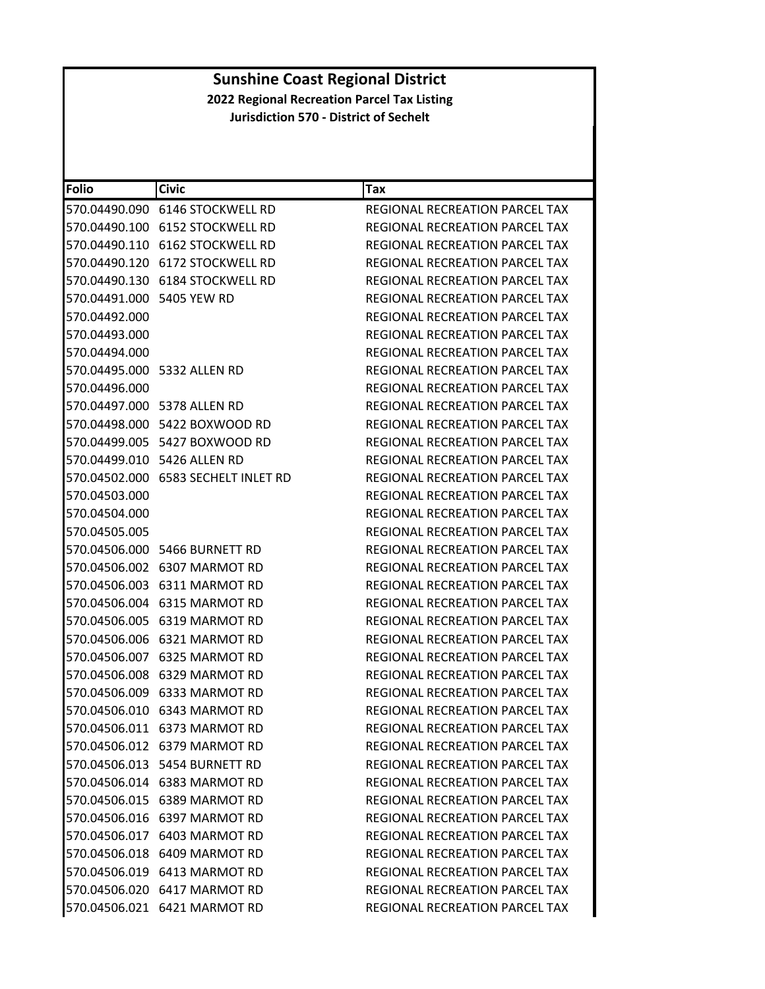| Folio                     | <b>Civic</b>                        | Tax                                   |
|---------------------------|-------------------------------------|---------------------------------------|
|                           |                                     | REGIONAL RECREATION PARCEL TAX        |
|                           | 570.04490.100 6152 STOCKWELL RD     | REGIONAL RECREATION PARCEL TAX        |
|                           | 570.04490.110 6162 STOCKWELL RD     | REGIONAL RECREATION PARCEL TAX        |
|                           | 570.04490.120 6172 STOCKWELL RD     | REGIONAL RECREATION PARCEL TAX        |
|                           |                                     | REGIONAL RECREATION PARCEL TAX        |
| 570.04491.000 5405 YEW RD |                                     | REGIONAL RECREATION PARCEL TAX        |
| 570.04492.000             |                                     | <b>REGIONAL RECREATION PARCEL TAX</b> |
| 570.04493.000             |                                     | REGIONAL RECREATION PARCEL TAX        |
| 570.04494.000             |                                     | REGIONAL RECREATION PARCEL TAX        |
|                           | 570.04495.000 5332 ALLEN RD         | REGIONAL RECREATION PARCEL TAX        |
| 570.04496.000             |                                     | REGIONAL RECREATION PARCEL TAX        |
|                           | 570.04497.000 5378 ALLEN RD         | REGIONAL RECREATION PARCEL TAX        |
|                           | 570.04498.000    5422    BOXWOOD RD | REGIONAL RECREATION PARCEL TAX        |
|                           | 570.04499.005 5427 BOXWOOD RD       | REGIONAL RECREATION PARCEL TAX        |
|                           | 570.04499.010 5426 ALLEN RD         | <b>REGIONAL RECREATION PARCEL TAX</b> |
|                           | 570.04502.000 6583 SECHELT INLET RD | REGIONAL RECREATION PARCEL TAX        |
| 570.04503.000             |                                     | REGIONAL RECREATION PARCEL TAX        |
| 570.04504.000             |                                     | <b>REGIONAL RECREATION PARCEL TAX</b> |
| 570.04505.005             |                                     | REGIONAL RECREATION PARCEL TAX        |
|                           | 570.04506.000 5466 BURNETT RD       | REGIONAL RECREATION PARCEL TAX        |
|                           | 570.04506.002 6307 MARMOT RD        | REGIONAL RECREATION PARCEL TAX        |
|                           | 570.04506.003 6311 MARMOT RD        | REGIONAL RECREATION PARCEL TAX        |
|                           | 570.04506.004 6315 MARMOT RD        | REGIONAL RECREATION PARCEL TAX        |
|                           | 570.04506.005 6319 MARMOT RD        | REGIONAL RECREATION PARCEL TAX        |
|                           | 570.04506.006    6321 MARMOT RD     | REGIONAL RECREATION PARCEL TAX        |
|                           | 570.04506.007 6325 MARMOT RD        | REGIONAL RECREATION PARCEL TAX        |
|                           | 570.04506.008 6329 MARMOT RD        | REGIONAL RECREATION PARCEL TAX        |
|                           | 570.04506.009 6333 MARMOT RD        | <b>REGIONAL RECREATION PARCEL TAX</b> |
|                           | 570.04506.010 6343 MARMOT RD        | REGIONAL RECREATION PARCEL TAX        |
|                           | 570.04506.011 6373 MARMOT RD        | <b>REGIONAL RECREATION PARCEL TAX</b> |
|                           | 570.04506.012 6379 MARMOT RD        | <b>REGIONAL RECREATION PARCEL TAX</b> |
|                           | 570.04506.013    5454    BURNETT RD | REGIONAL RECREATION PARCEL TAX        |
|                           | 570.04506.014 6383 MARMOT RD        | REGIONAL RECREATION PARCEL TAX        |
|                           | 570.04506.015 6389 MARMOT RD        | <b>REGIONAL RECREATION PARCEL TAX</b> |
|                           | 570.04506.016 6397 MARMOT RD        | REGIONAL RECREATION PARCEL TAX        |
|                           | 570.04506.017 6403 MARMOT RD        | REGIONAL RECREATION PARCEL TAX        |
|                           | 570.04506.018 6409 MARMOT RD        | REGIONAL RECREATION PARCEL TAX        |
|                           |                                     | REGIONAL RECREATION PARCEL TAX        |
|                           | 570.04506.020 6417 MARMOT RD        | <b>REGIONAL RECREATION PARCEL TAX</b> |
|                           | 570.04506.021 6421 MARMOT RD        | REGIONAL RECREATION PARCEL TAX        |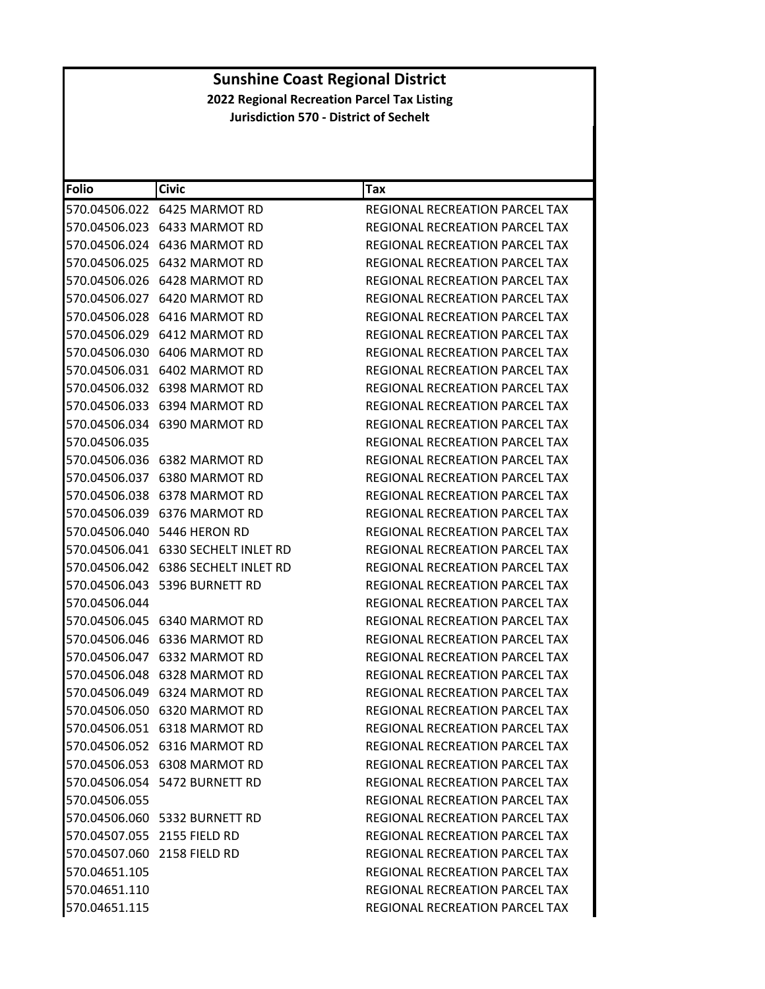| <b>Folio</b>                | <b>Civic</b>                           | Tax                                   |
|-----------------------------|----------------------------------------|---------------------------------------|
|                             | 570.04506.022 6425 MARMOT RD           | REGIONAL RECREATION PARCEL TAX        |
|                             | 570.04506.023 6433 MARMOT RD           | REGIONAL RECREATION PARCEL TAX        |
|                             | 570.04506.024 6436 MARMOT RD           | REGIONAL RECREATION PARCEL TAX        |
|                             | 570.04506.025 6432 MARMOT RD           | REGIONAL RECREATION PARCEL TAX        |
|                             | 570.04506.026 6428 MARMOT RD           | REGIONAL RECREATION PARCEL TAX        |
|                             | 570.04506.027 6420 MARMOT RD           | REGIONAL RECREATION PARCEL TAX        |
|                             | 570.04506.028 6416 MARMOT RD           | <b>REGIONAL RECREATION PARCEL TAX</b> |
|                             | 570.04506.029 6412 MARMOT RD           | <b>REGIONAL RECREATION PARCEL TAX</b> |
|                             | 570.04506.030 6406 MARMOT RD           | REGIONAL RECREATION PARCEL TAX        |
|                             | 570.04506.031 6402 MARMOT RD           | REGIONAL RECREATION PARCEL TAX        |
|                             | 570.04506.032 6398 MARMOT RD           | REGIONAL RECREATION PARCEL TAX        |
|                             | 570.04506.033 6394 MARMOT RD           | REGIONAL RECREATION PARCEL TAX        |
|                             | 570.04506.034 6390 MARMOT RD           | REGIONAL RECREATION PARCEL TAX        |
| 570.04506.035               |                                        | REGIONAL RECREATION PARCEL TAX        |
|                             | 570.04506.036 6382 MARMOT RD           | <b>REGIONAL RECREATION PARCEL TAX</b> |
|                             | 570.04506.037 6380 MARMOT RD           | REGIONAL RECREATION PARCEL TAX        |
|                             | 570.04506.038 6378 MARMOT RD           | <b>REGIONAL RECREATION PARCEL TAX</b> |
|                             | 570.04506.039 6376 MARMOT RD           | REGIONAL RECREATION PARCEL TAX        |
|                             | 570.04506.040 5446 HERON RD            | REGIONAL RECREATION PARCEL TAX        |
|                             | 570.04506.041 6330 SECHELT INLET RD    | REGIONAL RECREATION PARCEL TAX        |
|                             | 570.04506.042    6386 SECHELT INLET RD | REGIONAL RECREATION PARCEL TAX        |
|                             | 570.04506.043 5396 BURNETT RD          | REGIONAL RECREATION PARCEL TAX        |
| 570.04506.044               |                                        | REGIONAL RECREATION PARCEL TAX        |
|                             | 570.04506.045 6340 MARMOT RD           | REGIONAL RECREATION PARCEL TAX        |
|                             | 570.04506.046 6336 MARMOT RD           | REGIONAL RECREATION PARCEL TAX        |
|                             | 570.04506.047 6332 MARMOT RD           | <b>REGIONAL RECREATION PARCEL TAX</b> |
|                             | 570.04506.048 6328 MARMOT RD           | REGIONAL RECREATION PARCEL TAX        |
|                             | 570.04506.049 6324 MARMOT RD           | REGIONAL RECREATION PARCEL TAX        |
|                             | 570.04506.050 6320 MARMOT RD           | REGIONAL RECREATION PARCEL TAX        |
|                             | 570.04506.051 6318 MARMOT RD           | REGIONAL RECREATION PARCEL TAX        |
|                             | 570.04506.052 6316 MARMOT RD           | <b>REGIONAL RECREATION PARCEL TAX</b> |
|                             | 570.04506.053 6308 MARMOT RD           | REGIONAL RECREATION PARCEL TAX        |
|                             | 570.04506.054 5472 BURNETT RD          | REGIONAL RECREATION PARCEL TAX        |
| 570.04506.055               |                                        | REGIONAL RECREATION PARCEL TAX        |
|                             | 570.04506.060 5332 BURNETT RD          | REGIONAL RECREATION PARCEL TAX        |
|                             | 570.04507.055 2155 FIELD RD            | REGIONAL RECREATION PARCEL TAX        |
| 570.04507.060 2158 FIELD RD |                                        | REGIONAL RECREATION PARCEL TAX        |
| 570.04651.105               |                                        | REGIONAL RECREATION PARCEL TAX        |
| 570.04651.110               |                                        | REGIONAL RECREATION PARCEL TAX        |
| 570.04651.115               |                                        | REGIONAL RECREATION PARCEL TAX        |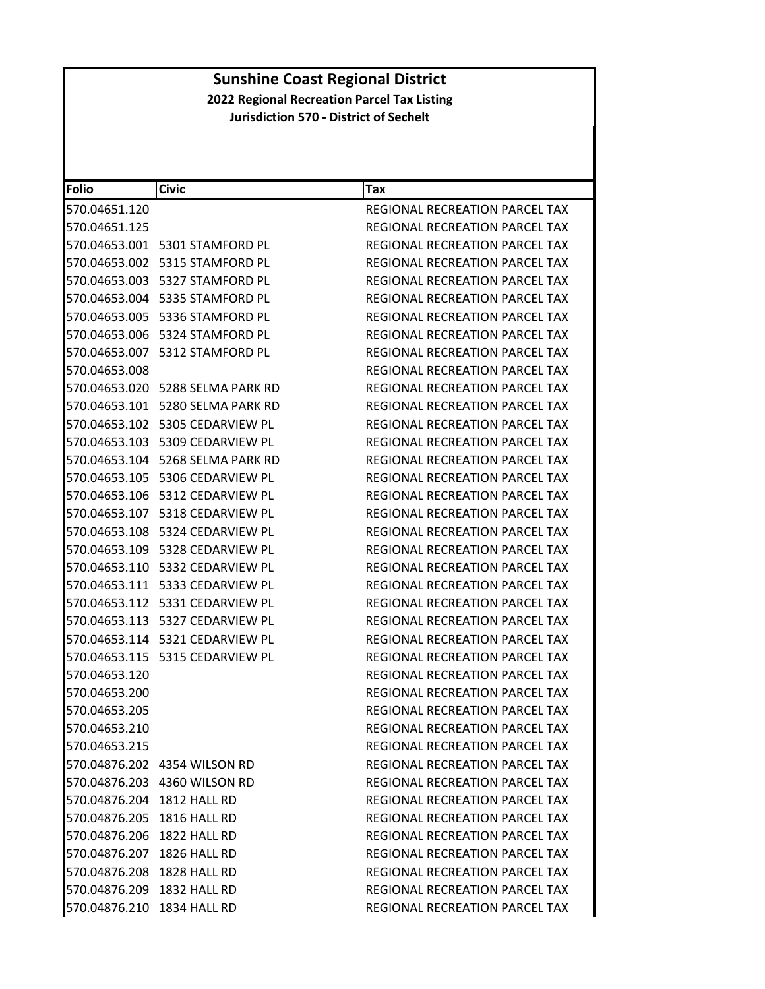| <b>Folio</b>               | <b>Civic</b>                        | Tax                                   |
|----------------------------|-------------------------------------|---------------------------------------|
| 570.04651.120              |                                     | REGIONAL RECREATION PARCEL TAX        |
| 570.04651.125              |                                     | REGIONAL RECREATION PARCEL TAX        |
|                            | 570.04653.001    5301 STAMFORD PL   | REGIONAL RECREATION PARCEL TAX        |
|                            |                                     | REGIONAL RECREATION PARCEL TAX        |
|                            |                                     | REGIONAL RECREATION PARCEL TAX        |
|                            |                                     | REGIONAL RECREATION PARCEL TAX        |
|                            | 570.04653.005    5336 STAMFORD PL   | REGIONAL RECREATION PARCEL TAX        |
|                            | 570.04653.006    5324 STAMFORD PL   | REGIONAL RECREATION PARCEL TAX        |
| 570.04653.007              | 5312 STAMFORD PL                    | REGIONAL RECREATION PARCEL TAX        |
| 570.04653.008              |                                     | REGIONAL RECREATION PARCEL TAX        |
|                            | 570.04653.020 5288 SELMA PARK RD    | REGIONAL RECREATION PARCEL TAX        |
|                            | 570.04653.101    5280 SELMA PARK RD | REGIONAL RECREATION PARCEL TAX        |
|                            |                                     | REGIONAL RECREATION PARCEL TAX        |
| 570.04653.103              | 5309 CEDARVIEW PL                   | <b>REGIONAL RECREATION PARCEL TAX</b> |
|                            | 570.04653.104   5268 SELMA PARK RD  | REGIONAL RECREATION PARCEL TAX        |
|                            |                                     | REGIONAL RECREATION PARCEL TAX        |
|                            |                                     | REGIONAL RECREATION PARCEL TAX        |
|                            |                                     | REGIONAL RECREATION PARCEL TAX        |
| 570.04653.108              | 5324 CEDARVIEW PL                   | <b>REGIONAL RECREATION PARCEL TAX</b> |
|                            |                                     | REGIONAL RECREATION PARCEL TAX        |
|                            |                                     | REGIONAL RECREATION PARCEL TAX        |
|                            | 570.04653.111    5333 CEDARVIEW PL  | REGIONAL RECREATION PARCEL TAX        |
|                            |                                     | REGIONAL RECREATION PARCEL TAX        |
|                            |                                     | REGIONAL RECREATION PARCEL TAX        |
|                            |                                     | REGIONAL RECREATION PARCEL TAX        |
|                            |                                     | REGIONAL RECREATION PARCEL TAX        |
| 570.04653.120              |                                     | REGIONAL RECREATION PARCEL TAX        |
| 570.04653.200              |                                     | REGIONAL RECREATION PARCEL TAX        |
| 570.04653.205              |                                     | REGIONAL RECREATION PARCEL TAX        |
| 570.04653.210              |                                     | REGIONAL RECREATION PARCEL TAX        |
| 570.04653.215              |                                     | REGIONAL RECREATION PARCEL TAX        |
|                            | 570.04876.202 4354 WILSON RD        | REGIONAL RECREATION PARCEL TAX        |
|                            | 570.04876.203 4360 WILSON RD        | <b>REGIONAL RECREATION PARCEL TAX</b> |
| 570.04876.204 1812 HALL RD |                                     | <b>REGIONAL RECREATION PARCEL TAX</b> |
| 570.04876.205 1816 HALL RD |                                     | REGIONAL RECREATION PARCEL TAX        |
| 570.04876.206 1822 HALL RD |                                     | REGIONAL RECREATION PARCEL TAX        |
| 570.04876.207 1826 HALL RD |                                     | REGIONAL RECREATION PARCEL TAX        |
| 570.04876.208 1828 HALL RD |                                     | REGIONAL RECREATION PARCEL TAX        |
| 570.04876.209 1832 HALL RD |                                     | <b>REGIONAL RECREATION PARCEL TAX</b> |
| 570.04876.210 1834 HALL RD |                                     | REGIONAL RECREATION PARCEL TAX        |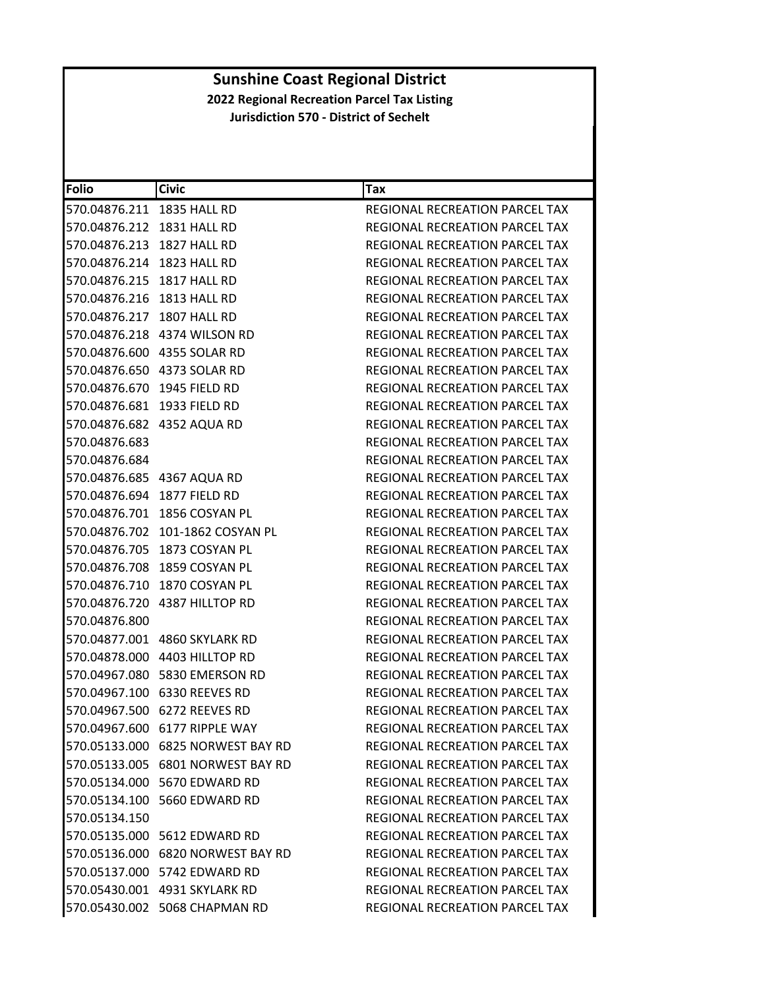| <b>Folio</b>                | <b>Civic</b>                      | Tax                                   |
|-----------------------------|-----------------------------------|---------------------------------------|
| 570.04876.211 1835 HALL RD  |                                   | REGIONAL RECREATION PARCEL TAX        |
| 570.04876.212 1831 HALL RD  |                                   | REGIONAL RECREATION PARCEL TAX        |
| 570.04876.213 1827 HALL RD  |                                   | <b>REGIONAL RECREATION PARCEL TAX</b> |
| 570.04876.214 1823 HALL RD  |                                   | REGIONAL RECREATION PARCEL TAX        |
| 570.04876.215 1817 HALL RD  |                                   | REGIONAL RECREATION PARCEL TAX        |
| 570.04876.216 1813 HALL RD  |                                   | <b>REGIONAL RECREATION PARCEL TAX</b> |
| 570.04876.217 1807 HALL RD  |                                   | REGIONAL RECREATION PARCEL TAX        |
|                             | 570.04876.218 4374 WILSON RD      | <b>REGIONAL RECREATION PARCEL TAX</b> |
|                             | 570.04876.600 4355 SOLAR RD       | REGIONAL RECREATION PARCEL TAX        |
|                             | 570.04876.650 4373 SOLAR RD       | REGIONAL RECREATION PARCEL TAX        |
|                             | 570.04876.670 1945 FIELD RD       | REGIONAL RECREATION PARCEL TAX        |
|                             | 570.04876.681 1933 FIELD RD       | REGIONAL RECREATION PARCEL TAX        |
|                             | 570.04876.682 4352 AQUA RD        | <b>REGIONAL RECREATION PARCEL TAX</b> |
| 570.04876.683               |                                   | REGIONAL RECREATION PARCEL TAX        |
| 570.04876.684               |                                   | REGIONAL RECREATION PARCEL TAX        |
|                             | 570.04876.685 4367 AQUA RD        | REGIONAL RECREATION PARCEL TAX        |
| 570.04876.694 1877 FIELD RD |                                   | REGIONAL RECREATION PARCEL TAX        |
|                             | 570.04876.701 1856 COSYAN PL      | REGIONAL RECREATION PARCEL TAX        |
|                             | 570.04876.702 101-1862 COSYAN PL  | <b>REGIONAL RECREATION PARCEL TAX</b> |
|                             | 570.04876.705 1873 COSYAN PL      | REGIONAL RECREATION PARCEL TAX        |
|                             | 570.04876.708 1859 COSYAN PL      | REGIONAL RECREATION PARCEL TAX        |
|                             | 570.04876.710 1870 COSYAN PL      | REGIONAL RECREATION PARCEL TAX        |
|                             | 570.04876.720 4387 HILLTOP RD     | REGIONAL RECREATION PARCEL TAX        |
| 570.04876.800               |                                   | REGIONAL RECREATION PARCEL TAX        |
|                             | 570.04877.001 4860 SKYLARK RD     | REGIONAL RECREATION PARCEL TAX        |
|                             | 570.04878.000 4403 HILLTOP RD     | REGIONAL RECREATION PARCEL TAX        |
|                             | 570.04967.080    5830 EMERSON RD  | REGIONAL RECREATION PARCEL TAX        |
|                             | 570.04967.100 6330 REEVES RD      | REGIONAL RECREATION PARCEL TAX        |
|                             | 570.04967.500 6272 REEVES RD      | REGIONAL RECREATION PARCEL TAX        |
|                             | 570.04967.600 6177 RIPPLE WAY     | REGIONAL RECREATION PARCEL TAX        |
|                             | 570.05133.000 6825 NORWEST BAY RD | REGIONAL RECREATION PARCEL TAX        |
|                             | 570.05133.005 6801 NORWEST BAY RD | REGIONAL RECREATION PARCEL TAX        |
|                             | 570.05134.000 5670 EDWARD RD      | REGIONAL RECREATION PARCEL TAX        |
|                             | 570.05134.100 5660 EDWARD RD      | REGIONAL RECREATION PARCEL TAX        |
| 570.05134.150               |                                   | REGIONAL RECREATION PARCEL TAX        |
|                             | 570.05135.000 5612 EDWARD RD      | <b>REGIONAL RECREATION PARCEL TAX</b> |
|                             | 570.05136.000 6820 NORWEST BAY RD | REGIONAL RECREATION PARCEL TAX        |
|                             | 570.05137.000 5742 EDWARD RD      | REGIONAL RECREATION PARCEL TAX        |
|                             | 570.05430.001 4931 SKYLARK RD     | REGIONAL RECREATION PARCEL TAX        |
|                             | 570.05430.002 5068 CHAPMAN RD     | REGIONAL RECREATION PARCEL TAX        |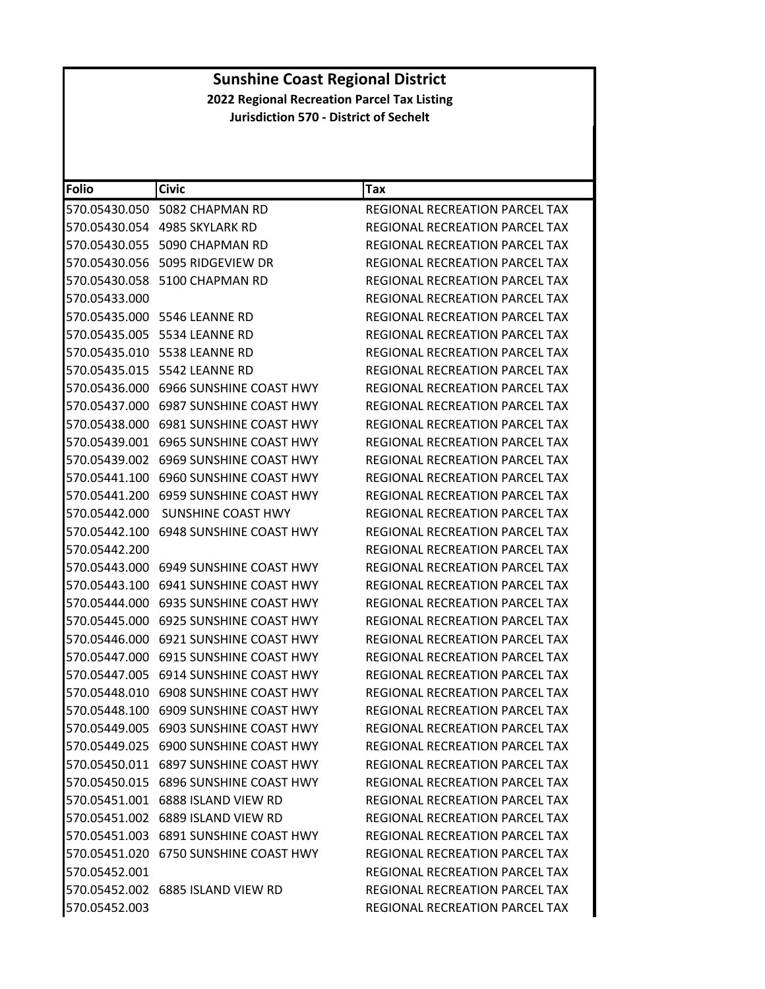| <b>Folio</b>  | <b>Civic</b>                             | Tax                                   |
|---------------|------------------------------------------|---------------------------------------|
| 570.05430.050 | 5082 CHAPMAN RD                          | REGIONAL RECREATION PARCEL TAX        |
|               | 570.05430.054 4985 SKYLARK RD            | REGIONAL RECREATION PARCEL TAX        |
| 570.05430.055 | 5090 CHAPMAN RD                          | <b>REGIONAL RECREATION PARCEL TAX</b> |
| 570.05430.056 | 5095 RIDGEVIEW DR                        | REGIONAL RECREATION PARCEL TAX        |
| 570.05430.058 | 5100 CHAPMAN RD                          | REGIONAL RECREATION PARCEL TAX        |
| 570.05433.000 |                                          | REGIONAL RECREATION PARCEL TAX        |
|               | 570.05435.000 5546 LEANNE RD             | REGIONAL RECREATION PARCEL TAX        |
| 570.05435.005 | 5534 LEANNE RD                           | REGIONAL RECREATION PARCEL TAX        |
| 570.05435.010 | 5538 LEANNE RD                           | REGIONAL RECREATION PARCEL TAX        |
|               | 570.05435.015    5542 LEANNE RD          | REGIONAL RECREATION PARCEL TAX        |
| 570.05436.000 | 6966 SUNSHINE COAST HWY                  | REGIONAL RECREATION PARCEL TAX        |
|               | 570.05437.000 6987 SUNSHINE COAST HWY    | REGIONAL RECREATION PARCEL TAX        |
| 570.05438.000 | <b>6981 SUNSHINE COAST HWY</b>           | REGIONAL RECREATION PARCEL TAX        |
| 570.05439.001 | 6965 SUNSHINE COAST HWY                  | <b>REGIONAL RECREATION PARCEL TAX</b> |
|               | 570.05439.002 6969 SUNSHINE COAST HWY    | REGIONAL RECREATION PARCEL TAX        |
| 570.05441.100 | <b>6960 SUNSHINE COAST HWY</b>           | REGIONAL RECREATION PARCEL TAX        |
| 570.05441.200 | 6959 SUNSHINE COAST HWY                  | <b>REGIONAL RECREATION PARCEL TAX</b> |
| 570.05442.000 | SUNSHINE COAST HWY                       | <b>REGIONAL RECREATION PARCEL TAX</b> |
| 570.05442.100 | <b>6948 SUNSHINE COAST HWY</b>           | REGIONAL RECREATION PARCEL TAX        |
| 570.05442.200 |                                          | REGIONAL RECREATION PARCEL TAX        |
| 570.05443.000 | 6949 SUNSHINE COAST HWY                  | REGIONAL RECREATION PARCEL TAX        |
| 570.05443.100 | 6941 SUNSHINE COAST HWY                  | REGIONAL RECREATION PARCEL TAX        |
| 570.05444.000 | <b>6935 SUNSHINE COAST HWY</b>           | REGIONAL RECREATION PARCEL TAX        |
| 570.05445.000 | <b>6925 SUNSHINE COAST HWY</b>           | REGIONAL RECREATION PARCEL TAX        |
| 570.05446.000 | 6921 SUNSHINE COAST HWY                  | REGIONAL RECREATION PARCEL TAX        |
| 570.05447.000 | <b>6915 SUNSHINE COAST HWY</b>           | REGIONAL RECREATION PARCEL TAX        |
| 570.05447.005 | 6914 SUNSHINE COAST HWY                  | REGIONAL RECREATION PARCEL TAX        |
| 570.05448.010 | <b>6908 SUNSHINE COAST HWY</b>           | REGIONAL RECREATION PARCEL TAX        |
| 570.05448.100 | <b>6909 SUNSHINE COAST HWY</b>           | REGIONAL RECREATION PARCEL TAX        |
|               | 570.05449.005 6903 SUNSHINE COAST HWY    | REGIONAL RECREATION PARCEL TAX        |
|               | 570.05449.025 6900 SUNSHINE COAST HWY    | REGIONAL RECREATION PARCEL TAX        |
|               | 570.05450.011    6897 SUNSHINE COAST HWY | REGIONAL RECREATION PARCEL TAX        |
|               | 570.05450.015 6896 SUNSHINE COAST HWY    | <b>REGIONAL RECREATION PARCEL TAX</b> |
|               | 570.05451.001 6888 ISLAND VIEW RD        | REGIONAL RECREATION PARCEL TAX        |
|               | 570.05451.002 6889 ISLAND VIEW RD        | REGIONAL RECREATION PARCEL TAX        |
|               | 570.05451.003 6891 SUNSHINE COAST HWY    | REGIONAL RECREATION PARCEL TAX        |
| 570.05451.020 | 6750 SUNSHINE COAST HWY                  | REGIONAL RECREATION PARCEL TAX        |
| 570.05452.001 |                                          | REGIONAL RECREATION PARCEL TAX        |
|               | 570.05452.002 6885 ISLAND VIEW RD        | REGIONAL RECREATION PARCEL TAX        |
| 570.05452.003 |                                          | REGIONAL RECREATION PARCEL TAX        |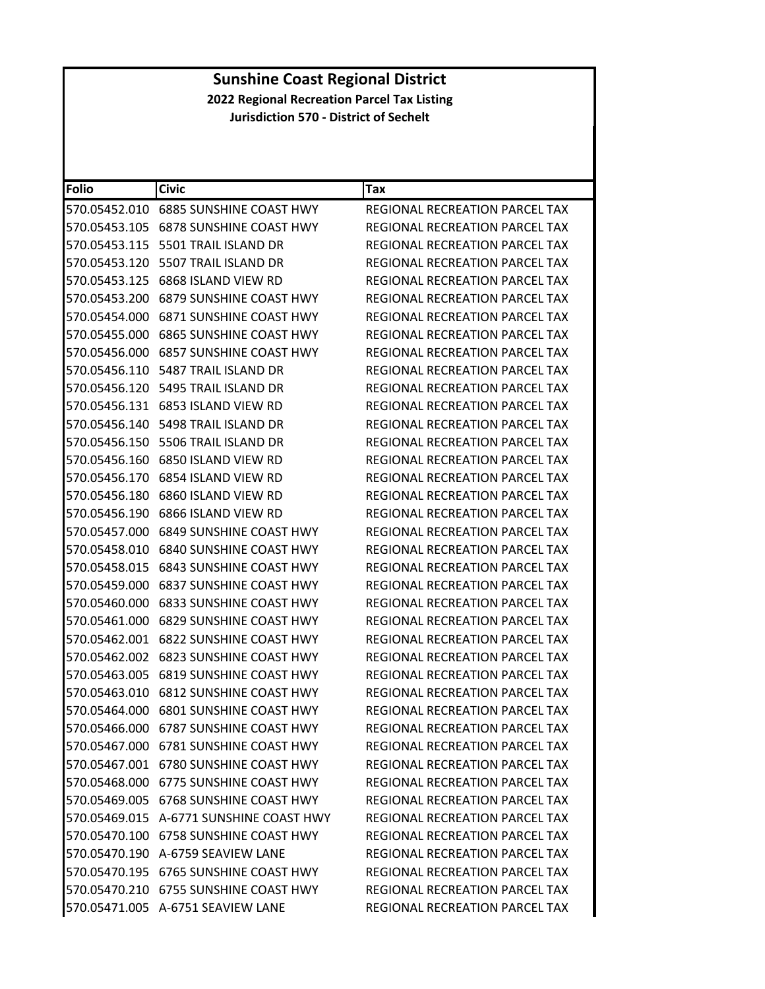| Folio         | <b>Civic</b>                             | Tax                                   |
|---------------|------------------------------------------|---------------------------------------|
| 570.05452.010 | <b>6885 SUNSHINE COAST HWY</b>           | REGIONAL RECREATION PARCEL TAX        |
| 570.05453.105 | <b>6878 SUNSHINE COAST HWY</b>           | REGIONAL RECREATION PARCEL TAX        |
| 570.05453.115 | 5501 TRAIL ISLAND DR                     | REGIONAL RECREATION PARCEL TAX        |
| 570.05453.120 | 5507 TRAIL ISLAND DR                     | REGIONAL RECREATION PARCEL TAX        |
| 570.05453.125 | 6868 ISLAND VIEW RD                      | REGIONAL RECREATION PARCEL TAX        |
| 570.05453.200 | <b>6879 SUNSHINE COAST HWY</b>           | REGIONAL RECREATION PARCEL TAX        |
| 570.05454.000 | <b>6871 SUNSHINE COAST HWY</b>           | <b>REGIONAL RECREATION PARCEL TAX</b> |
| 570.05455.000 | <b>6865 SUNSHINE COAST HWY</b>           | REGIONAL RECREATION PARCEL TAX        |
|               | 570.05456.000    6857 SUNSHINE COAST HWY | REGIONAL RECREATION PARCEL TAX        |
| 570.05456.110 | 5487 TRAIL ISLAND DR                     | REGIONAL RECREATION PARCEL TAX        |
| 570.05456.120 | 5495 TRAIL ISLAND DR                     | REGIONAL RECREATION PARCEL TAX        |
| 570.05456.131 | 6853 ISLAND VIEW RD                      | REGIONAL RECREATION PARCEL TAX        |
| 570.05456.140 | 5498 TRAIL ISLAND DR                     | REGIONAL RECREATION PARCEL TAX        |
|               | 570.05456.150    5506 TRAIL ISLAND DR    | REGIONAL RECREATION PARCEL TAX        |
| 570.05456.160 | 6850 ISLAND VIEW RD                      | <b>REGIONAL RECREATION PARCEL TAX</b> |
| 570.05456.170 | 6854 ISLAND VIEW RD                      | REGIONAL RECREATION PARCEL TAX        |
| 570.05456.180 | 6860 ISLAND VIEW RD                      | REGIONAL RECREATION PARCEL TAX        |
| 570.05456.190 | 6866 ISLAND VIEW RD                      | <b>REGIONAL RECREATION PARCEL TAX</b> |
|               | 570.05457.000    6849 SUNSHINE COAST HWY | REGIONAL RECREATION PARCEL TAX        |
| 570.05458.010 | <b>6840 SUNSHINE COAST HWY</b>           | REGIONAL RECREATION PARCEL TAX        |
| 570.05458.015 | <b>6843 SUNSHINE COAST HWY</b>           | REGIONAL RECREATION PARCEL TAX        |
| 570.05459.000 | <b>6837 SUNSHINE COAST HWY</b>           | REGIONAL RECREATION PARCEL TAX        |
| 570.05460.000 | <b>6833 SUNSHINE COAST HWY</b>           | REGIONAL RECREATION PARCEL TAX        |
|               | 570.05461.000    6829 SUNSHINE COAST HWY | REGIONAL RECREATION PARCEL TAX        |
| 570.05462.001 | <b>6822 SUNSHINE COAST HWY</b>           | REGIONAL RECREATION PARCEL TAX        |
| 570.05462.002 | <b>6823 SUNSHINE COAST HWY</b>           | REGIONAL RECREATION PARCEL TAX        |
| 570.05463.005 | 6819 SUNSHINE COAST HWY                  | REGIONAL RECREATION PARCEL TAX        |
| 570.05463.010 | <b>6812 SUNSHINE COAST HWY</b>           | <b>REGIONAL RECREATION PARCEL TAX</b> |
|               | 570.05464.000 6801 SUNSHINE COAST HWY    | <b>REGIONAL RECREATION PARCEL TAX</b> |
|               | 570.05466.000 6787 SUNSHINE COAST HWY    | REGIONAL RECREATION PARCEL TAX        |
|               | 570.05467.000 6781 SUNSHINE COAST HWY    | REGIONAL RECREATION PARCEL TAX        |
|               | 570.05467.001    6780 SUNSHINE COAST HWY | REGIONAL RECREATION PARCEL TAX        |
|               |                                          | <b>REGIONAL RECREATION PARCEL TAX</b> |
|               | 570.05469.005    6768 SUNSHINE COAST HWY | REGIONAL RECREATION PARCEL TAX        |
|               | 570.05469.015 A-6771 SUNSHINE COAST HWY  | <b>REGIONAL RECREATION PARCEL TAX</b> |
|               | 570.05470.100    6758 SUNSHINE COAST HWY | REGIONAL RECREATION PARCEL TAX        |
|               | 570.05470.190 A-6759 SEAVIEW LANE        | REGIONAL RECREATION PARCEL TAX        |
|               | 570.05470.195 6765 SUNSHINE COAST HWY    | <b>REGIONAL RECREATION PARCEL TAX</b> |
|               | 570.05470.210 6755 SUNSHINE COAST HWY    | REGIONAL RECREATION PARCEL TAX        |
|               | 570.05471.005 A-6751 SEAVIEW LANE        | REGIONAL RECREATION PARCEL TAX        |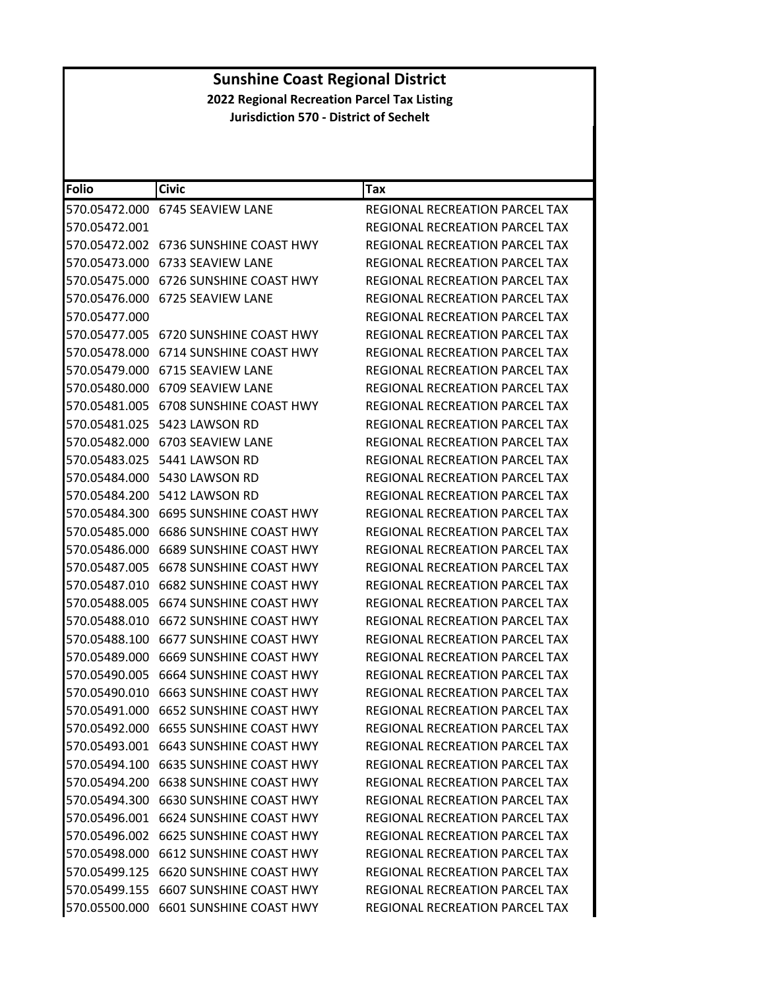| <b>Folio</b>  | <b>Civic</b>                             | Tax                                   |
|---------------|------------------------------------------|---------------------------------------|
|               | 570.05472.000 6745 SEAVIEW LANE          | REGIONAL RECREATION PARCEL TAX        |
| 570.05472.001 |                                          | REGIONAL RECREATION PARCEL TAX        |
| 570.05472.002 | 6736 SUNSHINE COAST HWY                  | <b>REGIONAL RECREATION PARCEL TAX</b> |
| 570.05473.000 | 6733 SEAVIEW LANE                        | REGIONAL RECREATION PARCEL TAX        |
| 570.05475.000 | 6726 SUNSHINE COAST HWY                  | REGIONAL RECREATION PARCEL TAX        |
| 570.05476.000 | 6725 SEAVIEW LANE                        | REGIONAL RECREATION PARCEL TAX        |
| 570.05477.000 |                                          | REGIONAL RECREATION PARCEL TAX        |
| 570.05477.005 | 6720 SUNSHINE COAST HWY                  | REGIONAL RECREATION PARCEL TAX        |
|               | 570.05478.000    6714 SUNSHINE COAST HWY | REGIONAL RECREATION PARCEL TAX        |
|               | 570.05479.000 6715 SEAVIEW LANE          | REGIONAL RECREATION PARCEL TAX        |
| 570.05480.000 | 6709 SEAVIEW LANE                        | REGIONAL RECREATION PARCEL TAX        |
|               | 570.05481.005 6708 SUNSHINE COAST HWY    | REGIONAL RECREATION PARCEL TAX        |
| 570.05481.025 | 5423 LAWSON RD                           | REGIONAL RECREATION PARCEL TAX        |
| 570.05482.000 | 6703 SEAVIEW LANE                        | REGIONAL RECREATION PARCEL TAX        |
|               | 570.05483.025    5441 LAWSON RD          | REGIONAL RECREATION PARCEL TAX        |
| 570.05484.000 | 5430 LAWSON RD                           | REGIONAL RECREATION PARCEL TAX        |
|               |                                          | <b>REGIONAL RECREATION PARCEL TAX</b> |
| 570.05484.300 | 6695 SUNSHINE COAST HWY                  | REGIONAL RECREATION PARCEL TAX        |
| 570.05485.000 | <b>6686 SUNSHINE COAST HWY</b>           | REGIONAL RECREATION PARCEL TAX        |
|               | 570.05486.000 6689 SUNSHINE COAST HWY    | REGIONAL RECREATION PARCEL TAX        |
| 570.05487.005 | <b>6678 SUNSHINE COAST HWY</b>           | REGIONAL RECREATION PARCEL TAX        |
| 570.05487.010 | 6682 SUNSHINE COAST HWY                  | REGIONAL RECREATION PARCEL TAX        |
| 570.05488.005 | 6674 SUNSHINE COAST HWY                  | REGIONAL RECREATION PARCEL TAX        |
| 570.05488.010 | 6672 SUNSHINE COAST HWY                  | REGIONAL RECREATION PARCEL TAX        |
|               | 570.05488.100 6677 SUNSHINE COAST HWY    | REGIONAL RECREATION PARCEL TAX        |
| 570.05489.000 | <b>6669 SUNSHINE COAST HWY</b>           | REGIONAL RECREATION PARCEL TAX        |
| 570.05490.005 | <b>6664 SUNSHINE COAST HWY</b>           | REGIONAL RECREATION PARCEL TAX        |
| 570.05490.010 | <b>6663 SUNSHINE COAST HWY</b>           | REGIONAL RECREATION PARCEL TAX        |
|               |                                          | REGIONAL RECREATION PARCEL TAX        |
|               | 570.05492.000 6655 SUNSHINE COAST HWY    | REGIONAL RECREATION PARCEL TAX        |
|               |                                          | REGIONAL RECREATION PARCEL TAX        |
|               | 570.05494.100    6635 SUNSHINE COAST HWY | REGIONAL RECREATION PARCEL TAX        |
|               | 570.05494.200    6638 SUNSHINE COAST HWY | <b>REGIONAL RECREATION PARCEL TAX</b> |
|               | 570.05494.300 6630 SUNSHINE COAST HWY    | REGIONAL RECREATION PARCEL TAX        |
|               | 570.05496.001 6624 SUNSHINE COAST HWY    | REGIONAL RECREATION PARCEL TAX        |
|               | 570.05496.002 6625 SUNSHINE COAST HWY    | REGIONAL RECREATION PARCEL TAX        |
|               | 570.05498.000    6612 SUNSHINE COAST HWY | REGIONAL RECREATION PARCEL TAX        |
|               | 570.05499.125 6620 SUNSHINE COAST HWY    | REGIONAL RECREATION PARCEL TAX        |
|               | 570.05499.155 6607 SUNSHINE COAST HWY    | REGIONAL RECREATION PARCEL TAX        |
|               | 570.05500.000 6601 SUNSHINE COAST HWY    | REGIONAL RECREATION PARCEL TAX        |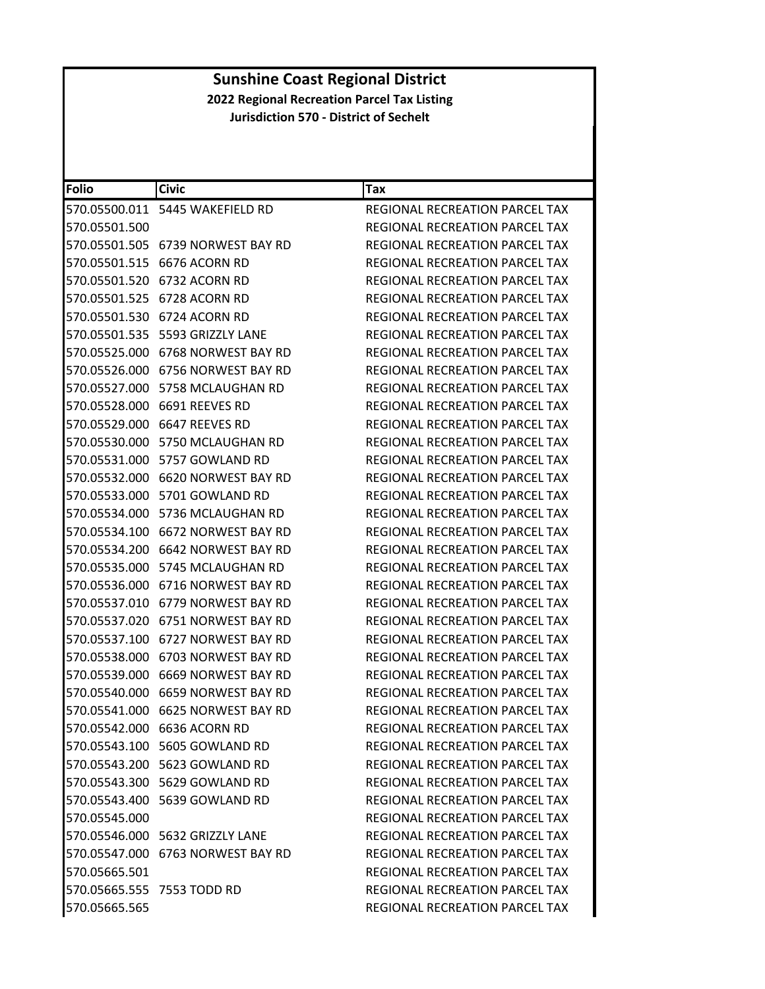| <b>Folio</b>  | <b>Civic</b>                          | Tax                                   |
|---------------|---------------------------------------|---------------------------------------|
|               | 570.05500.011    5445    WAKEFIELD RD | REGIONAL RECREATION PARCEL TAX        |
| 570.05501.500 |                                       | REGIONAL RECREATION PARCEL TAX        |
|               | 570.05501.505 6739 NORWEST BAY RD     | REGIONAL RECREATION PARCEL TAX        |
|               | 570.05501.515 6676 ACORN RD           | REGIONAL RECREATION PARCEL TAX        |
| 570.05501.520 | 6732 ACORN RD                         | <b>REGIONAL RECREATION PARCEL TAX</b> |
|               | 570.05501.525 6728 ACORN RD           | <b>REGIONAL RECREATION PARCEL TAX</b> |
| 570.05501.530 | 6724 ACORN RD                         | REGIONAL RECREATION PARCEL TAX        |
|               | 570.05501.535    5593    GRIZZLY LANE | REGIONAL RECREATION PARCEL TAX        |
|               | 570.05525.000    6768 NORWEST BAY RD  | REGIONAL RECREATION PARCEL TAX        |
|               |                                       | <b>REGIONAL RECREATION PARCEL TAX</b> |
|               | 570.05527.000    5758 MCLAUGHAN RD    | REGIONAL RECREATION PARCEL TAX        |
|               | 570.05528.000 6691 REEVES RD          | REGIONAL RECREATION PARCEL TAX        |
| 570.05529.000 | 6647 REEVES RD                        | REGIONAL RECREATION PARCEL TAX        |
|               | 570.05530.000 5750 MCLAUGHAN RD       | REGIONAL RECREATION PARCEL TAX        |
|               | 570.05531.000    5757    GOWLAND RD   | REGIONAL RECREATION PARCEL TAX        |
|               | 570.05532.000 6620 NORWEST BAY RD     | REGIONAL RECREATION PARCEL TAX        |
|               | 570.05533.000 5701 GOWLAND RD         | REGIONAL RECREATION PARCEL TAX        |
| 570.05534.000 | 5736 MCLAUGHAN RD                     | REGIONAL RECREATION PARCEL TAX        |
|               |                                       | REGIONAL RECREATION PARCEL TAX        |
|               |                                       | REGIONAL RECREATION PARCEL TAX        |
|               | 570.05535.000    5745 MCLAUGHAN RD    | REGIONAL RECREATION PARCEL TAX        |
|               | 570.05536.000    6716 NORWEST BAY RD  | REGIONAL RECREATION PARCEL TAX        |
| 570.05537.010 | 6779 NORWEST BAY RD                   | REGIONAL RECREATION PARCEL TAX        |
|               |                                       | REGIONAL RECREATION PARCEL TAX        |
| 570.05537.100 | 6727 NORWEST BAY RD                   | REGIONAL RECREATION PARCEL TAX        |
| 570.05538.000 | 6703 NORWEST BAY RD                   | REGIONAL RECREATION PARCEL TAX        |
|               | 570.05539.000 6669 NORWEST BAY RD     | REGIONAL RECREATION PARCEL TAX        |
|               |                                       | REGIONAL RECREATION PARCEL TAX        |
|               | 570.05541.000 6625 NORWEST BAY RD     | REGIONAL RECREATION PARCEL TAX        |
|               | 570.05542.000 6636 ACORN RD           | REGIONAL RECREATION PARCEL TAX        |
|               | 570.05543.100 5605 GOWLAND RD         | REGIONAL RECREATION PARCEL TAX        |
|               | 570.05543.200 5623 GOWLAND RD         | REGIONAL RECREATION PARCEL TAX        |
|               | 570.05543.300    5629    GOWLAND RD   | REGIONAL RECREATION PARCEL TAX        |
|               | 570.05543.400 5639 GOWLAND RD         | REGIONAL RECREATION PARCEL TAX        |
| 570.05545.000 |                                       | REGIONAL RECREATION PARCEL TAX        |
|               | 570.05546.000 5632 GRIZZLY LANE       | REGIONAL RECREATION PARCEL TAX        |
|               |                                       | REGIONAL RECREATION PARCEL TAX        |
| 570.05665.501 |                                       | REGIONAL RECREATION PARCEL TAX        |
|               | 570.05665.555 7553 TODD RD            | REGIONAL RECREATION PARCEL TAX        |
| 570.05665.565 |                                       | REGIONAL RECREATION PARCEL TAX        |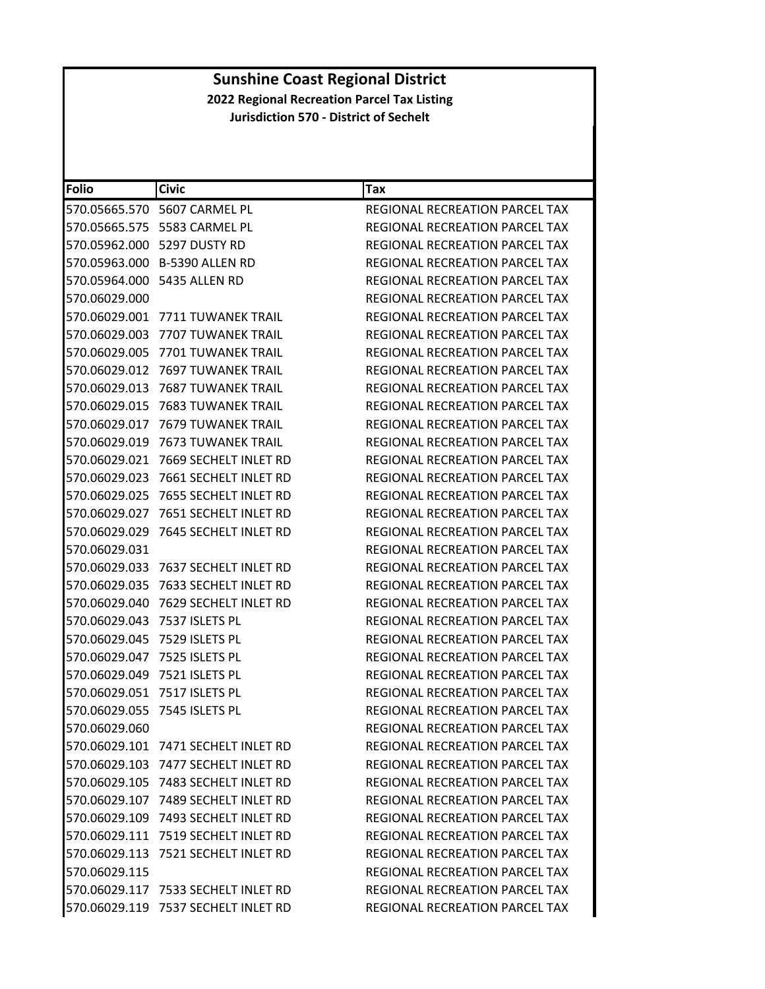| <b>Folio</b>  | <b>Civic</b>                        | Tax                                   |
|---------------|-------------------------------------|---------------------------------------|
| 570.05665.570 | 5607 CARMEL PL                      | REGIONAL RECREATION PARCEL TAX        |
|               | 570.05665.575    5583 CARMEL PL     | REGIONAL RECREATION PARCEL TAX        |
| 570.05962.000 | 5297 DUSTY RD                       | REGIONAL RECREATION PARCEL TAX        |
|               | 570.05963.000 B-5390 ALLEN RD       | REGIONAL RECREATION PARCEL TAX        |
|               | 570.05964.000    5435 ALLEN RD      | REGIONAL RECREATION PARCEL TAX        |
| 570.06029.000 |                                     | REGIONAL RECREATION PARCEL TAX        |
| 570.06029.001 | 7711 TUWANEK TRAIL                  | REGIONAL RECREATION PARCEL TAX        |
| 570.06029.003 | 7707 TUWANEK TRAIL                  | REGIONAL RECREATION PARCEL TAX        |
| 570.06029.005 | 7701 TUWANEK TRAIL                  | REGIONAL RECREATION PARCEL TAX        |
| 570.06029.012 | 7697 TUWANEK TRAIL                  | REGIONAL RECREATION PARCEL TAX        |
| 570.06029.013 | <b>7687 TUWANEK TRAIL</b>           | REGIONAL RECREATION PARCEL TAX        |
| 570.06029.015 | 7683 TUWANEK TRAIL                  | REGIONAL RECREATION PARCEL TAX        |
| 570.06029.017 | <b>7679 TUWANEK TRAIL</b>           | REGIONAL RECREATION PARCEL TAX        |
| 570.06029.019 | 7673 TUWANEK TRAIL                  | REGIONAL RECREATION PARCEL TAX        |
| 570.06029.021 | 7669 SECHELT INLET RD               | <b>REGIONAL RECREATION PARCEL TAX</b> |
| 570.06029.023 | 7661 SECHELT INLET RD               | REGIONAL RECREATION PARCEL TAX        |
| 570.06029.025 | 7655 SECHELT INLET RD               | REGIONAL RECREATION PARCEL TAX        |
| 570.06029.027 | 7651 SECHELT INLET RD               | REGIONAL RECREATION PARCEL TAX        |
| 570.06029.029 | 7645 SECHELT INLET RD               | REGIONAL RECREATION PARCEL TAX        |
| 570.06029.031 |                                     | REGIONAL RECREATION PARCEL TAX        |
| 570.06029.033 | 7637 SECHELT INLET RD               | REGIONAL RECREATION PARCEL TAX        |
| 570.06029.035 | 7633 SECHELT INLET RD               | REGIONAL RECREATION PARCEL TAX        |
| 570.06029.040 | 7629 SECHELT INLET RD               | REGIONAL RECREATION PARCEL TAX        |
| 570.06029.043 | 7537 ISLETS PL                      | REGIONAL RECREATION PARCEL TAX        |
| 570.06029.045 | 7529 ISLETS PL                      | REGIONAL RECREATION PARCEL TAX        |
| 570.06029.047 | 7525 ISLETS PL                      | <b>REGIONAL RECREATION PARCEL TAX</b> |
| 570.06029.049 | 7521 ISLETS PL                      | REGIONAL RECREATION PARCEL TAX        |
| 570.06029.051 | 7517 ISLETS PL                      | <b>REGIONAL RECREATION PARCEL TAX</b> |
| 570.06029.055 | 7545 ISLETS PL                      | REGIONAL RECREATION PARCEL TAX        |
| 570.06029.060 |                                     | REGIONAL RECREATION PARCEL TAX        |
|               | 570.06029.101 7471 SECHELT INLET RD | <b>REGIONAL RECREATION PARCEL TAX</b> |
|               | 570.06029.103 7477 SECHELT INLET RD | REGIONAL RECREATION PARCEL TAX        |
|               | 570.06029.105 7483 SECHELT INLET RD | REGIONAL RECREATION PARCEL TAX        |
|               | 570.06029.107 7489 SECHELT INLET RD | REGIONAL RECREATION PARCEL TAX        |
|               | 570.06029.109 7493 SECHELT INLET RD | <b>REGIONAL RECREATION PARCEL TAX</b> |
|               | 570.06029.111 7519 SECHELT INLET RD | <b>REGIONAL RECREATION PARCEL TAX</b> |
| 570.06029.113 | 7521 SECHELT INLET RD               | REGIONAL RECREATION PARCEL TAX        |
| 570.06029.115 |                                     | REGIONAL RECREATION PARCEL TAX        |
|               | 570.06029.117 7533 SECHELT INLET RD | <b>REGIONAL RECREATION PARCEL TAX</b> |
|               | 570.06029.119 7537 SECHELT INLET RD | REGIONAL RECREATION PARCEL TAX        |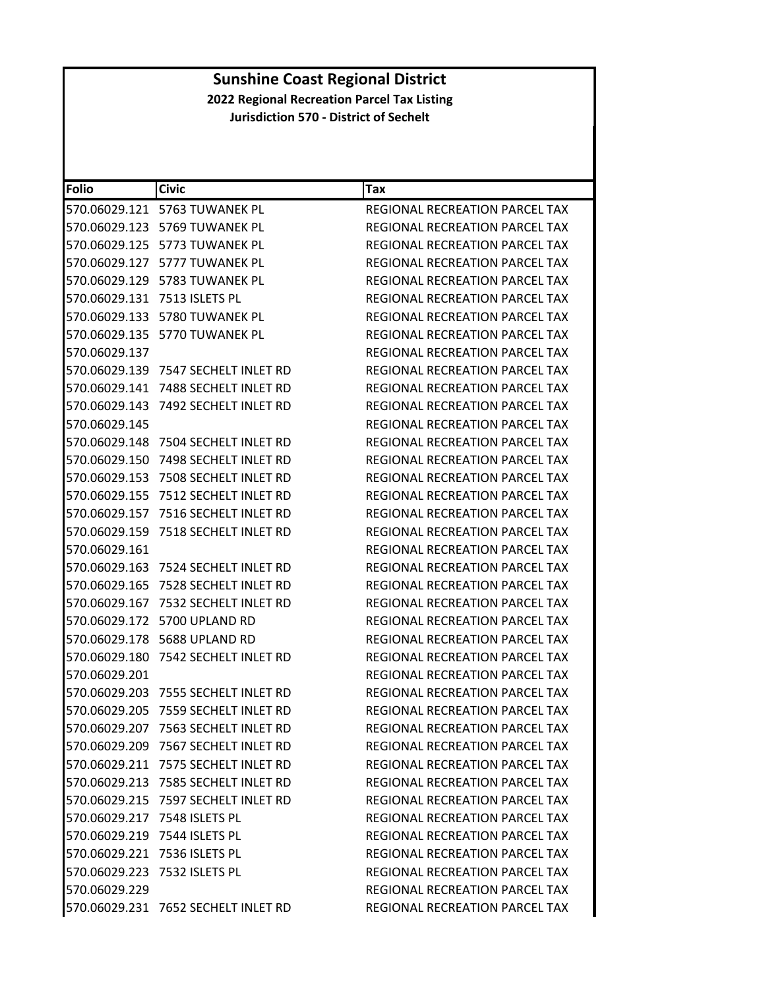| <b>Folio</b>  | <b>Civic</b>                        | Tax                                   |
|---------------|-------------------------------------|---------------------------------------|
|               | 570.06029.121 5763 TUWANEK PL       | <b>REGIONAL RECREATION PARCEL TAX</b> |
| 570.06029.123 | 5769 TUWANEK PL                     | REGIONAL RECREATION PARCEL TAX        |
| 570.06029.125 | 5773 TUWANEK PL                     | <b>REGIONAL RECREATION PARCEL TAX</b> |
| 570.06029.127 | 5777 TUWANEK PL                     | REGIONAL RECREATION PARCEL TAX        |
|               | 570.06029.129 5783 TUWANEK PL       | REGIONAL RECREATION PARCEL TAX        |
| 570.06029.131 | 7513 ISLETS PL                      | <b>REGIONAL RECREATION PARCEL TAX</b> |
|               | 570.06029.133 5780 TUWANEK PL       | REGIONAL RECREATION PARCEL TAX        |
| 570.06029.135 | 5770 TUWANEK PL                     | <b>REGIONAL RECREATION PARCEL TAX</b> |
| 570.06029.137 |                                     | REGIONAL RECREATION PARCEL TAX        |
|               | 570.06029.139 7547 SECHELT INLET RD | REGIONAL RECREATION PARCEL TAX        |
| 570.06029.141 | 7488 SECHELT INLET RD               | REGIONAL RECREATION PARCEL TAX        |
| 570.06029.143 | 7492 SECHELT INLET RD               | REGIONAL RECREATION PARCEL TAX        |
| 570.06029.145 |                                     | REGIONAL RECREATION PARCEL TAX        |
| 570.06029.148 | 7504 SECHELT INLET RD               | REGIONAL RECREATION PARCEL TAX        |
| 570.06029.150 | 7498 SECHELT INLET RD               | <b>REGIONAL RECREATION PARCEL TAX</b> |
| 570.06029.153 | 7508 SECHELT INLET RD               | REGIONAL RECREATION PARCEL TAX        |
| 570.06029.155 | 7512 SECHELT INLET RD               | <b>REGIONAL RECREATION PARCEL TAX</b> |
| 570.06029.157 | 7516 SECHELT INLET RD               | REGIONAL RECREATION PARCEL TAX        |
| 570.06029.159 | 7518 SECHELT INLET RD               | REGIONAL RECREATION PARCEL TAX        |
| 570.06029.161 |                                     | REGIONAL RECREATION PARCEL TAX        |
| 570.06029.163 | 7524 SECHELT INLET RD               | REGIONAL RECREATION PARCEL TAX        |
| 570.06029.165 | 7528 SECHELT INLET RD               | REGIONAL RECREATION PARCEL TAX        |
| 570.06029.167 | 7532 SECHELT INLET RD               | REGIONAL RECREATION PARCEL TAX        |
| 570.06029.172 | 5700 UPLAND RD                      | REGIONAL RECREATION PARCEL TAX        |
|               | 570.06029.178 5688 UPLAND RD        | REGIONAL RECREATION PARCEL TAX        |
| 570.06029.180 | 7542 SECHELT INLET RD               | <b>REGIONAL RECREATION PARCEL TAX</b> |
| 570.06029.201 |                                     | REGIONAL RECREATION PARCEL TAX        |
| 570.06029.203 | 7555 SECHELT INLET RD               | <b>REGIONAL RECREATION PARCEL TAX</b> |
| 570.06029.205 | 7559 SECHELT INLET RD               | REGIONAL RECREATION PARCEL TAX        |
|               | 570.06029.207 7563 SECHELT INLET RD | REGIONAL RECREATION PARCEL TAX        |
|               | 570.06029.209 7567 SECHELT INLET RD | REGIONAL RECREATION PARCEL TAX        |
|               | 570.06029.211 7575 SECHELT INLET RD | REGIONAL RECREATION PARCEL TAX        |
|               | 570.06029.213 7585 SECHELT INLET RD | REGIONAL RECREATION PARCEL TAX        |
|               | 570.06029.215 7597 SECHELT INLET RD | REGIONAL RECREATION PARCEL TAX        |
|               | 570.06029.217 7548 ISLETS PL        | REGIONAL RECREATION PARCEL TAX        |
|               | 570.06029.219 7544 ISLETS PL        | REGIONAL RECREATION PARCEL TAX        |
|               | 570.06029.221 7536 ISLETS PL        | <b>REGIONAL RECREATION PARCEL TAX</b> |
|               | 570.06029.223 7532 ISLETS PL        | REGIONAL RECREATION PARCEL TAX        |
| 570.06029.229 |                                     | <b>REGIONAL RECREATION PARCEL TAX</b> |
|               | 570.06029.231 7652 SECHELT INLET RD | REGIONAL RECREATION PARCEL TAX        |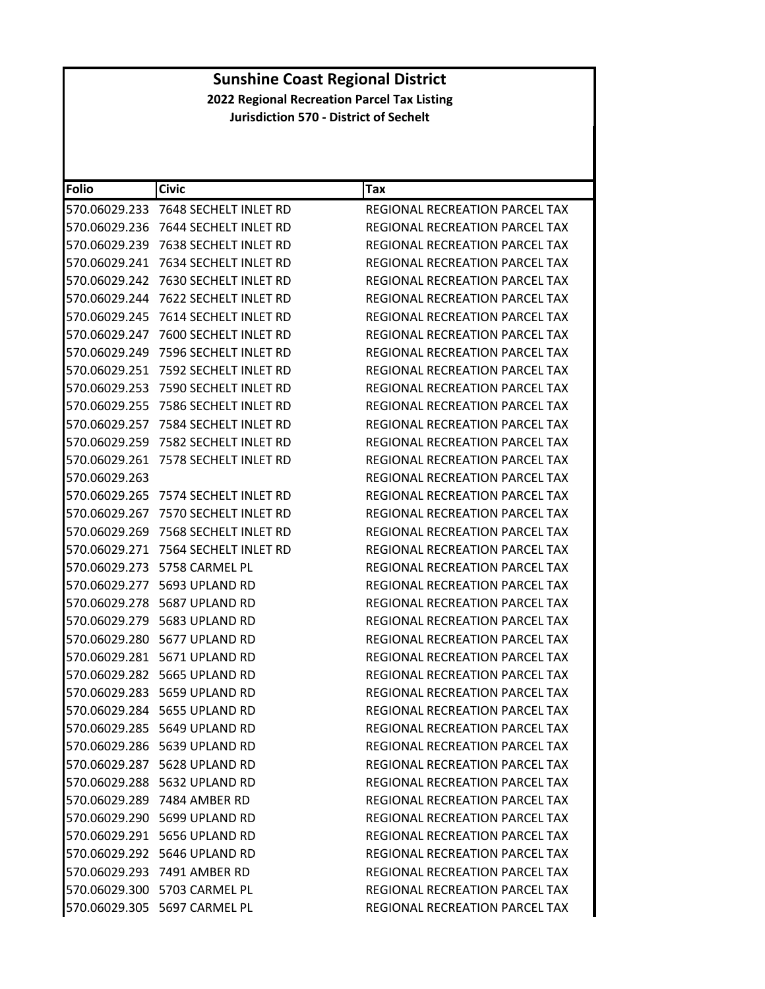| Folio         | <b>Civic</b>                       | <b>Tax</b>                            |
|---------------|------------------------------------|---------------------------------------|
| 570.06029.233 | 7648 SECHELT INLET RD              | REGIONAL RECREATION PARCEL TAX        |
| 570.06029.236 | 7644 SECHELT INLET RD              | REGIONAL RECREATION PARCEL TAX        |
| 570.06029.239 | 7638 SECHELT INLET RD              | REGIONAL RECREATION PARCEL TAX        |
| 570.06029.241 | 7634 SECHELT INLET RD              | REGIONAL RECREATION PARCEL TAX        |
| 570.06029.242 | 7630 SECHELT INLET RD              | REGIONAL RECREATION PARCEL TAX        |
| 570.06029.244 | 7622 SECHELT INLET RD              | REGIONAL RECREATION PARCEL TAX        |
| 570.06029.245 | 7614 SECHELT INLET RD              | REGIONAL RECREATION PARCEL TAX        |
| 570.06029.247 | 7600 SECHELT INLET RD              | REGIONAL RECREATION PARCEL TAX        |
| 570.06029.249 | 7596 SECHELT INLET RD              | REGIONAL RECREATION PARCEL TAX        |
| 570.06029.251 | 7592 SECHELT INLET RD              | REGIONAL RECREATION PARCEL TAX        |
| 570.06029.253 | 7590 SECHELT INLET RD              | REGIONAL RECREATION PARCEL TAX        |
| 570.06029.255 | 7586 SECHELT INLET RD              | REGIONAL RECREATION PARCEL TAX        |
| 570.06029.257 | 7584 SECHELT INLET RD              | <b>REGIONAL RECREATION PARCEL TAX</b> |
| 570.06029.259 | 7582 SECHELT INLET RD              | REGIONAL RECREATION PARCEL TAX        |
| 570.06029.261 | 7578 SECHELT INLET RD              | REGIONAL RECREATION PARCEL TAX        |
| 570.06029.263 |                                    | REGIONAL RECREATION PARCEL TAX        |
| 570.06029.265 | 7574 SECHELT INLET RD              | REGIONAL RECREATION PARCEL TAX        |
| 570.06029.267 | 7570 SECHELT INLET RD              | <b>REGIONAL RECREATION PARCEL TAX</b> |
| 570.06029.269 | 7568 SECHELT INLET RD              | REGIONAL RECREATION PARCEL TAX        |
| 570.06029.271 | 7564 SECHELT INLET RD              | REGIONAL RECREATION PARCEL TAX        |
| 570.06029.273 | 5758 CARMEL PL                     | REGIONAL RECREATION PARCEL TAX        |
| 570.06029.277 | 5693 UPLAND RD                     | REGIONAL RECREATION PARCEL TAX        |
| 570.06029.278 | 5687 UPLAND RD                     | REGIONAL RECREATION PARCEL TAX        |
| 570.06029.279 | 5683 UPLAND RD                     | REGIONAL RECREATION PARCEL TAX        |
|               | 570.06029.280    5677    UPLAND RD | REGIONAL RECREATION PARCEL TAX        |
|               | 570.06029.281    5671    UPLAND RD | REGIONAL RECREATION PARCEL TAX        |
|               | 570.06029.282    5665    UPLAND RD | REGIONAL RECREATION PARCEL TAX        |
|               | 570.06029.283 5659 UPLAND RD       | REGIONAL RECREATION PARCEL TAX        |
|               | 570.06029.284 5655 UPLAND RD       | REGIONAL RECREATION PARCEL TAX        |
|               | 570.06029.285 5649 UPLAND RD       | REGIONAL RECREATION PARCEL TAX        |
|               | 570.06029.286 5639 UPLAND RD       | <b>REGIONAL RECREATION PARCEL TAX</b> |
|               | 570.06029.287 5628 UPLAND RD       | REGIONAL RECREATION PARCEL TAX        |
|               | 570.06029.288 5632 UPLAND RD       | REGIONAL RECREATION PARCEL TAX        |
|               | 570.06029.289 7484 AMBER RD        | <b>REGIONAL RECREATION PARCEL TAX</b> |
|               | 570.06029.290 5699 UPLAND RD       | REGIONAL RECREATION PARCEL TAX        |
|               | 570.06029.291 5656 UPLAND RD       | REGIONAL RECREATION PARCEL TAX        |
|               | 570.06029.292 5646 UPLAND RD       | REGIONAL RECREATION PARCEL TAX        |
|               | 570.06029.293 7491 AMBER RD        | REGIONAL RECREATION PARCEL TAX        |
|               | 570.06029.300 5703 CARMEL PL       | REGIONAL RECREATION PARCEL TAX        |
|               | 570.06029.305 5697 CARMEL PL       | REGIONAL RECREATION PARCEL TAX        |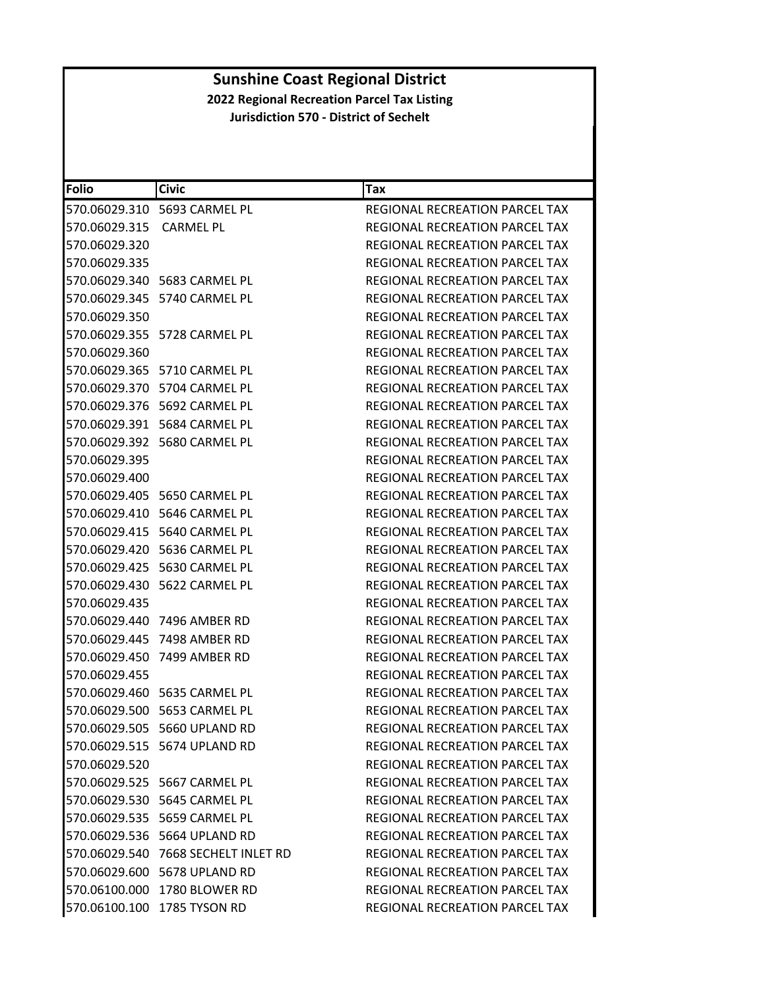| <b>Folio</b>  | <b>Civic</b>                        | Tax                                   |
|---------------|-------------------------------------|---------------------------------------|
|               | 570.06029.310 5693 CARMEL PL        | REGIONAL RECREATION PARCEL TAX        |
| 570.06029.315 | CARMEL PL                           | REGIONAL RECREATION PARCEL TAX        |
| 570.06029.320 |                                     | REGIONAL RECREATION PARCEL TAX        |
| 570.06029.335 |                                     | <b>REGIONAL RECREATION PARCEL TAX</b> |
|               | 570.06029.340    5683 CARMEL PL     | REGIONAL RECREATION PARCEL TAX        |
|               | 570.06029.345    5740 CARMEL PL     | <b>REGIONAL RECREATION PARCEL TAX</b> |
| 570.06029.350 |                                     | REGIONAL RECREATION PARCEL TAX        |
|               | 570.06029.355    5728 CARMEL PL     | REGIONAL RECREATION PARCEL TAX        |
| 570.06029.360 |                                     | REGIONAL RECREATION PARCEL TAX        |
|               | 570.06029.365 5710 CARMEL PL        | REGIONAL RECREATION PARCEL TAX        |
|               | 570.06029.370 5704 CARMEL PL        | REGIONAL RECREATION PARCEL TAX        |
|               | 570.06029.376    5692 CARMEL PL     | REGIONAL RECREATION PARCEL TAX        |
|               | 570.06029.391    5684 CARMEL PL     | REGIONAL RECREATION PARCEL TAX        |
|               | 570.06029.392    5680 CARMEL PL     | REGIONAL RECREATION PARCEL TAX        |
| 570.06029.395 |                                     | REGIONAL RECREATION PARCEL TAX        |
| 570.06029.400 |                                     | REGIONAL RECREATION PARCEL TAX        |
|               | 570.06029.405    5650 CARMEL PL     | REGIONAL RECREATION PARCEL TAX        |
|               | 570.06029.410    5646 CARMEL PL     | REGIONAL RECREATION PARCEL TAX        |
|               | 570.06029.415 5640 CARMEL PL        | <b>REGIONAL RECREATION PARCEL TAX</b> |
|               | 570.06029.420    5636 CARMEL PL     | REGIONAL RECREATION PARCEL TAX        |
|               | 570.06029.425    5630 CARMEL PL     | REGIONAL RECREATION PARCEL TAX        |
|               |                                     | REGIONAL RECREATION PARCEL TAX        |
| 570.06029.435 |                                     | REGIONAL RECREATION PARCEL TAX        |
|               | 570.06029.440 7496 AMBER RD         | REGIONAL RECREATION PARCEL TAX        |
|               | 570.06029.445 7498 AMBER RD         | REGIONAL RECREATION PARCEL TAX        |
|               | 570.06029.450 7499 AMBER RD         | REGIONAL RECREATION PARCEL TAX        |
| 570.06029.455 |                                     | REGIONAL RECREATION PARCEL TAX        |
|               | 570.06029.460    5635 CARMEL PL     | <b>REGIONAL RECREATION PARCEL TAX</b> |
|               | 570.06029.500 5653 CARMEL PL        | REGIONAL RECREATION PARCEL TAX        |
|               | 570.06029.505 5660 UPLAND RD        | REGIONAL RECREATION PARCEL TAX        |
|               | 570.06029.515 5674 UPLAND RD        | REGIONAL RECREATION PARCEL TAX        |
| 570.06029.520 |                                     | <b>REGIONAL RECREATION PARCEL TAX</b> |
|               | 570.06029.525    5667 CARMEL PL     | REGIONAL RECREATION PARCEL TAX        |
|               | 570.06029.530 5645 CARMEL PL        | REGIONAL RECREATION PARCEL TAX        |
|               |                                     | REGIONAL RECREATION PARCEL TAX        |
|               | 570.06029.536 5664 UPLAND RD        | REGIONAL RECREATION PARCEL TAX        |
|               | 570.06029.540 7668 SECHELT INLET RD | REGIONAL RECREATION PARCEL TAX        |
|               | 570.06029.600 5678 UPLAND RD        | <b>REGIONAL RECREATION PARCEL TAX</b> |
|               | 570.06100.000 1780 BLOWER RD        | REGIONAL RECREATION PARCEL TAX        |
|               | 570.06100.100 1785 TYSON RD         | REGIONAL RECREATION PARCEL TAX        |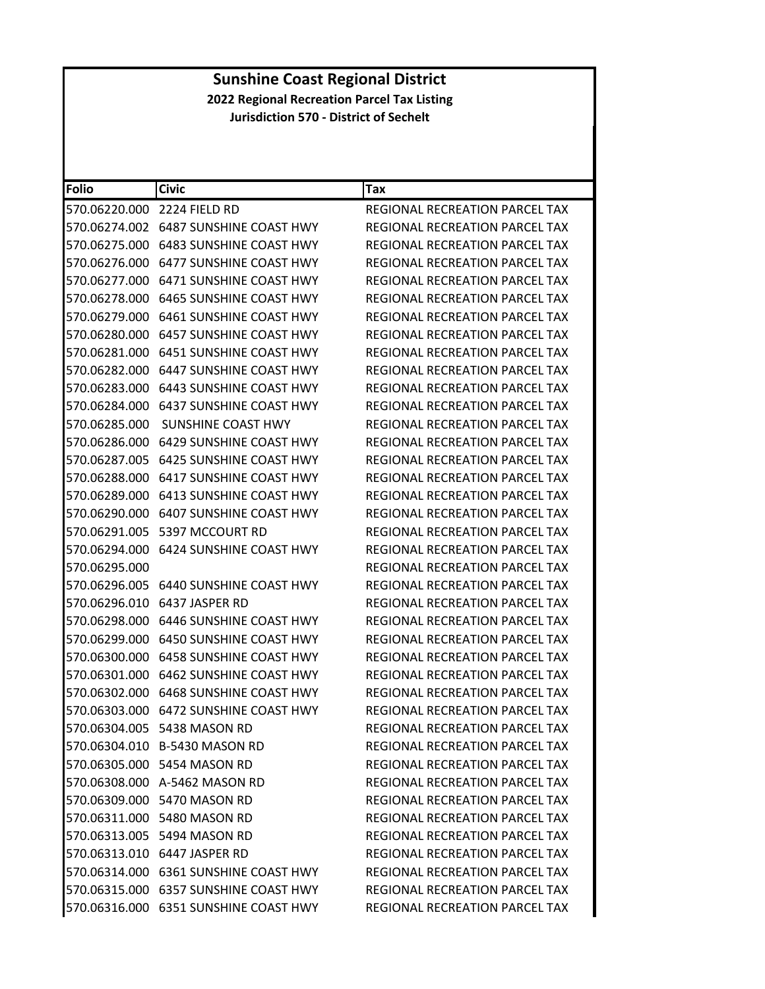| Folio         | <b>Civic</b>                             | Tax                                   |
|---------------|------------------------------------------|---------------------------------------|
| 570.06220.000 | 2224 FIELD RD                            | REGIONAL RECREATION PARCEL TAX        |
|               |                                          | REGIONAL RECREATION PARCEL TAX        |
|               | 570.06275.000 6483 SUNSHINE COAST HWY    | REGIONAL RECREATION PARCEL TAX        |
| 570.06276.000 | 6477 SUNSHINE COAST HWY                  | REGIONAL RECREATION PARCEL TAX        |
| 570.06277.000 | 6471 SUNSHINE COAST HWY                  | REGIONAL RECREATION PARCEL TAX        |
|               | 570.06278.000    6465 SUNSHINE COAST HWY | <b>REGIONAL RECREATION PARCEL TAX</b> |
| 570.06279.000 | 6461 SUNSHINE COAST HWY                  | REGIONAL RECREATION PARCEL TAX        |
| 570.06280.000 | 6457 SUNSHINE COAST HWY                  | REGIONAL RECREATION PARCEL TAX        |
| 570.06281.000 | 6451 SUNSHINE COAST HWY                  | REGIONAL RECREATION PARCEL TAX        |
| 570.06282.000 | 6447 SUNSHINE COAST HWY                  | REGIONAL RECREATION PARCEL TAX        |
|               | 570.06283.000 6443 SUNSHINE COAST HWY    | REGIONAL RECREATION PARCEL TAX        |
| 570.06284.000 | 6437 SUNSHINE COAST HWY                  | REGIONAL RECREATION PARCEL TAX        |
| 570.06285.000 | <b>SUNSHINE COAST HWY</b>                | REGIONAL RECREATION PARCEL TAX        |
| 570.06286.000 | <b>6429 SUNSHINE COAST HWY</b>           | REGIONAL RECREATION PARCEL TAX        |
| 570.06287.005 | 6425 SUNSHINE COAST HWY                  | <b>REGIONAL RECREATION PARCEL TAX</b> |
|               | 570.06288.000 6417 SUNSHINE COAST HWY    | REGIONAL RECREATION PARCEL TAX        |
| 570.06289.000 | 6413 SUNSHINE COAST HWY                  | REGIONAL RECREATION PARCEL TAX        |
| 570.06290.000 | 6407 SUNSHINE COAST HWY                  | REGIONAL RECREATION PARCEL TAX        |
| 570.06291.005 | 5397 MCCOURT RD                          | REGIONAL RECREATION PARCEL TAX        |
| 570.06294.000 | 6424 SUNSHINE COAST HWY                  | REGIONAL RECREATION PARCEL TAX        |
| 570.06295.000 |                                          | REGIONAL RECREATION PARCEL TAX        |
| 570.06296.005 | 6440 SUNSHINE COAST HWY                  | REGIONAL RECREATION PARCEL TAX        |
| 570.06296.010 | 6437 JASPER RD                           | REGIONAL RECREATION PARCEL TAX        |
| 570.06298.000 | 6446 SUNSHINE COAST HWY                  | REGIONAL RECREATION PARCEL TAX        |
| 570.06299.000 | 6450 SUNSHINE COAST HWY                  | REGIONAL RECREATION PARCEL TAX        |
|               | 570.06300.000    6458 SUNSHINE COAST HWY | REGIONAL RECREATION PARCEL TAX        |
| 570.06301.000 | 6462 SUNSHINE COAST HWY                  | REGIONAL RECREATION PARCEL TAX        |
| 570.06302.000 | 6468 SUNSHINE COAST HWY                  | REGIONAL RECREATION PARCEL TAX        |
| 570.06303.000 | 6472 SUNSHINE COAST HWY                  | <b>REGIONAL RECREATION PARCEL TAX</b> |
|               | 570.06304.005 5438 MASON RD              | REGIONAL RECREATION PARCEL TAX        |
|               | 570.06304.010 B-5430 MASON RD            | REGIONAL RECREATION PARCEL TAX        |
|               | 570.06305.000 5454 MASON RD              | <b>REGIONAL RECREATION PARCEL TAX</b> |
|               | 570.06308.000 A-5462 MASON RD            | REGIONAL RECREATION PARCEL TAX        |
|               | 570.06309.000 5470 MASON RD              | <b>REGIONAL RECREATION PARCEL TAX</b> |
|               | 570.06311.000 5480 MASON RD              | REGIONAL RECREATION PARCEL TAX        |
|               | 570.06313.005 5494 MASON RD              | REGIONAL RECREATION PARCEL TAX        |
|               | 570.06313.010 6447 JASPER RD             | REGIONAL RECREATION PARCEL TAX        |
|               | 570.06314.000 6361 SUNSHINE COAST HWY    | REGIONAL RECREATION PARCEL TAX        |
|               | 570.06315.000 6357 SUNSHINE COAST HWY    | REGIONAL RECREATION PARCEL TAX        |
|               | 570.06316.000 6351 SUNSHINE COAST HWY    | REGIONAL RECREATION PARCEL TAX        |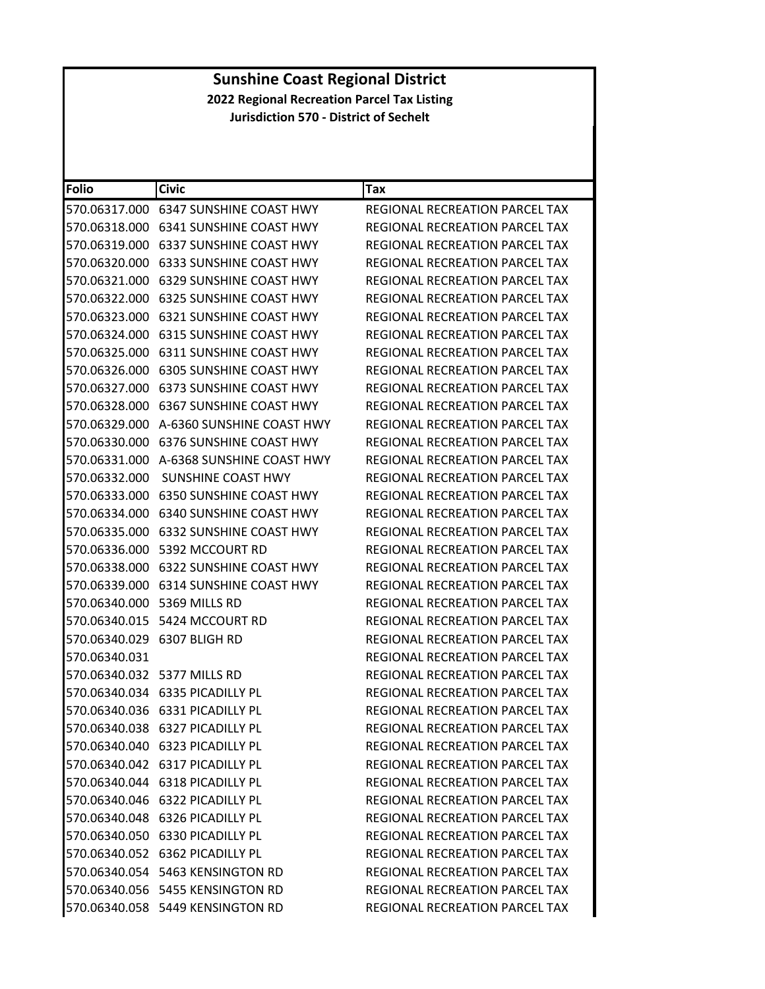| Folio         | <b>Civic</b>                             | Tax                                   |
|---------------|------------------------------------------|---------------------------------------|
| 570.06317.000 | 6347 SUNSHINE COAST HWY                  | REGIONAL RECREATION PARCEL TAX        |
|               | 570.06318.000 6341 SUNSHINE COAST HWY    | REGIONAL RECREATION PARCEL TAX        |
| 570.06319.000 | <b>6337 SUNSHINE COAST HWY</b>           | REGIONAL RECREATION PARCEL TAX        |
|               | 570.06320.000    6333 SUNSHINE COAST HWY | REGIONAL RECREATION PARCEL TAX        |
| 570.06321.000 | <b>6329 SUNSHINE COAST HWY</b>           | REGIONAL RECREATION PARCEL TAX        |
| 570.06322.000 | <b>6325 SUNSHINE COAST HWY</b>           | REGIONAL RECREATION PARCEL TAX        |
| 570.06323.000 | 6321 SUNSHINE COAST HWY                  | REGIONAL RECREATION PARCEL TAX        |
| 570.06324.000 | <b>6315 SUNSHINE COAST HWY</b>           | REGIONAL RECREATION PARCEL TAX        |
|               | 570.06325.000 6311 SUNSHINE COAST HWY    | REGIONAL RECREATION PARCEL TAX        |
| 570.06326.000 | <b>6305 SUNSHINE COAST HWY</b>           | REGIONAL RECREATION PARCEL TAX        |
| 570.06327.000 | <b>6373 SUNSHINE COAST HWY</b>           | REGIONAL RECREATION PARCEL TAX        |
|               | 570.06328.000 6367 SUNSHINE COAST HWY    | REGIONAL RECREATION PARCEL TAX        |
| 570.06329.000 | A-6360 SUNSHINE COAST HWY                | REGIONAL RECREATION PARCEL TAX        |
|               | 570.06330.000 6376 SUNSHINE COAST HWY    | REGIONAL RECREATION PARCEL TAX        |
| 570.06331.000 | A-6368 SUNSHINE COAST HWY                | REGIONAL RECREATION PARCEL TAX        |
| 570.06332.000 | SUNSHINE COAST HWY                       | REGIONAL RECREATION PARCEL TAX        |
|               | 570.06333.000 6350 SUNSHINE COAST HWY    | REGIONAL RECREATION PARCEL TAX        |
| 570.06334.000 | 6340 SUNSHINE COAST HWY                  | REGIONAL RECREATION PARCEL TAX        |
|               | 570.06335.000 6332 SUNSHINE COAST HWY    | REGIONAL RECREATION PARCEL TAX        |
|               | 570.06336.000    5392 MCCOURT RD         | REGIONAL RECREATION PARCEL TAX        |
| 570.06338.000 | <b>6322 SUNSHINE COAST HWY</b>           | REGIONAL RECREATION PARCEL TAX        |
|               | 570.06339.000 6314 SUNSHINE COAST HWY    | REGIONAL RECREATION PARCEL TAX        |
| 570.06340.000 | 5369 MILLS RD                            | REGIONAL RECREATION PARCEL TAX        |
|               | 570.06340.015    5424 MCCOURT RD         | REGIONAL RECREATION PARCEL TAX        |
|               | 570.06340.029 6307 BLIGH RD              | REGIONAL RECREATION PARCEL TAX        |
| 570.06340.031 |                                          | REGIONAL RECREATION PARCEL TAX        |
|               | 570.06340.032 5377 MILLS RD              | REGIONAL RECREATION PARCEL TAX        |
|               | 570.06340.034 6335 PICADILLY PL          | REGIONAL RECREATION PARCEL TAX        |
|               | 570.06340.036 6331 PICADILLY PL          | REGIONAL RECREATION PARCEL TAX        |
|               | 570.06340.038 6327 PICADILLY PL          | REGIONAL RECREATION PARCEL TAX        |
|               | 570.06340.040 6323 PICADILLY PL          | REGIONAL RECREATION PARCEL TAX        |
|               | 570.06340.042 6317 PICADILLY PL          | REGIONAL RECREATION PARCEL TAX        |
|               | 570.06340.044 6318 PICADILLY PL          | <b>REGIONAL RECREATION PARCEL TAX</b> |
|               | 570.06340.046 6322 PICADILLY PL          | <b>REGIONAL RECREATION PARCEL TAX</b> |
|               | 570.06340.048 6326 PICADILLY PL          | REGIONAL RECREATION PARCEL TAX        |
|               | 570.06340.050 6330 PICADILLY PL          | REGIONAL RECREATION PARCEL TAX        |
|               | 570.06340.052 6362 PICADILLY PL          | REGIONAL RECREATION PARCEL TAX        |
|               | 570.06340.054 5463 KENSINGTON RD         | <b>REGIONAL RECREATION PARCEL TAX</b> |
|               | 570.06340.056    5455 KENSINGTON RD      | REGIONAL RECREATION PARCEL TAX        |
|               | 570.06340.058 5449 KENSINGTON RD         | REGIONAL RECREATION PARCEL TAX        |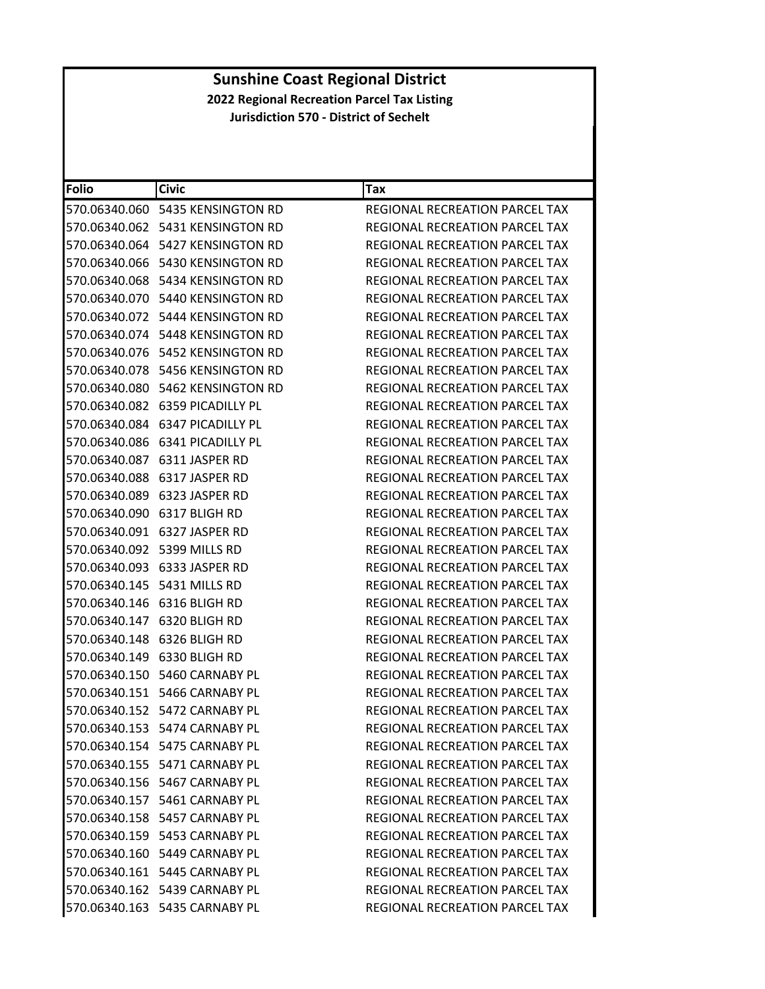| <b>Folio</b> | <b>Civic</b>                           | Tax                                   |
|--------------|----------------------------------------|---------------------------------------|
|              | 570.06340.060    5435 KENSINGTON RD    | REGIONAL RECREATION PARCEL TAX        |
|              | 570.06340.062    5431 KENSINGTON RD    | REGIONAL RECREATION PARCEL TAX        |
|              | 570.06340.064 5427 KENSINGTON RD       | REGIONAL RECREATION PARCEL TAX        |
|              | 570.06340.066    5430 KENSINGTON RD    | REGIONAL RECREATION PARCEL TAX        |
|              | 570.06340.068 5434 KENSINGTON RD       | REGIONAL RECREATION PARCEL TAX        |
|              | 570.06340.070 5440 KENSINGTON RD       | REGIONAL RECREATION PARCEL TAX        |
|              | 570.06340.072 5444 KENSINGTON RD       | REGIONAL RECREATION PARCEL TAX        |
|              | 570.06340.074 5448 KENSINGTON RD       | REGIONAL RECREATION PARCEL TAX        |
|              | 570.06340.076    5452    KENSINGTON RD | <b>REGIONAL RECREATION PARCEL TAX</b> |
|              | 570.06340.078 5456 KENSINGTON RD       | REGIONAL RECREATION PARCEL TAX        |
|              | 570.06340.080    5462 KENSINGTON RD    | REGIONAL RECREATION PARCEL TAX        |
|              | 570.06340.082 6359 PICADILLY PL        | REGIONAL RECREATION PARCEL TAX        |
|              | 570.06340.084 6347 PICADILLY PL        | REGIONAL RECREATION PARCEL TAX        |
|              | 570.06340.086 6341 PICADILLY PL        | <b>REGIONAL RECREATION PARCEL TAX</b> |
|              | 570.06340.087 6311 JASPER RD           | REGIONAL RECREATION PARCEL TAX        |
|              | 570.06340.088 6317 JASPER RD           | REGIONAL RECREATION PARCEL TAX        |
|              | 570.06340.089 6323 JASPER RD           | <b>REGIONAL RECREATION PARCEL TAX</b> |
|              | 570.06340.090 6317 BLIGH RD            | REGIONAL RECREATION PARCEL TAX        |
|              | 570.06340.091 6327 JASPER RD           | REGIONAL RECREATION PARCEL TAX        |
|              | 570.06340.092 5399 MILLS RD            | REGIONAL RECREATION PARCEL TAX        |
|              | 570.06340.093 6333 JASPER RD           | REGIONAL RECREATION PARCEL TAX        |
|              | 570.06340.145    5431 MILLS RD         | REGIONAL RECREATION PARCEL TAX        |
|              | 570.06340.146 6316 BLIGH RD            | REGIONAL RECREATION PARCEL TAX        |
|              | 570.06340.147 6320 BLIGH RD            | REGIONAL RECREATION PARCEL TAX        |
|              | 570.06340.148 6326 BLIGH RD            | REGIONAL RECREATION PARCEL TAX        |
|              | 570.06340.149 6330 BLIGH RD            | REGIONAL RECREATION PARCEL TAX        |
|              | 570.06340.150 5460 CARNABY PL          | REGIONAL RECREATION PARCEL TAX        |
|              | 570.06340.151 5466 CARNABY PL          | <b>REGIONAL RECREATION PARCEL TAX</b> |
|              | 570.06340.152 5472 CARNABY PL          | REGIONAL RECREATION PARCEL TAX        |
|              | 570.06340.153 5474 CARNARY PL          | REGIONAL RECREATION PARCEL TAX        |
|              | 570.06340.154 5475 CARNABY PL          | <b>REGIONAL RECREATION PARCEL TAX</b> |
|              | 570.06340.155 5471 CARNABY PL          | REGIONAL RECREATION PARCEL TAX        |
|              | 570.06340.156 5467 CARNABY PL          | REGIONAL RECREATION PARCEL TAX        |
|              | 570.06340.157 5461 CARNABY PL          | REGIONAL RECREATION PARCEL TAX        |
|              | 570.06340.158 5457 CARNABY PL          | REGIONAL RECREATION PARCEL TAX        |
|              | 570.06340.159 5453 CARNABY PL          | <b>REGIONAL RECREATION PARCEL TAX</b> |
|              | 570.06340.160 5449 CARNABY PL          | REGIONAL RECREATION PARCEL TAX        |
|              | 570.06340.161 5445 CARNABY PL          | <b>REGIONAL RECREATION PARCEL TAX</b> |
|              | 570.06340.162 5439 CARNABY PL          | <b>REGIONAL RECREATION PARCEL TAX</b> |
|              | 570.06340.163 5435 CARNABY PL          | REGIONAL RECREATION PARCEL TAX        |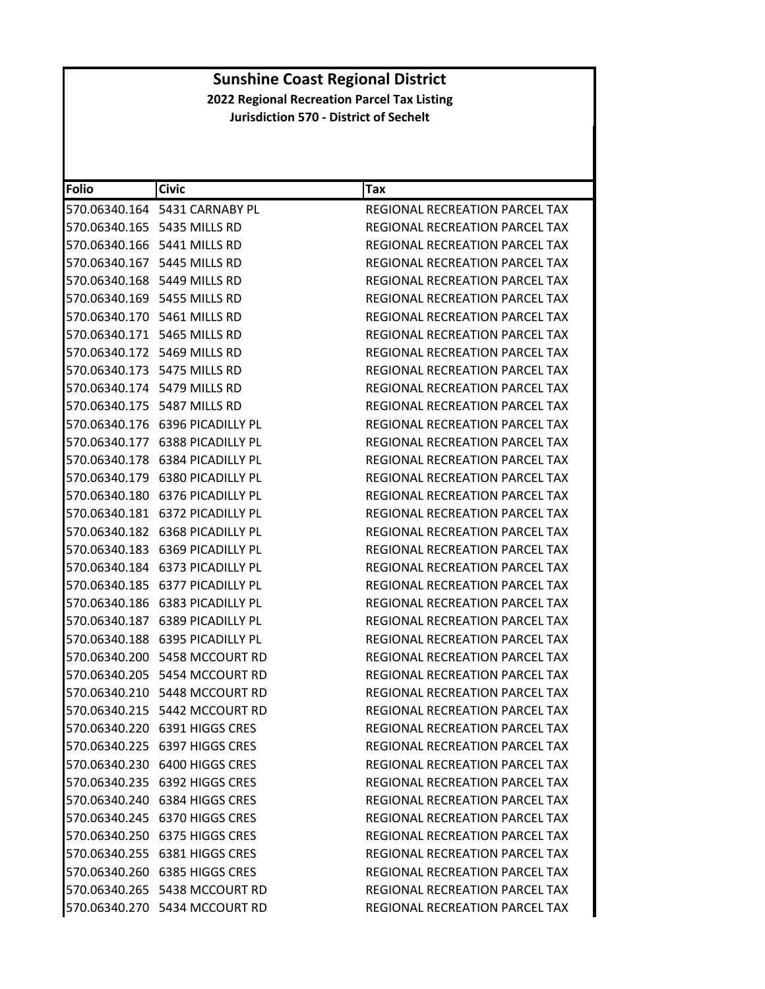| Folio | <b>Civic</b>                          | Tax                                   |
|-------|---------------------------------------|---------------------------------------|
|       | 570.06340.164    5431 CARNABY PL      | REGIONAL RECREATION PARCEL TAX        |
|       | 570.06340.165 5435 MILLS RD           | REGIONAL RECREATION PARCEL TAX        |
|       | 570.06340.166    5441 MILLS RD        | REGIONAL RECREATION PARCEL TAX        |
|       | 570.06340.167 5445 MILLS RD           | REGIONAL RECREATION PARCEL TAX        |
|       | 570.06340.168 5449 MILLS RD           | REGIONAL RECREATION PARCEL TAX        |
|       | 570.06340.169 5455 MILLS RD           | REGIONAL RECREATION PARCEL TAX        |
|       | 570.06340.170 5461 MILLS RD           | REGIONAL RECREATION PARCEL TAX        |
|       | 570.06340.171 5465 MILLS RD           | REGIONAL RECREATION PARCEL TAX        |
|       | 570.06340.172 5469 MILLS RD           | <b>REGIONAL RECREATION PARCEL TAX</b> |
|       | 570.06340.173    5475 MILLS RD        | REGIONAL RECREATION PARCEL TAX        |
|       | 570.06340.174 5479 MILLS RD           | REGIONAL RECREATION PARCEL TAX        |
|       | 570.06340.175    5487 MILLS RD        | REGIONAL RECREATION PARCEL TAX        |
|       | 570.06340.176    6396 PICADILLY PL    | REGIONAL RECREATION PARCEL TAX        |
|       | 570.06340.177 6388 PICADILLY PL       | <b>REGIONAL RECREATION PARCEL TAX</b> |
|       | 570.06340.178 6384 PICADILLY PL       | REGIONAL RECREATION PARCEL TAX        |
|       | 570.06340.179 6380 PICADILLY PL       | REGIONAL RECREATION PARCEL TAX        |
|       | 570.06340.180 6376 PICADILLY PL       | REGIONAL RECREATION PARCEL TAX        |
|       | 570.06340.181 6372 PICADILLY PL       | REGIONAL RECREATION PARCEL TAX        |
|       | 570.06340.182 6368 PICADILLY PL       | REGIONAL RECREATION PARCEL TAX        |
|       | 570.06340.183 6369 PICADILLY PL       | REGIONAL RECREATION PARCEL TAX        |
|       | 570.06340.184 6373 PICADILLY PL       | REGIONAL RECREATION PARCEL TAX        |
|       | 570.06340.185 6377 PICADILLY PL       | REGIONAL RECREATION PARCEL TAX        |
|       | 570.06340.186    6383    PICADILLY PL | REGIONAL RECREATION PARCEL TAX        |
|       | 570.06340.187 6389 PICADILLY PL       | REGIONAL RECREATION PARCEL TAX        |
|       | 570.06340.188 6395 PICADILLY PL       | REGIONAL RECREATION PARCEL TAX        |
|       | 570.06340.200 5458 MCCOURT RD         | REGIONAL RECREATION PARCEL TAX        |
|       | 570.06340.205    5454 MCCOURT RD      | REGIONAL RECREATION PARCEL TAX        |
|       | 570.06340.210    5448 MCCOURT RD      | REGIONAL RECREATION PARCEL TAX        |
|       | 570.06340.215 5442 MCCOURT RD         | REGIONAL RECREATION PARCEL TAX        |
|       | 570.06340.220 6391 HIGGS CRES         | REGIONAL RECREATION PARCEL TAX        |
|       | 570.06340.225 6397 HIGGS CRES         | REGIONAL RECREATION PARCEL TAX        |
|       | 570.06340.230 6400 HIGGS CRES         | <b>REGIONAL RECREATION PARCEL TAX</b> |
|       | 570.06340.235 6392 HIGGS CRES         | REGIONAL RECREATION PARCEL TAX        |
|       | 570.06340.240 6384 HIGGS CRES         | <b>REGIONAL RECREATION PARCEL TAX</b> |
|       | 570.06340.245 6370 HIGGS CRES         | REGIONAL RECREATION PARCEL TAX        |
|       | 570.06340.250 6375 HIGGS CRES         | REGIONAL RECREATION PARCEL TAX        |
|       | 570.06340.255 6381 HIGGS CRES         | <b>REGIONAL RECREATION PARCEL TAX</b> |
|       | 570.06340.260 6385 HIGGS CRES         | REGIONAL RECREATION PARCEL TAX        |
|       | 570.06340.265 5438 MCCOURT RD         | REGIONAL RECREATION PARCEL TAX        |
|       | 570.06340.270 5434 MCCOURT RD         | REGIONAL RECREATION PARCEL TAX        |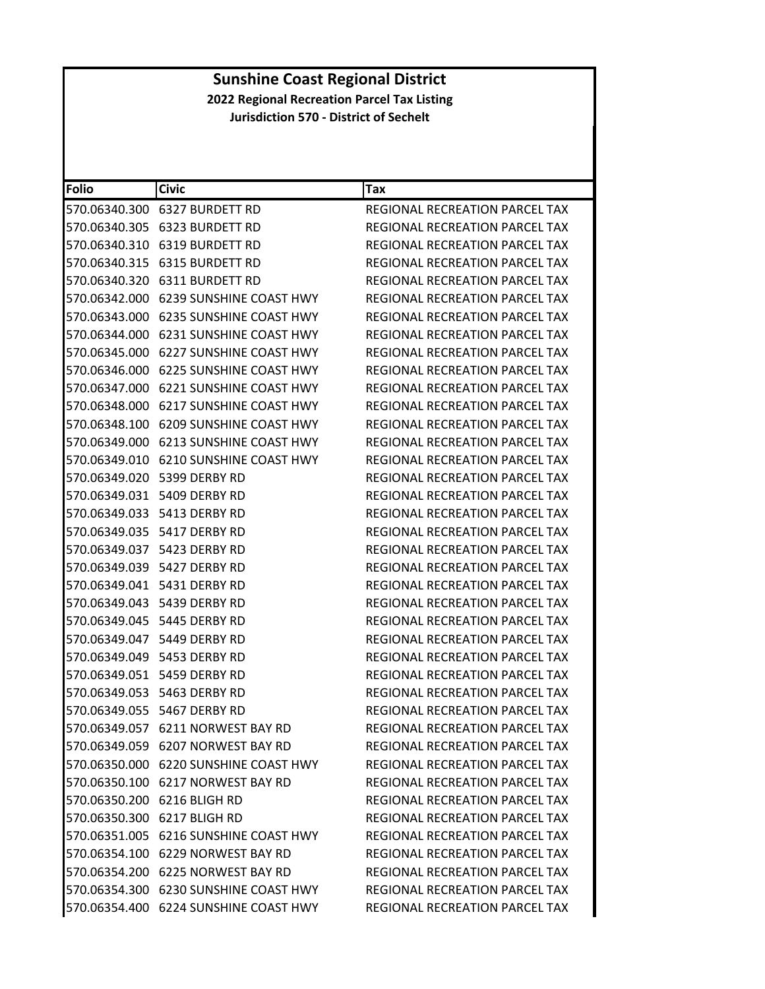| Folio         | Civic                                 | Tax                                   |
|---------------|---------------------------------------|---------------------------------------|
| 570.06340.300 | <b>6327 BURDETT RD</b>                | REGIONAL RECREATION PARCEL TAX        |
|               | 570.06340.305 6323 BURDETT RD         | REGIONAL RECREATION PARCEL TAX        |
| 570.06340.310 | <b>6319 BURDETT RD</b>                | <b>REGIONAL RECREATION PARCEL TAX</b> |
| 570.06340.315 | <b>6315 BURDETT RD</b>                | REGIONAL RECREATION PARCEL TAX        |
|               | 570.06340.320 6311 BURDETT RD         | REGIONAL RECREATION PARCEL TAX        |
| 570.06342.000 | <b>6239 SUNSHINE COAST HWY</b>        | REGIONAL RECREATION PARCEL TAX        |
|               | 570.06343.000 6235 SUNSHINE COAST HWY | REGIONAL RECREATION PARCEL TAX        |
|               | 570.06344.000 6231 SUNSHINE COAST HWY | REGIONAL RECREATION PARCEL TAX        |
| 570.06345.000 | <b>6227 SUNSHINE COAST HWY</b>        | REGIONAL RECREATION PARCEL TAX        |
|               | 570.06346.000 6225 SUNSHINE COAST HWY | REGIONAL RECREATION PARCEL TAX        |
| 570.06347.000 | <b>6221 SUNSHINE COAST HWY</b>        | REGIONAL RECREATION PARCEL TAX        |
|               | 570.06348.000 6217 SUNSHINE COAST HWY | REGIONAL RECREATION PARCEL TAX        |
|               | 570.06348.100 6209 SUNSHINE COAST HWY | <b>REGIONAL RECREATION PARCEL TAX</b> |
| 570.06349.000 | <b>6213 SUNSHINE COAST HWY</b>        | REGIONAL RECREATION PARCEL TAX        |
|               | 570.06349.010 6210 SUNSHINE COAST HWY | REGIONAL RECREATION PARCEL TAX        |
| 570.06349.020 | 5399 DERBY RD                         | REGIONAL RECREATION PARCEL TAX        |
|               | 570.06349.031 5409 DERBY RD           | REGIONAL RECREATION PARCEL TAX        |
|               | 570.06349.033 5413 DERBY RD           | REGIONAL RECREATION PARCEL TAX        |
| 570.06349.035 | 5417 DERBY RD                         | <b>REGIONAL RECREATION PARCEL TAX</b> |
|               | 570.06349.037 5423 DERBY RD           | REGIONAL RECREATION PARCEL TAX        |
|               | 570.06349.039 5427 DERBY RD           | REGIONAL RECREATION PARCEL TAX        |
|               | 570.06349.041 5431 DERBY RD           | REGIONAL RECREATION PARCEL TAX        |
|               | 570.06349.043 5439 DERBY RD           | REGIONAL RECREATION PARCEL TAX        |
|               | 570.06349.045 5445 DERBY RD           | REGIONAL RECREATION PARCEL TAX        |
|               | 570.06349.047 5449 DERBY RD           | REGIONAL RECREATION PARCEL TAX        |
|               | 570.06349.049    5453 DERBY RD        | <b>REGIONAL RECREATION PARCEL TAX</b> |
|               | 570.06349.051 5459 DERBY RD           | REGIONAL RECREATION PARCEL TAX        |
|               | 570.06349.053 5463 DERBY RD           | REGIONAL RECREATION PARCEL TAX        |
|               | 570.06349.055 5467 DERBY RD           | <b>REGIONAL RECREATION PARCEL TAX</b> |
|               | 570.06349.057 6211 NORWEST BAY RD     | REGIONAL RECREATION PARCEL TAX        |
|               | 570.06349.059 6207 NORWEST BAY RD     | <b>REGIONAL RECREATION PARCEL TAX</b> |
|               | 570.06350.000 6220 SUNSHINE COAST HWY | REGIONAL RECREATION PARCEL TAX        |
|               | 570.06350.100 6217 NORWEST BAY RD     | <b>REGIONAL RECREATION PARCEL TAX</b> |
|               | 570.06350.200 6216 BLIGH RD           | REGIONAL RECREATION PARCEL TAX        |
|               | 570.06350.300 6217 BLIGH RD           | REGIONAL RECREATION PARCEL TAX        |
|               | 570.06351.005 6216 SUNSHINE COAST HWY | REGIONAL RECREATION PARCEL TAX        |
|               | 570.06354.100 6229 NORWEST BAY RD     | REGIONAL RECREATION PARCEL TAX        |
|               | 570.06354.200 6225 NORWEST BAY RD     | REGIONAL RECREATION PARCEL TAX        |
|               | 570.06354.300 6230 SUNSHINE COAST HWY | <b>REGIONAL RECREATION PARCEL TAX</b> |
|               | 570.06354.400 6224 SUNSHINE COAST HWY | REGIONAL RECREATION PARCEL TAX        |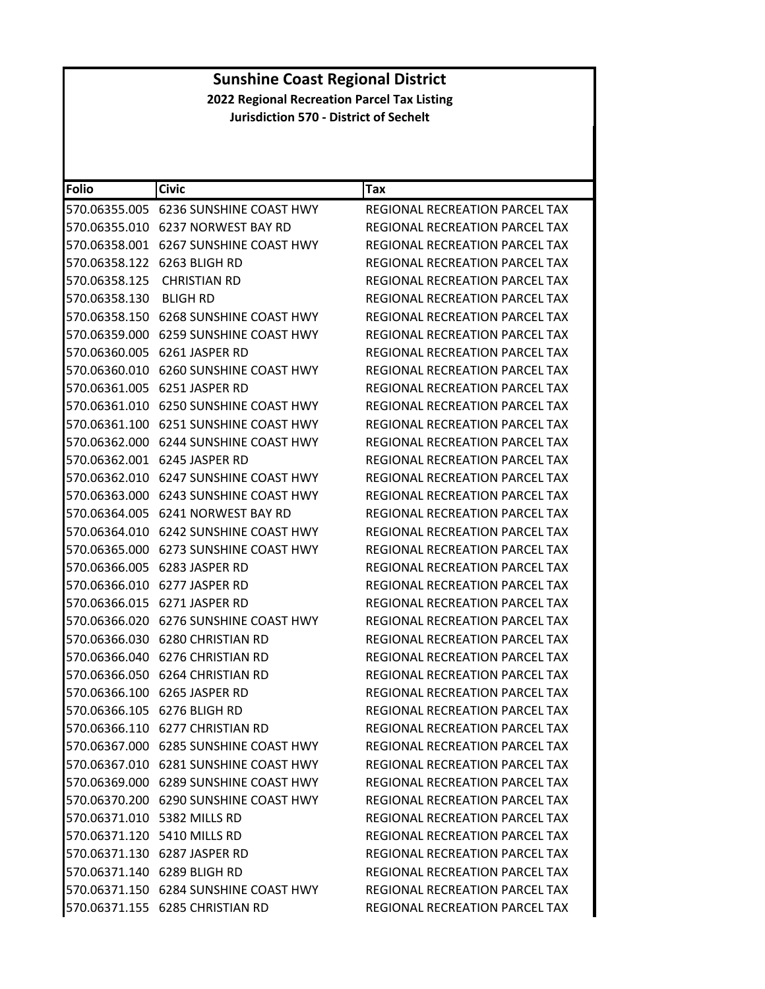| <b>Folio</b>  | <b>Civic</b>                             | Tax                                   |
|---------------|------------------------------------------|---------------------------------------|
| 570.06355.005 | 6236 SUNSHINE COAST HWY                  | <b>REGIONAL RECREATION PARCEL TAX</b> |
| 570.06355.010 | 6237 NORWEST BAY RD                      | REGIONAL RECREATION PARCEL TAX        |
| 570.06358.001 | <b>6267 SUNSHINE COAST HWY</b>           | <b>REGIONAL RECREATION PARCEL TAX</b> |
|               | 570.06358.122 6263 BLIGH RD              | REGIONAL RECREATION PARCEL TAX        |
| 570.06358.125 | <b>CHRISTIAN RD</b>                      | REGIONAL RECREATION PARCEL TAX        |
| 570.06358.130 | BLIGH RD                                 | REGIONAL RECREATION PARCEL TAX        |
| 570.06358.150 | <b>6268 SUNSHINE COAST HWY</b>           | REGIONAL RECREATION PARCEL TAX        |
| 570.06359.000 | 6259 SUNSHINE COAST HWY                  | REGIONAL RECREATION PARCEL TAX        |
|               | 570.06360.005 6261 JASPER RD             | REGIONAL RECREATION PARCEL TAX        |
| 570.06360.010 | 6260 SUNSHINE COAST HWY                  | <b>REGIONAL RECREATION PARCEL TAX</b> |
|               | 570.06361.005 6251 JASPER RD             | REGIONAL RECREATION PARCEL TAX        |
|               |                                          | REGIONAL RECREATION PARCEL TAX        |
| 570.06361.100 | <b>6251 SUNSHINE COAST HWY</b>           | REGIONAL RECREATION PARCEL TAX        |
|               | 570.06362.000    6244 SUNSHINE COAST HWY | REGIONAL RECREATION PARCEL TAX        |
|               |                                          | REGIONAL RECREATION PARCEL TAX        |
|               | 570.06362.010    6247 SUNSHINE COAST HWY | REGIONAL RECREATION PARCEL TAX        |
|               | 570.06363.000 6243 SUNSHINE COAST HWY    | REGIONAL RECREATION PARCEL TAX        |
| 570.06364.005 | 6241 NORWEST BAY RD                      | <b>REGIONAL RECREATION PARCEL TAX</b> |
|               |                                          | REGIONAL RECREATION PARCEL TAX        |
| 570.06365.000 | <b>6273 SUNSHINE COAST HWY</b>           | REGIONAL RECREATION PARCEL TAX        |
| 570.06366.005 | 6283 JASPER RD                           | REGIONAL RECREATION PARCEL TAX        |
|               | 570.06366.010 6277 JASPER RD             | REGIONAL RECREATION PARCEL TAX        |
| 570.06366.015 | 6271 JASPER RD                           | REGIONAL RECREATION PARCEL TAX        |
|               | 570.06366.020    6276 SUNSHINE COAST HWY | REGIONAL RECREATION PARCEL TAX        |
| 570.06366.030 | <b>6280 CHRISTIAN RD</b>                 | REGIONAL RECREATION PARCEL TAX        |
| 570.06366.040 | <b>6276 CHRISTIAN RD</b>                 | REGIONAL RECREATION PARCEL TAX        |
|               | 570.06366.050 6264 CHRISTIAN RD          | REGIONAL RECREATION PARCEL TAX        |
|               | 570.06366.100 6265 JASPER RD             | REGIONAL RECREATION PARCEL TAX        |
|               | 570.06366.105 6276 BLIGH RD              | REGIONAL RECREATION PARCEL TAX        |
|               | 570.06366.110 6277 CHRISTIAN RD          | REGIONAL RECREATION PARCEL TAX        |
|               | 570.06367.000 6285 SUNSHINE COAST HWY    | REGIONAL RECREATION PARCEL TAX        |
|               | 570.06367.010 6281 SUNSHINE COAST HWY    | REGIONAL RECREATION PARCEL TAX        |
|               | 570.06369.000    6289 SUNSHINE COAST HWY | <b>REGIONAL RECREATION PARCEL TAX</b> |
|               | 570.06370.200 6290 SUNSHINE COAST HWY    | <b>REGIONAL RECREATION PARCEL TAX</b> |
|               | 570.06371.010 5382 MILLS RD              | <b>REGIONAL RECREATION PARCEL TAX</b> |
|               | 570.06371.120 5410 MILLS RD              | REGIONAL RECREATION PARCEL TAX        |
|               | 570.06371.130 6287 JASPER RD             | <b>REGIONAL RECREATION PARCEL TAX</b> |
|               | 570.06371.140 6289 BLIGH RD              | <b>REGIONAL RECREATION PARCEL TAX</b> |
|               | 570.06371.150 6284 SUNSHINE COAST HWY    | REGIONAL RECREATION PARCEL TAX        |
|               | 570.06371.155 6285 CHRISTIAN RD          | REGIONAL RECREATION PARCEL TAX        |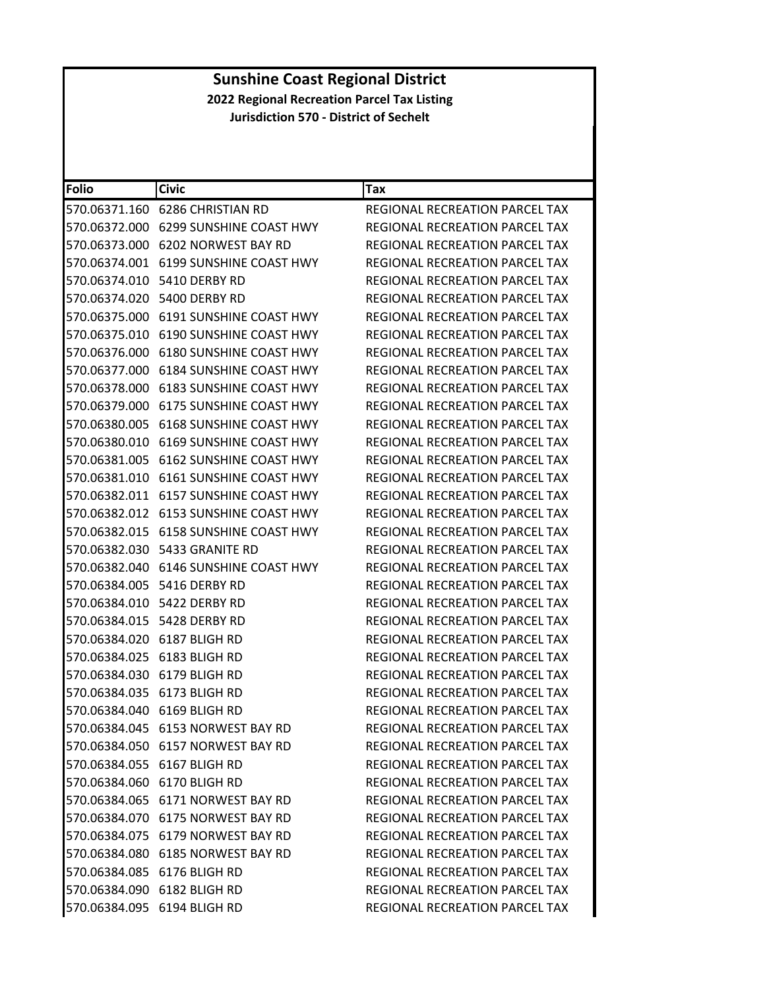| Folio         | <b>Civic</b>                             | Tax                                   |
|---------------|------------------------------------------|---------------------------------------|
| 570.06371.160 | <b>6286 CHRISTIAN RD</b>                 | REGIONAL RECREATION PARCEL TAX        |
| 570.06372.000 | <b>6299 SUNSHINE COAST HWY</b>           | REGIONAL RECREATION PARCEL TAX        |
| 570.06373.000 | 6202 NORWEST BAY RD                      | REGIONAL RECREATION PARCEL TAX        |
| 570.06374.001 | <b>6199 SUNSHINE COAST HWY</b>           | REGIONAL RECREATION PARCEL TAX        |
| 570.06374.010 | 5410 DERBY RD                            | REGIONAL RECREATION PARCEL TAX        |
| 570.06374.020 | 5400 DERBY RD                            | REGIONAL RECREATION PARCEL TAX        |
|               | 570.06375.000 6191 SUNSHINE COAST HWY    | REGIONAL RECREATION PARCEL TAX        |
| 570.06375.010 | 6190 SUNSHINE COAST HWY                  | REGIONAL RECREATION PARCEL TAX        |
| 570.06376.000 | 6180 SUNSHINE COAST HWY                  | REGIONAL RECREATION PARCEL TAX        |
| 570.06377.000 | 6184 SUNSHINE COAST HWY                  | REGIONAL RECREATION PARCEL TAX        |
| 570.06378.000 | <b>6183 SUNSHINE COAST HWY</b>           | REGIONAL RECREATION PARCEL TAX        |
|               | 570.06379.000 6175 SUNSHINE COAST HWY    | REGIONAL RECREATION PARCEL TAX        |
| 570.06380.005 | <b>6168 SUNSHINE COAST HWY</b>           | <b>REGIONAL RECREATION PARCEL TAX</b> |
| 570.06380.010 | <b>6169 SUNSHINE COAST HWY</b>           | <b>REGIONAL RECREATION PARCEL TAX</b> |
|               | 570.06381.005    6162 SUNSHINE COAST HWY | REGIONAL RECREATION PARCEL TAX        |
| 570.06381.010 | <b>6161 SUNSHINE COAST HWY</b>           | REGIONAL RECREATION PARCEL TAX        |
|               | 570.06382.011 6157 SUNSHINE COAST HWY    | REGIONAL RECREATION PARCEL TAX        |
| 570.06382.012 | 6153 SUNSHINE COAST HWY                  | REGIONAL RECREATION PARCEL TAX        |
| 570.06382.015 | 6158 SUNSHINE COAST HWY                  | <b>REGIONAL RECREATION PARCEL TAX</b> |
|               | 570.06382.030    5433    GRANITE RD      | REGIONAL RECREATION PARCEL TAX        |
| 570.06382.040 | 6146 SUNSHINE COAST HWY                  | <b>REGIONAL RECREATION PARCEL TAX</b> |
|               | 570.06384.005    5416 DERBY RD           | REGIONAL RECREATION PARCEL TAX        |
| 570.06384.010 | 5422 DERBY RD                            | REGIONAL RECREATION PARCEL TAX        |
| 570.06384.015 | 5428 DERBY RD                            | REGIONAL RECREATION PARCEL TAX        |
|               | 570.06384.020 6187 BLIGH RD              | REGIONAL RECREATION PARCEL TAX        |
| 570.06384.025 | 6183 BLIGH RD                            | REGIONAL RECREATION PARCEL TAX        |
|               | 570.06384.030 6179 BLIGH RD              | <b>REGIONAL RECREATION PARCEL TAX</b> |
|               | 570.06384.035 6173 BLIGH RD              | REGIONAL RECREATION PARCEL TAX        |
|               | 570.06384.040 6169 BLIGH RD              | REGIONAL RECREATION PARCEL TAX        |
|               | 570.06384.045 6153 NORWEST BAY RD        | REGIONAL RECREATION PARCEL TAX        |
|               | 570.06384.050 6157 NORWEST BAY RD        | REGIONAL RECREATION PARCEL TAX        |
|               | 570.06384.055 6167 BLIGH RD              | REGIONAL RECREATION PARCEL TAX        |
|               | 570.06384.060 6170 BLIGH RD              | <b>REGIONAL RECREATION PARCEL TAX</b> |
|               | 570.06384.065 6171 NORWEST BAY RD        | <b>REGIONAL RECREATION PARCEL TAX</b> |
|               | 570.06384.070 6175 NORWEST BAY RD        | REGIONAL RECREATION PARCEL TAX        |
|               | 570.06384.075 6179 NORWEST BAY RD        | REGIONAL RECREATION PARCEL TAX        |
|               | 570.06384.080 6185 NORWEST BAY RD        | REGIONAL RECREATION PARCEL TAX        |
|               | 570.06384.085 6176 BLIGH RD              | REGIONAL RECREATION PARCEL TAX        |
|               | 570.06384.090 6182 BLIGH RD              | REGIONAL RECREATION PARCEL TAX        |
|               | 570.06384.095 6194 BLIGH RD              | REGIONAL RECREATION PARCEL TAX        |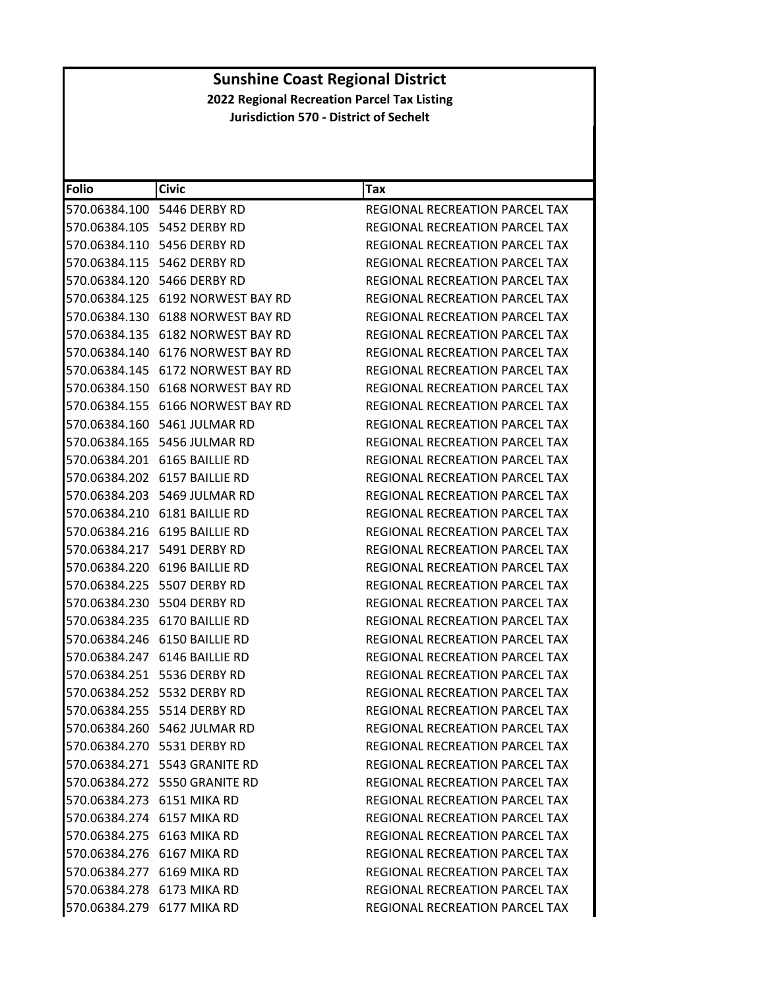| Folio                      | <b>Civic</b>                         | Tax                                   |
|----------------------------|--------------------------------------|---------------------------------------|
|                            | 570.06384.100    5446 DERBY RD       | REGIONAL RECREATION PARCEL TAX        |
|                            | 570.06384.105 5452 DERBY RD          | REGIONAL RECREATION PARCEL TAX        |
|                            | 570.06384.110 5456 DERBY RD          | REGIONAL RECREATION PARCEL TAX        |
|                            | 570.06384.115    5462 DERBY RD       | REGIONAL RECREATION PARCEL TAX        |
|                            | 570.06384.120 5466 DERBY RD          | REGIONAL RECREATION PARCEL TAX        |
|                            |                                      | <b>REGIONAL RECREATION PARCEL TAX</b> |
|                            | 570.06384.130 6188 NORWEST BAY RD    | REGIONAL RECREATION PARCEL TAX        |
|                            | 570.06384.135 6182 NORWEST BAY RD    | REGIONAL RECREATION PARCEL TAX        |
|                            | 570.06384.140 6176 NORWEST BAY RD    | <b>REGIONAL RECREATION PARCEL TAX</b> |
|                            | 570.06384.145    6172 NORWEST BAY RD | REGIONAL RECREATION PARCEL TAX        |
|                            | 570.06384.150    6168 NORWEST BAY RD | REGIONAL RECREATION PARCEL TAX        |
|                            | 570.06384.155 6166 NORWEST BAY RD    | REGIONAL RECREATION PARCEL TAX        |
|                            | 570.06384.160 5461 JULMAR RD         | REGIONAL RECREATION PARCEL TAX        |
|                            | 570.06384.165 5456 JULMAR RD         | REGIONAL RECREATION PARCEL TAX        |
|                            | 570.06384.201 6165 BAILLIE RD        | REGIONAL RECREATION PARCEL TAX        |
|                            | 570.06384.202 6157 BAILLIE RD        | REGIONAL RECREATION PARCEL TAX        |
|                            | 570.06384.203 5469 JULMAR RD         | REGIONAL RECREATION PARCEL TAX        |
|                            | 570.06384.210    6181    BAILLIE RD  | REGIONAL RECREATION PARCEL TAX        |
|                            | 570.06384.216 6195 BAILLIE RD        | REGIONAL RECREATION PARCEL TAX        |
|                            | 570.06384.217    5491 DERBY RD       | REGIONAL RECREATION PARCEL TAX        |
|                            | 570.06384.220 6196 BAILLIE RD        | REGIONAL RECREATION PARCEL TAX        |
|                            | 570.06384.225 5507 DERBY RD          | REGIONAL RECREATION PARCEL TAX        |
|                            | 570.06384.230 5504 DERBY RD          | REGIONAL RECREATION PARCEL TAX        |
|                            | 570.06384.235 6170 BAILLIE RD        | REGIONAL RECREATION PARCEL TAX        |
|                            | 570.06384.246 6150 BAILLIE RD        | REGIONAL RECREATION PARCEL TAX        |
|                            | 570.06384.247 6146 BAILLIE RD        | REGIONAL RECREATION PARCEL TAX        |
|                            | 570.06384.251 5536 DERBY RD          | REGIONAL RECREATION PARCEL TAX        |
|                            | 570.06384.252 5532 DERBY RD          | REGIONAL RECREATION PARCEL TAX        |
|                            | 570.06384.255 5514 DERBY RD          | <b>REGIONAL RECREATION PARCEL TAX</b> |
|                            | 570.06384.260 5462 JULMAR RD         | REGIONAL RECREATION PARCEL TAX        |
|                            | 570.06384.270 5531 DERBY RD          | REGIONAL RECREATION PARCEL TAX        |
|                            | 570.06384.271 5543 GRANITE RD        | <b>REGIONAL RECREATION PARCEL TAX</b> |
|                            | 570.06384.272 5550 GRANITE RD        | <b>REGIONAL RECREATION PARCEL TAX</b> |
| 570.06384.273 6151 MIKA RD |                                      | REGIONAL RECREATION PARCEL TAX        |
| 570.06384.274 6157 MIKA RD |                                      | REGIONAL RECREATION PARCEL TAX        |
| 570.06384.275 6163 MIKA RD |                                      | REGIONAL RECREATION PARCEL TAX        |
| 570.06384.276 6167 MIKA RD |                                      | <b>REGIONAL RECREATION PARCEL TAX</b> |
| 570.06384.277 6169 MIKA RD |                                      | REGIONAL RECREATION PARCEL TAX        |
| 570.06384.278 6173 MIKA RD |                                      | REGIONAL RECREATION PARCEL TAX        |
| 570.06384.279 6177 MIKA RD |                                      | REGIONAL RECREATION PARCEL TAX        |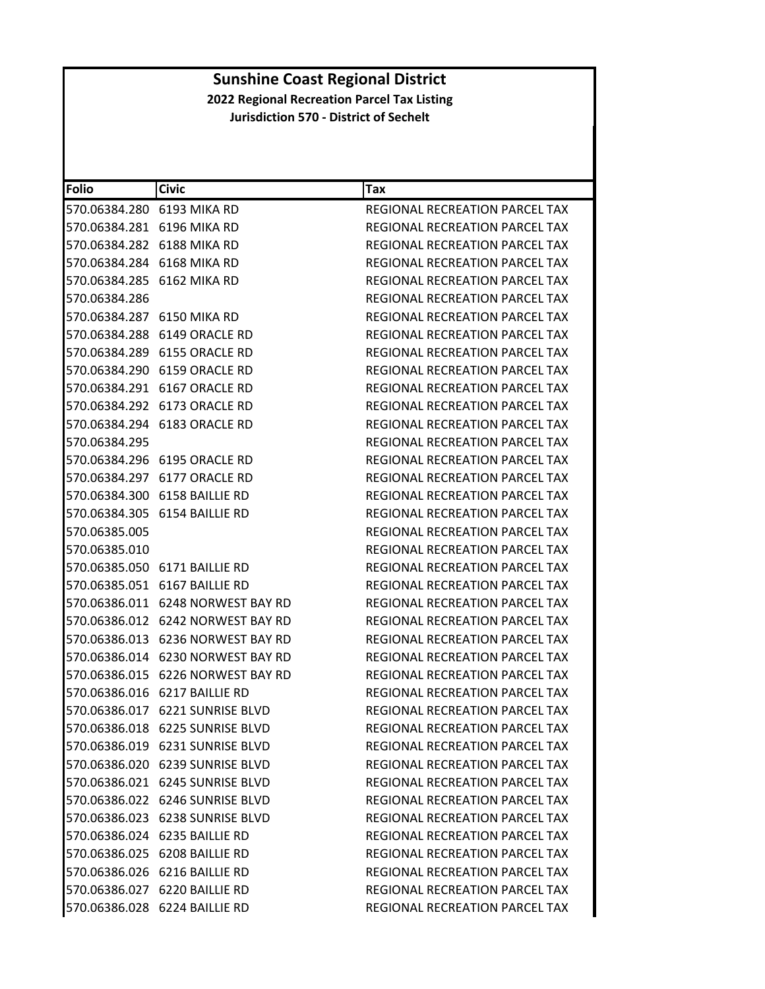| Folio                      | <b>Civic</b>                         | Tax                                   |
|----------------------------|--------------------------------------|---------------------------------------|
| 570.06384.280 6193 MIKA RD |                                      | REGIONAL RECREATION PARCEL TAX        |
| 570.06384.281 6196 MIKA RD |                                      | REGIONAL RECREATION PARCEL TAX        |
| 570.06384.282 6188 MIKA RD |                                      | REGIONAL RECREATION PARCEL TAX        |
| 570.06384.284 6168 MIKA RD |                                      | REGIONAL RECREATION PARCEL TAX        |
|                            | 570.06384.285 6162 MIKA RD           | REGIONAL RECREATION PARCEL TAX        |
| 570.06384.286              |                                      | REGIONAL RECREATION PARCEL TAX        |
|                            | 570.06384.287 6150 MIKA RD           | <b>REGIONAL RECREATION PARCEL TAX</b> |
|                            | 570.06384.288 6149 ORACLE RD         | <b>REGIONAL RECREATION PARCEL TAX</b> |
|                            |                                      | REGIONAL RECREATION PARCEL TAX        |
|                            | 570.06384.290 6159 ORACLE RD         | REGIONAL RECREATION PARCEL TAX        |
|                            | 570.06384.291 6167 ORACLE RD         | REGIONAL RECREATION PARCEL TAX        |
|                            | 570.06384.292 6173 ORACLE RD         | REGIONAL RECREATION PARCEL TAX        |
|                            | 570.06384.294 6183 ORACLE RD         | <b>REGIONAL RECREATION PARCEL TAX</b> |
| 570.06384.295              |                                      | REGIONAL RECREATION PARCEL TAX        |
|                            |                                      | <b>REGIONAL RECREATION PARCEL TAX</b> |
|                            | 570.06384.297 6177 ORACLE RD         | REGIONAL RECREATION PARCEL TAX        |
|                            | 570.06384.300 6158 BAILLIE RD        | REGIONAL RECREATION PARCEL TAX        |
|                            | 570.06384.305 6154 BAILLIE RD        | <b>REGIONAL RECREATION PARCEL TAX</b> |
| 570.06385.005              |                                      | REGIONAL RECREATION PARCEL TAX        |
| 570.06385.010              |                                      | REGIONAL RECREATION PARCEL TAX        |
|                            | 570.06385.050 6171 BAILLIE RD        | REGIONAL RECREATION PARCEL TAX        |
|                            | 570.06385.051 6167 BAILLIE RD        | REGIONAL RECREATION PARCEL TAX        |
|                            | 570.06386.011    6248 NORWEST BAY RD | REGIONAL RECREATION PARCEL TAX        |
|                            | 570.06386.012 6242 NORWEST BAY RD    | REGIONAL RECREATION PARCEL TAX        |
|                            | 570.06386.013    6236 NORWEST BAY RD | REGIONAL RECREATION PARCEL TAX        |
|                            | 570.06386.014 6230 NORWEST BAY RD    | REGIONAL RECREATION PARCEL TAX        |
|                            | 570.06386.015    6226 NORWEST BAY RD | REGIONAL RECREATION PARCEL TAX        |
|                            | 570.06386.016 6217 BAILLIE RD        | REGIONAL RECREATION PARCEL TAX        |
|                            | 570.06386.017 6221 SUNRISE BLVD      | REGIONAL RECREATION PARCEL TAX        |
|                            | 570.06386.018 6225 SUNRISE BLVD      | REGIONAL RECREATION PARCEL TAX        |
|                            | 570.06386.019 6231 SUNRISE BLVD      | REGIONAL RECREATION PARCEL TAX        |
|                            | 570.06386.020 6239 SUNRISE BLVD      | <b>REGIONAL RECREATION PARCEL TAX</b> |
|                            | 570.06386.021 6245 SUNRISE BLVD      | REGIONAL RECREATION PARCEL TAX        |
|                            | 570.06386.022 6246 SUNRISE BLVD      | REGIONAL RECREATION PARCEL TAX        |
|                            | 570.06386.023 6238 SUNRISE BLVD      | REGIONAL RECREATION PARCEL TAX        |
|                            | 570.06386.024 6235 BAILLIE RD        | <b>REGIONAL RECREATION PARCEL TAX</b> |
|                            | 570.06386.025 6208 BAILLIE RD        | REGIONAL RECREATION PARCEL TAX        |
|                            | 570.06386.026 6216 BAILLIE RD        | REGIONAL RECREATION PARCEL TAX        |
|                            | 570.06386.027 6220 BAILLIE RD        | REGIONAL RECREATION PARCEL TAX        |
|                            | 570.06386.028 6224 BAILLIE RD        | REGIONAL RECREATION PARCEL TAX        |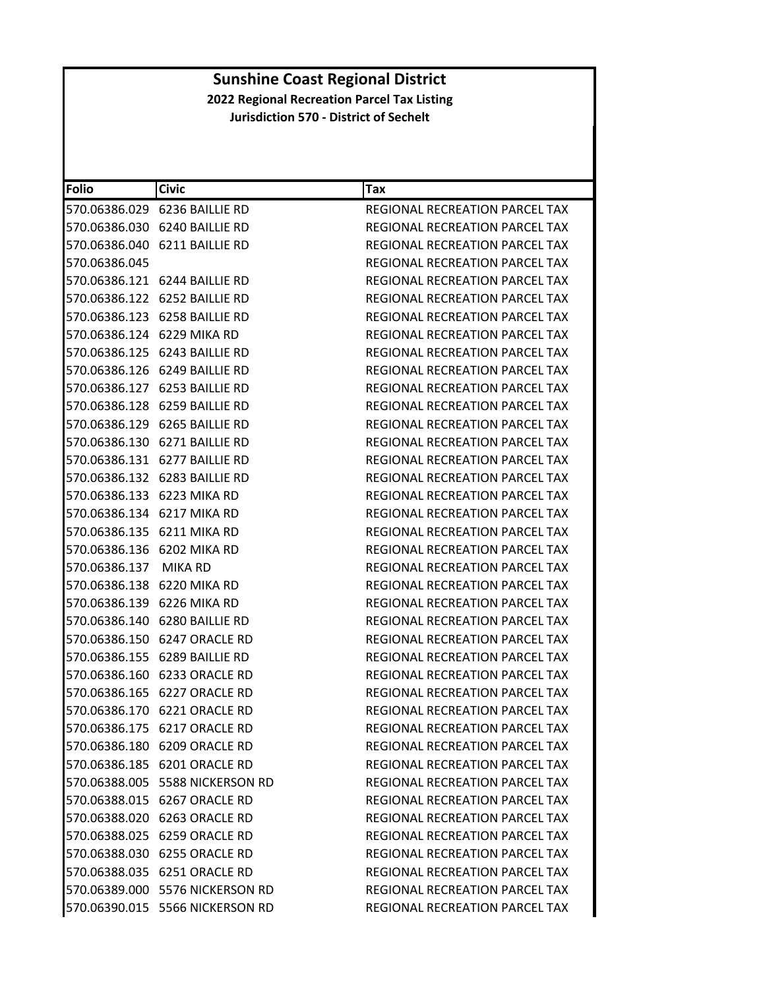| Folio                      | <b>Civic</b>                        | Tax                                   |
|----------------------------|-------------------------------------|---------------------------------------|
|                            | 570.06386.029 6236 BAILLIE RD       | <b>REGIONAL RECREATION PARCEL TAX</b> |
|                            | 570.06386.030 6240 BAILLIE RD       | REGIONAL RECREATION PARCEL TAX        |
|                            | 570.06386.040 6211 BAILLIE RD       | <b>REGIONAL RECREATION PARCEL TAX</b> |
| 570.06386.045              |                                     | REGIONAL RECREATION PARCEL TAX        |
|                            | 570.06386.121 6244 BAILLIE RD       | REGIONAL RECREATION PARCEL TAX        |
|                            | 570.06386.122    6252    BAILLIE RD | REGIONAL RECREATION PARCEL TAX        |
|                            | 570.06386.123 6258 BAILLIE RD       | <b>REGIONAL RECREATION PARCEL TAX</b> |
| 570.06386.124 6229 MIKA RD |                                     | REGIONAL RECREATION PARCEL TAX        |
|                            | 570.06386.125 6243 BAILLIE RD       | REGIONAL RECREATION PARCEL TAX        |
|                            | 570.06386.126 6249 BAILLIE RD       | REGIONAL RECREATION PARCEL TAX        |
|                            | 570.06386.127 6253 BAILLIE RD       | REGIONAL RECREATION PARCEL TAX        |
|                            | 570.06386.128 6259 BAILLIE RD       | REGIONAL RECREATION PARCEL TAX        |
|                            | 570.06386.129 6265 BAILLIE RD       | REGIONAL RECREATION PARCEL TAX        |
|                            | 570.06386.130 6271 BAILLIE RD       | <b>REGIONAL RECREATION PARCEL TAX</b> |
|                            | 570.06386.131 6277 BAILLIE RD       | <b>REGIONAL RECREATION PARCEL TAX</b> |
|                            | 570.06386.132 6283 BAILLIE RD       | REGIONAL RECREATION PARCEL TAX        |
|                            | 570.06386.133 6223 MIKA RD          | REGIONAL RECREATION PARCEL TAX        |
| 570.06386.134 6217 MIKA RD |                                     | REGIONAL RECREATION PARCEL TAX        |
| 570.06386.135 6211 MIKA RD |                                     | REGIONAL RECREATION PARCEL TAX        |
|                            | 570.06386.136 6202 MIKA RD          | REGIONAL RECREATION PARCEL TAX        |
| 570.06386.137 MIKA RD      |                                     | REGIONAL RECREATION PARCEL TAX        |
|                            | 570.06386.138 6220 MIKA RD          | REGIONAL RECREATION PARCEL TAX        |
| 570.06386.139 6226 MIKA RD |                                     | REGIONAL RECREATION PARCEL TAX        |
|                            | 570.06386.140 6280 BAILLIE RD       | REGIONAL RECREATION PARCEL TAX        |
|                            | 570.06386.150 6247 ORACLE RD        | REGIONAL RECREATION PARCEL TAX        |
|                            | 570.06386.155 6289 BAILLIE RD       | REGIONAL RECREATION PARCEL TAX        |
|                            | 570.06386.160 6233 ORACLE RD        | REGIONAL RECREATION PARCEL TAX        |
|                            | 570.06386.165 6227 ORACLE RD        | REGIONAL RECREATION PARCEL TAX        |
|                            | 570.06386.170 6221 ORACLE RD        | REGIONAL RECREATION PARCEL TAX        |
|                            | 570.06386.175 6217 ORACLE RD        | REGIONAL RECREATION PARCEL TAX        |
|                            | 570.06386.180 6209 ORACLE RD        | <b>REGIONAL RECREATION PARCEL TAX</b> |
|                            | 570.06386.185 6201 ORACLE RD        | REGIONAL RECREATION PARCEL TAX        |
|                            | 570.06388.005    5588 NICKERSON RD  | REGIONAL RECREATION PARCEL TAX        |
|                            | 570.06388.015 6267 ORACLE RD        | <b>REGIONAL RECREATION PARCEL TAX</b> |
|                            | 570.06388.020 6263 ORACLE RD        | <b>REGIONAL RECREATION PARCEL TAX</b> |
|                            | 570.06388.025 6259 ORACLE RD        | REGIONAL RECREATION PARCEL TAX        |
|                            | 570.06388.030 6255 ORACLE RD        | REGIONAL RECREATION PARCEL TAX        |
|                            | 570.06388.035 6251 ORACLE RD        | REGIONAL RECREATION PARCEL TAX        |
|                            | 570.06389.000 5576 NICKERSON RD     | REGIONAL RECREATION PARCEL TAX        |
|                            | 570.06390.015 5566 NICKERSON RD     | REGIONAL RECREATION PARCEL TAX        |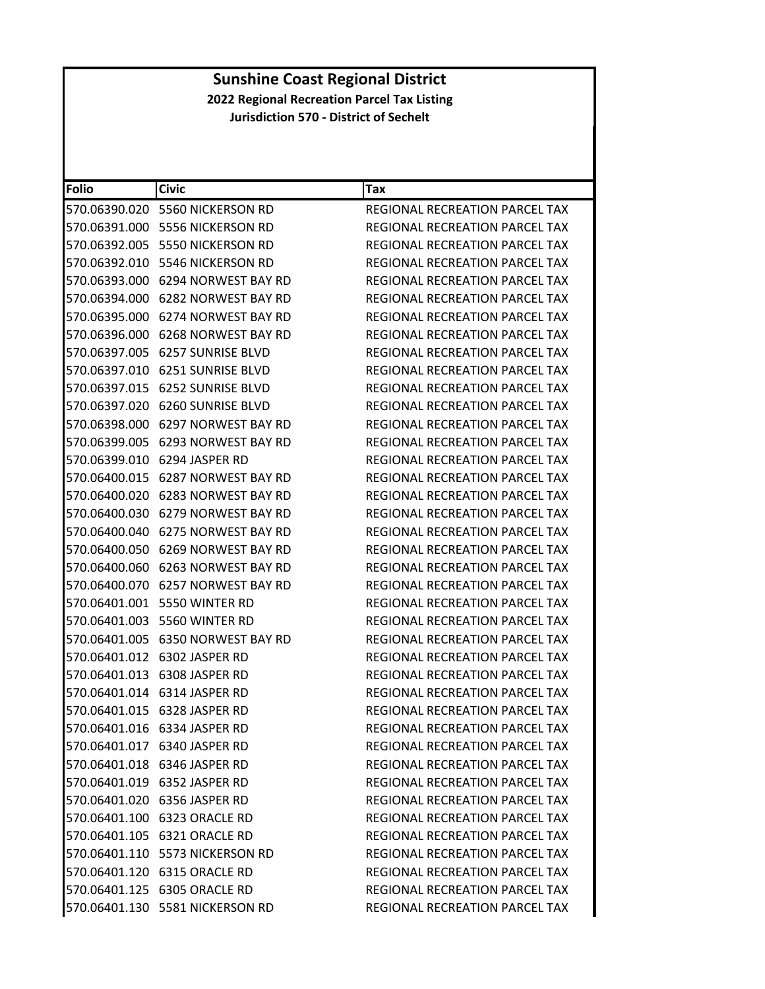| Folio         | <b>Civic</b>                         | Tax                                   |
|---------------|--------------------------------------|---------------------------------------|
| 570.06390.020 | 5560 NICKERSON RD                    | REGIONAL RECREATION PARCEL TAX        |
| 570.06391.000 | 5556 NICKERSON RD                    | REGIONAL RECREATION PARCEL TAX        |
|               | 570.06392.005 5550 NICKERSON RD      | <b>REGIONAL RECREATION PARCEL TAX</b> |
| 570.06392.010 | 5546 NICKERSON RD                    | REGIONAL RECREATION PARCEL TAX        |
| 570.06393.000 | 6294 NORWEST BAY RD                  | REGIONAL RECREATION PARCEL TAX        |
|               | 570.06394.000 6282 NORWEST BAY RD    | REGIONAL RECREATION PARCEL TAX        |
| 570.06395.000 | 6274 NORWEST BAY RD                  | REGIONAL RECREATION PARCEL TAX        |
|               | 570.06396.000 6268 NORWEST BAY RD    | REGIONAL RECREATION PARCEL TAX        |
| 570.06397.005 | <b>6257 SUNRISE BLVD</b>             | REGIONAL RECREATION PARCEL TAX        |
| 570.06397.010 | <b>6251 SUNRISE BLVD</b>             | REGIONAL RECREATION PARCEL TAX        |
|               | 570.06397.015 6252 SUNRISE BLVD      | REGIONAL RECREATION PARCEL TAX        |
| 570.06397.020 | <b>6260 SUNRISE BLVD</b>             | REGIONAL RECREATION PARCEL TAX        |
|               | 570.06398.000 6297 NORWEST BAY RD    | REGIONAL RECREATION PARCEL TAX        |
| 570.06399.005 | 6293 NORWEST BAY RD                  | REGIONAL RECREATION PARCEL TAX        |
| 570.06399.010 | 6294 JASPER RD                       | REGIONAL RECREATION PARCEL TAX        |
|               | 570.06400.015 6287 NORWEST BAY RD    | REGIONAL RECREATION PARCEL TAX        |
|               | 570.06400.020 6283 NORWEST BAY RD    | REGIONAL RECREATION PARCEL TAX        |
|               | 570.06400.030 6279 NORWEST BAY RD    | REGIONAL RECREATION PARCEL TAX        |
| 570.06400.040 | 6275 NORWEST BAY RD                  | REGIONAL RECREATION PARCEL TAX        |
| 570.06400.050 | 6269 NORWEST BAY RD                  | REGIONAL RECREATION PARCEL TAX        |
|               | 570.06400.060 6263 NORWEST BAY RD    | REGIONAL RECREATION PARCEL TAX        |
|               | 570.06400.070    6257 NORWEST BAY RD | REGIONAL RECREATION PARCEL TAX        |
|               | 570.06401.001 5550 WINTER RD         | REGIONAL RECREATION PARCEL TAX        |
|               | 570.06401.003 5560 WINTER RD         | REGIONAL RECREATION PARCEL TAX        |
| 570.06401.005 | 6350 NORWEST BAY RD                  | REGIONAL RECREATION PARCEL TAX        |
|               | 570.06401.012 6302 JASPER RD         | REGIONAL RECREATION PARCEL TAX        |
|               | 570.06401.013 6308 JASPER RD         | REGIONAL RECREATION PARCEL TAX        |
|               | 570.06401.014 6314 JASPER RD         | REGIONAL RECREATION PARCEL TAX        |
|               | 570.06401.015 6328 JASPER RD         | REGIONAL RECREATION PARCEL TAX        |
|               | 570.06401.016 6334 JASPER RD         | REGIONAL RECREATION PARCEL TAX        |
|               | 570.06401.017 6340 JASPER RD         | REGIONAL RECREATION PARCEL TAX        |
|               | 570.06401.018 6346 JASPER RD         | REGIONAL RECREATION PARCEL TAX        |
|               | 570.06401.019 6352 JASPER RD         | <b>REGIONAL RECREATION PARCEL TAX</b> |
|               | 570.06401.020 6356 JASPER RD         | <b>REGIONAL RECREATION PARCEL TAX</b> |
|               | 570.06401.100 6323 ORACLE RD         | REGIONAL RECREATION PARCEL TAX        |
|               | 570.06401.105 6321 ORACLE RD         | REGIONAL RECREATION PARCEL TAX        |
|               | 570.06401.110 5573 NICKERSON RD      | <b>REGIONAL RECREATION PARCEL TAX</b> |
|               | 570.06401.120 6315 ORACLE RD         | REGIONAL RECREATION PARCEL TAX        |
|               | 570.06401.125 6305 ORACLE RD         | REGIONAL RECREATION PARCEL TAX        |
|               | 570.06401.130 5581 NICKERSON RD      | REGIONAL RECREATION PARCEL TAX        |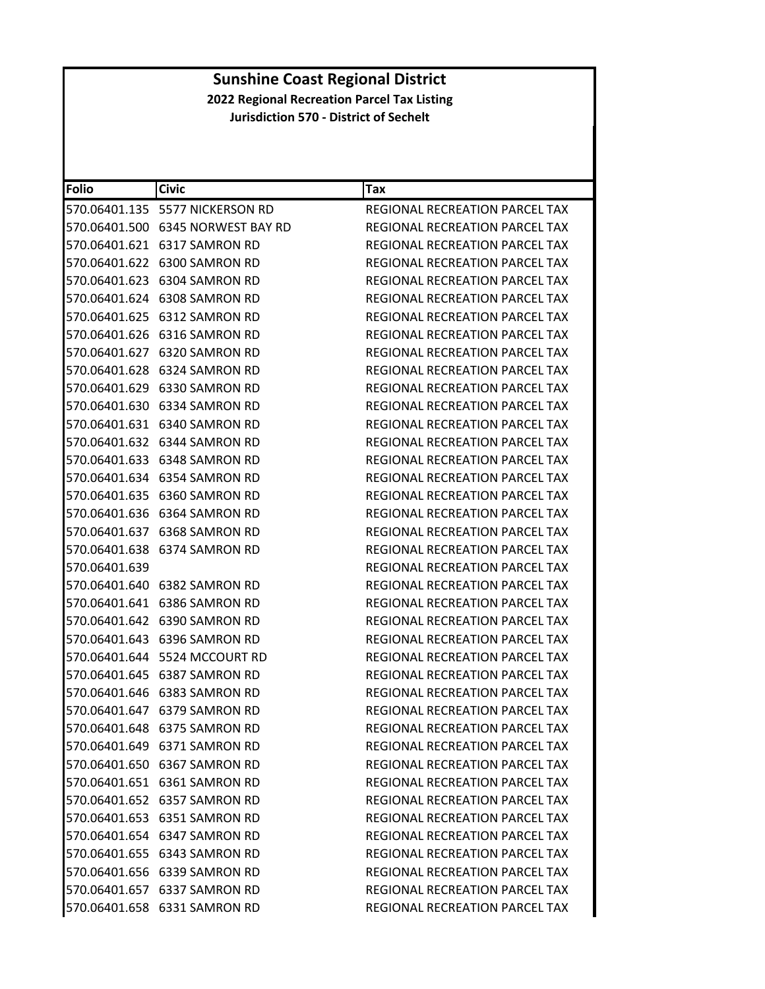| <b>Folio</b>  | <b>Civic</b>                      | Tax                                   |
|---------------|-----------------------------------|---------------------------------------|
|               | 570.06401.135 5577 NICKERSON RD   | REGIONAL RECREATION PARCEL TAX        |
|               | 570.06401.500 6345 NORWEST BAY RD | REGIONAL RECREATION PARCEL TAX        |
|               | 570.06401.621 6317 SAMRON RD      | REGIONAL RECREATION PARCEL TAX        |
|               | 570.06401.622 6300 SAMRON RD      | <b>REGIONAL RECREATION PARCEL TAX</b> |
|               | 570.06401.623 6304 SAMRON RD      | REGIONAL RECREATION PARCEL TAX        |
|               | 570.06401.624 6308 SAMRON RD      | <b>REGIONAL RECREATION PARCEL TAX</b> |
|               | 570.06401.625 6312 SAMRON RD      | <b>REGIONAL RECREATION PARCEL TAX</b> |
|               | 570.06401.626 6316 SAMRON RD      | REGIONAL RECREATION PARCEL TAX        |
|               | 570.06401.627 6320 SAMRON RD      | REGIONAL RECREATION PARCEL TAX        |
|               | 570.06401.628 6324 SAMRON RD      | REGIONAL RECREATION PARCEL TAX        |
|               | 570.06401.629 6330 SAMRON RD      | REGIONAL RECREATION PARCEL TAX        |
|               | 570.06401.630 6334 SAMRON RD      | REGIONAL RECREATION PARCEL TAX        |
|               | 570.06401.631 6340 SAMRON RD      | <b>REGIONAL RECREATION PARCEL TAX</b> |
|               | 570.06401.632 6344 SAMRON RD      | REGIONAL RECREATION PARCEL TAX        |
|               | 570.06401.633 6348 SAMRON RD      | REGIONAL RECREATION PARCEL TAX        |
|               | 570.06401.634 6354 SAMRON RD      | REGIONAL RECREATION PARCEL TAX        |
|               | 570.06401.635 6360 SAMRON RD      | REGIONAL RECREATION PARCEL TAX        |
|               | 570.06401.636 6364 SAMRON RD      | REGIONAL RECREATION PARCEL TAX        |
|               | 570.06401.637 6368 SAMRON RD      | <b>REGIONAL RECREATION PARCEL TAX</b> |
|               | 570.06401.638 6374 SAMRON RD      | REGIONAL RECREATION PARCEL TAX        |
| 570.06401.639 |                                   | REGIONAL RECREATION PARCEL TAX        |
|               | 570.06401.640 6382 SAMRON RD      | REGIONAL RECREATION PARCEL TAX        |
|               | 570.06401.641 6386 SAMRON RD      | REGIONAL RECREATION PARCEL TAX        |
|               | 570.06401.642 6390 SAMRON RD      | REGIONAL RECREATION PARCEL TAX        |
|               | 570.06401.643 6396 SAMRON RD      | REGIONAL RECREATION PARCEL TAX        |
|               | 570.06401.644 5524 MCCOURT RD     | REGIONAL RECREATION PARCEL TAX        |
|               | 570.06401.645    6387 SAMRON RD   | REGIONAL RECREATION PARCEL TAX        |
|               | 570.06401.646    6383 SAMRON RD   | REGIONAL RECREATION PARCEL TAX        |
|               | 570.06401.647 6379 SAMRON RD      | REGIONAL RECREATION PARCEL TAX        |
|               | 570.06401.648 6375 SAMRON RD      | REGIONAL RECREATION PARCEL TAX        |
|               | 570.06401.649 6371 SAMRON RD      | <b>REGIONAL RECREATION PARCEL TAX</b> |
|               | 570.06401.650 6367 SAMRON RD      | <b>REGIONAL RECREATION PARCEL TAX</b> |
|               | 570.06401.651 6361 SAMRON RD      | REGIONAL RECREATION PARCEL TAX        |
|               | 570.06401.652 6357 SAMRON RD      | REGIONAL RECREATION PARCEL TAX        |
|               | 570.06401.653 6351 SAMRON RD      | <b>REGIONAL RECREATION PARCEL TAX</b> |
|               | 570.06401.654 6347 SAMRON RD      | REGIONAL RECREATION PARCEL TAX        |
|               | 570.06401.655 6343 SAMRON RD      | <b>REGIONAL RECREATION PARCEL TAX</b> |
|               | 570.06401.656 6339 SAMRON RD      | REGIONAL RECREATION PARCEL TAX        |
|               | 570.06401.657 6337 SAMRON RD      | REGIONAL RECREATION PARCEL TAX        |
|               | 570.06401.658 6331 SAMRON RD      | REGIONAL RECREATION PARCEL TAX        |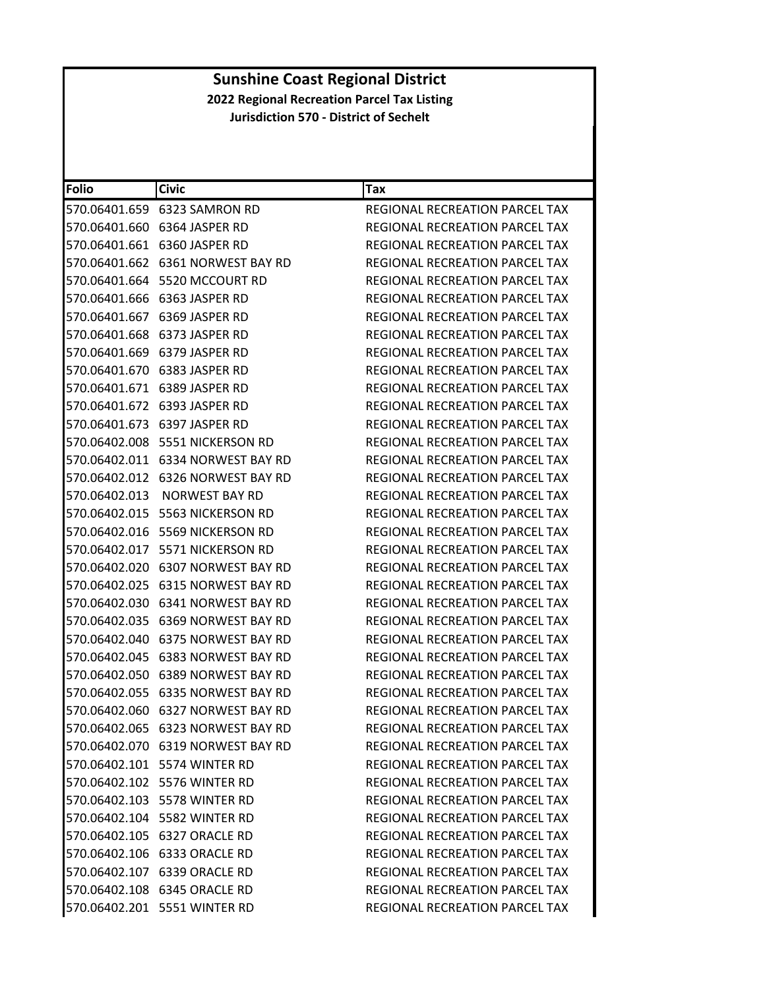| <b>Folio</b>  | <b>Civic</b>                         | Tax                                   |
|---------------|--------------------------------------|---------------------------------------|
|               | 570.06401.659 6323 SAMRON RD         | REGIONAL RECREATION PARCEL TAX        |
|               | 570.06401.660 6364 JASPER RD         | REGIONAL RECREATION PARCEL TAX        |
|               | 570.06401.661 6360 JASPER RD         | REGIONAL RECREATION PARCEL TAX        |
|               | 570.06401.662 6361 NORWEST BAY RD    | REGIONAL RECREATION PARCEL TAX        |
|               | 570.06401.664    5520 MCCOURT RD     | REGIONAL RECREATION PARCEL TAX        |
|               | 570.06401.666 6363 JASPER RD         | REGIONAL RECREATION PARCEL TAX        |
|               | 570.06401.667 6369 JASPER RD         | REGIONAL RECREATION PARCEL TAX        |
|               | 570.06401.668 6373 JASPER RD         | REGIONAL RECREATION PARCEL TAX        |
|               | 570.06401.669 6379 JASPER RD         | REGIONAL RECREATION PARCEL TAX        |
|               |                                      | REGIONAL RECREATION PARCEL TAX        |
|               |                                      | REGIONAL RECREATION PARCEL TAX        |
|               |                                      | REGIONAL RECREATION PARCEL TAX        |
|               | 570.06401.673 6397 JASPER RD         | <b>REGIONAL RECREATION PARCEL TAX</b> |
|               | 570.06402.008 5551 NICKERSON RD      | REGIONAL RECREATION PARCEL TAX        |
|               | 570.06402.011    6334 NORWEST BAY RD | REGIONAL RECREATION PARCEL TAX        |
|               | 570.06402.012 6326 NORWEST BAY RD    | <b>REGIONAL RECREATION PARCEL TAX</b> |
| 570.06402.013 | NORWEST BAY RD                       | REGIONAL RECREATION PARCEL TAX        |
|               |                                      | REGIONAL RECREATION PARCEL TAX        |
| 570.06402.016 | 5569 NICKERSON RD                    | REGIONAL RECREATION PARCEL TAX        |
|               | 570.06402.017    5571 NICKERSON RD   | REGIONAL RECREATION PARCEL TAX        |
|               |                                      | REGIONAL RECREATION PARCEL TAX        |
|               |                                      | REGIONAL RECREATION PARCEL TAX        |
|               |                                      | REGIONAL RECREATION PARCEL TAX        |
|               | 570.06402.035    6369 NORWEST BAY RD | REGIONAL RECREATION PARCEL TAX        |
|               | 570.06402.040    6375 NORWEST BAY RD | REGIONAL RECREATION PARCEL TAX        |
|               |                                      | REGIONAL RECREATION PARCEL TAX        |
|               | 570.06402.050    6389 NORWEST BAY RD | REGIONAL RECREATION PARCEL TAX        |
|               |                                      | REGIONAL RECREATION PARCEL TAX        |
|               |                                      | <b>REGIONAL RECREATION PARCEL TAX</b> |
|               | 570.06402.065 6323 NORWEST BAY RD    | REGIONAL RECREATION PARCEL TAX        |
|               | 570.06402.070 6319 NORWEST BAY RD    | REGIONAL RECREATION PARCEL TAX        |
|               | 570.06402.101 5574 WINTER RD         | REGIONAL RECREATION PARCEL TAX        |
|               | 570.06402.102 5576 WINTER RD         | REGIONAL RECREATION PARCEL TAX        |
|               | 570.06402.103 5578 WINTER RD         | REGIONAL RECREATION PARCEL TAX        |
|               | 570.06402.104 5582 WINTER RD         | REGIONAL RECREATION PARCEL TAX        |
|               | 570.06402.105 6327 ORACLE RD         | REGIONAL RECREATION PARCEL TAX        |
|               | 570.06402.106 6333 ORACLE RD         | REGIONAL RECREATION PARCEL TAX        |
|               | 570.06402.107 6339 ORACLE RD         | REGIONAL RECREATION PARCEL TAX        |
|               | 570.06402.108 6345 ORACLE RD         | REGIONAL RECREATION PARCEL TAX        |
|               | 570.06402.201 5551 WINTER RD         | REGIONAL RECREATION PARCEL TAX        |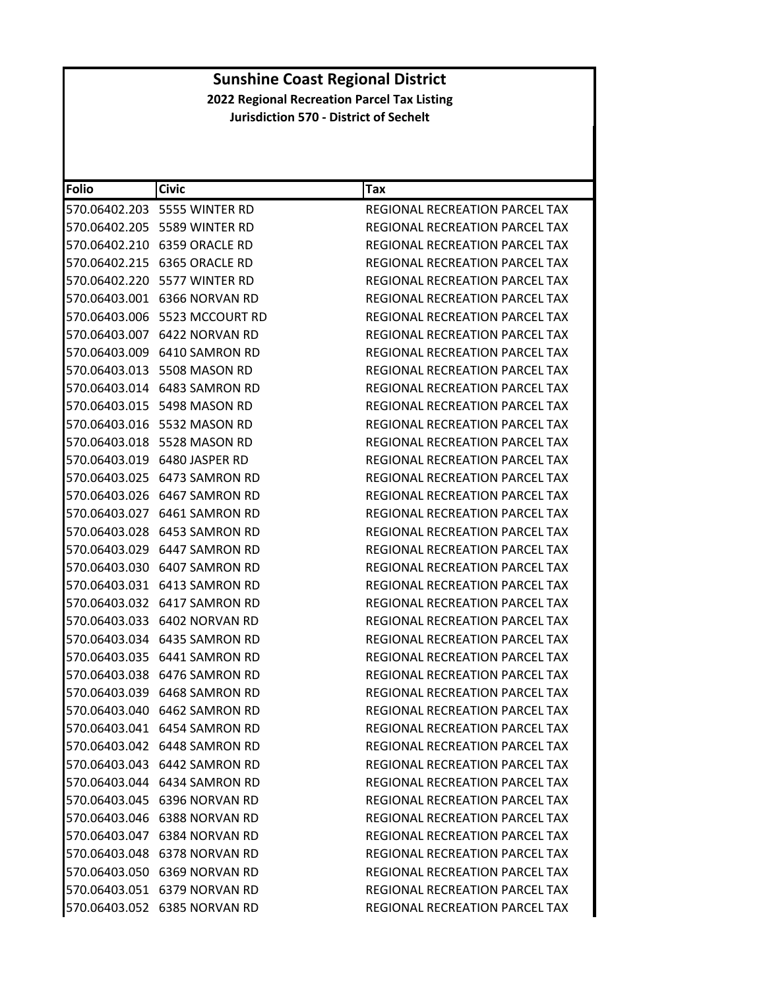| <b>Folio</b> | <b>Civic</b>                  | Tax                                   |
|--------------|-------------------------------|---------------------------------------|
|              | 570.06402.203 5555 WINTER RD  | REGIONAL RECREATION PARCEL TAX        |
|              | 570.06402.205 5589 WINTER RD  | REGIONAL RECREATION PARCEL TAX        |
|              | 570.06402.210 6359 ORACLE RD  | <b>REGIONAL RECREATION PARCEL TAX</b> |
|              | 570.06402.215 6365 ORACLE RD  | REGIONAL RECREATION PARCEL TAX        |
|              | 570.06402.220 5577 WINTER RD  | REGIONAL RECREATION PARCEL TAX        |
|              | 570.06403.001 6366 NORVAN RD  | <b>REGIONAL RECREATION PARCEL TAX</b> |
|              | 570.06403.006 5523 MCCOURT RD | <b>REGIONAL RECREATION PARCEL TAX</b> |
|              | 570.06403.007 6422 NORVAN RD  | <b>REGIONAL RECREATION PARCEL TAX</b> |
|              | 570.06403.009 6410 SAMRON RD  | REGIONAL RECREATION PARCEL TAX        |
|              | 570.06403.013 5508 MASON RD   | REGIONAL RECREATION PARCEL TAX        |
|              | 570.06403.014 6483 SAMRON RD  | REGIONAL RECREATION PARCEL TAX        |
|              | 570.06403.015 5498 MASON RD   | REGIONAL RECREATION PARCEL TAX        |
|              | 570.06403.016 5532 MASON RD   | REGIONAL RECREATION PARCEL TAX        |
|              | 570.06403.018 5528 MASON RD   | <b>REGIONAL RECREATION PARCEL TAX</b> |
|              | 570.06403.019 6480 JASPER RD  | REGIONAL RECREATION PARCEL TAX        |
|              | 570.06403.025 6473 SAMRON RD  | REGIONAL RECREATION PARCEL TAX        |
|              | 570.06403.026 6467 SAMRON RD  | <b>REGIONAL RECREATION PARCEL TAX</b> |
|              | 570.06403.027 6461 SAMRON RD  | REGIONAL RECREATION PARCEL TAX        |
|              | 570.06403.028 6453 SAMRON RD  | REGIONAL RECREATION PARCEL TAX        |
|              | 570.06403.029 6447 SAMRON RD  | REGIONAL RECREATION PARCEL TAX        |
|              | 570.06403.030 6407 SAMRON RD  | REGIONAL RECREATION PARCEL TAX        |
|              | 570.06403.031 6413 SAMRON RD  | REGIONAL RECREATION PARCEL TAX        |
|              | 570.06403.032 6417 SAMRON RD  | REGIONAL RECREATION PARCEL TAX        |
|              | 570.06403.033 6402 NORVAN RD  | REGIONAL RECREATION PARCEL TAX        |
|              | 570.06403.034 6435 SAMRON RD  | REGIONAL RECREATION PARCEL TAX        |
|              | 570.06403.035 6441 SAMRON RD  | REGIONAL RECREATION PARCEL TAX        |
|              | 570.06403.038 6476 SAMRON RD  | REGIONAL RECREATION PARCEL TAX        |
|              | 570.06403.039 6468 SAMRON RD  | <b>REGIONAL RECREATION PARCEL TAX</b> |
|              | 570.06403.040 6462 SAMRON RD  | REGIONAL RECREATION PARCEL TAX        |
|              | 570.06403.041 6454 SAMRON RD  | REGIONAL RECREATION PARCEL TAX        |
|              | 570.06403.042 6448 SAMRON RD  | REGIONAL RECREATION PARCEL TAX        |
|              | 570.06403.043 6442 SAMRON RD  | REGIONAL RECREATION PARCEL TAX        |
|              | 570.06403.044 6434 SAMRON RD  | REGIONAL RECREATION PARCEL TAX        |
|              | 570.06403.045 6396 NORVAN RD  | REGIONAL RECREATION PARCEL TAX        |
|              | 570.06403.046 6388 NORVAN RD  | REGIONAL RECREATION PARCEL TAX        |
|              | 570.06403.047 6384 NORVAN RD  | REGIONAL RECREATION PARCEL TAX        |
|              | 570.06403.048 6378 NORVAN RD  | REGIONAL RECREATION PARCEL TAX        |
|              | 570.06403.050 6369 NORVAN RD  | REGIONAL RECREATION PARCEL TAX        |
|              | 570.06403.051 6379 NORVAN RD  | REGIONAL RECREATION PARCEL TAX        |
|              | 570.06403.052 6385 NORVAN RD  | REGIONAL RECREATION PARCEL TAX        |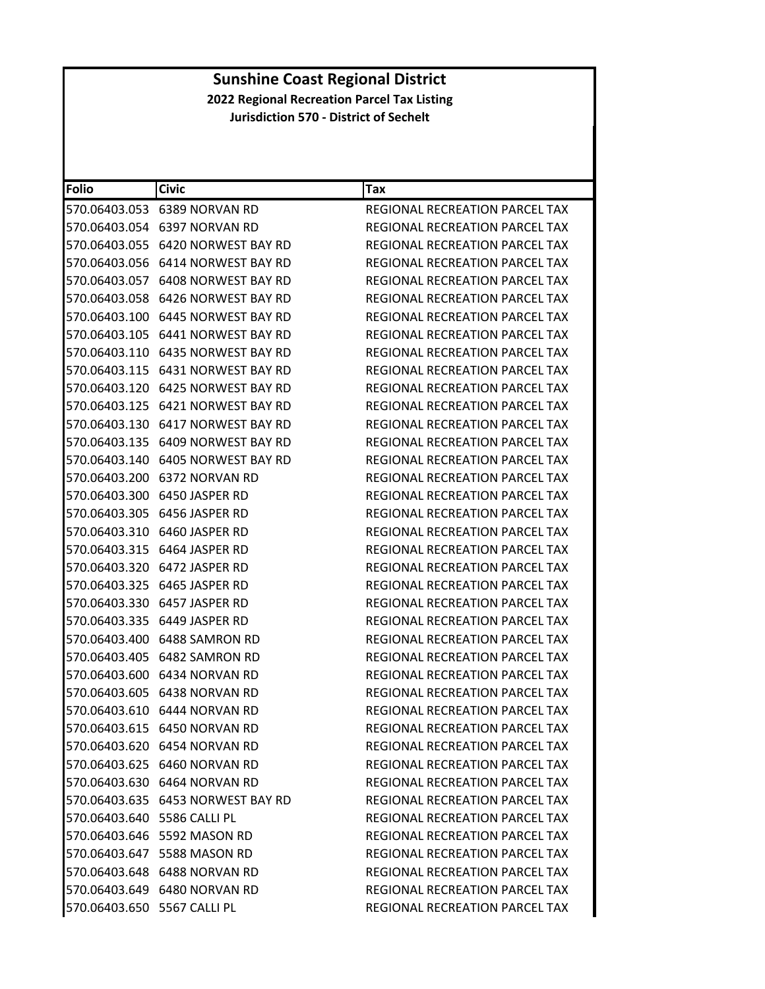| <b>Folio</b>                | <b>Civic</b>                         | Tax                                   |
|-----------------------------|--------------------------------------|---------------------------------------|
|                             | 570.06403.053 6389 NORVAN RD         | REGIONAL RECREATION PARCEL TAX        |
|                             | 570.06403.054 6397 NORVAN RD         | REGIONAL RECREATION PARCEL TAX        |
| 570.06403.055               | 6420 NORWEST BAY RD                  | REGIONAL RECREATION PARCEL TAX        |
| 570.06403.056               | 6414 NORWEST BAY RD                  | REGIONAL RECREATION PARCEL TAX        |
|                             | 570.06403.057 6408 NORWEST BAY RD    | REGIONAL RECREATION PARCEL TAX        |
|                             |                                      | REGIONAL RECREATION PARCEL TAX        |
|                             |                                      | REGIONAL RECREATION PARCEL TAX        |
|                             | 570.06403.105 6441 NORWEST BAY RD    | <b>REGIONAL RECREATION PARCEL TAX</b> |
| 570.06403.110               | 6435 NORWEST BAY RD                  | REGIONAL RECREATION PARCEL TAX        |
|                             |                                      | REGIONAL RECREATION PARCEL TAX        |
|                             |                                      | REGIONAL RECREATION PARCEL TAX        |
|                             |                                      | REGIONAL RECREATION PARCEL TAX        |
|                             | 570.06403.130    6417 NORWEST BAY RD | REGIONAL RECREATION PARCEL TAX        |
| 570.06403.135               | 6409 NORWEST BAY RD                  | REGIONAL RECREATION PARCEL TAX        |
|                             | 570.06403.140    6405 NORWEST BAY RD | REGIONAL RECREATION PARCEL TAX        |
|                             | 570.06403.200 6372 NORVAN RD         | REGIONAL RECREATION PARCEL TAX        |
|                             | 570.06403.300 6450 JASPER RD         | REGIONAL RECREATION PARCEL TAX        |
|                             | 570.06403.305 6456 JASPER RD         | REGIONAL RECREATION PARCEL TAX        |
| 570.06403.310               | 6460 JASPER RD                       | REGIONAL RECREATION PARCEL TAX        |
|                             |                                      | REGIONAL RECREATION PARCEL TAX        |
|                             |                                      | REGIONAL RECREATION PARCEL TAX        |
|                             | 570.06403.325 6465 JASPER RD         | REGIONAL RECREATION PARCEL TAX        |
|                             | 570.06403.330 6457 JASPER RD         | REGIONAL RECREATION PARCEL TAX        |
|                             | 570.06403.335 6449 JASPER RD         | REGIONAL RECREATION PARCEL TAX        |
|                             | 570.06403.400    6488 SAMRON RD      | REGIONAL RECREATION PARCEL TAX        |
|                             | 570.06403.405    6482    SAMRON RD   | REGIONAL RECREATION PARCEL TAX        |
|                             | 570.06403.600 6434 NORVAN RD         | REGIONAL RECREATION PARCEL TAX        |
|                             | 570.06403.605 6438 NORVAN RD         | <b>REGIONAL RECREATION PARCEL TAX</b> |
|                             |                                      | REGIONAL RECREATION PARCEL TAX        |
|                             | 570.06403.615 6450 NORVAN RD         | REGIONAL RECREATION PARCEL TAX        |
|                             | 570.06403.620 6454 NORVAN RD         | <b>REGIONAL RECREATION PARCEL TAX</b> |
|                             | 570.06403.625 6460 NORVAN RD         | REGIONAL RECREATION PARCEL TAX        |
|                             | 570.06403.630 6464 NORVAN RD         | <b>REGIONAL RECREATION PARCEL TAX</b> |
|                             |                                      | REGIONAL RECREATION PARCEL TAX        |
| 570.06403.640 5586 CALLI PL |                                      | <b>REGIONAL RECREATION PARCEL TAX</b> |
|                             | 570.06403.646 5592 MASON RD          | REGIONAL RECREATION PARCEL TAX        |
|                             | 570.06403.647    5588 MASON RD       | REGIONAL RECREATION PARCEL TAX        |
|                             | 570.06403.648 6488 NORVAN RD         | REGIONAL RECREATION PARCEL TAX        |
|                             | 570.06403.649 6480 NORVAN RD         | REGIONAL RECREATION PARCEL TAX        |
| 570.06403.650 5567 CALLI PL |                                      | REGIONAL RECREATION PARCEL TAX        |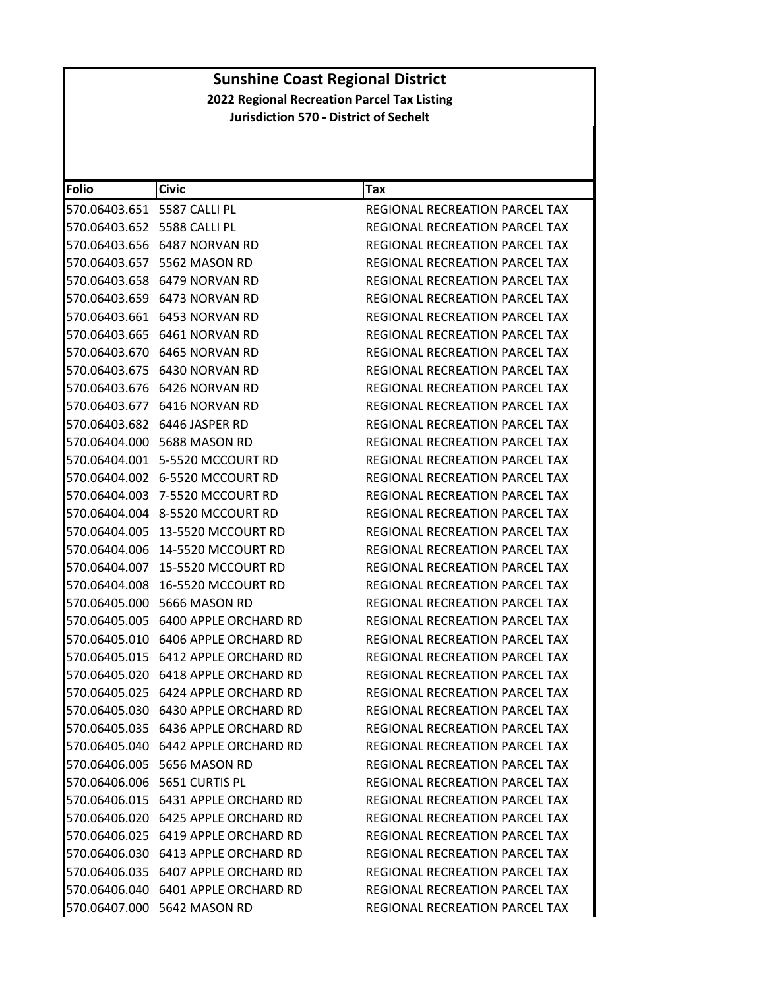| <b>Folio</b>                | <b>Civic</b>                              | Tax                                   |
|-----------------------------|-------------------------------------------|---------------------------------------|
| 570.06403.651 5587 CALLI PL |                                           | REGIONAL RECREATION PARCEL TAX        |
| 570.06403.652 5588 CALLI PL |                                           | REGIONAL RECREATION PARCEL TAX        |
|                             |                                           | REGIONAL RECREATION PARCEL TAX        |
|                             | 570.06403.657 5562 MASON RD               | REGIONAL RECREATION PARCEL TAX        |
|                             | 570.06403.658 6479 NORVAN RD              | REGIONAL RECREATION PARCEL TAX        |
|                             | 570.06403.659 6473 NORVAN RD              | REGIONAL RECREATION PARCEL TAX        |
|                             | 570.06403.661 6453 NORVAN RD              | <b>REGIONAL RECREATION PARCEL TAX</b> |
|                             | 570.06403.665 6461 NORVAN RD              | REGIONAL RECREATION PARCEL TAX        |
|                             | 570.06403.670 6465 NORVAN RD              | REGIONAL RECREATION PARCEL TAX        |
|                             | 570.06403.675    6430 NORVAN RD           | REGIONAL RECREATION PARCEL TAX        |
|                             |                                           | REGIONAL RECREATION PARCEL TAX        |
|                             | 570.06403.677 6416 NORVAN RD              | REGIONAL RECREATION PARCEL TAX        |
|                             | 570.06403.682 6446 JASPER RD              | REGIONAL RECREATION PARCEL TAX        |
|                             | 570.06404.000    5688 MASON RD            | REGIONAL RECREATION PARCEL TAX        |
|                             | 570.06404.001 5-5520 MCCOURT RD           | <b>REGIONAL RECREATION PARCEL TAX</b> |
|                             | 570.06404.002 6-5520 MCCOURT RD           | REGIONAL RECREATION PARCEL TAX        |
|                             | 570.06404.003 7-5520 MCCOURT RD           | <b>REGIONAL RECREATION PARCEL TAX</b> |
|                             | 570.06404.004 8-5520 MCCOURT RD           | REGIONAL RECREATION PARCEL TAX        |
| 570.06404.005               | 13-5520 MCCOURT RD                        | REGIONAL RECREATION PARCEL TAX        |
|                             | 570.06404.006 14-5520 MCCOURT RD          | REGIONAL RECREATION PARCEL TAX        |
|                             |                                           | REGIONAL RECREATION PARCEL TAX        |
|                             | 570.06404.008 16-5520 MCCOURT RD          | REGIONAL RECREATION PARCEL TAX        |
|                             | 570.06405.000 5666 MASON RD               | REGIONAL RECREATION PARCEL TAX        |
| 570.06405.005               | 6400 APPLE ORCHARD RD                     | REGIONAL RECREATION PARCEL TAX        |
|                             | 570.06405.010 6406 APPLE ORCHARD RD       | REGIONAL RECREATION PARCEL TAX        |
|                             | 570.06405.015    6412    APPLE ORCHARD RD | REGIONAL RECREATION PARCEL TAX        |
|                             | 570.06405.020    6418 APPLE ORCHARD RD    | REGIONAL RECREATION PARCEL TAX        |
|                             | 570.06405.025    6424 APPLE ORCHARD RD    | REGIONAL RECREATION PARCEL TAX        |
|                             | 570.06405.030    6430 APPLE ORCHARD RD    | REGIONAL RECREATION PARCEL TAX        |
|                             | 570.06405.035 6436 APPLE ORCHARD RD       | REGIONAL RECREATION PARCEL TAX        |
|                             | 570.06405.040 6442 APPLE ORCHARD RD       | REGIONAL RECREATION PARCEL TAX        |
|                             | 570.06406.005 5656 MASON RD               | REGIONAL RECREATION PARCEL TAX        |
|                             | 570.06406.006    5651 CURTIS PL           | REGIONAL RECREATION PARCEL TAX        |
|                             | 570.06406.015 6431 APPLE ORCHARD RD       | <b>REGIONAL RECREATION PARCEL TAX</b> |
|                             | 570.06406.020 6425 APPLE ORCHARD RD       | REGIONAL RECREATION PARCEL TAX        |
|                             | 570.06406.025 6419 APPLE ORCHARD RD       | REGIONAL RECREATION PARCEL TAX        |
|                             | 570.06406.030 6413 APPLE ORCHARD RD       | REGIONAL RECREATION PARCEL TAX        |
|                             | 570.06406.035 6407 APPLE ORCHARD RD       | REGIONAL RECREATION PARCEL TAX        |
|                             | 570.06406.040    6401 APPLE ORCHARD RD    | <b>REGIONAL RECREATION PARCEL TAX</b> |
|                             | 570.06407.000 5642 MASON RD               | REGIONAL RECREATION PARCEL TAX        |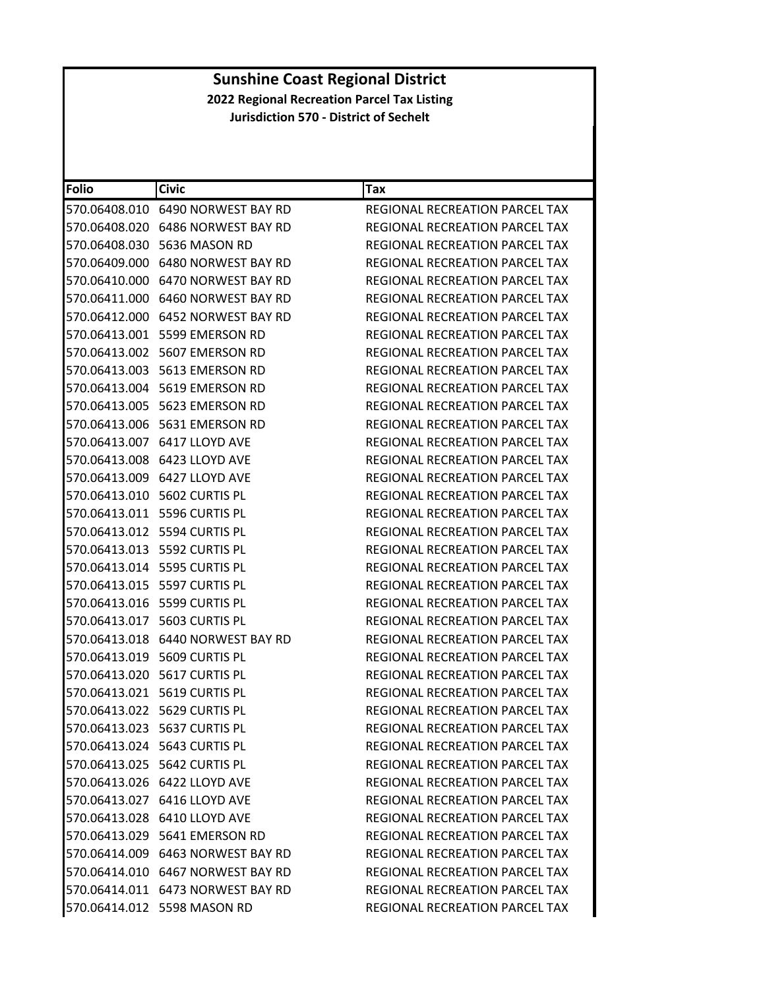| <b>Folio</b>  | <b>Civic</b>                            | Tax                                   |
|---------------|-----------------------------------------|---------------------------------------|
|               | 570.06408.010    6490 NORWEST BAY RD    | REGIONAL RECREATION PARCEL TAX        |
|               | 570.06408.020 6486 NORWEST BAY RD       | REGIONAL RECREATION PARCEL TAX        |
|               | 570.06408.030 5636 MASON RD             | <b>REGIONAL RECREATION PARCEL TAX</b> |
|               | 570.06409.000 6480 NORWEST BAY RD       | REGIONAL RECREATION PARCEL TAX        |
|               | 570.06410.000 6470 NORWEST BAY RD       | REGIONAL RECREATION PARCEL TAX        |
|               | 570.06411.000    6460 NORWEST BAY RD    | REGIONAL RECREATION PARCEL TAX        |
|               | 570.06412.000 6452 NORWEST BAY RD       | REGIONAL RECREATION PARCEL TAX        |
|               | 570.06413.001 5599 EMERSON RD           | <b>REGIONAL RECREATION PARCEL TAX</b> |
|               | 570.06413.002 5607 EMERSON RD           | REGIONAL RECREATION PARCEL TAX        |
|               | 570.06413.003    5613    EMERSON RD     | REGIONAL RECREATION PARCEL TAX        |
|               | 570.06413.004 5619 EMERSON RD           | REGIONAL RECREATION PARCEL TAX        |
|               | 570.06413.005 5623 EMERSON RD           | REGIONAL RECREATION PARCEL TAX        |
|               | 570.06413.006    5631 EMERSON RD        | <b>REGIONAL RECREATION PARCEL TAX</b> |
|               | 570.06413.007 6417 LLOYD AVE            | REGIONAL RECREATION PARCEL TAX        |
|               | 570.06413.008 6423 LLOYD AVE            | REGIONAL RECREATION PARCEL TAX        |
|               | 570.06413.009 6427 LLOYD AVE            | REGIONAL RECREATION PARCEL TAX        |
|               | 570.06413.010    5602 CURTIS PL         | REGIONAL RECREATION PARCEL TAX        |
|               | 570.06413.011 5596 CURTIS PL            | <b>REGIONAL RECREATION PARCEL TAX</b> |
|               | 570.06413.012 5594 CURTIS PL            | <b>REGIONAL RECREATION PARCEL TAX</b> |
|               | 570.06413.013 5592 CURTIS PL            | REGIONAL RECREATION PARCEL TAX        |
|               | 570.06413.014 5595 CURTIS PL            | REGIONAL RECREATION PARCEL TAX        |
|               | 570.06413.015    5597 CURTIS PL         | REGIONAL RECREATION PARCEL TAX        |
|               | 570.06413.016 5599 CURTIS PL            | REGIONAL RECREATION PARCEL TAX        |
| 570.06413.017 | 5603 CURTIS PL                          | REGIONAL RECREATION PARCEL TAX        |
|               | 570.06413.018 6440 NORWEST BAY RD       | REGIONAL RECREATION PARCEL TAX        |
|               | 570.06413.019 5609 CURTIS PL            | REGIONAL RECREATION PARCEL TAX        |
|               | 570.06413.020 5617 CURTIS PL            | REGIONAL RECREATION PARCEL TAX        |
|               | 570.06413.021 5619 CURTIS PL            | <b>REGIONAL RECREATION PARCEL TAX</b> |
|               | 570.06413.022 5629 CURTIS PL            | REGIONAL RECREATION PARCEL TAX        |
|               | 570.06413.023 5637 CURTIS PL            | REGIONAL RECREATION PARCEL TAX        |
|               | 570.06413.024 5643 CURTIS PL            | REGIONAL RECREATION PARCEL TAX        |
|               | 570.06413.025 5642 CURTIS PL            | REGIONAL RECREATION PARCEL TAX        |
|               | 570.06413.026 6422 LLOYD AVE            | <b>REGIONAL RECREATION PARCEL TAX</b> |
|               | 570.06413.027 6416 LLOYD AVE            | REGIONAL RECREATION PARCEL TAX        |
|               | 570.06413.028 6410 LLOYD AVE            | REGIONAL RECREATION PARCEL TAX        |
|               | 570.06413.029 5641 EMERSON RD           | REGIONAL RECREATION PARCEL TAX        |
|               | 570.06414.009 6463 NORWEST BAY RD       | REGIONAL RECREATION PARCEL TAX        |
|               | 570.06414.010    6467 NORWEST BAY RD    | <b>REGIONAL RECREATION PARCEL TAX</b> |
|               | 570.06414.011    6473    NORWEST BAY RD | REGIONAL RECREATION PARCEL TAX        |
|               | 570.06414.012 5598 MASON RD             | REGIONAL RECREATION PARCEL TAX        |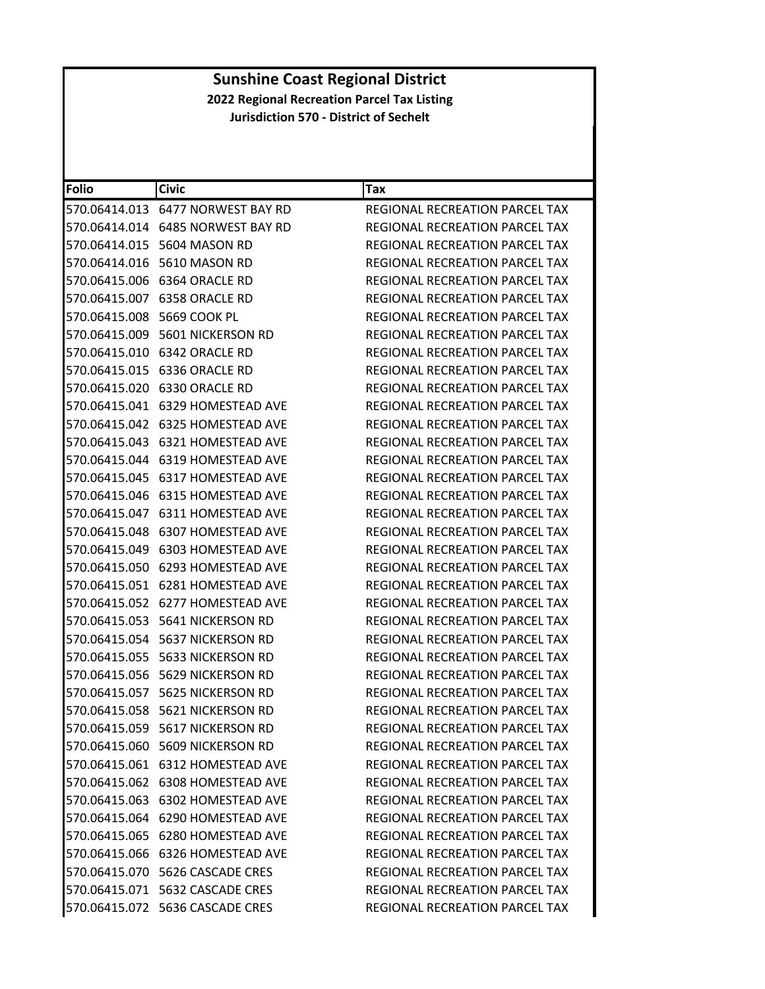| <b>Folio</b> | <b>Civic</b>                            | Tax                                   |
|--------------|-----------------------------------------|---------------------------------------|
|              | 570.06414.013    6477    NORWEST BAY RD | REGIONAL RECREATION PARCEL TAX        |
|              |                                         | REGIONAL RECREATION PARCEL TAX        |
|              | 570.06414.015    5604 MASON RD          | REGIONAL RECREATION PARCEL TAX        |
|              | 570.06414.016    5610 MASON RD          | <b>REGIONAL RECREATION PARCEL TAX</b> |
|              | 570.06415.006 6364 ORACLE RD            | REGIONAL RECREATION PARCEL TAX        |
|              |                                         | REGIONAL RECREATION PARCEL TAX        |
|              |                                         | REGIONAL RECREATION PARCEL TAX        |
|              | 570.06415.009    5601 NICKERSON RD      | REGIONAL RECREATION PARCEL TAX        |
|              | 570.06415.010 6342 ORACLE RD            | REGIONAL RECREATION PARCEL TAX        |
|              | 570.06415.015 6336 ORACLE RD            | REGIONAL RECREATION PARCEL TAX        |
|              | 570.06415.020 6330 ORACLE RD            | REGIONAL RECREATION PARCEL TAX        |
|              |                                         | REGIONAL RECREATION PARCEL TAX        |
|              |                                         | REGIONAL RECREATION PARCEL TAX        |
|              |                                         | REGIONAL RECREATION PARCEL TAX        |
|              |                                         | <b>REGIONAL RECREATION PARCEL TAX</b> |
|              |                                         | REGIONAL RECREATION PARCEL TAX        |
|              |                                         | REGIONAL RECREATION PARCEL TAX        |
|              |                                         | REGIONAL RECREATION PARCEL TAX        |
|              | 570.06415.048 6307 HOMESTEAD AVE        | REGIONAL RECREATION PARCEL TAX        |
|              |                                         | REGIONAL RECREATION PARCEL TAX        |
|              |                                         | REGIONAL RECREATION PARCEL TAX        |
|              | 570.06415.051 6281 HOMESTEAD AVE        | REGIONAL RECREATION PARCEL TAX        |
|              | 570.06415.052 6277 HOMESTEAD AVE        | REGIONAL RECREATION PARCEL TAX        |
|              |                                         | REGIONAL RECREATION PARCEL TAX        |
|              | 570.06415.054    5637 NICKERSON RD      | REGIONAL RECREATION PARCEL TAX        |
|              |                                         | REGIONAL RECREATION PARCEL TAX        |
|              | 570.06415.056    5629 NICKERSON RD      | REGIONAL RECREATION PARCEL TAX        |
|              | 570.06415.057 5625 NICKERSON RD         | REGIONAL RECREATION PARCEL TAX        |
|              | 570.06415.058 5621 NICKERSON RD         | REGIONAL RECREATION PARCEL TAX        |
|              | 570.06415.059 5617 NICKERSON RD         | REGIONAL RECREATION PARCEL TAX        |
|              | 570.06415.060 5609 NICKERSON RD         | REGIONAL RECREATION PARCEL TAX        |
|              | 570.06415.061 6312 HOMESTEAD AVE        | REGIONAL RECREATION PARCEL TAX        |
|              | 570.06415.062 6308 HOMESTEAD AVE        | REGIONAL RECREATION PARCEL TAX        |
|              |                                         | <b>REGIONAL RECREATION PARCEL TAX</b> |
|              | 570.06415.064 6290 HOMESTEAD AVE        | REGIONAL RECREATION PARCEL TAX        |
|              | 570.06415.065 6280 HOMESTEAD AVE        | REGIONAL RECREATION PARCEL TAX        |
|              | 570.06415.066 6326 HOMESTEAD AVE        | REGIONAL RECREATION PARCEL TAX        |
|              | 570.06415.070    5626 CASCADE CRES      | REGIONAL RECREATION PARCEL TAX        |
|              |                                         | REGIONAL RECREATION PARCEL TAX        |
|              | 570.06415.072 5636 CASCADE CRES         | REGIONAL RECREATION PARCEL TAX        |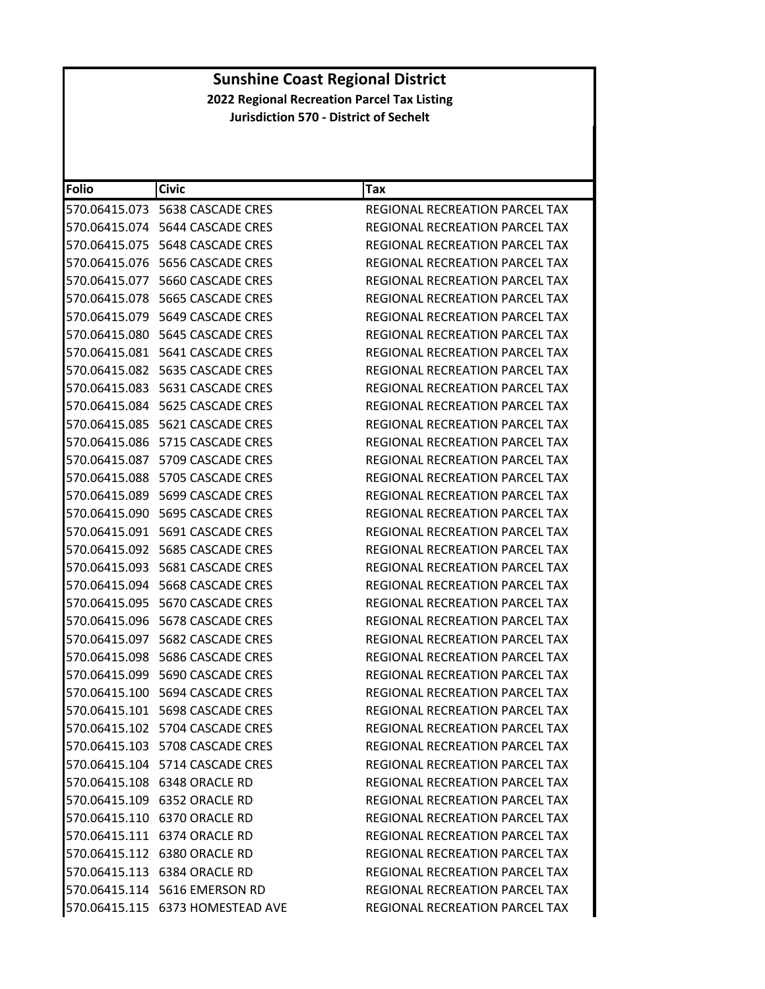| <b>Folio</b>  | <b>Civic</b>                       | Tax                                   |
|---------------|------------------------------------|---------------------------------------|
|               | 570.06415.073    5638 CASCADE CRES | <b>REGIONAL RECREATION PARCEL TAX</b> |
|               |                                    | REGIONAL RECREATION PARCEL TAX        |
| 570.06415.075 | 5648 CASCADE CRES                  | REGIONAL RECREATION PARCEL TAX        |
| 570.06415.076 | 5656 CASCADE CRES                  | REGIONAL RECREATION PARCEL TAX        |
|               | 570.06415.077    5660 CASCADE CRES | REGIONAL RECREATION PARCEL TAX        |
|               |                                    | REGIONAL RECREATION PARCEL TAX        |
|               |                                    | REGIONAL RECREATION PARCEL TAX        |
|               |                                    | REGIONAL RECREATION PARCEL TAX        |
| 570.06415.081 | 5641 CASCADE CRES                  | <b>REGIONAL RECREATION PARCEL TAX</b> |
|               |                                    | REGIONAL RECREATION PARCEL TAX        |
|               |                                    | REGIONAL RECREATION PARCEL TAX        |
|               |                                    | REGIONAL RECREATION PARCEL TAX        |
|               |                                    | REGIONAL RECREATION PARCEL TAX        |
| 570.06415.086 | 5715 CASCADE CRES                  | REGIONAL RECREATION PARCEL TAX        |
|               | 570.06415.087    5709 CASCADE CRES | REGIONAL RECREATION PARCEL TAX        |
|               |                                    | REGIONAL RECREATION PARCEL TAX        |
|               |                                    | REGIONAL RECREATION PARCEL TAX        |
|               |                                    | REGIONAL RECREATION PARCEL TAX        |
|               |                                    | REGIONAL RECREATION PARCEL TAX        |
|               |                                    | REGIONAL RECREATION PARCEL TAX        |
|               |                                    | REGIONAL RECREATION PARCEL TAX        |
|               |                                    | REGIONAL RECREATION PARCEL TAX        |
|               | 570.06415.095    5670 CASCADE CRES | REGIONAL RECREATION PARCEL TAX        |
| 570.06415.096 | 5678 CASCADE CRES                  | REGIONAL RECREATION PARCEL TAX        |
|               |                                    | REGIONAL RECREATION PARCEL TAX        |
|               |                                    | REGIONAL RECREATION PARCEL TAX        |
|               |                                    | REGIONAL RECREATION PARCEL TAX        |
|               | 570.06415.100    5694 CASCADE CRES | REGIONAL RECREATION PARCEL TAX        |
|               |                                    | REGIONAL RECREATION PARCEL TAX        |
|               | 570.06415.102 5704 CASCADE CRES    | REGIONAL RECREATION PARCEL TAX        |
|               | 570.06415.103    5708 CASCADE CRES | REGIONAL RECREATION PARCEL TAX        |
|               | 570.06415.104 5714 CASCADE CRES    | REGIONAL RECREATION PARCEL TAX        |
|               | 570.06415.108 6348 ORACLE RD       | REGIONAL RECREATION PARCEL TAX        |
|               |                                    | REGIONAL RECREATION PARCEL TAX        |
|               | 570.06415.110 6370 ORACLE RD       | REGIONAL RECREATION PARCEL TAX        |
|               | 570.06415.111 6374 ORACLE RD       | REGIONAL RECREATION PARCEL TAX        |
|               | 570.06415.112 6380 ORACLE RD       | REGIONAL RECREATION PARCEL TAX        |
|               | 570.06415.113 6384 ORACLE RD       | REGIONAL RECREATION PARCEL TAX        |
|               | 570.06415.114 5616 EMERSON RD      | <b>REGIONAL RECREATION PARCEL TAX</b> |
|               | 570.06415.115 6373 HOMESTEAD AVE   | REGIONAL RECREATION PARCEL TAX        |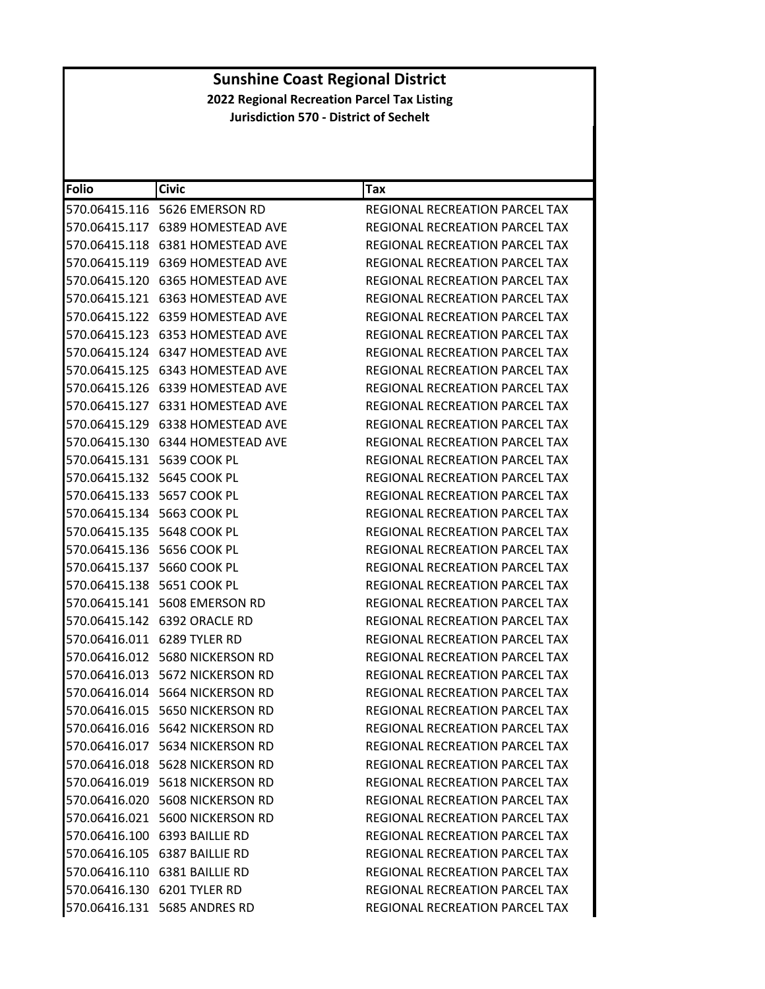| Folio                            | <b>Civic</b>                        | Tax                                   |
|----------------------------------|-------------------------------------|---------------------------------------|
|                                  | 570.06415.116    5626 EMERSON RD    | REGIONAL RECREATION PARCEL TAX        |
|                                  | 570.06415.117 6389 HOMESTEAD AVE    | REGIONAL RECREATION PARCEL TAX        |
|                                  | 570.06415.118 6381 HOMESTEAD AVE    | REGIONAL RECREATION PARCEL TAX        |
| 570.06415.119                    | 6369 HOMESTEAD AVE                  | REGIONAL RECREATION PARCEL TAX        |
|                                  | 570.06415.120 6365 HOMESTEAD AVE    | REGIONAL RECREATION PARCEL TAX        |
|                                  |                                     | <b>REGIONAL RECREATION PARCEL TAX</b> |
|                                  |                                     | REGIONAL RECREATION PARCEL TAX        |
|                                  |                                     | <b>REGIONAL RECREATION PARCEL TAX</b> |
|                                  |                                     | REGIONAL RECREATION PARCEL TAX        |
|                                  |                                     | REGIONAL RECREATION PARCEL TAX        |
|                                  |                                     | REGIONAL RECREATION PARCEL TAX        |
|                                  |                                     | REGIONAL RECREATION PARCEL TAX        |
|                                  | 570.06415.129 6338 HOMESTEAD AVE    | REGIONAL RECREATION PARCEL TAX        |
|                                  |                                     | REGIONAL RECREATION PARCEL TAX        |
|                                  |                                     | REGIONAL RECREATION PARCEL TAX        |
|                                  |                                     | REGIONAL RECREATION PARCEL TAX        |
|                                  |                                     | REGIONAL RECREATION PARCEL TAX        |
| 570.06415.134 5663 COOK PL       |                                     | REGIONAL RECREATION PARCEL TAX        |
| 570.06415.135    5648    COOK PL |                                     | REGIONAL RECREATION PARCEL TAX        |
|                                  |                                     | REGIONAL RECREATION PARCEL TAX        |
| 570.06415.137 5660 COOK PL       |                                     | REGIONAL RECREATION PARCEL TAX        |
|                                  |                                     | REGIONAL RECREATION PARCEL TAX        |
|                                  | 570.06415.141    5608    EMERSON RD | REGIONAL RECREATION PARCEL TAX        |
|                                  |                                     | REGIONAL RECREATION PARCEL TAX        |
|                                  | 570.06416.011 6289 TYLER RD         | REGIONAL RECREATION PARCEL TAX        |
|                                  | 570.06416.012 5680 NICKERSON RD     | REGIONAL RECREATION PARCEL TAX        |
|                                  | 570.06416.013 5672 NICKERSON RD     | REGIONAL RECREATION PARCEL TAX        |
|                                  | 570.06416.014 5664 NICKERSON RD     | REGIONAL RECREATION PARCEL TAX        |
|                                  | 570.06416.015 5650 NICKERSON RD     | REGIONAL RECREATION PARCEL TAX        |
|                                  | 570.06416.016 5642 NICKERSON RD     | REGIONAL RECREATION PARCEL TAX        |
|                                  | 570.06416.017 5634 NICKERSON RD     | REGIONAL RECREATION PARCEL TAX        |
|                                  | 570.06416.018 5628 NICKERSON RD     | REGIONAL RECREATION PARCEL TAX        |
|                                  | 570.06416.019 5618 NICKERSON RD     | REGIONAL RECREATION PARCEL TAX        |
|                                  | 570.06416.020 5608 NICKERSON RD     | <b>REGIONAL RECREATION PARCEL TAX</b> |
|                                  | 570.06416.021 5600 NICKERSON RD     | REGIONAL RECREATION PARCEL TAX        |
|                                  | 570.06416.100 6393 BAILLIE RD       | REGIONAL RECREATION PARCEL TAX        |
|                                  | 570.06416.105 6387 BAILLIE RD       | REGIONAL RECREATION PARCEL TAX        |
|                                  | 570.06416.110 6381 BAILLIE RD       | REGIONAL RECREATION PARCEL TAX        |
|                                  | 570.06416.130 6201 TYLER RD         | REGIONAL RECREATION PARCEL TAX        |
|                                  | 570.06416.131    5685 ANDRES RD     | REGIONAL RECREATION PARCEL TAX        |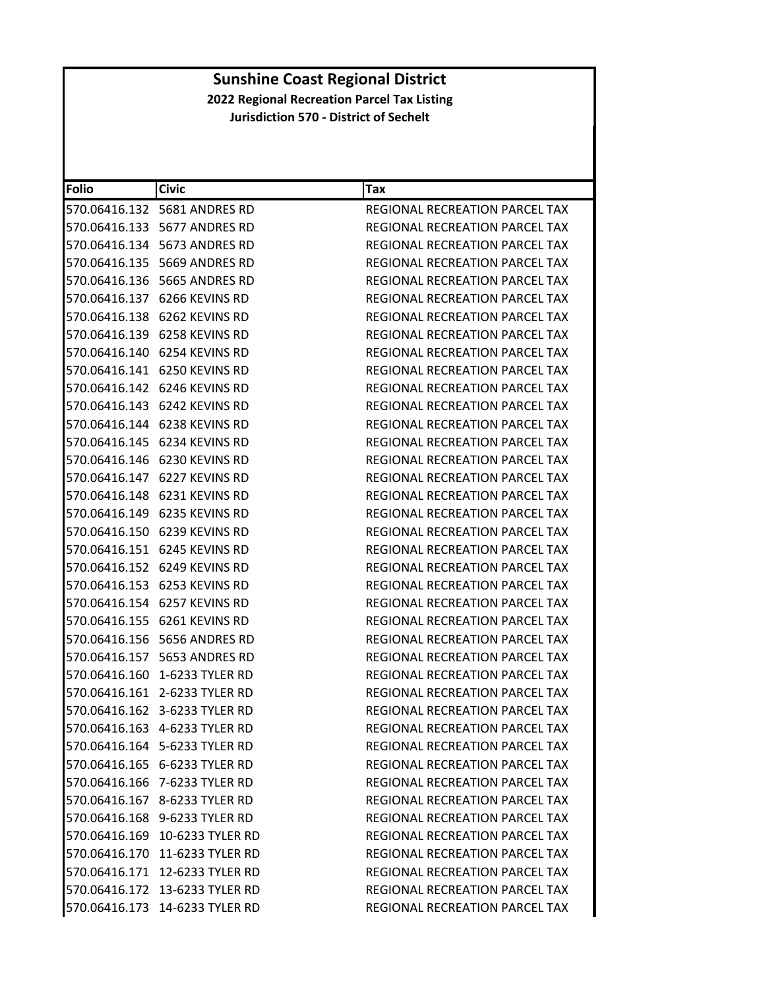| <b>Folio</b> | <b>Civic</b>                    | Tax                                   |
|--------------|---------------------------------|---------------------------------------|
|              | 570.06416.132    5681 ANDRES RD | REGIONAL RECREATION PARCEL TAX        |
|              | 570.06416.133    5677 ANDRES RD | REGIONAL RECREATION PARCEL TAX        |
|              | 570.06416.134    5673 ANDRES RD | <b>REGIONAL RECREATION PARCEL TAX</b> |
|              | 570.06416.135    5669 ANDRES RD | REGIONAL RECREATION PARCEL TAX        |
|              | 570.06416.136    5665 ANDRES RD | REGIONAL RECREATION PARCEL TAX        |
|              | 570.06416.137 6266 KEVINS RD    | REGIONAL RECREATION PARCEL TAX        |
|              | 570.06416.138 6262 KEVINS RD    | REGIONAL RECREATION PARCEL TAX        |
|              | 570.06416.139 6258 KEVINS RD    | REGIONAL RECREATION PARCEL TAX        |
|              | 570.06416.140 6254 KEVINS RD    | REGIONAL RECREATION PARCEL TAX        |
|              | 570.06416.141 6250 KEVINS RD    | REGIONAL RECREATION PARCEL TAX        |
|              | 570.06416.142 6246 KEVINS RD    | REGIONAL RECREATION PARCEL TAX        |
|              | 570.06416.143 6242 KEVINS RD    | REGIONAL RECREATION PARCEL TAX        |
|              | 570.06416.144 6238 KEVINS RD    | <b>REGIONAL RECREATION PARCEL TAX</b> |
|              | 570.06416.145 6234 KEVINS RD    | REGIONAL RECREATION PARCEL TAX        |
|              | 570.06416.146 6230 KEVINS RD    | REGIONAL RECREATION PARCEL TAX        |
|              | 570.06416.147 6227 KEVINS RD    | REGIONAL RECREATION PARCEL TAX        |
|              | 570.06416.148 6231 KEVINS RD    | REGIONAL RECREATION PARCEL TAX        |
|              | 570.06416.149 6235 KEVINS RD    | REGIONAL RECREATION PARCEL TAX        |
|              | 570.06416.150 6239 KEVINS RD    | <b>REGIONAL RECREATION PARCEL TAX</b> |
|              | 570.06416.151 6245 KEVINS RD    | REGIONAL RECREATION PARCEL TAX        |
|              | 570.06416.152 6249 KEVINS RD    | REGIONAL RECREATION PARCEL TAX        |
|              | 570.06416.153 6253 KEVINS RD    | REGIONAL RECREATION PARCEL TAX        |
|              | 570.06416.154 6257 KEVINS RD    | REGIONAL RECREATION PARCEL TAX        |
|              | 570.06416.155 6261 KEVINS RD    | REGIONAL RECREATION PARCEL TAX        |
|              | 570.06416.156    5656 ANDRES RD | REGIONAL RECREATION PARCEL TAX        |
|              | 570.06416.157    5653 ANDRES RD | REGIONAL RECREATION PARCEL TAX        |
|              | 570.06416.160 1-6233 TYLER RD   | REGIONAL RECREATION PARCEL TAX        |
|              | 570.06416.161 2-6233 TYLER RD   | REGIONAL RECREATION PARCEL TAX        |
|              | 570.06416.162 3-6233 TYLER RD   | REGIONAL RECREATION PARCEL TAX        |
|              | 570.06416.163 4-6233 TYLER RD   | REGIONAL RECREATION PARCEL TAX        |
|              | 570.06416.164 5-6233 TYLER RD   | REGIONAL RECREATION PARCEL TAX        |
|              | 570.06416.165 6-6233 TYLER RD   | REGIONAL RECREATION PARCEL TAX        |
|              | 570.06416.166 7-6233 TYLER RD   | REGIONAL RECREATION PARCEL TAX        |
|              | 570.06416.167 8-6233 TYLER RD   | REGIONAL RECREATION PARCEL TAX        |
|              | 570.06416.168 9-6233 TYLER RD   | REGIONAL RECREATION PARCEL TAX        |
|              | 570.06416.169 10-6233 TYLER RD  | REGIONAL RECREATION PARCEL TAX        |
|              | 570.06416.170 11-6233 TYLER RD  | REGIONAL RECREATION PARCEL TAX        |
|              | 570.06416.171 12-6233 TYLER RD  | <b>REGIONAL RECREATION PARCEL TAX</b> |
|              | 570.06416.172 13-6233 TYLER RD  | REGIONAL RECREATION PARCEL TAX        |
|              | 570.06416.173 14-6233 TYLER RD  | REGIONAL RECREATION PARCEL TAX        |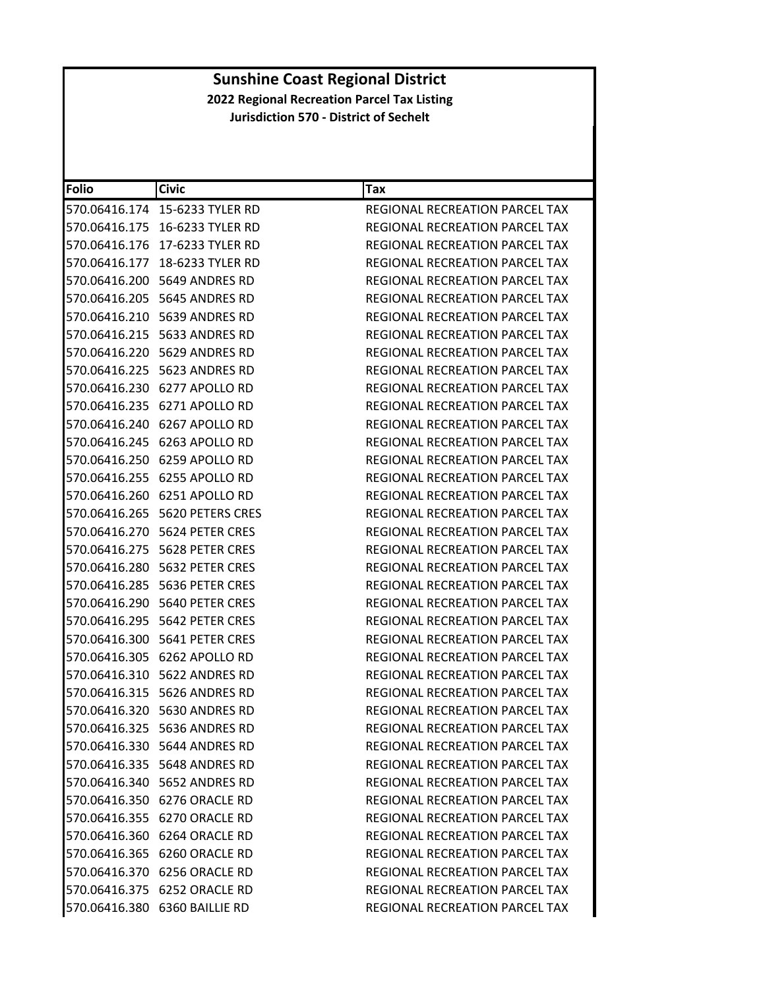| <b>Folio</b> | <b>Civic</b>                        | Tax                                   |
|--------------|-------------------------------------|---------------------------------------|
|              | 570.06416.174 15-6233 TYLER RD      | REGIONAL RECREATION PARCEL TAX        |
|              |                                     | REGIONAL RECREATION PARCEL TAX        |
|              | 570.06416.176 17-6233 TYLER RD      | REGIONAL RECREATION PARCEL TAX        |
|              | 570.06416.177 18-6233 TYLER RD      | REGIONAL RECREATION PARCEL TAX        |
|              | 570.06416.200 5649 ANDRES RD        | REGIONAL RECREATION PARCEL TAX        |
|              | 570.06416.205    5645 ANDRES RD     | REGIONAL RECREATION PARCEL TAX        |
|              | 570.06416.210    5639 ANDRES RD     | <b>REGIONAL RECREATION PARCEL TAX</b> |
|              | 570.06416.215    5633 ANDRES RD     | REGIONAL RECREATION PARCEL TAX        |
|              | 570.06416.220 5629 ANDRES RD        | REGIONAL RECREATION PARCEL TAX        |
|              | 570.06416.225    5623 ANDRES RD     | REGIONAL RECREATION PARCEL TAX        |
|              | 570.06416.230 6277 APOLLO RD        | REGIONAL RECREATION PARCEL TAX        |
|              | 570.06416.235 6271 APOLLO RD        | REGIONAL RECREATION PARCEL TAX        |
|              | 570.06416.240 6267 APOLLO RD        | REGIONAL RECREATION PARCEL TAX        |
|              | 570.06416.245 6263 APOLLO RD        | REGIONAL RECREATION PARCEL TAX        |
|              | 570.06416.250 6259 APOLLO RD        | REGIONAL RECREATION PARCEL TAX        |
|              | 570.06416.255 6255 APOLLO RD        | REGIONAL RECREATION PARCEL TAX        |
|              | 570.06416.260 6251 APOLLO RD        | REGIONAL RECREATION PARCEL TAX        |
|              | 570.06416.265    5620 PETERS CRES   | REGIONAL RECREATION PARCEL TAX        |
|              | 570.06416.270    5624 PETER CRES    | REGIONAL RECREATION PARCEL TAX        |
|              | 570.06416.275    5628 PETER CRES    | REGIONAL RECREATION PARCEL TAX        |
|              | 570.06416.280    5632 PETER CRES    | REGIONAL RECREATION PARCEL TAX        |
|              | 570.06416.285    5636 PETER CRES    | REGIONAL RECREATION PARCEL TAX        |
|              | 570.06416.290 5640 PETER CRES       | REGIONAL RECREATION PARCEL TAX        |
|              | 570.06416.295    5642    PETER CRES | REGIONAL RECREATION PARCEL TAX        |
|              | 570.06416.300    5641 PETER CRES    | REGIONAL RECREATION PARCEL TAX        |
|              | 570.06416.305 6262 APOLLO RD        | REGIONAL RECREATION PARCEL TAX        |
|              | 570.06416.310    5622 ANDRES RD     | <b>REGIONAL RECREATION PARCEL TAX</b> |
|              | 570.06416.315    5626 ANDRES RD     | <b>REGIONAL RECREATION PARCEL TAX</b> |
|              | 570.06416.320 5630 ANDRES RD        | REGIONAL RECREATION PARCEL TAX        |
|              | 570.06416.325    5636 ANDRES RD     | REGIONAL RECREATION PARCEL TAX        |
|              | 570.06416.330 5644 ANDRES RD        | REGIONAL RECREATION PARCEL TAX        |
|              | 570.06416.335    5648 ANDRES RD     | REGIONAL RECREATION PARCEL TAX        |
|              | 570.06416.340    5652 ANDRES RD     | REGIONAL RECREATION PARCEL TAX        |
|              | 570.06416.350 6276 ORACLE RD        | <b>REGIONAL RECREATION PARCEL TAX</b> |
|              | 570.06416.355 6270 ORACLE RD        | <b>REGIONAL RECREATION PARCEL TAX</b> |
|              | 570.06416.360 6264 ORACLE RD        | REGIONAL RECREATION PARCEL TAX        |
|              | 570.06416.365 6260 ORACLE RD        | REGIONAL RECREATION PARCEL TAX        |
|              | 570.06416.370 6256 ORACLE RD        | <b>REGIONAL RECREATION PARCEL TAX</b> |
|              | 570.06416.375 6252 ORACLE RD        | REGIONAL RECREATION PARCEL TAX        |
|              | 570.06416.380 6360 BAILLIE RD       | REGIONAL RECREATION PARCEL TAX        |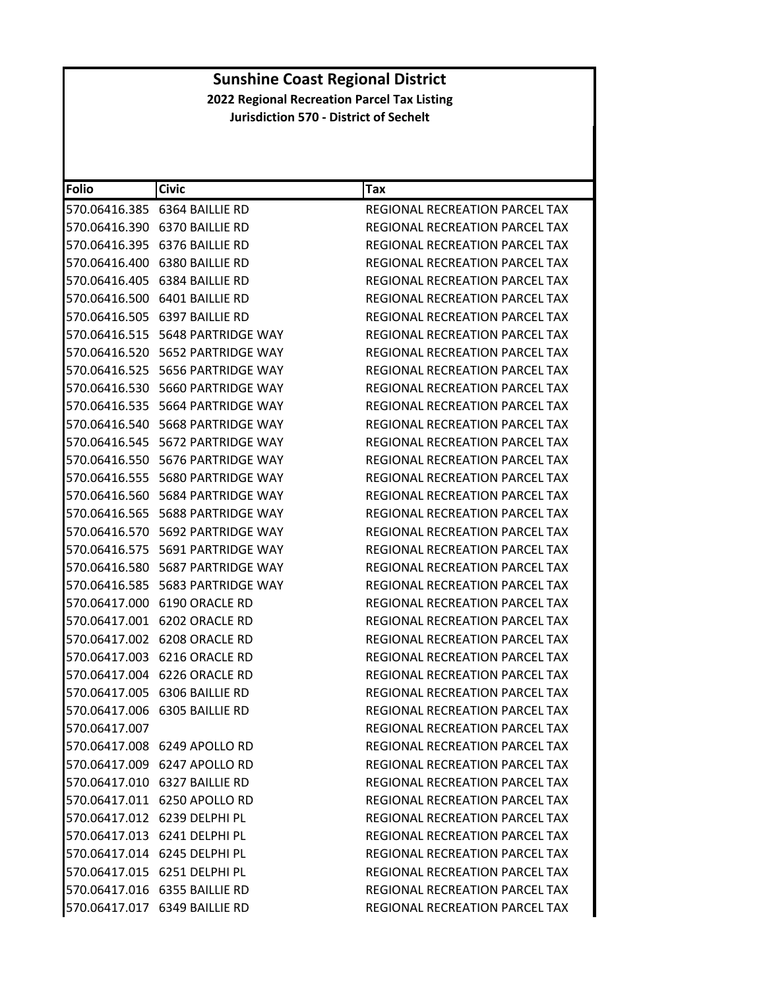| <b>Folio</b>  | <b>Civic</b>                              | Tax                                   |
|---------------|-------------------------------------------|---------------------------------------|
|               | 570.06416.385 6364 BAILLIE RD             | REGIONAL RECREATION PARCEL TAX        |
|               | 570.06416.390 6370 BAILLIE RD             | REGIONAL RECREATION PARCEL TAX        |
|               | 570.06416.395 6376 BAILLIE RD             | <b>REGIONAL RECREATION PARCEL TAX</b> |
| 570.06416.400 | 6380 BAILLIE RD                           | REGIONAL RECREATION PARCEL TAX        |
|               | 570.06416.405 6384 BAILLIE RD             | REGIONAL RECREATION PARCEL TAX        |
|               | 570.06416.500 6401 BAILLIE RD             | <b>REGIONAL RECREATION PARCEL TAX</b> |
|               | 570.06416.505 6397 BAILLIE RD             | REGIONAL RECREATION PARCEL TAX        |
|               | 570.06416.515    5648    PARTRIDGE WAY    | REGIONAL RECREATION PARCEL TAX        |
| 570.06416.520 | 5652 PARTRIDGE WAY                        | REGIONAL RECREATION PARCEL TAX        |
|               | 570.06416.525    5656 PARTRIDGE WAY       | REGIONAL RECREATION PARCEL TAX        |
|               | 570.06416.530    5660 PARTRIDGE WAY       | REGIONAL RECREATION PARCEL TAX        |
|               |                                           | REGIONAL RECREATION PARCEL TAX        |
|               | 570.06416.540 5668 PARTRIDGE WAY          | REGIONAL RECREATION PARCEL TAX        |
| 570.06416.545 | 5672 PARTRIDGE WAY                        | REGIONAL RECREATION PARCEL TAX        |
|               | 570.06416.550    5676 PARTRIDGE WAY       | REGIONAL RECREATION PARCEL TAX        |
|               | 570.06416.555    5680    PARTRIDGE WAY    | REGIONAL RECREATION PARCEL TAX        |
|               | 570.06416.560    5684    PARTRIDGE WAY    | REGIONAL RECREATION PARCEL TAX        |
|               | 570.06416.565    5688    PARTRIDGE WAY    | REGIONAL RECREATION PARCEL TAX        |
|               | 570.06416.570    5692    PARTRIDGE WAY    | REGIONAL RECREATION PARCEL TAX        |
|               | 570.06416.575    5691    PARTRIDGE    WAY | REGIONAL RECREATION PARCEL TAX        |
|               | 570.06416.580    5687    PARTRIDGE WAY    | REGIONAL RECREATION PARCEL TAX        |
|               |                                           | REGIONAL RECREATION PARCEL TAX        |
|               | 570.06417.000 6190 ORACLE RD              | REGIONAL RECREATION PARCEL TAX        |
| 570.06417.001 | 6202 ORACLE RD                            | REGIONAL RECREATION PARCEL TAX        |
|               | 570.06417.002 6208 ORACLE RD              | REGIONAL RECREATION PARCEL TAX        |
|               | 570.06417.003 6216 ORACLE RD              | REGIONAL RECREATION PARCEL TAX        |
|               | 570.06417.004 6226 ORACLE RD              | REGIONAL RECREATION PARCEL TAX        |
|               | 570.06417.005 6306 BAILLIE RD             | REGIONAL RECREATION PARCEL TAX        |
|               | 570.06417.006 6305 BAILLIE RD             | REGIONAL RECREATION PARCEL TAX        |
| 570.06417.007 |                                           | REGIONAL RECREATION PARCEL TAX        |
|               | 570.06417.008 6249 APOLLO RD              | REGIONAL RECREATION PARCEL TAX        |
|               | 570.06417.009 6247 APOLLO RD              | REGIONAL RECREATION PARCEL TAX        |
|               | 570.06417.010 6327 BAILLIE RD             | REGIONAL RECREATION PARCEL TAX        |
|               | 570.06417.011 6250 APOLLO RD              | <b>REGIONAL RECREATION PARCEL TAX</b> |
|               | 570.06417.012 6239 DELPHI PL              | REGIONAL RECREATION PARCEL TAX        |
|               | 570.06417.013 6241 DELPHI PL              | <b>REGIONAL RECREATION PARCEL TAX</b> |
|               | 570.06417.014 6245 DELPHI PL              | <b>REGIONAL RECREATION PARCEL TAX</b> |
|               | 570.06417.015 6251 DELPHI PL              | REGIONAL RECREATION PARCEL TAX        |
|               | 570.06417.016 6355 BAILLIE RD             | REGIONAL RECREATION PARCEL TAX        |
|               | 570.06417.017 6349 BAILLIE RD             | REGIONAL RECREATION PARCEL TAX        |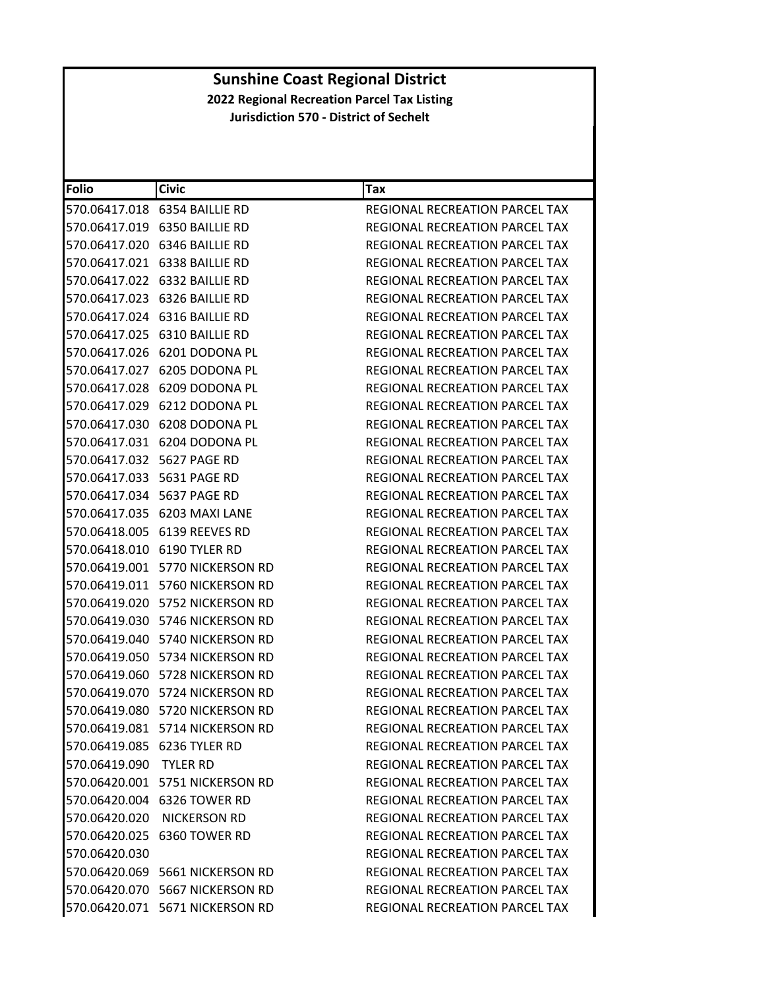| <b>Folio</b>               | <b>Civic</b>                     | Tax                                   |
|----------------------------|----------------------------------|---------------------------------------|
|                            | 570.06417.018 6354 BAILLIE RD    | REGIONAL RECREATION PARCEL TAX        |
|                            | 570.06417.019 6350 BAILLIE RD    | REGIONAL RECREATION PARCEL TAX        |
|                            | 570.06417.020 6346 BAILLIE RD    | <b>REGIONAL RECREATION PARCEL TAX</b> |
|                            | 570.06417.021 6338 BAILLIE RD    | REGIONAL RECREATION PARCEL TAX        |
|                            | 570.06417.022 6332 BAILLIE RD    | REGIONAL RECREATION PARCEL TAX        |
|                            | 570.06417.023 6326 BAILLIE RD    | <b>REGIONAL RECREATION PARCEL TAX</b> |
|                            | 570.06417.024 6316 BAILLIE RD    | REGIONAL RECREATION PARCEL TAX        |
|                            | 570.06417.025 6310 BAILLIE RD    | REGIONAL RECREATION PARCEL TAX        |
|                            | 570.06417.026 6201 DODONA PL     | REGIONAL RECREATION PARCEL TAX        |
|                            | 570.06417.027 6205 DODONA PL     | REGIONAL RECREATION PARCEL TAX        |
|                            | 570.06417.028 6209 DODONA PL     | REGIONAL RECREATION PARCEL TAX        |
|                            | 570.06417.029 6212 DODONA PL     | REGIONAL RECREATION PARCEL TAX        |
|                            | 570.06417.030 6208 DODONA PL     | REGIONAL RECREATION PARCEL TAX        |
|                            | 570.06417.031 6204 DODONA PL     | REGIONAL RECREATION PARCEL TAX        |
| 570.06417.032 5627 PAGE RD |                                  | <b>REGIONAL RECREATION PARCEL TAX</b> |
|                            | 570.06417.033    5631    PAGE RD | <b>REGIONAL RECREATION PARCEL TAX</b> |
| 570.06417.034 5637 PAGE RD |                                  | REGIONAL RECREATION PARCEL TAX        |
|                            | 570.06417.035 6203 MAXI LANE     | REGIONAL RECREATION PARCEL TAX        |
|                            | 570.06418.005 6139 REEVES RD     | REGIONAL RECREATION PARCEL TAX        |
|                            | 570.06418.010 6190 TYLER RD      | REGIONAL RECREATION PARCEL TAX        |
|                            | 570.06419.001 5770 NICKERSON RD  | REGIONAL RECREATION PARCEL TAX        |
|                            | 570.06419.011 5760 NICKERSON RD  | REGIONAL RECREATION PARCEL TAX        |
|                            | 570.06419.020 5752 NICKERSON RD  | REGIONAL RECREATION PARCEL TAX        |
|                            | 570.06419.030 5746 NICKERSON RD  | REGIONAL RECREATION PARCEL TAX        |
|                            | 570.06419.040 5740 NICKERSON RD  | REGIONAL RECREATION PARCEL TAX        |
|                            | 570.06419.050 5734 NICKERSON RD  | <b>REGIONAL RECREATION PARCEL TAX</b> |
|                            | 570.06419.060 5728 NICKERSON RD  | <b>REGIONAL RECREATION PARCEL TAX</b> |
|                            | 570.06419.070 5724 NICKERSON RD  | REGIONAL RECREATION PARCEL TAX        |
|                            | 570.06419.080 5720 NICKERSON RD  | REGIONAL RECREATION PARCEL TAX        |
|                            | 570.06419.081 5714 NICKERSON RD  | REGIONAL RECREATION PARCEL TAX        |
|                            | 570.06419.085 6236 TYLER RD      | REGIONAL RECREATION PARCEL TAX        |
| 570.06419.090 TYLER RD     |                                  | REGIONAL RECREATION PARCEL TAX        |
|                            | 570.06420.001 5751 NICKERSON RD  | REGIONAL RECREATION PARCEL TAX        |
|                            | 570.06420.004 6326 TOWER RD      | <b>REGIONAL RECREATION PARCEL TAX</b> |
|                            | 570.06420.020 NICKERSON RD       | REGIONAL RECREATION PARCEL TAX        |
|                            | 570.06420.025 6360 TOWER RD      | <b>REGIONAL RECREATION PARCEL TAX</b> |
| 570.06420.030              |                                  | <b>REGIONAL RECREATION PARCEL TAX</b> |
|                            | 570.06420.069 5661 NICKERSON RD  | REGIONAL RECREATION PARCEL TAX        |
|                            | 570.06420.070 5667 NICKERSON RD  | REGIONAL RECREATION PARCEL TAX        |
|                            | 570.06420.071 5671 NICKERSON RD  | REGIONAL RECREATION PARCEL TAX        |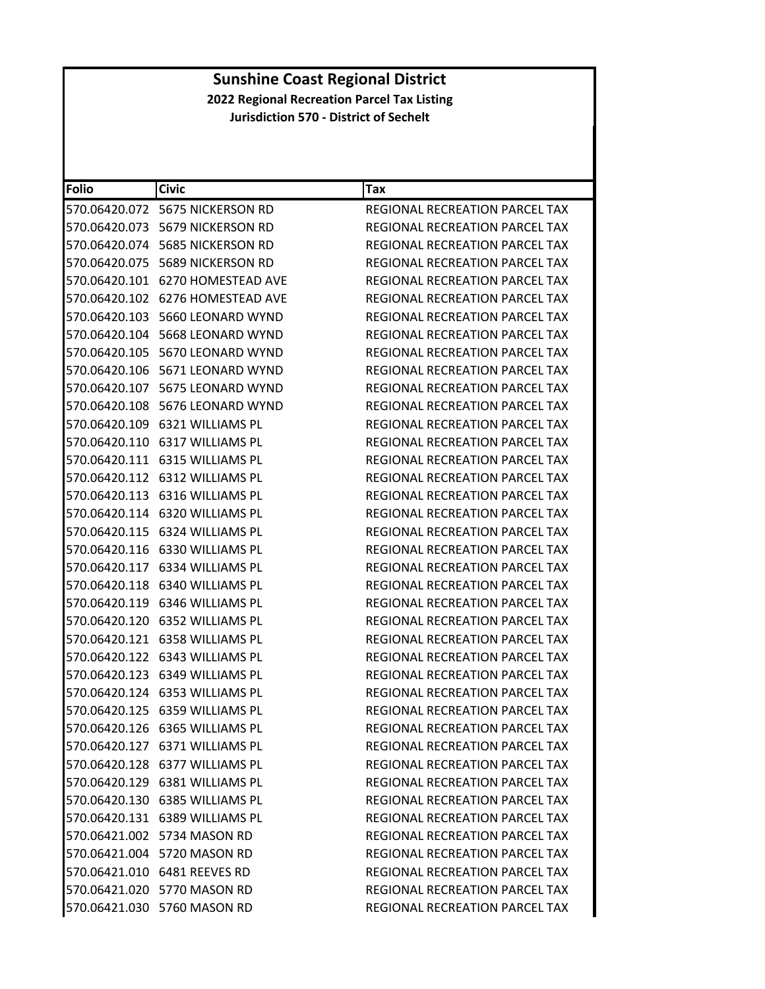| <b>Folio</b>  | <b>Civic</b>                            | Tax                                   |
|---------------|-----------------------------------------|---------------------------------------|
|               |                                         | REGIONAL RECREATION PARCEL TAX        |
|               | 570.06420.073 5679 NICKERSON RD         | REGIONAL RECREATION PARCEL TAX        |
|               | 570.06420.074 5685 NICKERSON RD         | REGIONAL RECREATION PARCEL TAX        |
|               | 570.06420.075    5689 NICKERSON RD      | REGIONAL RECREATION PARCEL TAX        |
|               | 570.06420.101 6270 HOMESTEAD AVE        | REGIONAL RECREATION PARCEL TAX        |
|               |                                         | REGIONAL RECREATION PARCEL TAX        |
|               | 570.06420.103    5660 LEONARD WYND      | REGIONAL RECREATION PARCEL TAX        |
|               | 570.06420.104 5668 LEONARD WYND         | REGIONAL RECREATION PARCEL TAX        |
|               |                                         | REGIONAL RECREATION PARCEL TAX        |
|               | 570.06420.106 5671 LEONARD WYND         | REGIONAL RECREATION PARCEL TAX        |
|               | 570.06420.107    5675    LEONARD WYND   | REGIONAL RECREATION PARCEL TAX        |
|               | 570.06420.108    5676 LEONARD WYND      | REGIONAL RECREATION PARCEL TAX        |
|               | 570.06420.109 6321 WILLIAMS PL          | REGIONAL RECREATION PARCEL TAX        |
|               | 570.06420.110 6317 WILLIAMS PL          | REGIONAL RECREATION PARCEL TAX        |
|               | 570.06420.111    6315    WILLIAMS    PL | <b>REGIONAL RECREATION PARCEL TAX</b> |
|               | 570.06420.112 6312 WILLIAMS PL          | <b>REGIONAL RECREATION PARCEL TAX</b> |
|               | 570.06420.113 6316 WILLIAMS PL          | REGIONAL RECREATION PARCEL TAX        |
|               | 570.06420.114 6320 WILLIAMS PL          | REGIONAL RECREATION PARCEL TAX        |
| 570.06420.115 | 6324 WILLIAMS PL                        | REGIONAL RECREATION PARCEL TAX        |
|               | 570.06420.116    6330 WILLIAMS PL       | REGIONAL RECREATION PARCEL TAX        |
|               | 570.06420.117 6334 WILLIAMS PL          | REGIONAL RECREATION PARCEL TAX        |
|               | 570.06420.118 6340 WILLIAMS PL          | REGIONAL RECREATION PARCEL TAX        |
|               | 570.06420.119 6346 WILLIAMS PL          | REGIONAL RECREATION PARCEL TAX        |
|               | 570.06420.120 6352 WILLIAMS PL          | REGIONAL RECREATION PARCEL TAX        |
| 570.06420.121 | 6358 WILLIAMS PL                        | REGIONAL RECREATION PARCEL TAX        |
|               | 570.06420.122 6343 WILLIAMS PL          | REGIONAL RECREATION PARCEL TAX        |
|               | 570.06420.123    6349    WILLIAMS    PL | REGIONAL RECREATION PARCEL TAX        |
|               | 570.06420.124 6353 WILLIAMS PL          | REGIONAL RECREATION PARCEL TAX        |
|               | 570.06420.125 6359 WILLIAMS PL          | REGIONAL RECREATION PARCEL TAX        |
|               | 570.06420.126 6365 WILLIAMS PL          | REGIONAL RECREATION PARCEL TAX        |
|               | 570.06420.127 6371 WILLIAMS PL          | REGIONAL RECREATION PARCEL TAX        |
|               | 570.06420.128 6377 WILLIAMS PL          | REGIONAL RECREATION PARCEL TAX        |
|               | 570.06420.129 6381 WILLIAMS PL          | REGIONAL RECREATION PARCEL TAX        |
|               | 570.06420.130 6385 WILLIAMS PL          | <b>REGIONAL RECREATION PARCEL TAX</b> |
|               | 570.06420.131 6389 WILLIAMS PL          | REGIONAL RECREATION PARCEL TAX        |
|               | 570.06421.002 5734 MASON RD             | <b>REGIONAL RECREATION PARCEL TAX</b> |
|               | 570.06421.004 5720 MASON RD             | REGIONAL RECREATION PARCEL TAX        |
|               | 570.06421.010 6481 REEVES RD            | REGIONAL RECREATION PARCEL TAX        |
|               | 570.06421.020 5770 MASON RD             | <b>REGIONAL RECREATION PARCEL TAX</b> |
|               | 570.06421.030 5760 MASON RD             | REGIONAL RECREATION PARCEL TAX        |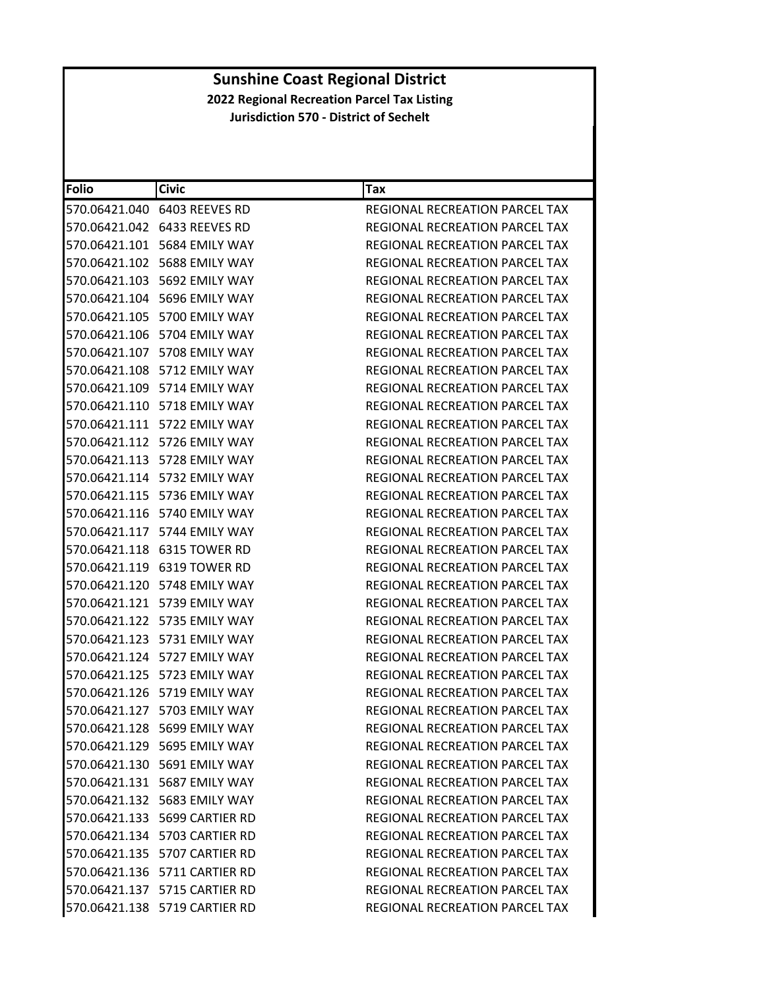| <b>Folio</b> | <b>Civic</b>                       | Tax                                   |
|--------------|------------------------------------|---------------------------------------|
|              | 570.06421.040 6403 REEVES RD       | REGIONAL RECREATION PARCEL TAX        |
|              | 570.06421.042 6433 REEVES RD       | REGIONAL RECREATION PARCEL TAX        |
|              | 570.06421.101    5684 EMILY WAY    | REGIONAL RECREATION PARCEL TAX        |
|              | 570.06421.102 5688 EMILY WAY       | <b>REGIONAL RECREATION PARCEL TAX</b> |
|              | 570.06421.103 5692 EMILY WAY       | REGIONAL RECREATION PARCEL TAX        |
|              | 570.06421.104 5696 EMILY WAY       | <b>REGIONAL RECREATION PARCEL TAX</b> |
|              | 570.06421.105 5700 EMILY WAY       | REGIONAL RECREATION PARCEL TAX        |
|              | 570.06421.106 5704 EMILY WAY       | <b>REGIONAL RECREATION PARCEL TAX</b> |
|              | 570.06421.107    5708 EMILY WAY    | REGIONAL RECREATION PARCEL TAX        |
|              | 570.06421.108 5712 EMILY WAY       | REGIONAL RECREATION PARCEL TAX        |
|              | 570.06421.109    5714 EMILY WAY    | REGIONAL RECREATION PARCEL TAX        |
|              | 570.06421.110    5718    EMILY WAY | REGIONAL RECREATION PARCEL TAX        |
|              | 570.06421.111 5722 EMILY WAY       | REGIONAL RECREATION PARCEL TAX        |
|              | 570.06421.112 5726 EMILY WAY       | REGIONAL RECREATION PARCEL TAX        |
|              | 570.06421.113 5728 EMILY WAY       | REGIONAL RECREATION PARCEL TAX        |
|              | 570.06421.114 5732 EMILY WAY       | REGIONAL RECREATION PARCEL TAX        |
|              | 570.06421.115    5736 EMILY WAY    | REGIONAL RECREATION PARCEL TAX        |
|              | 570.06421.116 5740 EMILY WAY       | <b>REGIONAL RECREATION PARCEL TAX</b> |
|              | 570.06421.117 5744 EMILY WAY       | REGIONAL RECREATION PARCEL TAX        |
|              | 570.06421.118 6315 TOWER RD        | REGIONAL RECREATION PARCEL TAX        |
|              | 570.06421.119 6319 TOWER RD        | REGIONAL RECREATION PARCEL TAX        |
|              | 570.06421.120 5748 EMILY WAY       | REGIONAL RECREATION PARCEL TAX        |
|              | 570.06421.121 5739 EMILY WAY       | REGIONAL RECREATION PARCEL TAX        |
|              | 570.06421.122    5735    EMILY WAY | REGIONAL RECREATION PARCEL TAX        |
|              | 570.06421.123    5731    EMILY WAY | REGIONAL RECREATION PARCEL TAX        |
|              |                                    | <b>REGIONAL RECREATION PARCEL TAX</b> |
|              |                                    | REGIONAL RECREATION PARCEL TAX        |
|              | 570.06421.126 5719 EMILY WAY       | REGIONAL RECREATION PARCEL TAX        |
|              | 570.06421.127 5703 EMILY WAY       | REGIONAL RECREATION PARCEL TAX        |
|              | 570.06421.128 5699 EMILY WAY       | REGIONAL RECREATION PARCEL TAX        |
|              | 570.06421.129 5695 EMILY WAY       | <b>REGIONAL RECREATION PARCEL TAX</b> |
|              | 570.06421.130 5691 EMILY WAY       | REGIONAL RECREATION PARCEL TAX        |
|              | 570.06421.131 5687 EMILY WAY       | REGIONAL RECREATION PARCEL TAX        |
|              | 570.06421.132 5683 EMILY WAY       | REGIONAL RECREATION PARCEL TAX        |
|              | 570.06421.133 5699 CARTIER RD      | REGIONAL RECREATION PARCEL TAX        |
|              | 570.06421.134 5703 CARTIER RD      | REGIONAL RECREATION PARCEL TAX        |
|              | 570.06421.135 5707 CARTIER RD      | REGIONAL RECREATION PARCEL TAX        |
|              | 570.06421.136 5711 CARTIER RD      | REGIONAL RECREATION PARCEL TAX        |
|              | 570.06421.137 5715 CARTIER RD      | REGIONAL RECREATION PARCEL TAX        |
|              | 570.06421.138 5719 CARTIER RD      | REGIONAL RECREATION PARCEL TAX        |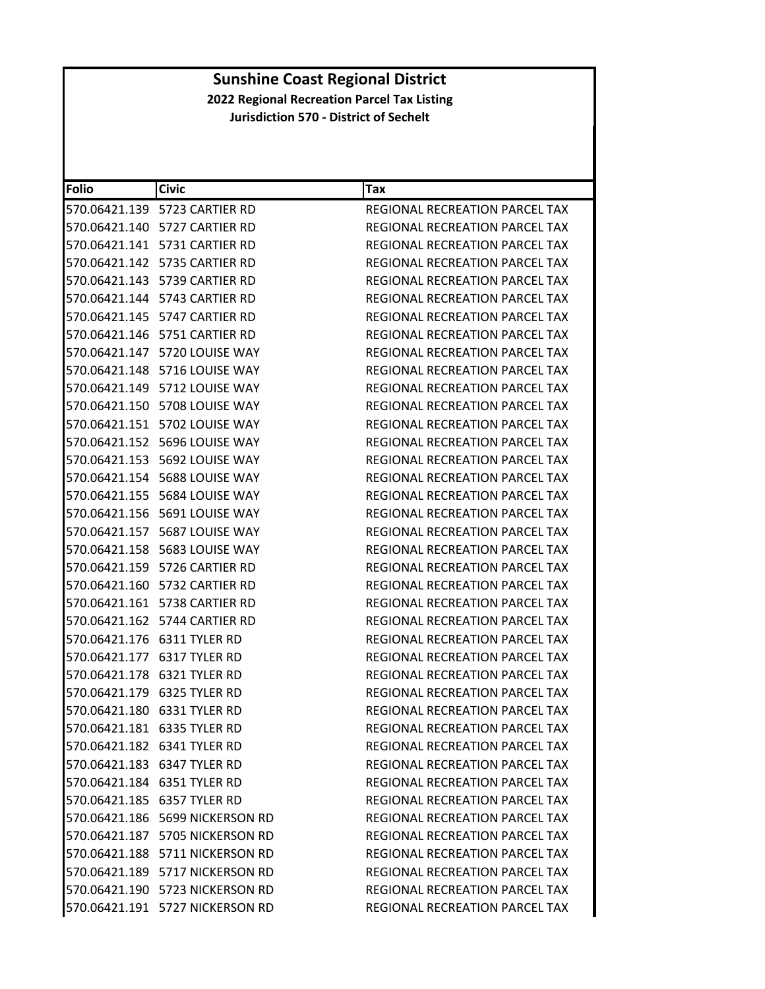| Folio | <b>Civic</b>                        | Tax                                   |
|-------|-------------------------------------|---------------------------------------|
|       | 570.06421.139 5723 CARTIER RD       | REGIONAL RECREATION PARCEL TAX        |
|       | 570.06421.140 5727 CARTIER RD       | REGIONAL RECREATION PARCEL TAX        |
|       | 570.06421.141    5731 CARTIER RD    | REGIONAL RECREATION PARCEL TAX        |
|       | 570.06421.142 5735 CARTIER RD       | REGIONAL RECREATION PARCEL TAX        |
|       | 570.06421.143 5739 CARTIER RD       | REGIONAL RECREATION PARCEL TAX        |
|       |                                     | REGIONAL RECREATION PARCEL TAX        |
|       | 570.06421.145    5747 CARTIER RD    | REGIONAL RECREATION PARCEL TAX        |
|       | 570.06421.146    5751 CARTIER RD    | REGIONAL RECREATION PARCEL TAX        |
|       |                                     | REGIONAL RECREATION PARCEL TAX        |
|       | 570.06421.148 5716 LOUISE WAY       | REGIONAL RECREATION PARCEL TAX        |
|       |                                     | REGIONAL RECREATION PARCEL TAX        |
|       |                                     | REGIONAL RECREATION PARCEL TAX        |
|       | 570.06421.151 5702 LOUISE WAY       | <b>REGIONAL RECREATION PARCEL TAX</b> |
|       | 570.06421.152 5696 LOUISE WAY       | REGIONAL RECREATION PARCEL TAX        |
|       | 570.06421.153    5692    LOUISE WAY | REGIONAL RECREATION PARCEL TAX        |
|       | 570.06421.154    5688    LOUISE WAY | REGIONAL RECREATION PARCEL TAX        |
|       |                                     | REGIONAL RECREATION PARCEL TAX        |
|       | 570.06421.156    5691    LOUISE WAY | <b>REGIONAL RECREATION PARCEL TAX</b> |
|       | 570.06421.157    5687    LOUISE WAY | REGIONAL RECREATION PARCEL TAX        |
|       | 570.06421.158    5683    LOUISE WAY | REGIONAL RECREATION PARCEL TAX        |
|       | 570.06421.159 5726 CARTIER RD       | REGIONAL RECREATION PARCEL TAX        |
|       | 570.06421.160    5732 CARTIER RD    | REGIONAL RECREATION PARCEL TAX        |
|       | 570.06421.161 5738 CARTIER RD       | REGIONAL RECREATION PARCEL TAX        |
|       | 570.06421.162    5744 CARTIER RD    | REGIONAL RECREATION PARCEL TAX        |
|       | 570.06421.176    6311 TYLER RD      | REGIONAL RECREATION PARCEL TAX        |
|       | 570.06421.177    6317 TYLER RD      | REGIONAL RECREATION PARCEL TAX        |
|       | 570.06421.178 6321 TYLER RD         | <b>REGIONAL RECREATION PARCEL TAX</b> |
|       | 570.06421.179 6325 TYLER RD         | <b>REGIONAL RECREATION PARCEL TAX</b> |
|       | 570.06421.180 6331 TYLER RD         | REGIONAL RECREATION PARCEL TAX        |
|       | 570.06421.181 6335 TYLER RD         | REGIONAL RECREATION PARCEL TAX        |
|       | 570.06421.182 6341 TYLER RD         | REGIONAL RECREATION PARCEL TAX        |
|       | 570.06421.183 6347 TYLER RD         | REGIONAL RECREATION PARCEL TAX        |
|       | 570.06421.184 6351 TYLER RD         | <b>REGIONAL RECREATION PARCEL TAX</b> |
|       | 570.06421.185 6357 TYLER RD         | REGIONAL RECREATION PARCEL TAX        |
|       | 570.06421.186 5699 NICKERSON RD     | REGIONAL RECREATION PARCEL TAX        |
|       | 570.06421.187 5705 NICKERSON RD     | REGIONAL RECREATION PARCEL TAX        |
|       | 570.06421.188 5711 NICKERSON RD     | REGIONAL RECREATION PARCEL TAX        |
|       | 570.06421.189 5717 NICKERSON RD     | REGIONAL RECREATION PARCEL TAX        |
|       | 570.06421.190 5723 NICKERSON RD     | REGIONAL RECREATION PARCEL TAX        |
|       | 570.06421.191 5727 NICKERSON RD     | REGIONAL RECREATION PARCEL TAX        |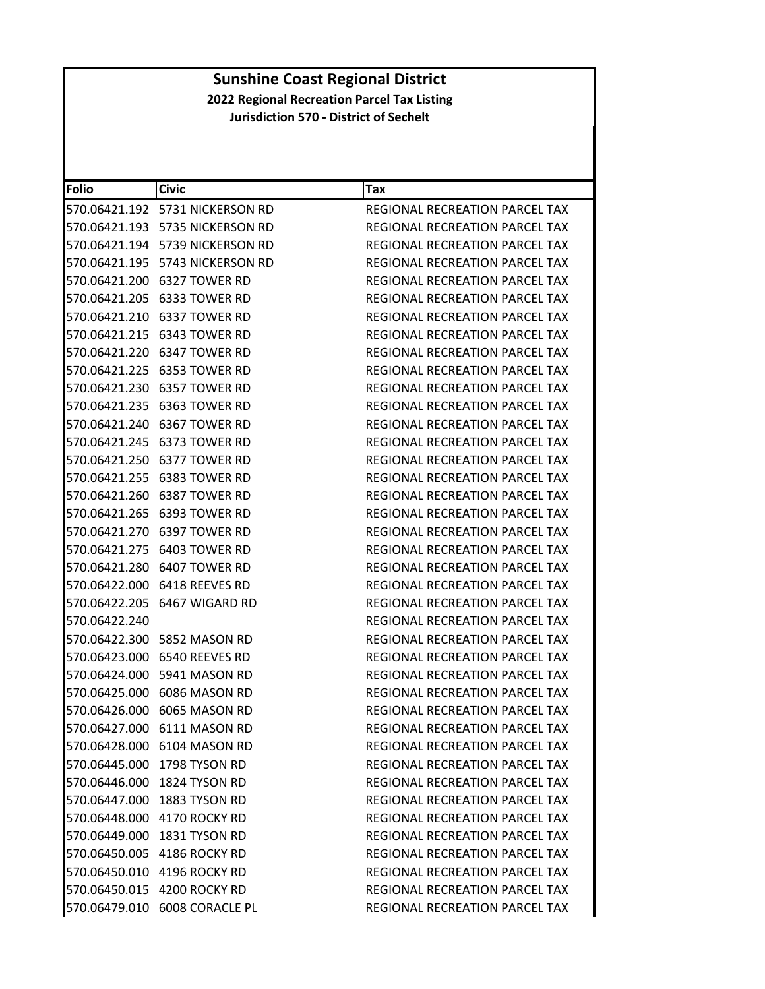| <b>Folio</b>  | <b>Civic</b>                       | Tax                                   |
|---------------|------------------------------------|---------------------------------------|
|               | 570.06421.192 5731 NICKERSON RD    | REGIONAL RECREATION PARCEL TAX        |
|               |                                    | REGIONAL RECREATION PARCEL TAX        |
|               | 570.06421.194 5739 NICKERSON RD    | <b>REGIONAL RECREATION PARCEL TAX</b> |
|               | 570.06421.195    5743 NICKERSON RD | REGIONAL RECREATION PARCEL TAX        |
|               | 570.06421.200 6327 TOWER RD        | REGIONAL RECREATION PARCEL TAX        |
|               | 570.06421.205 6333 TOWER RD        | <b>REGIONAL RECREATION PARCEL TAX</b> |
|               | 570.06421.210 6337 TOWER RD        | REGIONAL RECREATION PARCEL TAX        |
|               | 570.06421.215 6343 TOWER RD        | REGIONAL RECREATION PARCEL TAX        |
|               | 570.06421.220 6347 TOWER RD        | REGIONAL RECREATION PARCEL TAX        |
|               | 570.06421.225 6353 TOWER RD        | REGIONAL RECREATION PARCEL TAX        |
|               | 570.06421.230 6357 TOWER RD        | REGIONAL RECREATION PARCEL TAX        |
|               | 570.06421.235 6363 TOWER RD        | REGIONAL RECREATION PARCEL TAX        |
|               | 570.06421.240 6367 TOWER RD        | <b>REGIONAL RECREATION PARCEL TAX</b> |
|               |                                    | REGIONAL RECREATION PARCEL TAX        |
|               | 570.06421.250 6377 TOWER RD        | REGIONAL RECREATION PARCEL TAX        |
|               | 570.06421.255 6383 TOWER RD        | REGIONAL RECREATION PARCEL TAX        |
|               | 570.06421.260 6387 TOWER RD        | REGIONAL RECREATION PARCEL TAX        |
|               | 570.06421.265 6393 TOWER RD        | REGIONAL RECREATION PARCEL TAX        |
|               | 570.06421.270 6397 TOWER RD        | <b>REGIONAL RECREATION PARCEL TAX</b> |
|               |                                    | REGIONAL RECREATION PARCEL TAX        |
|               | 570.06421.280 6407 TOWER RD        | REGIONAL RECREATION PARCEL TAX        |
|               |                                    | REGIONAL RECREATION PARCEL TAX        |
|               | 570.06422.205 6467 WIGARD RD       | REGIONAL RECREATION PARCEL TAX        |
| 570.06422.240 |                                    | REGIONAL RECREATION PARCEL TAX        |
|               | 570.06422.300 5852 MASON RD        | REGIONAL RECREATION PARCEL TAX        |
|               | 570.06423.000 6540 REEVES RD       | REGIONAL RECREATION PARCEL TAX        |
|               | 570.06424.000    5941 MASON RD     | REGIONAL RECREATION PARCEL TAX        |
|               | 570.06425.000 6086 MASON RD        | REGIONAL RECREATION PARCEL TAX        |
|               | 570.06426.000 6065 MASON RD        | REGIONAL RECREATION PARCEL TAX        |
|               | 570.06427.000 6111 MASON RD        | REGIONAL RECREATION PARCEL TAX        |
|               | 570.06428.000 6104 MASON RD        | REGIONAL RECREATION PARCEL TAX        |
|               | 570.06445.000 1798 TYSON RD        | <b>REGIONAL RECREATION PARCEL TAX</b> |
|               | 570.06446.000 1824 TYSON RD        | <b>REGIONAL RECREATION PARCEL TAX</b> |
|               | 570.06447.000 1883 TYSON RD        | <b>REGIONAL RECREATION PARCEL TAX</b> |
|               | 570.06448.000 4170 ROCKY RD        | REGIONAL RECREATION PARCEL TAX        |
|               | 570.06449.000 1831 TYSON RD        | <b>REGIONAL RECREATION PARCEL TAX</b> |
|               | 570.06450.005 4186 ROCKY RD        | REGIONAL RECREATION PARCEL TAX        |
|               | 570.06450.010 4196 ROCKY RD        | REGIONAL RECREATION PARCEL TAX        |
|               | 570.06450.015 4200 ROCKY RD        | <b>REGIONAL RECREATION PARCEL TAX</b> |
|               | 570.06479.010 6008 CORACLE PL      | REGIONAL RECREATION PARCEL TAX        |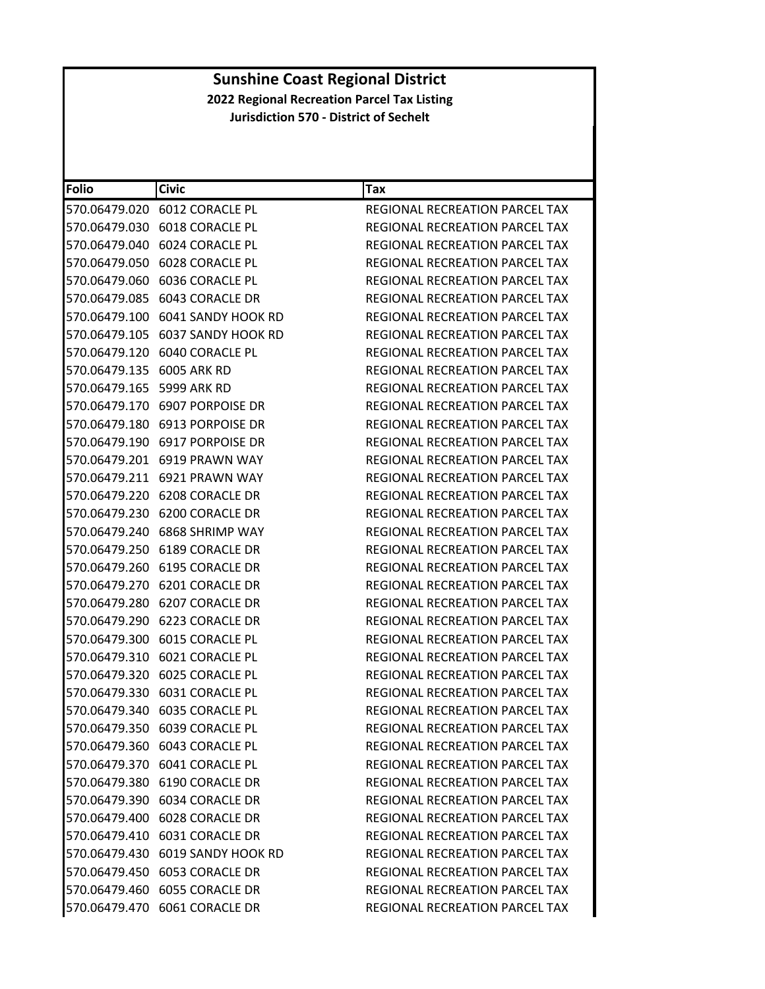| Folio                     | <b>Civic</b>                     | Tax                                   |
|---------------------------|----------------------------------|---------------------------------------|
|                           | 570.06479.020 6012 CORACLE PL    | REGIONAL RECREATION PARCEL TAX        |
|                           | 570.06479.030 6018 CORACLE PL    | REGIONAL RECREATION PARCEL TAX        |
|                           | 570.06479.040 6024 CORACLE PL    | REGIONAL RECREATION PARCEL TAX        |
|                           | 570.06479.050 6028 CORACLE PL    | <b>REGIONAL RECREATION PARCEL TAX</b> |
|                           | 570.06479.060 6036 CORACLE PL    | REGIONAL RECREATION PARCEL TAX        |
|                           | 570.06479.085 6043 CORACLE DR    | REGIONAL RECREATION PARCEL TAX        |
|                           | 570.06479.100 6041 SANDY HOOK RD | REGIONAL RECREATION PARCEL TAX        |
|                           | 570.06479.105 6037 SANDY HOOK RD | <b>REGIONAL RECREATION PARCEL TAX</b> |
|                           | 570.06479.120 6040 CORACLE PL    | REGIONAL RECREATION PARCEL TAX        |
| 570.06479.135             | 6005 ARK RD                      | REGIONAL RECREATION PARCEL TAX        |
| 570.06479.165 5999 ARK RD |                                  | REGIONAL RECREATION PARCEL TAX        |
|                           | 570.06479.170 6907 PORPOISE DR   | REGIONAL RECREATION PARCEL TAX        |
|                           | 570.06479.180 6913 PORPOISE DR   | REGIONAL RECREATION PARCEL TAX        |
|                           | 570.06479.190 6917 PORPOISE DR   | REGIONAL RECREATION PARCEL TAX        |
|                           | 570.06479.201 6919 PRAWN WAY     | REGIONAL RECREATION PARCEL TAX        |
|                           | 570.06479.211 6921 PRAWN WAY     | REGIONAL RECREATION PARCEL TAX        |
|                           | 570.06479.220 6208 CORACLE DR    | REGIONAL RECREATION PARCEL TAX        |
|                           | 570.06479.230 6200 CORACLE DR    | REGIONAL RECREATION PARCEL TAX        |
|                           | 570.06479.240 6868 SHRIMP WAY    | REGIONAL RECREATION PARCEL TAX        |
|                           | 570.06479.250 6189 CORACLE DR    | REGIONAL RECREATION PARCEL TAX        |
|                           | 570.06479.260 6195 CORACLE DR    | REGIONAL RECREATION PARCEL TAX        |
|                           | 570.06479.270 6201 CORACLE DR    | REGIONAL RECREATION PARCEL TAX        |
|                           | 570.06479.280 6207 CORACLE DR    | REGIONAL RECREATION PARCEL TAX        |
|                           | 570.06479.290 6223 CORACLE DR    | REGIONAL RECREATION PARCEL TAX        |
|                           | 570.06479.300 6015 CORACLE PL    | REGIONAL RECREATION PARCEL TAX        |
|                           | 570.06479.310 6021 CORACLE PL    | REGIONAL RECREATION PARCEL TAX        |
|                           | 570.06479.320 6025 CORACLE PL    | REGIONAL RECREATION PARCEL TAX        |
|                           | 570.06479.330 6031 CORACLE PL    | <b>REGIONAL RECREATION PARCEL TAX</b> |
|                           | 570.06479.340 6035 CORACLE PL    | REGIONAL RECREATION PARCEL TAX        |
|                           | 570.06479.350 6039 CORACLE PL    | REGIONAL RECREATION PARCEL TAX        |
|                           | 570.06479.360 6043 CORACLE PL    | REGIONAL RECREATION PARCEL TAX        |
|                           | 570.06479.370 6041 CORACLE PL    | <b>REGIONAL RECREATION PARCEL TAX</b> |
|                           | 570.06479.380 6190 CORACLE DR    | REGIONAL RECREATION PARCEL TAX        |
|                           | 570.06479.390 6034 CORACLE DR    | <b>REGIONAL RECREATION PARCEL TAX</b> |
|                           | 570.06479.400 6028 CORACLE DR    | REGIONAL RECREATION PARCEL TAX        |
|                           | 570.06479.410 6031 CORACLE DR    | REGIONAL RECREATION PARCEL TAX        |
|                           | 570.06479.430 6019 SANDY HOOK RD | REGIONAL RECREATION PARCEL TAX        |
|                           | 570.06479.450 6053 CORACLE DR    | <b>REGIONAL RECREATION PARCEL TAX</b> |
|                           | 570.06479.460 6055 CORACLE DR    | REGIONAL RECREATION PARCEL TAX        |
|                           | 570.06479.470 6061 CORACLE DR    | REGIONAL RECREATION PARCEL TAX        |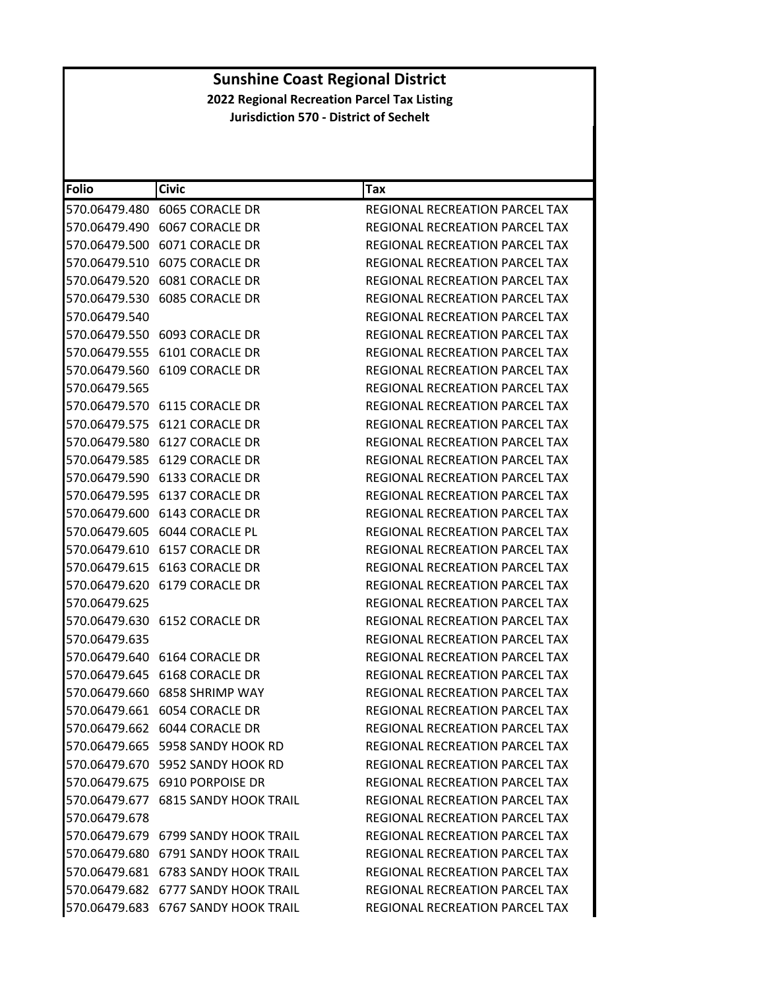| Folio         | <b>Civic</b>                        | Tax                                   |
|---------------|-------------------------------------|---------------------------------------|
|               |                                     | REGIONAL RECREATION PARCEL TAX        |
|               |                                     | REGIONAL RECREATION PARCEL TAX        |
|               | 570.06479.500 6071 CORACLE DR       | REGIONAL RECREATION PARCEL TAX        |
| 570.06479.510 | 6075 CORACLE DR                     | REGIONAL RECREATION PARCEL TAX        |
|               |                                     | REGIONAL RECREATION PARCEL TAX        |
|               |                                     | <b>REGIONAL RECREATION PARCEL TAX</b> |
| 570.06479.540 |                                     | REGIONAL RECREATION PARCEL TAX        |
|               | 570.06479.550 6093 CORACLE DR       | REGIONAL RECREATION PARCEL TAX        |
|               | 570.06479.555 6101 CORACLE DR       | REGIONAL RECREATION PARCEL TAX        |
|               | 570.06479.560 6109 CORACLE DR       | REGIONAL RECREATION PARCEL TAX        |
| 570.06479.565 |                                     | REGIONAL RECREATION PARCEL TAX        |
|               | 570.06479.570 6115 CORACLE DR       | REGIONAL RECREATION PARCEL TAX        |
|               | 570.06479.575 6121 CORACLE DR       | REGIONAL RECREATION PARCEL TAX        |
|               | 570.06479.580 6127 CORACLE DR       | <b>REGIONAL RECREATION PARCEL TAX</b> |
|               | 570.06479.585 6129 CORACLE DR       | <b>REGIONAL RECREATION PARCEL TAX</b> |
|               | 570.06479.590 6133 CORACLE DR       | REGIONAL RECREATION PARCEL TAX        |
|               | 570.06479.595 6137 CORACLE DR       | REGIONAL RECREATION PARCEL TAX        |
|               | 570.06479.600 6143 CORACLE DR       | <b>REGIONAL RECREATION PARCEL TAX</b> |
|               | 570.06479.605 6044 CORACLE PL       | REGIONAL RECREATION PARCEL TAX        |
|               |                                     | REGIONAL RECREATION PARCEL TAX        |
|               | 570.06479.615 6163 CORACLE DR       | REGIONAL RECREATION PARCEL TAX        |
|               | 570.06479.620 6179 CORACLE DR       | REGIONAL RECREATION PARCEL TAX        |
| 570.06479.625 |                                     | REGIONAL RECREATION PARCEL TAX        |
|               |                                     | REGIONAL RECREATION PARCEL TAX        |
| 570.06479.635 |                                     | REGIONAL RECREATION PARCEL TAX        |
|               | 570.06479.640 6164 CORACLE DR       | REGIONAL RECREATION PARCEL TAX        |
|               | 570.06479.645 6168 CORACLE DR       | <b>REGIONAL RECREATION PARCEL TAX</b> |
|               | 570.06479.660 6858 SHRIMP WAY       | <b>REGIONAL RECREATION PARCEL TAX</b> |
|               | 570.06479.661 6054 CORACLE DR       | REGIONAL RECREATION PARCEL TAX        |
|               | 570.06479.662 6044 CORACLE DR       | <b>REGIONAL RECREATION PARCEL TAX</b> |
|               | 570.06479.665 5958 SANDY HOOK RD    | REGIONAL RECREATION PARCEL TAX        |
|               | 570.06479.670 5952 SANDY HOOK RD    | <b>REGIONAL RECREATION PARCEL TAX</b> |
|               | 570.06479.675 6910 PORPOISE DR      | REGIONAL RECREATION PARCEL TAX        |
|               | 570.06479.677 6815 SANDY HOOK TRAIL | REGIONAL RECREATION PARCEL TAX        |
| 570.06479.678 |                                     | REGIONAL RECREATION PARCEL TAX        |
|               | 570.06479.679 6799 SANDY HOOK TRAIL | <b>REGIONAL RECREATION PARCEL TAX</b> |
|               | 570.06479.680 6791 SANDY HOOK TRAIL | REGIONAL RECREATION PARCEL TAX        |
|               | 570.06479.681 6783 SANDY HOOK TRAIL | REGIONAL RECREATION PARCEL TAX        |
|               | 570.06479.682 6777 SANDY HOOK TRAIL | REGIONAL RECREATION PARCEL TAX        |
|               | 570.06479.683 6767 SANDY HOOK TRAIL | REGIONAL RECREATION PARCEL TAX        |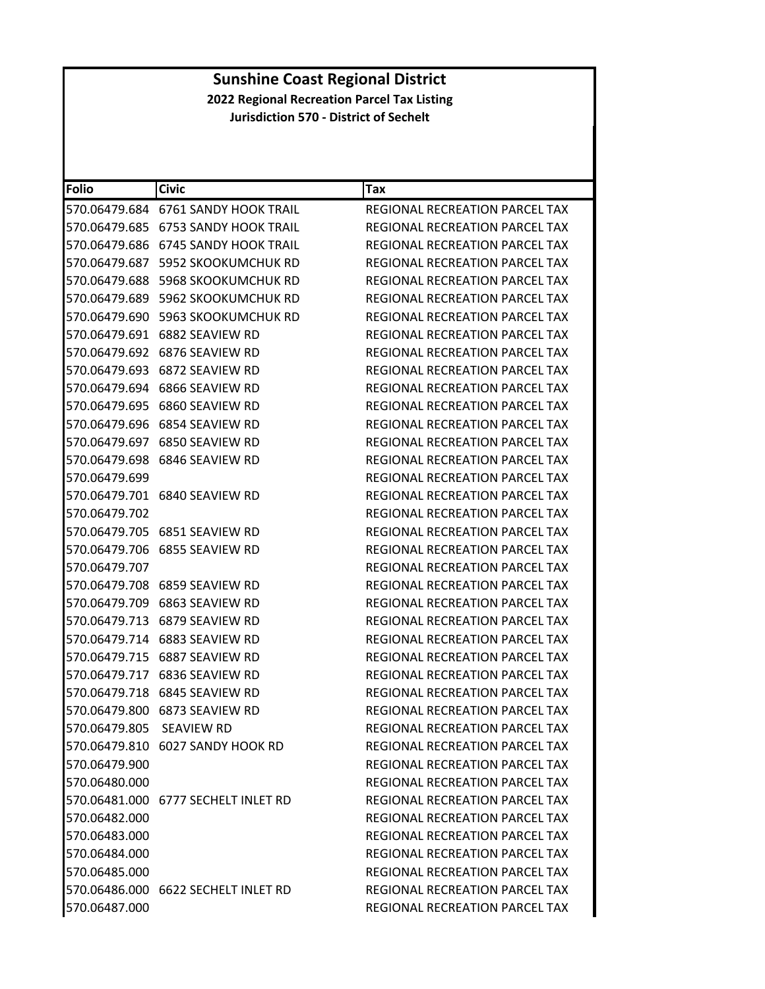| Folio                    | <b>Civic</b>                        | Tax                                   |
|--------------------------|-------------------------------------|---------------------------------------|
|                          | 570.06479.684 6761 SANDY HOOK TRAIL | REGIONAL RECREATION PARCEL TAX        |
| 570.06479.685            | 6753 SANDY HOOK TRAIL               | REGIONAL RECREATION PARCEL TAX        |
| 570.06479.686            | <b>6745 SANDY HOOK TRAIL</b>        | REGIONAL RECREATION PARCEL TAX        |
|                          |                                     | REGIONAL RECREATION PARCEL TAX        |
| 570.06479.688            | <b>5968 SKOOKUMCHUK RD</b>          | REGIONAL RECREATION PARCEL TAX        |
|                          | 570.06479.689 5962 SKOOKUMCHUK RD   | <b>REGIONAL RECREATION PARCEL TAX</b> |
| 570.06479.690            | 5963 SKOOKUMCHUK RD                 | REGIONAL RECREATION PARCEL TAX        |
| 570.06479.691            | 6882 SEAVIEW RD                     | REGIONAL RECREATION PARCEL TAX        |
|                          | 570.06479.692 6876 SEAVIEW RD       | REGIONAL RECREATION PARCEL TAX        |
| 570.06479.693            | 6872 SEAVIEW RD                     | REGIONAL RECREATION PARCEL TAX        |
|                          | 570.06479.694 6866 SEAVIEW RD       | REGIONAL RECREATION PARCEL TAX        |
|                          | 570.06479.695 6860 SEAVIEW RD       | REGIONAL RECREATION PARCEL TAX        |
| 570.06479.696            | 6854 SEAVIEW RD                     | <b>REGIONAL RECREATION PARCEL TAX</b> |
|                          | 570.06479.697 6850 SEAVIEW RD       | REGIONAL RECREATION PARCEL TAX        |
| 570.06479.698            | 6846 SEAVIEW RD                     | REGIONAL RECREATION PARCEL TAX        |
| 570.06479.699            |                                     | REGIONAL RECREATION PARCEL TAX        |
|                          | 570.06479.701 6840 SEAVIEW RD       | REGIONAL RECREATION PARCEL TAX        |
| 570.06479.702            |                                     | <b>REGIONAL RECREATION PARCEL TAX</b> |
|                          | 570.06479.705 6851 SEAVIEW RD       | REGIONAL RECREATION PARCEL TAX        |
|                          | 570.06479.706    6855    SEAVIEW RD | REGIONAL RECREATION PARCEL TAX        |
| 570.06479.707            |                                     | REGIONAL RECREATION PARCEL TAX        |
|                          | 570.06479.708 6859 SEAVIEW RD       | REGIONAL RECREATION PARCEL TAX        |
| 570.06479.709            | 6863 SEAVIEW RD                     | REGIONAL RECREATION PARCEL TAX        |
|                          | 570.06479.713 6879 SEAVIEW RD       | REGIONAL RECREATION PARCEL TAX        |
|                          | 570.06479.714 6883 SEAVIEW RD       | REGIONAL RECREATION PARCEL TAX        |
| 570.06479.715            | 6887 SEAVIEW RD                     | REGIONAL RECREATION PARCEL TAX        |
|                          | 570.06479.717    6836 SEAVIEW RD    | REGIONAL RECREATION PARCEL TAX        |
| 570.06479.718            | 6845 SEAVIEW RD                     | REGIONAL RECREATION PARCEL TAX        |
|                          | 570.06479.800 6873 SEAVIEW RD       | REGIONAL RECREATION PARCEL TAX        |
| 570.06479.805 SEAVIEW RD |                                     | REGIONAL RECREATION PARCEL TAX        |
|                          | 570.06479.810 6027 SANDY HOOK RD    | REGIONAL RECREATION PARCEL TAX        |
| 570.06479.900            |                                     | REGIONAL RECREATION PARCEL TAX        |
| 570.06480.000            |                                     | REGIONAL RECREATION PARCEL TAX        |
|                          | 570.06481.000 6777 SECHELT INLET RD | REGIONAL RECREATION PARCEL TAX        |
| 570.06482.000            |                                     | REGIONAL RECREATION PARCEL TAX        |
| 570.06483.000            |                                     | REGIONAL RECREATION PARCEL TAX        |
| 570.06484.000            |                                     | <b>REGIONAL RECREATION PARCEL TAX</b> |
| 570.06485.000            |                                     | REGIONAL RECREATION PARCEL TAX        |
|                          | 570.06486.000 6622 SECHELT INLET RD | <b>REGIONAL RECREATION PARCEL TAX</b> |
| 570.06487.000            |                                     | REGIONAL RECREATION PARCEL TAX        |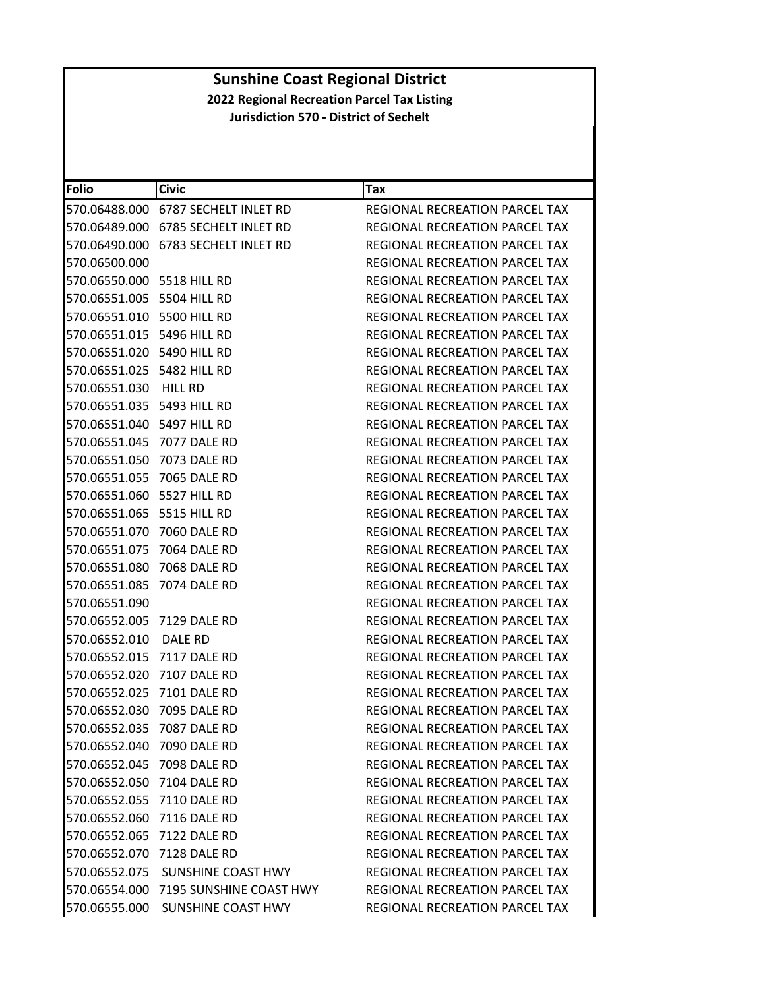| <b>Folio</b>                     | <b>Civic</b>                          | Tax                                   |
|----------------------------------|---------------------------------------|---------------------------------------|
| 570.06488.000                    | 6787 SECHELT INLET RD                 | REGIONAL RECREATION PARCEL TAX        |
|                                  |                                       | REGIONAL RECREATION PARCEL TAX        |
|                                  |                                       | REGIONAL RECREATION PARCEL TAX        |
| 570.06500.000                    |                                       | REGIONAL RECREATION PARCEL TAX        |
| 570.06550.000 5518 HILL RD       |                                       | REGIONAL RECREATION PARCEL TAX        |
| 570.06551.005 5504 HILL RD       |                                       | REGIONAL RECREATION PARCEL TAX        |
| 570.06551.010 5500 HILL RD       |                                       | REGIONAL RECREATION PARCEL TAX        |
| 570.06551.015 5496 HILL RD       |                                       | REGIONAL RECREATION PARCEL TAX        |
| 570.06551.020 5490 HILL RD       |                                       | REGIONAL RECREATION PARCEL TAX        |
| 570.06551.025    5482    HILL RD |                                       | REGIONAL RECREATION PARCEL TAX        |
| 570.06551.030                    | <b>HILL RD</b>                        | REGIONAL RECREATION PARCEL TAX        |
| 570.06551.035    5493    HILL RD |                                       | REGIONAL RECREATION PARCEL TAX        |
| 570.06551.040    5497    HILL RD |                                       | REGIONAL RECREATION PARCEL TAX        |
| 570.06551.045 7077 DALE RD       |                                       | REGIONAL RECREATION PARCEL TAX        |
| 570.06551.050 7073 DALE RD       |                                       | REGIONAL RECREATION PARCEL TAX        |
| 570.06551.055                    | 7065 DALE RD                          | <b>REGIONAL RECREATION PARCEL TAX</b> |
| 570.06551.060    5527 HILL RD    |                                       | REGIONAL RECREATION PARCEL TAX        |
| 570.06551.065 5515 HILL RD       |                                       | REGIONAL RECREATION PARCEL TAX        |
| 570.06551.070                    | 7060 DALE RD                          | REGIONAL RECREATION PARCEL TAX        |
| 570.06551.075 7064 DALE RD       |                                       | REGIONAL RECREATION PARCEL TAX        |
| 570.06551.080                    | 7068 DALE RD                          | REGIONAL RECREATION PARCEL TAX        |
| 570.06551.085                    | 7074 DALE RD                          | REGIONAL RECREATION PARCEL TAX        |
| 570.06551.090                    |                                       | REGIONAL RECREATION PARCEL TAX        |
| 570.06552.005 7129 DALE RD       |                                       | REGIONAL RECREATION PARCEL TAX        |
| 570.06552.010                    | DALE RD                               | REGIONAL RECREATION PARCEL TAX        |
| 570.06552.015                    | 7117 DALE RD                          | REGIONAL RECREATION PARCEL TAX        |
| 570.06552.020                    | 7107 DALE RD                          | REGIONAL RECREATION PARCEL TAX        |
| 570.06552.025                    | 7101 DALE RD                          | REGIONAL RECREATION PARCEL TAX        |
| 570.06552.030                    | 7095 DALE RD                          | REGIONAL RECREATION PARCEL TAX        |
| 570.06552.035 7087 DALE RD       |                                       | REGIONAL RECREATION PARCEL TAX        |
| 570.06552.040 7090 DALE RD       |                                       | REGIONAL RECREATION PARCEL TAX        |
| 570.06552.045 7098 DALE RD       |                                       | REGIONAL RECREATION PARCEL TAX        |
| 570.06552.050 7104 DALE RD       |                                       | <b>REGIONAL RECREATION PARCEL TAX</b> |
| 570.06552.055 7110 DALE RD       |                                       | REGIONAL RECREATION PARCEL TAX        |
| 570.06552.060 7116 DALE RD       |                                       | REGIONAL RECREATION PARCEL TAX        |
| 570.06552.065 7122 DALE RD       |                                       | REGIONAL RECREATION PARCEL TAX        |
| 570.06552.070                    | 7128 DALE RD                          | REGIONAL RECREATION PARCEL TAX        |
|                                  | 570.06552.075 SUNSHINE COAST HWY      | <b>REGIONAL RECREATION PARCEL TAX</b> |
|                                  | 570.06554.000 7195 SUNSHINE COAST HWY | REGIONAL RECREATION PARCEL TAX        |
| 570.06555.000                    | SUNSHINE COAST HWY                    | REGIONAL RECREATION PARCEL TAX        |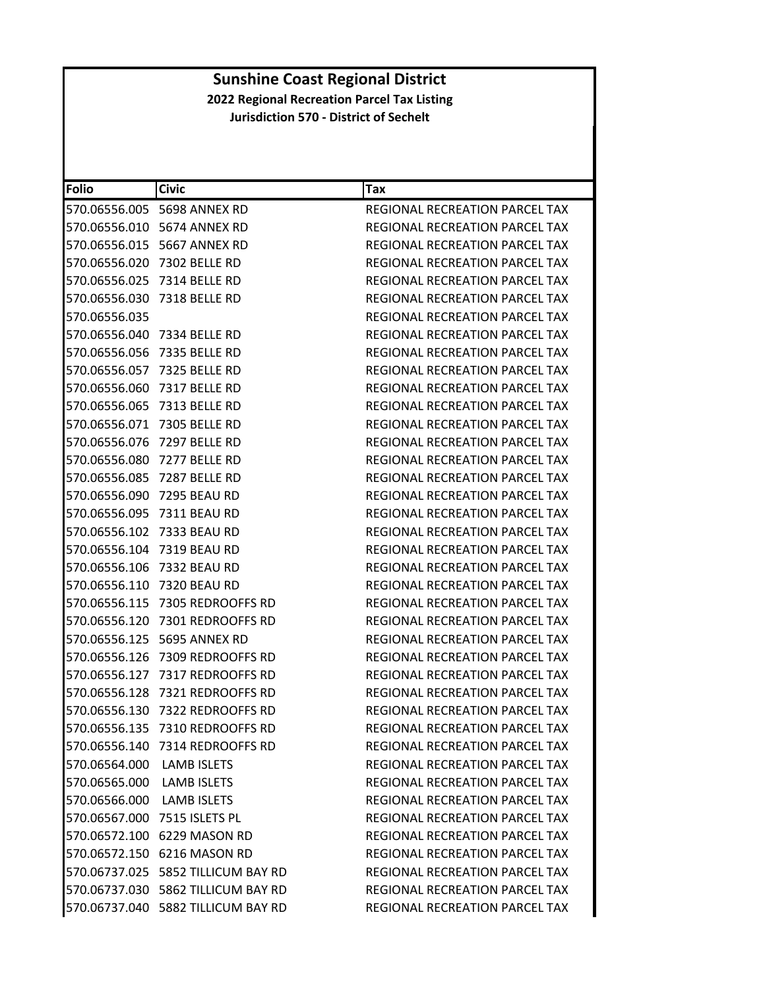| Folio                     | <b>Civic</b>                       | Tax                                   |
|---------------------------|------------------------------------|---------------------------------------|
|                           | 570.06556.005 5698 ANNEX RD        | REGIONAL RECREATION PARCEL TAX        |
|                           | 570.06556.010 5674 ANNEX RD        | REGIONAL RECREATION PARCEL TAX        |
|                           | 570.06556.015 5667 ANNEX RD        | <b>REGIONAL RECREATION PARCEL TAX</b> |
|                           | 570.06556.020 7302 BELLE RD        | REGIONAL RECREATION PARCEL TAX        |
|                           | 570.06556.025 7314 BELLE RD        | REGIONAL RECREATION PARCEL TAX        |
|                           | 570.06556.030 7318 BELLE RD        | REGIONAL RECREATION PARCEL TAX        |
| 570.06556.035             |                                    | <b>REGIONAL RECREATION PARCEL TAX</b> |
|                           | 570.06556.040 7334 BELLE RD        | <b>REGIONAL RECREATION PARCEL TAX</b> |
| 570.06556.056             | 7335 BELLE RD                      | REGIONAL RECREATION PARCEL TAX        |
|                           | 570.06556.057 7325 BELLE RD        | REGIONAL RECREATION PARCEL TAX        |
|                           | 570.06556.060 7317 BELLE RD        | REGIONAL RECREATION PARCEL TAX        |
|                           |                                    | REGIONAL RECREATION PARCEL TAX        |
|                           | 570.06556.071 7305 BELLE RD        | REGIONAL RECREATION PARCEL TAX        |
| 570.06556.076             | 7297 BELLE RD                      | REGIONAL RECREATION PARCEL TAX        |
| 570.06556.080             | 7277 BELLE RD                      | REGIONAL RECREATION PARCEL TAX        |
|                           | 570.06556.085 7287 BELLE RD        | REGIONAL RECREATION PARCEL TAX        |
| 570.06556.090             | 7295 BEAU RD                       | <b>REGIONAL RECREATION PARCEL TAX</b> |
|                           | 570.06556.095 7311 BEAU RD         | REGIONAL RECREATION PARCEL TAX        |
|                           | 570.06556.102 7333 BEAU RD         | REGIONAL RECREATION PARCEL TAX        |
| 570.06556.104             | 7319 BEAU RD                       | REGIONAL RECREATION PARCEL TAX        |
|                           |                                    | REGIONAL RECREATION PARCEL TAX        |
| 570.06556.110             | 7320 BEAU RD                       | REGIONAL RECREATION PARCEL TAX        |
|                           |                                    | REGIONAL RECREATION PARCEL TAX        |
|                           | 570.06556.120 7301 REDROOFFS RD    | REGIONAL RECREATION PARCEL TAX        |
|                           | 570.06556.125 5695 ANNEX RD        | REGIONAL RECREATION PARCEL TAX        |
|                           |                                    | REGIONAL RECREATION PARCEL TAX        |
|                           | 570.06556.127 7317 REDROOFFS RD    | REGIONAL RECREATION PARCEL TAX        |
| 570.06556.128             | 7321 REDROOFFS RD                  | REGIONAL RECREATION PARCEL TAX        |
|                           | 570.06556.130 7322 REDROOFFS RD    | REGIONAL RECREATION PARCEL TAX        |
|                           | 570.06556.135 7310 REDROOFFS RD    | REGIONAL RECREATION PARCEL TAX        |
|                           | 570.06556.140 7314 REDROOFFS RD    | REGIONAL RECREATION PARCEL TAX        |
| 570.06564.000 LAMB ISLETS |                                    | REGIONAL RECREATION PARCEL TAX        |
| 570.06565.000 LAMB ISLETS |                                    | REGIONAL RECREATION PARCEL TAX        |
| 570.06566.000 LAMB ISLETS |                                    | REGIONAL RECREATION PARCEL TAX        |
|                           | 570.06567.000 7515 ISLETS PL       | REGIONAL RECREATION PARCEL TAX        |
|                           | 570.06572.100 6229 MASON RD        | <b>REGIONAL RECREATION PARCEL TAX</b> |
|                           | 570.06572.150 6216 MASON RD        | REGIONAL RECREATION PARCEL TAX        |
|                           | 570.06737.025 5852 TILLICUM BAY RD | REGIONAL RECREATION PARCEL TAX        |
|                           | 570.06737.030 5862 TILLICUM BAY RD | REGIONAL RECREATION PARCEL TAX        |
|                           | 570.06737.040 5882 TILLICUM BAY RD | REGIONAL RECREATION PARCEL TAX        |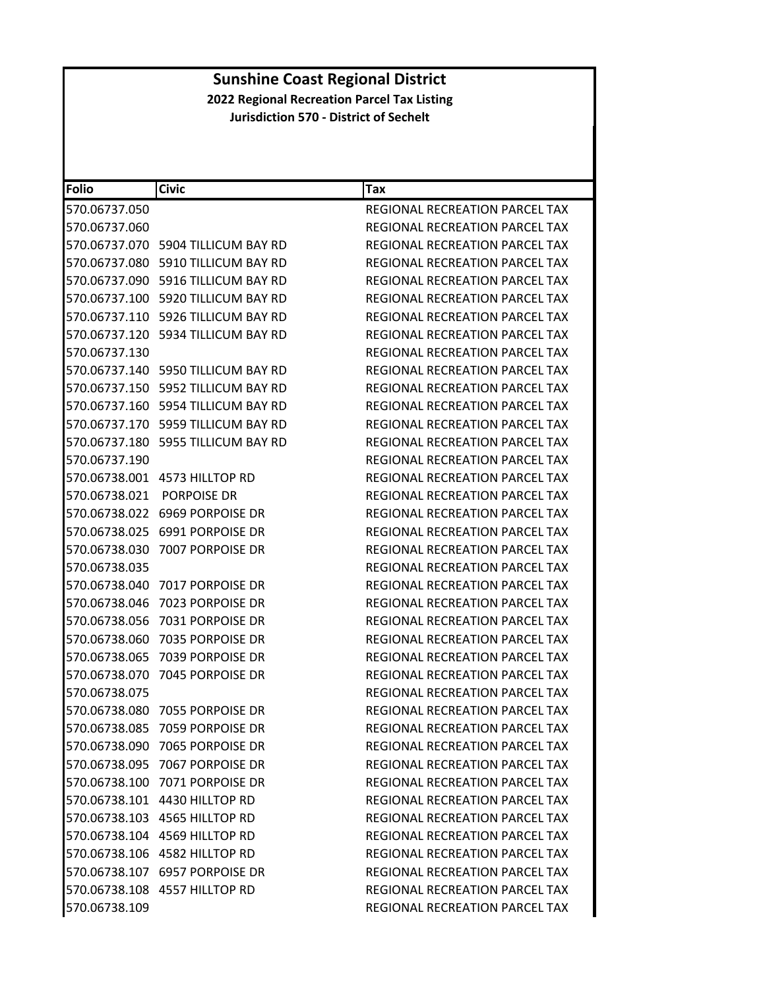| <b>Folio</b>  | <b>Civic</b>                          | <b>Tax</b>                            |
|---------------|---------------------------------------|---------------------------------------|
| 570.06737.050 |                                       | REGIONAL RECREATION PARCEL TAX        |
| 570.06737.060 |                                       | REGIONAL RECREATION PARCEL TAX        |
| 570.06737.070 | 5904 TILLICUM BAY RD                  | REGIONAL RECREATION PARCEL TAX        |
| 570.06737.080 | 5910 TILLICUM BAY RD                  | <b>REGIONAL RECREATION PARCEL TAX</b> |
|               | 570.06737.090 5916 TILLICUM BAY RD    | REGIONAL RECREATION PARCEL TAX        |
| 570.06737.100 | 5920 TILLICUM BAY RD                  | REGIONAL RECREATION PARCEL TAX        |
|               | 570.06737.110 5926 TILLICUM BAY RD    | REGIONAL RECREATION PARCEL TAX        |
|               | 570.06737.120 5934 TILLICUM BAY RD    | REGIONAL RECREATION PARCEL TAX        |
| 570.06737.130 |                                       | REGIONAL RECREATION PARCEL TAX        |
|               | 570.06737.140    5950 TILLICUM BAY RD | REGIONAL RECREATION PARCEL TAX        |
| 570.06737.150 | 5952 TILLICUM BAY RD                  | REGIONAL RECREATION PARCEL TAX        |
|               | 570.06737.160 5954 TILLICUM BAY RD    | REGIONAL RECREATION PARCEL TAX        |
|               | 570.06737.170 5959 TILLICUM BAY RD    | REGIONAL RECREATION PARCEL TAX        |
| 570.06737.180 | 5955 TILLICUM BAY RD                  | REGIONAL RECREATION PARCEL TAX        |
| 570.06737.190 |                                       | <b>REGIONAL RECREATION PARCEL TAX</b> |
|               | 570.06738.001 4573 HILLTOP RD         | REGIONAL RECREATION PARCEL TAX        |
| 570.06738.021 | <b>PORPOISE DR</b>                    | <b>REGIONAL RECREATION PARCEL TAX</b> |
|               | 570.06738.022 6969 PORPOISE DR        | <b>REGIONAL RECREATION PARCEL TAX</b> |
| 570.06738.025 | 6991 PORPOISE DR                      | <b>REGIONAL RECREATION PARCEL TAX</b> |
| 570.06738.030 | 7007 PORPOISE DR                      | REGIONAL RECREATION PARCEL TAX        |
| 570.06738.035 |                                       | REGIONAL RECREATION PARCEL TAX        |
| 570.06738.040 | 7017 PORPOISE DR                      | REGIONAL RECREATION PARCEL TAX        |
| 570.06738.046 | 7023 PORPOISE DR                      | REGIONAL RECREATION PARCEL TAX        |
| 570.06738.056 | 7031 PORPOISE DR                      | REGIONAL RECREATION PARCEL TAX        |
| 570.06738.060 | 7035 PORPOISE DR                      | REGIONAL RECREATION PARCEL TAX        |
| 570.06738.065 | 7039 PORPOISE DR                      | <b>REGIONAL RECREATION PARCEL TAX</b> |
| 570.06738.070 | 7045 PORPOISE DR                      | REGIONAL RECREATION PARCEL TAX        |
| 570.06738.075 |                                       | REGIONAL RECREATION PARCEL TAX        |
| 570.06738.080 | 7055 PORPOISE DR                      | REGIONAL RECREATION PARCEL TAX        |
|               | 570.06738.085 7059 PORPOISE DR        | REGIONAL RECREATION PARCEL TAX        |
|               | 570.06738.090 7065 PORPOISE DR        | REGIONAL RECREATION PARCEL TAX        |
|               | 570.06738.095 7067 PORPOISE DR        | REGIONAL RECREATION PARCEL TAX        |
|               | 570.06738.100 7071 PORPOISE DR        | <b>REGIONAL RECREATION PARCEL TAX</b> |
|               | 570.06738.101 4430 HILLTOP RD         | REGIONAL RECREATION PARCEL TAX        |
|               | 570.06738.103 4565 HILLTOP RD         | REGIONAL RECREATION PARCEL TAX        |
|               | 570.06738.104 4569 HILLTOP RD         | REGIONAL RECREATION PARCEL TAX        |
|               | 570.06738.106 4582 HILLTOP RD         | <b>REGIONAL RECREATION PARCEL TAX</b> |
|               | 570.06738.107 6957 PORPOISE DR        | REGIONAL RECREATION PARCEL TAX        |
|               | 570.06738.108 4557 HILLTOP RD         | REGIONAL RECREATION PARCEL TAX        |
| 570.06738.109 |                                       | REGIONAL RECREATION PARCEL TAX        |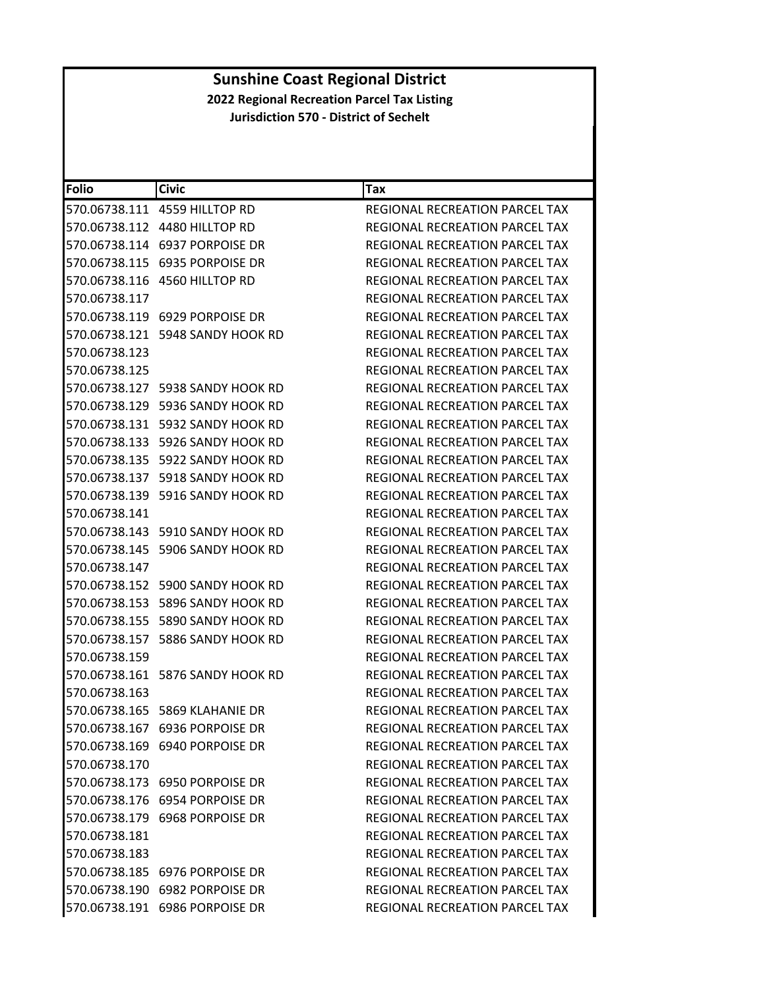| Folio         | <b>Civic</b>                         | Tax                                   |
|---------------|--------------------------------------|---------------------------------------|
|               | 570.06738.111 4559 HILLTOP RD        | <b>REGIONAL RECREATION PARCEL TAX</b> |
|               | 570.06738.112 4480 HILLTOP RD        | REGIONAL RECREATION PARCEL TAX        |
|               | 570.06738.114    6937    PORPOISE DR | <b>REGIONAL RECREATION PARCEL TAX</b> |
| 570.06738.115 | 6935 PORPOISE DR                     | REGIONAL RECREATION PARCEL TAX        |
|               | 570.06738.116 4560 HILLTOP RD        | REGIONAL RECREATION PARCEL TAX        |
| 570.06738.117 |                                      | REGIONAL RECREATION PARCEL TAX        |
|               | 570.06738.119    6929    PORPOISE DR | REGIONAL RECREATION PARCEL TAX        |
|               |                                      | REGIONAL RECREATION PARCEL TAX        |
| 570.06738.123 |                                      | REGIONAL RECREATION PARCEL TAX        |
| 570.06738.125 |                                      | REGIONAL RECREATION PARCEL TAX        |
|               |                                      | REGIONAL RECREATION PARCEL TAX        |
|               |                                      | REGIONAL RECREATION PARCEL TAX        |
|               |                                      | <b>REGIONAL RECREATION PARCEL TAX</b> |
|               | 570.06738.133 5926 SANDY HOOK RD     | REGIONAL RECREATION PARCEL TAX        |
|               |                                      | REGIONAL RECREATION PARCEL TAX        |
|               |                                      | REGIONAL RECREATION PARCEL TAX        |
|               |                                      | <b>REGIONAL RECREATION PARCEL TAX</b> |
| 570.06738.141 |                                      | REGIONAL RECREATION PARCEL TAX        |
|               |                                      | REGIONAL RECREATION PARCEL TAX        |
|               | 570.06738.145 5906 SANDY HOOK RD     | REGIONAL RECREATION PARCEL TAX        |
| 570.06738.147 |                                      | REGIONAL RECREATION PARCEL TAX        |
|               |                                      | REGIONAL RECREATION PARCEL TAX        |
|               |                                      | REGIONAL RECREATION PARCEL TAX        |
|               |                                      | REGIONAL RECREATION PARCEL TAX        |
|               |                                      | REGIONAL RECREATION PARCEL TAX        |
| 570.06738.159 |                                      | <b>REGIONAL RECREATION PARCEL TAX</b> |
|               |                                      | REGIONAL RECREATION PARCEL TAX        |
| 570.06738.163 |                                      | REGIONAL RECREATION PARCEL TAX        |
|               | 570.06738.165 5869 KLAHANIE DR       | REGIONAL RECREATION PARCEL TAX        |
|               | 570.06738.167 6936 PORPOISE DR       | REGIONAL RECREATION PARCEL TAX        |
|               | 570.06738.169 6940 PORPOISE DR       | REGIONAL RECREATION PARCEL TAX        |
| 570.06738.170 |                                      | REGIONAL RECREATION PARCEL TAX        |
|               | 570.06738.173 6950 PORPOISE DR       | REGIONAL RECREATION PARCEL TAX        |
|               | 570.06738.176    6954    PORPOISE DR | REGIONAL RECREATION PARCEL TAX        |
|               | 570.06738.179 6968 PORPOISE DR       | <b>REGIONAL RECREATION PARCEL TAX</b> |
| 570.06738.181 |                                      | REGIONAL RECREATION PARCEL TAX        |
| 570.06738.183 |                                      | REGIONAL RECREATION PARCEL TAX        |
|               | 570.06738.185 6976 PORPOISE DR       | REGIONAL RECREATION PARCEL TAX        |
|               | 570.06738.190 6982 PORPOISE DR       | REGIONAL RECREATION PARCEL TAX        |
|               | 570.06738.191 6986 PORPOISE DR       | REGIONAL RECREATION PARCEL TAX        |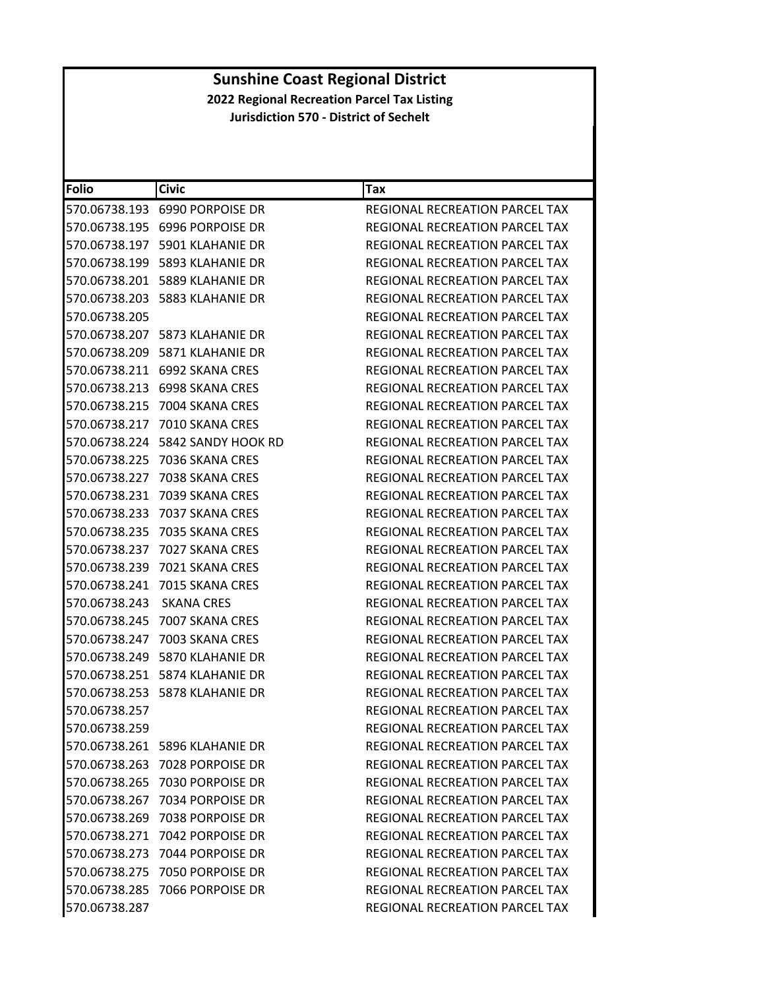| <b>Folio</b>  | <b>Civic</b>                         | Tax                                   |
|---------------|--------------------------------------|---------------------------------------|
|               | 570.06738.193 6990 PORPOISE DR       | REGIONAL RECREATION PARCEL TAX        |
|               | 570.06738.195    6996    PORPOISE DR | REGIONAL RECREATION PARCEL TAX        |
|               | 570.06738.197 5901 KLAHANIE DR       | <b>REGIONAL RECREATION PARCEL TAX</b> |
| 570.06738.199 | 5893 KLAHANIE DR                     | REGIONAL RECREATION PARCEL TAX        |
|               | 570.06738.201    5889 KLAHANIE DR    | REGIONAL RECREATION PARCEL TAX        |
|               |                                      | REGIONAL RECREATION PARCEL TAX        |
| 570.06738.205 |                                      | REGIONAL RECREATION PARCEL TAX        |
|               | 570.06738.207 5873 KLAHANIE DR       | REGIONAL RECREATION PARCEL TAX        |
|               | 570.06738.209 5871 KLAHANIE DR       | REGIONAL RECREATION PARCEL TAX        |
|               | 570.06738.211    6992    SKANA CRES  | REGIONAL RECREATION PARCEL TAX        |
|               |                                      | REGIONAL RECREATION PARCEL TAX        |
| 570.06738.215 | 7004 SKANA CRES                      | REGIONAL RECREATION PARCEL TAX        |
| 570.06738.217 | 7010 SKANA CRES                      | REGIONAL RECREATION PARCEL TAX        |
| 570.06738.224 | 5842 SANDY HOOK RD                   | REGIONAL RECREATION PARCEL TAX        |
| 570.06738.225 | 7036 SKANA CRES                      | REGIONAL RECREATION PARCEL TAX        |
| 570.06738.227 | 7038 SKANA CRES                      | <b>REGIONAL RECREATION PARCEL TAX</b> |
| 570.06738.231 | 7039 SKANA CRES                      | <b>REGIONAL RECREATION PARCEL TAX</b> |
| 570.06738.233 | 7037 SKANA CRES                      | REGIONAL RECREATION PARCEL TAX        |
| 570.06738.235 | 7035 SKANA CRES                      | <b>REGIONAL RECREATION PARCEL TAX</b> |
| 570.06738.237 | 7027 SKANA CRES                      | REGIONAL RECREATION PARCEL TAX        |
| 570.06738.239 | 7021 SKANA CRES                      | REGIONAL RECREATION PARCEL TAX        |
| 570.06738.241 | 7015 SKANA CRES                      | REGIONAL RECREATION PARCEL TAX        |
| 570.06738.243 | SKANA CRES                           | REGIONAL RECREATION PARCEL TAX        |
| 570.06738.245 | 7007 SKANA CRES                      | REGIONAL RECREATION PARCEL TAX        |
| 570.06738.247 | 7003 SKANA CRES                      | REGIONAL RECREATION PARCEL TAX        |
|               | 570.06738.249 5870 KLAHANIE DR       | REGIONAL RECREATION PARCEL TAX        |
|               | 570.06738.251    5874 KLAHANIE DR    | REGIONAL RECREATION PARCEL TAX        |
|               |                                      | REGIONAL RECREATION PARCEL TAX        |
| 570.06738.257 |                                      | REGIONAL RECREATION PARCEL TAX        |
| 570.06738.259 |                                      | REGIONAL RECREATION PARCEL TAX        |
|               | 570.06738.261 5896 KLAHANIE DR       | REGIONAL RECREATION PARCEL TAX        |
|               | 570.06738.263 7028 PORPOISE DR       | <b>REGIONAL RECREATION PARCEL TAX</b> |
|               |                                      | REGIONAL RECREATION PARCEL TAX        |
|               | 570.06738.267 7034 PORPOISE DR       | REGIONAL RECREATION PARCEL TAX        |
|               | 570.06738.269 7038 PORPOISE DR       | REGIONAL RECREATION PARCEL TAX        |
|               | 570.06738.271 7042 PORPOISE DR       | REGIONAL RECREATION PARCEL TAX        |
|               | 570.06738.273 7044 PORPOISE DR       | REGIONAL RECREATION PARCEL TAX        |
|               | 570.06738.275 7050 PORPOISE DR       | REGIONAL RECREATION PARCEL TAX        |
|               | 570.06738.285 7066 PORPOISE DR       | <b>REGIONAL RECREATION PARCEL TAX</b> |
| 570.06738.287 |                                      | REGIONAL RECREATION PARCEL TAX        |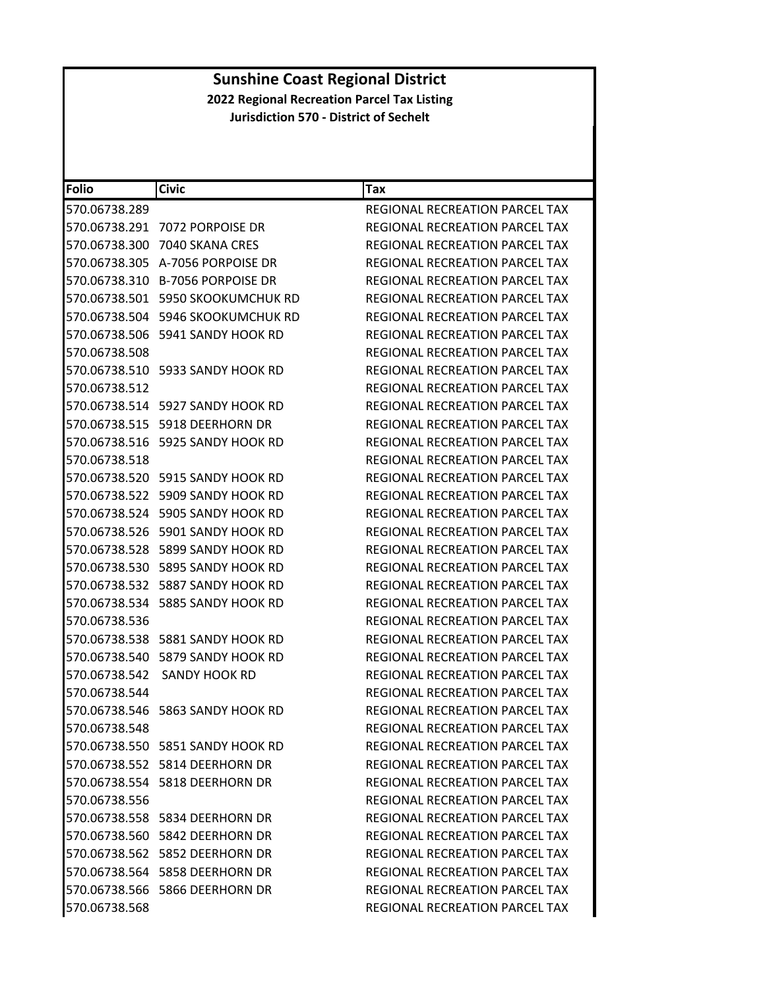| <b>Folio</b>  | <b>Civic</b>                           | Tax                                   |
|---------------|----------------------------------------|---------------------------------------|
| 570.06738.289 |                                        | REGIONAL RECREATION PARCEL TAX        |
|               | 570.06738.291 7072 PORPOISE DR         | REGIONAL RECREATION PARCEL TAX        |
| 570.06738.300 | 7040 SKANA CRES                        | REGIONAL RECREATION PARCEL TAX        |
|               | 570.06738.305 A-7056 PORPOISE DR       | REGIONAL RECREATION PARCEL TAX        |
|               | 570.06738.310 B-7056 PORPOISE DR       | REGIONAL RECREATION PARCEL TAX        |
|               | 570.06738.501 5950 SKOOKUMCHUK RD      | REGIONAL RECREATION PARCEL TAX        |
|               | 570.06738.504 5946 SKOOKUMCHUK RD      | REGIONAL RECREATION PARCEL TAX        |
| 570.06738.506 | 5941 SANDY HOOK RD                     | <b>REGIONAL RECREATION PARCEL TAX</b> |
| 570.06738.508 |                                        | REGIONAL RECREATION PARCEL TAX        |
|               | 570.06738.510 5933 SANDY HOOK RD       | REGIONAL RECREATION PARCEL TAX        |
| 570.06738.512 |                                        | REGIONAL RECREATION PARCEL TAX        |
|               |                                        | REGIONAL RECREATION PARCEL TAX        |
|               | 570.06738.515    5918 DEERHORN DR      | REGIONAL RECREATION PARCEL TAX        |
|               |                                        | REGIONAL RECREATION PARCEL TAX        |
| 570.06738.518 |                                        | REGIONAL RECREATION PARCEL TAX        |
|               | 570.06738.520 5915 SANDY HOOK RD       | REGIONAL RECREATION PARCEL TAX        |
|               | 570.06738.522 5909 SANDY HOOK RD       | <b>REGIONAL RECREATION PARCEL TAX</b> |
|               | 570.06738.524 5905 SANDY HOOK RD       | REGIONAL RECREATION PARCEL TAX        |
| 570.06738.526 | 5901 SANDY HOOK RD                     | REGIONAL RECREATION PARCEL TAX        |
|               |                                        | REGIONAL RECREATION PARCEL TAX        |
| 570.06738.530 | 5895 SANDY HOOK RD                     | REGIONAL RECREATION PARCEL TAX        |
|               |                                        | REGIONAL RECREATION PARCEL TAX        |
|               |                                        | REGIONAL RECREATION PARCEL TAX        |
| 570.06738.536 |                                        | REGIONAL RECREATION PARCEL TAX        |
|               | 570.06738.538    5881    SANDY HOOK RD | REGIONAL RECREATION PARCEL TAX        |
|               | 570.06738.540 5879 SANDY HOOK RD       | REGIONAL RECREATION PARCEL TAX        |
| 570.06738.542 | SANDY HOOK RD                          | REGIONAL RECREATION PARCEL TAX        |
| 570.06738.544 |                                        | REGIONAL RECREATION PARCEL TAX        |
|               |                                        | REGIONAL RECREATION PARCEL TAX        |
| 570.06738.548 |                                        | REGIONAL RECREATION PARCEL TAX        |
|               | 570.06738.550    5851 SANDY HOOK RD    | REGIONAL RECREATION PARCEL TAX        |
|               | 570.06738.552 5814 DEERHORN DR         | REGIONAL RECREATION PARCEL TAX        |
|               | 570.06738.554 5818 DEERHORN DR         | REGIONAL RECREATION PARCEL TAX        |
| 570.06738.556 |                                        | REGIONAL RECREATION PARCEL TAX        |
|               | 570.06738.558 5834 DEERHORN DR         | REGIONAL RECREATION PARCEL TAX        |
|               | 570.06738.560 5842 DEERHORN DR         | REGIONAL RECREATION PARCEL TAX        |
|               | 570.06738.562 5852 DEERHORN DR         | REGIONAL RECREATION PARCEL TAX        |
|               | 570.06738.564 5858 DEERHORN DR         | <b>REGIONAL RECREATION PARCEL TAX</b> |
|               | 570.06738.566 5866 DEERHORN DR         | REGIONAL RECREATION PARCEL TAX        |
| 570.06738.568 |                                        | REGIONAL RECREATION PARCEL TAX        |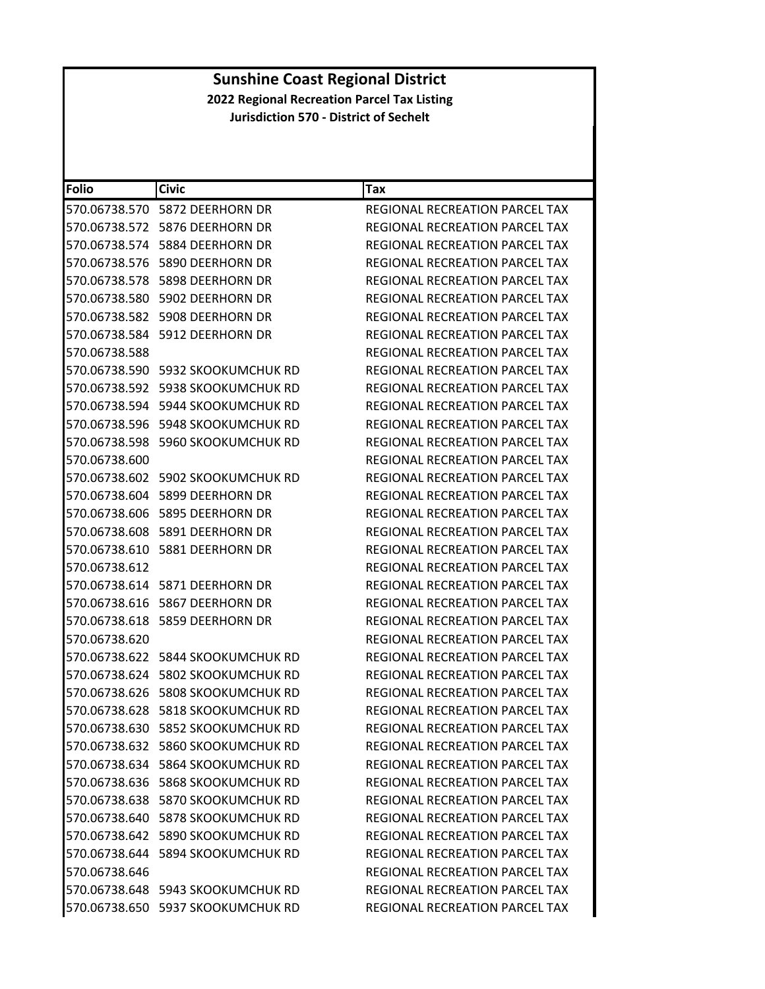| <b>Folio</b>  | <b>Civic</b>                        | Tax                                   |
|---------------|-------------------------------------|---------------------------------------|
| 570.06738.570 | 5872 DEERHORN DR                    | REGIONAL RECREATION PARCEL TAX        |
|               |                                     | REGIONAL RECREATION PARCEL TAX        |
|               |                                     | REGIONAL RECREATION PARCEL TAX        |
| 570.06738.576 | 5890 DEERHORN DR                    | REGIONAL RECREATION PARCEL TAX        |
|               |                                     | REGIONAL RECREATION PARCEL TAX        |
| 570.06738.580 | 5902 DEERHORN DR                    | REGIONAL RECREATION PARCEL TAX        |
|               | 570.06738.582    5908 DEERHORN DR   | REGIONAL RECREATION PARCEL TAX        |
|               | 570.06738.584    5912 DEERHORN DR   | REGIONAL RECREATION PARCEL TAX        |
| 570.06738.588 |                                     | <b>REGIONAL RECREATION PARCEL TAX</b> |
|               | 570.06738.590   5932 SKOOKUMCHUK RD | REGIONAL RECREATION PARCEL TAX        |
| 570.06738.592 | 5938 SKOOKUMCHUK RD                 | REGIONAL RECREATION PARCEL TAX        |
|               | 570.06738.594   5944 SKOOKUMCHUK RD | REGIONAL RECREATION PARCEL TAX        |
| 570.06738.596 | 5948 SKOOKUMCHUK RD                 | REGIONAL RECREATION PARCEL TAX        |
| 570.06738.598 | 5960 SKOOKUMCHUK RD                 | REGIONAL RECREATION PARCEL TAX        |
| 570.06738.600 |                                     | REGIONAL RECREATION PARCEL TAX        |
|               |                                     | <b>REGIONAL RECREATION PARCEL TAX</b> |
|               | 570.06738.604 5899 DEERHORN DR      | REGIONAL RECREATION PARCEL TAX        |
|               | 570.06738.606    5895 DEERHORN DR   | REGIONAL RECREATION PARCEL TAX        |
|               | 570.06738.608    5891 DEERHORN DR   | REGIONAL RECREATION PARCEL TAX        |
|               | 570.06738.610    5881 DEERHORN DR   | REGIONAL RECREATION PARCEL TAX        |
| 570.06738.612 |                                     | REGIONAL RECREATION PARCEL TAX        |
|               |                                     | REGIONAL RECREATION PARCEL TAX        |
|               | 570.06738.616    5867 DEERHORN DR   | REGIONAL RECREATION PARCEL TAX        |
| 570.06738.618 | 5859 DEERHORN DR                    | REGIONAL RECREATION PARCEL TAX        |
| 570.06738.620 |                                     | REGIONAL RECREATION PARCEL TAX        |
|               | 570.06738.622 5844 SKOOKUMCHUK RD   | REGIONAL RECREATION PARCEL TAX        |
|               |                                     | REGIONAL RECREATION PARCEL TAX        |
| 570.06738.626 | 5808 SKOOKUMCHUK RD                 | REGIONAL RECREATION PARCEL TAX        |
| 570.06738.628 | 5818 SKOOKUMCHUK RD                 | REGIONAL RECREATION PARCEL TAX        |
|               | 570.06738.630 5852 SKOOKUMCHUK RD   | REGIONAL RECREATION PARCEL TAX        |
|               | 570.06738.632 5860 SKOOKUMCHUK RD   | <b>REGIONAL RECREATION PARCEL TAX</b> |
|               | 570.06738.634 5864 SKOOKUMCHUK RD   | REGIONAL RECREATION PARCEL TAX        |
|               |                                     | REGIONAL RECREATION PARCEL TAX        |
|               |                                     | <b>REGIONAL RECREATION PARCEL TAX</b> |
|               |                                     | REGIONAL RECREATION PARCEL TAX        |
|               | 570.06738.642 5890 SKOOKUMCHUK RD   | REGIONAL RECREATION PARCEL TAX        |
|               | 570.06738.644 5894 SKOOKUMCHUK RD   | <b>REGIONAL RECREATION PARCEL TAX</b> |
| 570.06738.646 |                                     | REGIONAL RECREATION PARCEL TAX        |
|               | 570.06738.648 5943 SKOOKUMCHUK RD   | REGIONAL RECREATION PARCEL TAX        |
|               | 570.06738.650 5937 SKOOKUMCHUK RD   | REGIONAL RECREATION PARCEL TAX        |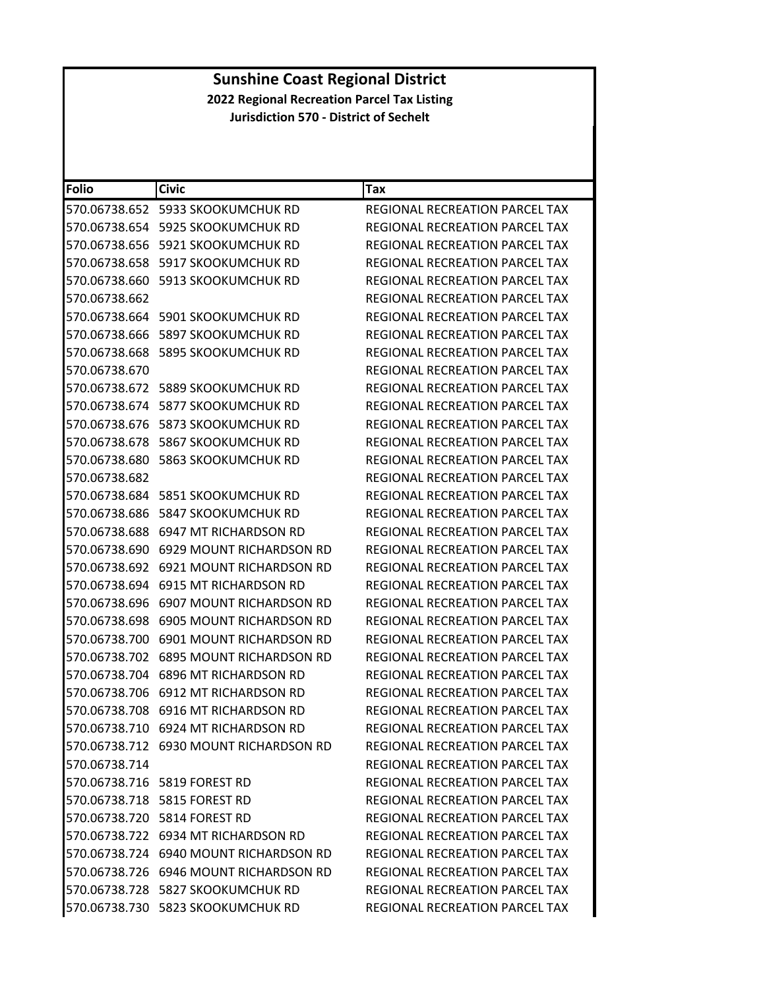| <b>Folio</b>  | <b>Civic</b>                           | Tax                                   |
|---------------|----------------------------------------|---------------------------------------|
| 570.06738.652 | 5933 SKOOKUMCHUK RD                    | REGIONAL RECREATION PARCEL TAX        |
| 570.06738.654 | 5925 SKOOKUMCHUK RD                    | REGIONAL RECREATION PARCEL TAX        |
| 570.06738.656 | 5921 SKOOKUMCHUK RD                    | REGIONAL RECREATION PARCEL TAX        |
| 570.06738.658 | 5917 SKOOKUMCHUK RD                    | REGIONAL RECREATION PARCEL TAX        |
| 570.06738.660 | 5913 SKOOKUMCHUK RD                    | REGIONAL RECREATION PARCEL TAX        |
| 570.06738.662 |                                        | REGIONAL RECREATION PARCEL TAX        |
| 570.06738.664 | 5901 SKOOKUMCHUK RD                    | REGIONAL RECREATION PARCEL TAX        |
| 570.06738.666 | 5897 SKOOKUMCHUK RD                    | REGIONAL RECREATION PARCEL TAX        |
| 570.06738.668 | 5895 SKOOKUMCHUK RD                    | <b>REGIONAL RECREATION PARCEL TAX</b> |
| 570.06738.670 |                                        | REGIONAL RECREATION PARCEL TAX        |
| 570.06738.672 | 5889 SKOOKUMCHUK RD                    | REGIONAL RECREATION PARCEL TAX        |
| 570.06738.674 | 5877 SKOOKUMCHUK RD                    | REGIONAL RECREATION PARCEL TAX        |
| 570.06738.676 | 5873 SKOOKUMCHUK RD                    | REGIONAL RECREATION PARCEL TAX        |
| 570.06738.678 | <b>5867 SKOOKUMCHUK RD</b>             | REGIONAL RECREATION PARCEL TAX        |
| 570.06738.680 | 5863 SKOOKUMCHUK RD                    | <b>REGIONAL RECREATION PARCEL TAX</b> |
| 570.06738.682 |                                        | REGIONAL RECREATION PARCEL TAX        |
| 570.06738.684 | 5851 SKOOKUMCHUK RD                    | REGIONAL RECREATION PARCEL TAX        |
| 570.06738.686 | 5847 SKOOKUMCHUK RD                    | REGIONAL RECREATION PARCEL TAX        |
| 570.06738.688 | 6947 MT RICHARDSON RD                  | REGIONAL RECREATION PARCEL TAX        |
| 570.06738.690 | 6929 MOUNT RICHARDSON RD               | REGIONAL RECREATION PARCEL TAX        |
| 570.06738.692 | 6921 MOUNT RICHARDSON RD               | REGIONAL RECREATION PARCEL TAX        |
| 570.06738.694 | 6915 MT RICHARDSON RD                  | REGIONAL RECREATION PARCEL TAX        |
| 570.06738.696 | 6907 MOUNT RICHARDSON RD               | REGIONAL RECREATION PARCEL TAX        |
| 570.06738.698 | 6905 MOUNT RICHARDSON RD               | REGIONAL RECREATION PARCEL TAX        |
| 570.06738.700 | 6901 MOUNT RICHARDSON RD               | REGIONAL RECREATION PARCEL TAX        |
| 570.06738.702 | <b>6895 MOUNT RICHARDSON RD</b>        | REGIONAL RECREATION PARCEL TAX        |
| 570.06738.704 | <b>6896 MT RICHARDSON RD</b>           | REGIONAL RECREATION PARCEL TAX        |
| 570.06738.706 | 6912 MT RICHARDSON RD                  | REGIONAL RECREATION PARCEL TAX        |
|               | 570.06738.708 6916 MT RICHARDSON RD    | REGIONAL RECREATION PARCEL TAX        |
|               | 570.06738.710 6924 MT RICHARDSON RD    | REGIONAL RECREATION PARCEL TAX        |
|               | 570.06738.712 6930 MOUNT RICHARDSON RD | REGIONAL RECREATION PARCEL TAX        |
| 570.06738.714 |                                        | REGIONAL RECREATION PARCEL TAX        |
|               | 570.06738.716 5819 FOREST RD           | REGIONAL RECREATION PARCEL TAX        |
|               | 570.06738.718 5815 FOREST RD           | <b>REGIONAL RECREATION PARCEL TAX</b> |
|               | 570.06738.720 5814 FOREST RD           | REGIONAL RECREATION PARCEL TAX        |
|               | 570.06738.722 6934 MT RICHARDSON RD    | REGIONAL RECREATION PARCEL TAX        |
|               | 570.06738.724 6940 MOUNT RICHARDSON RD | REGIONAL RECREATION PARCEL TAX        |
|               | 570.06738.726 6946 MOUNT RICHARDSON RD | <b>REGIONAL RECREATION PARCEL TAX</b> |
|               | 570.06738.728 5827 SKOOKUMCHUK RD      | REGIONAL RECREATION PARCEL TAX        |
|               | 570.06738.730 5823 SKOOKUMCHUK RD      | REGIONAL RECREATION PARCEL TAX        |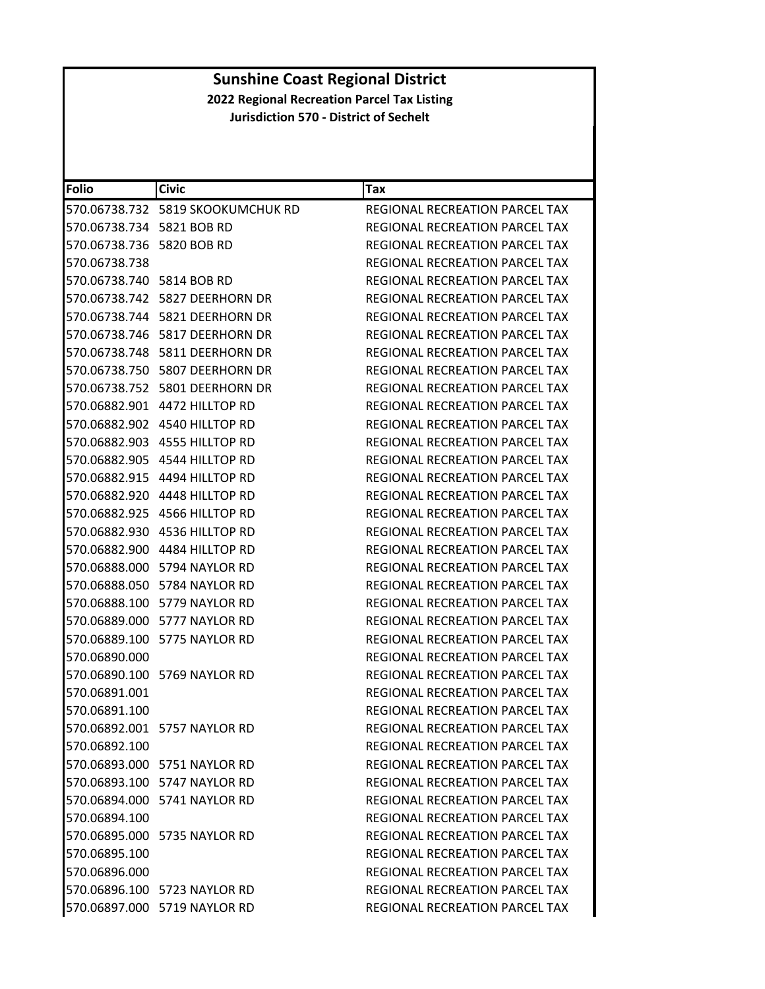| Folio                     | <b>Civic</b>                      | Tax                                   |
|---------------------------|-----------------------------------|---------------------------------------|
|                           |                                   | REGIONAL RECREATION PARCEL TAX        |
| 570.06738.734 5821 BOB RD |                                   | REGIONAL RECREATION PARCEL TAX        |
| 570.06738.736 5820 BOB RD |                                   | <b>REGIONAL RECREATION PARCEL TAX</b> |
| 570.06738.738             |                                   | REGIONAL RECREATION PARCEL TAX        |
| 570.06738.740 5814 BOB RD |                                   | REGIONAL RECREATION PARCEL TAX        |
|                           |                                   | REGIONAL RECREATION PARCEL TAX        |
|                           |                                   | REGIONAL RECREATION PARCEL TAX        |
|                           |                                   | REGIONAL RECREATION PARCEL TAX        |
|                           | 570.06738.748    5811 DEERHORN DR | REGIONAL RECREATION PARCEL TAX        |
|                           |                                   | REGIONAL RECREATION PARCEL TAX        |
|                           |                                   | REGIONAL RECREATION PARCEL TAX        |
|                           | 570.06882.901 4472 HILLTOP RD     | REGIONAL RECREATION PARCEL TAX        |
|                           | 570.06882.902 4540 HILLTOP RD     | REGIONAL RECREATION PARCEL TAX        |
|                           | 570.06882.903 4555 HILLTOP RD     | REGIONAL RECREATION PARCEL TAX        |
|                           | 570.06882.905 4544 HILLTOP RD     | REGIONAL RECREATION PARCEL TAX        |
|                           |                                   | REGIONAL RECREATION PARCEL TAX        |
|                           |                                   | REGIONAL RECREATION PARCEL TAX        |
| 570.06882.925             | 4566 HILLTOP RD                   | REGIONAL RECREATION PARCEL TAX        |
|                           | 570.06882.930 4536 HILLTOP RD     | REGIONAL RECREATION PARCEL TAX        |
|                           | 570.06882.900 4484 HILLTOP RD     | REGIONAL RECREATION PARCEL TAX        |
|                           | 570.06888.000 5794 NAYLOR RD      | <b>REGIONAL RECREATION PARCEL TAX</b> |
|                           | 570.06888.050 5784 NAYLOR RD      | REGIONAL RECREATION PARCEL TAX        |
|                           | 570.06888.100 5779 NAYLOR RD      | REGIONAL RECREATION PARCEL TAX        |
|                           | 570.06889.000 5777 NAYLOR RD      | REGIONAL RECREATION PARCEL TAX        |
|                           | 570.06889.100 5775 NAYLOR RD      | REGIONAL RECREATION PARCEL TAX        |
| 570.06890.000             |                                   | REGIONAL RECREATION PARCEL TAX        |
|                           | 570.06890.100 5769 NAYLOR RD      | REGIONAL RECREATION PARCEL TAX        |
| 570.06891.001             |                                   | REGIONAL RECREATION PARCEL TAX        |
| 570.06891.100             |                                   | REGIONAL RECREATION PARCEL TAX        |
|                           | 570.06892.001 5757 NAYLOR RD      | REGIONAL RECREATION PARCEL TAX        |
| 570.06892.100             |                                   | REGIONAL RECREATION PARCEL TAX        |
|                           | 570.06893.000    5751 NAYLOR RD   | REGIONAL RECREATION PARCEL TAX        |
|                           | 570.06893.100 5747 NAYLOR RD      | REGIONAL RECREATION PARCEL TAX        |
|                           | 570.06894.000 5741 NAYLOR RD      | REGIONAL RECREATION PARCEL TAX        |
| 570.06894.100             |                                   | REGIONAL RECREATION PARCEL TAX        |
|                           | 570.06895.000 5735 NAYLOR RD      | REGIONAL RECREATION PARCEL TAX        |
| 570.06895.100             |                                   | REGIONAL RECREATION PARCEL TAX        |
| 570.06896.000             |                                   | <b>REGIONAL RECREATION PARCEL TAX</b> |
|                           | 570.06896.100 5723 NAYLOR RD      | <b>REGIONAL RECREATION PARCEL TAX</b> |
|                           | 570.06897.000 5719 NAYLOR RD      | REGIONAL RECREATION PARCEL TAX        |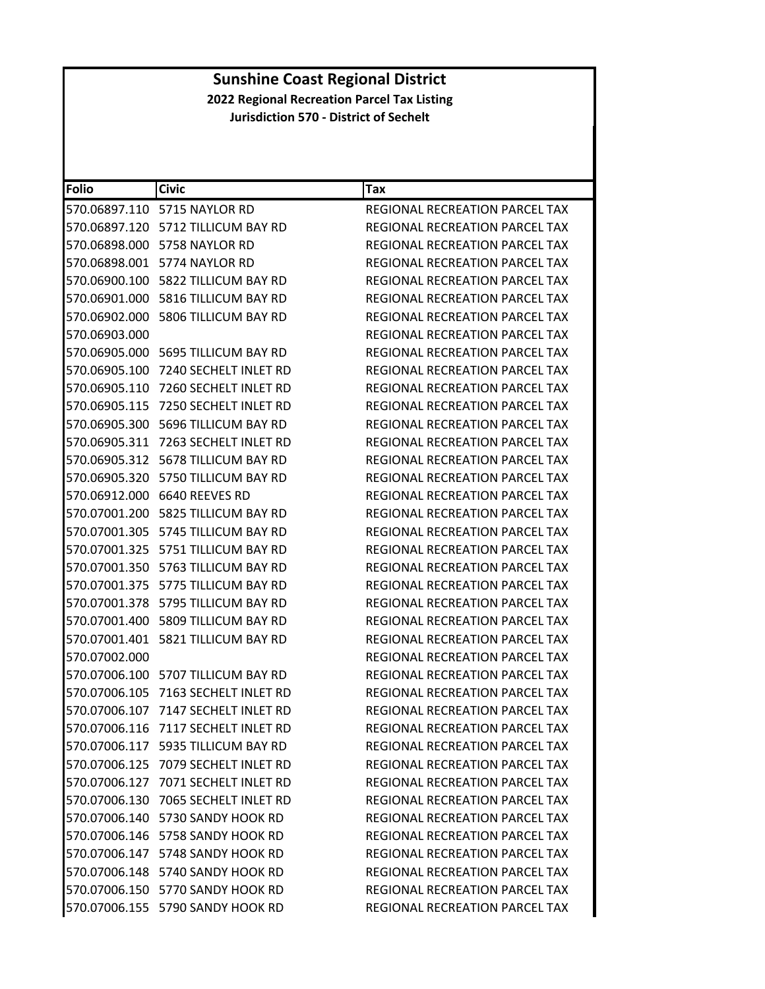| <b>Folio</b>  | <b>Civic</b>                          | <b>Tax</b>                            |
|---------------|---------------------------------------|---------------------------------------|
| 570.06897.110 | 5715 NAYLOR RD                        | REGIONAL RECREATION PARCEL TAX        |
|               | 570.06897.120 5712 TILLICUM BAY RD    | REGIONAL RECREATION PARCEL TAX        |
| 570.06898.000 | 5758 NAYLOR RD                        | REGIONAL RECREATION PARCEL TAX        |
| 570.06898.001 | 5774 NAYLOR RD                        | REGIONAL RECREATION PARCEL TAX        |
|               |                                       | REGIONAL RECREATION PARCEL TAX        |
| 570.06901.000 | 5816 TILLICUM BAY RD                  | <b>REGIONAL RECREATION PARCEL TAX</b> |
| 570.06902.000 | 5806 TILLICUM BAY RD                  | REGIONAL RECREATION PARCEL TAX        |
| 570.06903.000 |                                       | REGIONAL RECREATION PARCEL TAX        |
| 570.06905.000 | 5695 TILLICUM BAY RD                  | REGIONAL RECREATION PARCEL TAX        |
| 570.06905.100 | 7240 SECHELT INLET RD                 | REGIONAL RECREATION PARCEL TAX        |
| 570.06905.110 | 7260 SECHELT INLET RD                 | REGIONAL RECREATION PARCEL TAX        |
| 570.06905.115 | 7250 SECHELT INLET RD                 | REGIONAL RECREATION PARCEL TAX        |
|               | 570.06905.300    5696 TILLICUM BAY RD | REGIONAL RECREATION PARCEL TAX        |
| 570.06905.311 | 7263 SECHELT INLET RD                 | <b>REGIONAL RECREATION PARCEL TAX</b> |
|               | 570.06905.312    5678 TILLICUM BAY RD | <b>REGIONAL RECREATION PARCEL TAX</b> |
| 570.06905.320 | 5750 TILLICUM BAY RD                  | REGIONAL RECREATION PARCEL TAX        |
|               | 570.06912.000 6640 REEVES RD          | REGIONAL RECREATION PARCEL TAX        |
|               | 570.07001.200    5825 TILLICUM BAY RD | REGIONAL RECREATION PARCEL TAX        |
| 570.07001.305 | 5745 TILLICUM BAY RD                  | REGIONAL RECREATION PARCEL TAX        |
|               | 570.07001.325 5751 TILLICUM BAY RD    | REGIONAL RECREATION PARCEL TAX        |
| 570.07001.350 | 5763 TILLICUM BAY RD                  | REGIONAL RECREATION PARCEL TAX        |
| 570.07001.375 | 5775 TILLICUM BAY RD                  | REGIONAL RECREATION PARCEL TAX        |
|               | 570.07001.378    5795 TILLICUM BAY RD | REGIONAL RECREATION PARCEL TAX        |
| 570.07001.400 | 5809 TILLICUM BAY RD                  | REGIONAL RECREATION PARCEL TAX        |
| 570.07001.401 | 5821 TILLICUM BAY RD                  | REGIONAL RECREATION PARCEL TAX        |
| 570.07002.000 |                                       | <b>REGIONAL RECREATION PARCEL TAX</b> |
|               | 570.07006.100 5707 TILLICUM BAY RD    | REGIONAL RECREATION PARCEL TAX        |
| 570.07006.105 | 7163 SECHELT INLET RD                 | <b>REGIONAL RECREATION PARCEL TAX</b> |
| 570.07006.107 | 7147 SECHELT INLET RD                 | REGIONAL RECREATION PARCEL TAX        |
|               | 570.07006.116 7117 SECHELT INLET RD   | REGIONAL RECREATION PARCEL TAX        |
|               | 570.07006.117    5935 TILLICUM BAY RD | REGIONAL RECREATION PARCEL TAX        |
|               | 570.07006.125 7079 SECHELT INLET RD   | REGIONAL RECREATION PARCEL TAX        |
|               |                                       | REGIONAL RECREATION PARCEL TAX        |
|               | 570.07006.130 7065 SECHELT INLET RD   | <b>REGIONAL RECREATION PARCEL TAX</b> |
|               | 570.07006.140 5730 SANDY HOOK RD      | REGIONAL RECREATION PARCEL TAX        |
|               | 570.07006.146    5758 SANDY HOOK RD   | <b>REGIONAL RECREATION PARCEL TAX</b> |
|               | 570.07006.147 5748 SANDY HOOK RD      | <b>REGIONAL RECREATION PARCEL TAX</b> |
|               | 570.07006.148    5740 SANDY HOOK RD   | REGIONAL RECREATION PARCEL TAX        |
|               | 570.07006.150 5770 SANDY HOOK RD      | REGIONAL RECREATION PARCEL TAX        |
|               | 570.07006.155 5790 SANDY HOOK RD      | REGIONAL RECREATION PARCEL TAX        |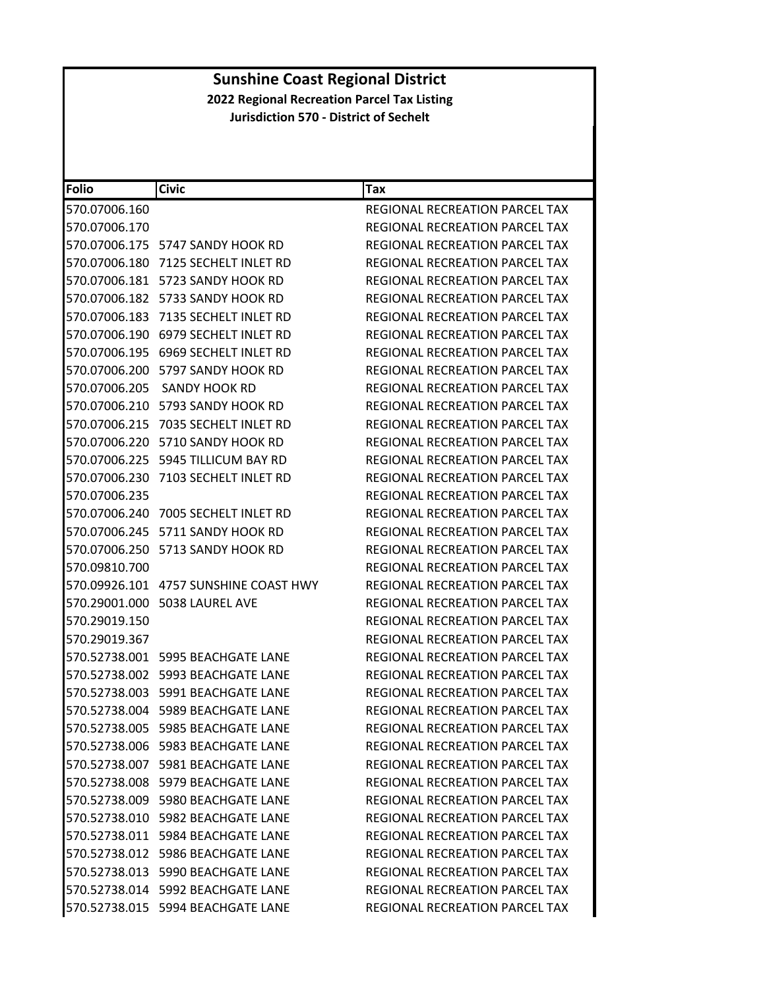| <b>Folio</b>  | <b>Civic</b>                            | Tax                                   |
|---------------|-----------------------------------------|---------------------------------------|
| 570.07006.160 |                                         | REGIONAL RECREATION PARCEL TAX        |
| 570.07006.170 |                                         | REGIONAL RECREATION PARCEL TAX        |
| 570.07006.175 | 5747 SANDY HOOK RD                      | <b>REGIONAL RECREATION PARCEL TAX</b> |
| 570.07006.180 | 7125 SECHELT INLET RD                   | REGIONAL RECREATION PARCEL TAX        |
|               | 570.07006.181    5723 SANDY HOOK RD     | REGIONAL RECREATION PARCEL TAX        |
| 570.07006.182 | 5733 SANDY HOOK RD                      | REGIONAL RECREATION PARCEL TAX        |
| 570.07006.183 | 7135 SECHELT INLET RD                   | <b>REGIONAL RECREATION PARCEL TAX</b> |
| 570.07006.190 | 6979 SECHELT INLET RD                   | REGIONAL RECREATION PARCEL TAX        |
| 570.07006.195 | 6969 SECHELT INLET RD                   | REGIONAL RECREATION PARCEL TAX        |
|               | 570.07006.200 5797 SANDY HOOK RD        | REGIONAL RECREATION PARCEL TAX        |
| 570.07006.205 | <b>SANDY HOOK RD</b>                    | REGIONAL RECREATION PARCEL TAX        |
| 570.07006.210 | 5793 SANDY HOOK RD                      | REGIONAL RECREATION PARCEL TAX        |
| 570.07006.215 | 7035 SECHELT INLET RD                   | REGIONAL RECREATION PARCEL TAX        |
| 570.07006.220 | 5710 SANDY HOOK RD                      | REGIONAL RECREATION PARCEL TAX        |
|               | 570.07006.225 5945 TILLICUM BAY RD      | <b>REGIONAL RECREATION PARCEL TAX</b> |
| 570.07006.230 | 7103 SECHELT INLET RD                   | REGIONAL RECREATION PARCEL TAX        |
| 570.07006.235 |                                         | <b>REGIONAL RECREATION PARCEL TAX</b> |
| 570.07006.240 | 7005 SECHELT INLET RD                   | REGIONAL RECREATION PARCEL TAX        |
| 570.07006.245 | 5711 SANDY HOOK RD                      | REGIONAL RECREATION PARCEL TAX        |
|               | 570.07006.250 5713 SANDY HOOK RD        | REGIONAL RECREATION PARCEL TAX        |
| 570.09810.700 |                                         | REGIONAL RECREATION PARCEL TAX        |
|               | 570.09926.101 4757 SUNSHINE COAST HWY   | REGIONAL RECREATION PARCEL TAX        |
|               | 570.29001.000 5038 LAUREL AVE           | REGIONAL RECREATION PARCEL TAX        |
| 570.29019.150 |                                         | REGIONAL RECREATION PARCEL TAX        |
| 570.29019.367 |                                         | REGIONAL RECREATION PARCEL TAX        |
|               | 570.52738.001    5995    BEACHGATE LANE | REGIONAL RECREATION PARCEL TAX        |
|               | 570.52738.002    5993    BEACHGATE LANE | REGIONAL RECREATION PARCEL TAX        |
|               | 570.52738.003 5991 BEACHGATE LANE       | REGIONAL RECREATION PARCEL TAX        |
|               | 570.52738.004 5989 BEACHGATE LANE       | REGIONAL RECREATION PARCEL TAX        |
|               | 570.52738.005 5985 BEACHGATE LANE       | REGIONAL RECREATION PARCEL TAX        |
|               | 570.52738.006 5983 BEACHGATE LANE       | REGIONAL RECREATION PARCEL TAX        |
|               | 570.52738.007 5981 BEACHGATE LANE       | REGIONAL RECREATION PARCEL TAX        |
|               | 570.52738.008 5979 BEACHGATE LANE       | REGIONAL RECREATION PARCEL TAX        |
|               | 570.52738.009 5980 BEACHGATE LANE       | REGIONAL RECREATION PARCEL TAX        |
|               | 570.52738.010 5982 BEACHGATE LANE       | REGIONAL RECREATION PARCEL TAX        |
|               | 570.52738.011 5984 BEACHGATE LANE       | REGIONAL RECREATION PARCEL TAX        |
|               | 570.52738.012 5986 BEACHGATE LANE       | REGIONAL RECREATION PARCEL TAX        |
|               | 570.52738.013 5990 BEACHGATE LANE       | REGIONAL RECREATION PARCEL TAX        |
|               | 570.52738.014    5992    BEACHGATE LANE | REGIONAL RECREATION PARCEL TAX        |
|               | 570.52738.015 5994 BEACHGATE LANE       | REGIONAL RECREATION PARCEL TAX        |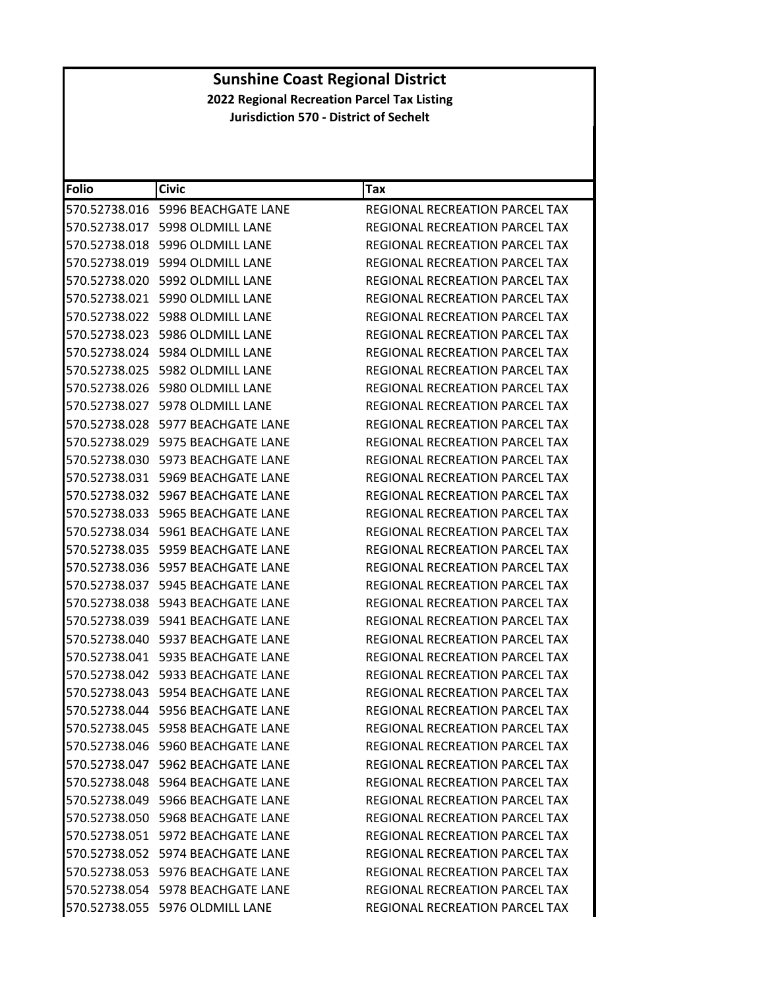| <b>Folio</b>  | <b>Civic</b>                            | Tax                                   |
|---------------|-----------------------------------------|---------------------------------------|
|               | 570.52738.016    5996    BEACHGATE LANE | REGIONAL RECREATION PARCEL TAX        |
|               | 570.52738.017 5998 OLDMILL LANE         | REGIONAL RECREATION PARCEL TAX        |
| 570.52738.018 | 5996 OLDMILL LANE                       | <b>REGIONAL RECREATION PARCEL TAX</b> |
| 570.52738.019 | 5994 OLDMILL LANE                       | <b>REGIONAL RECREATION PARCEL TAX</b> |
|               | 570.52738.020 5992 OLDMILL LANE         | REGIONAL RECREATION PARCEL TAX        |
|               | 570.52738.021 5990 OLDMILL LANE         | REGIONAL RECREATION PARCEL TAX        |
|               | 570.52738.022 5988 OLDMILL LANE         | REGIONAL RECREATION PARCEL TAX        |
|               | 570.52738.023 5986 OLDMILL LANE         | <b>REGIONAL RECREATION PARCEL TAX</b> |
| 570.52738.024 | 5984 OLDMILL LANE                       | REGIONAL RECREATION PARCEL TAX        |
|               | 570.52738.025 5982 OLDMILL LANE         | REGIONAL RECREATION PARCEL TAX        |
| 570.52738.026 | 5980 OLDMILL LANE                       | REGIONAL RECREATION PARCEL TAX        |
| 570.52738.027 | 5978 OLDMILL LANE                       | REGIONAL RECREATION PARCEL TAX        |
|               | 570.52738.028 5977 BEACHGATE LANE       | REGIONAL RECREATION PARCEL TAX        |
| 570.52738.029 | 5975 BEACHGATE LANE                     | <b>REGIONAL RECREATION PARCEL TAX</b> |
|               | 570.52738.030 5973 BEACHGATE LANE       | <b>REGIONAL RECREATION PARCEL TAX</b> |
|               | 570.52738.031 5969 BEACHGATE LANE       | REGIONAL RECREATION PARCEL TAX        |
|               | 570.52738.032 5967 BEACHGATE LANE       | REGIONAL RECREATION PARCEL TAX        |
|               | 570.52738.033    5965    BEACHGATE LANE | REGIONAL RECREATION PARCEL TAX        |
| 570.52738.034 | 5961 BEACHGATE LANE                     | REGIONAL RECREATION PARCEL TAX        |
|               | 570.52738.035    5959    BEACHGATE LANE | REGIONAL RECREATION PARCEL TAX        |
|               | 570.52738.036    5957    BEACHGATE LANE | REGIONAL RECREATION PARCEL TAX        |
|               | 570.52738.037    5945    BEACHGATE LANE | REGIONAL RECREATION PARCEL TAX        |
|               | 570.52738.038 5943 BEACHGATE LANE       | REGIONAL RECREATION PARCEL TAX        |
|               | 570.52738.039    5941    BEACHGATE LANE | REGIONAL RECREATION PARCEL TAX        |
| 570.52738.040 | 5937 BEACHGATE LANE                     | REGIONAL RECREATION PARCEL TAX        |
|               | 570.52738.041    5935    BEACHGATE LANE | REGIONAL RECREATION PARCEL TAX        |
|               | 570.52738.042    5933    BEACHGATE LANE | REGIONAL RECREATION PARCEL TAX        |
|               | 570.52738.043    5954    BEACHGATE LANE | REGIONAL RECREATION PARCEL TAX        |
|               | 570.52738.044 5956 BEACHGATE LANE       | REGIONAL RECREATION PARCEL TAX        |
|               | 570.52738.045    5958    BEACHGATE LANE | REGIONAL RECREATION PARCEL TAX        |
|               | 570.52738.046 5960 BEACHGATE LANE       | REGIONAL RECREATION PARCEL TAX        |
|               | 570.52738.047 5962 BEACHGATE LANE       | <b>REGIONAL RECREATION PARCEL TAX</b> |
|               | 570.52738.048    5964 BEACHGATE LANE    | REGIONAL RECREATION PARCEL TAX        |
|               | 570.52738.049 5966 BEACHGATE LANE       | <b>REGIONAL RECREATION PARCEL TAX</b> |
|               | 570.52738.050 5968 BEACHGATE LANE       | REGIONAL RECREATION PARCEL TAX        |
|               | 570.52738.051 5972 BEACHGATE LANE       | REGIONAL RECREATION PARCEL TAX        |
|               | 570.52738.052 5974 BEACHGATE LANE       | REGIONAL RECREATION PARCEL TAX        |
|               | 570.52738.053 5976 BEACHGATE LANE       | REGIONAL RECREATION PARCEL TAX        |
|               | 570.52738.054 5978 BEACHGATE LANE       | <b>REGIONAL RECREATION PARCEL TAX</b> |
|               | 570.52738.055 5976 OLDMILL LANE         | REGIONAL RECREATION PARCEL TAX        |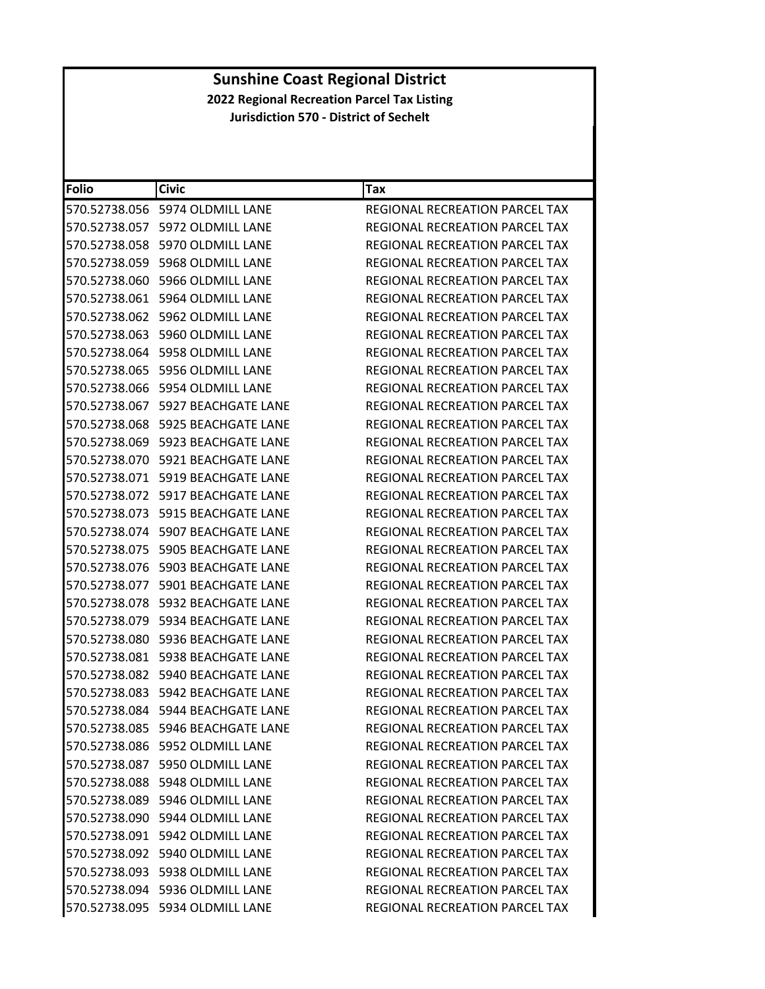| <b>Folio</b>  | <b>Civic</b>                            | Tax                                   |
|---------------|-----------------------------------------|---------------------------------------|
|               |                                         | REGIONAL RECREATION PARCEL TAX        |
|               | 570.52738.057 5972 OLDMILL LANE         | REGIONAL RECREATION PARCEL TAX        |
|               | 570.52738.058 5970 OLDMILL LANE         | REGIONAL RECREATION PARCEL TAX        |
| 570.52738.059 | 5968 OLDMILL LANE                       | REGIONAL RECREATION PARCEL TAX        |
| 570.52738.060 | 5966 OLDMILL LANE                       | REGIONAL RECREATION PARCEL TAX        |
|               |                                         | REGIONAL RECREATION PARCEL TAX        |
|               | 570.52738.062 5962 OLDMILL LANE         | REGIONAL RECREATION PARCEL TAX        |
|               | 570.52738.063 5960 OLDMILL LANE         | REGIONAL RECREATION PARCEL TAX        |
| 570.52738.064 | 5958 OLDMILL LANE                       | <b>REGIONAL RECREATION PARCEL TAX</b> |
|               | 570.52738.065 5956 OLDMILL LANE         | REGIONAL RECREATION PARCEL TAX        |
|               |                                         | REGIONAL RECREATION PARCEL TAX        |
|               | 570.52738.067 5927 BEACHGATE LANE       | REGIONAL RECREATION PARCEL TAX        |
|               | 570.52738.068 5925 BEACHGATE LANE       | REGIONAL RECREATION PARCEL TAX        |
|               | 570.52738.069 5923 BEACHGATE LANE       | <b>REGIONAL RECREATION PARCEL TAX</b> |
|               | 570.52738.070 5921 BEACHGATE LANE       | REGIONAL RECREATION PARCEL TAX        |
|               | 570.52738.071    5919    BEACHGATE LANE | REGIONAL RECREATION PARCEL TAX        |
|               | 570.52738.072    5917    BEACHGATE LANE | REGIONAL RECREATION PARCEL TAX        |
|               | 570.52738.073    5915    BEACHGATE LANE | REGIONAL RECREATION PARCEL TAX        |
|               | 570.52738.074 5907 BEACHGATE LANE       | <b>REGIONAL RECREATION PARCEL TAX</b> |
| 570.52738.075 | 5905 BEACHGATE LANE                     | REGIONAL RECREATION PARCEL TAX        |
|               | 570.52738.076    5903    BEACHGATE LANE | REGIONAL RECREATION PARCEL TAX        |
|               | 570.52738.077    5901    BEACHGATE LANE | REGIONAL RECREATION PARCEL TAX        |
|               | 570.52738.078 5932 BEACHGATE LANE       | REGIONAL RECREATION PARCEL TAX        |
|               | 570.52738.079 5934 BEACHGATE LANE       | REGIONAL RECREATION PARCEL TAX        |
| 570.52738.080 | 5936 BEACHGATE LANE                     | REGIONAL RECREATION PARCEL TAX        |
|               | 570.52738.081    5938 BEACHGATE LANE    | REGIONAL RECREATION PARCEL TAX        |
| 570.52738.082 | 5940 BEACHGATE LANE                     | REGIONAL RECREATION PARCEL TAX        |
|               | 570.52738.083    5942    BEACHGATE LANE | REGIONAL RECREATION PARCEL TAX        |
|               | 570.52738.084 5944 BEACHGATE LANE       | <b>REGIONAL RECREATION PARCEL TAX</b> |
|               | 570.52738.085 5946 BEACHGATE LANE       | REGIONAL RECREATION PARCEL TAX        |
|               | 570.52738.086 5952 OLDMILL LANE         | REGIONAL RECREATION PARCEL TAX        |
|               | 570.52738.087 5950 OLDMILL LANE         | REGIONAL RECREATION PARCEL TAX        |
|               | 570.52738.088 5948 OLDMILL LANE         | <b>REGIONAL RECREATION PARCEL TAX</b> |
|               | 570.52738.089 5946 OLDMILL LANE         | REGIONAL RECREATION PARCEL TAX        |
|               | 570.52738.090 5944 OLDMILL LANE         | REGIONAL RECREATION PARCEL TAX        |
|               | 570.52738.091 5942 OLDMILL LANE         | REGIONAL RECREATION PARCEL TAX        |
|               | 570.52738.092 5940 OLDMILL LANE         | <b>REGIONAL RECREATION PARCEL TAX</b> |
|               | 570.52738.093 5938 OLDMILL LANE         | <b>REGIONAL RECREATION PARCEL TAX</b> |
|               | 570.52738.094 5936 OLDMILL LANE         | REGIONAL RECREATION PARCEL TAX        |
|               | 570.52738.095 5934 OLDMILL LANE         | REGIONAL RECREATION PARCEL TAX        |